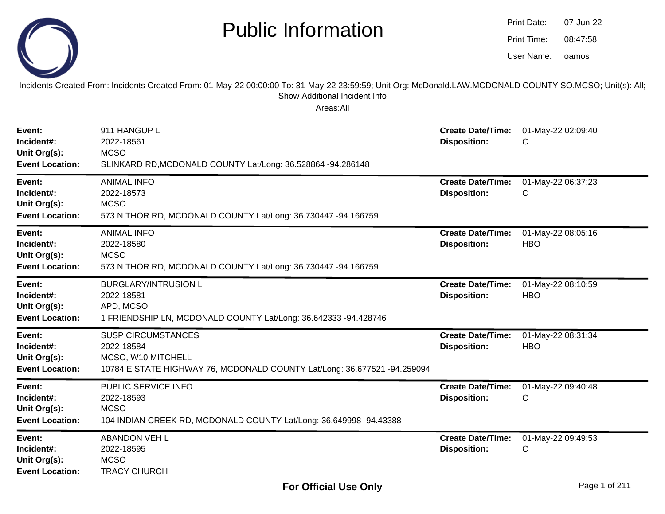|                                                                | <b>Public Information</b>                                                                                                                                                                              |                                                 | Print Date:<br>Print Time:<br>User Name: | 07-Jun-22<br>08:47:58<br>oamos |
|----------------------------------------------------------------|--------------------------------------------------------------------------------------------------------------------------------------------------------------------------------------------------------|-------------------------------------------------|------------------------------------------|--------------------------------|
|                                                                | Incidents Created From: Incidents Created From: 01-May-22 00:00:00 To: 31-May-22 23:59:59; Unit Org: McDonald.LAW.MCDONALD COUNTY SO.MCSO; Unit(s): All;<br>Show Additional Incident Info<br>Areas:All |                                                 |                                          |                                |
| Event:<br>Incident#:<br>Unit Org(s):<br><b>Event Location:</b> | 911 HANGUP L<br>2022-18561<br><b>MCSO</b><br>SLINKARD RD, MCDONALD COUNTY Lat/Long: 36.528864 -94.286148                                                                                               | <b>Create Date/Time:</b><br><b>Disposition:</b> | С                                        | 01-May-22 02:09:40             |
| Event:<br>Incident#:<br>Unit Org(s):<br><b>Event Location:</b> | <b>ANIMAL INFO</b><br>2022-18573<br><b>MCSO</b><br>573 N THOR RD, MCDONALD COUNTY Lat/Long: 36.730447 -94.166759                                                                                       | <b>Create Date/Time:</b><br><b>Disposition:</b> | С                                        | 01-May-22 06:37:23             |
| Event:<br>Incident#:<br>Unit Org(s):<br><b>Event Location:</b> | <b>ANIMAL INFO</b><br>2022-18580<br><b>MCSO</b><br>573 N THOR RD, MCDONALD COUNTY Lat/Long: 36.730447 -94.166759                                                                                       | <b>Create Date/Time:</b><br><b>Disposition:</b> | <b>HBO</b>                               | 01-May-22 08:05:16             |
| Event:<br>Incident#:<br>Unit Org(s):<br><b>Event Location:</b> | <b>BURGLARY/INTRUSION L</b><br>2022-18581<br>APD, MCSO<br>1 FRIENDSHIP LN, MCDONALD COUNTY Lat/Long: 36.642333 -94.428746                                                                              | <b>Create Date/Time:</b><br><b>Disposition:</b> | <b>HBO</b>                               | 01-May-22 08:10:59             |
| Event:<br>Incident#:<br>Unit Org(s):<br><b>Event Location:</b> | <b>SUSP CIRCUMSTANCES</b><br>2022-18584<br>MCSO, W10 MITCHELL<br>10784 E STATE HIGHWAY 76, MCDONALD COUNTY Lat/Long: 36.677521 -94.259094                                                              | <b>Create Date/Time:</b><br><b>Disposition:</b> | <b>HBO</b>                               | 01-May-22 08:31:34             |
| Event:<br>Incident#:<br>Unit Org(s):<br><b>Event Location:</b> | PUBLIC SERVICE INFO<br>2022-18593<br><b>MCSO</b><br>104 INDIAN CREEK RD, MCDONALD COUNTY Lat/Long: 36.649998 -94.43388                                                                                 | <b>Create Date/Time:</b><br><b>Disposition:</b> | C                                        | 01-May-22 09:40:48             |
| Event:<br>Incident#:<br>Unit Org(s):<br><b>Event Location:</b> | <b>ABANDON VEH L</b><br>2022-18595<br><b>MCSO</b><br><b>TRACY CHURCH</b>                                                                                                                               | <b>Create Date/Time:</b><br><b>Disposition:</b> | С                                        | 01-May-22 09:49:53             |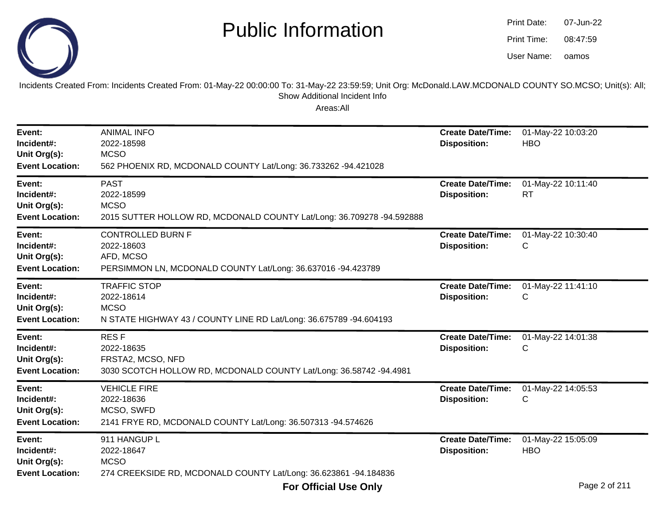

oamos07-Jun-2208:47:59Print Date:Print Time:User Name:

Incidents Created From: Incidents Created From: 01-May-22 00:00:00 To: 31-May-22 23:59:59; Unit Org: McDonald.LAW.MCDONALD COUNTY SO.MCSO; Unit(s): All; Show Additional Incident Info

| Event:<br>Incident#:<br>Unit Org(s):<br><b>Event Location:</b> | <b>ANIMAL INFO</b><br>2022-18598<br><b>MCSO</b><br>562 PHOENIX RD, MCDONALD COUNTY Lat/Long: 36.733262 -94.421028      | <b>Create Date/Time:</b><br><b>Disposition:</b> | 01-May-22 10:03:20<br><b>HBO</b> |
|----------------------------------------------------------------|------------------------------------------------------------------------------------------------------------------------|-------------------------------------------------|----------------------------------|
| Event:<br>Incident#:<br>Unit Org(s):<br><b>Event Location:</b> | <b>PAST</b><br>2022-18599<br><b>MCSO</b><br>2015 SUTTER HOLLOW RD, MCDONALD COUNTY Lat/Long: 36.709278 -94.592888      | <b>Create Date/Time:</b><br><b>Disposition:</b> | 01-May-22 10:11:40<br><b>RT</b>  |
| Event:<br>Incident#:<br>Unit Org(s):<br><b>Event Location:</b> | <b>CONTROLLED BURN F</b><br>2022-18603<br>AFD, MCSO<br>PERSIMMON LN, MCDONALD COUNTY Lat/Long: 36.637016 -94.423789    | <b>Create Date/Time:</b><br><b>Disposition:</b> | 01-May-22 10:30:40<br>С          |
| Event:<br>Incident#:<br>Unit Org(s):<br><b>Event Location:</b> | <b>TRAFFIC STOP</b><br>2022-18614<br><b>MCSO</b><br>N STATE HIGHWAY 43 / COUNTY LINE RD Lat/Long: 36.675789 -94.604193 | <b>Create Date/Time:</b><br><b>Disposition:</b> | 01-May-22 11:41:10<br>C          |
| Event:<br>Incident#:<br>Unit Org(s):<br><b>Event Location:</b> | <b>RESF</b><br>2022-18635<br>FRSTA2, MCSO, NFD<br>3030 SCOTCH HOLLOW RD, MCDONALD COUNTY Lat/Long: 36.58742 -94.4981   | <b>Create Date/Time:</b><br><b>Disposition:</b> | 01-May-22 14:01:38<br>С          |
| Event:<br>Incident#:<br>Unit Org(s):<br><b>Event Location:</b> | <b>VEHICLE FIRE</b><br>2022-18636<br>MCSO, SWFD<br>2141 FRYE RD, MCDONALD COUNTY Lat/Long: 36.507313 -94.574626        | <b>Create Date/Time:</b><br><b>Disposition:</b> | 01-May-22 14:05:53<br>С          |
| Event:<br>Incident#:<br>Unit Org(s):<br><b>Event Location:</b> | 911 HANGUP L<br>2022-18647<br><b>MCSO</b><br>274 CREEKSIDE RD, MCDONALD COUNTY Lat/Long: 36.623861 -94.184836          | <b>Create Date/Time:</b><br><b>Disposition:</b> | 01-May-22 15:05:09<br><b>HBO</b> |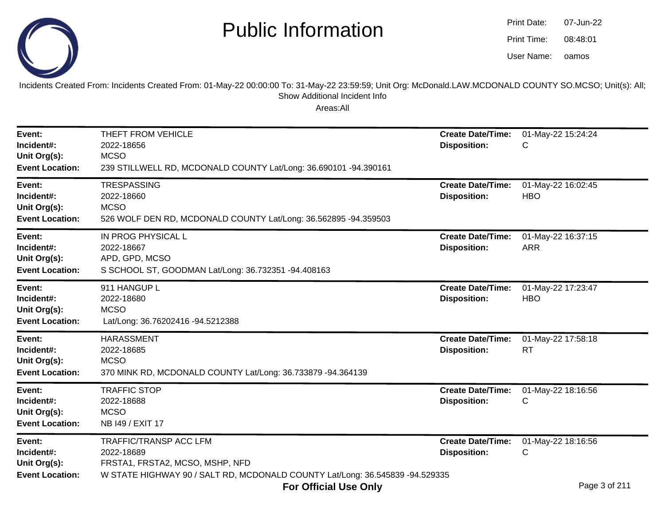

| Print Date: | 07-Jun-22 |
|-------------|-----------|
| Print Time: | 08:48:01  |
| User Name:  | oamos     |

Incidents Created From: Incidents Created From: 01-May-22 00:00:00 To: 31-May-22 23:59:59; Unit Org: McDonald.LAW.MCDONALD COUNTY SO.MCSO; Unit(s): All;Show Additional Incident Info

| Event:<br>Incident#:<br>Unit Org(s):<br><b>Event Location:</b> | THEFT FROM VEHICLE<br>2022-18656<br><b>MCSO</b><br>239 STILLWELL RD, MCDONALD COUNTY Lat/Long: 36.690101 -94.390161                                                                                   | <b>Create Date/Time:</b><br><b>Disposition:</b> | 01-May-22 15:24:24<br>С                                   |
|----------------------------------------------------------------|-------------------------------------------------------------------------------------------------------------------------------------------------------------------------------------------------------|-------------------------------------------------|-----------------------------------------------------------|
| Event:<br>Incident#:<br>Unit Org(s):<br><b>Event Location:</b> | <b>TRESPASSING</b><br>2022-18660<br><b>MCSO</b><br>526 WOLF DEN RD, MCDONALD COUNTY Lat/Long: 36.562895 -94.359503                                                                                    | <b>Create Date/Time:</b><br><b>Disposition:</b> | 01-May-22 16:02:45<br><b>HBO</b>                          |
| Event:<br>Incident#:<br>Unit Org(s):<br><b>Event Location:</b> | IN PROG PHYSICAL L<br>2022-18667<br>APD, GPD, MCSO<br>S SCHOOL ST, GOODMAN Lat/Long: 36.732351 -94.408163                                                                                             | <b>Create Date/Time:</b><br><b>Disposition:</b> | 01-May-22 16:37:15<br><b>ARR</b>                          |
| Event:<br>Incident#:<br>Unit Org(s):<br><b>Event Location:</b> | 911 HANGUP L<br>2022-18680<br><b>MCSO</b><br>Lat/Long: 36.76202416 -94.5212388                                                                                                                        | <b>Create Date/Time:</b><br><b>Disposition:</b> | 01-May-22 17:23:47<br><b>HBO</b>                          |
| Event:<br>Incident#:<br>Unit Org(s):<br><b>Event Location:</b> | <b>HARASSMENT</b><br>2022-18685<br><b>MCSO</b><br>370 MINK RD, MCDONALD COUNTY Lat/Long: 36.733879 -94.364139                                                                                         | <b>Create Date/Time:</b><br><b>Disposition:</b> | 01-May-22 17:58:18<br><b>RT</b>                           |
| Event:<br>Incident#:<br>Unit Org(s):<br><b>Event Location:</b> | <b>TRAFFIC STOP</b><br>2022-18688<br><b>MCSO</b><br>NB 149 / EXIT 17                                                                                                                                  | <b>Create Date/Time:</b><br><b>Disposition:</b> | 01-May-22 18:16:56<br>С                                   |
| Event:<br>Incident#:<br>Unit Org(s):<br><b>Event Location:</b> | <b>TRAFFIC/TRANSP ACC LFM</b><br>2022-18689<br>FRSTA1, FRSTA2, MCSO, MSHP, NFD<br>W STATE HIGHWAY 90 / SALT RD, MCDONALD COUNTY Lat/Long: 36.545839 -94.529335<br>$F = 0.000$ . The state of $\sim 1$ | <b>Create Date/Time:</b><br><b>Disposition:</b> | 01-May-22 18:16:56<br>C<br>$D_{0.92}$ $D_{0.6}$ $D_{0.4}$ |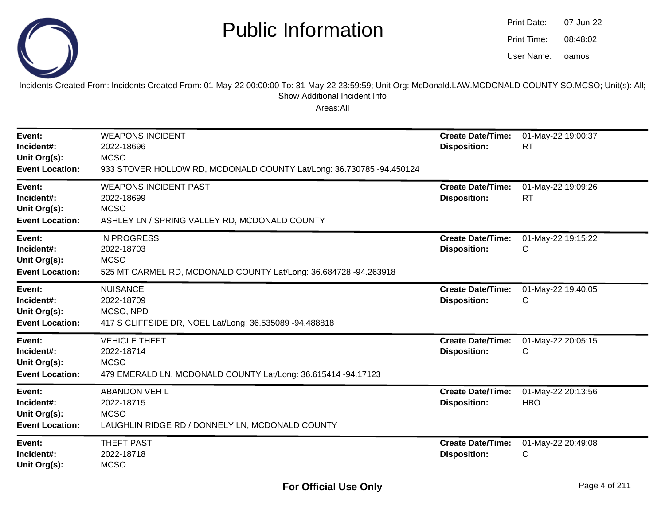

| Print Date: | 07-Jun-22 |
|-------------|-----------|
| Print Time: | 08:48:02  |
| User Name:  | oamos     |

Incidents Created From: Incidents Created From: 01-May-22 00:00:00 To: 31-May-22 23:59:59; Unit Org: McDonald.LAW.MCDONALD COUNTY SO.MCSO; Unit(s): All; Show Additional Incident Info

| Event:<br>Incident#:<br>Unit Org(s):<br><b>Event Location:</b> | <b>WEAPONS INCIDENT</b><br>2022-18696<br><b>MCSO</b><br>933 STOVER HOLLOW RD, MCDONALD COUNTY Lat/Long: 36.730785 -94.450124 | <b>Create Date/Time:</b><br><b>Disposition:</b> | 01-May-22 19:00:37<br><b>RT</b>  |
|----------------------------------------------------------------|------------------------------------------------------------------------------------------------------------------------------|-------------------------------------------------|----------------------------------|
| Event:<br>Incident#:<br>Unit Org(s):<br><b>Event Location:</b> | <b>WEAPONS INCIDENT PAST</b><br>2022-18699<br><b>MCSO</b><br>ASHLEY LN / SPRING VALLEY RD, MCDONALD COUNTY                   | <b>Create Date/Time:</b><br><b>Disposition:</b> | 01-May-22 19:09:26<br>RT         |
| Event:<br>Incident#:<br>Unit Org(s):<br><b>Event Location:</b> | <b>IN PROGRESS</b><br>2022-18703<br><b>MCSO</b><br>525 MT CARMEL RD, MCDONALD COUNTY Lat/Long: 36.684728 -94.263918          | <b>Create Date/Time:</b><br><b>Disposition:</b> | 01-May-22 19:15:22<br>С          |
| Event:<br>Incident#:<br>Unit Org(s):<br><b>Event Location:</b> | <b>NUISANCE</b><br>2022-18709<br>MCSO, NPD<br>417 S CLIFFSIDE DR, NOEL Lat/Long: 36.535089 -94.488818                        | <b>Create Date/Time:</b><br><b>Disposition:</b> | 01-May-22 19:40:05<br>С          |
| Event:<br>Incident#:<br>Unit Org(s):<br><b>Event Location:</b> | <b>VEHICLE THEFT</b><br>2022-18714<br><b>MCSO</b><br>479 EMERALD LN, MCDONALD COUNTY Lat/Long: 36.615414 -94.17123           | <b>Create Date/Time:</b><br><b>Disposition:</b> | 01-May-22 20:05:15<br>С          |
| Event:<br>Incident#:<br>Unit Org(s):<br><b>Event Location:</b> | <b>ABANDON VEH L</b><br>2022-18715<br><b>MCSO</b><br>LAUGHLIN RIDGE RD / DONNELY LN, MCDONALD COUNTY                         | <b>Create Date/Time:</b><br><b>Disposition:</b> | 01-May-22 20:13:56<br><b>HBO</b> |
| Event:<br>Incident#:<br>Unit Org(s):                           | <b>THEFT PAST</b><br>2022-18718<br><b>MCSO</b>                                                                               | <b>Create Date/Time:</b><br><b>Disposition:</b> | 01-May-22 20:49:08<br>С          |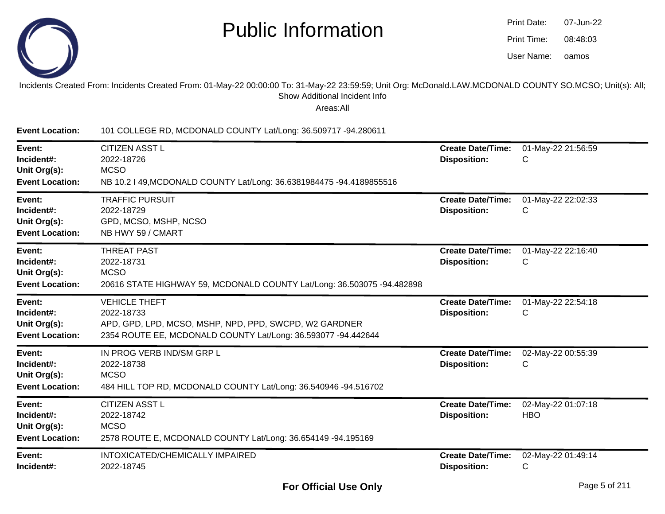

| Print Date: | 07-Jun-22 |
|-------------|-----------|
| Print Time: | 08:48:03  |
| User Name:  | oamos     |

#### Incidents Created From: Incidents Created From: 01-May-22 00:00:00 To: 31-May-22 23:59:59; Unit Org: McDonald.LAW.MCDONALD COUNTY SO.MCSO; Unit(s): All;Show Additional Incident Info

| <b>Event Location:</b>                                         | 101 COLLEGE RD, MCDONALD COUNTY Lat/Long: 36.509717 -94.280611                                                                                                |                                                 |                                  |
|----------------------------------------------------------------|---------------------------------------------------------------------------------------------------------------------------------------------------------------|-------------------------------------------------|----------------------------------|
| Event:<br>Incident#:<br>Unit Org(s):<br><b>Event Location:</b> | <b>CITIZEN ASST L</b><br>2022-18726<br><b>MCSO</b><br>NB 10.2   49, MCDONALD COUNTY Lat/Long: 36.6381984475 -94.4189855516                                    | <b>Create Date/Time:</b><br><b>Disposition:</b> | 01-May-22 21:56:59<br>C          |
| Event:<br>Incident#:<br>Unit Org(s):<br><b>Event Location:</b> | <b>TRAFFIC PURSUIT</b><br>2022-18729<br>GPD, MCSO, MSHP, NCSO<br>NB HWY 59 / CMART                                                                            | <b>Create Date/Time:</b><br><b>Disposition:</b> | 01-May-22 22:02:33<br>С          |
| Event:<br>Incident#:<br>Unit Org(s):<br><b>Event Location:</b> | <b>THREAT PAST</b><br>2022-18731<br><b>MCSO</b><br>20616 STATE HIGHWAY 59, MCDONALD COUNTY Lat/Long: 36.503075 -94.482898                                     | <b>Create Date/Time:</b><br><b>Disposition:</b> | 01-May-22 22:16:40<br>C          |
| Event:<br>Incident#:<br>Unit Org(s):<br><b>Event Location:</b> | <b>VEHICLE THEFT</b><br>2022-18733<br>APD, GPD, LPD, MCSO, MSHP, NPD, PPD, SWCPD, W2 GARDNER<br>2354 ROUTE EE, MCDONALD COUNTY Lat/Long: 36.593077 -94.442644 | <b>Create Date/Time:</b><br><b>Disposition:</b> | 01-May-22 22:54:18<br>С          |
| Event:<br>Incident#:<br>Unit Org(s):<br><b>Event Location:</b> | IN PROG VERB IND/SM GRP L<br>2022-18738<br><b>MCSO</b><br>484 HILL TOP RD, MCDONALD COUNTY Lat/Long: 36.540946 -94.516702                                     | <b>Create Date/Time:</b><br><b>Disposition:</b> | 02-May-22 00:55:39<br>C          |
| Event:<br>Incident#:<br>Unit Org(s):<br><b>Event Location:</b> | <b>CITIZEN ASST L</b><br>2022-18742<br><b>MCSO</b><br>2578 ROUTE E, MCDONALD COUNTY Lat/Long: 36.654149 -94.195169                                            | <b>Create Date/Time:</b><br><b>Disposition:</b> | 02-May-22 01:07:18<br><b>HBO</b> |
| Event:<br>Incident#:                                           | INTOXICATED/CHEMICALLY IMPAIRED<br>2022-18745                                                                                                                 | <b>Create Date/Time:</b><br><b>Disposition:</b> | 02-May-22 01:49:14<br>С          |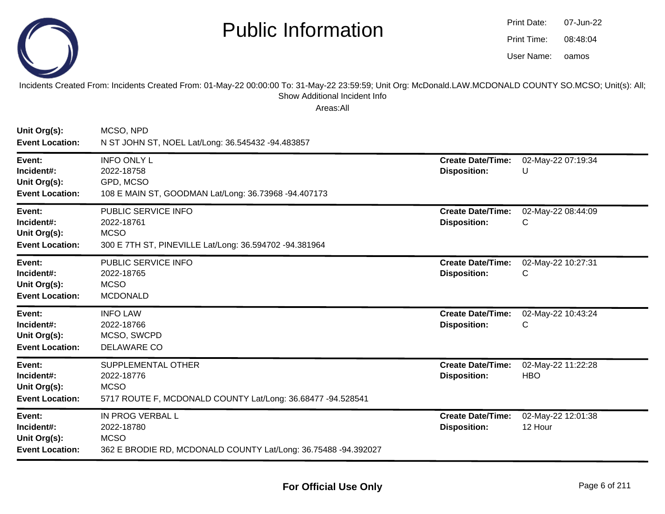

| Print Date: | 07-Jun-22 |
|-------------|-----------|
| Print Time: | 08:48:04  |
| User Name:  | oamos     |

Incidents Created From: Incidents Created From: 01-May-22 00:00:00 To: 31-May-22 23:59:59; Unit Org: McDonald.LAW.MCDONALD COUNTY SO.MCSO; Unit(s): All; Show Additional Incident Info

| Unit Org(s):<br><b>Event Location:</b>                         | MCSO, NPD<br>N ST JOHN ST, NOEL Lat/Long: 36.545432 -94.483857                                                         |                                                 |                                  |
|----------------------------------------------------------------|------------------------------------------------------------------------------------------------------------------------|-------------------------------------------------|----------------------------------|
| Event:<br>Incident#:<br>Unit Org(s):<br><b>Event Location:</b> | <b>INFO ONLY L</b><br>2022-18758<br>GPD, MCSO<br>108 E MAIN ST, GOODMAN Lat/Long: 36.73968 -94.407173                  | <b>Create Date/Time:</b><br><b>Disposition:</b> | 02-May-22 07:19:34<br>U          |
| Event:<br>Incident#:<br>Unit Org(s):<br><b>Event Location:</b> | PUBLIC SERVICE INFO<br>2022-18761<br><b>MCSO</b><br>300 E 7TH ST, PINEVILLE Lat/Long: 36.594702 -94.381964             | <b>Create Date/Time:</b><br><b>Disposition:</b> | 02-May-22 08:44:09<br>C          |
| Event:<br>Incident#:<br>Unit Org(s):<br><b>Event Location:</b> | PUBLIC SERVICE INFO<br>2022-18765<br><b>MCSO</b><br><b>MCDONALD</b>                                                    | <b>Create Date/Time:</b><br><b>Disposition:</b> | 02-May-22 10:27:31<br>C          |
| Event:<br>Incident#:<br>Unit Org(s):<br><b>Event Location:</b> | <b>INFO LAW</b><br>2022-18766<br>MCSO, SWCPD<br><b>DELAWARE CO</b>                                                     | <b>Create Date/Time:</b><br><b>Disposition:</b> | 02-May-22 10:43:24<br>C          |
| Event:<br>Incident#:<br>Unit Org(s):<br><b>Event Location:</b> | SUPPLEMENTAL OTHER<br>2022-18776<br><b>MCSO</b><br>5717 ROUTE F, MCDONALD COUNTY Lat/Long: 36.68477 -94.528541         | <b>Create Date/Time:</b><br><b>Disposition:</b> | 02-May-22 11:22:28<br><b>HBO</b> |
| Event:<br>Incident#:<br>Unit Org(s):<br><b>Event Location:</b> | <b>IN PROG VERBAL L</b><br>2022-18780<br><b>MCSO</b><br>362 E BRODIE RD, MCDONALD COUNTY Lat/Long: 36.75488 -94.392027 | <b>Create Date/Time:</b><br><b>Disposition:</b> | 02-May-22 12:01:38<br>12 Hour    |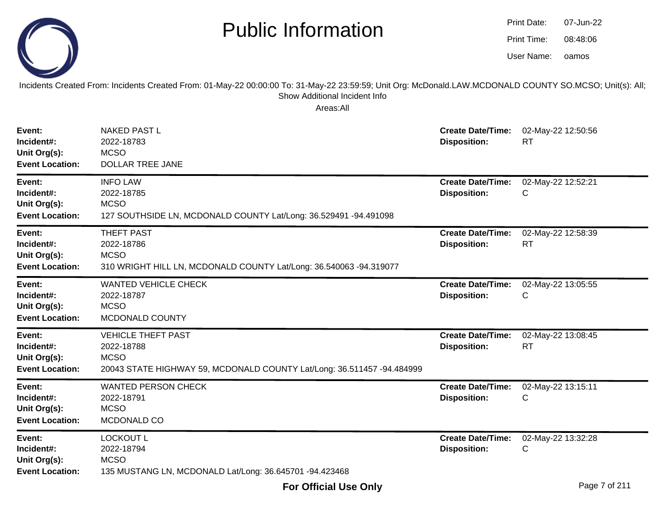|--|

#### Incidents Created From: Incidents Created From: 01-May-22 00:00:00 To: 31-May-22 23:59:59; Unit Org: McDonald.LAW.MCDONALD COUNTY SO.MCSO; Unit(s): All;Show Additional Incident Info

| Event:<br>Incident#:<br>Unit Org(s):<br><b>Event Location:</b> | <b>NAKED PAST L</b><br>2022-18783<br><b>MCSO</b><br><b>DOLLAR TREE JANE</b>                                                      | <b>Create Date/Time:</b><br><b>Disposition:</b> | 02-May-22 12:50:56<br><b>RT</b> |
|----------------------------------------------------------------|----------------------------------------------------------------------------------------------------------------------------------|-------------------------------------------------|---------------------------------|
| Event:<br>Incident#:<br>Unit Org(s):<br><b>Event Location:</b> | <b>INFO LAW</b><br>2022-18785<br><b>MCSO</b><br>127 SOUTHSIDE LN, MCDONALD COUNTY Lat/Long: 36.529491 -94.491098                 | <b>Create Date/Time:</b><br><b>Disposition:</b> | 02-May-22 12:52:21<br>C         |
| Event:<br>Incident#:<br>Unit Org(s):<br><b>Event Location:</b> | <b>THEFT PAST</b><br>2022-18786<br><b>MCSO</b><br>310 WRIGHT HILL LN, MCDONALD COUNTY Lat/Long: 36.540063 -94.319077             | <b>Create Date/Time:</b><br><b>Disposition:</b> | 02-May-22 12:58:39<br><b>RT</b> |
| Event:<br>Incident#:<br>Unit Org(s):<br><b>Event Location:</b> | <b>WANTED VEHICLE CHECK</b><br>2022-18787<br><b>MCSO</b><br>MCDONALD COUNTY                                                      | <b>Create Date/Time:</b><br><b>Disposition:</b> | 02-May-22 13:05:55<br>C         |
| Event:<br>Incident#:<br>Unit Org(s):<br><b>Event Location:</b> | <b>VEHICLE THEFT PAST</b><br>2022-18788<br><b>MCSO</b><br>20043 STATE HIGHWAY 59, MCDONALD COUNTY Lat/Long: 36.511457 -94.484999 | <b>Create Date/Time:</b><br><b>Disposition:</b> | 02-May-22 13:08:45<br><b>RT</b> |
| Event:<br>Incident#:<br>Unit Org(s):<br><b>Event Location:</b> | <b>WANTED PERSON CHECK</b><br>2022-18791<br><b>MCSO</b><br>MCDONALD CO                                                           | <b>Create Date/Time:</b><br><b>Disposition:</b> | 02-May-22 13:15:11<br>C         |
| Event:<br>Incident#:<br>Unit Org(s):<br><b>Event Location:</b> | <b>LOCKOUT L</b><br>2022-18794<br><b>MCSO</b><br>135 MUSTANG LN, MCDONALD Lat/Long: 36.645701 -94.423468                         | <b>Create Date/Time:</b><br><b>Disposition:</b> | 02-May-22 13:32:28<br>С         |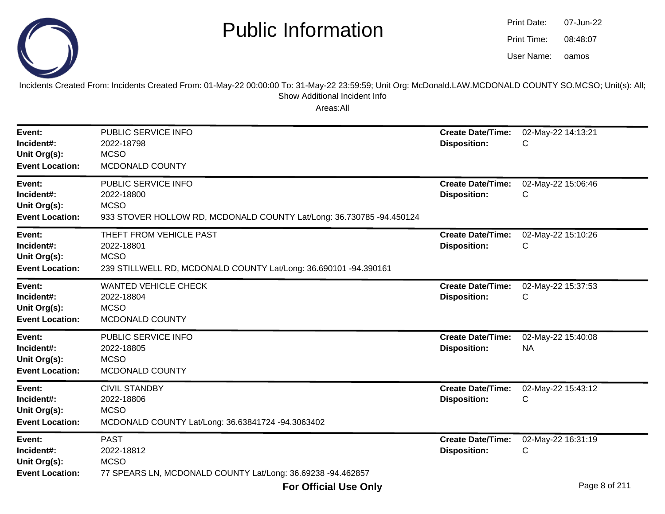

| Print Date: | 07-Jun-22 |
|-------------|-----------|
| Print Time: | 08:48:07  |
| User Name:  | oamos     |

Incidents Created From: Incidents Created From: 01-May-22 00:00:00 To: 31-May-22 23:59:59; Unit Org: McDonald.LAW.MCDONALD COUNTY SO.MCSO; Unit(s): All; Show Additional Incident Info

| Event:<br>Incident#:<br>Unit Org(s):<br><b>Event Location:</b> | PUBLIC SERVICE INFO<br>2022-18798<br><b>MCSO</b><br>MCDONALD COUNTY                                                      | <b>Create Date/Time:</b><br><b>Disposition:</b> | 02-May-22 14:13:21<br>С         |
|----------------------------------------------------------------|--------------------------------------------------------------------------------------------------------------------------|-------------------------------------------------|---------------------------------|
| Event:<br>Incident#:<br>Unit Org(s):<br><b>Event Location:</b> | PUBLIC SERVICE INFO<br>2022-18800<br><b>MCSO</b><br>933 STOVER HOLLOW RD, MCDONALD COUNTY Lat/Long: 36.730785 -94.450124 | <b>Create Date/Time:</b><br><b>Disposition:</b> | 02-May-22 15:06:46<br>C         |
| Event:<br>Incident#:<br>Unit Org(s):<br><b>Event Location:</b> | THEFT FROM VEHICLE PAST<br>2022-18801<br><b>MCSO</b><br>239 STILLWELL RD, MCDONALD COUNTY Lat/Long: 36.690101 -94.390161 | <b>Create Date/Time:</b><br><b>Disposition:</b> | 02-May-22 15:10:26<br>С         |
| Event:<br>Incident#:<br>Unit Org(s):<br><b>Event Location:</b> | <b>WANTED VEHICLE CHECK</b><br>2022-18804<br><b>MCSO</b><br>MCDONALD COUNTY                                              | <b>Create Date/Time:</b><br><b>Disposition:</b> | 02-May-22 15:37:53<br>C         |
| Event:<br>Incident#:<br>Unit Org(s):<br><b>Event Location:</b> | PUBLIC SERVICE INFO<br>2022-18805<br><b>MCSO</b><br>MCDONALD COUNTY                                                      | <b>Create Date/Time:</b><br><b>Disposition:</b> | 02-May-22 15:40:08<br><b>NA</b> |
| Event:<br>Incident#:<br>Unit Org(s):<br><b>Event Location:</b> | <b>CIVIL STANDBY</b><br>2022-18806<br><b>MCSO</b><br>MCDONALD COUNTY Lat/Long: 36.63841724 -94.3063402                   | <b>Create Date/Time:</b><br><b>Disposition:</b> | 02-May-22 15:43:12<br>C         |
| Event:<br>Incident#:<br>Unit Org(s):<br><b>Event Location:</b> | <b>PAST</b><br>2022-18812<br><b>MCSO</b><br>77 SPEARS LN, MCDONALD COUNTY Lat/Long: 36.69238 -94.462857                  | <b>Create Date/Time:</b><br><b>Disposition:</b> | 02-May-22 16:31:19<br>С         |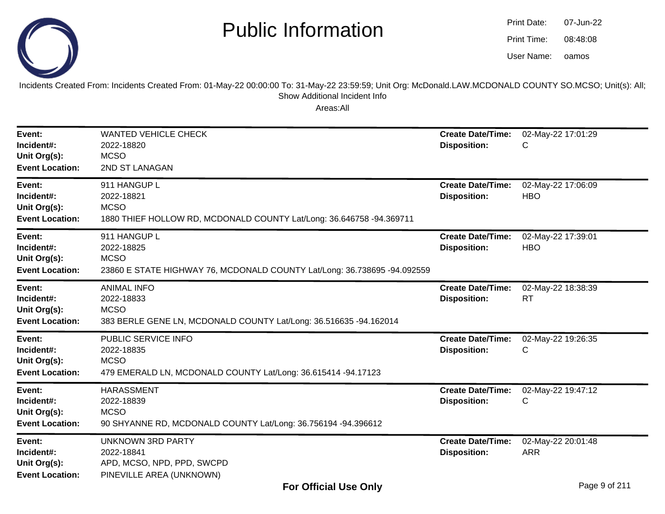

oamos07-Jun-2208:48:08Print Date:Print Time:User Name:

Incidents Created From: Incidents Created From: 01-May-22 00:00:00 To: 31-May-22 23:59:59; Unit Org: McDonald.LAW.MCDONALD COUNTY SO.MCSO; Unit(s): All; Show Additional Incident Info

| Event:<br>Incident#:<br>Unit Org(s):<br><b>Event Location:</b> | <b>WANTED VEHICLE CHECK</b><br>2022-18820<br><b>MCSO</b><br>2ND ST LANAGAN                                            | <b>Create Date/Time:</b><br><b>Disposition:</b> | 02-May-22 17:01:29<br>С          |
|----------------------------------------------------------------|-----------------------------------------------------------------------------------------------------------------------|-------------------------------------------------|----------------------------------|
| Event:<br>Incident#:<br>Unit Org(s):<br><b>Event Location:</b> | 911 HANGUP L<br>2022-18821<br><b>MCSO</b><br>1880 THIEF HOLLOW RD, MCDONALD COUNTY Lat/Long: 36.646758 -94.369711     | <b>Create Date/Time:</b><br><b>Disposition:</b> | 02-May-22 17:06:09<br><b>HBO</b> |
| Event:<br>Incident#:<br>Unit Org(s):<br><b>Event Location:</b> | 911 HANGUP L<br>2022-18825<br><b>MCSO</b><br>23860 E STATE HIGHWAY 76, MCDONALD COUNTY Lat/Long: 36.738695 -94.092559 | <b>Create Date/Time:</b><br><b>Disposition:</b> | 02-May-22 17:39:01<br><b>HBO</b> |
| Event:<br>Incident#:<br>Unit Org(s):<br><b>Event Location:</b> | <b>ANIMAL INFO</b><br>2022-18833<br><b>MCSO</b><br>383 BERLE GENE LN, MCDONALD COUNTY Lat/Long: 36.516635 -94.162014  | <b>Create Date/Time:</b><br><b>Disposition:</b> | 02-May-22 18:38:39<br><b>RT</b>  |
| Event:<br>Incident#:<br>Unit Org(s):<br><b>Event Location:</b> | PUBLIC SERVICE INFO<br>2022-18835<br><b>MCSO</b><br>479 EMERALD LN, MCDONALD COUNTY Lat/Long: 36.615414 -94.17123     | <b>Create Date/Time:</b><br><b>Disposition:</b> | 02-May-22 19:26:35<br>С          |
| Event:<br>Incident#:<br>Unit Org(s):<br><b>Event Location:</b> | <b>HARASSMENT</b><br>2022-18839<br><b>MCSO</b><br>90 SHYANNE RD, MCDONALD COUNTY Lat/Long: 36.756194 -94.396612       | <b>Create Date/Time:</b><br><b>Disposition:</b> | 02-May-22 19:47:12<br>C          |
| Event:<br>Incident#:<br>Unit Org(s):<br><b>Event Location:</b> | <b>UNKNOWN 3RD PARTY</b><br>2022-18841<br>APD, MCSO, NPD, PPD, SWCPD<br>PINEVILLE AREA (UNKNOWN)                      | <b>Create Date/Time:</b><br><b>Disposition:</b> | 02-May-22 20:01:48<br><b>ARR</b> |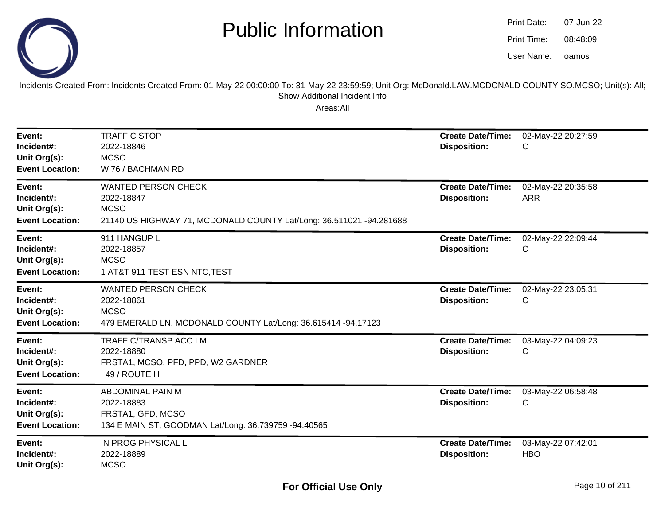

| <b>Print Date:</b> | 07-Jun-22 |
|--------------------|-----------|
| Print Time:        | 08:48:09  |
| User Name:         | oamos     |

Incidents Created From: Incidents Created From: 01-May-22 00:00:00 To: 31-May-22 23:59:59; Unit Org: McDonald.LAW.MCDONALD COUNTY SO.MCSO; Unit(s): All; Show Additional Incident Info

| Event:<br>Incident#:<br>Unit Org(s):<br><b>Event Location:</b> | <b>TRAFFIC STOP</b><br>2022-18846<br><b>MCSO</b><br>W 76 / BACHMAN RD                                                          | <b>Create Date/Time:</b><br><b>Disposition:</b> | 02-May-22 20:27:59<br>С          |
|----------------------------------------------------------------|--------------------------------------------------------------------------------------------------------------------------------|-------------------------------------------------|----------------------------------|
| Event:<br>Incident#:<br>Unit Org(s):<br><b>Event Location:</b> | <b>WANTED PERSON CHECK</b><br>2022-18847<br><b>MCSO</b><br>21140 US HIGHWAY 71, MCDONALD COUNTY Lat/Long: 36.511021 -94.281688 | <b>Create Date/Time:</b><br><b>Disposition:</b> | 02-May-22 20:35:58<br><b>ARR</b> |
| Event:<br>Incident#:<br>Unit Org(s):<br><b>Event Location:</b> | 911 HANGUP L<br>2022-18857<br><b>MCSO</b><br>1 AT&T 911 TEST ESN NTC, TEST                                                     | <b>Create Date/Time:</b><br><b>Disposition:</b> | 02-May-22 22:09:44<br>C          |
| Event:<br>Incident#:<br>Unit Org(s):<br><b>Event Location:</b> | <b>WANTED PERSON CHECK</b><br>2022-18861<br><b>MCSO</b><br>479 EMERALD LN, MCDONALD COUNTY Lat/Long: 36.615414 -94.17123       | <b>Create Date/Time:</b><br><b>Disposition:</b> | 02-May-22 23:05:31<br>C          |
| Event:<br>Incident#:<br>Unit Org(s):<br><b>Event Location:</b> | <b>TRAFFIC/TRANSP ACC LM</b><br>2022-18880<br>FRSTA1, MCSO, PFD, PPD, W2 GARDNER<br>149 / ROUTE H                              | <b>Create Date/Time:</b><br><b>Disposition:</b> | 03-May-22 04:09:23<br>C          |
| Event:<br>Incident#:<br>Unit Org(s):<br><b>Event Location:</b> | <b>ABDOMINAL PAIN M</b><br>2022-18883<br>FRSTA1, GFD, MCSO<br>134 E MAIN ST, GOODMAN Lat/Long: 36.739759 -94.40565             | <b>Create Date/Time:</b><br><b>Disposition:</b> | 03-May-22 06:58:48<br>C          |
| Event:<br>Incident#:<br>Unit Org(s):                           | IN PROG PHYSICAL L<br>2022-18889<br><b>MCSO</b>                                                                                | <b>Create Date/Time:</b><br><b>Disposition:</b> | 03-May-22 07:42:01<br><b>HBO</b> |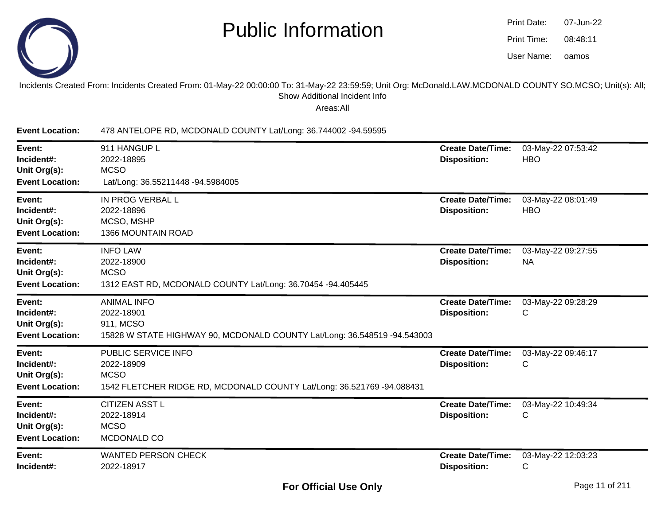

| Print Date: | 07-Jun-22 |
|-------------|-----------|
| Print Time: | 08:48:11  |
| User Name:  | oamos     |

#### Incidents Created From: Incidents Created From: 01-May-22 00:00:00 To: 31-May-22 23:59:59; Unit Org: McDonald.LAW.MCDONALD COUNTY SO.MCSO; Unit(s): All;Show Additional Incident Info

Areas:All

**Event Location:** 478 ANTELOPE RD, MCDONALD COUNTY Lat/Long: 36.744002 -94.59595**Event:** 911 HANGUP L **Create Date/Time:** 03-May-22 07:53:42 **Incident#:** 2022-18895 **Disposition:** HBO**Unit Org(s):MCSO Event Location:** Lat/Long: 36.55211448 -94.5984005**Event:** IN PROG VERBAL L **Create Date/Time:** 03-May-22 08:01:49 **Incident#:** 2022-18896 **Disposition:** HBO**Unit Org(s):** MCSO, MSHP 1366 MOUNTAIN ROAD**Event Location:Event:** INFO LAW **Create Date/Time:** 03-May-22 09:27:55 **Incident#:** 2022-18900 **Disposition:** NA**Unit Org(s):MCSO**  1312 EAST RD, MCDONALD COUNTY Lat/Long: 36.70454 -94.405445**Event Location:Event:** ANIMAL INFO **Create Date/Time:** 03-May-22 09:28:29 **Incident#:** 2022-18901 **Disposition:** <sup>C</sup>**Unit Org(s):** 911, MCSO 15828 W STATE HIGHWAY 90, MCDONALD COUNTY Lat/Long: 36.548519 -94.543003**Event Location:Event:** PUBLIC SERVICE INFO **Create Date/Time:** 03-May-22 09:46:17 **Incident#:** 2022-18909 **Disposition:** <sup>C</sup>**Unit Org(s):** MCSO 1542 FLETCHER RIDGE RD, MCDONALD COUNTY Lat/Long: 36.521769 -94.088431**Event Location:Event:** CITIZEN ASST L **Create Date/Time:** 03-May-22 10:49:34 **Incident#:** 2022-18914 **Disposition:** <sup>C</sup>**Unit Org(s):MCSO**  MCDONALD CO**Event Location:Event:** WANTED PERSON CHECK **Create Date/Time:** 03-May-22 12:03:23 **Incident#:** 2022-18917**Disposition:** <sup>C</sup>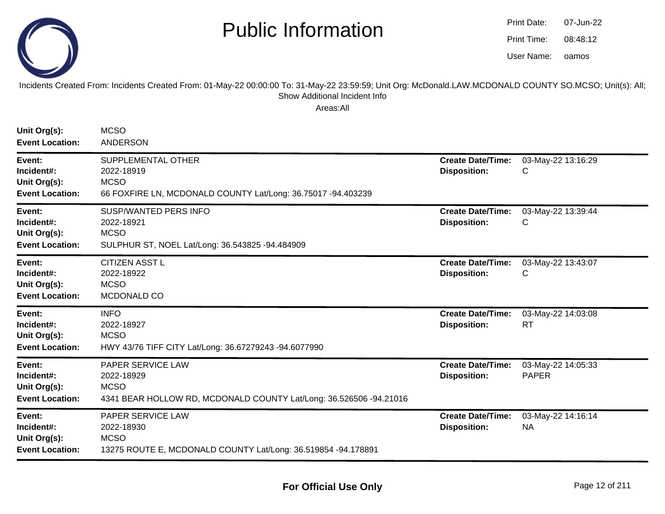

oamos07-Jun-2208:48:12Print Date:Print Time:User Name:

Incidents Created From: Incidents Created From: 01-May-22 00:00:00 To: 31-May-22 23:59:59; Unit Org: McDonald.LAW.MCDONALD COUNTY SO.MCSO; Unit(s): All; Show Additional Incident Info

| Unit Org(s):<br><b>Event Location:</b>                         | <b>MCSO</b><br><b>ANDERSON</b>                                                                                       |                                                 |                                    |
|----------------------------------------------------------------|----------------------------------------------------------------------------------------------------------------------|-------------------------------------------------|------------------------------------|
| Event:<br>Incident#:<br>Unit Org(s):<br><b>Event Location:</b> | SUPPLEMENTAL OTHER<br>2022-18919<br><b>MCSO</b><br>66 FOXFIRE LN, MCDONALD COUNTY Lat/Long: 36.75017 -94.403239      | <b>Create Date/Time:</b><br><b>Disposition:</b> | 03-May-22 13:16:29<br>С            |
| Event:<br>Incident#:<br>Unit Org(s):<br><b>Event Location:</b> | <b>SUSP/WANTED PERS INFO</b><br>2022-18921<br><b>MCSO</b><br>SULPHUR ST, NOEL Lat/Long: 36.543825 -94.484909         | <b>Create Date/Time:</b><br><b>Disposition:</b> | 03-May-22 13:39:44<br>С            |
| Event:<br>Incident#:<br>Unit Org(s):<br><b>Event Location:</b> | <b>CITIZEN ASST L</b><br>2022-18922<br><b>MCSO</b><br>MCDONALD CO                                                    | <b>Create Date/Time:</b><br><b>Disposition:</b> | 03-May-22 13:43:07<br>С            |
| Event:<br>Incident#:<br>Unit Org(s):<br><b>Event Location:</b> | <b>INFO</b><br>2022-18927<br><b>MCSO</b><br>HWY 43/76 TIFF CITY Lat/Long: 36.67279243 -94.6077990                    | <b>Create Date/Time:</b><br><b>Disposition:</b> | 03-May-22 14:03:08<br><b>RT</b>    |
| Event:<br>Incident#:<br>Unit Org(s):<br><b>Event Location:</b> | PAPER SERVICE LAW<br>2022-18929<br><b>MCSO</b><br>4341 BEAR HOLLOW RD, MCDONALD COUNTY Lat/Long: 36.526506 -94.21016 | <b>Create Date/Time:</b><br><b>Disposition:</b> | 03-May-22 14:05:33<br><b>PAPER</b> |
| Event:<br>Incident#:<br>Unit Org(s):<br><b>Event Location:</b> | PAPER SERVICE LAW<br>2022-18930<br><b>MCSO</b><br>13275 ROUTE E, MCDONALD COUNTY Lat/Long: 36.519854 -94.178891      | <b>Create Date/Time:</b><br><b>Disposition:</b> | 03-May-22 14:16:14<br><b>NA</b>    |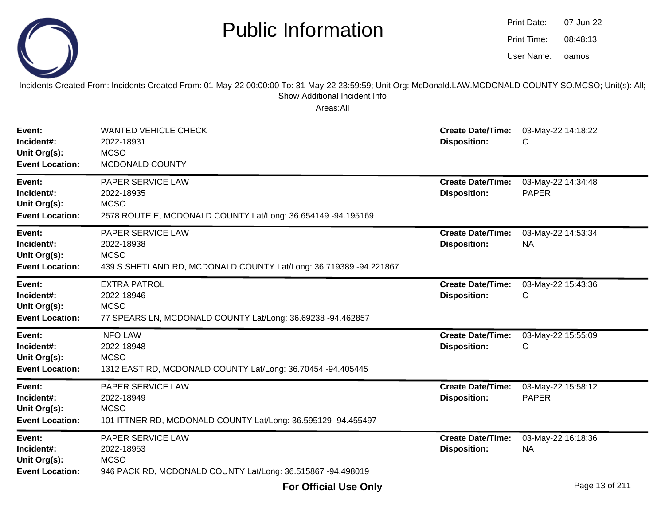

Incidents Created From: Incidents Created From: 01-May-22 00:00:00 To: 31-May-22 23:59:59; Unit Org: McDonald.LAW.MCDONALD COUNTY SO.MCSO; Unit(s): All; Show Additional Incident Info

| Event:<br>Incident#:<br>Unit Org(s):<br><b>Event Location:</b> | <b>WANTED VEHICLE CHECK</b><br>2022-18931<br><b>MCSO</b><br>MCDONALD COUNTY                                         | <b>Create Date/Time:</b><br><b>Disposition:</b> | 03-May-22 14:18:22<br>С            |
|----------------------------------------------------------------|---------------------------------------------------------------------------------------------------------------------|-------------------------------------------------|------------------------------------|
| Event:<br>Incident#:<br>Unit Org(s):<br><b>Event Location:</b> | PAPER SERVICE LAW<br>2022-18935<br><b>MCSO</b><br>2578 ROUTE E, MCDONALD COUNTY Lat/Long: 36.654149 -94.195169      | <b>Create Date/Time:</b><br><b>Disposition:</b> | 03-May-22 14:34:48<br><b>PAPER</b> |
| Event:<br>Incident#:<br>Unit Org(s):<br><b>Event Location:</b> | PAPER SERVICE LAW<br>2022-18938<br><b>MCSO</b><br>439 S SHETLAND RD, MCDONALD COUNTY Lat/Long: 36.719389 -94.221867 | <b>Create Date/Time:</b><br><b>Disposition:</b> | 03-May-22 14:53:34<br><b>NA</b>    |
| Event:<br>Incident#:<br>Unit Org(s):<br><b>Event Location:</b> | <b>EXTRA PATROL</b><br>2022-18946<br><b>MCSO</b><br>77 SPEARS LN, MCDONALD COUNTY Lat/Long: 36.69238 -94.462857     | <b>Create Date/Time:</b><br><b>Disposition:</b> | 03-May-22 15:43:36<br>С            |
| Event:<br>Incident#:<br>Unit Org(s):<br><b>Event Location:</b> | <b>INFO LAW</b><br>2022-18948<br><b>MCSO</b><br>1312 EAST RD, MCDONALD COUNTY Lat/Long: 36.70454 -94.405445         | <b>Create Date/Time:</b><br><b>Disposition:</b> | 03-May-22 15:55:09<br>С            |
| Event:<br>Incident#:<br>Unit Org(s):<br><b>Event Location:</b> | PAPER SERVICE LAW<br>2022-18949<br><b>MCSO</b><br>101 ITTNER RD, MCDONALD COUNTY Lat/Long: 36.595129 -94.455497     | <b>Create Date/Time:</b><br><b>Disposition:</b> | 03-May-22 15:58:12<br><b>PAPER</b> |
| Event:<br>Incident#:<br>Unit Org(s):<br><b>Event Location:</b> | PAPER SERVICE LAW<br>2022-18953<br><b>MCSO</b><br>946 PACK RD, MCDONALD COUNTY Lat/Long: 36.515867 -94.498019       | <b>Create Date/Time:</b><br><b>Disposition:</b> | 03-May-22 16:18:36<br><b>NA</b>    |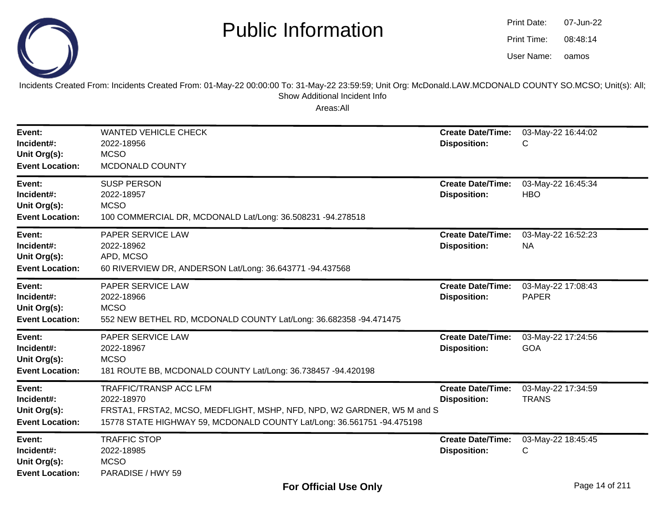

oamos07-Jun-2208:48:14Print Date:Print Time:User Name:

Incidents Created From: Incidents Created From: 01-May-22 00:00:00 To: 31-May-22 23:59:59; Unit Org: McDonald.LAW.MCDONALD COUNTY SO.MCSO; Unit(s): All; Show Additional Incident Info

| Event:<br>Incident#:<br>Unit Org(s):<br><b>Event Location:</b> | <b>WANTED VEHICLE CHECK</b><br>2022-18956<br><b>MCSO</b><br>MCDONALD COUNTY                                                                                                                      | <b>Create Date/Time:</b><br><b>Disposition:</b> | 03-May-22 16:44:02<br>C            |
|----------------------------------------------------------------|--------------------------------------------------------------------------------------------------------------------------------------------------------------------------------------------------|-------------------------------------------------|------------------------------------|
| Event:<br>Incident#:<br>Unit Org(s):<br><b>Event Location:</b> | <b>SUSP PERSON</b><br>2022-18957<br><b>MCSO</b><br>100 COMMERCIAL DR, MCDONALD Lat/Long: 36.508231 -94.278518                                                                                    | <b>Create Date/Time:</b><br><b>Disposition:</b> | 03-May-22 16:45:34<br><b>HBO</b>   |
| Event:<br>Incident#:<br>Unit Org(s):<br><b>Event Location:</b> | PAPER SERVICE LAW<br>2022-18962<br>APD, MCSO<br>60 RIVERVIEW DR, ANDERSON Lat/Long: 36.643771 -94.437568                                                                                         | <b>Create Date/Time:</b><br><b>Disposition:</b> | 03-May-22 16:52:23<br><b>NA</b>    |
| Event:<br>Incident#:<br>Unit Org(s):<br><b>Event Location:</b> | <b>PAPER SERVICE LAW</b><br>2022-18966<br><b>MCSO</b><br>552 NEW BETHEL RD, MCDONALD COUNTY Lat/Long: 36.682358 -94.471475                                                                       | <b>Create Date/Time:</b><br><b>Disposition:</b> | 03-May-22 17:08:43<br><b>PAPER</b> |
| Event:<br>Incident#:<br>Unit Org(s):<br><b>Event Location:</b> | PAPER SERVICE LAW<br>2022-18967<br><b>MCSO</b><br>181 ROUTE BB, MCDONALD COUNTY Lat/Long: 36.738457 -94.420198                                                                                   | <b>Create Date/Time:</b><br><b>Disposition:</b> | 03-May-22 17:24:56<br><b>GOA</b>   |
| Event:<br>Incident#:<br>Unit Org(s):<br><b>Event Location:</b> | <b>TRAFFIC/TRANSP ACC LFM</b><br>2022-18970<br>FRSTA1, FRSTA2, MCSO, MEDFLIGHT, MSHP, NFD, NPD, W2 GARDNER, W5 M and S<br>15778 STATE HIGHWAY 59, MCDONALD COUNTY Lat/Long: 36.561751 -94.475198 | <b>Create Date/Time:</b><br><b>Disposition:</b> | 03-May-22 17:34:59<br><b>TRANS</b> |
| Event:<br>Incident#:<br>Unit Org(s):<br><b>Event Location:</b> | <b>TRAFFIC STOP</b><br>2022-18985<br><b>MCSO</b><br>PARADISE / HWY 59                                                                                                                            | <b>Create Date/Time:</b><br><b>Disposition:</b> | 03-May-22 18:45:45<br>C            |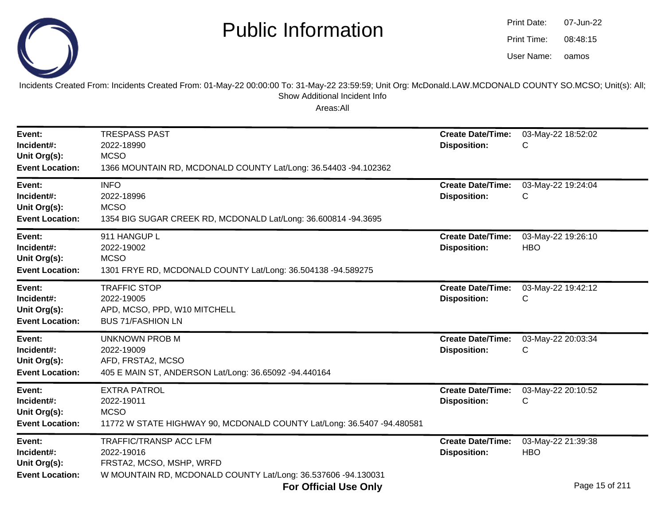

| Print Date: | 07-Jun-22 |
|-------------|-----------|
| Print Time: | 08:48:15  |
| User Name:  | oamos     |

Incidents Created From: Incidents Created From: 01-May-22 00:00:00 To: 31-May-22 23:59:59; Unit Org: McDonald.LAW.MCDONALD COUNTY SO.MCSO; Unit(s): All;Show Additional Incident Info

| <b>Create Date/Time:</b>                        | 03-May-22 18:52:02                                 |
|-------------------------------------------------|----------------------------------------------------|
| <b>Disposition:</b>                             | С                                                  |
| <b>Create Date/Time:</b>                        | 03-May-22 19:24:04                                 |
| <b>Disposition:</b>                             | С                                                  |
| <b>Create Date/Time:</b>                        | 03-May-22 19:26:10                                 |
| <b>Disposition:</b>                             | <b>HBO</b>                                         |
| <b>Create Date/Time:</b>                        | 03-May-22 19:42:12                                 |
| <b>Disposition:</b>                             | С                                                  |
| <b>Create Date/Time:</b>                        | 03-May-22 20:03:34                                 |
| <b>Disposition:</b>                             | С                                                  |
| <b>Create Date/Time:</b>                        | 03-May-22 20:10:52                                 |
| <b>Disposition:</b>                             | С                                                  |
| <b>Create Date/Time:</b><br><b>Disposition:</b> | 03-May-22 21:39:38<br><b>HBO</b><br>Page 15 of 211 |
|                                                 |                                                    |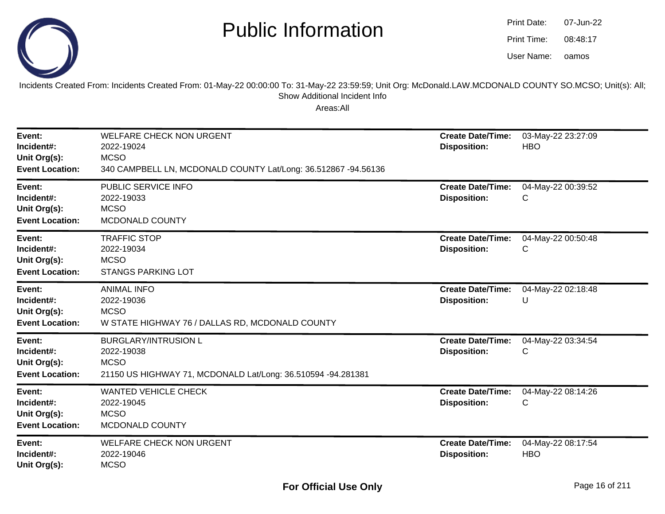

| Print Date: | 07-Jun-22 |
|-------------|-----------|
| Print Time: | 08:48:17  |
| User Name:  | oamos     |

Incidents Created From: Incidents Created From: 01-May-22 00:00:00 To: 31-May-22 23:59:59; Unit Org: McDonald.LAW.MCDONALD COUNTY SO.MCSO; Unit(s): All; Show Additional Incident Info

| Event:<br>Incident#:<br>Unit Org(s):<br><b>Event Location:</b> | <b>WELFARE CHECK NON URGENT</b><br>2022-19024<br><b>MCSO</b><br>340 CAMPBELL LN, MCDONALD COUNTY Lat/Long: 36.512867 -94.56136 | <b>Create Date/Time:</b><br><b>Disposition:</b> | 03-May-22 23:27:09<br><b>HBO</b> |
|----------------------------------------------------------------|--------------------------------------------------------------------------------------------------------------------------------|-------------------------------------------------|----------------------------------|
| Event:<br>Incident#:<br>Unit Org(s):<br><b>Event Location:</b> | PUBLIC SERVICE INFO<br>2022-19033<br><b>MCSO</b><br>MCDONALD COUNTY                                                            | <b>Create Date/Time:</b><br><b>Disposition:</b> | 04-May-22 00:39:52<br>С          |
| Event:<br>Incident#:<br>Unit Org(s):<br><b>Event Location:</b> | <b>TRAFFIC STOP</b><br>2022-19034<br><b>MCSO</b><br><b>STANGS PARKING LOT</b>                                                  | <b>Create Date/Time:</b><br><b>Disposition:</b> | 04-May-22 00:50:48<br>C          |
| Event:<br>Incident#:<br>Unit Org(s):<br><b>Event Location:</b> | <b>ANIMAL INFO</b><br>2022-19036<br><b>MCSO</b><br>W STATE HIGHWAY 76 / DALLAS RD, MCDONALD COUNTY                             | <b>Create Date/Time:</b><br><b>Disposition:</b> | 04-May-22 02:18:48<br>U          |
| Event:<br>Incident#:<br>Unit Org(s):<br><b>Event Location:</b> | <b>BURGLARY/INTRUSION L</b><br>2022-19038<br><b>MCSO</b><br>21150 US HIGHWAY 71, MCDONALD Lat/Long: 36.510594 -94.281381       | <b>Create Date/Time:</b><br><b>Disposition:</b> | 04-May-22 03:34:54<br>С          |
| Event:<br>Incident#:<br>Unit Org(s):<br><b>Event Location:</b> | <b>WANTED VEHICLE CHECK</b><br>2022-19045<br><b>MCSO</b><br>MCDONALD COUNTY                                                    | <b>Create Date/Time:</b><br><b>Disposition:</b> | 04-May-22 08:14:26<br>С          |
| Event:<br>Incident#:<br>Unit Org(s):                           | <b>WELFARE CHECK NON URGENT</b><br>2022-19046<br><b>MCSO</b>                                                                   | <b>Create Date/Time:</b><br><b>Disposition:</b> | 04-May-22 08:17:54<br><b>HBO</b> |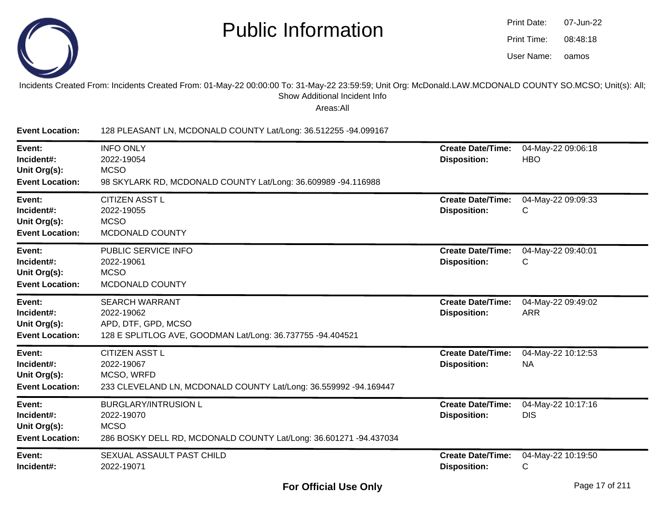

| Print Date: | 07-Jun-22 |
|-------------|-----------|
| Print Time: | 08:48:18  |
| User Name:  | oamos     |

#### Incidents Created From: Incidents Created From: 01-May-22 00:00:00 To: 31-May-22 23:59:59; Unit Org: McDonald.LAW.MCDONALD COUNTY SO.MCSO; Unit(s): All;Show Additional Incident Info

| <b>Event Location:</b>                                         | 128 PLEASANT LN, MCDONALD COUNTY Lat/Long: 36.512255 -94.099167                                                               |                                                 |                                  |
|----------------------------------------------------------------|-------------------------------------------------------------------------------------------------------------------------------|-------------------------------------------------|----------------------------------|
| Event:<br>Incident#:<br>Unit Org(s):<br><b>Event Location:</b> | <b>INFO ONLY</b><br>2022-19054<br><b>MCSO</b><br>98 SKYLARK RD, MCDONALD COUNTY Lat/Long: 36.609989 -94.116988                | <b>Create Date/Time:</b><br><b>Disposition:</b> | 04-May-22 09:06:18<br><b>HBO</b> |
| Event:<br>Incident#:<br>Unit Org(s):<br><b>Event Location:</b> | <b>CITIZEN ASST L</b><br>2022-19055<br><b>MCSO</b><br>MCDONALD COUNTY                                                         | <b>Create Date/Time:</b><br><b>Disposition:</b> | 04-May-22 09:09:33<br>С          |
| Event:<br>Incident#:<br>Unit Org(s):<br><b>Event Location:</b> | PUBLIC SERVICE INFO<br>2022-19061<br><b>MCSO</b><br>MCDONALD COUNTY                                                           | <b>Create Date/Time:</b><br><b>Disposition:</b> | 04-May-22 09:40:01<br>C          |
| Event:<br>Incident#:<br>Unit Org(s):<br><b>Event Location:</b> | <b>SEARCH WARRANT</b><br>2022-19062<br>APD, DTF, GPD, MCSO<br>128 E SPLITLOG AVE, GOODMAN Lat/Long: 36.737755 -94.404521      | <b>Create Date/Time:</b><br><b>Disposition:</b> | 04-May-22 09:49:02<br><b>ARR</b> |
| Event:<br>Incident#:<br>Unit Org(s):<br><b>Event Location:</b> | <b>CITIZEN ASST L</b><br>2022-19067<br>MCSO, WRFD<br>233 CLEVELAND LN, MCDONALD COUNTY Lat/Long: 36.559992 -94.169447         | <b>Create Date/Time:</b><br><b>Disposition:</b> | 04-May-22 10:12:53<br><b>NA</b>  |
| Event:<br>Incident#:<br>Unit Org(s):<br><b>Event Location:</b> | <b>BURGLARY/INTRUSION L</b><br>2022-19070<br><b>MCSO</b><br>286 BOSKY DELL RD, MCDONALD COUNTY Lat/Long: 36.601271 -94.437034 | <b>Create Date/Time:</b><br><b>Disposition:</b> | 04-May-22 10:17:16<br><b>DIS</b> |
| Event:<br>Incident#:                                           | SEXUAL ASSAULT PAST CHILD<br>2022-19071                                                                                       | <b>Create Date/Time:</b><br><b>Disposition:</b> | 04-May-22 10:19:50<br>C          |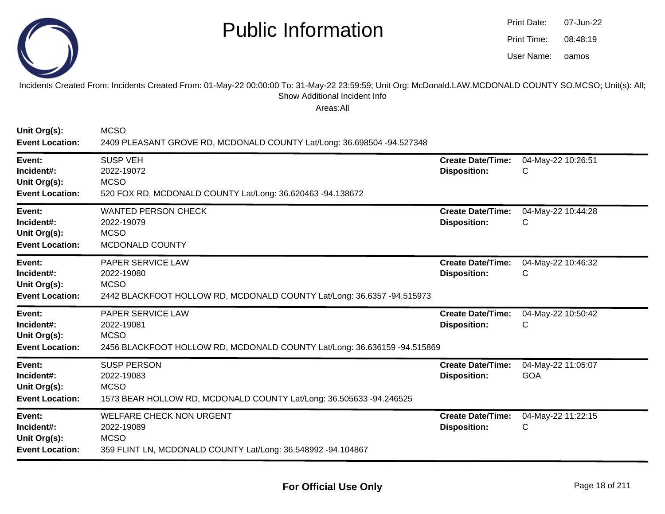

oamos07-Jun-2208:48:19Print Date:Print Time:User Name:

Incidents Created From: Incidents Created From: 01-May-22 00:00:00 To: 31-May-22 23:59:59; Unit Org: McDonald.LAW.MCDONALD COUNTY SO.MCSO; Unit(s): All; Show Additional Incident Info

| Unit Org(s):<br><b>Event Location:</b>                         | <b>MCSO</b><br>2409 PLEASANT GROVE RD, MCDONALD COUNTY Lat/Long: 36.698504 -94.527348                                        |                                                 |                                  |
|----------------------------------------------------------------|------------------------------------------------------------------------------------------------------------------------------|-------------------------------------------------|----------------------------------|
| Event:<br>Incident#:<br>Unit Org(s):<br><b>Event Location:</b> | <b>SUSP VEH</b><br>2022-19072<br><b>MCSO</b><br>520 FOX RD, MCDONALD COUNTY Lat/Long: 36.620463 -94.138672                   | <b>Create Date/Time:</b><br><b>Disposition:</b> | 04-May-22 10:26:51<br>C          |
| Event:<br>Incident#:<br>Unit Org(s):<br><b>Event Location:</b> | <b>WANTED PERSON CHECK</b><br>2022-19079<br><b>MCSO</b><br>MCDONALD COUNTY                                                   | <b>Create Date/Time:</b><br><b>Disposition:</b> | 04-May-22 10:44:28<br>С          |
| Event:<br>Incident#:<br>Unit Org(s):<br><b>Event Location:</b> | PAPER SERVICE LAW<br>2022-19080<br><b>MCSO</b><br>2442 BLACKFOOT HOLLOW RD, MCDONALD COUNTY Lat/Long: 36.6357 -94.515973     | <b>Create Date/Time:</b><br><b>Disposition:</b> | 04-May-22 10:46:32<br>С          |
| Event:<br>Incident#:<br>Unit Org(s):<br><b>Event Location:</b> | PAPER SERVICE LAW<br>2022-19081<br><b>MCSO</b><br>2456 BLACKFOOT HOLLOW RD, MCDONALD COUNTY Lat/Long: 36.636159 -94.515869   | <b>Create Date/Time:</b><br><b>Disposition:</b> | 04-May-22 10:50:42<br>С          |
| Event:<br>Incident#:<br>Unit Org(s):<br><b>Event Location:</b> | <b>SUSP PERSON</b><br>2022-19083<br><b>MCSO</b><br>1573 BEAR HOLLOW RD, MCDONALD COUNTY Lat/Long: 36.505633 -94.246525       | <b>Create Date/Time:</b><br><b>Disposition:</b> | 04-May-22 11:05:07<br><b>GOA</b> |
| Event:<br>Incident#:<br>Unit Org(s):<br><b>Event Location:</b> | <b>WELFARE CHECK NON URGENT</b><br>2022-19089<br><b>MCSO</b><br>359 FLINT LN, MCDONALD COUNTY Lat/Long: 36.548992 -94.104867 | <b>Create Date/Time:</b><br><b>Disposition:</b> | 04-May-22 11:22:15<br>С          |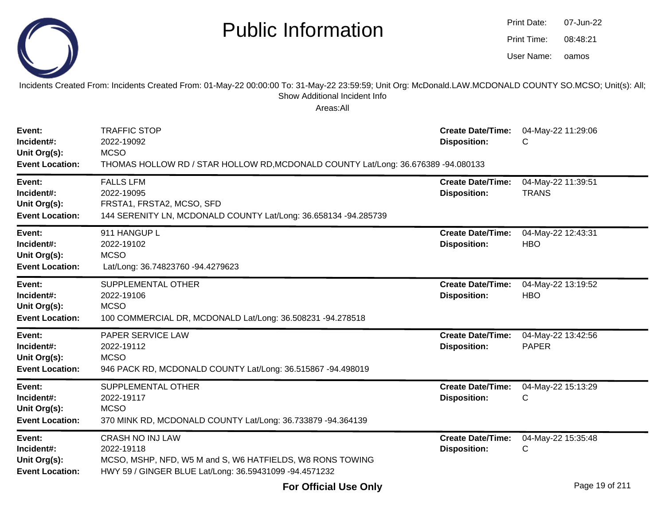|--|

Incidents Created From: Incidents Created From: 01-May-22 00:00:00 To: 31-May-22 23:59:59; Unit Org: McDonald.LAW.MCDONALD COUNTY SO.MCSO; Unit(s): All;Show Additional Incident Info

| Event:<br>Incident#:<br>Unit Org(s):<br><b>Event Location:</b> | <b>TRAFFIC STOP</b><br>2022-19092<br><b>MCSO</b><br>THOMAS HOLLOW RD / STAR HOLLOW RD, MCDONALD COUNTY Lat/Long: 36.676389 -94.080133                        | <b>Create Date/Time:</b><br><b>Disposition:</b> | 04-May-22 11:29:06<br>С            |
|----------------------------------------------------------------|--------------------------------------------------------------------------------------------------------------------------------------------------------------|-------------------------------------------------|------------------------------------|
| Event:<br>Incident#:<br>Unit Org(s):<br><b>Event Location:</b> | <b>FALLS LFM</b><br>2022-19095<br>FRSTA1, FRSTA2, MCSO, SFD<br>144 SERENITY LN, MCDONALD COUNTY Lat/Long: 36.658134 -94.285739                               | <b>Create Date/Time:</b><br><b>Disposition:</b> | 04-May-22 11:39:51<br><b>TRANS</b> |
| Event:<br>Incident#:<br>Unit Org(s):<br><b>Event Location:</b> | 911 HANGUP L<br>2022-19102<br><b>MCSO</b><br>Lat/Long: 36.74823760 -94.4279623                                                                               | <b>Create Date/Time:</b><br><b>Disposition:</b> | 04-May-22 12:43:31<br><b>HBO</b>   |
| Event:<br>Incident#:<br>Unit Org(s):<br><b>Event Location:</b> | SUPPLEMENTAL OTHER<br>2022-19106<br><b>MCSO</b><br>100 COMMERCIAL DR, MCDONALD Lat/Long: 36.508231 -94.278518                                                | <b>Create Date/Time:</b><br><b>Disposition:</b> | 04-May-22 13:19:52<br><b>HBO</b>   |
| Event:<br>Incident#:<br>Unit Org(s):<br><b>Event Location:</b> | PAPER SERVICE LAW<br>2022-19112<br><b>MCSO</b><br>946 PACK RD, MCDONALD COUNTY Lat/Long: 36.515867 -94.498019                                                | <b>Create Date/Time:</b><br><b>Disposition:</b> | 04-May-22 13:42:56<br><b>PAPER</b> |
| Event:<br>Incident#:<br>Unit Org(s):<br><b>Event Location:</b> | SUPPLEMENTAL OTHER<br>2022-19117<br><b>MCSO</b><br>370 MINK RD, MCDONALD COUNTY Lat/Long: 36.733879 -94.364139                                               | <b>Create Date/Time:</b><br><b>Disposition:</b> | 04-May-22 15:13:29<br>C            |
| Event:<br>Incident#:<br>Unit Org(s):<br><b>Event Location:</b> | <b>CRASH NO INJ LAW</b><br>2022-19118<br>MCSO, MSHP, NFD, W5 M and S, W6 HATFIELDS, W8 RONS TOWING<br>HWY 59 / GINGER BLUE Lat/Long: 36.59431099 -94.4571232 | <b>Create Date/Time:</b><br><b>Disposition:</b> | 04-May-22 15:35:48<br>C            |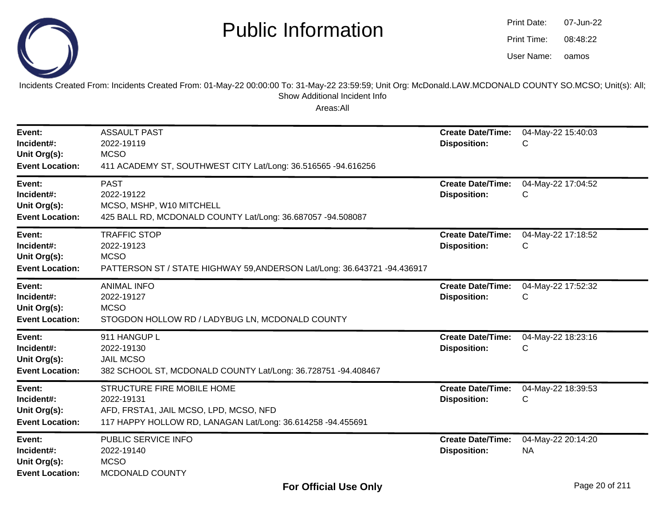

oamos07-Jun-2208:48:22Print Date:Print Time:User Name:

Incidents Created From: Incidents Created From: 01-May-22 00:00:00 To: 31-May-22 23:59:59; Unit Org: McDonald.LAW.MCDONALD COUNTY SO.MCSO; Unit(s): All; Show Additional Incident Info

| Event:<br>Incident#:<br>Unit Org(s):<br><b>Event Location:</b> | <b>ASSAULT PAST</b><br>2022-19119<br><b>MCSO</b><br>411 ACADEMY ST, SOUTHWEST CITY Lat/Long: 36.516565 -94.616256                                 | <b>Create Date/Time:</b><br><b>Disposition:</b> | 04-May-22 15:40:03<br>С  |
|----------------------------------------------------------------|---------------------------------------------------------------------------------------------------------------------------------------------------|-------------------------------------------------|--------------------------|
| Event:<br>Incident#:<br>Unit Org(s):<br><b>Event Location:</b> | <b>PAST</b><br>2022-19122<br>MCSO, MSHP, W10 MITCHELL<br>425 BALL RD, MCDONALD COUNTY Lat/Long: 36.687057 -94.508087                              | <b>Create Date/Time:</b><br><b>Disposition:</b> | 04-May-22 17:04:52<br>С  |
| Event:<br>Incident#:<br>Unit Org(s):<br><b>Event Location:</b> | <b>TRAFFIC STOP</b><br>2022-19123<br><b>MCSO</b><br>PATTERSON ST / STATE HIGHWAY 59, ANDERSON Lat/Long: 36.643721 -94.436917                      | <b>Create Date/Time:</b><br><b>Disposition:</b> | 04-May-22 17:18:52<br>С  |
| Event:<br>Incident#:<br>Unit Org(s):<br><b>Event Location:</b> | <b>ANIMAL INFO</b><br>2022-19127<br><b>MCSO</b><br>STOGDON HOLLOW RD / LADYBUG LN, MCDONALD COUNTY                                                | <b>Create Date/Time:</b><br><b>Disposition:</b> | 04-May-22 17:52:32<br>С  |
| Event:<br>Incident#:<br>Unit Org(s):<br><b>Event Location:</b> | 911 HANGUP L<br>2022-19130<br><b>JAIL MCSO</b><br>382 SCHOOL ST, MCDONALD COUNTY Lat/Long: 36.728751 -94.408467                                   | <b>Create Date/Time:</b><br><b>Disposition:</b> | 04-May-22 18:23:16<br>С  |
| Event:<br>Incident#:<br>Unit Org(s):<br><b>Event Location:</b> | STRUCTURE FIRE MOBILE HOME<br>2022-19131<br>AFD, FRSTA1, JAIL MCSO, LPD, MCSO, NFD<br>117 HAPPY HOLLOW RD, LANAGAN Lat/Long: 36.614258 -94.455691 | <b>Create Date/Time:</b><br><b>Disposition:</b> | 04-May-22 18:39:53<br>С  |
| Event:<br>Incident#:<br>Unit Org(s):<br><b>Event Location:</b> | PUBLIC SERVICE INFO<br>2022-19140<br><b>MCSO</b><br>MCDONALD COUNTY                                                                               | <b>Create Date/Time:</b><br><b>Disposition:</b> | 04-May-22 20:14:20<br>NA |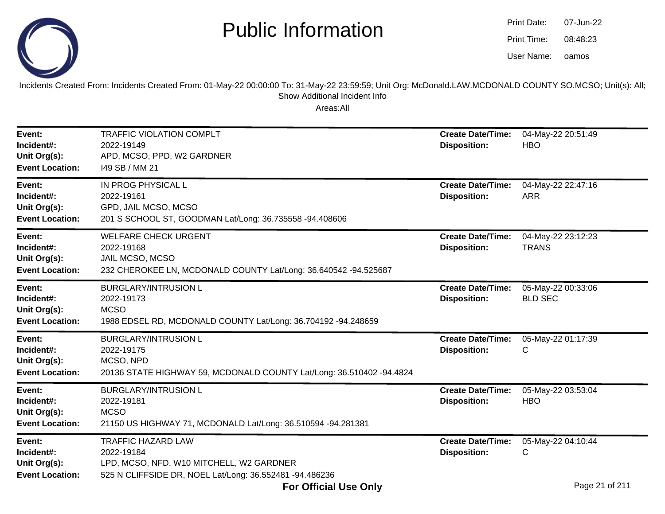

| Print Date: | 07-Jun-22 |
|-------------|-----------|
| Print Time: | 08:48:23  |
| User Name:  | oamos     |

Incidents Created From: Incidents Created From: 01-May-22 00:00:00 To: 31-May-22 23:59:59; Unit Org: McDonald.LAW.MCDONALD COUNTY SO.MCSO; Unit(s): All;Show Additional Incident Info

| Event:<br>Incident#:<br>Unit Org(s):<br><b>Event Location:</b> | <b>TRAFFIC VIOLATION COMPLT</b><br>2022-19149<br>APD, MCSO, PPD, W2 GARDNER<br>149 SB / MM 21                                                  | <b>Create Date/Time:</b><br><b>Disposition:</b> | 04-May-22 20:51:49<br><b>HBO</b>     |
|----------------------------------------------------------------|------------------------------------------------------------------------------------------------------------------------------------------------|-------------------------------------------------|--------------------------------------|
| Event:<br>Incident#:<br>Unit Org(s):<br><b>Event Location:</b> | IN PROG PHYSICAL L<br>2022-19161<br>GPD, JAIL MCSO, MCSO<br>201 S SCHOOL ST, GOODMAN Lat/Long: 36.735558 -94.408606                            | <b>Create Date/Time:</b><br><b>Disposition:</b> | 04-May-22 22:47:16<br><b>ARR</b>     |
| Event:<br>Incident#:<br>Unit Org(s):<br><b>Event Location:</b> | <b>WELFARE CHECK URGENT</b><br>2022-19168<br>JAIL MCSO, MCSO<br>232 CHEROKEE LN, MCDONALD COUNTY Lat/Long: 36.640542 -94.525687                | <b>Create Date/Time:</b><br><b>Disposition:</b> | 04-May-22 23:12:23<br><b>TRANS</b>   |
| Event:<br>Incident#:<br>Unit Org(s):<br><b>Event Location:</b> | <b>BURGLARY/INTRUSION L</b><br>2022-19173<br><b>MCSO</b><br>1988 EDSEL RD, MCDONALD COUNTY Lat/Long: 36.704192 -94.248659                      | <b>Create Date/Time:</b><br><b>Disposition:</b> | 05-May-22 00:33:06<br><b>BLD SEC</b> |
| Event:<br>Incident#:<br>Unit Org(s):<br><b>Event Location:</b> | <b>BURGLARY/INTRUSION L</b><br>2022-19175<br>MCSO, NPD<br>20136 STATE HIGHWAY 59, MCDONALD COUNTY Lat/Long: 36.510402 -94.4824                 | <b>Create Date/Time:</b><br><b>Disposition:</b> | 05-May-22 01:17:39<br>C              |
| Event:<br>Incident#:<br>Unit Org(s):<br><b>Event Location:</b> | <b>BURGLARY/INTRUSION L</b><br>2022-19181<br><b>MCSO</b><br>21150 US HIGHWAY 71, MCDONALD Lat/Long: 36.510594 -94.281381                       | <b>Create Date/Time:</b><br><b>Disposition:</b> | 05-May-22 03:53:04<br><b>HBO</b>     |
| Event:<br>Incident#:<br>Unit Org(s):<br><b>Event Location:</b> | <b>TRAFFIC HAZARD LAW</b><br>2022-19184<br>LPD, MCSO, NFD, W10 MITCHELL, W2 GARDNER<br>525 N CLIFFSIDE DR, NOEL Lat/Long: 36.552481 -94.486236 | <b>Create Date/Time:</b><br><b>Disposition:</b> | 05-May-22 04:10:44<br>С              |
|                                                                | <b>For Official Use Only</b>                                                                                                                   |                                                 | Page 21 of 211                       |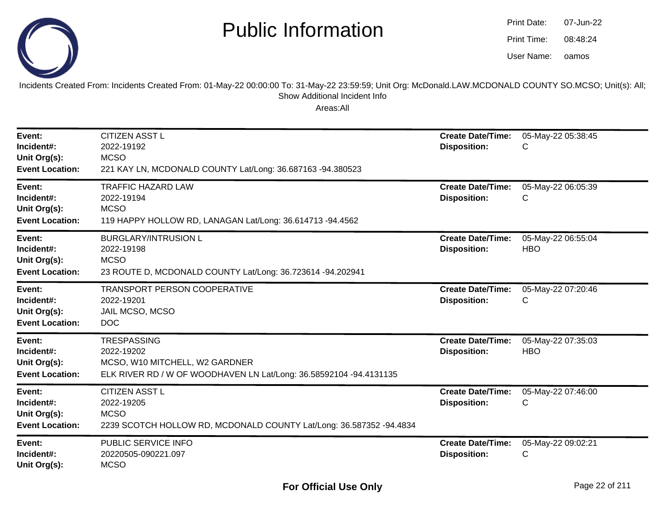

| Print Date: | 07-Jun-22 |
|-------------|-----------|
| Print Time: | 08:48:24  |
| User Name:  | oamos     |

Incidents Created From: Incidents Created From: 01-May-22 00:00:00 To: 31-May-22 23:59:59; Unit Org: McDonald.LAW.MCDONALD COUNTY SO.MCSO; Unit(s): All; Show Additional Incident Info

| Event:<br>Incident#:<br>Unit Org(s):<br><b>Event Location:</b> | <b>CITIZEN ASST L</b><br>2022-19192<br><b>MCSO</b><br>221 KAY LN, MCDONALD COUNTY Lat/Long: 36.687163 -94.380523                         | <b>Create Date/Time:</b><br><b>Disposition:</b> | 05-May-22 05:38:45<br>С          |
|----------------------------------------------------------------|------------------------------------------------------------------------------------------------------------------------------------------|-------------------------------------------------|----------------------------------|
| Event:<br>Incident#:<br>Unit Org(s):<br><b>Event Location:</b> | <b>TRAFFIC HAZARD LAW</b><br>2022-19194<br><b>MCSO</b><br>119 HAPPY HOLLOW RD, LANAGAN Lat/Long: 36.614713 -94.4562                      | <b>Create Date/Time:</b><br><b>Disposition:</b> | 05-May-22 06:05:39<br>С          |
| Event:<br>Incident#:<br>Unit Org(s):<br><b>Event Location:</b> | <b>BURGLARY/INTRUSION L</b><br>2022-19198<br><b>MCSO</b><br>23 ROUTE D, MCDONALD COUNTY Lat/Long: 36.723614 -94.202941                   | <b>Create Date/Time:</b><br><b>Disposition:</b> | 05-May-22 06:55:04<br><b>HBO</b> |
| Event:<br>Incident#:<br>Unit Org(s):<br><b>Event Location:</b> | TRANSPORT PERSON COOPERATIVE<br>2022-19201<br>JAIL MCSO, MCSO<br><b>DOC</b>                                                              | <b>Create Date/Time:</b><br><b>Disposition:</b> | 05-May-22 07:20:46<br>С          |
| Event:<br>Incident#:<br>Unit Org(s):<br><b>Event Location:</b> | <b>TRESPASSING</b><br>2022-19202<br>MCSO, W10 MITCHELL, W2 GARDNER<br>ELK RIVER RD / W OF WOODHAVEN LN Lat/Long: 36.58592104 -94.4131135 | <b>Create Date/Time:</b><br><b>Disposition:</b> | 05-May-22 07:35:03<br><b>HBO</b> |
| Event:<br>Incident#:<br>Unit Org(s):<br><b>Event Location:</b> | <b>CITIZEN ASST L</b><br>2022-19205<br><b>MCSO</b><br>2239 SCOTCH HOLLOW RD, MCDONALD COUNTY Lat/Long: 36.587352 -94.4834                | <b>Create Date/Time:</b><br><b>Disposition:</b> | 05-May-22 07:46:00<br>С          |
| Event:<br>Incident#:<br>Unit Org(s):                           | PUBLIC SERVICE INFO<br>20220505-090221.097<br><b>MCSO</b>                                                                                | <b>Create Date/Time:</b><br><b>Disposition:</b> | 05-May-22 09:02:21<br>С          |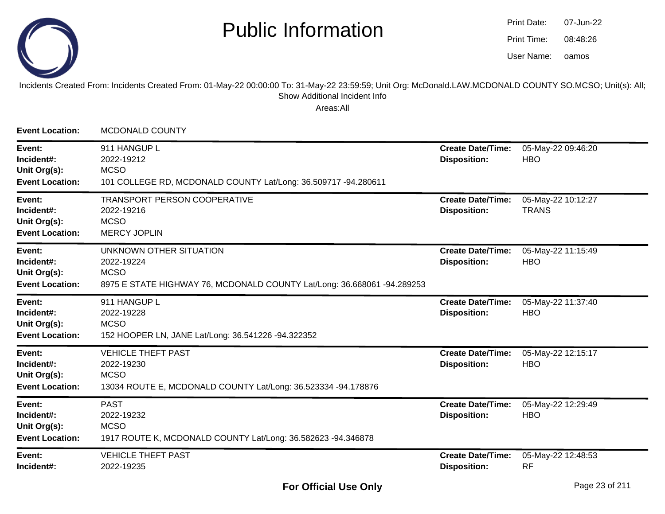

oamos07-Jun-2208:48:26Print Date:Print Time:User Name:

#### Incidents Created From: Incidents Created From: 01-May-22 00:00:00 To: 31-May-22 23:59:59; Unit Org: McDonald.LAW.MCDONALD COUNTY SO.MCSO; Unit(s): All; Show Additional Incident Info

| <b>Event Location:</b>                                         | <b>MCDONALD COUNTY</b>                                                                                                          |                                                 |                                    |
|----------------------------------------------------------------|---------------------------------------------------------------------------------------------------------------------------------|-------------------------------------------------|------------------------------------|
| Event:<br>Incident#:<br>Unit Org(s):<br><b>Event Location:</b> | 911 HANGUP L<br>2022-19212<br><b>MCSO</b><br>101 COLLEGE RD, MCDONALD COUNTY Lat/Long: 36.509717 -94.280611                     | <b>Create Date/Time:</b><br><b>Disposition:</b> | 05-May-22 09:46:20<br><b>HBO</b>   |
| Event:<br>Incident#:<br>Unit Org(s):<br><b>Event Location:</b> | TRANSPORT PERSON COOPERATIVE<br>2022-19216<br><b>MCSO</b><br><b>MERCY JOPLIN</b>                                                | <b>Create Date/Time:</b><br><b>Disposition:</b> | 05-May-22 10:12:27<br><b>TRANS</b> |
| Event:<br>Incident#:<br>Unit Org(s):<br><b>Event Location:</b> | UNKNOWN OTHER SITUATION<br>2022-19224<br><b>MCSO</b><br>8975 E STATE HIGHWAY 76, MCDONALD COUNTY Lat/Long: 36.668061 -94.289253 | <b>Create Date/Time:</b><br><b>Disposition:</b> | 05-May-22 11:15:49<br><b>HBO</b>   |
| Event:<br>Incident#:<br>Unit Org(s):<br><b>Event Location:</b> | 911 HANGUP L<br>2022-19228<br><b>MCSO</b><br>152 HOOPER LN, JANE Lat/Long: 36.541226 -94.322352                                 | <b>Create Date/Time:</b><br><b>Disposition:</b> | 05-May-22 11:37:40<br><b>HBO</b>   |
| Event:<br>Incident#:<br>Unit Org(s):<br><b>Event Location:</b> | <b>VEHICLE THEFT PAST</b><br>2022-19230<br><b>MCSO</b><br>13034 ROUTE E, MCDONALD COUNTY Lat/Long: 36.523334 -94.178876         | <b>Create Date/Time:</b><br><b>Disposition:</b> | 05-May-22 12:15:17<br><b>HBO</b>   |
| Event:<br>Incident#:<br>Unit Org(s):<br><b>Event Location:</b> | <b>PAST</b><br>2022-19232<br><b>MCSO</b><br>1917 ROUTE K, MCDONALD COUNTY Lat/Long: 36.582623 -94.346878                        | <b>Create Date/Time:</b><br><b>Disposition:</b> | 05-May-22 12:29:49<br><b>HBO</b>   |
| Event:<br>Incident#:                                           | <b>VEHICLE THEFT PAST</b><br>2022-19235                                                                                         | <b>Create Date/Time:</b><br><b>Disposition:</b> | 05-May-22 12:48:53<br><b>RF</b>    |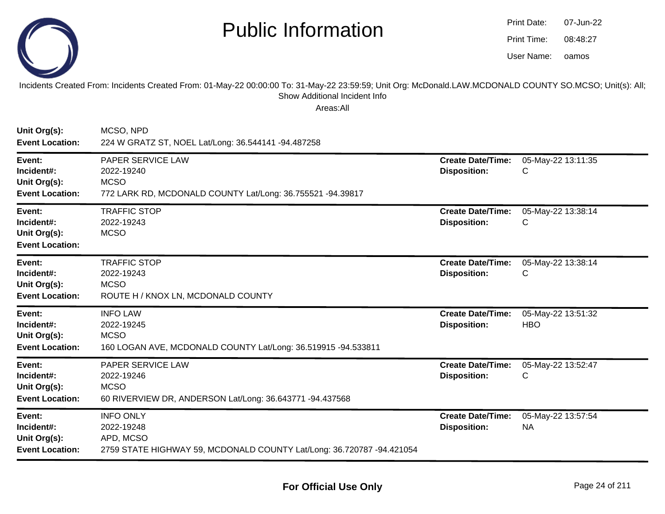

| Print Date: | 07-Jun-22 |
|-------------|-----------|
| Print Time: | 08:48:27  |
| User Name:  | oamos     |

Incidents Created From: Incidents Created From: 01-May-22 00:00:00 To: 31-May-22 23:59:59; Unit Org: McDonald.LAW.MCDONALD COUNTY SO.MCSO; Unit(s): All; Show Additional Incident Info

| Unit Org(s):<br><b>Event Location:</b>                         | MCSO, NPD<br>224 W GRATZ ST, NOEL Lat/Long: 36.544141 -94.487258                                                     |                                                 |                                  |
|----------------------------------------------------------------|----------------------------------------------------------------------------------------------------------------------|-------------------------------------------------|----------------------------------|
| Event:<br>Incident#:<br>Unit Org(s):<br><b>Event Location:</b> | <b>PAPER SERVICE LAW</b><br>2022-19240<br><b>MCSO</b><br>772 LARK RD, MCDONALD COUNTY Lat/Long: 36.755521 -94.39817  | <b>Create Date/Time:</b><br><b>Disposition:</b> | 05-May-22 13:11:35<br>C          |
| Event:<br>Incident#:<br>Unit Org(s):<br><b>Event Location:</b> | <b>TRAFFIC STOP</b><br>2022-19243<br><b>MCSO</b>                                                                     | <b>Create Date/Time:</b><br><b>Disposition:</b> | 05-May-22 13:38:14<br>C          |
| Event:<br>Incident#:<br>Unit Org(s):<br><b>Event Location:</b> | <b>TRAFFIC STOP</b><br>2022-19243<br><b>MCSO</b><br>ROUTE H / KNOX LN, MCDONALD COUNTY                               | <b>Create Date/Time:</b><br><b>Disposition:</b> | 05-May-22 13:38:14<br>С          |
| Event:<br>Incident#:<br>Unit Org(s):<br><b>Event Location:</b> | <b>INFO LAW</b><br>2022-19245<br><b>MCSO</b><br>160 LOGAN AVE, MCDONALD COUNTY Lat/Long: 36.519915 -94.533811        | <b>Create Date/Time:</b><br><b>Disposition:</b> | 05-May-22 13:51:32<br><b>HBO</b> |
| Event:<br>Incident#:<br>Unit Org(s):<br><b>Event Location:</b> | PAPER SERVICE LAW<br>2022-19246<br><b>MCSO</b><br>60 RIVERVIEW DR, ANDERSON Lat/Long: 36.643771 -94.437568           | <b>Create Date/Time:</b><br><b>Disposition:</b> | 05-May-22 13:52:47<br>С          |
| Event:<br>Incident#:<br>Unit Org(s):<br><b>Event Location:</b> | <b>INFO ONLY</b><br>2022-19248<br>APD, MCSO<br>2759 STATE HIGHWAY 59, MCDONALD COUNTY Lat/Long: 36.720787 -94.421054 | <b>Create Date/Time:</b><br><b>Disposition:</b> | 05-May-22 13:57:54<br><b>NA</b>  |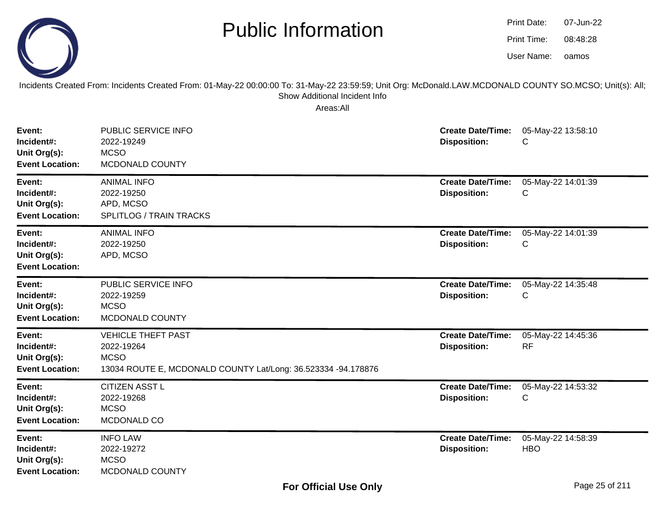

oamos07-Jun-2208:48:28Print Date:Print Time:User Name:

Incidents Created From: Incidents Created From: 01-May-22 00:00:00 To: 31-May-22 23:59:59; Unit Org: McDonald.LAW.MCDONALD COUNTY SO.MCSO; Unit(s): All; Show Additional Incident Info

| Event:<br>Incident#:<br>Unit Org(s):<br><b>Event Location:</b> | PUBLIC SERVICE INFO<br>2022-19249<br><b>MCSO</b><br>MCDONALD COUNTY                                                     | <b>Create Date/Time:</b><br><b>Disposition:</b> | 05-May-22 13:58:10<br>С          |
|----------------------------------------------------------------|-------------------------------------------------------------------------------------------------------------------------|-------------------------------------------------|----------------------------------|
| Event:<br>Incident#:<br>Unit Org(s):<br><b>Event Location:</b> | <b>ANIMAL INFO</b><br>2022-19250<br>APD, MCSO<br><b>SPLITLOG / TRAIN TRACKS</b>                                         | <b>Create Date/Time:</b><br><b>Disposition:</b> | 05-May-22 14:01:39<br>С          |
| Event:<br>Incident#:<br>Unit Org(s):<br><b>Event Location:</b> | <b>ANIMAL INFO</b><br>2022-19250<br>APD, MCSO                                                                           | <b>Create Date/Time:</b><br><b>Disposition:</b> | 05-May-22 14:01:39<br>С          |
| Event:<br>Incident#:<br>Unit Org(s):<br><b>Event Location:</b> | PUBLIC SERVICE INFO<br>2022-19259<br><b>MCSO</b><br>MCDONALD COUNTY                                                     | <b>Create Date/Time:</b><br><b>Disposition:</b> | 05-May-22 14:35:48<br>С          |
| Event:<br>Incident#:<br>Unit Org(s):<br><b>Event Location:</b> | <b>VEHICLE THEFT PAST</b><br>2022-19264<br><b>MCSO</b><br>13034 ROUTE E, MCDONALD COUNTY Lat/Long: 36.523334 -94.178876 | <b>Create Date/Time:</b><br><b>Disposition:</b> | 05-May-22 14:45:36<br><b>RF</b>  |
| Event:<br>Incident#:<br>Unit Org(s):<br><b>Event Location:</b> | <b>CITIZEN ASST L</b><br>2022-19268<br><b>MCSO</b><br>MCDONALD CO                                                       | <b>Create Date/Time:</b><br><b>Disposition:</b> | 05-May-22 14:53:32<br>С          |
| Event:<br>Incident#:<br>Unit Org(s):<br><b>Event Location:</b> | <b>INFO LAW</b><br>2022-19272<br><b>MCSO</b><br>MCDONALD COUNTY                                                         | <b>Create Date/Time:</b><br><b>Disposition:</b> | 05-May-22 14:58:39<br><b>HBO</b> |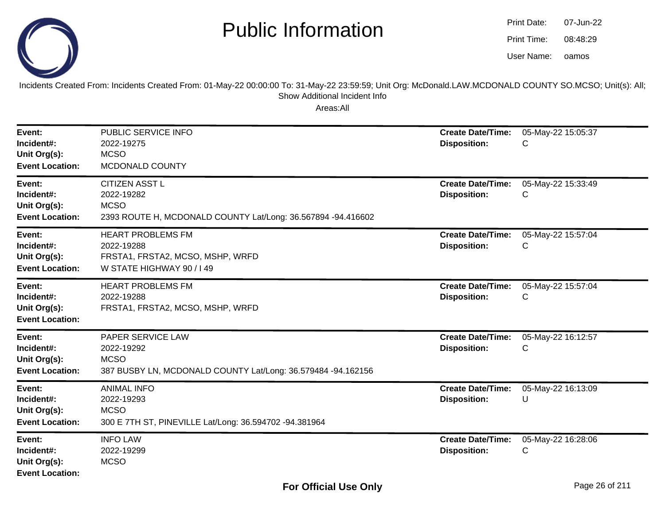

oamos07-Jun-2208:48:29Print Date:Print Time:User Name:

Incidents Created From: Incidents Created From: 01-May-22 00:00:00 To: 31-May-22 23:59:59; Unit Org: McDonald.LAW.MCDONALD COUNTY SO.MCSO; Unit(s): All; Show Additional Incident Info

| Event:<br>Incident#:<br>Unit Org(s):<br><b>Event Location:</b> | PUBLIC SERVICE INFO<br>2022-19275<br><b>MCSO</b><br>MCDONALD COUNTY                                                | <b>Create Date/Time:</b><br><b>Disposition:</b> | 05-May-22 15:05:37<br>С |
|----------------------------------------------------------------|--------------------------------------------------------------------------------------------------------------------|-------------------------------------------------|-------------------------|
| Event:<br>Incident#:<br>Unit Org(s):<br><b>Event Location:</b> | <b>CITIZEN ASST L</b><br>2022-19282<br><b>MCSO</b><br>2393 ROUTE H, MCDONALD COUNTY Lat/Long: 36.567894 -94.416602 | <b>Create Date/Time:</b><br><b>Disposition:</b> | 05-May-22 15:33:49<br>С |
| Event:<br>Incident#:<br>Unit Org(s):<br><b>Event Location:</b> | <b>HEART PROBLEMS FM</b><br>2022-19288<br>FRSTA1, FRSTA2, MCSO, MSHP, WRFD<br>W STATE HIGHWAY 90 / I 49            | <b>Create Date/Time:</b><br><b>Disposition:</b> | 05-May-22 15:57:04<br>С |
| Event:<br>Incident#:<br>Unit Org(s):<br><b>Event Location:</b> | <b>HEART PROBLEMS FM</b><br>2022-19288<br>FRSTA1, FRSTA2, MCSO, MSHP, WRFD                                         | <b>Create Date/Time:</b><br><b>Disposition:</b> | 05-May-22 15:57:04<br>С |
| Event:<br>Incident#:<br>Unit Org(s):<br><b>Event Location:</b> | PAPER SERVICE LAW<br>2022-19292<br><b>MCSO</b><br>387 BUSBY LN, MCDONALD COUNTY Lat/Long: 36.579484 -94.162156     | <b>Create Date/Time:</b><br><b>Disposition:</b> | 05-May-22 16:12:57<br>С |
| Event:<br>Incident#:<br>Unit Org(s):<br><b>Event Location:</b> | <b>ANIMAL INFO</b><br>2022-19293<br><b>MCSO</b><br>300 E 7TH ST, PINEVILLE Lat/Long: 36.594702 -94.381964          | <b>Create Date/Time:</b><br><b>Disposition:</b> | 05-May-22 16:13:09<br>U |
| Event:<br>Incident#:<br>Unit Org(s):<br><b>Event Location:</b> | <b>INFO LAW</b><br>2022-19299<br><b>MCSO</b>                                                                       | <b>Create Date/Time:</b><br><b>Disposition:</b> | 05-May-22 16:28:06<br>С |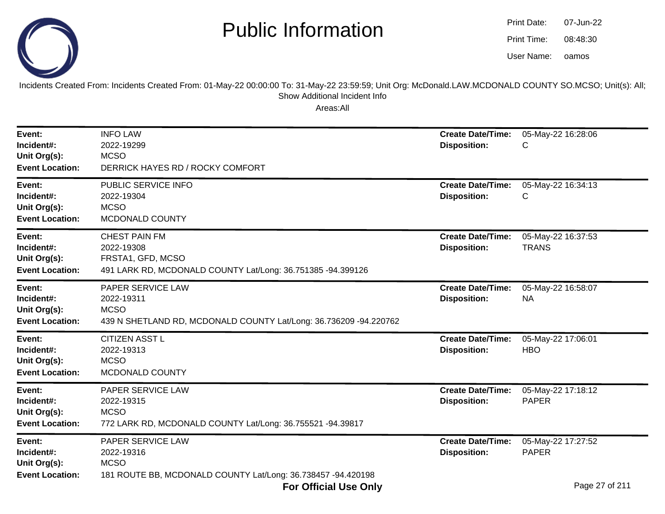



Incidents Created From: Incidents Created From: 01-May-22 00:00:00 To: 31-May-22 23:59:59; Unit Org: McDonald.LAW.MCDONALD COUNTY SO.MCSO; Unit(s): All;Show Additional Incident Info

| Event:<br>Incident#:<br>Unit Org(s):<br><b>Event Location:</b> | <b>INFO LAW</b><br>2022-19299<br><b>MCSO</b><br>DERRICK HAYES RD / ROCKY COMFORT                                                                                                          | <b>Create Date/Time:</b><br><b>Disposition:</b> | 05-May-22 16:28:06<br>С                              |
|----------------------------------------------------------------|-------------------------------------------------------------------------------------------------------------------------------------------------------------------------------------------|-------------------------------------------------|------------------------------------------------------|
| Event:<br>Incident#:<br>Unit Org(s):<br><b>Event Location:</b> | PUBLIC SERVICE INFO<br>2022-19304<br><b>MCSO</b><br>MCDONALD COUNTY                                                                                                                       | <b>Create Date/Time:</b><br><b>Disposition:</b> | 05-May-22 16:34:13<br>С                              |
| Event:<br>Incident#:<br>Unit Org(s):<br><b>Event Location:</b> | <b>CHEST PAIN FM</b><br>2022-19308<br>FRSTA1, GFD, MCSO<br>491 LARK RD, MCDONALD COUNTY Lat/Long: 36.751385 -94.399126                                                                    | <b>Create Date/Time:</b><br><b>Disposition:</b> | 05-May-22 16:37:53<br><b>TRANS</b>                   |
| Event:<br>Incident#:<br>Unit Org(s):<br><b>Event Location:</b> | PAPER SERVICE LAW<br>2022-19311<br><b>MCSO</b><br>439 N SHETLAND RD, MCDONALD COUNTY Lat/Long: 36.736209 -94.220762                                                                       | <b>Create Date/Time:</b><br><b>Disposition:</b> | 05-May-22 16:58:07<br><b>NA</b>                      |
| Event:<br>Incident#:<br>Unit Org(s):<br><b>Event Location:</b> | <b>CITIZEN ASST L</b><br>2022-19313<br><b>MCSO</b><br>MCDONALD COUNTY                                                                                                                     | <b>Create Date/Time:</b><br><b>Disposition:</b> | 05-May-22 17:06:01<br><b>HBO</b>                     |
| Event:<br>Incident#:<br>Unit Org(s):<br><b>Event Location:</b> | PAPER SERVICE LAW<br>2022-19315<br><b>MCSO</b><br>772 LARK RD, MCDONALD COUNTY Lat/Long: 36.755521 -94.39817                                                                              | <b>Create Date/Time:</b><br><b>Disposition:</b> | 05-May-22 17:18:12<br><b>PAPER</b>                   |
| Event:<br>Incident#:<br>Unit Org(s):<br><b>Event Location:</b> | PAPER SERVICE LAW<br>2022-19316<br><b>MCSO</b><br>181 ROUTE BB, MCDONALD COUNTY Lat/Long: 36.738457 -94.420198<br>$E_{\text{max}}$ $\Delta H_{\text{max}}$ is the $\Delta H_{\text{max}}$ | <b>Create Date/Time:</b><br><b>Disposition:</b> | 05-May-22 17:27:52<br><b>PAPER</b><br>Dogo 27 of 244 |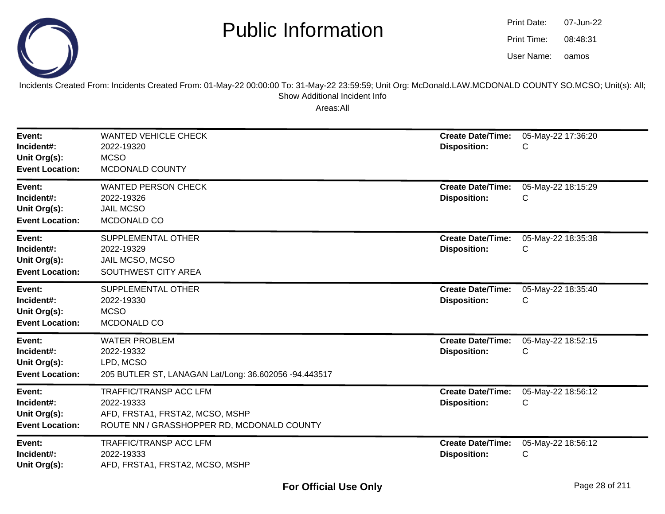

| Print Date: | 07-Jun-22 |
|-------------|-----------|
| Print Time: | 08:48:31  |
| User Name:  | oamos     |

Incidents Created From: Incidents Created From: 01-May-22 00:00:00 To: 31-May-22 23:59:59; Unit Org: McDonald.LAW.MCDONALD COUNTY SO.MCSO; Unit(s): All; Show Additional Incident Info

| Event:<br>Incident#:<br>Unit Org(s):<br><b>Event Location:</b> | <b>WANTED VEHICLE CHECK</b><br>2022-19320<br><b>MCSO</b><br>MCDONALD COUNTY                                                  | <b>Create Date/Time:</b><br><b>Disposition:</b> | 05-May-22 17:36:20<br>C |
|----------------------------------------------------------------|------------------------------------------------------------------------------------------------------------------------------|-------------------------------------------------|-------------------------|
| Event:<br>Incident#:<br>Unit Org(s):<br><b>Event Location:</b> | <b>WANTED PERSON CHECK</b><br>2022-19326<br><b>JAIL MCSO</b><br>MCDONALD CO                                                  | <b>Create Date/Time:</b><br><b>Disposition:</b> | 05-May-22 18:15:29<br>C |
| Event:<br>Incident#:<br>Unit Org(s):<br><b>Event Location:</b> | SUPPLEMENTAL OTHER<br>2022-19329<br>JAIL MCSO, MCSO<br>SOUTHWEST CITY AREA                                                   | <b>Create Date/Time:</b><br><b>Disposition:</b> | 05-May-22 18:35:38<br>С |
| Event:<br>Incident#:<br>Unit Org(s):<br><b>Event Location:</b> | SUPPLEMENTAL OTHER<br>2022-19330<br><b>MCSO</b><br>MCDONALD CO                                                               | <b>Create Date/Time:</b><br><b>Disposition:</b> | 05-May-22 18:35:40<br>С |
| Event:<br>Incident#:<br>Unit Org(s):<br><b>Event Location:</b> | <b>WATER PROBLEM</b><br>2022-19332<br>LPD, MCSO<br>205 BUTLER ST, LANAGAN Lat/Long: 36.602056 -94.443517                     | <b>Create Date/Time:</b><br><b>Disposition:</b> | 05-May-22 18:52:15<br>С |
| Event:<br>Incident#:<br>Unit Org(s):<br><b>Event Location:</b> | <b>TRAFFIC/TRANSP ACC LFM</b><br>2022-19333<br>AFD, FRSTA1, FRSTA2, MCSO, MSHP<br>ROUTE NN / GRASSHOPPER RD, MCDONALD COUNTY | <b>Create Date/Time:</b><br><b>Disposition:</b> | 05-May-22 18:56:12<br>С |
| Event:<br>Incident#:<br>Unit Org(s):                           | <b>TRAFFIC/TRANSP ACC LFM</b><br>2022-19333<br>AFD, FRSTA1, FRSTA2, MCSO, MSHP                                               | <b>Create Date/Time:</b><br><b>Disposition:</b> | 05-May-22 18:56:12<br>C |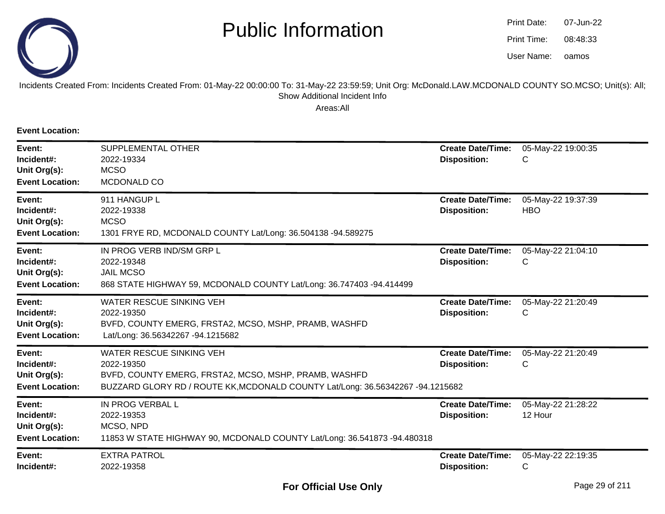

oamos07-Jun-2208:48:33Print Date:Print Time:User Name:

#### Incidents Created From: Incidents Created From: 01-May-22 00:00:00 To: 31-May-22 23:59:59; Unit Org: McDonald.LAW.MCDONALD COUNTY SO.MCSO; Unit(s): All; Show Additional Incident Info

Areas:All

**Event Location:**

| Event:<br>Incident#:<br>Unit Org(s):<br><b>Event Location:</b> | SUPPLEMENTAL OTHER<br>2022-19334<br><b>MCSO</b><br>MCDONALD CO                                                                                                                           | <b>Create Date/Time:</b><br><b>Disposition:</b> | 05-May-22 19:00:35<br>С          |
|----------------------------------------------------------------|------------------------------------------------------------------------------------------------------------------------------------------------------------------------------------------|-------------------------------------------------|----------------------------------|
| Event:<br>Incident#:<br>Unit Org(s):<br><b>Event Location:</b> | 911 HANGUP L<br>2022-19338<br><b>MCSO</b><br>1301 FRYE RD, MCDONALD COUNTY Lat/Long: 36.504138 -94.589275                                                                                | <b>Create Date/Time:</b><br><b>Disposition:</b> | 05-May-22 19:37:39<br><b>HBO</b> |
| Event:<br>Incident#:<br>Unit Org(s):<br><b>Event Location:</b> | IN PROG VERB IND/SM GRP L<br>2022-19348<br><b>JAIL MCSO</b><br>868 STATE HIGHWAY 59, MCDONALD COUNTY Lat/Long: 36.747403 -94.414499                                                      | <b>Create Date/Time:</b><br><b>Disposition:</b> | 05-May-22 21:04:10<br>С          |
| Event:<br>Incident#:<br>Unit Org(s):<br><b>Event Location:</b> | WATER RESCUE SINKING VEH<br>2022-19350<br>BVFD, COUNTY EMERG, FRSTA2, MCSO, MSHP, PRAMB, WASHFD<br>Lat/Long: 36.56342267 -94.1215682                                                     | <b>Create Date/Time:</b><br><b>Disposition:</b> | 05-May-22 21:20:49<br>С          |
| Event:<br>Incident#:<br>Unit Org(s):<br><b>Event Location:</b> | <b>WATER RESCUE SINKING VEH</b><br>2022-19350<br>BVFD, COUNTY EMERG, FRSTA2, MCSO, MSHP, PRAMB, WASHFD<br>BUZZARD GLORY RD / ROUTE KK, MCDONALD COUNTY Lat/Long: 36.56342267 -94.1215682 | <b>Create Date/Time:</b><br><b>Disposition:</b> | 05-May-22 21:20:49<br>С          |
| Event:<br>Incident#:<br>Unit Org(s):<br><b>Event Location:</b> | IN PROG VERBAL L<br>2022-19353<br>MCSO, NPD<br>11853 W STATE HIGHWAY 90, MCDONALD COUNTY Lat/Long: 36.541873 -94.480318                                                                  | <b>Create Date/Time:</b><br><b>Disposition:</b> | 05-May-22 21:28:22<br>12 Hour    |
| Event:<br>Incident#:                                           | <b>EXTRA PATROL</b><br>2022-19358                                                                                                                                                        | <b>Create Date/Time:</b><br><b>Disposition:</b> | 05-May-22 22:19:35<br>С          |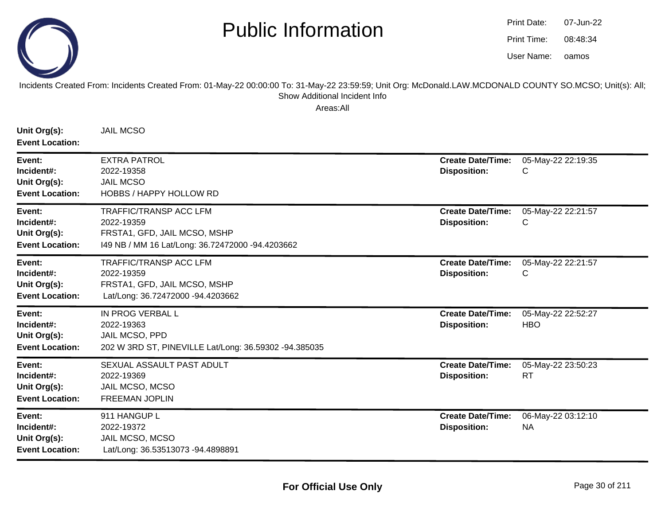

oamos07-Jun-2208:48:34Print Date:Print Time:User Name:

Incidents Created From: Incidents Created From: 01-May-22 00:00:00 To: 31-May-22 23:59:59; Unit Org: McDonald.LAW.MCDONALD COUNTY SO.MCSO; Unit(s): All; Show Additional Incident Info

| Unit Org(s):<br><b>Event Location:</b>                         | <b>JAIL MCSO</b>                                                                                                                |                                                 |                                  |
|----------------------------------------------------------------|---------------------------------------------------------------------------------------------------------------------------------|-------------------------------------------------|----------------------------------|
| Event:<br>Incident#:<br>Unit Org(s):<br><b>Event Location:</b> | <b>EXTRA PATROL</b><br>2022-19358<br><b>JAIL MCSO</b><br><b>HOBBS / HAPPY HOLLOW RD</b>                                         | <b>Create Date/Time:</b><br><b>Disposition:</b> | 05-May-22 22:19:35<br>C          |
| Event:<br>Incident#:<br>Unit Org(s):<br><b>Event Location:</b> | <b>TRAFFIC/TRANSP ACC LFM</b><br>2022-19359<br>FRSTA1, GFD, JAIL MCSO, MSHP<br>I49 NB / MM 16 Lat/Long: 36.72472000 -94.4203662 | <b>Create Date/Time:</b><br><b>Disposition:</b> | 05-May-22 22:21:57<br>C          |
| Event:<br>Incident#:<br>Unit Org(s):<br><b>Event Location:</b> | <b>TRAFFIC/TRANSP ACC LFM</b><br>2022-19359<br>FRSTA1, GFD, JAIL MCSO, MSHP<br>Lat/Long: 36.72472000 -94.4203662                | <b>Create Date/Time:</b><br><b>Disposition:</b> | 05-May-22 22:21:57<br>C          |
| Event:<br>Incident#:<br>Unit Org(s):<br><b>Event Location:</b> | IN PROG VERBAL L<br>2022-19363<br>JAIL MCSO, PPD<br>202 W 3RD ST, PINEVILLE Lat/Long: 36.59302 -94.385035                       | <b>Create Date/Time:</b><br><b>Disposition:</b> | 05-May-22 22:52:27<br><b>HBO</b> |
| Event:<br>Incident#:<br>Unit Org(s):<br><b>Event Location:</b> | SEXUAL ASSAULT PAST ADULT<br>2022-19369<br>JAIL MCSO, MCSO<br><b>FREEMAN JOPLIN</b>                                             | <b>Create Date/Time:</b><br><b>Disposition:</b> | 05-May-22 23:50:23<br><b>RT</b>  |
| Event:<br>Incident#:<br>Unit Org(s):<br><b>Event Location:</b> | 911 HANGUP L<br>2022-19372<br>JAIL MCSO, MCSO<br>Lat/Long: 36.53513073 -94.4898891                                              | <b>Create Date/Time:</b><br><b>Disposition:</b> | 06-May-22 03:12:10<br><b>NA</b>  |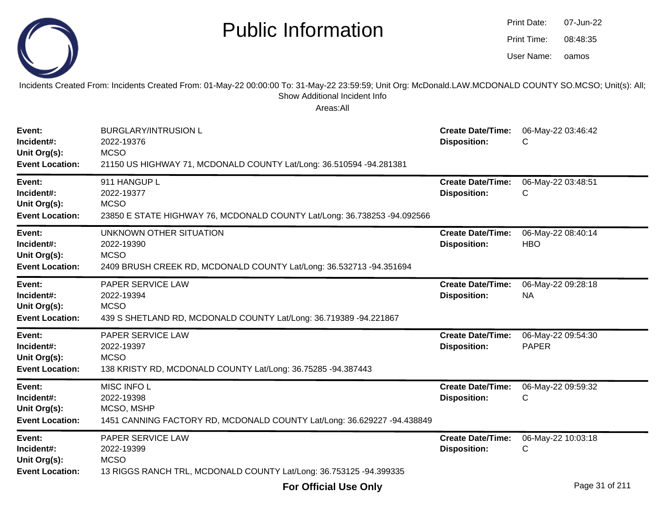Incidents Created From: Incidents Created From: 01-May-22 00:00:00 To: 31-May-22 23:59:59; Unit Org: McDonald.LAW.MCDONALD COUNTY SO.MCSO; Unit(s): All;Show Additional Incident Info

| Event:<br>Incident#:<br>Unit Org(s):<br><b>Event Location:</b> | <b>BURGLARY/INTRUSION L</b><br>2022-19376<br><b>MCSO</b><br>21150 US HIGHWAY 71, MCDONALD COUNTY Lat/Long: 36.510594 -94.281381 | <b>Create Date/Time:</b><br><b>Disposition:</b> | 06-May-22 03:46:42<br>С            |
|----------------------------------------------------------------|---------------------------------------------------------------------------------------------------------------------------------|-------------------------------------------------|------------------------------------|
| Event:<br>Incident#:<br>Unit Org(s):<br><b>Event Location:</b> | 911 HANGUP L<br>2022-19377<br><b>MCSO</b><br>23850 E STATE HIGHWAY 76, MCDONALD COUNTY Lat/Long: 36.738253 -94.092566           | <b>Create Date/Time:</b><br><b>Disposition:</b> | 06-May-22 03:48:51<br>С            |
| Event:<br>Incident#:<br>Unit Org(s):<br><b>Event Location:</b> | UNKNOWN OTHER SITUATION<br>2022-19390<br><b>MCSO</b><br>2409 BRUSH CREEK RD, MCDONALD COUNTY Lat/Long: 36.532713 -94.351694     | <b>Create Date/Time:</b><br><b>Disposition:</b> | 06-May-22 08:40:14<br><b>HBO</b>   |
| Event:<br>Incident#:<br>Unit Org(s):<br><b>Event Location:</b> | PAPER SERVICE LAW<br>2022-19394<br><b>MCSO</b><br>439 S SHETLAND RD, MCDONALD COUNTY Lat/Long: 36.719389 -94.221867             | <b>Create Date/Time:</b><br><b>Disposition:</b> | 06-May-22 09:28:18<br><b>NA</b>    |
| Event:<br>Incident#:<br>Unit Org(s):<br><b>Event Location:</b> | PAPER SERVICE LAW<br>2022-19397<br><b>MCSO</b><br>138 KRISTY RD, MCDONALD COUNTY Lat/Long: 36.75285 -94.387443                  | <b>Create Date/Time:</b><br><b>Disposition:</b> | 06-May-22 09:54:30<br><b>PAPER</b> |
| Event:<br>Incident#:<br>Unit Org(s):<br><b>Event Location:</b> | MISC INFO L<br>2022-19398<br>MCSO, MSHP<br>1451 CANNING FACTORY RD, MCDONALD COUNTY Lat/Long: 36.629227 -94.438849              | <b>Create Date/Time:</b><br><b>Disposition:</b> | 06-May-22 09:59:32<br>C            |
| Event:<br>Incident#:<br>Unit Org(s):<br><b>Event Location:</b> | PAPER SERVICE LAW<br>2022-19399<br><b>MCSO</b><br>13 RIGGS RANCH TRL, MCDONALD COUNTY Lat/Long: 36.753125 -94.399335            | <b>Create Date/Time:</b><br><b>Disposition:</b> | 06-May-22 10:03:18<br>С            |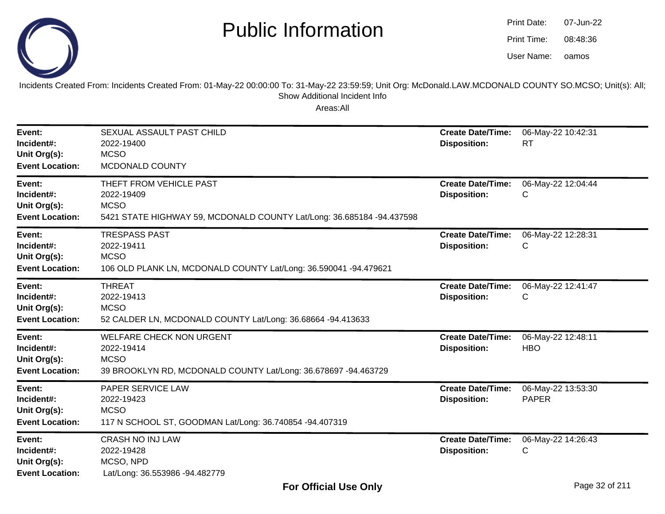

oamos07-Jun-2208:48:36Print Date:Print Time:User Name:

Incidents Created From: Incidents Created From: 01-May-22 00:00:00 To: 31-May-22 23:59:59; Unit Org: McDonald.LAW.MCDONALD COUNTY SO.MCSO; Unit(s): All; Show Additional Incident Info

| Event:<br>Incident#:<br>Unit Org(s):<br><b>Event Location:</b> | SEXUAL ASSAULT PAST CHILD<br>2022-19400<br><b>MCSO</b><br>MCDONALD COUNTY                                                      | <b>Create Date/Time:</b><br><b>Disposition:</b> | 06-May-22 10:42:31<br><b>RT</b>    |
|----------------------------------------------------------------|--------------------------------------------------------------------------------------------------------------------------------|-------------------------------------------------|------------------------------------|
| Event:<br>Incident#:<br>Unit Org(s):<br><b>Event Location:</b> | THEFT FROM VEHICLE PAST<br>2022-19409<br><b>MCSO</b><br>5421 STATE HIGHWAY 59, MCDONALD COUNTY Lat/Long: 36.685184 -94.437598  | <b>Create Date/Time:</b><br><b>Disposition:</b> | 06-May-22 12:04:44<br>С            |
| Event:<br>Incident#:<br>Unit Org(s):<br><b>Event Location:</b> | <b>TRESPASS PAST</b><br>2022-19411<br><b>MCSO</b><br>106 OLD PLANK LN, MCDONALD COUNTY Lat/Long: 36.590041 -94.479621          | <b>Create Date/Time:</b><br><b>Disposition:</b> | 06-May-22 12:28:31<br>С            |
| Event:<br>Incident#:<br>Unit Org(s):<br><b>Event Location:</b> | <b>THREAT</b><br>2022-19413<br><b>MCSO</b><br>52 CALDER LN, MCDONALD COUNTY Lat/Long: 36.68664 -94.413633                      | <b>Create Date/Time:</b><br><b>Disposition:</b> | 06-May-22 12:41:47<br>С            |
| Event:<br>Incident#:<br>Unit Org(s):<br><b>Event Location:</b> | <b>WELFARE CHECK NON URGENT</b><br>2022-19414<br><b>MCSO</b><br>39 BROOKLYN RD, MCDONALD COUNTY Lat/Long: 36.678697 -94.463729 | <b>Create Date/Time:</b><br><b>Disposition:</b> | 06-May-22 12:48:11<br><b>HBO</b>   |
| Event:<br>Incident#:<br>Unit Org(s):<br><b>Event Location:</b> | PAPER SERVICE LAW<br>2022-19423<br><b>MCSO</b><br>117 N SCHOOL ST, GOODMAN Lat/Long: 36.740854 -94.407319                      | <b>Create Date/Time:</b><br><b>Disposition:</b> | 06-May-22 13:53:30<br><b>PAPER</b> |
| Event:<br>Incident#:<br>Unit Org(s):<br><b>Event Location:</b> | <b>CRASH NO INJ LAW</b><br>2022-19428<br>MCSO, NPD<br>Lat/Long: 36.553986 -94.482779                                           | <b>Create Date/Time:</b><br><b>Disposition:</b> | 06-May-22 14:26:43<br>С            |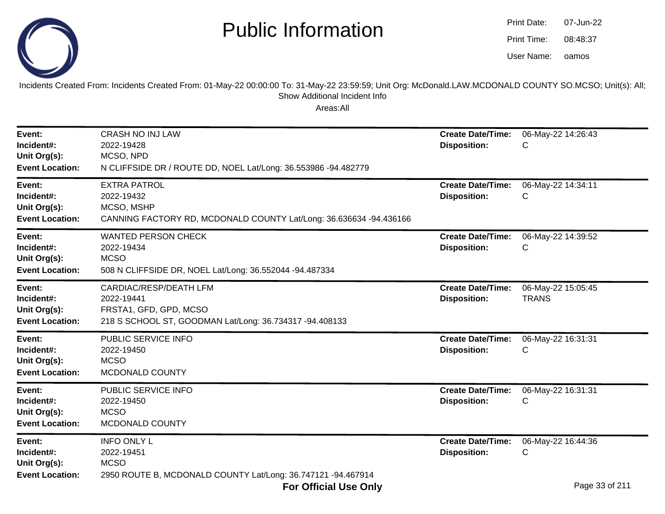

| Print Date: | 07-Jun-22 |  |  |
|-------------|-----------|--|--|
| Print Time: | 08:48:37  |  |  |
| User Name:  | oamos     |  |  |

Incidents Created From: Incidents Created From: 01-May-22 00:00:00 To: 31-May-22 23:59:59; Unit Org: McDonald.LAW.MCDONALD COUNTY SO.MCSO; Unit(s): All; Show Additional Incident Info

| Event:<br>Incident#:<br>Unit Org(s):<br><b>Event Location:</b> | <b>CRASH NO INJ LAW</b><br>2022-19428<br>MCSO, NPD<br>N CLIFFSIDE DR / ROUTE DD, NOEL Lat/Long: 36.553986 -94.482779      | <b>Create Date/Time:</b><br><b>Disposition:</b> | 06-May-22 14:26:43<br>С            |
|----------------------------------------------------------------|---------------------------------------------------------------------------------------------------------------------------|-------------------------------------------------|------------------------------------|
| Event:<br>Incident#:<br>Unit Org(s):<br><b>Event Location:</b> | <b>EXTRA PATROL</b><br>2022-19432<br>MCSO, MSHP<br>CANNING FACTORY RD, MCDONALD COUNTY Lat/Long: 36.636634 -94.436166     | <b>Create Date/Time:</b><br><b>Disposition:</b> | 06-May-22 14:34:11<br>С            |
| Event:<br>Incident#:<br>Unit Org(s):<br><b>Event Location:</b> | <b>WANTED PERSON CHECK</b><br>2022-19434<br><b>MCSO</b><br>508 N CLIFFSIDE DR, NOEL Lat/Long: 36.552044 -94.487334        | <b>Create Date/Time:</b><br><b>Disposition:</b> | 06-May-22 14:39:52<br>С            |
| Event:<br>Incident#:<br>Unit Org(s):<br><b>Event Location:</b> | CARDIAC/RESP/DEATH LFM<br>2022-19441<br>FRSTA1, GFD, GPD, MCSO<br>218 S SCHOOL ST, GOODMAN Lat/Long: 36.734317 -94.408133 | <b>Create Date/Time:</b><br><b>Disposition:</b> | 06-May-22 15:05:45<br><b>TRANS</b> |
| Event:<br>Incident#:<br>Unit Org(s):<br><b>Event Location:</b> | PUBLIC SERVICE INFO<br>2022-19450<br><b>MCSO</b><br>MCDONALD COUNTY                                                       | <b>Create Date/Time:</b><br><b>Disposition:</b> | 06-May-22 16:31:31<br>С            |
| Event:<br>Incident#:<br>Unit Org(s):<br><b>Event Location:</b> | PUBLIC SERVICE INFO<br>2022-19450<br><b>MCSO</b><br>MCDONALD COUNTY                                                       | <b>Create Date/Time:</b><br><b>Disposition:</b> | 06-May-22 16:31:31<br>С            |
| Event:<br>Incident#:<br>Unit Org(s):<br><b>Event Location:</b> | <b>INFO ONLY L</b><br>2022-19451<br><b>MCSO</b><br>2950 ROUTE B, MCDONALD COUNTY Lat/Long: 36.747121 -94.467914           | <b>Create Date/Time:</b><br><b>Disposition:</b> | 06-May-22 16:44:36<br>С            |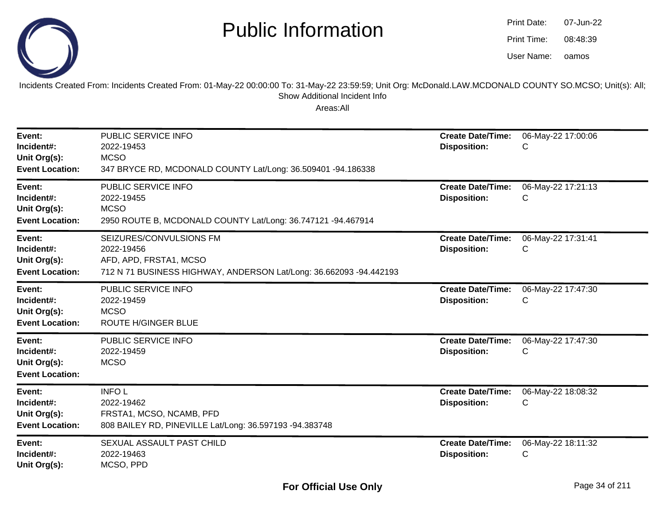

oamos07-Jun-2208:48:39Print Date:Print Time:User Name:

Incidents Created From: Incidents Created From: 01-May-22 00:00:00 To: 31-May-22 23:59:59; Unit Org: McDonald.LAW.MCDONALD COUNTY SO.MCSO; Unit(s): All; Show Additional Incident Info

| Event:<br>Incident#:<br>Unit Org(s):<br><b>Event Location:</b> | PUBLIC SERVICE INFO<br>2022-19453<br><b>MCSO</b><br>347 BRYCE RD, MCDONALD COUNTY Lat/Long: 36.509401 -94.186338                      | <b>Create Date/Time:</b><br><b>Disposition:</b> | 06-May-22 17:00:06<br>С |
|----------------------------------------------------------------|---------------------------------------------------------------------------------------------------------------------------------------|-------------------------------------------------|-------------------------|
| Event:<br>Incident#:<br>Unit Org(s):<br><b>Event Location:</b> | PUBLIC SERVICE INFO<br>2022-19455<br><b>MCSO</b><br>2950 ROUTE B, MCDONALD COUNTY Lat/Long: 36.747121 -94.467914                      | <b>Create Date/Time:</b><br><b>Disposition:</b> | 06-May-22 17:21:13<br>С |
| Event:<br>Incident#:<br>Unit Org(s):<br><b>Event Location:</b> | SEIZURES/CONVULSIONS FM<br>2022-19456<br>AFD, APD, FRSTA1, MCSO<br>712 N 71 BUSINESS HIGHWAY, ANDERSON Lat/Long: 36.662093 -94.442193 | <b>Create Date/Time:</b><br><b>Disposition:</b> | 06-May-22 17:31:41<br>С |
| Event:<br>Incident#:<br>Unit Org(s):<br><b>Event Location:</b> | PUBLIC SERVICE INFO<br>2022-19459<br><b>MCSO</b><br>ROUTE H/GINGER BLUE                                                               | <b>Create Date/Time:</b><br><b>Disposition:</b> | 06-May-22 17:47:30<br>С |
| Event:<br>Incident#:<br>Unit Org(s):<br><b>Event Location:</b> | PUBLIC SERVICE INFO<br>2022-19459<br><b>MCSO</b>                                                                                      | <b>Create Date/Time:</b><br><b>Disposition:</b> | 06-May-22 17:47:30<br>С |
| Event:<br>Incident#:<br>Unit Org(s):<br><b>Event Location:</b> | <b>INFOL</b><br>2022-19462<br>FRSTA1, MCSO, NCAMB, PFD<br>808 BAILEY RD, PINEVILLE Lat/Long: 36.597193 -94.383748                     | <b>Create Date/Time:</b><br><b>Disposition:</b> | 06-May-22 18:08:32<br>С |
| Event:<br>Incident#:<br>Unit Org(s):                           | SEXUAL ASSAULT PAST CHILD<br>2022-19463<br>MCSO, PPD                                                                                  | <b>Create Date/Time:</b><br><b>Disposition:</b> | 06-May-22 18:11:32<br>С |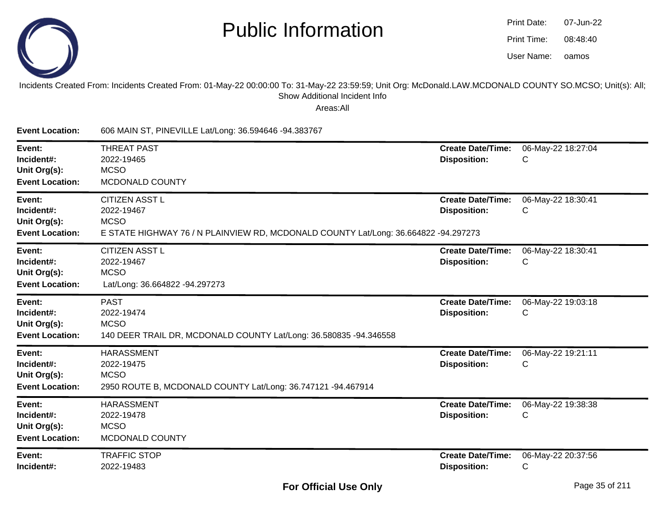

| Print Date: | 07-Jun-22 |
|-------------|-----------|
| Print Time: | 08:48:40  |
| User Name:  | oamos     |

Incidents Created From: Incidents Created From: 01-May-22 00:00:00 To: 31-May-22 23:59:59; Unit Org: McDonald.LAW.MCDONALD COUNTY SO.MCSO; Unit(s): All; Show Additional Incident Info

| <b>Event Location:</b>                                         | 606 MAIN ST, PINEVILLE Lat/Long: 36.594646 -94.383767                                                                                     |                                                 |                         |
|----------------------------------------------------------------|-------------------------------------------------------------------------------------------------------------------------------------------|-------------------------------------------------|-------------------------|
| Event:<br>Incident#:<br>Unit Org(s):<br><b>Event Location:</b> | <b>THREAT PAST</b><br>2022-19465<br><b>MCSO</b><br>MCDONALD COUNTY                                                                        | <b>Create Date/Time:</b><br><b>Disposition:</b> | 06-May-22 18:27:04<br>С |
| Event:<br>Incident#:<br>Unit Org(s):<br><b>Event Location:</b> | <b>CITIZEN ASST L</b><br>2022-19467<br><b>MCSO</b><br>E STATE HIGHWAY 76 / N PLAINVIEW RD, MCDONALD COUNTY Lat/Long: 36.664822 -94.297273 | <b>Create Date/Time:</b><br><b>Disposition:</b> | 06-May-22 18:30:41<br>С |
| Event:<br>Incident#:<br>Unit Org(s):<br><b>Event Location:</b> | <b>CITIZEN ASST L</b><br>2022-19467<br><b>MCSO</b><br>Lat/Long: 36.664822 -94.297273                                                      | <b>Create Date/Time:</b><br><b>Disposition:</b> | 06-May-22 18:30:41<br>C |
| Event:<br>Incident#:<br>Unit Org(s):<br><b>Event Location:</b> | <b>PAST</b><br>2022-19474<br><b>MCSO</b><br>140 DEER TRAIL DR, MCDONALD COUNTY Lat/Long: 36.580835 -94.346558                             | <b>Create Date/Time:</b><br><b>Disposition:</b> | 06-May-22 19:03:18<br>С |
| Event:<br>Incident#:<br>Unit Org(s):<br><b>Event Location:</b> | <b>HARASSMENT</b><br>2022-19475<br><b>MCSO</b><br>2950 ROUTE B, MCDONALD COUNTY Lat/Long: 36.747121 -94.467914                            | <b>Create Date/Time:</b><br><b>Disposition:</b> | 06-May-22 19:21:11<br>С |
| Event:<br>Incident#:<br>Unit Org(s):<br><b>Event Location:</b> | <b>HARASSMENT</b><br>2022-19478<br><b>MCSO</b><br>MCDONALD COUNTY                                                                         | <b>Create Date/Time:</b><br><b>Disposition:</b> | 06-May-22 19:38:38<br>С |
| Event:<br>Incident#:                                           | <b>TRAFFIC STOP</b><br>2022-19483                                                                                                         | <b>Create Date/Time:</b><br><b>Disposition:</b> | 06-May-22 20:37:56<br>С |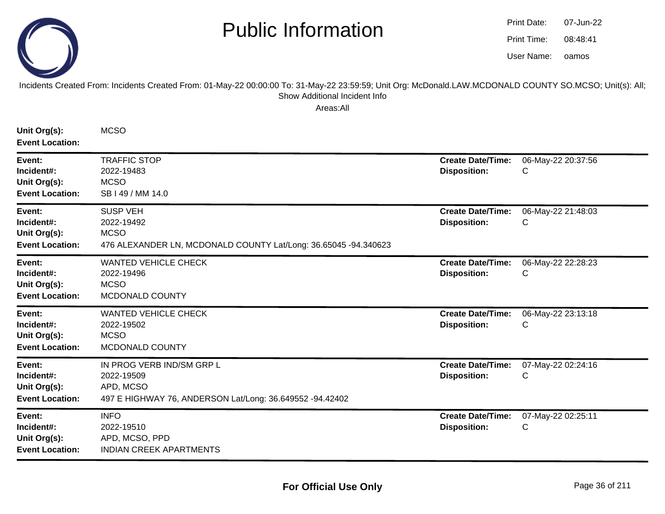

oamos07-Jun-2208:48:41Print Date:Print Time:User Name:

#### Incidents Created From: Incidents Created From: 01-May-22 00:00:00 To: 31-May-22 23:59:59; Unit Org: McDonald.LAW.MCDONALD COUNTY SO.MCSO; Unit(s): All; Show Additional Incident Info

| Unit Org(s):<br><b>Event Location:</b>                         | <b>MCSO</b>                                                                                                      |                                                 |                         |
|----------------------------------------------------------------|------------------------------------------------------------------------------------------------------------------|-------------------------------------------------|-------------------------|
| Event:<br>Incident#:<br>Unit Org(s):<br><b>Event Location:</b> | <b>TRAFFIC STOP</b><br>2022-19483<br><b>MCSO</b><br>SB I 49 / MM 14.0                                            | <b>Create Date/Time:</b><br><b>Disposition:</b> | 06-May-22 20:37:56<br>C |
| Event:<br>Incident#:<br>Unit Org(s):<br><b>Event Location:</b> | <b>SUSP VEH</b><br>2022-19492<br><b>MCSO</b><br>476 ALEXANDER LN, MCDONALD COUNTY Lat/Long: 36.65045 -94.340623  | <b>Create Date/Time:</b><br><b>Disposition:</b> | 06-May-22 21:48:03<br>C |
| Event:<br>Incident#:<br>Unit Org(s):<br><b>Event Location:</b> | <b>WANTED VEHICLE CHECK</b><br>2022-19496<br><b>MCSO</b><br>MCDONALD COUNTY                                      | <b>Create Date/Time:</b><br><b>Disposition:</b> | 06-May-22 22:28:23<br>С |
| Event:<br>Incident#:<br>Unit Org(s):<br><b>Event Location:</b> | <b>WANTED VEHICLE CHECK</b><br>2022-19502<br><b>MCSO</b><br>MCDONALD COUNTY                                      | <b>Create Date/Time:</b><br><b>Disposition:</b> | 06-May-22 23:13:18<br>C |
| Event:<br>Incident#:<br>Unit Org(s):<br><b>Event Location:</b> | IN PROG VERB IND/SM GRP L<br>2022-19509<br>APD, MCSO<br>497 E HIGHWAY 76, ANDERSON Lat/Long: 36.649552 -94.42402 | <b>Create Date/Time:</b><br><b>Disposition:</b> | 07-May-22 02:24:16<br>C |
| Event:<br>Incident#:<br>Unit Org(s):<br><b>Event Location:</b> | <b>INFO</b><br>2022-19510<br>APD, MCSO, PPD<br><b>INDIAN CREEK APARTMENTS</b>                                    | <b>Create Date/Time:</b><br><b>Disposition:</b> | 07-May-22 02:25:11<br>C |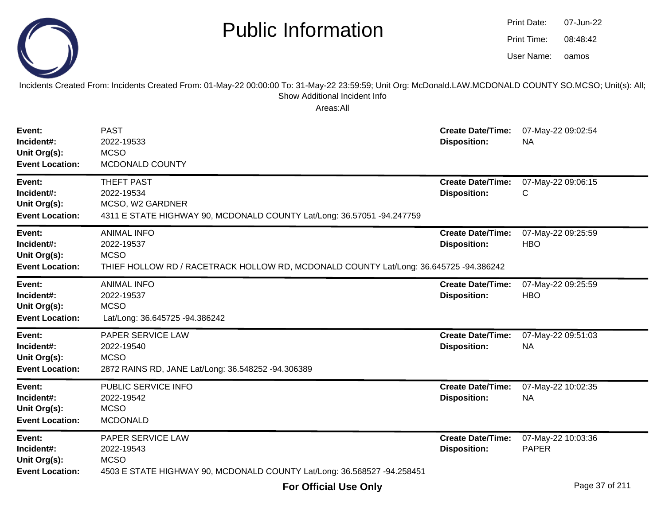

Incidents Created From: Incidents Created From: 01-May-22 00:00:00 To: 31-May-22 23:59:59; Unit Org: McDonald.LAW.MCDONALD COUNTY SO.MCSO; Unit(s): All; Show Additional Incident Info

| Event:<br>Incident#:<br>Unit Org(s):<br><b>Event Location:</b> | <b>PAST</b><br>2022-19533<br><b>MCSO</b><br>MCDONALD COUNTY                                                                              | <b>Create Date/Time:</b><br><b>Disposition:</b> | 07-May-22 09:02:54<br><b>NA</b>    |
|----------------------------------------------------------------|------------------------------------------------------------------------------------------------------------------------------------------|-------------------------------------------------|------------------------------------|
| Event:<br>Incident#:<br>Unit Org(s):<br><b>Event Location:</b> | <b>THEFT PAST</b><br>2022-19534<br>MCSO, W2 GARDNER<br>4311 E STATE HIGHWAY 90, MCDONALD COUNTY Lat/Long: 36.57051 -94.247759            | <b>Create Date/Time:</b><br><b>Disposition:</b> | 07-May-22 09:06:15<br>C            |
| Event:<br>Incident#:<br>Unit Org(s):<br><b>Event Location:</b> | <b>ANIMAL INFO</b><br>2022-19537<br><b>MCSO</b><br>THIEF HOLLOW RD / RACETRACK HOLLOW RD, MCDONALD COUNTY Lat/Long: 36.645725 -94.386242 | <b>Create Date/Time:</b><br><b>Disposition:</b> | 07-May-22 09:25:59<br><b>HBO</b>   |
| Event:<br>Incident#:<br>Unit Org(s):<br><b>Event Location:</b> | <b>ANIMAL INFO</b><br>2022-19537<br><b>MCSO</b><br>Lat/Long: 36.645725 -94.386242                                                        | <b>Create Date/Time:</b><br><b>Disposition:</b> | 07-May-22 09:25:59<br><b>HBO</b>   |
| Event:<br>Incident#:<br>Unit Org(s):<br><b>Event Location:</b> | PAPER SERVICE LAW<br>2022-19540<br><b>MCSO</b><br>2872 RAINS RD, JANE Lat/Long: 36.548252 -94.306389                                     | <b>Create Date/Time:</b><br><b>Disposition:</b> | 07-May-22 09:51:03<br><b>NA</b>    |
| Event:<br>Incident#:<br>Unit Org(s):<br><b>Event Location:</b> | PUBLIC SERVICE INFO<br>2022-19542<br><b>MCSO</b><br><b>MCDONALD</b>                                                                      | <b>Create Date/Time:</b><br><b>Disposition:</b> | 07-May-22 10:02:35<br><b>NA</b>    |
| Event:<br>Incident#:<br>Unit Org(s):<br><b>Event Location:</b> | PAPER SERVICE LAW<br>2022-19543<br><b>MCSO</b><br>4503 E STATE HIGHWAY 90, MCDONALD COUNTY Lat/Long: 36.568527 -94.258451                | <b>Create Date/Time:</b><br><b>Disposition:</b> | 07-May-22 10:03:36<br><b>PAPER</b> |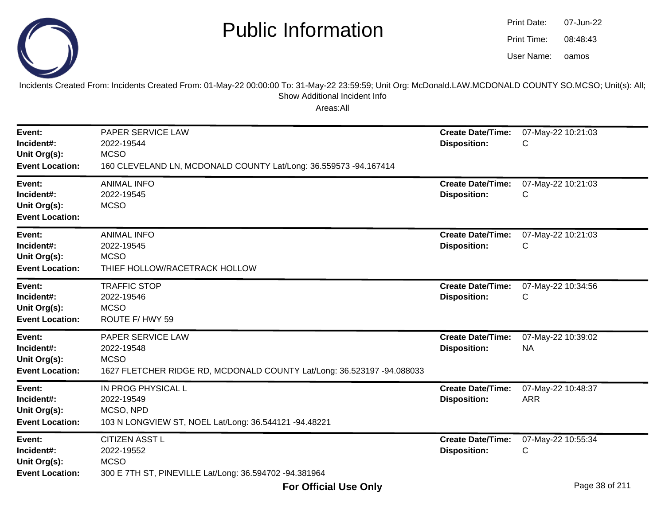

oamos07-Jun-2208:48:43Print Date:Print Time:User Name:

Incidents Created From: Incidents Created From: 01-May-22 00:00:00 To: 31-May-22 23:59:59; Unit Org: McDonald.LAW.MCDONALD COUNTY SO.MCSO; Unit(s): All; Show Additional Incident Info

| Event:<br>Incident#:<br>Unit Org(s):<br><b>Event Location:</b> | PAPER SERVICE LAW<br>2022-19544<br><b>MCSO</b><br>160 CLEVELAND LN, MCDONALD COUNTY Lat/Long: 36.559573 -94.167414       | <b>Create Date/Time:</b><br><b>Disposition:</b> | 07-May-22 10:21:03<br>C          |
|----------------------------------------------------------------|--------------------------------------------------------------------------------------------------------------------------|-------------------------------------------------|----------------------------------|
| Event:<br>Incident#:<br>Unit Org(s):<br><b>Event Location:</b> | <b>ANIMAL INFO</b><br>2022-19545<br><b>MCSO</b>                                                                          | <b>Create Date/Time:</b><br><b>Disposition:</b> | 07-May-22 10:21:03<br>C          |
| Event:<br>Incident#:<br>Unit Org(s):<br><b>Event Location:</b> | <b>ANIMAL INFO</b><br>2022-19545<br><b>MCSO</b><br>THIEF HOLLOW/RACETRACK HOLLOW                                         | <b>Create Date/Time:</b><br><b>Disposition:</b> | 07-May-22 10:21:03<br>С          |
| Event:<br>Incident#:<br>Unit Org(s):<br><b>Event Location:</b> | <b>TRAFFIC STOP</b><br>2022-19546<br><b>MCSO</b><br>ROUTE F/HWY 59                                                       | <b>Create Date/Time:</b><br><b>Disposition:</b> | 07-May-22 10:34:56<br>C          |
| Event:<br>Incident#:<br>Unit Org(s):<br><b>Event Location:</b> | PAPER SERVICE LAW<br>2022-19548<br><b>MCSO</b><br>1627 FLETCHER RIDGE RD, MCDONALD COUNTY Lat/Long: 36.523197 -94.088033 | <b>Create Date/Time:</b><br><b>Disposition:</b> | 07-May-22 10:39:02<br><b>NA</b>  |
| Event:<br>Incident#:<br>Unit Org(s):<br><b>Event Location:</b> | IN PROG PHYSICAL L<br>2022-19549<br>MCSO, NPD<br>103 N LONGVIEW ST, NOEL Lat/Long: 36.544121 -94.48221                   | <b>Create Date/Time:</b><br><b>Disposition:</b> | 07-May-22 10:48:37<br><b>ARR</b> |
| Event:<br>Incident#:<br>Unit Org(s):<br><b>Event Location:</b> | <b>CITIZEN ASST L</b><br>2022-19552<br><b>MCSO</b><br>300 E 7TH ST, PINEVILLE Lat/Long: 36.594702 -94.381964             | <b>Create Date/Time:</b><br><b>Disposition:</b> | 07-May-22 10:55:34<br>C          |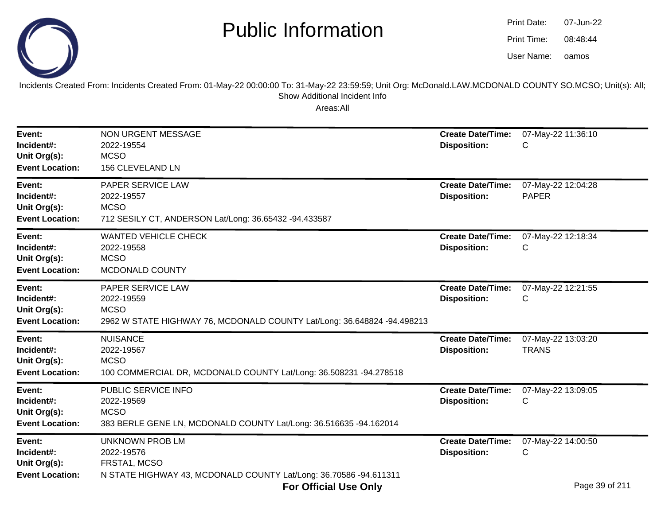

| Print Date: | 07-Jun-22 |
|-------------|-----------|
| Print Time: | 08:48:44  |
| User Name:  | oamos     |

Incidents Created From: Incidents Created From: 01-May-22 00:00:00 To: 31-May-22 23:59:59; Unit Org: McDonald.LAW.MCDONALD COUNTY SO.MCSO; Unit(s): All;Show Additional Incident Info

| Event:<br>Incident#:<br>Unit Org(s):<br><b>Event Location:</b> | <b>NON URGENT MESSAGE</b><br>2022-19554<br><b>MCSO</b><br>156 CLEVELAND LN                                                       | <b>Create Date/Time:</b><br><b>Disposition:</b> | 07-May-22 11:36:10<br>С            |
|----------------------------------------------------------------|----------------------------------------------------------------------------------------------------------------------------------|-------------------------------------------------|------------------------------------|
| Event:<br>Incident#:<br>Unit Org(s):<br><b>Event Location:</b> | <b>PAPER SERVICE LAW</b><br>2022-19557<br><b>MCSO</b><br>712 SESILY CT, ANDERSON Lat/Long: 36.65432 -94.433587                   | <b>Create Date/Time:</b><br><b>Disposition:</b> | 07-May-22 12:04:28<br><b>PAPER</b> |
| Event:<br>Incident#:<br>Unit Org(s):<br><b>Event Location:</b> | <b>WANTED VEHICLE CHECK</b><br>2022-19558<br><b>MCSO</b><br>MCDONALD COUNTY                                                      | <b>Create Date/Time:</b><br><b>Disposition:</b> | 07-May-22 12:18:34<br>С            |
| Event:<br>Incident#:<br>Unit Org(s):<br><b>Event Location:</b> | <b>PAPER SERVICE LAW</b><br>2022-19559<br><b>MCSO</b><br>2962 W STATE HIGHWAY 76, MCDONALD COUNTY Lat/Long: 36.648824 -94.498213 | <b>Create Date/Time:</b><br><b>Disposition:</b> | 07-May-22 12:21:55<br>С            |
| Event:<br>Incident#:<br>Unit Org(s):<br><b>Event Location:</b> | <b>NUISANCE</b><br>2022-19567<br><b>MCSO</b><br>100 COMMERCIAL DR, MCDONALD COUNTY Lat/Long: 36.508231 -94.278518                | <b>Create Date/Time:</b><br><b>Disposition:</b> | 07-May-22 13:03:20<br><b>TRANS</b> |
| Event:<br>Incident#:<br>Unit Org(s):<br><b>Event Location:</b> | PUBLIC SERVICE INFO<br>2022-19569<br><b>MCSO</b><br>383 BERLE GENE LN, MCDONALD COUNTY Lat/Long: 36.516635 -94.162014            | <b>Create Date/Time:</b><br><b>Disposition:</b> | 07-May-22 13:09:05<br>С            |
| Event:<br>Incident#:<br>Unit Org(s):<br><b>Event Location:</b> | <b>UNKNOWN PROB LM</b><br>2022-19576<br>FRSTA1, MCSO<br>N STATE HIGHWAY 43, MCDONALD COUNTY Lat/Long: 36.70586 -94.611311        | <b>Create Date/Time:</b><br><b>Disposition:</b> | 07-May-22 14:00:50<br>С            |
|                                                                | <b>For Official Use Only</b>                                                                                                     |                                                 | Page 39 of 211                     |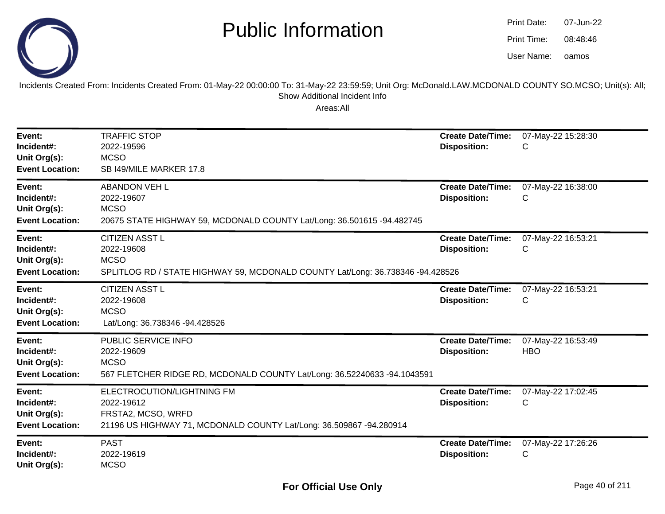

| Print Date: | 07-Jun-22 |
|-------------|-----------|
| Print Time: | 08:48:46  |
| User Name:  | oamos     |

Incidents Created From: Incidents Created From: 01-May-22 00:00:00 To: 31-May-22 23:59:59; Unit Org: McDonald.LAW.MCDONALD COUNTY SO.MCSO; Unit(s): All; Show Additional Incident Info

| Event:<br>Incident#:<br>Unit Org(s):<br><b>Event Location:</b> | <b>TRAFFIC STOP</b><br>2022-19596<br><b>MCSO</b><br>SB I49/MILE MARKER 17.8                                                           | <b>Create Date/Time:</b><br><b>Disposition:</b> | 07-May-22 15:28:30<br>C          |
|----------------------------------------------------------------|---------------------------------------------------------------------------------------------------------------------------------------|-------------------------------------------------|----------------------------------|
| Event:<br>Incident#:<br>Unit Org(s):<br><b>Event Location:</b> | <b>ABANDON VEH L</b><br>2022-19607<br><b>MCSO</b><br>20675 STATE HIGHWAY 59, MCDONALD COUNTY Lat/Long: 36.501615 -94.482745           | <b>Create Date/Time:</b><br><b>Disposition:</b> | 07-May-22 16:38:00<br>С          |
| Event:<br>Incident#:<br>Unit Org(s):<br><b>Event Location:</b> | <b>CITIZEN ASST L</b><br>2022-19608<br><b>MCSO</b><br>SPLITLOG RD / STATE HIGHWAY 59, MCDONALD COUNTY Lat/Long: 36.738346 -94.428526  | <b>Create Date/Time:</b><br><b>Disposition:</b> | 07-May-22 16:53:21<br>C          |
| Event:<br>Incident#:<br>Unit Org(s):<br><b>Event Location:</b> | <b>CITIZEN ASST L</b><br>2022-19608<br><b>MCSO</b><br>Lat/Long: 36.738346 -94.428526                                                  | <b>Create Date/Time:</b><br><b>Disposition:</b> | 07-May-22 16:53:21<br>С          |
| Event:<br>Incident#:<br>Unit Org(s):<br><b>Event Location:</b> | PUBLIC SERVICE INFO<br>2022-19609<br><b>MCSO</b><br>567 FLETCHER RIDGE RD, MCDONALD COUNTY Lat/Long: 36.52240633 -94.1043591          | <b>Create Date/Time:</b><br><b>Disposition:</b> | 07-May-22 16:53:49<br><b>HBO</b> |
| Event:<br>Incident#:<br>Unit Org(s):<br><b>Event Location:</b> | ELECTROCUTION/LIGHTNING FM<br>2022-19612<br>FRSTA2, MCSO, WRFD<br>21196 US HIGHWAY 71, MCDONALD COUNTY Lat/Long: 36.509867 -94.280914 | <b>Create Date/Time:</b><br><b>Disposition:</b> | 07-May-22 17:02:45<br>C          |
| Event:<br>Incident#:<br>Unit Org(s):                           | <b>PAST</b><br>2022-19619<br><b>MCSO</b>                                                                                              | <b>Create Date/Time:</b><br><b>Disposition:</b> | 07-May-22 17:26:26<br>С          |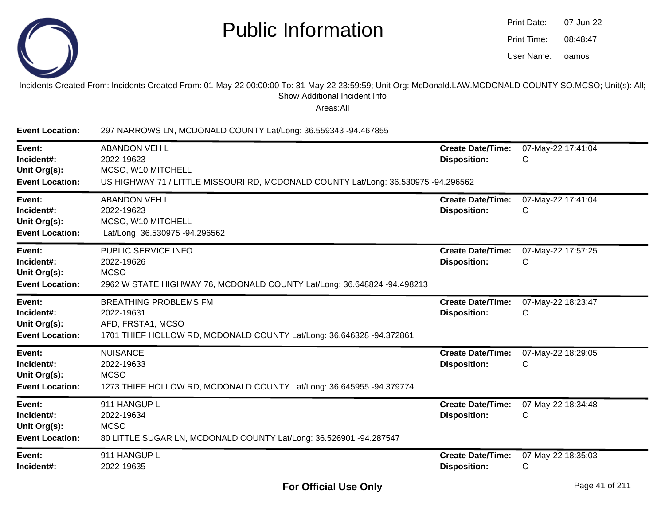

| Print Date: | 07-Jun-22 |
|-------------|-----------|
| Print Time: | 08:48:47  |
| User Name:  | oamos     |

#### Incidents Created From: Incidents Created From: 01-May-22 00:00:00 To: 31-May-22 23:59:59; Unit Org: McDonald.LAW.MCDONALD COUNTY SO.MCSO; Unit(s): All;Show Additional Incident Info

| <b>Event Location:</b>                                         | 297 NARROWS LN, MCDONALD COUNTY Lat/Long: 36.559343 -94.467855                                                                                 |                                                 |                         |
|----------------------------------------------------------------|------------------------------------------------------------------------------------------------------------------------------------------------|-------------------------------------------------|-------------------------|
| Event:<br>Incident#:<br>Unit Org(s):<br><b>Event Location:</b> | <b>ABANDON VEH L</b><br>2022-19623<br>MCSO, W10 MITCHELL<br>US HIGHWAY 71 / LITTLE MISSOURI RD, MCDONALD COUNTY Lat/Long: 36.530975 -94.296562 | <b>Create Date/Time:</b><br><b>Disposition:</b> | 07-May-22 17:41:04<br>C |
| Event:<br>Incident#:<br>Unit Org(s):<br><b>Event Location:</b> | <b>ABANDON VEH L</b><br>2022-19623<br>MCSO, W10 MITCHELL<br>Lat/Long: 36.530975 -94.296562                                                     | <b>Create Date/Time:</b><br><b>Disposition:</b> | 07-May-22 17:41:04<br>C |
| Event:<br>Incident#:<br>Unit Org(s):<br><b>Event Location:</b> | PUBLIC SERVICE INFO<br>2022-19626<br><b>MCSO</b><br>2962 W STATE HIGHWAY 76, MCDONALD COUNTY Lat/Long: 36.648824 -94.498213                    | <b>Create Date/Time:</b><br><b>Disposition:</b> | 07-May-22 17:57:25<br>C |
| Event:<br>Incident#:<br>Unit Org(s):<br><b>Event Location:</b> | <b>BREATHING PROBLEMS FM</b><br>2022-19631<br>AFD, FRSTA1, MCSO<br>1701 THIEF HOLLOW RD, MCDONALD COUNTY Lat/Long: 36.646328 -94.372861        | <b>Create Date/Time:</b><br><b>Disposition:</b> | 07-May-22 18:23:47<br>С |
| Event:<br>Incident#:<br>Unit Org(s):<br><b>Event Location:</b> | <b>NUISANCE</b><br>2022-19633<br><b>MCSO</b><br>1273 THIEF HOLLOW RD, MCDONALD COUNTY Lat/Long: 36.645955 -94.379774                           | <b>Create Date/Time:</b><br><b>Disposition:</b> | 07-May-22 18:29:05<br>С |
| Event:<br>Incident#:<br>Unit Org(s):<br><b>Event Location:</b> | 911 HANGUP L<br>2022-19634<br><b>MCSO</b><br>80 LITTLE SUGAR LN, MCDONALD COUNTY Lat/Long: 36.526901 -94.287547                                | <b>Create Date/Time:</b><br><b>Disposition:</b> | 07-May-22 18:34:48<br>C |
| Event:<br>Incident#:                                           | 911 HANGUP L<br>2022-19635                                                                                                                     | <b>Create Date/Time:</b><br><b>Disposition:</b> | 07-May-22 18:35:03<br>C |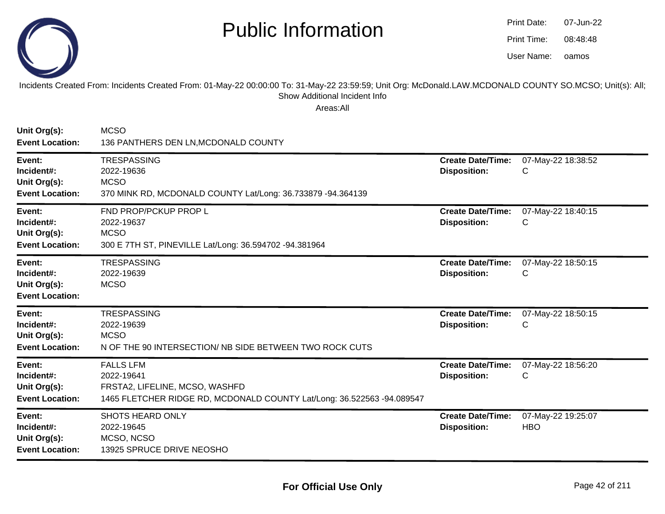

oamos07-Jun-2208:48:48Print Date:Print Time:User Name:

Incidents Created From: Incidents Created From: 01-May-22 00:00:00 To: 31-May-22 23:59:59; Unit Org: McDonald.LAW.MCDONALD COUNTY SO.MCSO; Unit(s): All; Show Additional Incident Info

| Unit Org(s):<br><b>Event Location:</b>                         | <b>MCSO</b><br>136 PANTHERS DEN LN, MCDONALD COUNTY                                                                                        |                                                 |                                  |
|----------------------------------------------------------------|--------------------------------------------------------------------------------------------------------------------------------------------|-------------------------------------------------|----------------------------------|
| Event:<br>Incident#:<br>Unit Org(s):<br><b>Event Location:</b> | <b>TRESPASSING</b><br>2022-19636<br><b>MCSO</b><br>370 MINK RD, MCDONALD COUNTY Lat/Long: 36.733879 -94.364139                             | <b>Create Date/Time:</b><br><b>Disposition:</b> | 07-May-22 18:38:52<br>C          |
| Event:<br>Incident#:<br>Unit Org(s):<br><b>Event Location:</b> | FND PROP/PCKUP PROP L<br>2022-19637<br><b>MCSO</b><br>300 E 7TH ST, PINEVILLE Lat/Long: 36.594702 -94.381964                               | <b>Create Date/Time:</b><br><b>Disposition:</b> | 07-May-22 18:40:15<br>C          |
| Event:<br>Incident#:<br>Unit Org(s):<br><b>Event Location:</b> | <b>TRESPASSING</b><br>2022-19639<br><b>MCSO</b>                                                                                            | <b>Create Date/Time:</b><br><b>Disposition:</b> | 07-May-22 18:50:15<br>C          |
| Event:<br>Incident#:<br>Unit Org(s):<br><b>Event Location:</b> | <b>TRESPASSING</b><br>2022-19639<br><b>MCSO</b><br>N OF THE 90 INTERSECTION/ NB SIDE BETWEEN TWO ROCK CUTS                                 | <b>Create Date/Time:</b><br><b>Disposition:</b> | 07-May-22 18:50:15<br>C          |
| Event:<br>Incident#:<br>Unit Org(s):<br><b>Event Location:</b> | <b>FALLS LFM</b><br>2022-19641<br>FRSTA2, LIFELINE, MCSO, WASHFD<br>1465 FLETCHER RIDGE RD, MCDONALD COUNTY Lat/Long: 36.522563 -94.089547 | <b>Create Date/Time:</b><br><b>Disposition:</b> | 07-May-22 18:56:20<br>C          |
| Event:<br>Incident#:<br>Unit Org(s):<br><b>Event Location:</b> | <b>SHOTS HEARD ONLY</b><br>2022-19645<br>MCSO, NCSO<br>13925 SPRUCE DRIVE NEOSHO                                                           | <b>Create Date/Time:</b><br><b>Disposition:</b> | 07-May-22 19:25:07<br><b>HBO</b> |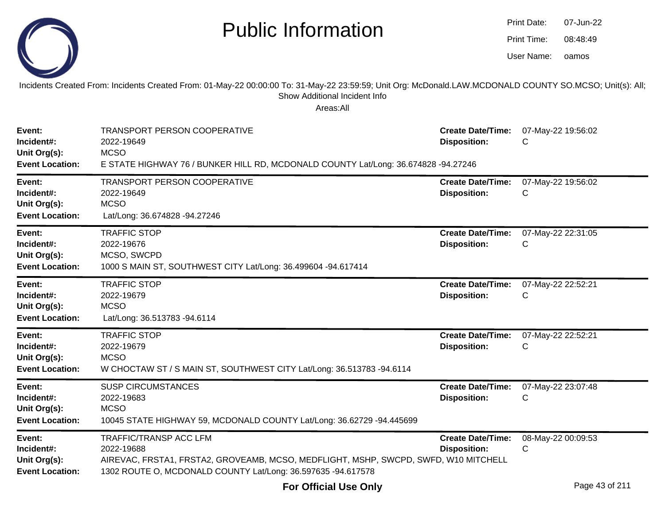|                                                                | <b>Public Information</b>                                                                                                                                                                              |                                                 | Print Date:<br>Print Time:<br>User Name: | 07-Jun-22<br>08:48:49<br>oamos |
|----------------------------------------------------------------|--------------------------------------------------------------------------------------------------------------------------------------------------------------------------------------------------------|-------------------------------------------------|------------------------------------------|--------------------------------|
|                                                                | Incidents Created From: Incidents Created From: 01-May-22 00:00:00 To: 31-May-22 23:59:59; Unit Org: McDonald.LAW.MCDONALD COUNTY SO.MCSO; Unit(s): All;<br>Show Additional Incident Info<br>Areas:All |                                                 |                                          |                                |
| Event:<br>Incident#:<br>Unit Org(s):<br><b>Event Location:</b> | <b>TRANSPORT PERSON COOPERATIVE</b><br>2022-19649<br><b>MCSO</b><br>E STATE HIGHWAY 76 / BUNKER HILL RD, MCDONALD COUNTY Lat/Long: 36.674828 -94.27246                                                 | <b>Create Date/Time:</b><br><b>Disposition:</b> | 07-May-22 19:56:02<br>C                  |                                |
| Event:<br>Incident#:<br>Unit Org(s):<br><b>Event Location:</b> | TRANSPORT PERSON COOPERATIVE<br>2022-19649<br><b>MCSO</b><br>Lat/Long: 36.674828 -94.27246                                                                                                             | <b>Create Date/Time:</b><br><b>Disposition:</b> | 07-May-22 19:56:02<br>C                  |                                |
| Event:<br>Incident#:<br>Unit Org(s):<br><b>Event Location:</b> | <b>TRAFFIC STOP</b><br>2022-19676<br>MCSO, SWCPD<br>1000 S MAIN ST, SOUTHWEST CITY Lat/Long: 36.499604 -94.617414                                                                                      | <b>Create Date/Time:</b><br><b>Disposition:</b> | 07-May-22 22:31:05<br>C                  |                                |
| Event:<br>Incident#:<br>Unit Org(s):<br><b>Event Location:</b> | <b>TRAFFIC STOP</b><br>2022-19679<br><b>MCSO</b><br>Lat/Long: 36.513783 -94.6114                                                                                                                       | <b>Create Date/Time:</b><br><b>Disposition:</b> | 07-May-22 22:52:21<br>C                  |                                |
| Event:<br>Incident#:<br>Unit Org(s):<br><b>Event Location:</b> | <b>TRAFFIC STOP</b><br>2022-19679<br><b>MCSO</b><br>W CHOCTAW ST / S MAIN ST, SOUTHWEST CITY Lat/Long: 36.513783 -94.6114                                                                              | <b>Create Date/Time:</b><br><b>Disposition:</b> | 07-May-22 22:52:21<br>С                  |                                |
| Event:<br>Incident#:<br>Unit Org(s):<br><b>Event Location:</b> | <b>SUSP CIRCUMSTANCES</b><br>2022-19683<br><b>MCSO</b><br>10045 STATE HIGHWAY 59, MCDONALD COUNTY Lat/Long: 36.62729 -94.445699                                                                        | <b>Create Date/Time:</b><br><b>Disposition:</b> | 07-May-22 23:07:48<br>C                  |                                |
| Event:<br>Incident#:<br>Unit Org(s):<br><b>Event Location:</b> | <b>TRAFFIC/TRANSP ACC LFM</b><br>2022-19688<br>AIREVAC, FRSTA1, FRSTA2, GROVEAMB, MCSO, MEDFLIGHT, MSHP, SWCPD, SWFD, W10 MITCHELL<br>1302 ROUTE O, MCDONALD COUNTY Lat/Long: 36.597635 -94.617578     | <b>Create Date/Time:</b><br><b>Disposition:</b> | 08-May-22 00:09:53<br>C                  |                                |

**Contract Contract Contract Contract** 

07-Jun-22

Print Date: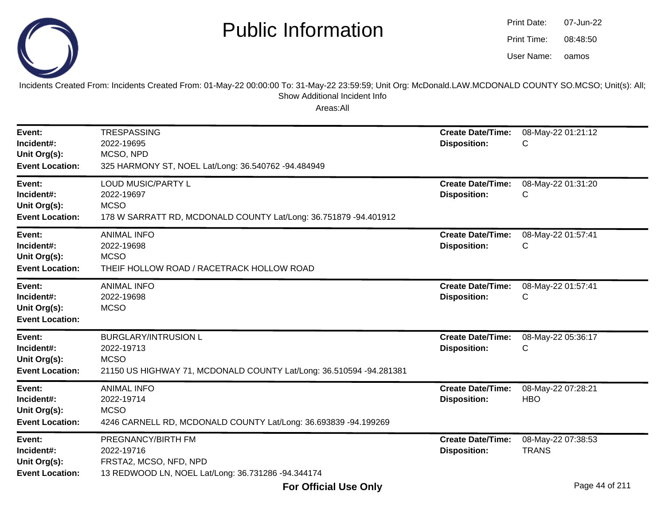

oamos07-Jun-2208:48:50Print Date:Print Time:User Name:

Incidents Created From: Incidents Created From: 01-May-22 00:00:00 To: 31-May-22 23:59:59; Unit Org: McDonald.LAW.MCDONALD COUNTY SO.MCSO; Unit(s): All; Show Additional Incident Info

| Event:<br>Incident#:<br>Unit Org(s):<br><b>Event Location:</b> | <b>TRESPASSING</b><br>2022-19695<br>MCSO, NPD<br>325 HARMONY ST, NOEL Lat/Long: 36.540762 -94.484949                            | <b>Create Date/Time:</b><br><b>Disposition:</b> | 08-May-22 01:21:12<br>С            |
|----------------------------------------------------------------|---------------------------------------------------------------------------------------------------------------------------------|-------------------------------------------------|------------------------------------|
| Event:<br>Incident#:<br>Unit Org(s):<br><b>Event Location:</b> | <b>LOUD MUSIC/PARTY L</b><br>2022-19697<br><b>MCSO</b><br>178 W SARRATT RD, MCDONALD COUNTY Lat/Long: 36.751879 -94.401912      | <b>Create Date/Time:</b><br><b>Disposition:</b> | 08-May-22 01:31:20<br>С            |
| Event:<br>Incident#:<br>Unit Org(s):<br><b>Event Location:</b> | <b>ANIMAL INFO</b><br>2022-19698<br><b>MCSO</b><br>THEIF HOLLOW ROAD / RACETRACK HOLLOW ROAD                                    | <b>Create Date/Time:</b><br><b>Disposition:</b> | 08-May-22 01:57:41<br>С            |
| Event:<br>Incident#:<br>Unit Org(s):<br><b>Event Location:</b> | <b>ANIMAL INFO</b><br>2022-19698<br><b>MCSO</b>                                                                                 | <b>Create Date/Time:</b><br><b>Disposition:</b> | 08-May-22 01:57:41<br>С            |
| Event:<br>Incident#:<br>Unit Org(s):<br><b>Event Location:</b> | <b>BURGLARY/INTRUSION L</b><br>2022-19713<br><b>MCSO</b><br>21150 US HIGHWAY 71, MCDONALD COUNTY Lat/Long: 36.510594 -94.281381 | <b>Create Date/Time:</b><br><b>Disposition:</b> | 08-May-22 05:36:17<br>С            |
| Event:<br>Incident#:<br>Unit Org(s):<br><b>Event Location:</b> | <b>ANIMAL INFO</b><br>2022-19714<br><b>MCSO</b><br>4246 CARNELL RD, MCDONALD COUNTY Lat/Long: 36.693839 -94.199269              | <b>Create Date/Time:</b><br><b>Disposition:</b> | 08-May-22 07:28:21<br><b>HBO</b>   |
| Event:<br>Incident#:<br>Unit Org(s):<br><b>Event Location:</b> | PREGNANCY/BIRTH FM<br>2022-19716<br>FRSTA2, MCSO, NFD, NPD<br>13 REDWOOD LN, NOEL Lat/Long: 36.731286 -94.344174                | <b>Create Date/Time:</b><br><b>Disposition:</b> | 08-May-22 07:38:53<br><b>TRANS</b> |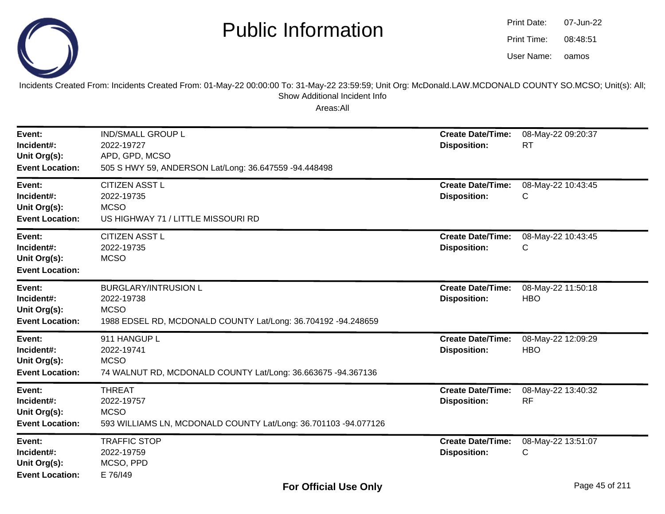

oamos07-Jun-2208:48:51Print Date:Print Time:User Name:

Incidents Created From: Incidents Created From: 01-May-22 00:00:00 To: 31-May-22 23:59:59; Unit Org: McDonald.LAW.MCDONALD COUNTY SO.MCSO; Unit(s): All; Show Additional Incident Info

| Event:<br>Incident#:<br>Unit Org(s):<br><b>Event Location:</b> | <b>IND/SMALL GROUP L</b><br>2022-19727<br>APD, GPD, MCSO<br>505 S HWY 59, ANDERSON Lat/Long: 36.647559 -94.448498         | <b>Create Date/Time:</b><br><b>Disposition:</b> | 08-May-22 09:20:37<br><b>RT</b>  |
|----------------------------------------------------------------|---------------------------------------------------------------------------------------------------------------------------|-------------------------------------------------|----------------------------------|
| Event:<br>Incident#:<br>Unit Org(s):<br><b>Event Location:</b> | <b>CITIZEN ASST L</b><br>2022-19735<br><b>MCSO</b><br>US HIGHWAY 71 / LITTLE MISSOURI RD                                  | <b>Create Date/Time:</b><br><b>Disposition:</b> | 08-May-22 10:43:45<br>С          |
| Event:<br>Incident#:<br>Unit Org(s):<br><b>Event Location:</b> | <b>CITIZEN ASST L</b><br>2022-19735<br><b>MCSO</b>                                                                        | <b>Create Date/Time:</b><br><b>Disposition:</b> | 08-May-22 10:43:45<br>С          |
| Event:<br>Incident#:<br>Unit Org(s):<br><b>Event Location:</b> | <b>BURGLARY/INTRUSION L</b><br>2022-19738<br><b>MCSO</b><br>1988 EDSEL RD, MCDONALD COUNTY Lat/Long: 36.704192 -94.248659 | <b>Create Date/Time:</b><br><b>Disposition:</b> | 08-May-22 11:50:18<br><b>HBO</b> |
| Event:<br>Incident#:<br>Unit Org(s):<br><b>Event Location:</b> | 911 HANGUP L<br>2022-19741<br><b>MCSO</b><br>74 WALNUT RD, MCDONALD COUNTY Lat/Long: 36.663675 -94.367136                 | <b>Create Date/Time:</b><br><b>Disposition:</b> | 08-May-22 12:09:29<br><b>HBO</b> |
| Event:<br>Incident#:<br>Unit Org(s):<br><b>Event Location:</b> | <b>THREAT</b><br>2022-19757<br><b>MCSO</b><br>593 WILLIAMS LN, MCDONALD COUNTY Lat/Long: 36.701103 -94.077126             | <b>Create Date/Time:</b><br><b>Disposition:</b> | 08-May-22 13:40:32<br><b>RF</b>  |
| Event:<br>Incident#:<br>Unit Org(s):<br><b>Event Location:</b> | <b>TRAFFIC STOP</b><br>2022-19759<br>MCSO, PPD<br>E 76/149                                                                | <b>Create Date/Time:</b><br><b>Disposition:</b> | 08-May-22 13:51:07<br>С          |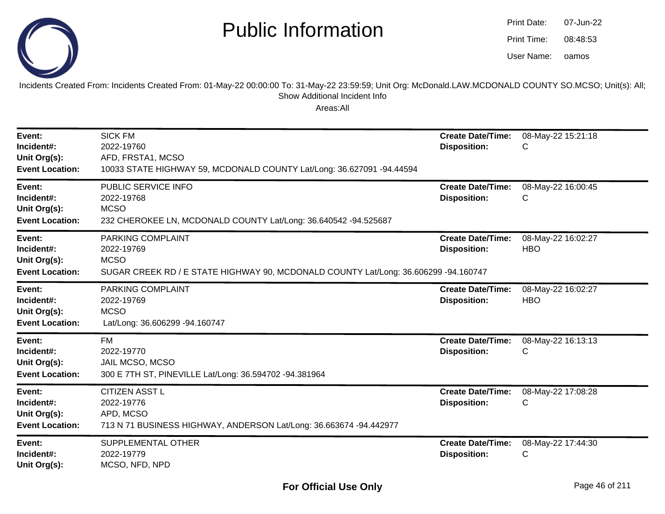

| <b>Print Date:</b> | 07-Jun-22 |
|--------------------|-----------|
| Print Time:        | 08:48:53  |
| User Name:         | oamos     |

Incidents Created From: Incidents Created From: 01-May-22 00:00:00 To: 31-May-22 23:59:59; Unit Org: McDonald.LAW.MCDONALD COUNTY SO.MCSO; Unit(s): All; Show Additional Incident Info

| Event:<br>Incident#:<br>Unit Org(s):<br><b>Event Location:</b> | <b>SICK FM</b><br>2022-19760<br>AFD, FRSTA1, MCSO<br>10033 STATE HIGHWAY 59, MCDONALD COUNTY Lat/Long: 36.627091 -94.44594            | <b>Create Date/Time:</b><br><b>Disposition:</b> | 08-May-22 15:21:18<br>C          |
|----------------------------------------------------------------|---------------------------------------------------------------------------------------------------------------------------------------|-------------------------------------------------|----------------------------------|
| Event:<br>Incident#:<br>Unit Org(s):<br><b>Event Location:</b> | PUBLIC SERVICE INFO<br>2022-19768<br><b>MCSO</b><br>232 CHEROKEE LN, MCDONALD COUNTY Lat/Long: 36.640542 -94.525687                   | <b>Create Date/Time:</b><br><b>Disposition:</b> | 08-May-22 16:00:45<br>C.         |
| Event:<br>Incident#:<br>Unit Org(s):<br><b>Event Location:</b> | PARKING COMPLAINT<br>2022-19769<br><b>MCSO</b><br>SUGAR CREEK RD / E STATE HIGHWAY 90, MCDONALD COUNTY Lat/Long: 36.606299 -94.160747 | <b>Create Date/Time:</b><br><b>Disposition:</b> | 08-May-22 16:02:27<br><b>HBO</b> |
| Event:<br>Incident#:<br>Unit Org(s):<br><b>Event Location:</b> | PARKING COMPLAINT<br>2022-19769<br><b>MCSO</b><br>Lat/Long: 36.606299 -94.160747                                                      | <b>Create Date/Time:</b><br><b>Disposition:</b> | 08-May-22 16:02:27<br><b>HBO</b> |
| Event:<br>Incident#:<br>Unit Org(s):<br><b>Event Location:</b> | <b>FM</b><br>2022-19770<br>JAIL MCSO, MCSO<br>300 E 7TH ST, PINEVILLE Lat/Long: 36.594702 -94.381964                                  | <b>Create Date/Time:</b><br><b>Disposition:</b> | 08-May-22 16:13:13<br>C          |
| Event:<br>Incident#:<br>Unit Org(s):<br><b>Event Location:</b> | <b>CITIZEN ASST L</b><br>2022-19776<br>APD, MCSO<br>713 N 71 BUSINESS HIGHWAY, ANDERSON Lat/Long: 36.663674 -94.442977                | <b>Create Date/Time:</b><br><b>Disposition:</b> | 08-May-22 17:08:28<br>С          |
| Event:<br>Incident#:<br>Unit Org(s):                           | SUPPLEMENTAL OTHER<br>2022-19779<br>MCSO, NFD, NPD                                                                                    | <b>Create Date/Time:</b><br><b>Disposition:</b> | 08-May-22 17:44:30<br>С          |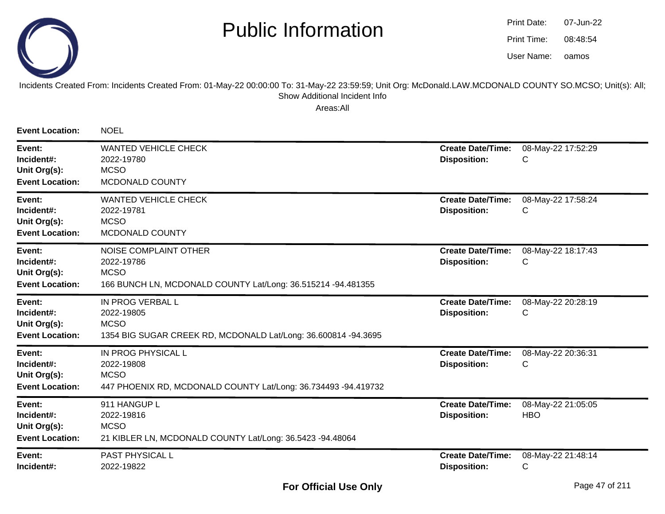

oamos07-Jun-2208:48:54Print Date:Print Time:User Name:

#### Incidents Created From: Incidents Created From: 01-May-22 00:00:00 To: 31-May-22 23:59:59; Unit Org: McDonald.LAW.MCDONALD COUNTY SO.MCSO; Unit(s): All; Show Additional Incident Info

| <b>Event Location:</b>                                         | <b>NOEL</b>                                                                                                               |                                                 |                                  |
|----------------------------------------------------------------|---------------------------------------------------------------------------------------------------------------------------|-------------------------------------------------|----------------------------------|
| Event:<br>Incident#:<br>Unit Org(s):<br><b>Event Location:</b> | <b>WANTED VEHICLE CHECK</b><br>2022-19780<br><b>MCSO</b><br>MCDONALD COUNTY                                               | <b>Create Date/Time:</b><br><b>Disposition:</b> | 08-May-22 17:52:29<br>С          |
| Event:<br>Incident#:<br>Unit Org(s):<br><b>Event Location:</b> | <b>WANTED VEHICLE CHECK</b><br>2022-19781<br><b>MCSO</b><br>MCDONALD COUNTY                                               | <b>Create Date/Time:</b><br><b>Disposition:</b> | 08-May-22 17:58:24<br>С          |
| Event:<br>Incident#:<br>Unit Org(s):<br><b>Event Location:</b> | <b>NOISE COMPLAINT OTHER</b><br>2022-19786<br><b>MCSO</b><br>166 BUNCH LN, MCDONALD COUNTY Lat/Long: 36.515214 -94.481355 | <b>Create Date/Time:</b><br><b>Disposition:</b> | 08-May-22 18:17:43<br>С          |
| Event:<br>Incident#:<br>Unit Org(s):<br><b>Event Location:</b> | IN PROG VERBAL L<br>2022-19805<br><b>MCSO</b><br>1354 BIG SUGAR CREEK RD, MCDONALD Lat/Long: 36.600814 -94.3695           | <b>Create Date/Time:</b><br><b>Disposition:</b> | 08-May-22 20:28:19<br>С          |
| Event:<br>Incident#:<br>Unit Org(s):<br><b>Event Location:</b> | IN PROG PHYSICAL L<br>2022-19808<br><b>MCSO</b><br>447 PHOENIX RD, MCDONALD COUNTY Lat/Long: 36.734493 -94.419732         | <b>Create Date/Time:</b><br><b>Disposition:</b> | 08-May-22 20:36:31<br>С          |
| Event:<br>Incident#:<br>Unit Org(s):<br><b>Event Location:</b> | 911 HANGUP L<br>2022-19816<br><b>MCSO</b><br>21 KIBLER LN, MCDONALD COUNTY Lat/Long: 36.5423 -94.48064                    | <b>Create Date/Time:</b><br><b>Disposition:</b> | 08-May-22 21:05:05<br><b>HBO</b> |
| Event:<br>Incident#:                                           | PAST PHYSICAL L<br>2022-19822                                                                                             | <b>Create Date/Time:</b><br><b>Disposition:</b> | 08-May-22 21:48:14<br>С          |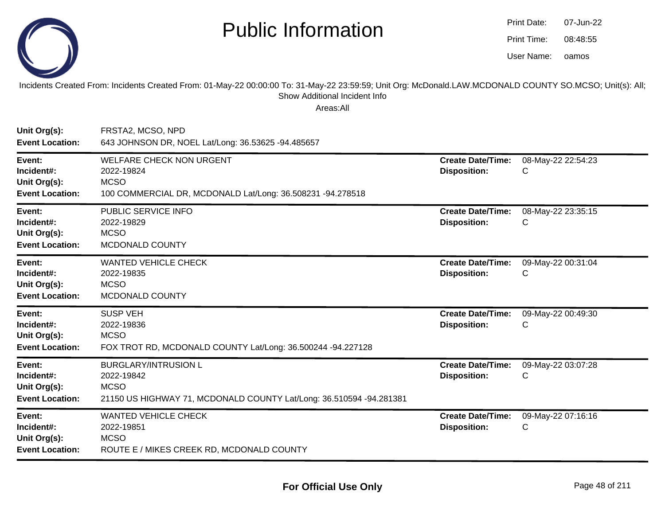

| Print Date: | 07-Jun-22 |
|-------------|-----------|
| Print Time: | 08:48:55  |
| User Name:  | oamos     |

Incidents Created From: Incidents Created From: 01-May-22 00:00:00 To: 31-May-22 23:59:59; Unit Org: McDonald.LAW.MCDONALD COUNTY SO.MCSO; Unit(s): All; Show Additional Incident Info

| Unit Org(s):<br><b>Event Location:</b>                         | FRSTA2, MCSO, NPD<br>643 JOHNSON DR, NOEL Lat/Long: 36.53625 -94.485657                                                         |                                                 |                         |
|----------------------------------------------------------------|---------------------------------------------------------------------------------------------------------------------------------|-------------------------------------------------|-------------------------|
| Event:<br>Incident#:<br>Unit Org(s):<br><b>Event Location:</b> | <b>WELFARE CHECK NON URGENT</b><br>2022-19824<br><b>MCSO</b><br>100 COMMERCIAL DR, MCDONALD Lat/Long: 36.508231 -94.278518      | <b>Create Date/Time:</b><br><b>Disposition:</b> | 08-May-22 22:54:23<br>C |
| Event:<br>Incident#:<br>Unit Org(s):<br><b>Event Location:</b> | PUBLIC SERVICE INFO<br>2022-19829<br><b>MCSO</b><br>MCDONALD COUNTY                                                             | <b>Create Date/Time:</b><br><b>Disposition:</b> | 08-May-22 23:35:15<br>C |
| Event:<br>Incident#:<br>Unit Org(s):<br><b>Event Location:</b> | <b>WANTED VEHICLE CHECK</b><br>2022-19835<br><b>MCSO</b><br>MCDONALD COUNTY                                                     | <b>Create Date/Time:</b><br><b>Disposition:</b> | 09-May-22 00:31:04<br>C |
| Event:<br>Incident#:<br>Unit Org(s):<br><b>Event Location:</b> | <b>SUSP VEH</b><br>2022-19836<br><b>MCSO</b><br>FOX TROT RD, MCDONALD COUNTY Lat/Long: 36.500244 -94.227128                     | <b>Create Date/Time:</b><br><b>Disposition:</b> | 09-May-22 00:49:30<br>C |
| Event:<br>Incident#:<br>Unit Org(s):<br><b>Event Location:</b> | <b>BURGLARY/INTRUSION L</b><br>2022-19842<br><b>MCSO</b><br>21150 US HIGHWAY 71, MCDONALD COUNTY Lat/Long: 36.510594 -94.281381 | <b>Create Date/Time:</b><br><b>Disposition:</b> | 09-May-22 03:07:28<br>C |
| Event:<br>Incident#:<br>Unit Org(s):<br><b>Event Location:</b> | <b>WANTED VEHICLE CHECK</b><br>2022-19851<br><b>MCSO</b><br>ROUTE E / MIKES CREEK RD, MCDONALD COUNTY                           | <b>Create Date/Time:</b><br><b>Disposition:</b> | 09-May-22 07:16:16<br>C |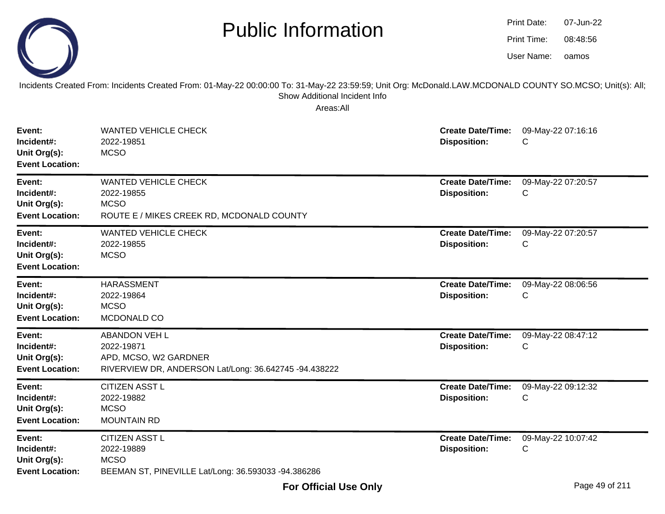|--|

| Print Date: | 07-Jun-22 |
|-------------|-----------|
| Print Time: | 08:48:56  |
| User Name:  | oamos     |

Incidents Created From: Incidents Created From: 01-May-22 00:00:00 To: 31-May-22 23:59:59; Unit Org: McDonald.LAW.MCDONALD COUNTY SO.MCSO; Unit(s): All; Show Additional Incident Info

| Event:<br>Incident#:<br>Unit Org(s):<br><b>Event Location:</b> | <b>WANTED VEHICLE CHECK</b><br>2022-19851<br><b>MCSO</b>                                                             | <b>Create Date/Time:</b><br><b>Disposition:</b> | 09-May-22 07:16:16<br>C |
|----------------------------------------------------------------|----------------------------------------------------------------------------------------------------------------------|-------------------------------------------------|-------------------------|
| Event:<br>Incident#:<br>Unit Org(s):<br><b>Event Location:</b> | <b>WANTED VEHICLE CHECK</b><br>2022-19855<br><b>MCSO</b><br>ROUTE E / MIKES CREEK RD, MCDONALD COUNTY                | <b>Create Date/Time:</b><br><b>Disposition:</b> | 09-May-22 07:20:57<br>C |
| Event:<br>Incident#:<br>Unit Org(s):<br><b>Event Location:</b> | <b>WANTED VEHICLE CHECK</b><br>2022-19855<br><b>MCSO</b>                                                             | <b>Create Date/Time:</b><br><b>Disposition:</b> | 09-May-22 07:20:57<br>С |
| Event:<br>Incident#:<br>Unit Org(s):<br><b>Event Location:</b> | <b>HARASSMENT</b><br>2022-19864<br><b>MCSO</b><br>MCDONALD CO                                                        | <b>Create Date/Time:</b><br><b>Disposition:</b> | 09-May-22 08:06:56<br>C |
| Event:<br>Incident#:<br>Unit Org(s):<br><b>Event Location:</b> | <b>ABANDON VEH L</b><br>2022-19871<br>APD, MCSO, W2 GARDNER<br>RIVERVIEW DR, ANDERSON Lat/Long: 36.642745 -94.438222 | <b>Create Date/Time:</b><br><b>Disposition:</b> | 09-May-22 08:47:12<br>С |
| Event:<br>Incident#:<br>Unit Org(s):<br><b>Event Location:</b> | <b>CITIZEN ASST L</b><br>2022-19882<br><b>MCSO</b><br><b>MOUNTAIN RD</b>                                             | <b>Create Date/Time:</b><br><b>Disposition:</b> | 09-May-22 09:12:32<br>C |
| Event:<br>Incident#:<br>Unit Org(s):<br><b>Event Location:</b> | <b>CITIZEN ASST L</b><br>2022-19889<br><b>MCSO</b><br>BEEMAN ST, PINEVILLE Lat/Long: 36.593033 -94.386286            | <b>Create Date/Time:</b><br><b>Disposition:</b> | 09-May-22 10:07:42<br>С |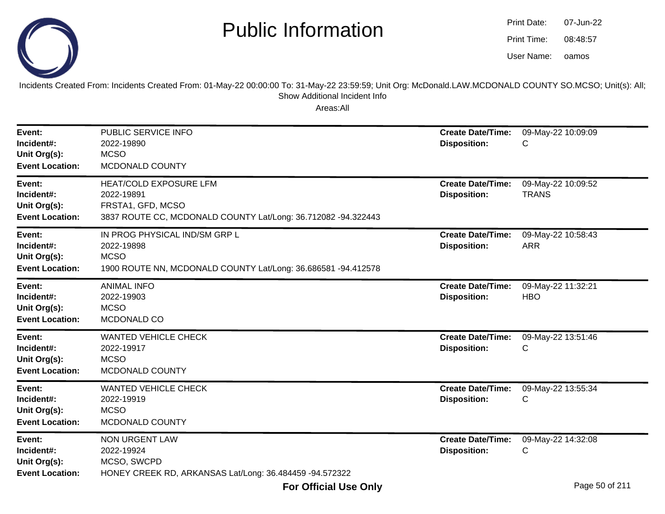

| Print Date: | 07-Jun-22 |
|-------------|-----------|
| Print Time: | 08:48:57  |
| User Name:  | oamos     |

Incidents Created From: Incidents Created From: 01-May-22 00:00:00 To: 31-May-22 23:59:59; Unit Org: McDonald.LAW.MCDONALD COUNTY SO.MCSO; Unit(s): All; Show Additional Incident Info

| Event:<br>Incident#:<br>Unit Org(s):<br><b>Event Location:</b> | PUBLIC SERVICE INFO<br>2022-19890<br><b>MCSO</b><br>MCDONALD COUNTY                                                               | <b>Create Date/Time:</b><br><b>Disposition:</b> | 09-May-22 10:09:09<br>С            |
|----------------------------------------------------------------|-----------------------------------------------------------------------------------------------------------------------------------|-------------------------------------------------|------------------------------------|
| Event:<br>Incident#:<br>Unit Org(s):<br><b>Event Location:</b> | <b>HEAT/COLD EXPOSURE LFM</b><br>2022-19891<br>FRSTA1, GFD, MCSO<br>3837 ROUTE CC, MCDONALD COUNTY Lat/Long: 36.712082 -94.322443 | <b>Create Date/Time:</b><br><b>Disposition:</b> | 09-May-22 10:09:52<br><b>TRANS</b> |
| Event:<br>Incident#:<br>Unit Org(s):<br><b>Event Location:</b> | IN PROG PHYSICAL IND/SM GRP L<br>2022-19898<br><b>MCSO</b><br>1900 ROUTE NN, MCDONALD COUNTY Lat/Long: 36.686581 -94.412578       | <b>Create Date/Time:</b><br><b>Disposition:</b> | 09-May-22 10:58:43<br><b>ARR</b>   |
| Event:<br>Incident#:<br>Unit Org(s):<br><b>Event Location:</b> | <b>ANIMAL INFO</b><br>2022-19903<br><b>MCSO</b><br>MCDONALD CO                                                                    | <b>Create Date/Time:</b><br><b>Disposition:</b> | 09-May-22 11:32:21<br><b>HBO</b>   |
| Event:<br>Incident#:<br>Unit Org(s):<br><b>Event Location:</b> | <b>WANTED VEHICLE CHECK</b><br>2022-19917<br><b>MCSO</b><br>MCDONALD COUNTY                                                       | <b>Create Date/Time:</b><br><b>Disposition:</b> | 09-May-22 13:51:46<br>С            |
| Event:<br>Incident#:<br>Unit Org(s):<br><b>Event Location:</b> | <b>WANTED VEHICLE CHECK</b><br>2022-19919<br><b>MCSO</b><br>MCDONALD COUNTY                                                       | <b>Create Date/Time:</b><br><b>Disposition:</b> | 09-May-22 13:55:34<br>C            |
| Event:<br>Incident#:<br>Unit Org(s):<br><b>Event Location:</b> | <b>NON URGENT LAW</b><br>2022-19924<br>MCSO, SWCPD<br>HONEY CREEK RD, ARKANSAS Lat/Long: 36.484459 -94.572322                     | <b>Create Date/Time:</b><br><b>Disposition:</b> | 09-May-22 14:32:08<br>С            |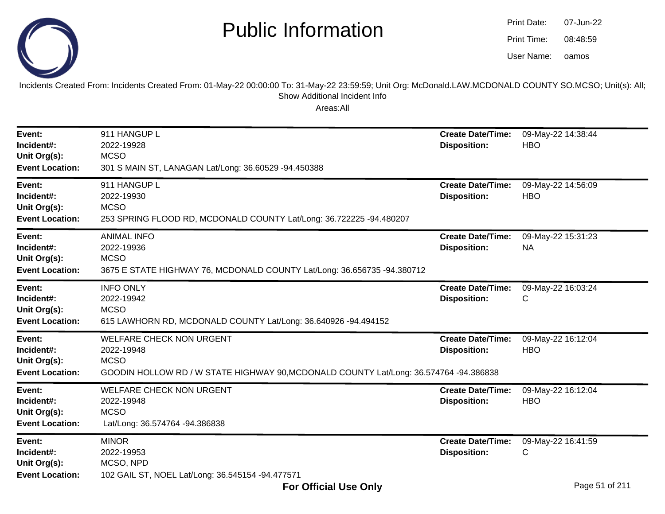

oamos07-Jun-2208:48:59Print Date:Print Time:User Name:

Incidents Created From: Incidents Created From: 01-May-22 00:00:00 To: 31-May-22 23:59:59; Unit Org: McDonald.LAW.MCDONALD COUNTY SO.MCSO; Unit(s): All; Show Additional Incident Info

| Event:<br>Incident#:<br>Unit Org(s):<br><b>Event Location:</b> | 911 HANGUP L<br>2022-19928<br><b>MCSO</b><br>301 S MAIN ST, LANAGAN Lat/Long: 36.60529 -94.450388                                                     | <b>Create Date/Time:</b><br><b>Disposition:</b> | 09-May-22 14:38:44<br><b>HBO</b> |
|----------------------------------------------------------------|-------------------------------------------------------------------------------------------------------------------------------------------------------|-------------------------------------------------|----------------------------------|
| Event:<br>Incident#:<br>Unit Org(s):<br><b>Event Location:</b> | 911 HANGUP L<br>2022-19930<br><b>MCSO</b><br>253 SPRING FLOOD RD, MCDONALD COUNTY Lat/Long: 36.722225 -94.480207                                      | <b>Create Date/Time:</b><br><b>Disposition:</b> | 09-May-22 14:56:09<br><b>HBO</b> |
| Event:<br>Incident#:<br>Unit Org(s):<br><b>Event Location:</b> | <b>ANIMAL INFO</b><br>2022-19936<br><b>MCSO</b><br>3675 E STATE HIGHWAY 76, MCDONALD COUNTY Lat/Long: 36.656735 -94.380712                            | <b>Create Date/Time:</b><br><b>Disposition:</b> | 09-May-22 15:31:23<br><b>NA</b>  |
| Event:<br>Incident#:<br>Unit Org(s):<br><b>Event Location:</b> | <b>INFO ONLY</b><br>2022-19942<br><b>MCSO</b><br>615 LAWHORN RD, MCDONALD COUNTY Lat/Long: 36.640926 -94.494152                                       | <b>Create Date/Time:</b><br><b>Disposition:</b> | 09-May-22 16:03:24<br>С          |
| Event:<br>Incident#:<br>Unit Org(s):<br><b>Event Location:</b> | <b>WELFARE CHECK NON URGENT</b><br>2022-19948<br><b>MCSO</b><br>GOODIN HOLLOW RD / W STATE HIGHWAY 90, MCDONALD COUNTY Lat/Long: 36.574764 -94.386838 | <b>Create Date/Time:</b><br><b>Disposition:</b> | 09-May-22 16:12:04<br><b>HBO</b> |
| Event:<br>Incident#:<br>Unit Org(s):<br><b>Event Location:</b> | <b>WELFARE CHECK NON URGENT</b><br>2022-19948<br><b>MCSO</b><br>Lat/Long: 36.574764 -94.386838                                                        | <b>Create Date/Time:</b><br><b>Disposition:</b> | 09-May-22 16:12:04<br><b>HBO</b> |
| Event:<br>Incident#:<br>Unit Org(s):<br><b>Event Location:</b> | <b>MINOR</b><br>2022-19953<br>MCSO, NPD<br>102 GAIL ST, NOEL Lat/Long: 36.545154 -94.477571                                                           | <b>Create Date/Time:</b><br><b>Disposition:</b> | 09-May-22 16:41:59<br>С          |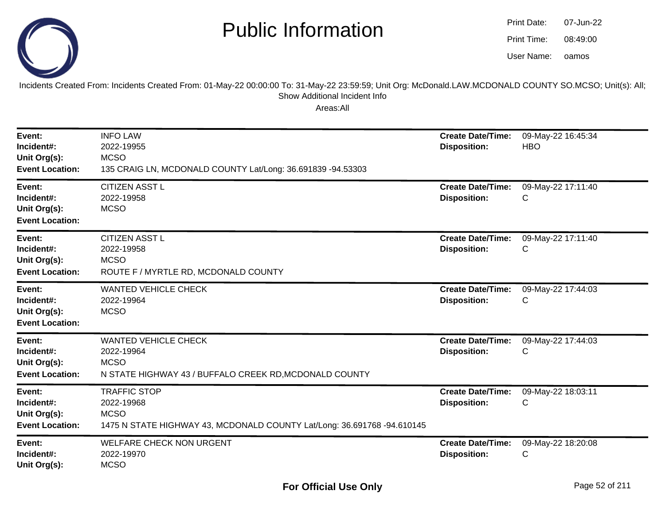

| Print Date: | 07-Jun-22 |
|-------------|-----------|
| Print Time: | 08:49:00  |
| User Name:  | oamos     |

Incidents Created From: Incidents Created From: 01-May-22 00:00:00 To: 31-May-22 23:59:59; Unit Org: McDonald.LAW.MCDONALD COUNTY SO.MCSO; Unit(s): All; Show Additional Incident Info

| Event:<br>Incident#:<br>Unit Org(s):<br><b>Event Location:</b> | <b>INFO LAW</b><br>2022-19955<br><b>MCSO</b><br>135 CRAIG LN, MCDONALD COUNTY Lat/Long: 36.691839 -94.53303                 | <b>Create Date/Time:</b><br><b>Disposition:</b> | 09-May-22 16:45:34<br><b>HBO</b> |
|----------------------------------------------------------------|-----------------------------------------------------------------------------------------------------------------------------|-------------------------------------------------|----------------------------------|
| Event:<br>Incident#:<br>Unit Org(s):<br><b>Event Location:</b> | <b>CITIZEN ASST L</b><br>2022-19958<br><b>MCSO</b>                                                                          | <b>Create Date/Time:</b><br><b>Disposition:</b> | 09-May-22 17:11:40<br>С          |
| Event:<br>Incident#:<br>Unit Org(s):<br><b>Event Location:</b> | <b>CITIZEN ASST L</b><br>2022-19958<br><b>MCSO</b><br>ROUTE F / MYRTLE RD, MCDONALD COUNTY                                  | <b>Create Date/Time:</b><br><b>Disposition:</b> | 09-May-22 17:11:40<br>С          |
| Event:<br>Incident#:<br>Unit Org(s):<br><b>Event Location:</b> | <b>WANTED VEHICLE CHECK</b><br>2022-19964<br><b>MCSO</b>                                                                    | <b>Create Date/Time:</b><br><b>Disposition:</b> | 09-May-22 17:44:03<br>С          |
| Event:<br>Incident#:<br>Unit Org(s):<br><b>Event Location:</b> | <b>WANTED VEHICLE CHECK</b><br>2022-19964<br><b>MCSO</b><br>N STATE HIGHWAY 43 / BUFFALO CREEK RD, MCDONALD COUNTY          | <b>Create Date/Time:</b><br><b>Disposition:</b> | 09-May-22 17:44:03<br>С          |
| Event:<br>Incident#:<br>Unit Org(s):<br><b>Event Location:</b> | <b>TRAFFIC STOP</b><br>2022-19968<br><b>MCSO</b><br>1475 N STATE HIGHWAY 43, MCDONALD COUNTY Lat/Long: 36.691768 -94.610145 | <b>Create Date/Time:</b><br><b>Disposition:</b> | 09-May-22 18:03:11<br>С          |
| Event:<br>Incident#:<br>Unit Org(s):                           | <b>WELFARE CHECK NON URGENT</b><br>2022-19970<br><b>MCSO</b>                                                                | <b>Create Date/Time:</b><br><b>Disposition:</b> | 09-May-22 18:20:08<br>С          |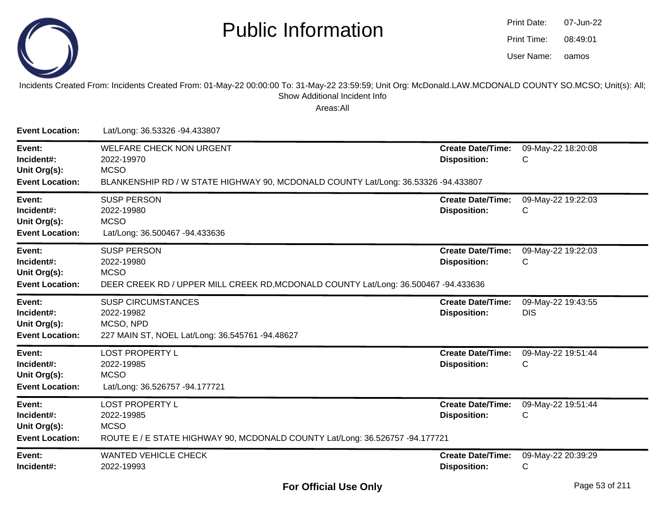

| Print Date: | 07-Jun-22 |
|-------------|-----------|
| Print Time: | 08:49:01  |
| User Name:  | oamos     |

#### Incidents Created From: Incidents Created From: 01-May-22 00:00:00 To: 31-May-22 23:59:59; Unit Org: McDonald.LAW.MCDONALD COUNTY SO.MCSO; Unit(s): All; Show Additional Incident Info

| <b>Event Location:</b>                                         | Lat/Long: 36.53326 -94.433807                                                                                                                      |                                                 |                                  |
|----------------------------------------------------------------|----------------------------------------------------------------------------------------------------------------------------------------------------|-------------------------------------------------|----------------------------------|
| Event:<br>Incident#:<br>Unit Org(s):<br><b>Event Location:</b> | <b>WELFARE CHECK NON URGENT</b><br>2022-19970<br><b>MCSO</b><br>BLANKENSHIP RD / W STATE HIGHWAY 90, MCDONALD COUNTY Lat/Long: 36.53326 -94.433807 | <b>Create Date/Time:</b><br><b>Disposition:</b> | 09-May-22 18:20:08<br>C          |
| Event:<br>Incident#:<br>Unit Org(s):<br><b>Event Location:</b> | <b>SUSP PERSON</b><br>2022-19980<br><b>MCSO</b><br>Lat/Long: 36.500467 -94.433636                                                                  | <b>Create Date/Time:</b><br><b>Disposition:</b> | 09-May-22 19:22:03<br>C          |
| Event:<br>Incident#:<br>Unit Org(s):<br><b>Event Location:</b> | <b>SUSP PERSON</b><br>2022-19980<br><b>MCSO</b><br>DEER CREEK RD / UPPER MILL CREEK RD, MCDONALD COUNTY Lat/Long: 36.500467 -94.433636             | <b>Create Date/Time:</b><br><b>Disposition:</b> | 09-May-22 19:22:03<br>C          |
| Event:<br>Incident#:<br>Unit Org(s):<br><b>Event Location:</b> | <b>SUSP CIRCUMSTANCES</b><br>2022-19982<br>MCSO, NPD<br>227 MAIN ST, NOEL Lat/Long: 36.545761 -94.48627                                            | <b>Create Date/Time:</b><br><b>Disposition:</b> | 09-May-22 19:43:55<br><b>DIS</b> |
| Event:<br>Incident#:<br>Unit Org(s):<br><b>Event Location:</b> | <b>LOST PROPERTY L</b><br>2022-19985<br><b>MCSO</b><br>Lat/Long: 36.526757 -94.177721                                                              | <b>Create Date/Time:</b><br><b>Disposition:</b> | 09-May-22 19:51:44<br>C          |
| Event:<br>Incident#:<br>Unit Org(s):<br><b>Event Location:</b> | <b>LOST PROPERTY L</b><br>2022-19985<br><b>MCSO</b><br>ROUTE E / E STATE HIGHWAY 90, MCDONALD COUNTY Lat/Long: 36.526757 -94.177721                | <b>Create Date/Time:</b><br><b>Disposition:</b> | 09-May-22 19:51:44<br>C          |
| Event:<br>Incident#:                                           | <b>WANTED VEHICLE CHECK</b><br>2022-19993                                                                                                          | <b>Create Date/Time:</b><br><b>Disposition:</b> | 09-May-22 20:39:29<br>С          |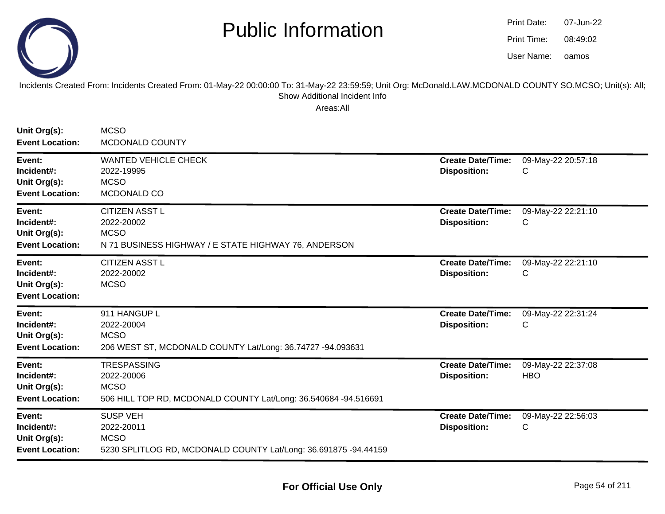

oamos07-Jun-2208:49:02Print Date:Print Time:User Name:

Incidents Created From: Incidents Created From: 01-May-22 00:00:00 To: 31-May-22 23:59:59; Unit Org: McDonald.LAW.MCDONALD COUNTY SO.MCSO; Unit(s): All; Show Additional Incident Info

| Unit Org(s):<br><b>Event Location:</b>                         | <b>MCSO</b><br><b>MCDONALD COUNTY</b>                                                                              |                                                 |                                  |
|----------------------------------------------------------------|--------------------------------------------------------------------------------------------------------------------|-------------------------------------------------|----------------------------------|
| Event:<br>Incident#:<br>Unit Org(s):<br><b>Event Location:</b> | <b>WANTED VEHICLE CHECK</b><br>2022-19995<br><b>MCSO</b><br>MCDONALD CO                                            | <b>Create Date/Time:</b><br><b>Disposition:</b> | 09-May-22 20:57:18<br>C          |
| Event:<br>Incident#:<br>Unit Org(s):<br><b>Event Location:</b> | <b>CITIZEN ASST L</b><br>2022-20002<br><b>MCSO</b><br>N 71 BUSINESS HIGHWAY / E STATE HIGHWAY 76, ANDERSON         | <b>Create Date/Time:</b><br><b>Disposition:</b> | 09-May-22 22:21:10<br>С          |
| Event:<br>Incident#:<br>Unit Org(s):<br><b>Event Location:</b> | <b>CITIZEN ASST L</b><br>2022-20002<br><b>MCSO</b>                                                                 | <b>Create Date/Time:</b><br><b>Disposition:</b> | 09-May-22 22:21:10<br>С          |
| Event:<br>Incident#:<br>Unit Org(s):<br><b>Event Location:</b> | 911 HANGUP L<br>2022-20004<br><b>MCSO</b><br>206 WEST ST, MCDONALD COUNTY Lat/Long: 36.74727 -94.093631            | <b>Create Date/Time:</b><br><b>Disposition:</b> | 09-May-22 22:31:24<br>C          |
| Event:<br>Incident#:<br>Unit Org(s):<br><b>Event Location:</b> | <b>TRESPASSING</b><br>2022-20006<br><b>MCSO</b><br>506 HILL TOP RD, MCDONALD COUNTY Lat/Long: 36.540684 -94.516691 | <b>Create Date/Time:</b><br><b>Disposition:</b> | 09-May-22 22:37:08<br><b>HBO</b> |
| Event:<br>Incident#:<br>Unit Org(s):<br><b>Event Location:</b> | <b>SUSP VEH</b><br>2022-20011<br><b>MCSO</b><br>5230 SPLITLOG RD, MCDONALD COUNTY Lat/Long: 36.691875 -94.44159    | <b>Create Date/Time:</b><br><b>Disposition:</b> | 09-May-22 22:56:03<br>С          |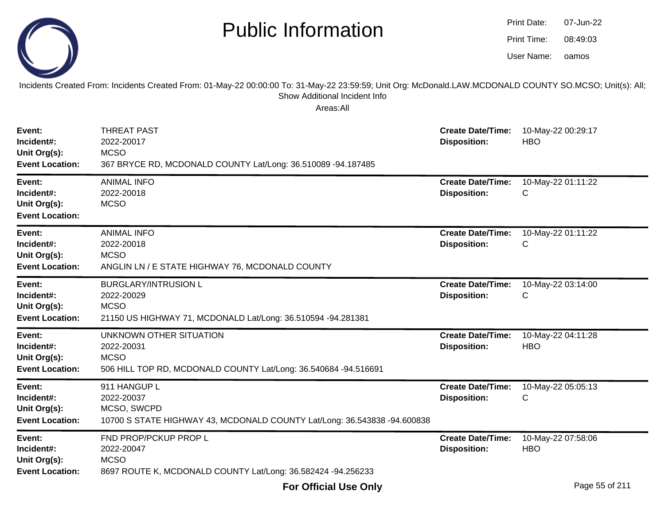|                                                                | <b>Public Information</b>                                                                                                                                                                              |                                                 | <b>Print Date:</b><br><b>Print Time:</b><br>User Name: | 07-Jun-22<br>08:49:03<br>oamos |
|----------------------------------------------------------------|--------------------------------------------------------------------------------------------------------------------------------------------------------------------------------------------------------|-------------------------------------------------|--------------------------------------------------------|--------------------------------|
|                                                                | Incidents Created From: Incidents Created From: 01-May-22 00:00:00 To: 31-May-22 23:59:59; Unit Org: McDonald.LAW.MCDONALD COUNTY SO.MCSO; Unit(s): All;<br>Show Additional Incident Info<br>Areas:All |                                                 |                                                        |                                |
| Event:<br>Incident#:<br>Unit Org(s):<br><b>Event Location:</b> | <b>THREAT PAST</b><br>2022-20017<br><b>MCSO</b><br>367 BRYCE RD, MCDONALD COUNTY Lat/Long: 36.510089 -94.187485                                                                                        | <b>Create Date/Time:</b><br><b>Disposition:</b> | <b>HBO</b>                                             | 10-May-22 00:29:17             |
| Event:<br>Incident#:<br>Unit Org(s):<br><b>Event Location:</b> | <b>ANIMAL INFO</b><br>2022-20018<br><b>MCSO</b>                                                                                                                                                        | <b>Create Date/Time:</b><br><b>Disposition:</b> | С                                                      | 10-May-22 01:11:22             |
| Event:<br>Incident#:<br>Unit Org(s):<br><b>Event Location:</b> | <b>ANIMAL INFO</b><br>2022-20018<br><b>MCSO</b><br>ANGLIN LN / E STATE HIGHWAY 76, MCDONALD COUNTY                                                                                                     | <b>Create Date/Time:</b><br><b>Disposition:</b> | С                                                      | 10-May-22 01:11:22             |
| Event:<br>Incident#:<br>Unit Org(s):<br><b>Event Location:</b> | <b>BURGLARY/INTRUSION L</b><br>2022-20029<br><b>MCSO</b><br>21150 US HIGHWAY 71, MCDONALD Lat/Long: 36.510594 -94.281381                                                                               | <b>Create Date/Time:</b><br><b>Disposition:</b> | С                                                      | 10-May-22 03:14:00             |
| Event:<br>Incident#:<br>Unit Org(s):<br><b>Event Location:</b> | UNKNOWN OTHER SITUATION<br>2022-20031<br><b>MCSO</b><br>506 HILL TOP RD, MCDONALD COUNTY Lat/Long: 36.540684 -94.516691                                                                                | <b>Create Date/Time:</b><br><b>Disposition:</b> | <b>HBO</b>                                             | 10-May-22 04:11:28             |
| Event:<br>Incident#:<br>Unit Org(s):<br><b>Event Location:</b> | 911 HANGUP L<br>2022-20037<br>MCSO, SWCPD<br>10700 S STATE HIGHWAY 43, MCDONALD COUNTY Lat/Long: 36.543838 -94.600838                                                                                  | <b>Create Date/Time:</b><br><b>Disposition:</b> |                                                        | 10-May-22 05:05:13             |
| Event:<br>Incident#:<br>Unit Org(s):<br><b>Event Location:</b> | FND PROP/PCKUP PROP L<br>2022-20047<br><b>MCSO</b><br>8697 ROUTE K, MCDONALD COUNTY Lat/Long: 36.582424 -94.256233                                                                                     | <b>Create Date/Time:</b><br><b>Disposition:</b> | <b>HBO</b>                                             | 10-May-22 07:58:06             |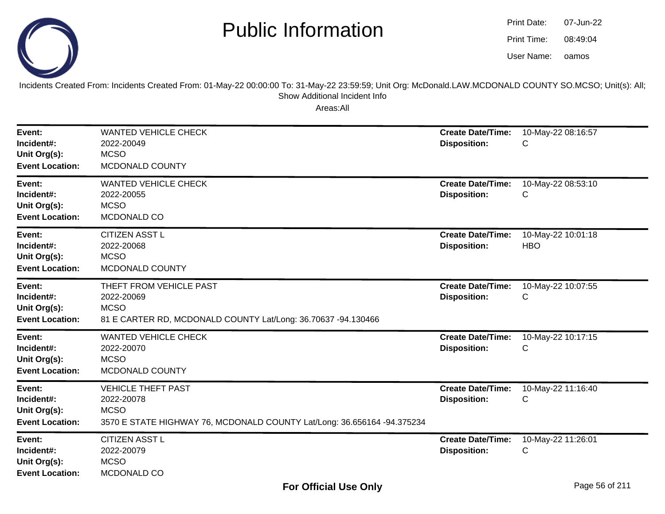

oamos07-Jun-2208:49:04Print Date:Print Time:User Name:

Incidents Created From: Incidents Created From: 01-May-22 00:00:00 To: 31-May-22 23:59:59; Unit Org: McDonald.LAW.MCDONALD COUNTY SO.MCSO; Unit(s): All; Show Additional Incident Info

| Event:<br>Incident#:<br>Unit Org(s):<br><b>Event Location:</b> | <b>WANTED VEHICLE CHECK</b><br>2022-20049<br><b>MCSO</b><br>MCDONALD COUNTY                                                       | <b>Create Date/Time:</b><br><b>Disposition:</b> | 10-May-22 08:16:57<br>С          |
|----------------------------------------------------------------|-----------------------------------------------------------------------------------------------------------------------------------|-------------------------------------------------|----------------------------------|
| Event:<br>Incident#:<br>Unit Org(s):<br><b>Event Location:</b> | <b>WANTED VEHICLE CHECK</b><br>2022-20055<br><b>MCSO</b><br>MCDONALD CO                                                           | <b>Create Date/Time:</b><br><b>Disposition:</b> | 10-May-22 08:53:10<br>C          |
| Event:<br>Incident#:<br>Unit Org(s):<br><b>Event Location:</b> | <b>CITIZEN ASST L</b><br>2022-20068<br><b>MCSO</b><br>MCDONALD COUNTY                                                             | <b>Create Date/Time:</b><br><b>Disposition:</b> | 10-May-22 10:01:18<br><b>HBO</b> |
| Event:<br>Incident#:<br>Unit Org(s):<br><b>Event Location:</b> | THEFT FROM VEHICLE PAST<br>2022-20069<br><b>MCSO</b><br>81 E CARTER RD, MCDONALD COUNTY Lat/Long: 36.70637 -94.130466             | <b>Create Date/Time:</b><br><b>Disposition:</b> | 10-May-22 10:07:55<br>С          |
| Event:<br>Incident#:<br>Unit Org(s):<br><b>Event Location:</b> | <b>WANTED VEHICLE CHECK</b><br>2022-20070<br><b>MCSO</b><br>MCDONALD COUNTY                                                       | <b>Create Date/Time:</b><br><b>Disposition:</b> | 10-May-22 10:17:15<br>С          |
| Event:<br>Incident#:<br>Unit Org(s):<br><b>Event Location:</b> | <b>VEHICLE THEFT PAST</b><br>2022-20078<br><b>MCSO</b><br>3570 E STATE HIGHWAY 76, MCDONALD COUNTY Lat/Long: 36.656164 -94.375234 | <b>Create Date/Time:</b><br><b>Disposition:</b> | 10-May-22 11:16:40<br>С          |
| Event:<br>Incident#:<br>Unit Org(s):<br><b>Event Location:</b> | <b>CITIZEN ASST L</b><br>2022-20079<br><b>MCSO</b><br>MCDONALD CO                                                                 | <b>Create Date/Time:</b><br><b>Disposition:</b> | 10-May-22 11:26:01<br>C          |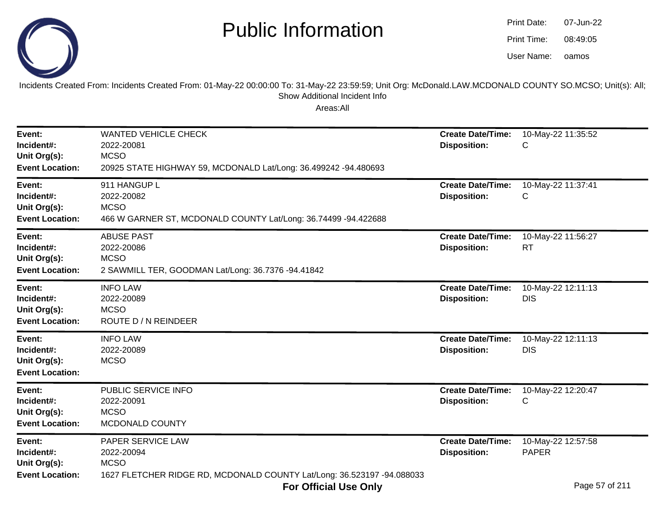

| Print Date: | 07-Jun-22 |
|-------------|-----------|
| Print Time: | 08:49:05  |
| User Name:  | oamos     |

Incidents Created From: Incidents Created From: 01-May-22 00:00:00 To: 31-May-22 23:59:59; Unit Org: McDonald.LAW.MCDONALD COUNTY SO.MCSO; Unit(s): All; Show Additional Incident Info

| Event:<br>Incident#:<br>Unit Org(s):<br><b>Event Location:</b> | <b>WANTED VEHICLE CHECK</b><br>2022-20081<br><b>MCSO</b><br>20925 STATE HIGHWAY 59, MCDONALD Lat/Long: 36.499242 -94.480693 | <b>Create Date/Time:</b><br><b>Disposition:</b> | 10-May-22 11:35:52<br>С            |
|----------------------------------------------------------------|-----------------------------------------------------------------------------------------------------------------------------|-------------------------------------------------|------------------------------------|
| Event:<br>Incident#:<br>Unit Org(s):<br><b>Event Location:</b> | 911 HANGUP L<br>2022-20082<br><b>MCSO</b><br>466 W GARNER ST, MCDONALD COUNTY Lat/Long: 36.74499 -94.422688                 | <b>Create Date/Time:</b><br><b>Disposition:</b> | 10-May-22 11:37:41<br>С            |
| Event:<br>Incident#:<br>Unit Org(s):<br><b>Event Location:</b> | <b>ABUSE PAST</b><br>2022-20086<br><b>MCSO</b><br>2 SAWMILL TER, GOODMAN Lat/Long: 36.7376 -94.41842                        | <b>Create Date/Time:</b><br><b>Disposition:</b> | 10-May-22 11:56:27<br><b>RT</b>    |
| Event:<br>Incident#:<br>Unit Org(s):<br><b>Event Location:</b> | <b>INFO LAW</b><br>2022-20089<br><b>MCSO</b><br>ROUTE D / N REINDEER                                                        | <b>Create Date/Time:</b><br><b>Disposition:</b> | 10-May-22 12:11:13<br><b>DIS</b>   |
| Event:<br>Incident#:<br>Unit Org(s):<br><b>Event Location:</b> | <b>INFO LAW</b><br>2022-20089<br><b>MCSO</b>                                                                                | <b>Create Date/Time:</b><br><b>Disposition:</b> | 10-May-22 12:11:13<br><b>DIS</b>   |
| Event:<br>Incident#:<br>Unit Org(s):<br><b>Event Location:</b> | PUBLIC SERVICE INFO<br>2022-20091<br><b>MCSO</b><br>MCDONALD COUNTY                                                         | <b>Create Date/Time:</b><br><b>Disposition:</b> | 10-May-22 12:20:47<br>C            |
| Event:<br>Incident#:<br>Unit Org(s):<br><b>Event Location:</b> | PAPER SERVICE LAW<br>2022-20094<br><b>MCSO</b><br>1627 FLETCHER RIDGE RD, MCDONALD COUNTY Lat/Long: 36.523197 -94.088033    | <b>Create Date/Time:</b><br><b>Disposition:</b> | 10-May-22 12:57:58<br><b>PAPER</b> |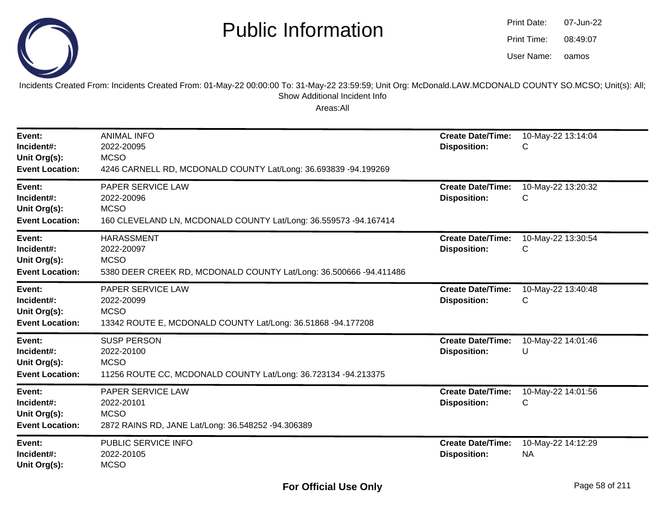

oamos07-Jun-2208:49:07Print Date:Print Time:User Name:

Incidents Created From: Incidents Created From: 01-May-22 00:00:00 To: 31-May-22 23:59:59; Unit Org: McDonald.LAW.MCDONALD COUNTY SO.MCSO; Unit(s): All; Show Additional Incident Info

| Event:<br>Incident#:<br>Unit Org(s):<br><b>Event Location:</b> | <b>ANIMAL INFO</b><br>2022-20095<br><b>MCSO</b><br>4246 CARNELL RD, MCDONALD COUNTY Lat/Long: 36.693839 -94.199269   | <b>Create Date/Time:</b><br><b>Disposition:</b> | 10-May-22 13:14:04<br>С         |
|----------------------------------------------------------------|----------------------------------------------------------------------------------------------------------------------|-------------------------------------------------|---------------------------------|
| Event:<br>Incident#:<br>Unit Org(s):<br><b>Event Location:</b> | PAPER SERVICE LAW<br>2022-20096<br><b>MCSO</b><br>160 CLEVELAND LN, MCDONALD COUNTY Lat/Long: 36.559573 -94.167414   | <b>Create Date/Time:</b><br><b>Disposition:</b> | 10-May-22 13:20:32<br>С         |
| Event:<br>Incident#:<br>Unit Org(s):<br><b>Event Location:</b> | <b>HARASSMENT</b><br>2022-20097<br><b>MCSO</b><br>5380 DEER CREEK RD, MCDONALD COUNTY Lat/Long: 36.500666 -94.411486 | <b>Create Date/Time:</b><br><b>Disposition:</b> | 10-May-22 13:30:54<br>С         |
| Event:<br>Incident#:<br>Unit Org(s):<br><b>Event Location:</b> | PAPER SERVICE LAW<br>2022-20099<br><b>MCSO</b><br>13342 ROUTE E, MCDONALD COUNTY Lat/Long: 36.51868 -94.177208       | <b>Create Date/Time:</b><br><b>Disposition:</b> | 10-May-22 13:40:48<br>С         |
| Event:<br>Incident#:<br>Unit Org(s):<br><b>Event Location:</b> | <b>SUSP PERSON</b><br>2022-20100<br><b>MCSO</b><br>11256 ROUTE CC, MCDONALD COUNTY Lat/Long: 36.723134 -94.213375    | <b>Create Date/Time:</b><br><b>Disposition:</b> | 10-May-22 14:01:46<br>U         |
| Event:<br>Incident#:<br>Unit Org(s):<br><b>Event Location:</b> | PAPER SERVICE LAW<br>2022-20101<br><b>MCSO</b><br>2872 RAINS RD, JANE Lat/Long: 36.548252 -94.306389                 | <b>Create Date/Time:</b><br><b>Disposition:</b> | 10-May-22 14:01:56<br>С         |
| Event:<br>Incident#:<br>Unit Org(s):                           | PUBLIC SERVICE INFO<br>2022-20105<br><b>MCSO</b>                                                                     | <b>Create Date/Time:</b><br><b>Disposition:</b> | 10-May-22 14:12:29<br><b>NA</b> |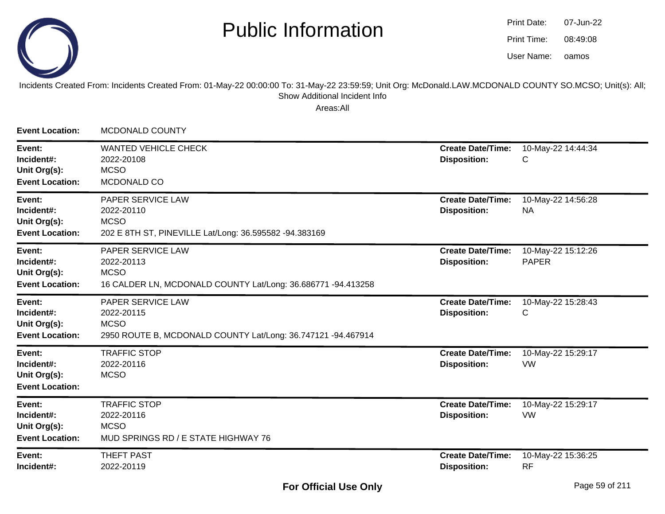

| Print Date: | 07-Jun-22 |
|-------------|-----------|
| Print Time: | 08:49:08  |
| User Name:  | oamos     |

#### Incidents Created From: Incidents Created From: 01-May-22 00:00:00 To: 31-May-22 23:59:59; Unit Org: McDonald.LAW.MCDONALD COUNTY SO.MCSO; Unit(s): All; Show Additional Incident Info

| <b>Event Location:</b>                                         | <b>MCDONALD COUNTY</b>                                                                                         |                                                 |                                    |
|----------------------------------------------------------------|----------------------------------------------------------------------------------------------------------------|-------------------------------------------------|------------------------------------|
| Event:<br>Incident#:<br>Unit Org(s):<br><b>Event Location:</b> | <b>WANTED VEHICLE CHECK</b><br>2022-20108<br><b>MCSO</b><br>MCDONALD CO                                        | <b>Create Date/Time:</b><br><b>Disposition:</b> | 10-May-22 14:44:34<br>С            |
| Event:<br>Incident#:<br>Unit Org(s):<br><b>Event Location:</b> | PAPER SERVICE LAW<br>2022-20110<br><b>MCSO</b><br>202 E 8TH ST, PINEVILLE Lat/Long: 36.595582 -94.383169       | <b>Create Date/Time:</b><br><b>Disposition:</b> | 10-May-22 14:56:28<br><b>NA</b>    |
| Event:<br>Incident#:<br>Unit Org(s):<br><b>Event Location:</b> | PAPER SERVICE LAW<br>2022-20113<br><b>MCSO</b><br>16 CALDER LN, MCDONALD COUNTY Lat/Long: 36.686771 -94.413258 | <b>Create Date/Time:</b><br><b>Disposition:</b> | 10-May-22 15:12:26<br><b>PAPER</b> |
| Event:<br>Incident#:<br>Unit Org(s):<br><b>Event Location:</b> | PAPER SERVICE LAW<br>2022-20115<br><b>MCSO</b><br>2950 ROUTE B, MCDONALD COUNTY Lat/Long: 36.747121 -94.467914 | <b>Create Date/Time:</b><br><b>Disposition:</b> | 10-May-22 15:28:43<br>С            |
| Event:<br>Incident#:<br>Unit Org(s):<br><b>Event Location:</b> | <b>TRAFFIC STOP</b><br>2022-20116<br><b>MCSO</b>                                                               | <b>Create Date/Time:</b><br><b>Disposition:</b> | 10-May-22 15:29:17<br>VW           |
| Event:<br>Incident#:<br>Unit Org(s):<br><b>Event Location:</b> | <b>TRAFFIC STOP</b><br>2022-20116<br><b>MCSO</b><br>MUD SPRINGS RD / E STATE HIGHWAY 76                        | <b>Create Date/Time:</b><br><b>Disposition:</b> | 10-May-22 15:29:17<br>VW           |
| Event:<br>Incident#:                                           | <b>THEFT PAST</b><br>2022-20119                                                                                | <b>Create Date/Time:</b><br><b>Disposition:</b> | 10-May-22 15:36:25<br><b>RF</b>    |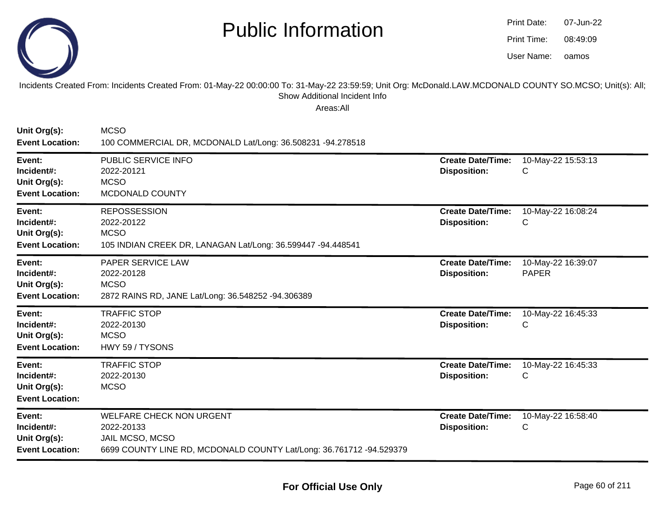

| Print Date: | 07-Jun-22 |
|-------------|-----------|
| Print Time: | 08:49:09  |
| User Name:  | oamos     |

Incidents Created From: Incidents Created From: 01-May-22 00:00:00 To: 31-May-22 23:59:59; Unit Org: McDonald.LAW.MCDONALD COUNTY SO.MCSO; Unit(s): All; Show Additional Incident Info

| Unit Org(s):<br><b>Event Location:</b>                         | <b>MCSO</b><br>100 COMMERCIAL DR, MCDONALD Lat/Long: 36.508231 -94.278518                                                               |                                                 |                                    |
|----------------------------------------------------------------|-----------------------------------------------------------------------------------------------------------------------------------------|-------------------------------------------------|------------------------------------|
| Event:<br>Incident#:<br>Unit Org(s):<br><b>Event Location:</b> | PUBLIC SERVICE INFO<br>2022-20121<br><b>MCSO</b><br>MCDONALD COUNTY                                                                     | <b>Create Date/Time:</b><br><b>Disposition:</b> | 10-May-22 15:53:13<br>С            |
| Event:<br>Incident#:<br>Unit Org(s):<br><b>Event Location:</b> | <b>REPOSSESSION</b><br>2022-20122<br><b>MCSO</b><br>105 INDIAN CREEK DR, LANAGAN Lat/Long: 36.599447 -94.448541                         | <b>Create Date/Time:</b><br><b>Disposition:</b> | 10-May-22 16:08:24<br>С            |
| Event:<br>Incident#:<br>Unit Org(s):<br><b>Event Location:</b> | PAPER SERVICE LAW<br>2022-20128<br><b>MCSO</b><br>2872 RAINS RD, JANE Lat/Long: 36.548252 -94.306389                                    | <b>Create Date/Time:</b><br><b>Disposition:</b> | 10-May-22 16:39:07<br><b>PAPER</b> |
| Event:<br>Incident#:<br>Unit Org(s):<br><b>Event Location:</b> | <b>TRAFFIC STOP</b><br>2022-20130<br><b>MCSO</b><br>HWY 59 / TYSONS                                                                     | <b>Create Date/Time:</b><br><b>Disposition:</b> | 10-May-22 16:45:33<br>С            |
| Event:<br>Incident#:<br>Unit Org(s):<br><b>Event Location:</b> | <b>TRAFFIC STOP</b><br>2022-20130<br><b>MCSO</b>                                                                                        | <b>Create Date/Time:</b><br><b>Disposition:</b> | 10-May-22 16:45:33<br>С            |
| Event:<br>Incident#:<br>Unit Org(s):<br><b>Event Location:</b> | <b>WELFARE CHECK NON URGENT</b><br>2022-20133<br>JAIL MCSO, MCSO<br>6699 COUNTY LINE RD, MCDONALD COUNTY Lat/Long: 36.761712 -94.529379 | <b>Create Date/Time:</b><br><b>Disposition:</b> | 10-May-22 16:58:40<br>С            |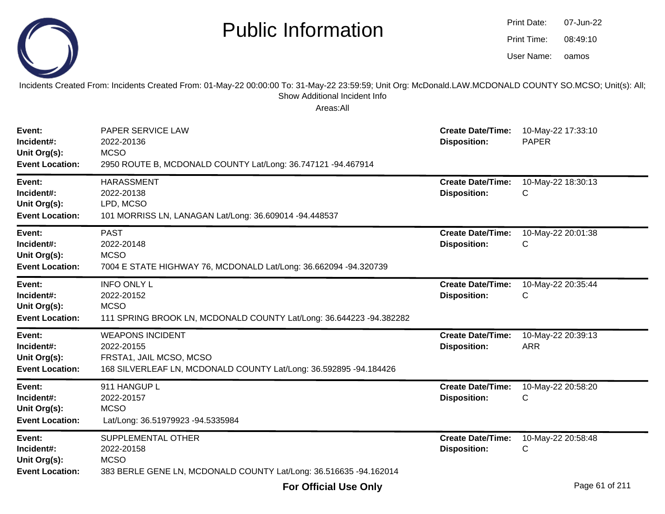|                                                                | <b>Public Information</b><br>Incidents Created From: Incidents Created From: 01-May-22 00:00:00 To: 31-May-22 23:59:59; Unit Org: McDonald.LAW.MCDONALD COUNTY SO.MCSO; Unit(s): All; |                                                 | Print Date:<br>Print Time:<br>User Name: | 07-Jun-22<br>08:49:10<br>oamos |
|----------------------------------------------------------------|---------------------------------------------------------------------------------------------------------------------------------------------------------------------------------------|-------------------------------------------------|------------------------------------------|--------------------------------|
|                                                                | Show Additional Incident Info<br>Areas:All                                                                                                                                            |                                                 |                                          |                                |
| Event:<br>Incident#:<br>Unit Org(s):<br><b>Event Location:</b> | PAPER SERVICE LAW<br>2022-20136<br><b>MCSO</b><br>2950 ROUTE B, MCDONALD COUNTY Lat/Long: 36.747121 -94.467914                                                                        | <b>Create Date/Time:</b><br><b>Disposition:</b> | <b>PAPER</b>                             | 10-May-22 17:33:10             |
| Event:<br>Incident#:<br>Unit Org(s):<br><b>Event Location:</b> | <b>HARASSMENT</b><br>2022-20138<br>LPD, MCSO<br>101 MORRISS LN, LANAGAN Lat/Long: 36.609014 -94.448537                                                                                | <b>Create Date/Time:</b><br><b>Disposition:</b> | С                                        | 10-May-22 18:30:13             |
| Event:<br>Incident#:<br>Unit Org(s):<br><b>Event Location:</b> | <b>PAST</b><br>2022-20148<br><b>MCSO</b><br>7004 E STATE HIGHWAY 76, MCDONALD Lat/Long: 36.662094 -94.320739                                                                          | <b>Create Date/Time:</b><br><b>Disposition:</b> | С                                        | 10-May-22 20:01:38             |
| Event:<br>Incident#:<br>Unit Org(s):<br><b>Event Location:</b> | <b>INFO ONLY L</b><br>2022-20152<br><b>MCSO</b><br>111 SPRING BROOK LN, MCDONALD COUNTY Lat/Long: 36.644223 -94.382282                                                                | <b>Create Date/Time:</b><br><b>Disposition:</b> | С                                        | 10-May-22 20:35:44             |
| Event:<br>Incident#:<br>Unit Org(s):<br><b>Event Location:</b> | <b>WEAPONS INCIDENT</b><br>2022-20155<br>FRSTA1, JAIL MCSO, MCSO<br>168 SILVERLEAF LN, MCDONALD COUNTY Lat/Long: 36.592895 -94.184426                                                 | <b>Create Date/Time:</b><br><b>Disposition:</b> | <b>ARR</b>                               | 10-May-22 20:39:13             |
| Event:<br>Incident#:<br>Unit Org(s):<br><b>Event Location:</b> | 911 HANGUP L<br>2022-20157<br><b>MCSO</b><br>Lat/Long: 36.51979923 -94.5335984                                                                                                        | <b>Create Date/Time:</b><br><b>Disposition:</b> | С                                        | 10-May-22 20:58:20             |
| Event:<br>Incident#:<br>Unit Org(s):<br><b>Event Location:</b> | SUPPLEMENTAL OTHER<br>2022-20158<br><b>MCSO</b><br>383 BERLE GENE LN, MCDONALD COUNTY Lat/Long: 36.516635 -94.162014                                                                  | <b>Create Date/Time:</b><br><b>Disposition:</b> | С                                        | 10-May-22 20:58:48             |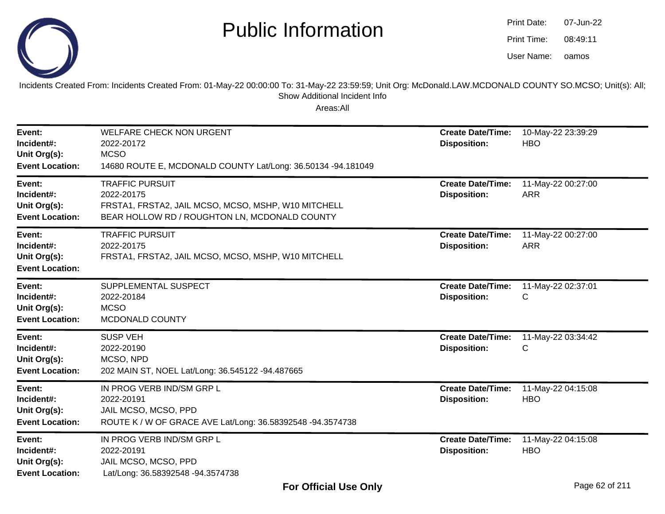

oamos07-Jun-2208:49:11Print Date:Print Time:User Name:

Incidents Created From: Incidents Created From: 01-May-22 00:00:00 To: 31-May-22 23:59:59; Unit Org: McDonald.LAW.MCDONALD COUNTY SO.MCSO; Unit(s): All; Show Additional Incident Info

| Event:<br>Incident#:<br>Unit Org(s):<br><b>Event Location:</b> | <b>WELFARE CHECK NON URGENT</b><br>2022-20172<br><b>MCSO</b><br>14680 ROUTE E, MCDONALD COUNTY Lat/Long: 36.50134 -94.181049                 | <b>Create Date/Time:</b><br><b>Disposition:</b> | 10-May-22 23:39:29<br><b>HBO</b> |
|----------------------------------------------------------------|----------------------------------------------------------------------------------------------------------------------------------------------|-------------------------------------------------|----------------------------------|
| Event:<br>Incident#:<br>Unit Org(s):<br><b>Event Location:</b> | <b>TRAFFIC PURSUIT</b><br>2022-20175<br>FRSTA1, FRSTA2, JAIL MCSO, MCSO, MSHP, W10 MITCHELL<br>BEAR HOLLOW RD / ROUGHTON LN, MCDONALD COUNTY | <b>Create Date/Time:</b><br><b>Disposition:</b> | 11-May-22 00:27:00<br><b>ARR</b> |
| Event:<br>Incident#:<br>Unit Org(s):<br><b>Event Location:</b> | <b>TRAFFIC PURSUIT</b><br>2022-20175<br>FRSTA1, FRSTA2, JAIL MCSO, MCSO, MSHP, W10 MITCHELL                                                  | <b>Create Date/Time:</b><br><b>Disposition:</b> | 11-May-22 00:27:00<br><b>ARR</b> |
| Event:<br>Incident#:<br>Unit Org(s):<br><b>Event Location:</b> | SUPPLEMENTAL SUSPECT<br>2022-20184<br><b>MCSO</b><br>MCDONALD COUNTY                                                                         | <b>Create Date/Time:</b><br><b>Disposition:</b> | 11-May-22 02:37:01<br>С          |
| Event:<br>Incident#:<br>Unit Org(s):<br><b>Event Location:</b> | <b>SUSP VEH</b><br>2022-20190<br>MCSO, NPD<br>202 MAIN ST, NOEL Lat/Long: 36.545122 -94.487665                                               | <b>Create Date/Time:</b><br><b>Disposition:</b> | 11-May-22 03:34:42<br>С          |
| Event:<br>Incident#:<br>Unit Org(s):<br><b>Event Location:</b> | IN PROG VERB IND/SM GRP L<br>2022-20191<br>JAIL MCSO, MCSO, PPD<br>ROUTE K / W OF GRACE AVE Lat/Long: 36.58392548 -94.3574738                | <b>Create Date/Time:</b><br><b>Disposition:</b> | 11-May-22 04:15:08<br><b>HBO</b> |
| Event:<br>Incident#:<br>Unit Org(s):<br><b>Event Location:</b> | IN PROG VERB IND/SM GRP L<br>2022-20191<br>JAIL MCSO, MCSO, PPD<br>Lat/Long: 36.58392548 -94.3574738                                         | <b>Create Date/Time:</b><br><b>Disposition:</b> | 11-May-22 04:15:08<br><b>HBO</b> |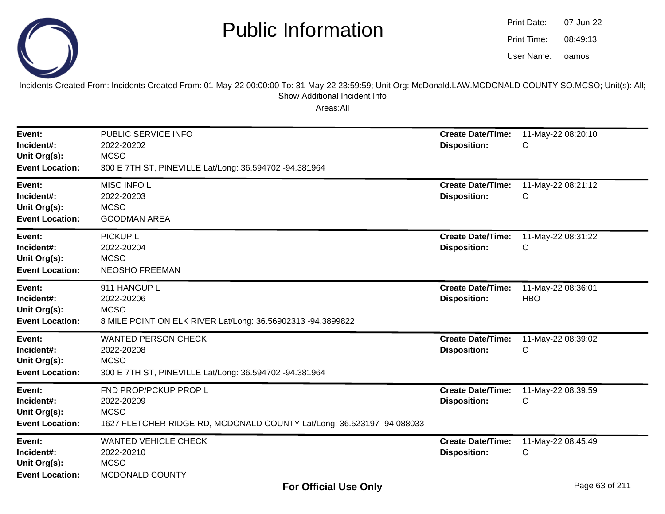

| Print Date: | 07-Jun-22 |
|-------------|-----------|
| Print Time: | 08:49:13  |
| User Name:  | oamos     |

Incidents Created From: Incidents Created From: 01-May-22 00:00:00 To: 31-May-22 23:59:59; Unit Org: McDonald.LAW.MCDONALD COUNTY SO.MCSO; Unit(s): All; Show Additional Incident Info

| Event:<br>Incident#:<br>Unit Org(s):<br><b>Event Location:</b> | PUBLIC SERVICE INFO<br>2022-20202<br><b>MCSO</b><br>300 E 7TH ST, PINEVILLE Lat/Long: 36.594702 -94.381964                   | <b>Create Date/Time:</b><br><b>Disposition:</b> | 11-May-22 08:20:10<br>C          |
|----------------------------------------------------------------|------------------------------------------------------------------------------------------------------------------------------|-------------------------------------------------|----------------------------------|
| Event:<br>Incident#:<br>Unit Org(s):<br><b>Event Location:</b> | MISC INFO L<br>2022-20203<br><b>MCSO</b><br><b>GOODMAN AREA</b>                                                              | <b>Create Date/Time:</b><br><b>Disposition:</b> | 11-May-22 08:21:12<br>C          |
| Event:<br>Incident#:<br>Unit Org(s):<br><b>Event Location:</b> | <b>PICKUP L</b><br>2022-20204<br><b>MCSO</b><br><b>NEOSHO FREEMAN</b>                                                        | <b>Create Date/Time:</b><br><b>Disposition:</b> | 11-May-22 08:31:22<br>С          |
| Event:<br>Incident#:<br>Unit Org(s):<br><b>Event Location:</b> | 911 HANGUP L<br>2022-20206<br><b>MCSO</b><br>8 MILE POINT ON ELK RIVER Lat/Long: 36.56902313 -94.3899822                     | <b>Create Date/Time:</b><br><b>Disposition:</b> | 11-May-22 08:36:01<br><b>HBO</b> |
| Event:<br>Incident#:<br>Unit Org(s):<br><b>Event Location:</b> | <b>WANTED PERSON CHECK</b><br>2022-20208<br><b>MCSO</b><br>300 E 7TH ST, PINEVILLE Lat/Long: 36.594702 -94.381964            | <b>Create Date/Time:</b><br><b>Disposition:</b> | 11-May-22 08:39:02<br>С          |
| Event:<br>Incident#:<br>Unit Org(s):<br><b>Event Location:</b> | FND PROP/PCKUP PROP L<br>2022-20209<br><b>MCSO</b><br>1627 FLETCHER RIDGE RD, MCDONALD COUNTY Lat/Long: 36.523197 -94.088033 | <b>Create Date/Time:</b><br><b>Disposition:</b> | 11-May-22 08:39:59<br>C          |
| Event:<br>Incident#:<br>Unit Org(s):<br><b>Event Location:</b> | <b>WANTED VEHICLE CHECK</b><br>2022-20210<br><b>MCSO</b><br>MCDONALD COUNTY                                                  | <b>Create Date/Time:</b><br><b>Disposition:</b> | 11-May-22 08:45:49<br>С          |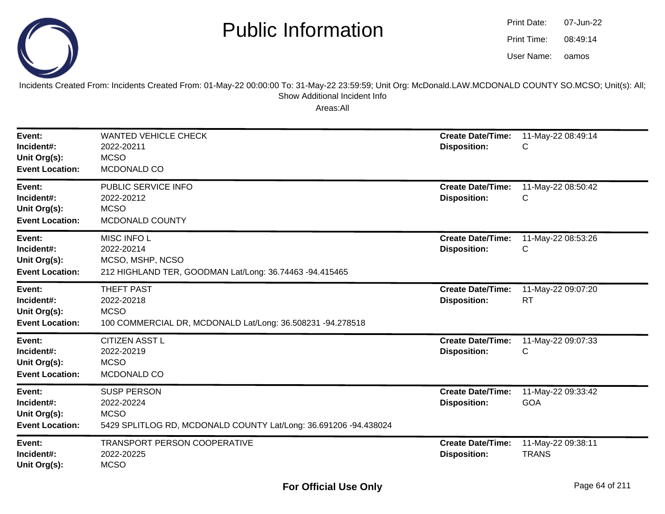

| Print Date: | 07-Jun-22 |
|-------------|-----------|
| Print Time: | 08:49:14  |
| User Name:  | oamos     |

Incidents Created From: Incidents Created From: 01-May-22 00:00:00 To: 31-May-22 23:59:59; Unit Org: McDonald.LAW.MCDONALD COUNTY SO.MCSO; Unit(s): All; Show Additional Incident Info

| Event:<br>Incident#:<br>Unit Org(s):<br><b>Event Location:</b> | <b>WANTED VEHICLE CHECK</b><br>2022-20211<br><b>MCSO</b><br>MCDONALD CO                                             | <b>Create Date/Time:</b><br><b>Disposition:</b> | 11-May-22 08:49:14<br>С            |
|----------------------------------------------------------------|---------------------------------------------------------------------------------------------------------------------|-------------------------------------------------|------------------------------------|
| Event:<br>Incident#:<br>Unit Org(s):<br><b>Event Location:</b> | PUBLIC SERVICE INFO<br>2022-20212<br><b>MCSO</b><br>MCDONALD COUNTY                                                 | <b>Create Date/Time:</b><br><b>Disposition:</b> | 11-May-22 08:50:42<br>С            |
| Event:<br>Incident#:<br>Unit Org(s):<br><b>Event Location:</b> | MISC INFO L<br>2022-20214<br>MCSO, MSHP, NCSO<br>212 HIGHLAND TER, GOODMAN Lat/Long: 36.74463 -94.415465            | <b>Create Date/Time:</b><br><b>Disposition:</b> | 11-May-22 08:53:26<br>С            |
| Event:<br>Incident#:<br>Unit Org(s):<br><b>Event Location:</b> | <b>THEFT PAST</b><br>2022-20218<br><b>MCSO</b><br>100 COMMERCIAL DR, MCDONALD Lat/Long: 36.508231 -94.278518        | <b>Create Date/Time:</b><br><b>Disposition:</b> | 11-May-22 09:07:20<br><b>RT</b>    |
| Event:<br>Incident#:<br>Unit Org(s):<br><b>Event Location:</b> | CITIZEN ASST L<br>2022-20219<br><b>MCSO</b><br>MCDONALD CO                                                          | <b>Create Date/Time:</b><br><b>Disposition:</b> | 11-May-22 09:07:33<br>С            |
| Event:<br>Incident#:<br>Unit Org(s):<br><b>Event Location:</b> | <b>SUSP PERSON</b><br>2022-20224<br><b>MCSO</b><br>5429 SPLITLOG RD, MCDONALD COUNTY Lat/Long: 36.691206 -94.438024 | <b>Create Date/Time:</b><br><b>Disposition:</b> | 11-May-22 09:33:42<br><b>GOA</b>   |
| Event:<br>Incident#:<br>Unit Org(s):                           | TRANSPORT PERSON COOPERATIVE<br>2022-20225<br><b>MCSO</b>                                                           | <b>Create Date/Time:</b><br><b>Disposition:</b> | 11-May-22 09:38:11<br><b>TRANS</b> |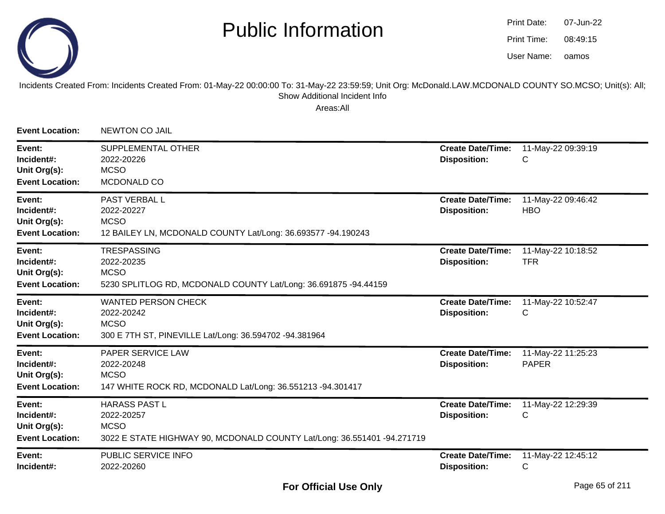

oamos07-Jun-2208:49:15Print Date:Print Time:User Name:

#### Incidents Created From: Incidents Created From: 01-May-22 00:00:00 To: 31-May-22 23:59:59; Unit Org: McDonald.LAW.MCDONALD COUNTY SO.MCSO; Unit(s): All; Show Additional Incident Info

| <b>Event Location:</b>                                         | NEWTON CO JAIL                                                                                                               |                                                 |                                    |
|----------------------------------------------------------------|------------------------------------------------------------------------------------------------------------------------------|-------------------------------------------------|------------------------------------|
| Event:<br>Incident#:<br>Unit Org(s):<br><b>Event Location:</b> | SUPPLEMENTAL OTHER<br>2022-20226<br><b>MCSO</b><br>MCDONALD CO                                                               | <b>Create Date/Time:</b><br><b>Disposition:</b> | 11-May-22 09:39:19<br>C            |
| Event:<br>Incident#:<br>Unit Org(s):<br><b>Event Location:</b> | <b>PAST VERBAL L</b><br>2022-20227<br><b>MCSO</b><br>12 BAILEY LN, MCDONALD COUNTY Lat/Long: 36.693577 -94.190243            | <b>Create Date/Time:</b><br><b>Disposition:</b> | 11-May-22 09:46:42<br><b>HBO</b>   |
| Event:<br>Incident#:<br>Unit Org(s):<br><b>Event Location:</b> | <b>TRESPASSING</b><br>2022-20235<br><b>MCSO</b><br>5230 SPLITLOG RD, MCDONALD COUNTY Lat/Long: 36.691875 -94.44159           | <b>Create Date/Time:</b><br><b>Disposition:</b> | 11-May-22 10:18:52<br><b>TFR</b>   |
| Event:<br>Incident#:<br>Unit Org(s):<br><b>Event Location:</b> | <b>WANTED PERSON CHECK</b><br>2022-20242<br><b>MCSO</b><br>300 E 7TH ST, PINEVILLE Lat/Long: 36.594702 -94.381964            | <b>Create Date/Time:</b><br><b>Disposition:</b> | 11-May-22 10:52:47<br>C            |
| Event:<br>Incident#:<br>Unit Org(s):<br><b>Event Location:</b> | <b>PAPER SERVICE LAW</b><br>2022-20248<br><b>MCSO</b><br>147 WHITE ROCK RD, MCDONALD Lat/Long: 36.551213 -94.301417          | <b>Create Date/Time:</b><br><b>Disposition:</b> | 11-May-22 11:25:23<br><b>PAPER</b> |
| Event:<br>Incident#:<br>Unit Org(s):<br><b>Event Location:</b> | <b>HARASS PAST L</b><br>2022-20257<br><b>MCSO</b><br>3022 E STATE HIGHWAY 90, MCDONALD COUNTY Lat/Long: 36.551401 -94.271719 | <b>Create Date/Time:</b><br><b>Disposition:</b> | 11-May-22 12:29:39<br>C            |
| Event:<br>Incident#:                                           | PUBLIC SERVICE INFO<br>2022-20260                                                                                            | <b>Create Date/Time:</b><br><b>Disposition:</b> | 11-May-22 12:45:12<br>C            |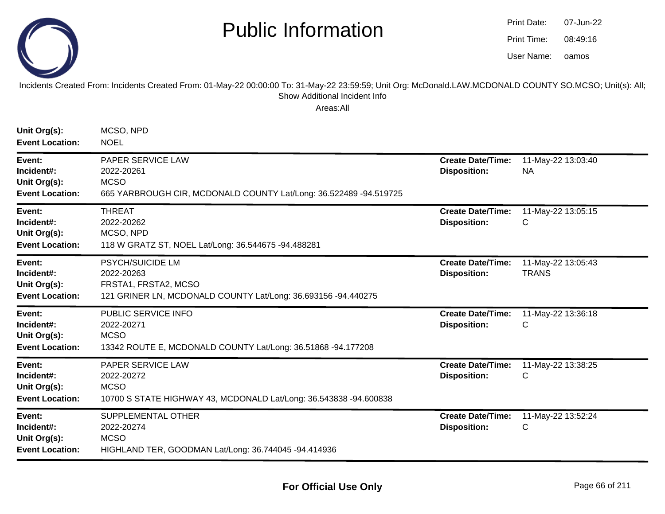

oamos07-Jun-2208:49:16Print Date:Print Time:User Name:

#### Incidents Created From: Incidents Created From: 01-May-22 00:00:00 To: 31-May-22 23:59:59; Unit Org: McDonald.LAW.MCDONALD COUNTY SO.MCSO; Unit(s): All; Show Additional Incident Info

| Unit Org(s):<br><b>Event Location:</b>                         | MCSO, NPD<br><b>NOEL</b>                                                                                                       |                                                 |                                    |
|----------------------------------------------------------------|--------------------------------------------------------------------------------------------------------------------------------|-------------------------------------------------|------------------------------------|
| Event:<br>Incident#:<br>Unit Org(s):<br><b>Event Location:</b> | PAPER SERVICE LAW<br>2022-20261<br><b>MCSO</b><br>665 YARBROUGH CIR, MCDONALD COUNTY Lat/Long: 36.522489 -94.519725            | <b>Create Date/Time:</b><br><b>Disposition:</b> | 11-May-22 13:03:40<br><b>NA</b>    |
| Event:<br>Incident#:<br>Unit Org(s):<br><b>Event Location:</b> | <b>THREAT</b><br>2022-20262<br>MCSO, NPD<br>118 W GRATZ ST, NOEL Lat/Long: 36.544675 -94.488281                                | <b>Create Date/Time:</b><br><b>Disposition:</b> | 11-May-22 13:05:15<br>С            |
| Event:<br>Incident#:<br>Unit Org(s):<br><b>Event Location:</b> | <b>PSYCH/SUICIDE LM</b><br>2022-20263<br>FRSTA1, FRSTA2, MCSO<br>121 GRINER LN, MCDONALD COUNTY Lat/Long: 36.693156 -94.440275 | <b>Create Date/Time:</b><br><b>Disposition:</b> | 11-May-22 13:05:43<br><b>TRANS</b> |
| Event:<br>Incident#:<br>Unit Org(s):<br><b>Event Location:</b> | PUBLIC SERVICE INFO<br>2022-20271<br><b>MCSO</b><br>13342 ROUTE E, MCDONALD COUNTY Lat/Long: 36.51868 -94.177208               | <b>Create Date/Time:</b><br><b>Disposition:</b> | 11-May-22 13:36:18<br>С            |
| Event:<br>Incident#:<br>Unit Org(s):<br><b>Event Location:</b> | PAPER SERVICE LAW<br>2022-20272<br><b>MCSO</b><br>10700 S STATE HIGHWAY 43, MCDONALD Lat/Long: 36.543838 -94.600838            | <b>Create Date/Time:</b><br><b>Disposition:</b> | 11-May-22 13:38:25<br>С            |
| Event:<br>Incident#:<br>Unit Org(s):<br><b>Event Location:</b> | SUPPLEMENTAL OTHER<br>2022-20274<br><b>MCSO</b><br>HIGHLAND TER, GOODMAN Lat/Long: 36.744045 -94.414936                        | <b>Create Date/Time:</b><br><b>Disposition:</b> | 11-May-22 13:52:24<br>С            |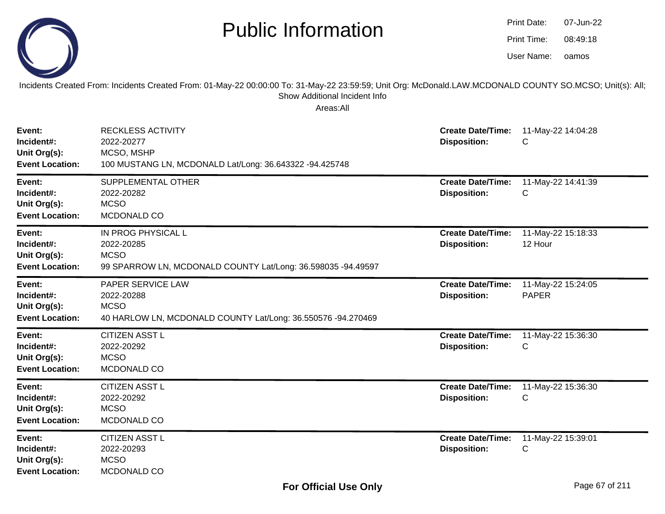|                                                                | <b>Public Information</b>                                                                                                                                                                              |                                                 | Print Date:<br>07-Jun-22<br>Print Time:<br>08:49:18<br>User Name:<br>oamos |  |
|----------------------------------------------------------------|--------------------------------------------------------------------------------------------------------------------------------------------------------------------------------------------------------|-------------------------------------------------|----------------------------------------------------------------------------|--|
|                                                                | Incidents Created From: Incidents Created From: 01-May-22 00:00:00 To: 31-May-22 23:59:59; Unit Org: McDonald.LAW.MCDONALD COUNTY SO.MCSO; Unit(s): All;<br>Show Additional Incident Info<br>Areas:All |                                                 |                                                                            |  |
| Event:<br>Incident#:<br>Unit Org(s):<br><b>Event Location:</b> | <b>RECKLESS ACTIVITY</b><br>2022-20277<br>MCSO, MSHP<br>100 MUSTANG LN, MCDONALD Lat/Long: 36.643322 -94.425748                                                                                        | <b>Create Date/Time:</b><br><b>Disposition:</b> | 11-May-22 14:04:28<br>С                                                    |  |
| Event:<br>Incident#:<br>Unit Org(s):<br><b>Event Location:</b> | SUPPLEMENTAL OTHER<br>2022-20282<br><b>MCSO</b><br>MCDONALD CO                                                                                                                                         | <b>Create Date/Time:</b><br><b>Disposition:</b> | 11-May-22 14:41:39<br>С                                                    |  |
| Event:<br>Incident#:<br>Unit Org(s):<br><b>Event Location:</b> | IN PROG PHYSICAL L<br>2022-20285<br><b>MCSO</b><br>99 SPARROW LN, MCDONALD COUNTY Lat/Long: 36.598035 -94.49597                                                                                        | <b>Create Date/Time:</b><br><b>Disposition:</b> | 11-May-22 15:18:33<br>12 Hour                                              |  |
| Event:<br>Incident#:<br>Unit Org(s):<br><b>Event Location:</b> | PAPER SERVICE LAW<br>2022-20288<br><b>MCSO</b><br>40 HARLOW LN, MCDONALD COUNTY Lat/Long: 36.550576 -94.270469                                                                                         | <b>Create Date/Time:</b><br><b>Disposition:</b> | 11-May-22 15:24:05<br><b>PAPER</b>                                         |  |
| Event:<br>Incident#:<br>Unit Org(s):<br><b>Event Location:</b> | <b>CITIZEN ASST L</b><br>2022-20292<br><b>MCSO</b><br>MCDONALD CO                                                                                                                                      | <b>Create Date/Time:</b><br><b>Disposition:</b> | 11-May-22 15:36:30<br>С                                                    |  |
| Event:<br>Incident#:<br>Unit Org(s):<br><b>Event Location:</b> | <b>CITIZEN ASST L</b><br>2022-20292<br><b>MCSO</b><br>MCDONALD CO                                                                                                                                      | <b>Create Date/Time:</b><br><b>Disposition:</b> | 11-May-22 15:36:30<br>C                                                    |  |
| Event:<br>Incident#:<br>Unit Org(s):<br><b>Event Location:</b> | <b>CITIZEN ASST L</b><br>2022-20293<br><b>MCSO</b><br>MCDONALD CO                                                                                                                                      | <b>Create Date/Time:</b><br><b>Disposition:</b> | 11-May-22 15:39:01<br>С                                                    |  |

-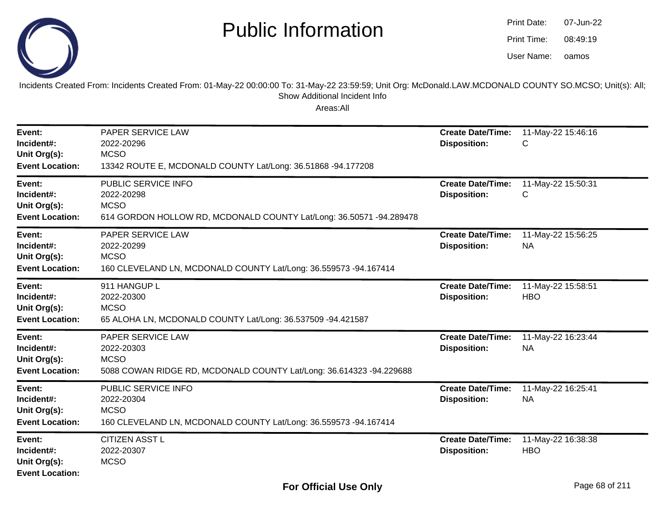

| <b>Print Date:</b> | 07-Jun-22 |
|--------------------|-----------|
| Print Time:        | 08:49:19  |
| User Name:         | oamos     |

Incidents Created From: Incidents Created From: 01-May-22 00:00:00 To: 31-May-22 23:59:59; Unit Org: McDonald.LAW.MCDONALD COUNTY SO.MCSO; Unit(s): All; Show Additional Incident Info

| Event:<br>Incident#:<br>Unit Org(s):<br><b>Event Location:</b> | <b>PAPER SERVICE LAW</b><br>2022-20296<br><b>MCSO</b><br>13342 ROUTE E, MCDONALD COUNTY Lat/Long: 36.51868 -94.177208   | <b>Create Date/Time:</b><br><b>Disposition:</b> | 11-May-22 15:46:16<br>С          |
|----------------------------------------------------------------|-------------------------------------------------------------------------------------------------------------------------|-------------------------------------------------|----------------------------------|
| Event:<br>Incident#:<br>Unit Org(s):<br><b>Event Location:</b> | PUBLIC SERVICE INFO<br>2022-20298<br><b>MCSO</b><br>614 GORDON HOLLOW RD, MCDONALD COUNTY Lat/Long: 36.50571 -94.289478 | <b>Create Date/Time:</b><br><b>Disposition:</b> | 11-May-22 15:50:31<br>С          |
| Event:<br>Incident#:<br>Unit Org(s):<br><b>Event Location:</b> | PAPER SERVICE LAW<br>2022-20299<br><b>MCSO</b><br>160 CLEVELAND LN, MCDONALD COUNTY Lat/Long: 36.559573 -94.167414      | <b>Create Date/Time:</b><br><b>Disposition:</b> | 11-May-22 15:56:25<br><b>NA</b>  |
| Event:<br>Incident#:<br>Unit Org(s):<br><b>Event Location:</b> | 911 HANGUP L<br>2022-20300<br><b>MCSO</b><br>65 ALOHA LN, MCDONALD COUNTY Lat/Long: 36.537509 -94.421587                | <b>Create Date/Time:</b><br><b>Disposition:</b> | 11-May-22 15:58:51<br><b>HBO</b> |
| Event:<br>Incident#:<br>Unit Org(s):<br><b>Event Location:</b> | PAPER SERVICE LAW<br>2022-20303<br><b>MCSO</b><br>5088 COWAN RIDGE RD, MCDONALD COUNTY Lat/Long: 36.614323 -94.229688   | <b>Create Date/Time:</b><br><b>Disposition:</b> | 11-May-22 16:23:44<br><b>NA</b>  |
| Event:<br>Incident#:<br>Unit Org(s):<br><b>Event Location:</b> | PUBLIC SERVICE INFO<br>2022-20304<br><b>MCSO</b><br>160 CLEVELAND LN, MCDONALD COUNTY Lat/Long: 36.559573 -94.167414    | <b>Create Date/Time:</b><br><b>Disposition:</b> | 11-May-22 16:25:41<br><b>NA</b>  |
| Event:<br>Incident#:<br>Unit Org(s):<br><b>Event Location:</b> | <b>CITIZEN ASST L</b><br>2022-20307<br><b>MCSO</b>                                                                      | <b>Create Date/Time:</b><br><b>Disposition:</b> | 11-May-22 16:38:38<br><b>HBO</b> |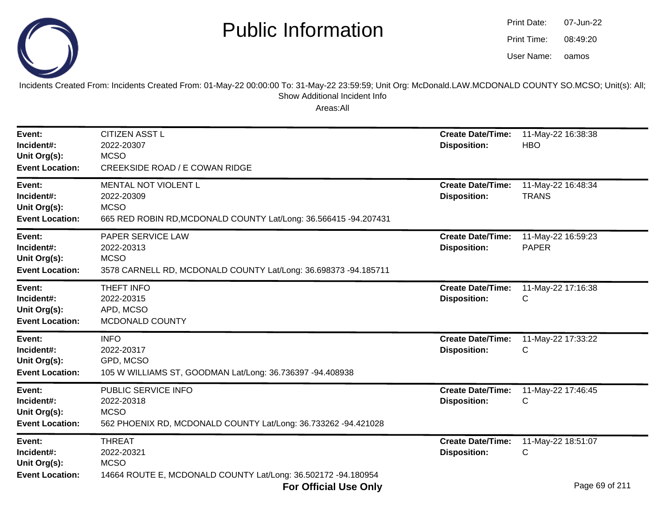

| Print Date: | 07-Jun-22 |
|-------------|-----------|
| Print Time: | 08:49:20  |
| User Name:  | oamos     |

Incidents Created From: Incidents Created From: 01-May-22 00:00:00 To: 31-May-22 23:59:59; Unit Org: McDonald.LAW.MCDONALD COUNTY SO.MCSO; Unit(s): All; Show Additional Incident Info

| Event:<br>Incident#:<br>Unit Org(s):<br><b>Event Location:</b> | <b>CITIZEN ASST L</b><br>2022-20307<br><b>MCSO</b><br>CREEKSIDE ROAD / E COWAN RIDGE                                  | <b>Create Date/Time:</b><br><b>Disposition:</b> | 11-May-22 16:38:38<br><b>HBO</b>     |
|----------------------------------------------------------------|-----------------------------------------------------------------------------------------------------------------------|-------------------------------------------------|--------------------------------------|
| Event:<br>Incident#:<br>Unit Org(s):<br><b>Event Location:</b> | MENTAL NOT VIOLENT L<br>2022-20309<br><b>MCSO</b><br>665 RED ROBIN RD, MCDONALD COUNTY Lat/Long: 36.566415 -94.207431 | <b>Create Date/Time:</b><br><b>Disposition:</b> | 11-May-22 16:48:34<br><b>TRANS</b>   |
| Event:<br>Incident#:<br>Unit Org(s):<br><b>Event Location:</b> | PAPER SERVICE LAW<br>2022-20313<br><b>MCSO</b><br>3578 CARNELL RD, MCDONALD COUNTY Lat/Long: 36.698373 -94.185711     | <b>Create Date/Time:</b><br><b>Disposition:</b> | 11-May-22 16:59:23<br><b>PAPER</b>   |
| Event:<br>Incident#:<br>Unit Org(s):<br><b>Event Location:</b> | THEFT INFO<br>2022-20315<br>APD, MCSO<br>MCDONALD COUNTY                                                              | <b>Create Date/Time:</b><br><b>Disposition:</b> | 11-May-22 17:16:38<br>C              |
| Event:<br>Incident#:<br>Unit Org(s):<br><b>Event Location:</b> | <b>INFO</b><br>2022-20317<br>GPD, MCSO<br>105 W WILLIAMS ST, GOODMAN Lat/Long: 36.736397 -94.408938                   | <b>Create Date/Time:</b><br><b>Disposition:</b> | 11-May-22 17:33:22<br>C              |
| Event:<br>Incident#:<br>Unit Org(s):<br><b>Event Location:</b> | PUBLIC SERVICE INFO<br>2022-20318<br><b>MCSO</b><br>562 PHOENIX RD, MCDONALD COUNTY Lat/Long: 36.733262 -94.421028    | <b>Create Date/Time:</b><br><b>Disposition:</b> | 11-May-22 17:46:45<br>C              |
| Event:<br>Incident#:<br>Unit Org(s):<br><b>Event Location:</b> | <b>THREAT</b><br>2022-20321<br><b>MCSO</b><br>14664 ROUTE E, MCDONALD COUNTY Lat/Long: 36.502172 -94.180954           | <b>Create Date/Time:</b><br><b>Disposition:</b> | 11-May-22 18:51:07<br>C<br>$D = 0.2$ |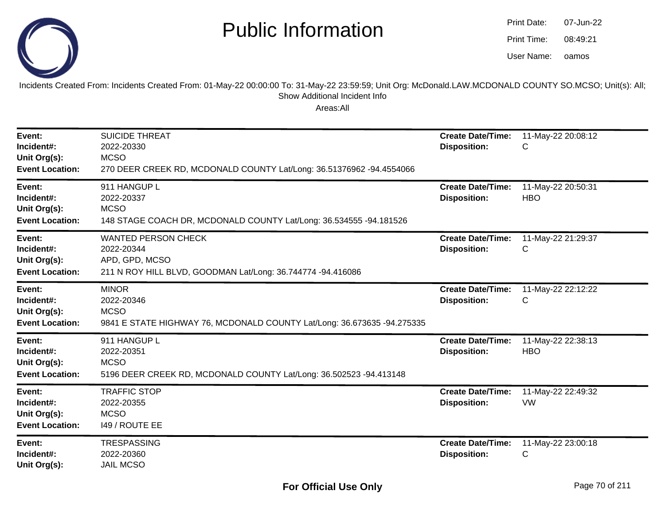

oamos07-Jun-2208:49:21Print Date:Print Time:User Name:

Incidents Created From: Incidents Created From: 01-May-22 00:00:00 To: 31-May-22 23:59:59; Unit Org: McDonald.LAW.MCDONALD COUNTY SO.MCSO; Unit(s): All; Show Additional Incident Info

| Event:<br>Incident#:<br>Unit Org(s):<br><b>Event Location:</b> | <b>SUICIDE THREAT</b><br>2022-20330<br><b>MCSO</b><br>270 DEER CREEK RD, MCDONALD COUNTY Lat/Long: 36.51376962 -94.4554066 | <b>Create Date/Time:</b><br><b>Disposition:</b> | 11-May-22 20:08:12<br>С          |
|----------------------------------------------------------------|----------------------------------------------------------------------------------------------------------------------------|-------------------------------------------------|----------------------------------|
| Event:<br>Incident#:<br>Unit Org(s):<br><b>Event Location:</b> | 911 HANGUP L<br>2022-20337<br><b>MCSO</b><br>148 STAGE COACH DR, MCDONALD COUNTY Lat/Long: 36.534555 -94.181526            | <b>Create Date/Time:</b><br><b>Disposition:</b> | 11-May-22 20:50:31<br><b>HBO</b> |
| Event:<br>Incident#:<br>Unit Org(s):<br><b>Event Location:</b> | <b>WANTED PERSON CHECK</b><br>2022-20344<br>APD, GPD, MCSO<br>211 N ROY HILL BLVD, GOODMAN Lat/Long: 36.744774 -94.416086  | <b>Create Date/Time:</b><br><b>Disposition:</b> | 11-May-22 21:29:37<br>С          |
| Event:<br>Incident#:<br>Unit Org(s):<br><b>Event Location:</b> | <b>MINOR</b><br>2022-20346<br><b>MCSO</b><br>9841 E STATE HIGHWAY 76, MCDONALD COUNTY Lat/Long: 36.673635 -94.275335       | <b>Create Date/Time:</b><br><b>Disposition:</b> | 11-May-22 22:12:22<br>С          |
| Event:<br>Incident#:<br>Unit Org(s):<br><b>Event Location:</b> | 911 HANGUP L<br>2022-20351<br><b>MCSO</b><br>5196 DEER CREEK RD, MCDONALD COUNTY Lat/Long: 36.502523 -94.413148            | <b>Create Date/Time:</b><br><b>Disposition:</b> | 11-May-22 22:38:13<br><b>HBO</b> |
| Event:<br>Incident#:<br>Unit Org(s):<br><b>Event Location:</b> | <b>TRAFFIC STOP</b><br>2022-20355<br><b>MCSO</b><br>149 / ROUTE EE                                                         | <b>Create Date/Time:</b><br><b>Disposition:</b> | 11-May-22 22:49:32<br><b>VW</b>  |
| Event:<br>Incident#:<br>Unit Org(s):                           | <b>TRESPASSING</b><br>2022-20360<br><b>JAIL MCSO</b>                                                                       | <b>Create Date/Time:</b><br><b>Disposition:</b> | 11-May-22 23:00:18<br>С          |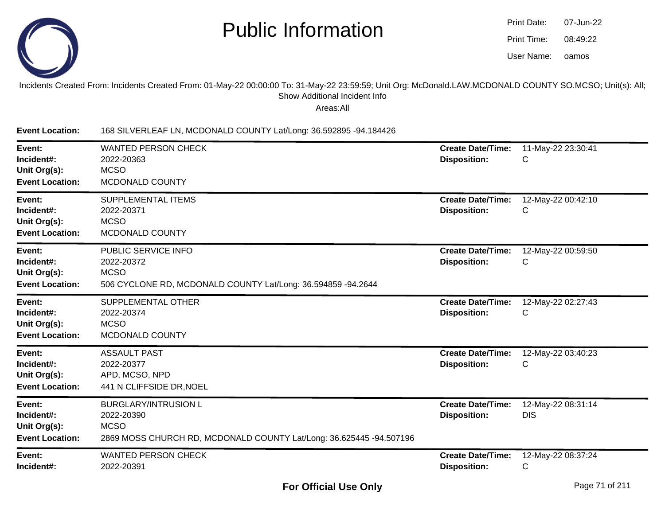

| Print Date: | 07-Jun-22 |
|-------------|-----------|
| Print Time: | 08.49.22  |
| User Name:  | oamos     |

#### Incidents Created From: Incidents Created From: 01-May-22 00:00:00 To: 31-May-22 23:59:59; Unit Org: McDonald.LAW.MCDONALD COUNTY SO.MCSO; Unit(s): All;Show Additional Incident Info

Areas:All

**Event Location:**168 SILVERLEAF LN, MCDONALD COUNTY Lat/Long: 36.592895 -94.184426

| Event:<br>Incident#:<br>Unit Org(s):<br><b>Event Location:</b> | <b>WANTED PERSON CHECK</b><br>2022-20363<br><b>MCSO</b><br>MCDONALD COUNTY                                                      | <b>Create Date/Time:</b><br><b>Disposition:</b> | 11-May-22 23:30:41<br>С          |
|----------------------------------------------------------------|---------------------------------------------------------------------------------------------------------------------------------|-------------------------------------------------|----------------------------------|
| Event:<br>Incident#:<br>Unit Org(s):<br><b>Event Location:</b> | <b>SUPPLEMENTAL ITEMS</b><br>2022-20371<br><b>MCSO</b><br>MCDONALD COUNTY                                                       | <b>Create Date/Time:</b><br><b>Disposition:</b> | 12-May-22 00:42:10<br>С          |
| Event:<br>Incident#:<br>Unit Org(s):<br><b>Event Location:</b> | PUBLIC SERVICE INFO<br>2022-20372<br><b>MCSO</b><br>506 CYCLONE RD, MCDONALD COUNTY Lat/Long: 36.594859 -94.2644                | <b>Create Date/Time:</b><br><b>Disposition:</b> | 12-May-22 00:59:50<br>С          |
| Event:<br>Incident#:<br>Unit Org(s):<br><b>Event Location:</b> | <b>SUPPLEMENTAL OTHER</b><br>2022-20374<br><b>MCSO</b><br>MCDONALD COUNTY                                                       | <b>Create Date/Time:</b><br><b>Disposition:</b> | 12-May-22 02:27:43<br>C          |
| Event:<br>Incident#:<br>Unit Org(s):<br><b>Event Location:</b> | <b>ASSAULT PAST</b><br>2022-20377<br>APD, MCSO, NPD<br>441 N CLIFFSIDE DR, NOEL                                                 | <b>Create Date/Time:</b><br><b>Disposition:</b> | 12-May-22 03:40:23<br>C          |
| Event:<br>Incident#:<br>Unit Org(s):<br><b>Event Location:</b> | <b>BURGLARY/INTRUSION L</b><br>2022-20390<br><b>MCSO</b><br>2869 MOSS CHURCH RD, MCDONALD COUNTY Lat/Long: 36.625445 -94.507196 | <b>Create Date/Time:</b><br><b>Disposition:</b> | 12-May-22 08:31:14<br><b>DIS</b> |
| Event:<br>Incident#:                                           | <b>WANTED PERSON CHECK</b><br>2022-20391                                                                                        | <b>Create Date/Time:</b><br><b>Disposition:</b> | 12-May-22 08:37:24<br>С          |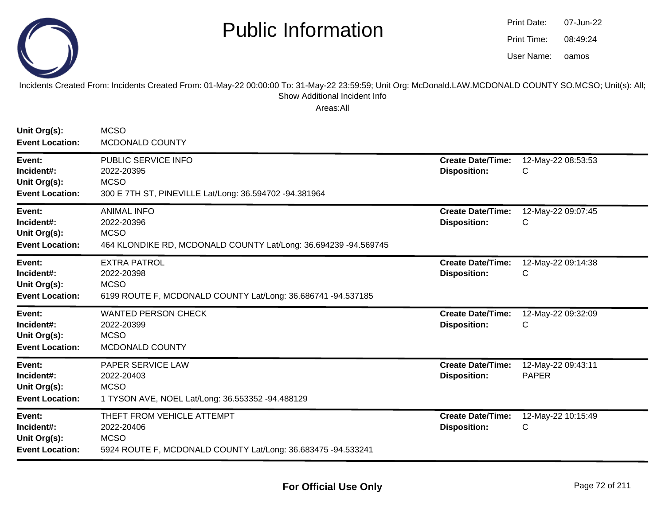

oamos07-Jun-2208:49:24Print Date:Print Time:User Name:

Incidents Created From: Incidents Created From: 01-May-22 00:00:00 To: 31-May-22 23:59:59; Unit Org: McDonald.LAW.MCDONALD COUNTY SO.MCSO; Unit(s): All; Show Additional Incident Info

| Unit Org(s):<br><b>Event Location:</b>                         | <b>MCSO</b><br><b>MCDONALD COUNTY</b>                                                                                   |                                                 |                                    |
|----------------------------------------------------------------|-------------------------------------------------------------------------------------------------------------------------|-------------------------------------------------|------------------------------------|
| Event:<br>Incident#:<br>Unit Org(s):<br><b>Event Location:</b> | PUBLIC SERVICE INFO<br>2022-20395<br><b>MCSO</b><br>300 E 7TH ST, PINEVILLE Lat/Long: 36.594702 -94.381964              | <b>Create Date/Time:</b><br><b>Disposition:</b> | 12-May-22 08:53:53<br>C            |
| Event:<br>Incident#:<br>Unit Org(s):<br><b>Event Location:</b> | <b>ANIMAL INFO</b><br>2022-20396<br><b>MCSO</b><br>464 KLONDIKE RD, MCDONALD COUNTY Lat/Long: 36.694239 -94.569745      | <b>Create Date/Time:</b><br><b>Disposition:</b> | 12-May-22 09:07:45<br>C            |
| Event:<br>Incident#:<br>Unit Org(s):<br><b>Event Location:</b> | <b>EXTRA PATROL</b><br>2022-20398<br><b>MCSO</b><br>6199 ROUTE F, MCDONALD COUNTY Lat/Long: 36.686741 -94.537185        | <b>Create Date/Time:</b><br><b>Disposition:</b> | 12-May-22 09:14:38<br>C            |
| Event:<br>Incident#:<br>Unit Org(s):<br><b>Event Location:</b> | <b>WANTED PERSON CHECK</b><br>2022-20399<br><b>MCSO</b><br>MCDONALD COUNTY                                              | <b>Create Date/Time:</b><br><b>Disposition:</b> | 12-May-22 09:32:09<br>C            |
| Event:<br>Incident#:<br>Unit Org(s):<br><b>Event Location:</b> | <b>PAPER SERVICE LAW</b><br>2022-20403<br><b>MCSO</b><br>1 TYSON AVE, NOEL Lat/Long: 36.553352 -94.488129               | <b>Create Date/Time:</b><br><b>Disposition:</b> | 12-May-22 09:43:11<br><b>PAPER</b> |
| Event:<br>Incident#:<br>Unit Org(s):<br><b>Event Location:</b> | THEFT FROM VEHICLE ATTEMPT<br>2022-20406<br><b>MCSO</b><br>5924 ROUTE F, MCDONALD COUNTY Lat/Long: 36.683475 -94.533241 | <b>Create Date/Time:</b><br><b>Disposition:</b> | 12-May-22 10:15:49<br>C            |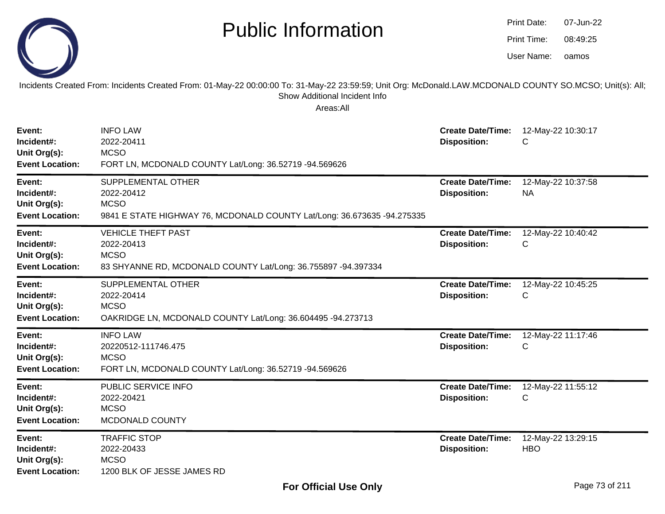|                                                                | <b>Public Information</b>                                                                                                                                                                              |                                                 | Print Date:<br>07-Jun-22<br>Print Time:<br>08:49:25<br>User Name:<br>oamos |
|----------------------------------------------------------------|--------------------------------------------------------------------------------------------------------------------------------------------------------------------------------------------------------|-------------------------------------------------|----------------------------------------------------------------------------|
|                                                                | Incidents Created From: Incidents Created From: 01-May-22 00:00:00 To: 31-May-22 23:59:59; Unit Org: McDonald.LAW.MCDONALD COUNTY SO.MCSO; Unit(s): All;<br>Show Additional Incident Info<br>Areas:All |                                                 |                                                                            |
| Event:<br>Incident#:<br>Unit Org(s):<br><b>Event Location:</b> | <b>INFO LAW</b><br>2022-20411<br><b>MCSO</b><br>FORT LN, MCDONALD COUNTY Lat/Long: 36.52719 -94.569626                                                                                                 | <b>Create Date/Time:</b><br><b>Disposition:</b> | 12-May-22 10:30:17<br>С                                                    |
| Event:<br>Incident#:<br>Unit Org(s):<br><b>Event Location:</b> | SUPPLEMENTAL OTHER<br>2022-20412<br><b>MCSO</b><br>9841 E STATE HIGHWAY 76, MCDONALD COUNTY Lat/Long: 36.673635 -94.275335                                                                             | <b>Create Date/Time:</b><br><b>Disposition:</b> | 12-May-22 10:37:58<br><b>NA</b>                                            |
| Event:<br>Incident#:<br>Unit Org(s):<br><b>Event Location:</b> | <b>VEHICLE THEFT PAST</b><br>2022-20413<br><b>MCSO</b><br>83 SHYANNE RD, MCDONALD COUNTY Lat/Long: 36.755897 -94.397334                                                                                | <b>Create Date/Time:</b><br><b>Disposition:</b> | 12-May-22 10:40:42<br>С                                                    |
| Event:<br>Incident#:<br>Unit Org(s):<br><b>Event Location:</b> | SUPPLEMENTAL OTHER<br>2022-20414<br><b>MCSO</b><br>OAKRIDGE LN, MCDONALD COUNTY Lat/Long: 36.604495 -94.273713                                                                                         | <b>Create Date/Time:</b><br><b>Disposition:</b> | 12-May-22 10:45:25<br>С                                                    |
| Event:<br>Incident#:<br>Unit Org(s):<br><b>Event Location:</b> | <b>INFO LAW</b><br>20220512-111746.475<br><b>MCSO</b><br>FORT LN, MCDONALD COUNTY Lat/Long: 36.52719 -94.569626                                                                                        | <b>Create Date/Time:</b><br><b>Disposition:</b> | 12-May-22 11:17:46<br>С                                                    |
| Event:<br>Incident#:<br>Unit Org(s):<br><b>Event Location:</b> | PUBLIC SERVICE INFO<br>2022-20421<br><b>MCSO</b><br>MCDONALD COUNTY                                                                                                                                    | <b>Create Date/Time:</b><br><b>Disposition:</b> | 12-May-22 11:55:12<br>$\mathsf{C}$                                         |
| Event:<br>Incident#:<br>Unit Org(s):<br><b>Event Location:</b> | <b>TRAFFIC STOP</b><br>2022-20433<br><b>MCSO</b><br>1200 BLK OF JESSE JAMES RD                                                                                                                         | <b>Create Date/Time:</b><br><b>Disposition:</b> | 12-May-22 13:29:15<br><b>HBO</b>                                           |

 $\sim$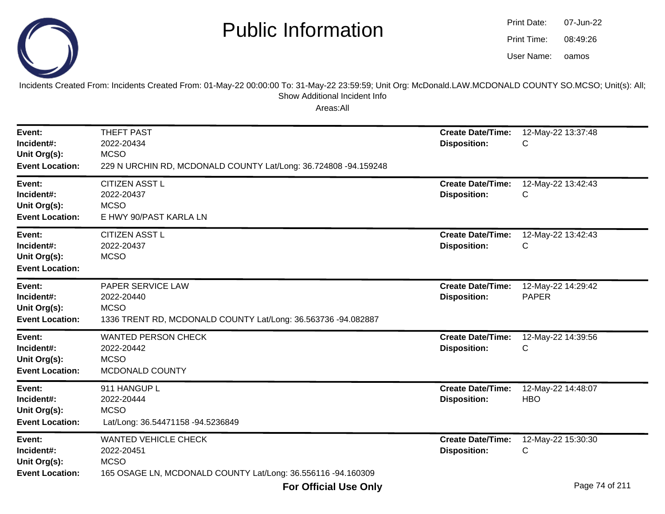

oamos07-Jun-2208:49:26Print Date:Print Time:User Name:

Incidents Created From: Incidents Created From: 01-May-22 00:00:00 To: 31-May-22 23:59:59; Unit Org: McDonald.LAW.MCDONALD COUNTY SO.MCSO; Unit(s): All; Show Additional Incident Info

| Event:<br>Incident#:<br>Unit Org(s):<br><b>Event Location:</b> | <b>THEFT PAST</b><br>2022-20434<br><b>MCSO</b><br>229 N URCHIN RD, MCDONALD COUNTY Lat/Long: 36.724808 -94.159248        | <b>Create Date/Time:</b><br><b>Disposition:</b> | 12-May-22 13:37:48<br>С            |
|----------------------------------------------------------------|--------------------------------------------------------------------------------------------------------------------------|-------------------------------------------------|------------------------------------|
| Event:<br>Incident#:<br>Unit Org(s):<br><b>Event Location:</b> | <b>CITIZEN ASST L</b><br>2022-20437<br><b>MCSO</b><br>E HWY 90/PAST KARLA LN                                             | <b>Create Date/Time:</b><br><b>Disposition:</b> | 12-May-22 13:42:43<br>С            |
| Event:<br>Incident#:<br>Unit Org(s):<br><b>Event Location:</b> | <b>CITIZEN ASST L</b><br>2022-20437<br><b>MCSO</b>                                                                       | <b>Create Date/Time:</b><br><b>Disposition:</b> | 12-May-22 13:42:43<br>С            |
| Event:<br>Incident#:<br>Unit Org(s):<br><b>Event Location:</b> | PAPER SERVICE LAW<br>2022-20440<br><b>MCSO</b><br>1336 TRENT RD, MCDONALD COUNTY Lat/Long: 36.563736 -94.082887          | <b>Create Date/Time:</b><br><b>Disposition:</b> | 12-May-22 14:29:42<br><b>PAPER</b> |
| Event:<br>Incident#:<br>Unit Org(s):<br><b>Event Location:</b> | <b>WANTED PERSON CHECK</b><br>2022-20442<br><b>MCSO</b><br>MCDONALD COUNTY                                               | <b>Create Date/Time:</b><br><b>Disposition:</b> | 12-May-22 14:39:56<br>С            |
| Event:<br>Incident#:<br>Unit Org(s):<br><b>Event Location:</b> | 911 HANGUP L<br>2022-20444<br><b>MCSO</b><br>Lat/Long: 36.54471158 -94.5236849                                           | <b>Create Date/Time:</b><br><b>Disposition:</b> | 12-May-22 14:48:07<br><b>HBO</b>   |
| Event:<br>Incident#:<br>Unit Org(s):<br><b>Event Location:</b> | <b>WANTED VEHICLE CHECK</b><br>2022-20451<br><b>MCSO</b><br>165 OSAGE LN, MCDONALD COUNTY Lat/Long: 36.556116 -94.160309 | <b>Create Date/Time:</b><br><b>Disposition:</b> | 12-May-22 15:30:30<br>С            |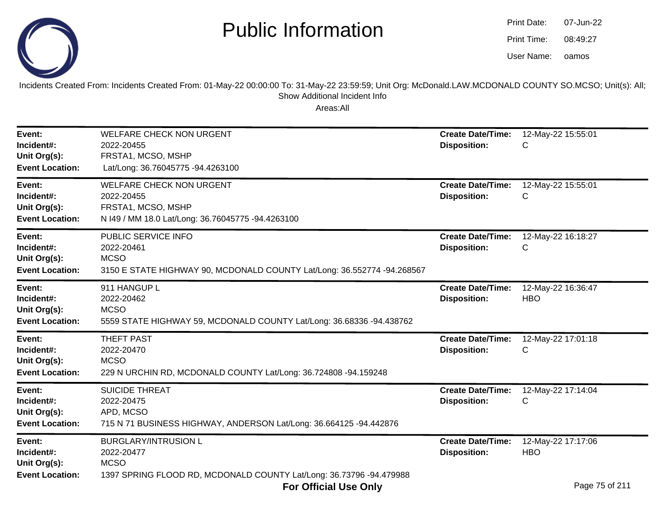

oamos07-Jun-2208:49:27Print Date:Print Time:User Name:

Incidents Created From: Incidents Created From: 01-May-22 00:00:00 To: 31-May-22 23:59:59; Unit Org: McDonald.LAW.MCDONALD COUNTY SO.MCSO; Unit(s): All; Show Additional Incident Info

| Event:<br>Incident#:<br>Unit Org(s):<br><b>Event Location:</b> | <b>WELFARE CHECK NON URGENT</b><br>2022-20455<br>FRSTA1, MCSO, MSHP<br>Lat/Long: 36.76045775 -94.4263100                        | <b>Create Date/Time:</b><br><b>Disposition:</b> | 12-May-22 15:55:01<br>С                                 |
|----------------------------------------------------------------|---------------------------------------------------------------------------------------------------------------------------------|-------------------------------------------------|---------------------------------------------------------|
| Event:<br>Incident#:<br>Unit Org(s):<br><b>Event Location:</b> | <b>WELFARE CHECK NON URGENT</b><br>2022-20455<br>FRSTA1, MCSO, MSHP<br>N I49 / MM 18.0 Lat/Long: 36.76045775 -94.4263100        | <b>Create Date/Time:</b><br><b>Disposition:</b> | 12-May-22 15:55:01<br>C                                 |
| Event:<br>Incident#:<br>Unit Org(s):<br><b>Event Location:</b> | PUBLIC SERVICE INFO<br>2022-20461<br><b>MCSO</b><br>3150 E STATE HIGHWAY 90, MCDONALD COUNTY Lat/Long: 36.552774 -94.268567     | <b>Create Date/Time:</b><br><b>Disposition:</b> | 12-May-22 16:18:27<br>С                                 |
| Event:<br>Incident#:<br>Unit Org(s):<br><b>Event Location:</b> | 911 HANGUP L<br>2022-20462<br><b>MCSO</b><br>5559 STATE HIGHWAY 59, MCDONALD COUNTY Lat/Long: 36.68336 -94.438762               | <b>Create Date/Time:</b><br><b>Disposition:</b> | 12-May-22 16:36:47<br><b>HBO</b>                        |
| Event:<br>Incident#:<br>Unit Org(s):<br><b>Event Location:</b> | <b>THEFT PAST</b><br>2022-20470<br><b>MCSO</b><br>229 N URCHIN RD, MCDONALD COUNTY Lat/Long: 36.724808 -94.159248               | <b>Create Date/Time:</b><br><b>Disposition:</b> | 12-May-22 17:01:18<br>C                                 |
| Event:<br>Incident#:<br>Unit Org(s):<br><b>Event Location:</b> | <b>SUICIDE THREAT</b><br>2022-20475<br>APD, MCSO<br>715 N 71 BUSINESS HIGHWAY, ANDERSON Lat/Long: 36.664125 -94.442876          | <b>Create Date/Time:</b><br><b>Disposition:</b> | 12-May-22 17:14:04<br>С                                 |
| Event:<br>Incident#:<br>Unit Org(s):<br><b>Event Location:</b> | <b>BURGLARY/INTRUSION L</b><br>2022-20477<br><b>MCSO</b><br>1397 SPRING FLOOD RD, MCDONALD COUNTY Lat/Long: 36.73796 -94.479988 | <b>Create Date/Time:</b><br><b>Disposition:</b> | 12-May-22 17:17:06<br><b>HBO</b><br><b>D., 75, 6044</b> |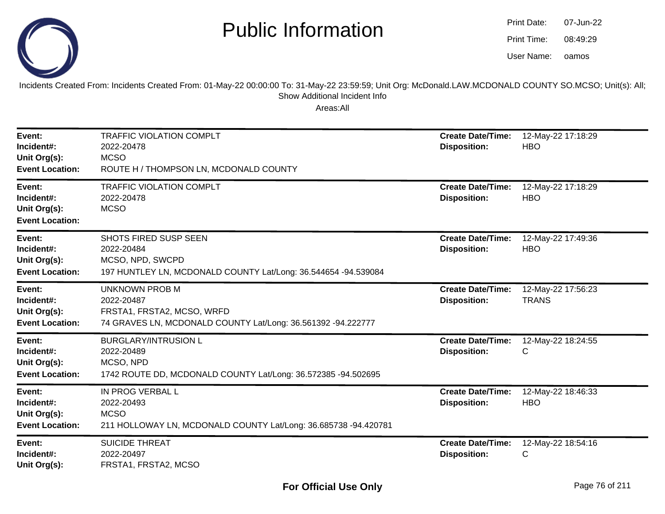

| Print Date: | 07-Jun-22 |
|-------------|-----------|
| Print Time: | 08:49:29  |
| User Name:  | oamos     |

Incidents Created From: Incidents Created From: 01-May-22 00:00:00 To: 31-May-22 23:59:59; Unit Org: McDonald.LAW.MCDONALD COUNTY SO.MCSO; Unit(s): All; Show Additional Incident Info

| Event:<br>Incident#:<br>Unit Org(s):<br><b>Event Location:</b> | <b>TRAFFIC VIOLATION COMPLT</b><br>2022-20478<br><b>MCSO</b><br>ROUTE H / THOMPSON LN, MCDONALD COUNTY                            | <b>Create Date/Time:</b><br><b>Disposition:</b> | 12-May-22 17:18:29<br><b>HBO</b>   |
|----------------------------------------------------------------|-----------------------------------------------------------------------------------------------------------------------------------|-------------------------------------------------|------------------------------------|
| Event:<br>Incident#:<br>Unit Org(s):<br><b>Event Location:</b> | <b>TRAFFIC VIOLATION COMPLT</b><br>2022-20478<br><b>MCSO</b>                                                                      | <b>Create Date/Time:</b><br><b>Disposition:</b> | 12-May-22 17:18:29<br><b>HBO</b>   |
| Event:<br>Incident#:<br>Unit Org(s):<br><b>Event Location:</b> | <b>SHOTS FIRED SUSP SEEN</b><br>2022-20484<br>MCSO, NPD, SWCPD<br>197 HUNTLEY LN, MCDONALD COUNTY Lat/Long: 36.544654 -94.539084  | <b>Create Date/Time:</b><br><b>Disposition:</b> | 12-May-22 17:49:36<br><b>HBO</b>   |
| Event:<br>Incident#:<br>Unit Org(s):<br><b>Event Location:</b> | <b>UNKNOWN PROB M</b><br>2022-20487<br>FRSTA1, FRSTA2, MCSO, WRFD<br>74 GRAVES LN, MCDONALD COUNTY Lat/Long: 36.561392 -94.222777 | <b>Create Date/Time:</b><br><b>Disposition:</b> | 12-May-22 17:56:23<br><b>TRANS</b> |
| Event:<br>Incident#:<br>Unit Org(s):<br><b>Event Location:</b> | <b>BURGLARY/INTRUSION L</b><br>2022-20489<br>MCSO, NPD<br>1742 ROUTE DD, MCDONALD COUNTY Lat/Long: 36.572385 -94.502695           | <b>Create Date/Time:</b><br><b>Disposition:</b> | 12-May-22 18:24:55<br>C            |
| Event:<br>Incident#:<br>Unit Org(s):<br><b>Event Location:</b> | IN PROG VERBAL L<br>2022-20493<br><b>MCSO</b><br>211 HOLLOWAY LN, MCDONALD COUNTY Lat/Long: 36.685738 -94.420781                  | <b>Create Date/Time:</b><br><b>Disposition:</b> | 12-May-22 18:46:33<br><b>HBO</b>   |
| Event:<br>Incident#:<br>Unit Org(s):                           | <b>SUICIDE THREAT</b><br>2022-20497<br>FRSTA1, FRSTA2, MCSO                                                                       | <b>Create Date/Time:</b><br><b>Disposition:</b> | 12-May-22 18:54:16<br>C            |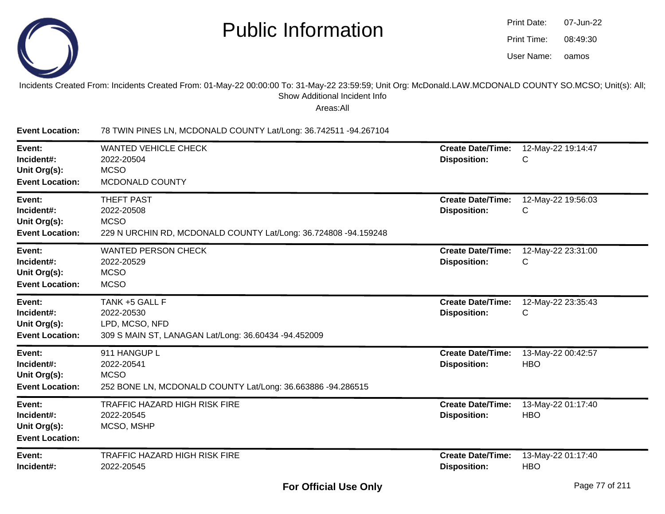

| Print Date: | 07-Jun-22 |
|-------------|-----------|
| Print Time: | 08:49:30  |
| User Name:  | oamos     |

#### Incidents Created From: Incidents Created From: 01-May-22 00:00:00 To: 31-May-22 23:59:59; Unit Org: McDonald.LAW.MCDONALD COUNTY SO.MCSO; Unit(s): All;Show Additional Incident Info

Areas:All

**Event Location:** 78 TWIN PINES LN, MCDONALD COUNTY Lat/Long: 36.742511 -94.267104**Event:** WANTED VEHICLE CHECK **Create Date/Time:** 12-May-22 19:14:47 **Incident#:** 2022-20504 **Disposition:** <sup>C</sup>**Unit Org(s):MCSO**  MCDONALD COUNTY**Event Location:Event:** THEFT PAST **Create Date/Time:** 12-May-22 19:56:03 **Incident#:** 2022-20508 **Disposition:** <sup>C</sup>**Unit Org(s):** MCSO 229 N URCHIN RD, MCDONALD COUNTY Lat/Long: 36.724808 -94.159248**Event Location:Event:** WANTED PERSON CHECK **Create Date/Time:** 12-May-22 23:31:00 **Incident#:** 2022-20529 **Disposition:** <sup>C</sup>**Unit Org(s):MCSO** : MCSO **Event Location:Event:** TANK +5 GALL F **Create Date/Time:** 12-May-22 23:35:43 **Incident#:** 2022-20530 **Disposition:** <sup>C</sup>**Unit Org(s):** LPD, MCSO, NFD 309 S MAIN ST, LANAGAN Lat/Long: 36.60434 -94.452009**Event Location:Event:** 911 HANGUP L **Create Date/Time:** 13-May-22 00:42:57 **Incident#:** 2022-20541 **Disposition:** HBO**Unit Org(s):** MCSO 252 BONE LN, MCDONALD COUNTY Lat/Long: 36.663886 -94.286515**Event Location:Event:** TRAFFIC HAZARD HIGH RISK FIRE **Create Date/Time:** 13-May-22 01:17:40 **Incident#:** 2022-20545 **Disposition:** HBO**Unit Org(s):** MCSO, MSHP**Event Location:Event:** TRAFFIC HAZARD HIGH RISK FIRE **Create Date/Time:** 13-May-22 01:17:40 **Incident#:** 2022-20545**Disposition:** HBO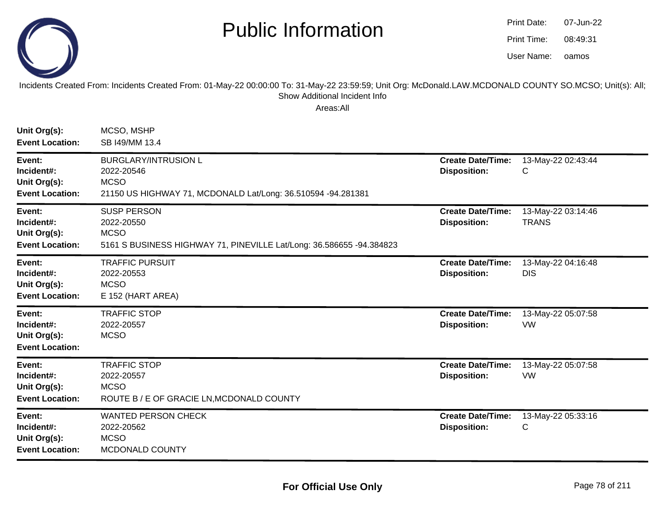

oamos07-Jun-2208:49:31Print Date:Print Time:User Name:

Incidents Created From: Incidents Created From: 01-May-22 00:00:00 To: 31-May-22 23:59:59; Unit Org: McDonald.LAW.MCDONALD COUNTY SO.MCSO; Unit(s): All; Show Additional Incident Info

| Unit Org(s):<br><b>Event Location:</b>                         | MCSO, MSHP<br>SB I49/MM 13.4                                                                                             |                                                 |                                    |
|----------------------------------------------------------------|--------------------------------------------------------------------------------------------------------------------------|-------------------------------------------------|------------------------------------|
| Event:<br>Incident#:<br>Unit Org(s):<br><b>Event Location:</b> | <b>BURGLARY/INTRUSION L</b><br>2022-20546<br><b>MCSO</b><br>21150 US HIGHWAY 71, MCDONALD Lat/Long: 36.510594 -94.281381 | <b>Create Date/Time:</b><br><b>Disposition:</b> | 13-May-22 02:43:44<br>С            |
| Event:<br>Incident#:<br>Unit Org(s):<br><b>Event Location:</b> | <b>SUSP PERSON</b><br>2022-20550<br><b>MCSO</b><br>5161 S BUSINESS HIGHWAY 71, PINEVILLE Lat/Long: 36.586655 -94.384823  | <b>Create Date/Time:</b><br><b>Disposition:</b> | 13-May-22 03:14:46<br><b>TRANS</b> |
| Event:<br>Incident#:<br>Unit Org(s):<br><b>Event Location:</b> | <b>TRAFFIC PURSUIT</b><br>2022-20553<br><b>MCSO</b><br>E 152 (HART AREA)                                                 | <b>Create Date/Time:</b><br><b>Disposition:</b> | 13-May-22 04:16:48<br><b>DIS</b>   |
| Event:<br>Incident#:<br>Unit Org(s):<br><b>Event Location:</b> | <b>TRAFFIC STOP</b><br>2022-20557<br><b>MCSO</b>                                                                         | <b>Create Date/Time:</b><br><b>Disposition:</b> | 13-May-22 05:07:58<br><b>VW</b>    |
| Event:<br>Incident#:<br>Unit Org(s):<br><b>Event Location:</b> | <b>TRAFFIC STOP</b><br>2022-20557<br><b>MCSO</b><br>ROUTE B / E OF GRACIE LN, MCDONALD COUNTY                            | <b>Create Date/Time:</b><br><b>Disposition:</b> | 13-May-22 05:07:58<br><b>VW</b>    |
| Event:<br>Incident#:<br>Unit Org(s):<br><b>Event Location:</b> | <b>WANTED PERSON CHECK</b><br>2022-20562<br><b>MCSO</b><br>MCDONALD COUNTY                                               | <b>Create Date/Time:</b><br><b>Disposition:</b> | 13-May-22 05:33:16<br>С            |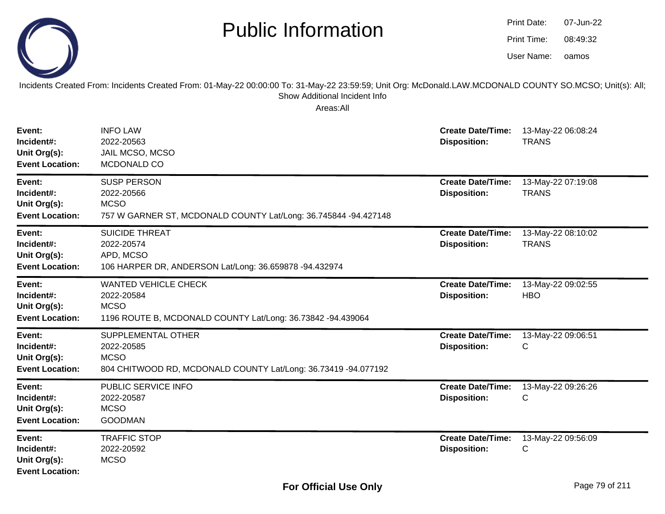

Incidents Created From: Incidents Created From: 01-May-22 00:00:00 To: 31-May-22 23:59:59; Unit Org: McDonald.LAW.MCDONALD COUNTY SO.MCSO; Unit(s): All; Show Additional Incident Info

| Event:<br>Incident#:<br>Unit Org(s):<br><b>Event Location:</b> | <b>INFO LAW</b><br>2022-20563<br>JAIL MCSO, MCSO<br>MCDONALD CO                                                          | <b>Create Date/Time:</b><br><b>Disposition:</b> | 13-May-22 06:08:24<br><b>TRANS</b> |
|----------------------------------------------------------------|--------------------------------------------------------------------------------------------------------------------------|-------------------------------------------------|------------------------------------|
| Event:<br>Incident#:<br>Unit Org(s):<br><b>Event Location:</b> | <b>SUSP PERSON</b><br>2022-20566<br><b>MCSO</b><br>757 W GARNER ST, MCDONALD COUNTY Lat/Long: 36.745844 -94.427148       | <b>Create Date/Time:</b><br><b>Disposition:</b> | 13-May-22 07:19:08<br><b>TRANS</b> |
| Event:<br>Incident#:<br>Unit Org(s):<br><b>Event Location:</b> | <b>SUICIDE THREAT</b><br>2022-20574<br>APD, MCSO<br>106 HARPER DR, ANDERSON Lat/Long: 36.659878 -94.432974               | <b>Create Date/Time:</b><br><b>Disposition:</b> | 13-May-22 08:10:02<br><b>TRANS</b> |
| Event:<br>Incident#:<br>Unit Org(s):<br><b>Event Location:</b> | <b>WANTED VEHICLE CHECK</b><br>2022-20584<br><b>MCSO</b><br>1196 ROUTE B, MCDONALD COUNTY Lat/Long: 36.73842 -94.439064  | <b>Create Date/Time:</b><br><b>Disposition:</b> | 13-May-22 09:02:55<br><b>HBO</b>   |
| Event:<br>Incident#:<br>Unit Org(s):<br><b>Event Location:</b> | <b>SUPPLEMENTAL OTHER</b><br>2022-20585<br><b>MCSO</b><br>804 CHITWOOD RD, MCDONALD COUNTY Lat/Long: 36.73419 -94.077192 | <b>Create Date/Time:</b><br><b>Disposition:</b> | 13-May-22 09:06:51<br>C            |
| Event:<br>Incident#:<br>Unit Org(s):<br><b>Event Location:</b> | PUBLIC SERVICE INFO<br>2022-20587<br><b>MCSO</b><br><b>GOODMAN</b>                                                       | <b>Create Date/Time:</b><br><b>Disposition:</b> | 13-May-22 09:26:26<br>C            |
| Event:<br>Incident#:<br>Unit Org(s):<br><b>Event Location:</b> | <b>TRAFFIC STOP</b><br>2022-20592<br><b>MCSO</b>                                                                         | <b>Create Date/Time:</b><br><b>Disposition:</b> | 13-May-22 09:56:09<br>С            |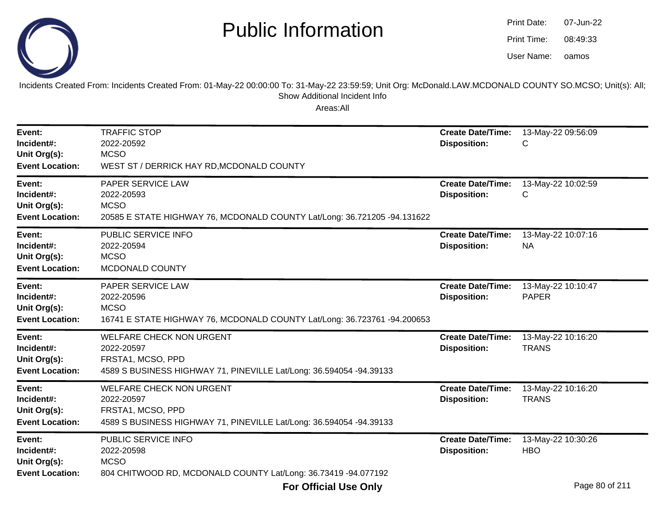

oamos07-Jun-2208:49:33Print Date:Print Time:User Name:

Incidents Created From: Incidents Created From: 01-May-22 00:00:00 To: 31-May-22 23:59:59; Unit Org: McDonald.LAW.MCDONALD COUNTY SO.MCSO; Unit(s): All; Show Additional Incident Info

| Event:<br>Incident#:<br>Unit Org(s):<br><b>Event Location:</b> | <b>TRAFFIC STOP</b><br>2022-20592<br><b>MCSO</b><br>WEST ST / DERRICK HAY RD, MCDONALD COUNTY                                             | <b>Create Date/Time:</b><br><b>Disposition:</b> | 13-May-22 09:56:09<br>С            |
|----------------------------------------------------------------|-------------------------------------------------------------------------------------------------------------------------------------------|-------------------------------------------------|------------------------------------|
| Event:<br>Incident#:<br>Unit Org(s):<br><b>Event Location:</b> | <b>PAPER SERVICE LAW</b><br>2022-20593<br><b>MCSO</b><br>20585 E STATE HIGHWAY 76, MCDONALD COUNTY Lat/Long: 36.721205 -94.131622         | <b>Create Date/Time:</b><br><b>Disposition:</b> | 13-May-22 10:02:59<br>С            |
| Event:<br>Incident#:<br>Unit Org(s):<br><b>Event Location:</b> | PUBLIC SERVICE INFO<br>2022-20594<br><b>MCSO</b><br>MCDONALD COUNTY                                                                       | <b>Create Date/Time:</b><br><b>Disposition:</b> | 13-May-22 10:07:16<br><b>NA</b>    |
| Event:<br>Incident#:<br>Unit Org(s):<br><b>Event Location:</b> | PAPER SERVICE LAW<br>2022-20596<br><b>MCSO</b><br>16741 E STATE HIGHWAY 76, MCDONALD COUNTY Lat/Long: 36.723761 -94.200653                | <b>Create Date/Time:</b><br><b>Disposition:</b> | 13-May-22 10:10:47<br><b>PAPER</b> |
| Event:<br>Incident#:<br>Unit Org(s):<br><b>Event Location:</b> | <b>WELFARE CHECK NON URGENT</b><br>2022-20597<br>FRSTA1, MCSO, PPD<br>4589 S BUSINESS HIGHWAY 71, PINEVILLE Lat/Long: 36.594054 -94.39133 | <b>Create Date/Time:</b><br><b>Disposition:</b> | 13-May-22 10:16:20<br><b>TRANS</b> |
| Event:<br>Incident#:<br>Unit Org(s):<br><b>Event Location:</b> | <b>WELFARE CHECK NON URGENT</b><br>2022-20597<br>FRSTA1, MCSO, PPD<br>4589 S BUSINESS HIGHWAY 71, PINEVILLE Lat/Long: 36.594054 -94.39133 | <b>Create Date/Time:</b><br><b>Disposition:</b> | 13-May-22 10:16:20<br><b>TRANS</b> |
| Event:<br>Incident#:<br>Unit Org(s):<br><b>Event Location:</b> | PUBLIC SERVICE INFO<br>2022-20598<br><b>MCSO</b><br>804 CHITWOOD RD, MCDONALD COUNTY Lat/Long: 36.73419 -94.077192                        | <b>Create Date/Time:</b><br><b>Disposition:</b> | 13-May-22 10:30:26<br><b>HBO</b>   |
|                                                                | <b>For Official Use Only</b>                                                                                                              |                                                 | Page 80 of 211                     |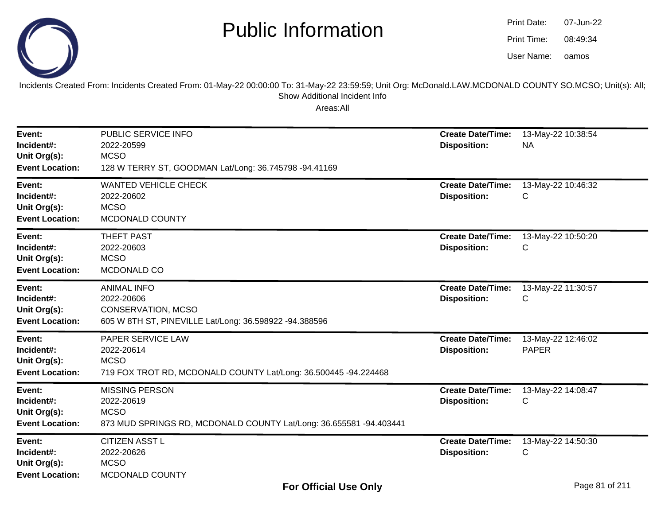

| Print Date: | 07-Jun-22 |
|-------------|-----------|
| Print Time: | 08:49:34  |
| User Name:  | oamos     |

Incidents Created From: Incidents Created From: 01-May-22 00:00:00 To: 31-May-22 23:59:59; Unit Org: McDonald.LAW.MCDONALD COUNTY SO.MCSO; Unit(s): All; Show Additional Incident Info

| Event:<br>Incident#:<br>Unit Org(s):                                                     | PUBLIC SERVICE INFO<br>2022-20599<br><b>MCSO</b>                                                                                     | <b>Create Date/Time:</b><br><b>Disposition:</b> | 13-May-22 10:38:54<br><b>NA</b>    |
|------------------------------------------------------------------------------------------|--------------------------------------------------------------------------------------------------------------------------------------|-------------------------------------------------|------------------------------------|
| <b>Event Location:</b><br>Event:<br>Incident#:<br>Unit Org(s):<br><b>Event Location:</b> | 128 W TERRY ST, GOODMAN Lat/Long: 36.745798 -94.41169<br><b>WANTED VEHICLE CHECK</b><br>2022-20602<br><b>MCSO</b><br>MCDONALD COUNTY | <b>Create Date/Time:</b><br><b>Disposition:</b> | 13-May-22 10:46:32<br>C            |
| Event:<br>Incident#:<br>Unit Org(s):<br><b>Event Location:</b>                           | <b>THEFT PAST</b><br>2022-20603<br><b>MCSO</b><br>MCDONALD CO                                                                        | <b>Create Date/Time:</b><br><b>Disposition:</b> | 13-May-22 10:50:20<br>С            |
| Event:<br>Incident#:<br>Unit Org(s):<br><b>Event Location:</b>                           | <b>ANIMAL INFO</b><br>2022-20606<br>CONSERVATION, MCSO<br>605 W 8TH ST, PINEVILLE Lat/Long: 36.598922 -94.388596                     | <b>Create Date/Time:</b><br><b>Disposition:</b> | 13-May-22 11:30:57<br>С            |
| Event:<br>Incident#:<br>Unit Org(s):<br><b>Event Location:</b>                           | PAPER SERVICE LAW<br>2022-20614<br><b>MCSO</b><br>719 FOX TROT RD, MCDONALD COUNTY Lat/Long: 36.500445 -94.224468                    | <b>Create Date/Time:</b><br><b>Disposition:</b> | 13-May-22 12:46:02<br><b>PAPER</b> |
| Event:<br>Incident#:<br>Unit Org(s):<br><b>Event Location:</b>                           | <b>MISSING PERSON</b><br>2022-20619<br><b>MCSO</b><br>873 MUD SPRINGS RD, MCDONALD COUNTY Lat/Long: 36.655581 -94.403441             | <b>Create Date/Time:</b><br><b>Disposition:</b> | 13-May-22 14:08:47<br>С            |
| Event:<br>Incident#:<br>Unit Org(s):<br><b>Event Location:</b>                           | <b>CITIZEN ASST L</b><br>2022-20626<br><b>MCSO</b><br>MCDONALD COUNTY                                                                | <b>Create Date/Time:</b><br><b>Disposition:</b> | 13-May-22 14:50:30<br>С            |
|                                                                                          | <b>For Official Use Only</b>                                                                                                         |                                                 | Page 81 of 211                     |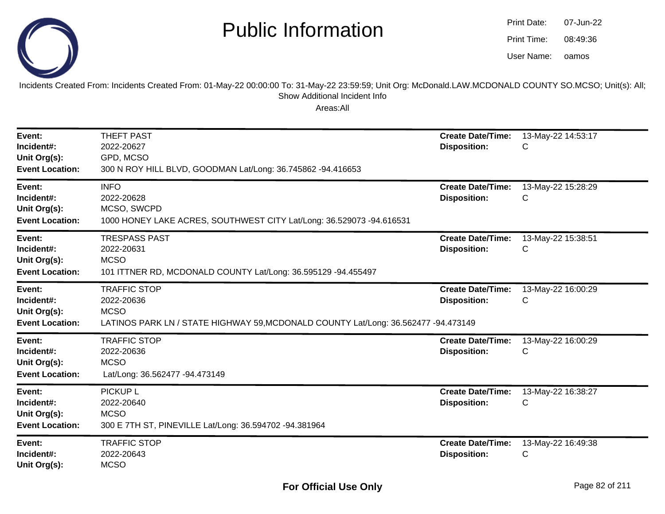

oamos07-Jun-2208:49:36Print Date:Print Time:User Name:

Incidents Created From: Incidents Created From: 01-May-22 00:00:00 To: 31-May-22 23:59:59; Unit Org: McDonald.LAW.MCDONALD COUNTY SO.MCSO; Unit(s): All; Show Additional Incident Info

| Event:<br>Incident#:<br>Unit Org(s):<br><b>Event Location:</b> | <b>THEFT PAST</b><br>2022-20627<br>GPD, MCSO<br>300 N ROY HILL BLVD, GOODMAN Lat/Long: 36.745862 -94.416653                            | <b>Create Date/Time:</b><br><b>Disposition:</b> | 13-May-22 14:53:17<br>С |
|----------------------------------------------------------------|----------------------------------------------------------------------------------------------------------------------------------------|-------------------------------------------------|-------------------------|
| Event:<br>Incident#:<br>Unit Org(s):<br><b>Event Location:</b> | <b>INFO</b><br>2022-20628<br>MCSO, SWCPD<br>1000 HONEY LAKE ACRES, SOUTHWEST CITY Lat/Long: 36.529073 -94.616531                       | <b>Create Date/Time:</b><br><b>Disposition:</b> | 13-May-22 15:28:29<br>С |
| Event:<br>Incident#:<br>Unit Org(s):<br><b>Event Location:</b> | <b>TRESPASS PAST</b><br>2022-20631<br><b>MCSO</b><br>101 ITTNER RD, MCDONALD COUNTY Lat/Long: 36.595129 -94.455497                     | <b>Create Date/Time:</b><br><b>Disposition:</b> | 13-May-22 15:38:51<br>С |
| Event:<br>Incident#:<br>Unit Org(s):<br><b>Event Location:</b> | <b>TRAFFIC STOP</b><br>2022-20636<br><b>MCSO</b><br>LATINOS PARK LN / STATE HIGHWAY 59, MCDONALD COUNTY Lat/Long: 36.562477 -94.473149 | <b>Create Date/Time:</b><br><b>Disposition:</b> | 13-May-22 16:00:29<br>С |
| Event:<br>Incident#:<br>Unit Org(s):<br><b>Event Location:</b> | <b>TRAFFIC STOP</b><br>2022-20636<br><b>MCSO</b><br>Lat/Long: 36.562477 -94.473149                                                     | <b>Create Date/Time:</b><br><b>Disposition:</b> | 13-May-22 16:00:29<br>С |
| Event:<br>Incident#:<br>Unit Org(s):<br><b>Event Location:</b> | <b>PICKUP L</b><br>2022-20640<br><b>MCSO</b><br>300 E 7TH ST, PINEVILLE Lat/Long: 36.594702 -94.381964                                 | <b>Create Date/Time:</b><br><b>Disposition:</b> | 13-May-22 16:38:27<br>С |
| Event:<br>Incident#:<br>Unit Org(s):                           | <b>TRAFFIC STOP</b><br>2022-20643<br><b>MCSO</b>                                                                                       | <b>Create Date/Time:</b><br><b>Disposition:</b> | 13-May-22 16:49:38<br>С |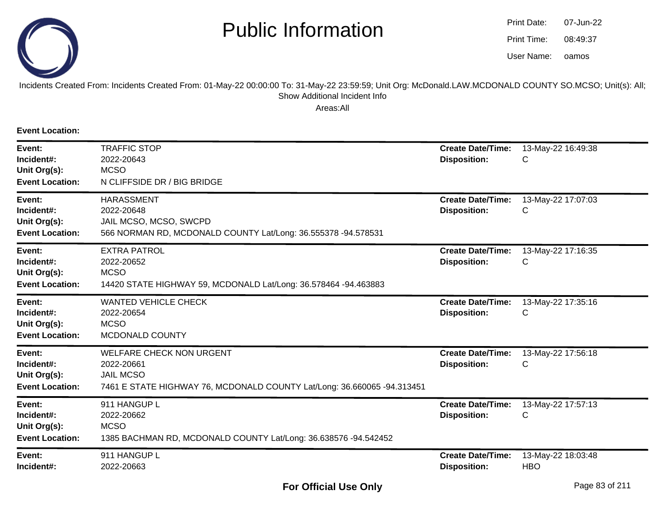

oamos07-Jun-2208:49:37Print Date:Print Time:User Name:

#### Incidents Created From: Incidents Created From: 01-May-22 00:00:00 To: 31-May-22 23:59:59; Unit Org: McDonald.LAW.MCDONALD COUNTY SO.MCSO; Unit(s): All; Show Additional Incident Info

Areas:All

**Event Location:**

| Event:<br>Incident#:<br>Unit Org(s):<br><b>Event Location:</b> | <b>TRAFFIC STOP</b><br>2022-20643<br><b>MCSO</b><br>N CLIFFSIDE DR / BIG BRIDGE                                                              | <b>Create Date/Time:</b><br><b>Disposition:</b> | 13-May-22 16:49:38<br>С          |
|----------------------------------------------------------------|----------------------------------------------------------------------------------------------------------------------------------------------|-------------------------------------------------|----------------------------------|
| Event:<br>Incident#:<br>Unit Org(s):<br><b>Event Location:</b> | <b>HARASSMENT</b><br>2022-20648<br>JAIL MCSO, MCSO, SWCPD<br>566 NORMAN RD, MCDONALD COUNTY Lat/Long: 36.555378 -94.578531                   | <b>Create Date/Time:</b><br><b>Disposition:</b> | 13-May-22 17:07:03<br>С          |
| Event:<br>Incident#:<br>Unit Org(s):<br><b>Event Location:</b> | <b>EXTRA PATROL</b><br>2022-20652<br><b>MCSO</b><br>14420 STATE HIGHWAY 59, MCDONALD Lat/Long: 36.578464 -94.463883                          | <b>Create Date/Time:</b><br><b>Disposition:</b> | 13-May-22 17:16:35<br>С          |
| Event:<br>Incident#:<br>Unit Org(s):<br><b>Event Location:</b> | <b>WANTED VEHICLE CHECK</b><br>2022-20654<br><b>MCSO</b><br>MCDONALD COUNTY                                                                  | <b>Create Date/Time:</b><br><b>Disposition:</b> | 13-May-22 17:35:16<br>С          |
| Event:<br>Incident#:<br>Unit Org(s):<br><b>Event Location:</b> | <b>WELFARE CHECK NON URGENT</b><br>2022-20661<br><b>JAIL MCSO</b><br>7461 E STATE HIGHWAY 76, MCDONALD COUNTY Lat/Long: 36.660065 -94.313451 | <b>Create Date/Time:</b><br><b>Disposition:</b> | 13-May-22 17:56:18<br>С          |
| Event:<br>Incident#:<br>Unit Org(s):<br><b>Event Location:</b> | 911 HANGUP L<br>2022-20662<br><b>MCSO</b><br>1385 BACHMAN RD, MCDONALD COUNTY Lat/Long: 36.638576 -94.542452                                 | <b>Create Date/Time:</b><br><b>Disposition:</b> | 13-May-22 17:57:13<br>С          |
| Event:<br>Incident#:                                           | 911 HANGUP L<br>2022-20663                                                                                                                   | <b>Create Date/Time:</b><br><b>Disposition:</b> | 13-May-22 18:03:48<br><b>HBO</b> |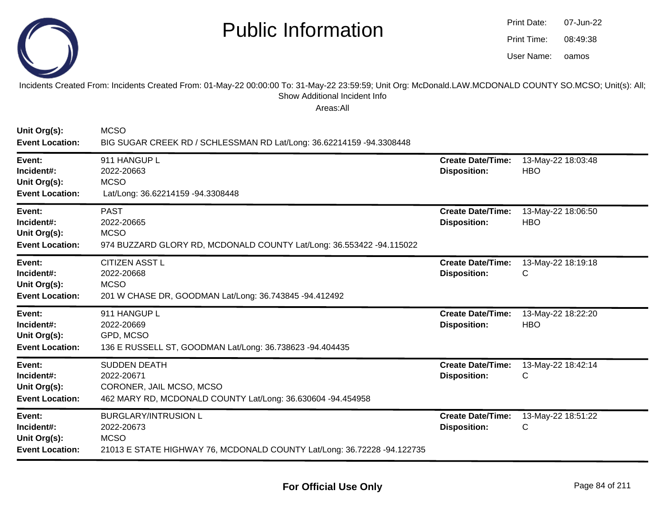

oamos07-Jun-2208:49:38Print Date:Print Time:User Name:

#### Incidents Created From: Incidents Created From: 01-May-22 00:00:00 To: 31-May-22 23:59:59; Unit Org: McDonald.LAW.MCDONALD COUNTY SO.MCSO; Unit(s): All; Show Additional Incident Info

| Unit Org(s):<br><b>Event Location:</b>                         | <b>MCSO</b><br>BIG SUGAR CREEK RD / SCHLESSMAN RD Lat/Long: 36.62214159 -94.3308448                                                 |                                                 |                                  |
|----------------------------------------------------------------|-------------------------------------------------------------------------------------------------------------------------------------|-------------------------------------------------|----------------------------------|
| Event:<br>Incident#:<br>Unit Org(s):<br><b>Event Location:</b> | 911 HANGUP L<br>2022-20663<br><b>MCSO</b><br>Lat/Long: 36.62214159 -94.3308448                                                      | <b>Create Date/Time:</b><br><b>Disposition:</b> | 13-May-22 18:03:48<br><b>HBO</b> |
| Event:<br>Incident#:<br>Unit Org(s):<br><b>Event Location:</b> | <b>PAST</b><br>2022-20665<br><b>MCSO</b><br>974 BUZZARD GLORY RD, MCDONALD COUNTY Lat/Long: 36.553422 -94.115022                    | <b>Create Date/Time:</b><br><b>Disposition:</b> | 13-May-22 18:06:50<br><b>HBO</b> |
| Event:<br>Incident#:<br>Unit Org(s):<br><b>Event Location:</b> | <b>CITIZEN ASST L</b><br>2022-20668<br><b>MCSO</b><br>201 W CHASE DR, GOODMAN Lat/Long: 36.743845 -94.412492                        | <b>Create Date/Time:</b><br><b>Disposition:</b> | 13-May-22 18:19:18<br>С          |
| Event:<br>Incident#:<br>Unit Org(s):<br><b>Event Location:</b> | 911 HANGUP L<br>2022-20669<br>GPD, MCSO<br>136 E RUSSELL ST, GOODMAN Lat/Long: 36.738623 -94.404435                                 | <b>Create Date/Time:</b><br><b>Disposition:</b> | 13-May-22 18:22:20<br><b>HBO</b> |
| Event:<br>Incident#:<br>Unit Org(s):<br><b>Event Location:</b> | <b>SUDDEN DEATH</b><br>2022-20671<br>CORONER, JAIL MCSO, MCSO<br>462 MARY RD, MCDONALD COUNTY Lat/Long: 36.630604 -94.454958        | <b>Create Date/Time:</b><br><b>Disposition:</b> | 13-May-22 18:42:14<br>С          |
| Event:<br>Incident#:<br>Unit Org(s):<br><b>Event Location:</b> | <b>BURGLARY/INTRUSION L</b><br>2022-20673<br><b>MCSO</b><br>21013 E STATE HIGHWAY 76, MCDONALD COUNTY Lat/Long: 36.72228 -94.122735 | <b>Create Date/Time:</b><br><b>Disposition:</b> | 13-May-22 18:51:22<br>С          |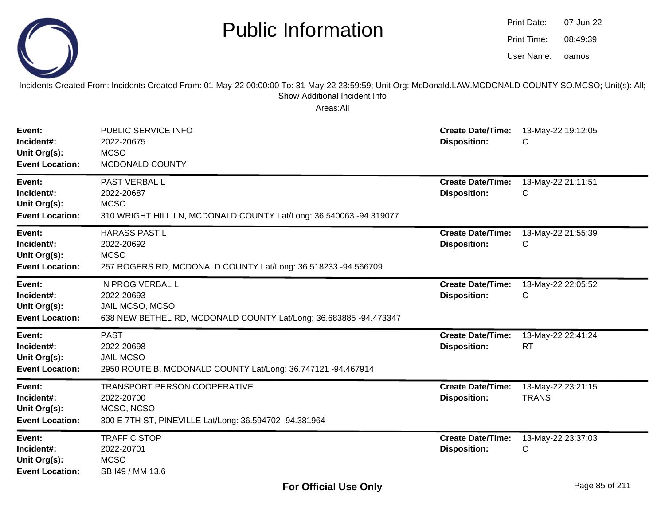

Incidents Created From: Incidents Created From: 01-May-22 00:00:00 To: 31-May-22 23:59:59; Unit Org: McDonald.LAW.MCDONALD COUNTY SO.MCSO; Unit(s): All; Show Additional Incident Info

| Event:<br>Incident#:<br>Unit Org(s):<br><b>Event Location:</b> | PUBLIC SERVICE INFO<br>2022-20675<br><b>MCSO</b><br>MCDONALD COUNTY                                                    | <b>Create Date/Time:</b><br><b>Disposition:</b> | 13-May-22 19:12:05<br>С            |
|----------------------------------------------------------------|------------------------------------------------------------------------------------------------------------------------|-------------------------------------------------|------------------------------------|
| Event:<br>Incident#:<br>Unit Org(s):<br><b>Event Location:</b> | PAST VERBAL L<br>2022-20687<br><b>MCSO</b><br>310 WRIGHT HILL LN, MCDONALD COUNTY Lat/Long: 36.540063 -94.319077       | <b>Create Date/Time:</b><br><b>Disposition:</b> | 13-May-22 21:11:51<br>C            |
| Event:<br>Incident#:<br>Unit Org(s):<br><b>Event Location:</b> | <b>HARASS PAST L</b><br>2022-20692<br><b>MCSO</b><br>257 ROGERS RD, MCDONALD COUNTY Lat/Long: 36.518233 -94.566709     | <b>Create Date/Time:</b><br><b>Disposition:</b> | 13-May-22 21:55:39<br>С            |
| Event:<br>Incident#:<br>Unit Org(s):<br><b>Event Location:</b> | IN PROG VERBAL L<br>2022-20693<br>JAIL MCSO, MCSO<br>638 NEW BETHEL RD, MCDONALD COUNTY Lat/Long: 36.683885 -94.473347 | <b>Create Date/Time:</b><br><b>Disposition:</b> | 13-May-22 22:05:52<br>C            |
| Event:<br>Incident#:<br>Unit Org(s):<br><b>Event Location:</b> | <b>PAST</b><br>2022-20698<br><b>JAIL MCSO</b><br>2950 ROUTE B, MCDONALD COUNTY Lat/Long: 36.747121 -94.467914          | <b>Create Date/Time:</b><br><b>Disposition:</b> | 13-May-22 22:41:24<br><b>RT</b>    |
| Event:<br>Incident#:<br>Unit Org(s):<br><b>Event Location:</b> | TRANSPORT PERSON COOPERATIVE<br>2022-20700<br>MCSO, NCSO<br>300 E 7TH ST, PINEVILLE Lat/Long: 36.594702 -94.381964     | <b>Create Date/Time:</b><br><b>Disposition:</b> | 13-May-22 23:21:15<br><b>TRANS</b> |
| Event:<br>Incident#:<br>Unit Org(s):<br><b>Event Location:</b> | <b>TRAFFIC STOP</b><br>2022-20701<br><b>MCSO</b><br>SB 149 / MM 13.6                                                   | <b>Create Date/Time:</b><br><b>Disposition:</b> | 13-May-22 23:37:03<br>C            |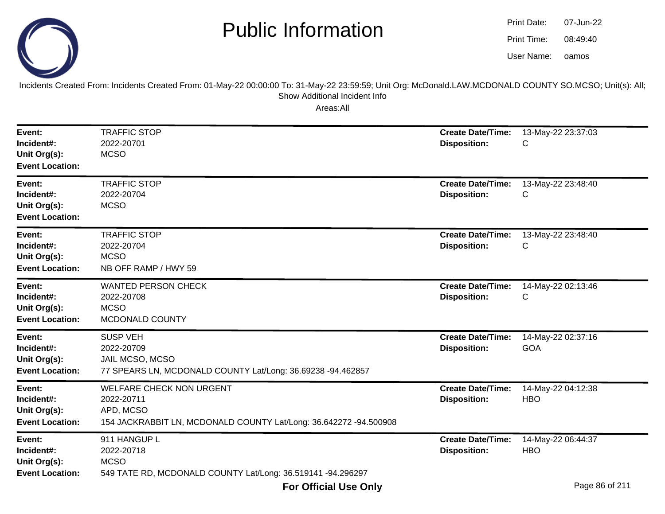Incidents Created From: Incidents Created From: 01-May-22 00:00:00 To: 31-May-22 23:59:59; Unit Org: McDonald.LAW.MCDONALD COUNTY SO.MCSO; Unit(s): All; Show Additional Incident Info

| Event:<br>Incident#:<br>Unit Org(s):<br><b>Event Location:</b> | <b>TRAFFIC STOP</b><br>2022-20701<br><b>MCSO</b>                                                                                | <b>Create Date/Time:</b><br><b>Disposition:</b> | 13-May-22 23:37:03<br>C          |
|----------------------------------------------------------------|---------------------------------------------------------------------------------------------------------------------------------|-------------------------------------------------|----------------------------------|
| Event:<br>Incident#:<br>Unit Org(s):<br><b>Event Location:</b> | <b>TRAFFIC STOP</b><br>2022-20704<br><b>MCSO</b>                                                                                | <b>Create Date/Time:</b><br><b>Disposition:</b> | 13-May-22 23:48:40<br>С          |
| Event:<br>Incident#:<br>Unit Org(s):<br><b>Event Location:</b> | <b>TRAFFIC STOP</b><br>2022-20704<br><b>MCSO</b><br>NB OFF RAMP / HWY 59                                                        | <b>Create Date/Time:</b><br><b>Disposition:</b> | 13-May-22 23:48:40<br>C          |
| Event:<br>Incident#:<br>Unit Org(s):<br><b>Event Location:</b> | <b>WANTED PERSON CHECK</b><br>2022-20708<br><b>MCSO</b><br>MCDONALD COUNTY                                                      | <b>Create Date/Time:</b><br><b>Disposition:</b> | 14-May-22 02:13:46<br>C          |
| Event:<br>Incident#:<br>Unit Org(s):<br><b>Event Location:</b> | <b>SUSP VEH</b><br>2022-20709<br>JAIL MCSO, MCSO<br>77 SPEARS LN, MCDONALD COUNTY Lat/Long: 36.69238 -94.462857                 | <b>Create Date/Time:</b><br><b>Disposition:</b> | 14-May-22 02:37:16<br><b>GOA</b> |
| Event:<br>Incident#:<br>Unit Org(s):<br><b>Event Location:</b> | <b>WELFARE CHECK NON URGENT</b><br>2022-20711<br>APD, MCSO<br>154 JACKRABBIT LN, MCDONALD COUNTY Lat/Long: 36.642272 -94.500908 | <b>Create Date/Time:</b><br><b>Disposition:</b> | 14-May-22 04:12:38<br><b>HBO</b> |
| Event:<br>Incident#:<br>Unit Org(s):<br><b>Event Location:</b> | 911 HANGUP L<br>2022-20718<br><b>MCSO</b><br>549 TATE RD, MCDONALD COUNTY Lat/Long: 36.519141 -94.296297                        | <b>Create Date/Time:</b><br><b>Disposition:</b> | 14-May-22 06:44:37<br><b>HBO</b> |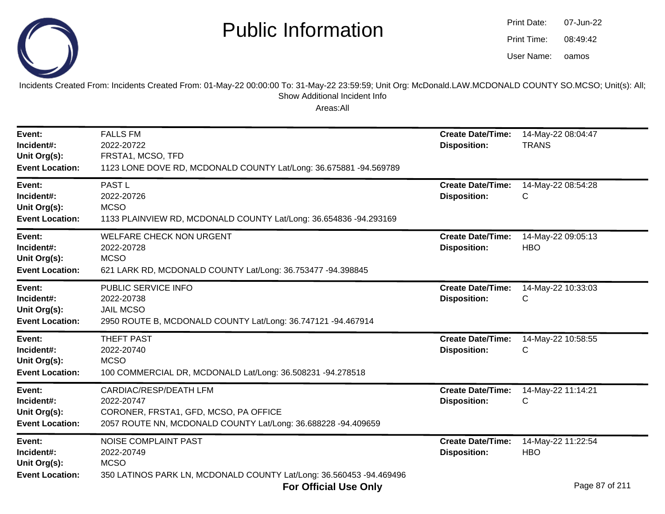

oamos07-Jun-2208:49:42Print Date:Print Time:User Name:

Incidents Created From: Incidents Created From: 01-May-22 00:00:00 To: 31-May-22 23:59:59; Unit Org: McDonald.LAW.MCDONALD COUNTY SO.MCSO; Unit(s): All; Show Additional Incident Info

| Event:<br>Incident#:<br>Unit Org(s):<br><b>Event Location:</b> | <b>FALLS FM</b><br>2022-20722<br>FRSTA1, MCSO, TFD<br>1123 LONE DOVE RD, MCDONALD COUNTY Lat/Long: 36.675881 -94.569789                               | <b>Create Date/Time:</b><br><b>Disposition:</b> | 14-May-22 08:04:47<br><b>TRANS</b>                              |
|----------------------------------------------------------------|-------------------------------------------------------------------------------------------------------------------------------------------------------|-------------------------------------------------|-----------------------------------------------------------------|
| Event:<br>Incident#:<br>Unit Org(s):<br><b>Event Location:</b> | PAST <sub>L</sub><br>2022-20726<br><b>MCSO</b><br>1133 PLAINVIEW RD, MCDONALD COUNTY Lat/Long: 36.654836 -94.293169                                   | <b>Create Date/Time:</b><br><b>Disposition:</b> | 14-May-22 08:54:28<br>С                                         |
| Event:<br>Incident#:<br>Unit Org(s):<br><b>Event Location:</b> | <b>WELFARE CHECK NON URGENT</b><br>2022-20728<br><b>MCSO</b><br>621 LARK RD, MCDONALD COUNTY Lat/Long: 36.753477 -94.398845                           | <b>Create Date/Time:</b><br><b>Disposition:</b> | 14-May-22 09:05:13<br><b>HBO</b>                                |
| Event:<br>Incident#:<br>Unit Org(s):<br><b>Event Location:</b> | PUBLIC SERVICE INFO<br>2022-20738<br><b>JAIL MCSO</b><br>2950 ROUTE B, MCDONALD COUNTY Lat/Long: 36.747121 -94.467914                                 | <b>Create Date/Time:</b><br><b>Disposition:</b> | 14-May-22 10:33:03<br>С                                         |
| Event:<br>Incident#:<br>Unit Org(s):<br><b>Event Location:</b> | <b>THEFT PAST</b><br>2022-20740<br><b>MCSO</b><br>100 COMMERCIAL DR, MCDONALD Lat/Long: 36.508231 -94.278518                                          | <b>Create Date/Time:</b><br><b>Disposition:</b> | 14-May-22 10:58:55<br>С                                         |
| Event:<br>Incident#:<br>Unit Org(s):<br><b>Event Location:</b> | <b>CARDIAC/RESP/DEATH LFM</b><br>2022-20747<br>CORONER, FRSTA1, GFD, MCSO, PA OFFICE<br>2057 ROUTE NN, MCDONALD COUNTY Lat/Long: 36.688228 -94.409659 | <b>Create Date/Time:</b><br><b>Disposition:</b> | 14-May-22 11:14:21<br>С                                         |
| Event:<br>Incident#:<br>Unit Org(s):<br><b>Event Location:</b> | <b>NOISE COMPLAINT PAST</b><br>2022-20749<br><b>MCSO</b><br>350 LATINOS PARK LN, MCDONALD COUNTY Lat/Long: 36.560453 -94.469496                       | <b>Create Date/Time:</b><br><b>Disposition:</b> | 14-May-22 11:22:54<br><b>HBO</b><br>$\sim$ $\sim$ $\sim$ $\sim$ |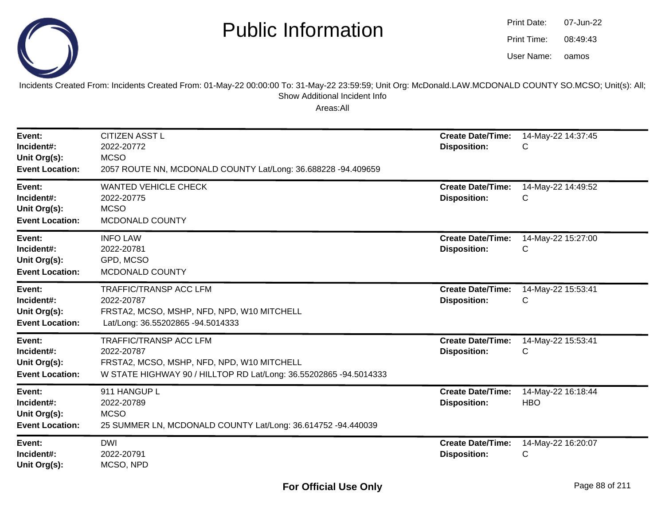

oamos07-Jun-2208:49:43Print Date:Print Time:User Name:

Incidents Created From: Incidents Created From: 01-May-22 00:00:00 To: 31-May-22 23:59:59; Unit Org: McDonald.LAW.MCDONALD COUNTY SO.MCSO; Unit(s): All; Show Additional Incident Info

| Event:<br>Incident#:<br>Unit Org(s):<br><b>Event Location:</b> | <b>CITIZEN ASST L</b><br>2022-20772<br><b>MCSO</b><br>2057 ROUTE NN, MCDONALD COUNTY Lat/Long: 36.688228 -94.409659                                            | <b>Create Date/Time:</b><br><b>Disposition:</b> | 14-May-22 14:37:45<br>C          |
|----------------------------------------------------------------|----------------------------------------------------------------------------------------------------------------------------------------------------------------|-------------------------------------------------|----------------------------------|
| Event:<br>Incident#:<br>Unit Org(s):<br><b>Event Location:</b> | <b>WANTED VEHICLE CHECK</b><br>2022-20775<br><b>MCSO</b><br>MCDONALD COUNTY                                                                                    | <b>Create Date/Time:</b><br><b>Disposition:</b> | 14-May-22 14:49:52<br>С          |
| Event:<br>Incident#:<br>Unit Org(s):<br><b>Event Location:</b> | <b>INFO LAW</b><br>2022-20781<br>GPD, MCSO<br>MCDONALD COUNTY                                                                                                  | <b>Create Date/Time:</b><br><b>Disposition:</b> | 14-May-22 15:27:00<br>C          |
| Event:<br>Incident#:<br>Unit Org(s):<br><b>Event Location:</b> | <b>TRAFFIC/TRANSP ACC LFM</b><br>2022-20787<br>FRSTA2, MCSO, MSHP, NFD, NPD, W10 MITCHELL<br>Lat/Long: 36.55202865 -94.5014333                                 | <b>Create Date/Time:</b><br><b>Disposition:</b> | 14-May-22 15:53:41<br>C          |
| Event:<br>Incident#:<br>Unit Org(s):<br><b>Event Location:</b> | <b>TRAFFIC/TRANSP ACC LFM</b><br>2022-20787<br>FRSTA2, MCSO, MSHP, NFD, NPD, W10 MITCHELL<br>W STATE HIGHWAY 90 / HILLTOP RD Lat/Long: 36.55202865 -94.5014333 | <b>Create Date/Time:</b><br><b>Disposition:</b> | 14-May-22 15:53:41<br>С          |
| Event:<br>Incident#:<br>Unit Org(s):<br><b>Event Location:</b> | 911 HANGUP L<br>2022-20789<br><b>MCSO</b><br>25 SUMMER LN, MCDONALD COUNTY Lat/Long: 36.614752 -94.440039                                                      | <b>Create Date/Time:</b><br><b>Disposition:</b> | 14-May-22 16:18:44<br><b>HBO</b> |
| Event:<br>Incident#:<br>Unit Org(s):                           | <b>DWI</b><br>2022-20791<br>MCSO, NPD                                                                                                                          | <b>Create Date/Time:</b><br><b>Disposition:</b> | 14-May-22 16:20:07<br>С          |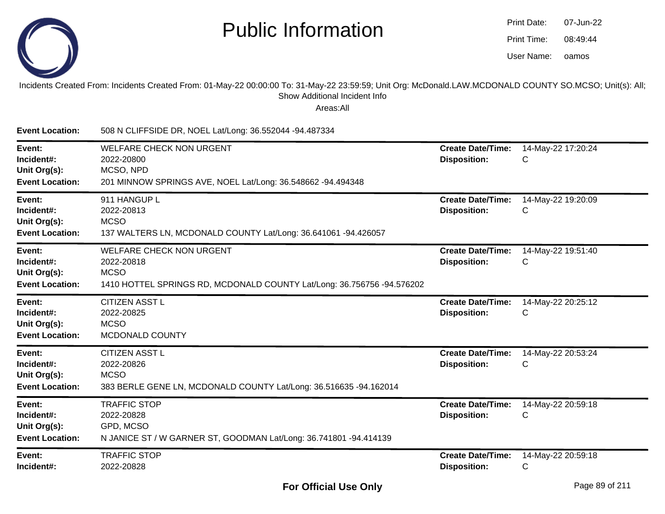

| Print Date: | 07-Jun-22 |
|-------------|-----------|
| Print Time: | 08:49:44  |
| User Name:  | oamos     |

Incidents Created From: Incidents Created From: 01-May-22 00:00:00 To: 31-May-22 23:59:59; Unit Org: McDonald.LAW.MCDONALD COUNTY SO.MCSO; Unit(s): All;Show Additional Incident Info

| <b>Event Location:</b>                                         | 508 N CLIFFSIDE DR, NOEL Lat/Long: 36.552044 -94.487334                                                                                |                                                 |                         |
|----------------------------------------------------------------|----------------------------------------------------------------------------------------------------------------------------------------|-------------------------------------------------|-------------------------|
| Event:<br>Incident#:<br>Unit Org(s):<br><b>Event Location:</b> | <b>WELFARE CHECK NON URGENT</b><br>2022-20800<br>MCSO, NPD<br>201 MINNOW SPRINGS AVE, NOEL Lat/Long: 36.548662 -94.494348              | <b>Create Date/Time:</b><br><b>Disposition:</b> | 14-May-22 17:20:24<br>С |
| Event:<br>Incident#:<br>Unit Org(s):<br><b>Event Location:</b> | 911 HANGUP L<br>2022-20813<br><b>MCSO</b><br>137 WALTERS LN, MCDONALD COUNTY Lat/Long: 36.641061 -94.426057                            | <b>Create Date/Time:</b><br><b>Disposition:</b> | 14-May-22 19:20:09<br>C |
| Event:<br>Incident#:<br>Unit Org(s):<br><b>Event Location:</b> | <b>WELFARE CHECK NON URGENT</b><br>2022-20818<br><b>MCSO</b><br>1410 HOTTEL SPRINGS RD, MCDONALD COUNTY Lat/Long: 36.756756 -94.576202 | <b>Create Date/Time:</b><br><b>Disposition:</b> | 14-May-22 19:51:40<br>C |
| Event:<br>Incident#:<br>Unit Org(s):<br><b>Event Location:</b> | <b>CITIZEN ASST L</b><br>2022-20825<br><b>MCSO</b><br>MCDONALD COUNTY                                                                  | <b>Create Date/Time:</b><br><b>Disposition:</b> | 14-May-22 20:25:12<br>С |
| Event:<br>Incident#:<br>Unit Org(s):<br><b>Event Location:</b> | <b>CITIZEN ASST L</b><br>2022-20826<br><b>MCSO</b><br>383 BERLE GENE LN, MCDONALD COUNTY Lat/Long: 36.516635 -94.162014                | <b>Create Date/Time:</b><br><b>Disposition:</b> | 14-May-22 20:53:24<br>С |
| Event:<br>Incident#:<br>Unit Org(s):<br><b>Event Location:</b> | <b>TRAFFIC STOP</b><br>2022-20828<br>GPD, MCSO<br>N JANICE ST / W GARNER ST, GOODMAN Lat/Long: 36.741801 -94.414139                    | <b>Create Date/Time:</b><br><b>Disposition:</b> | 14-May-22 20:59:18<br>С |
| Event:<br>Incident#:                                           | <b>TRAFFIC STOP</b><br>2022-20828                                                                                                      | <b>Create Date/Time:</b><br><b>Disposition:</b> | 14-May-22 20:59:18<br>C |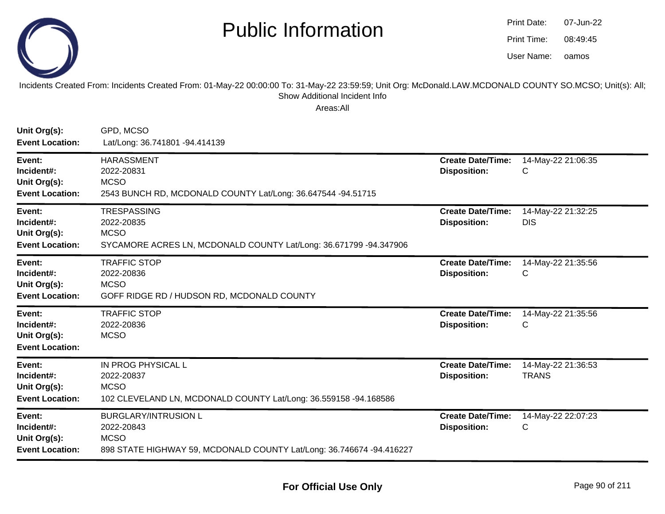

| Print Date: | 07-Jun-22 |
|-------------|-----------|
| Print Time: | 08:49:45  |
| User Name:  | oamos     |

#### Incidents Created From: Incidents Created From: 01-May-22 00:00:00 To: 31-May-22 23:59:59; Unit Org: McDonald.LAW.MCDONALD COUNTY SO.MCSO; Unit(s): All;Show Additional Incident Info

| Unit Org(s):<br><b>Event Location:</b>                         | GPD, MCSO<br>Lat/Long: 36.741801 -94.414139                                                                                      |                                                 |                                    |
|----------------------------------------------------------------|----------------------------------------------------------------------------------------------------------------------------------|-------------------------------------------------|------------------------------------|
| Event:<br>Incident#:<br>Unit Org(s):<br><b>Event Location:</b> | <b>HARASSMENT</b><br>2022-20831<br><b>MCSO</b><br>2543 BUNCH RD, MCDONALD COUNTY Lat/Long: 36.647544 -94.51715                   | <b>Create Date/Time:</b><br><b>Disposition:</b> | 14-May-22 21:06:35<br>C            |
| Event:<br>Incident#:<br>Unit Org(s):<br><b>Event Location:</b> | <b>TRESPASSING</b><br>2022-20835<br><b>MCSO</b><br>SYCAMORE ACRES LN, MCDONALD COUNTY Lat/Long: 36.671799 -94.347906             | <b>Create Date/Time:</b><br><b>Disposition:</b> | 14-May-22 21:32:25<br><b>DIS</b>   |
| Event:<br>Incident#:<br>Unit Org(s):<br><b>Event Location:</b> | <b>TRAFFIC STOP</b><br>2022-20836<br><b>MCSO</b><br>GOFF RIDGE RD / HUDSON RD, MCDONALD COUNTY                                   | <b>Create Date/Time:</b><br><b>Disposition:</b> | 14-May-22 21:35:56<br>C            |
| Event:<br>Incident#:<br>Unit Org(s):<br><b>Event Location:</b> | <b>TRAFFIC STOP</b><br>2022-20836<br><b>MCSO</b>                                                                                 | <b>Create Date/Time:</b><br><b>Disposition:</b> | 14-May-22 21:35:56<br>C            |
| Event:<br>Incident#:<br>Unit Org(s):<br><b>Event Location:</b> | IN PROG PHYSICAL L<br>2022-20837<br><b>MCSO</b><br>102 CLEVELAND LN, MCDONALD COUNTY Lat/Long: 36.559158 -94.168586              | <b>Create Date/Time:</b><br><b>Disposition:</b> | 14-May-22 21:36:53<br><b>TRANS</b> |
| Event:<br>Incident#:<br>Unit Org(s):<br><b>Event Location:</b> | <b>BURGLARY/INTRUSION L</b><br>2022-20843<br><b>MCSO</b><br>898 STATE HIGHWAY 59, MCDONALD COUNTY Lat/Long: 36.746674 -94.416227 | <b>Create Date/Time:</b><br><b>Disposition:</b> | 14-May-22 22:07:23<br>$\mathsf{C}$ |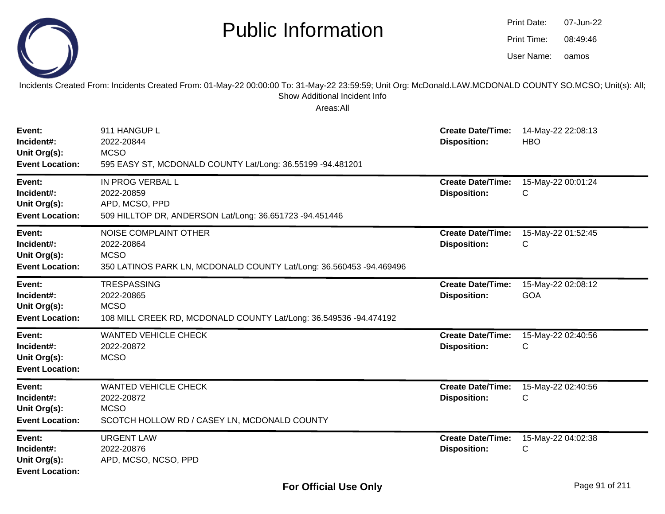|                                                                | <b>Public Information</b>                                                                                                                                                                              |                                                 | Print Date:<br>Print Time:<br>User Name: | 07-Jun-22<br>08:49:46<br>oamos |
|----------------------------------------------------------------|--------------------------------------------------------------------------------------------------------------------------------------------------------------------------------------------------------|-------------------------------------------------|------------------------------------------|--------------------------------|
|                                                                | Incidents Created From: Incidents Created From: 01-May-22 00:00:00 To: 31-May-22 23:59:59; Unit Org: McDonald.LAW.MCDONALD COUNTY SO.MCSO; Unit(s): All;<br>Show Additional Incident Info<br>Areas:All |                                                 |                                          |                                |
| Event:<br>Incident#:<br>Unit Org(s):<br><b>Event Location:</b> | 911 HANGUP L<br>2022-20844<br><b>MCSO</b><br>595 EASY ST, MCDONALD COUNTY Lat/Long: 36.55199 -94.481201                                                                                                | <b>Create Date/Time:</b><br><b>Disposition:</b> | 14-May-22 22:08:13<br><b>HBO</b>         |                                |
| Event:<br>Incident#:<br>Unit Org(s):<br><b>Event Location:</b> | IN PROG VERBAL L<br>2022-20859<br>APD, MCSO, PPD<br>509 HILLTOP DR, ANDERSON Lat/Long: 36.651723 -94.451446                                                                                            | <b>Create Date/Time:</b><br><b>Disposition:</b> | 15-May-22 00:01:24<br>С                  |                                |
| Event:<br>Incident#:<br>Unit Org(s):<br><b>Event Location:</b> | <b>NOISE COMPLAINT OTHER</b><br>2022-20864<br><b>MCSO</b><br>350 LATINOS PARK LN, MCDONALD COUNTY Lat/Long: 36.560453 -94.469496                                                                       | <b>Create Date/Time:</b><br><b>Disposition:</b> | 15-May-22 01:52:45<br>С                  |                                |
| Event:<br>Incident#:<br>Unit Org(s):<br><b>Event Location:</b> | <b>TRESPASSING</b><br>2022-20865<br><b>MCSO</b><br>108 MILL CREEK RD, MCDONALD COUNTY Lat/Long: 36.549536 -94.474192                                                                                   | <b>Create Date/Time:</b><br><b>Disposition:</b> | 15-May-22 02:08:12<br><b>GOA</b>         |                                |
| Event:<br>Incident#:<br>Unit Org(s):<br><b>Event Location:</b> | <b>WANTED VEHICLE CHECK</b><br>2022-20872<br><b>MCSO</b>                                                                                                                                               | <b>Create Date/Time:</b><br><b>Disposition:</b> | 15-May-22 02:40:56<br>С                  |                                |
| Event:<br>Incident#:<br>Unit Org(s):<br><b>Event Location:</b> | <b>WANTED VEHICLE CHECK</b><br>2022-20872<br><b>MCSO</b><br>SCOTCH HOLLOW RD / CASEY LN, MCDONALD COUNTY                                                                                               | <b>Create Date/Time:</b><br><b>Disposition:</b> | 15-May-22 02:40:56<br>C                  |                                |
| Event:<br>Incident#:<br>Unit Org(s):<br><b>Event Location:</b> | <b>URGENT LAW</b><br>2022-20876<br>APD, MCSO, NCSO, PPD                                                                                                                                                | <b>Create Date/Time:</b><br><b>Disposition:</b> | 15-May-22 04:02:38<br>C                  |                                |

 $\sim$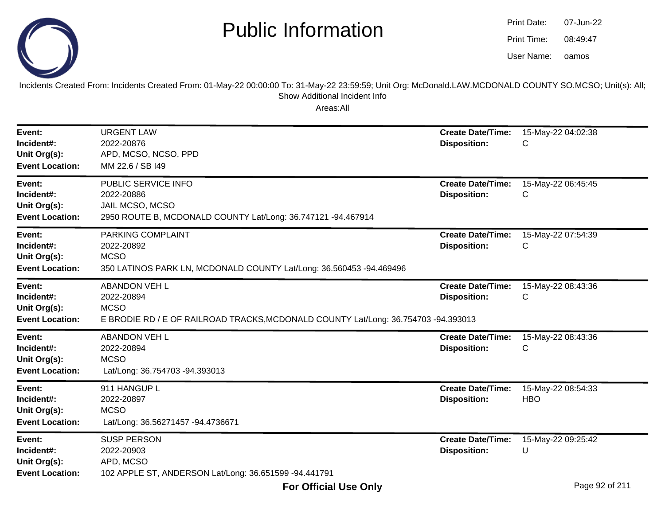

oamos07-Jun-2208:49:47Print Date:Print Time:User Name:

Incidents Created From: Incidents Created From: 01-May-22 00:00:00 To: 31-May-22 23:59:59; Unit Org: McDonald.LAW.MCDONALD COUNTY SO.MCSO; Unit(s): All; Show Additional Incident Info

| Event:<br>Incident#:<br>Unit Org(s):<br><b>Event Location:</b> | <b>URGENT LAW</b><br>2022-20876<br>APD, MCSO, NCSO, PPD<br>MM 22.6 / SB I49                                                             | <b>Create Date/Time:</b><br><b>Disposition:</b> | 15-May-22 04:02:38<br>C          |
|----------------------------------------------------------------|-----------------------------------------------------------------------------------------------------------------------------------------|-------------------------------------------------|----------------------------------|
| Event:<br>Incident#:<br>Unit Org(s):<br><b>Event Location:</b> | PUBLIC SERVICE INFO<br>2022-20886<br>JAIL MCSO, MCSO<br>2950 ROUTE B, MCDONALD COUNTY Lat/Long: 36.747121 -94.467914                    | <b>Create Date/Time:</b><br><b>Disposition:</b> | 15-May-22 06:45:45<br>C          |
| Event:<br>Incident#:<br>Unit Org(s):<br><b>Event Location:</b> | PARKING COMPLAINT<br>2022-20892<br><b>MCSO</b><br>350 LATINOS PARK LN, MCDONALD COUNTY Lat/Long: 36.560453 -94.469496                   | <b>Create Date/Time:</b><br><b>Disposition:</b> | 15-May-22 07:54:39<br>C          |
| Event:<br>Incident#:<br>Unit Org(s):<br><b>Event Location:</b> | <b>ABANDON VEH L</b><br>2022-20894<br><b>MCSO</b><br>E BRODIE RD / E OF RAILROAD TRACKS, MCDONALD COUNTY Lat/Long: 36.754703 -94.393013 | <b>Create Date/Time:</b><br><b>Disposition:</b> | 15-May-22 08:43:36<br>C          |
| Event:<br>Incident#:<br>Unit Org(s):<br><b>Event Location:</b> | <b>ABANDON VEH L</b><br>2022-20894<br><b>MCSO</b><br>Lat/Long: 36.754703 -94.393013                                                     | <b>Create Date/Time:</b><br><b>Disposition:</b> | 15-May-22 08:43:36<br>C          |
| Event:<br>Incident#:<br>Unit Org(s):<br><b>Event Location:</b> | 911 HANGUP L<br>2022-20897<br><b>MCSO</b><br>Lat/Long: 36.56271457 -94.4736671                                                          | <b>Create Date/Time:</b><br><b>Disposition:</b> | 15-May-22 08:54:33<br><b>HBO</b> |
| Event:<br>Incident#:<br>Unit Org(s):<br><b>Event Location:</b> | <b>SUSP PERSON</b><br>2022-20903<br>APD, MCSO<br>102 APPLE ST, ANDERSON Lat/Long: 36.651599 -94.441791                                  | <b>Create Date/Time:</b><br><b>Disposition:</b> | 15-May-22 09:25:42<br>U          |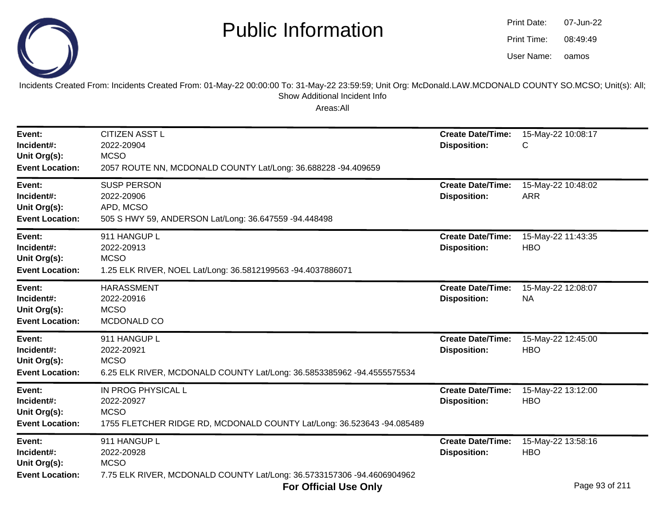

oamos07-Jun-2208:49:49Print Date:Print Time:User Name:

Incidents Created From: Incidents Created From: 01-May-22 00:00:00 To: 31-May-22 23:59:59; Unit Org: McDonald.LAW.MCDONALD COUNTY SO.MCSO; Unit(s): All; Show Additional Incident Info

| Event:<br>Incident#:<br>Unit Org(s):<br><b>Event Location:</b> | <b>CITIZEN ASST L</b><br>2022-20904<br><b>MCSO</b><br>2057 ROUTE NN, MCDONALD COUNTY Lat/Long: 36.688228 -94.409659       | <b>Create Date/Time:</b><br><b>Disposition:</b> | 15-May-22 10:08:17<br>С                           |
|----------------------------------------------------------------|---------------------------------------------------------------------------------------------------------------------------|-------------------------------------------------|---------------------------------------------------|
| Event:<br>Incident#:<br>Unit Org(s):<br><b>Event Location:</b> | <b>SUSP PERSON</b><br>2022-20906<br>APD, MCSO<br>505 S HWY 59, ANDERSON Lat/Long: 36.647559 -94.448498                    | <b>Create Date/Time:</b><br><b>Disposition:</b> | 15-May-22 10:48:02<br><b>ARR</b>                  |
| Event:<br>Incident#:<br>Unit Org(s):<br><b>Event Location:</b> | 911 HANGUP L<br>2022-20913<br><b>MCSO</b><br>1.25 ELK RIVER, NOEL Lat/Long: 36.5812199563 -94.4037886071                  | <b>Create Date/Time:</b><br><b>Disposition:</b> | 15-May-22 11:43:35<br><b>HBO</b>                  |
| Event:<br>Incident#:<br>Unit Org(s):<br><b>Event Location:</b> | <b>HARASSMENT</b><br>2022-20916<br><b>MCSO</b><br>MCDONALD CO                                                             | <b>Create Date/Time:</b><br><b>Disposition:</b> | 15-May-22 12:08:07<br><b>NA</b>                   |
| Event:<br>Incident#:<br>Unit Org(s):<br><b>Event Location:</b> | 911 HANGUP L<br>2022-20921<br><b>MCSO</b><br>6.25 ELK RIVER, MCDONALD COUNTY Lat/Long: 36.5853385962 -94.4555575534       | <b>Create Date/Time:</b><br><b>Disposition:</b> | 15-May-22 12:45:00<br><b>HBO</b>                  |
| Event:<br>Incident#:<br>Unit Org(s):<br><b>Event Location:</b> | IN PROG PHYSICAL L<br>2022-20927<br><b>MCSO</b><br>1755 FLETCHER RIDGE RD, MCDONALD COUNTY Lat/Long: 36.523643 -94.085489 | <b>Create Date/Time:</b><br><b>Disposition:</b> | 15-May-22 13:12:00<br><b>HBO</b>                  |
| Event:<br>Incident#:<br>Unit Org(s):<br><b>Event Location:</b> | 911 HANGUP L<br>2022-20928<br><b>MCSO</b><br>7.75 ELK RIVER, MCDONALD COUNTY Lat/Long: 36.5733157306 -94.4606904962       | <b>Create Date/Time:</b><br><b>Disposition:</b> | 15-May-22 13:58:16<br><b>HBO</b><br>$\sim$ $\sim$ |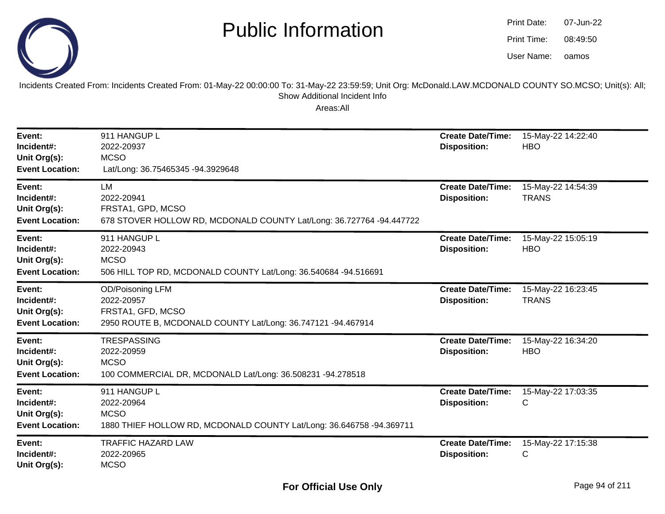

oamos07-Jun-2208:49:50Print Date:Print Time:User Name:

Incidents Created From: Incidents Created From: 01-May-22 00:00:00 To: 31-May-22 23:59:59; Unit Org: McDonald.LAW.MCDONALD COUNTY SO.MCSO; Unit(s): All; Show Additional Incident Info

| Event:<br>Incident#:<br>Unit Org(s):<br><b>Event Location:</b> | 911 HANGUP L<br>2022-20937<br><b>MCSO</b><br>Lat/Long: 36.75465345 -94.3929648                                      | <b>Create Date/Time:</b><br><b>Disposition:</b> | 15-May-22 14:22:40<br><b>HBO</b>   |
|----------------------------------------------------------------|---------------------------------------------------------------------------------------------------------------------|-------------------------------------------------|------------------------------------|
| Event:<br>Incident#:<br>Unit Org(s):<br><b>Event Location:</b> | LM<br>2022-20941<br>FRSTA1, GPD, MCSO<br>678 STOVER HOLLOW RD, MCDONALD COUNTY Lat/Long: 36.727764 -94.447722       | <b>Create Date/Time:</b><br><b>Disposition:</b> | 15-May-22 14:54:39<br><b>TRANS</b> |
| Event:<br>Incident#:<br>Unit Org(s):<br><b>Event Location:</b> | 911 HANGUP L<br>2022-20943<br><b>MCSO</b><br>506 HILL TOP RD, MCDONALD COUNTY Lat/Long: 36.540684 -94.516691        | <b>Create Date/Time:</b><br><b>Disposition:</b> | 15-May-22 15:05:19<br><b>HBO</b>   |
| Event:<br>Incident#:<br>Unit Org(s):<br><b>Event Location:</b> | OD/Poisoning LFM<br>2022-20957<br>FRSTA1, GFD, MCSO<br>2950 ROUTE B, MCDONALD COUNTY Lat/Long: 36.747121 -94.467914 | <b>Create Date/Time:</b><br><b>Disposition:</b> | 15-May-22 16:23:45<br><b>TRANS</b> |
| Event:<br>Incident#:<br>Unit Org(s):<br><b>Event Location:</b> | <b>TRESPASSING</b><br>2022-20959<br><b>MCSO</b><br>100 COMMERCIAL DR, MCDONALD Lat/Long: 36.508231 -94.278518       | <b>Create Date/Time:</b><br><b>Disposition:</b> | 15-May-22 16:34:20<br><b>HBO</b>   |
| Event:<br>Incident#:<br>Unit Org(s):<br><b>Event Location:</b> | 911 HANGUP L<br>2022-20964<br><b>MCSO</b><br>1880 THIEF HOLLOW RD, MCDONALD COUNTY Lat/Long: 36.646758 -94.369711   | <b>Create Date/Time:</b><br><b>Disposition:</b> | 15-May-22 17:03:35<br>C            |
| Event:<br>Incident#:<br>Unit Org(s):                           | <b>TRAFFIC HAZARD LAW</b><br>2022-20965<br><b>MCSO</b>                                                              | <b>Create Date/Time:</b><br><b>Disposition:</b> | 15-May-22 17:15:38<br>С            |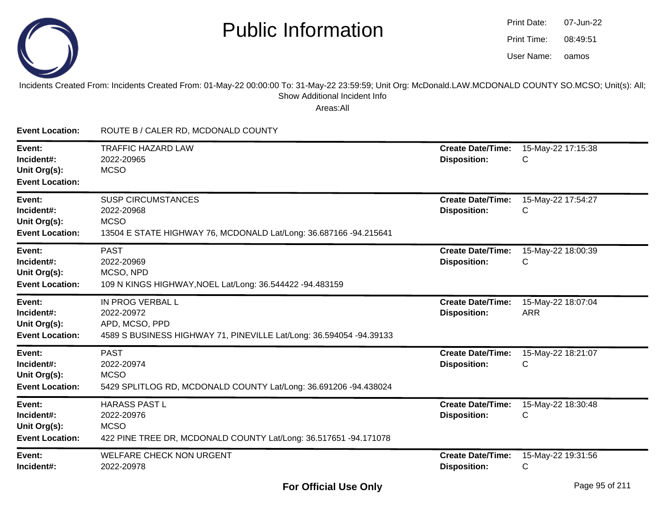

| Print Date: | 07-Jun-22 |
|-------------|-----------|
| Print Time: | 08:49:51  |
| User Name:  | oamos     |

#### Incidents Created From: Incidents Created From: 01-May-22 00:00:00 To: 31-May-22 23:59:59; Unit Org: McDonald.LAW.MCDONALD COUNTY SO.MCSO; Unit(s): All; Show Additional Incident Info

| <b>Event Location:</b>                                         | ROUTE B / CALER RD, MCDONALD COUNTY                                                                                         |                                                 |                                  |
|----------------------------------------------------------------|-----------------------------------------------------------------------------------------------------------------------------|-------------------------------------------------|----------------------------------|
| Event:<br>Incident#:<br>Unit Org(s):<br><b>Event Location:</b> | <b>TRAFFIC HAZARD LAW</b><br>2022-20965<br><b>MCSO</b>                                                                      | <b>Create Date/Time:</b><br><b>Disposition:</b> | 15-May-22 17:15:38<br>С          |
| Event:<br>Incident#:<br>Unit Org(s):<br><b>Event Location:</b> | <b>SUSP CIRCUMSTANCES</b><br>2022-20968<br><b>MCSO</b><br>13504 E STATE HIGHWAY 76, MCDONALD Lat/Long: 36.687166 -94.215641 | <b>Create Date/Time:</b><br><b>Disposition:</b> | 15-May-22 17:54:27<br>С          |
| Event:<br>Incident#:<br>Unit Org(s):<br><b>Event Location:</b> | <b>PAST</b><br>2022-20969<br>MCSO, NPD<br>109 N KINGS HIGHWAY, NOEL Lat/Long: 36.544422 -94.483159                          | <b>Create Date/Time:</b><br><b>Disposition:</b> | 15-May-22 18:00:39<br>С          |
| Event:<br>Incident#:<br>Unit Org(s):<br><b>Event Location:</b> | IN PROG VERBAL L<br>2022-20972<br>APD, MCSO, PPD<br>4589 S BUSINESS HIGHWAY 71, PINEVILLE Lat/Long: 36.594054 -94.39133     | <b>Create Date/Time:</b><br><b>Disposition:</b> | 15-May-22 18:07:04<br><b>ARR</b> |
| Event:<br>Incident#:<br>Unit Org(s):<br><b>Event Location:</b> | <b>PAST</b><br>2022-20974<br><b>MCSO</b><br>5429 SPLITLOG RD, MCDONALD COUNTY Lat/Long: 36.691206 -94.438024                | <b>Create Date/Time:</b><br><b>Disposition:</b> | 15-May-22 18:21:07<br>С          |
| Event:<br>Incident#:<br>Unit Org(s):<br><b>Event Location:</b> | <b>HARASS PAST L</b><br>2022-20976<br><b>MCSO</b><br>422 PINE TREE DR, MCDONALD COUNTY Lat/Long: 36.517651 -94.171078       | <b>Create Date/Time:</b><br><b>Disposition:</b> | 15-May-22 18:30:48<br>С          |
| Event:<br>Incident#:                                           | <b>WELFARE CHECK NON URGENT</b><br>2022-20978                                                                               | <b>Create Date/Time:</b><br><b>Disposition:</b> | 15-May-22 19:31:56<br>C          |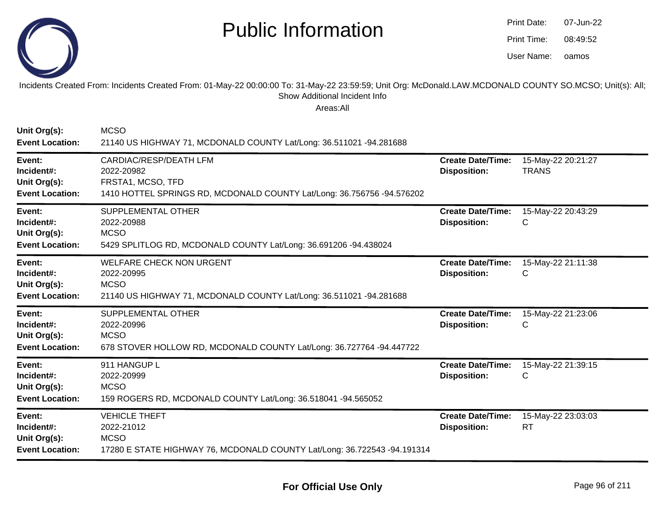

| Print Date: | 07-Jun-22 |
|-------------|-----------|
| Print Time: | 08:49:52  |
| User Name:  | oamos     |

Incidents Created From: Incidents Created From: 01-May-22 00:00:00 To: 31-May-22 23:59:59; Unit Org: McDonald.LAW.MCDONALD COUNTY SO.MCSO; Unit(s): All; Show Additional Incident Info

| Unit Org(s):<br><b>Event Location:</b>                         | <b>MCSO</b><br>21140 US HIGHWAY 71, MCDONALD COUNTY Lat/Long: 36.511021 -94.281688                                                         |                                                 |                                    |
|----------------------------------------------------------------|--------------------------------------------------------------------------------------------------------------------------------------------|-------------------------------------------------|------------------------------------|
| Event:<br>Incident#:<br>Unit Org(s):<br><b>Event Location:</b> | <b>CARDIAC/RESP/DEATH LFM</b><br>2022-20982<br>FRSTA1, MCSO, TFD<br>1410 HOTTEL SPRINGS RD, MCDONALD COUNTY Lat/Long: 36.756756 -94.576202 | <b>Create Date/Time:</b><br><b>Disposition:</b> | 15-May-22 20:21:27<br><b>TRANS</b> |
| Event:<br>Incident#:<br>Unit Org(s):<br><b>Event Location:</b> | <b>SUPPLEMENTAL OTHER</b><br>2022-20988<br><b>MCSO</b><br>5429 SPLITLOG RD, MCDONALD COUNTY Lat/Long: 36.691206 -94.438024                 | <b>Create Date/Time:</b><br><b>Disposition:</b> | 15-May-22 20:43:29<br>С            |
| Event:<br>Incident#:<br>Unit Org(s):<br><b>Event Location:</b> | <b>WELFARE CHECK NON URGENT</b><br>2022-20995<br><b>MCSO</b><br>21140 US HIGHWAY 71, MCDONALD COUNTY Lat/Long: 36.511021 -94.281688        | <b>Create Date/Time:</b><br><b>Disposition:</b> | 15-May-22 21:11:38<br>С            |
| Event:<br>Incident#:<br>Unit Org(s):<br><b>Event Location:</b> | <b>SUPPLEMENTAL OTHER</b><br>2022-20996<br><b>MCSO</b><br>678 STOVER HOLLOW RD, MCDONALD COUNTY Lat/Long: 36.727764 -94.447722             | <b>Create Date/Time:</b><br><b>Disposition:</b> | 15-May-22 21:23:06<br>С            |
| Event:<br>Incident#:<br>Unit Org(s):<br><b>Event Location:</b> | 911 HANGUP L<br>2022-20999<br><b>MCSO</b><br>159 ROGERS RD, MCDONALD COUNTY Lat/Long: 36.518041 -94.565052                                 | <b>Create Date/Time:</b><br><b>Disposition:</b> | 15-May-22 21:39:15<br>C            |
| Event:<br>Incident#:<br>Unit Org(s):<br><b>Event Location:</b> | <b>VEHICLE THEFT</b><br>2022-21012<br><b>MCSO</b><br>17280 E STATE HIGHWAY 76, MCDONALD COUNTY Lat/Long: 36.722543 -94.191314              | <b>Create Date/Time:</b><br><b>Disposition:</b> | 15-May-22 23:03:03<br><b>RT</b>    |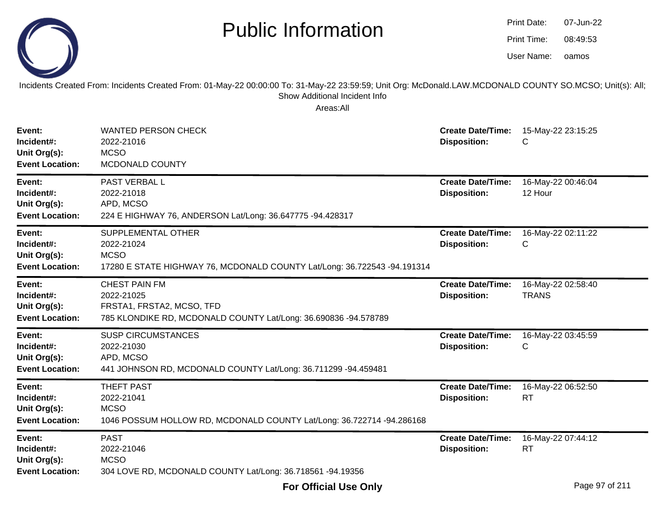

| Print Date: | 07-Jun-22 |
|-------------|-----------|
| Print Time: | 08:49:53  |
| User Name:  | oamos     |

Incidents Created From: Incidents Created From: 01-May-22 00:00:00 To: 31-May-22 23:59:59; Unit Org: McDonald.LAW.MCDONALD COUNTY SO.MCSO; Unit(s): All; Show Additional Incident Info

| Event:<br>Incident#:<br>Unit Org(s):<br><b>Event Location:</b> | <b>WANTED PERSON CHECK</b><br>2022-21016<br><b>MCSO</b><br>MCDONALD COUNTY                                                         | <b>Create Date/Time:</b><br><b>Disposition:</b> | 15-May-22 23:15:25<br>С            |
|----------------------------------------------------------------|------------------------------------------------------------------------------------------------------------------------------------|-------------------------------------------------|------------------------------------|
| Event:<br>Incident#:<br>Unit Org(s):<br><b>Event Location:</b> | PAST VERBAL L<br>2022-21018<br>APD, MCSO<br>224 E HIGHWAY 76, ANDERSON Lat/Long: 36.647775 -94.428317                              | <b>Create Date/Time:</b><br><b>Disposition:</b> | 16-May-22 00:46:04<br>12 Hour      |
| Event:<br>Incident#:<br>Unit Org(s):<br><b>Event Location:</b> | SUPPLEMENTAL OTHER<br>2022-21024<br><b>MCSO</b><br>17280 E STATE HIGHWAY 76, MCDONALD COUNTY Lat/Long: 36.722543 -94.191314        | <b>Create Date/Time:</b><br><b>Disposition:</b> | 16-May-22 02:11:22<br>С            |
| Event:<br>Incident#:<br>Unit Org(s):<br><b>Event Location:</b> | <b>CHEST PAIN FM</b><br>2022-21025<br>FRSTA1, FRSTA2, MCSO, TFD<br>785 KLONDIKE RD, MCDONALD COUNTY Lat/Long: 36.690836 -94.578789 | <b>Create Date/Time:</b><br><b>Disposition:</b> | 16-May-22 02:58:40<br><b>TRANS</b> |
| Event:<br>Incident#:<br>Unit Org(s):<br><b>Event Location:</b> | <b>SUSP CIRCUMSTANCES</b><br>2022-21030<br>APD, MCSO<br>441 JOHNSON RD, MCDONALD COUNTY Lat/Long: 36.711299 -94.459481             | <b>Create Date/Time:</b><br><b>Disposition:</b> | 16-May-22 03:45:59<br>С            |
| Event:<br>Incident#:<br>Unit Org(s):<br><b>Event Location:</b> | THEFT PAST<br>2022-21041<br><b>MCSO</b><br>1046 POSSUM HOLLOW RD, MCDONALD COUNTY Lat/Long: 36.722714 -94.286168                   | <b>Create Date/Time:</b><br><b>Disposition:</b> | 16-May-22 06:52:50<br><b>RT</b>    |
| Event:<br>Incident#:<br>Unit Org(s):<br><b>Event Location:</b> | <b>PAST</b><br>2022-21046<br><b>MCSO</b><br>304 LOVE RD, MCDONALD COUNTY Lat/Long: 36.718561 -94.19356                             | <b>Create Date/Time:</b><br><b>Disposition:</b> | 16-May-22 07:44:12<br><b>RT</b>    |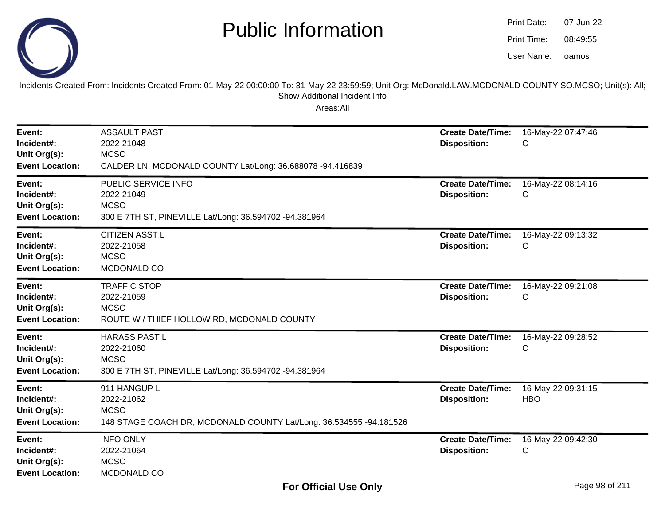

| Print Date: | 07-Jun-22 |
|-------------|-----------|
| Print Time: | 08:49:55  |
| User Name:  | oamos     |

Incidents Created From: Incidents Created From: 01-May-22 00:00:00 To: 31-May-22 23:59:59; Unit Org: McDonald.LAW.MCDONALD COUNTY SO.MCSO; Unit(s): All; Show Additional Incident Info

| Event:<br>Incident#:<br>Unit Org(s):<br><b>Event Location:</b> | <b>ASSAULT PAST</b><br>2022-21048<br><b>MCSO</b><br>CALDER LN, MCDONALD COUNTY Lat/Long: 36.688078 -94.416839   | <b>Create Date/Time:</b><br><b>Disposition:</b> | 16-May-22 07:47:46<br>C          |
|----------------------------------------------------------------|-----------------------------------------------------------------------------------------------------------------|-------------------------------------------------|----------------------------------|
| Event:<br>Incident#:<br>Unit Org(s):<br><b>Event Location:</b> | PUBLIC SERVICE INFO<br>2022-21049<br><b>MCSO</b><br>300 E 7TH ST, PINEVILLE Lat/Long: 36.594702 -94.381964      | <b>Create Date/Time:</b><br><b>Disposition:</b> | 16-May-22 08:14:16<br>C          |
| Event:<br>Incident#:<br>Unit Org(s):<br><b>Event Location:</b> | <b>CITIZEN ASST L</b><br>2022-21058<br><b>MCSO</b><br>MCDONALD CO                                               | <b>Create Date/Time:</b><br><b>Disposition:</b> | 16-May-22 09:13:32<br>C          |
| Event:<br>Incident#:<br>Unit Org(s):<br><b>Event Location:</b> | <b>TRAFFIC STOP</b><br>2022-21059<br><b>MCSO</b><br>ROUTE W / THIEF HOLLOW RD, MCDONALD COUNTY                  | <b>Create Date/Time:</b><br><b>Disposition:</b> | 16-May-22 09:21:08<br>C          |
| Event:<br>Incident#:<br>Unit Org(s):<br><b>Event Location:</b> | <b>HARASS PAST L</b><br>2022-21060<br><b>MCSO</b><br>300 E 7TH ST, PINEVILLE Lat/Long: 36.594702 -94.381964     | <b>Create Date/Time:</b><br><b>Disposition:</b> | 16-May-22 09:28:52<br>С          |
| Event:<br>Incident#:<br>Unit Org(s):<br><b>Event Location:</b> | 911 HANGUP L<br>2022-21062<br><b>MCSO</b><br>148 STAGE COACH DR, MCDONALD COUNTY Lat/Long: 36.534555 -94.181526 | <b>Create Date/Time:</b><br><b>Disposition:</b> | 16-May-22 09:31:15<br><b>HBO</b> |
| Event:<br>Incident#:<br>Unit Org(s):<br><b>Event Location:</b> | <b>INFO ONLY</b><br>2022-21064<br><b>MCSO</b><br>MCDONALD CO                                                    | <b>Create Date/Time:</b><br><b>Disposition:</b> | 16-May-22 09:42:30<br>С          |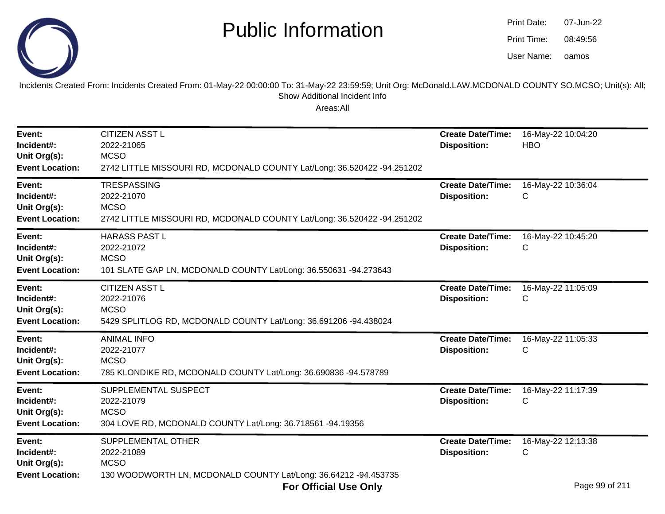

| Print Date: | 07-Jun-22 |
|-------------|-----------|
| Print Time: | 08:49:56  |
| User Name:  | oamos     |

#### Incidents Created From: Incidents Created From: 01-May-22 00:00:00 To: 31-May-22 23:59:59; Unit Org: McDonald.LAW.MCDONALD COUNTY SO.MCSO; Unit(s): All;Show Additional Incident Info

| Event:<br>Incident#:<br>Unit Org(s):<br><b>Event Location:</b> | <b>CITIZEN ASST L</b><br>2022-21065<br><b>MCSO</b><br>2742 LITTLE MISSOURI RD, MCDONALD COUNTY Lat/Long: 36.520422 -94.251202                      | <b>Create Date/Time:</b><br><b>Disposition:</b> | 16-May-22 10:04:20<br><b>HBO</b>          |
|----------------------------------------------------------------|----------------------------------------------------------------------------------------------------------------------------------------------------|-------------------------------------------------|-------------------------------------------|
| Event:<br>Incident#:<br>Unit Org(s):<br><b>Event Location:</b> | <b>TRESPASSING</b><br>2022-21070<br><b>MCSO</b><br>2742 LITTLE MISSOURI RD, MCDONALD COUNTY Lat/Long: 36.520422 -94.251202                         | <b>Create Date/Time:</b><br><b>Disposition:</b> | 16-May-22 10:36:04<br>C                   |
| Event:<br>Incident#:<br>Unit Org(s):<br><b>Event Location:</b> | <b>HARASS PAST L</b><br>2022-21072<br><b>MCSO</b><br>101 SLATE GAP LN, MCDONALD COUNTY Lat/Long: 36.550631 -94.273643                              | <b>Create Date/Time:</b><br><b>Disposition:</b> | 16-May-22 10:45:20<br>С                   |
| Event:<br>Incident#:<br>Unit Org(s):<br><b>Event Location:</b> | <b>CITIZEN ASST L</b><br>2022-21076<br><b>MCSO</b><br>5429 SPLITLOG RD, MCDONALD COUNTY Lat/Long: 36.691206 -94.438024                             | <b>Create Date/Time:</b><br><b>Disposition:</b> | 16-May-22 11:05:09<br>С                   |
| Event:<br>Incident#:<br>Unit Org(s):<br><b>Event Location:</b> | <b>ANIMAL INFO</b><br>2022-21077<br><b>MCSO</b><br>785 KLONDIKE RD, MCDONALD COUNTY Lat/Long: 36.690836 -94.578789                                 | <b>Create Date/Time:</b><br><b>Disposition:</b> | 16-May-22 11:05:33<br>C                   |
| Event:<br>Incident#:<br>Unit Org(s):<br><b>Event Location:</b> | SUPPLEMENTAL SUSPECT<br>2022-21079<br><b>MCSO</b><br>304 LOVE RD, MCDONALD COUNTY Lat/Long: 36.718561 -94.19356                                    | <b>Create Date/Time:</b><br><b>Disposition:</b> | 16-May-22 11:17:39<br>C                   |
| Event:<br>Incident#:<br>Unit Org(s):<br><b>Event Location:</b> | SUPPLEMENTAL OTHER<br>2022-21089<br><b>MCSO</b><br>130 WOODWORTH LN, MCDONALD COUNTY Lat/Long: 36.64212 -94.453735<br><b>For Official Use Only</b> | <b>Create Date/Time:</b><br><b>Disposition:</b> | 16-May-22 12:13:38<br>С<br>Page 99 of 211 |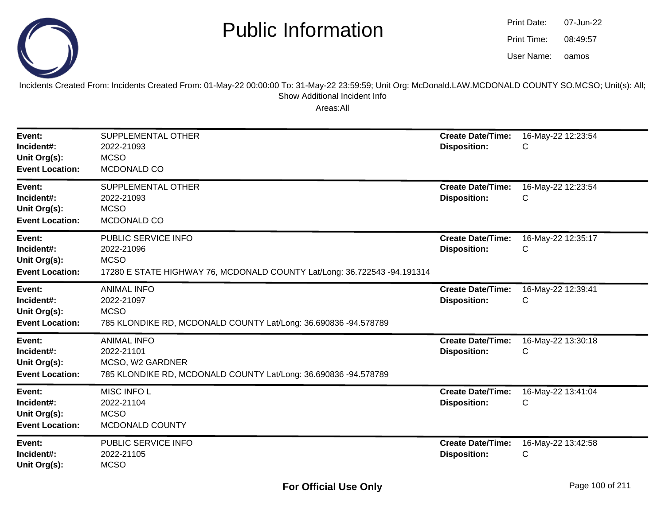

oamos07-Jun-2208:49:57Print Date:Print Time:User Name:

Incidents Created From: Incidents Created From: 01-May-22 00:00:00 To: 31-May-22 23:59:59; Unit Org: McDonald.LAW.MCDONALD COUNTY SO.MCSO; Unit(s): All; Show Additional Incident Info

| Event:<br>Incident#:<br>Unit Org(s):<br><b>Event Location:</b> | SUPPLEMENTAL OTHER<br>2022-21093<br><b>MCSO</b><br>MCDONALD CO                                                               | <b>Create Date/Time:</b><br><b>Disposition:</b> | 16-May-22 12:23:54<br>С |
|----------------------------------------------------------------|------------------------------------------------------------------------------------------------------------------------------|-------------------------------------------------|-------------------------|
| Event:<br>Incident#:<br>Unit Org(s):<br><b>Event Location:</b> | SUPPLEMENTAL OTHER<br>2022-21093<br><b>MCSO</b><br>MCDONALD CO                                                               | <b>Create Date/Time:</b><br><b>Disposition:</b> | 16-May-22 12:23:54<br>С |
| Event:<br>Incident#:<br>Unit Org(s):<br><b>Event Location:</b> | PUBLIC SERVICE INFO<br>2022-21096<br><b>MCSO</b><br>17280 E STATE HIGHWAY 76, MCDONALD COUNTY Lat/Long: 36.722543 -94.191314 | <b>Create Date/Time:</b><br><b>Disposition:</b> | 16-May-22 12:35:17<br>C |
| Event:<br>Incident#:<br>Unit Org(s):<br><b>Event Location:</b> | <b>ANIMAL INFO</b><br>2022-21097<br><b>MCSO</b><br>785 KLONDIKE RD, MCDONALD COUNTY Lat/Long: 36.690836 -94.578789           | <b>Create Date/Time:</b><br><b>Disposition:</b> | 16-May-22 12:39:41<br>С |
| Event:<br>Incident#:<br>Unit Org(s):<br><b>Event Location:</b> | <b>ANIMAL INFO</b><br>2022-21101<br>MCSO, W2 GARDNER<br>785 KLONDIKE RD, MCDONALD COUNTY Lat/Long: 36.690836 -94.578789      | <b>Create Date/Time:</b><br><b>Disposition:</b> | 16-May-22 13:30:18<br>С |
| Event:<br>Incident#:<br>Unit Org(s):<br><b>Event Location:</b> | MISC INFO L<br>2022-21104<br><b>MCSO</b><br>MCDONALD COUNTY                                                                  | <b>Create Date/Time:</b><br><b>Disposition:</b> | 16-May-22 13:41:04<br>С |
| Event:<br>Incident#:<br>Unit Org(s):                           | PUBLIC SERVICE INFO<br>2022-21105<br><b>MCSO</b>                                                                             | <b>Create Date/Time:</b><br><b>Disposition:</b> | 16-May-22 13:42:58<br>С |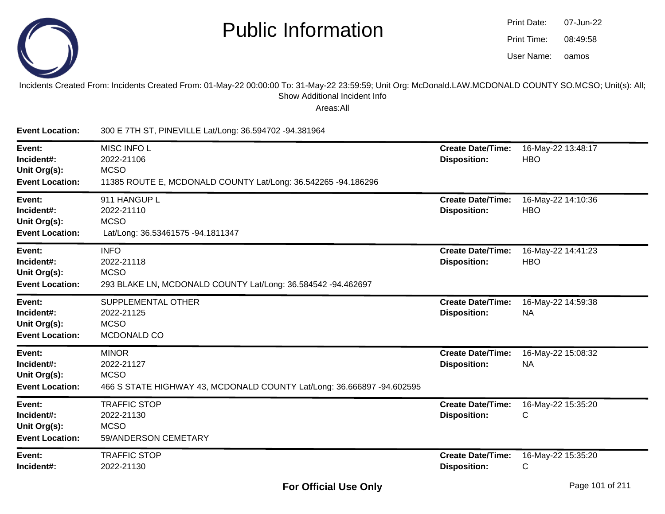

| Print Date: | 07-Jun-22 |
|-------------|-----------|
| Print Time: | 08:49:58  |
| User Name:  | oamos     |

#### Incidents Created From: Incidents Created From: 01-May-22 00:00:00 To: 31-May-22 23:59:59; Unit Org: McDonald.LAW.MCDONALD COUNTY SO.MCSO; Unit(s): All; Show Additional Incident Info

| <b>Event Location:</b>                                         | 300 E 7TH ST, PINEVILLE Lat/Long: 36.594702 -94.381964                                                              |                                                 |                                    |
|----------------------------------------------------------------|---------------------------------------------------------------------------------------------------------------------|-------------------------------------------------|------------------------------------|
| Event:<br>Incident#:<br>Unit Org(s):<br><b>Event Location:</b> | <b>MISC INFO L</b><br>2022-21106<br><b>MCSO</b><br>11385 ROUTE E, MCDONALD COUNTY Lat/Long: 36.542265 -94.186296    | <b>Create Date/Time:</b><br><b>Disposition:</b> | 16-May-22 13:48:17<br><b>HBO</b>   |
| Event:<br>Incident#:<br>Unit Org(s):<br><b>Event Location:</b> | 911 HANGUP L<br>2022-21110<br><b>MCSO</b><br>Lat/Long: 36.53461575 -94.1811347                                      | <b>Create Date/Time:</b><br><b>Disposition:</b> | 16-May-22 14:10:36<br><b>HBO</b>   |
| Event:<br>Incident#:<br>Unit Org(s):<br><b>Event Location:</b> | <b>INFO</b><br>2022-21118<br><b>MCSO</b><br>293 BLAKE LN, MCDONALD COUNTY Lat/Long: 36.584542 -94.462697            | <b>Create Date/Time:</b><br><b>Disposition:</b> | 16-May-22 14:41:23<br><b>HBO</b>   |
| Event:<br>Incident#:<br>Unit Org(s):<br><b>Event Location:</b> | SUPPLEMENTAL OTHER<br>2022-21125<br><b>MCSO</b><br>MCDONALD CO                                                      | <b>Create Date/Time:</b><br><b>Disposition:</b> | 16-May-22 14:59:38<br><b>NA</b>    |
| Event:<br>Incident#:<br>Unit Org(s):<br><b>Event Location:</b> | <b>MINOR</b><br>2022-21127<br><b>MCSO</b><br>466 S STATE HIGHWAY 43, MCDONALD COUNTY Lat/Long: 36.666897 -94.602595 | <b>Create Date/Time:</b><br><b>Disposition:</b> | 16-May-22 15:08:32<br><b>NA</b>    |
| Event:<br>Incident#:<br>Unit Org(s):<br><b>Event Location:</b> | <b>TRAFFIC STOP</b><br>2022-21130<br><b>MCSO</b><br>59/ANDERSON CEMETARY                                            | <b>Create Date/Time:</b><br><b>Disposition:</b> | 16-May-22 15:35:20<br>C            |
| Event:<br>Incident#:                                           | <b>TRAFFIC STOP</b><br>2022-21130                                                                                   | <b>Create Date/Time:</b><br><b>Disposition:</b> | 16-May-22 15:35:20<br>$\mathsf{C}$ |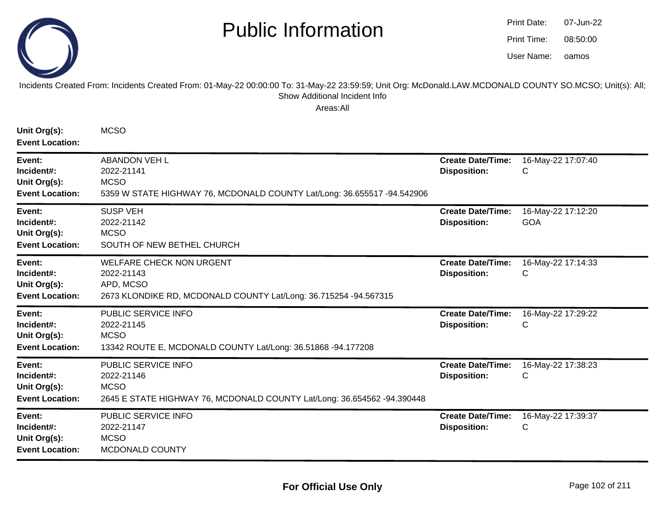

| Print Date: | 07-Jun-22 |
|-------------|-----------|
| Print Time: | 08:50:00  |
| User Name:  | oamos     |

#### Incidents Created From: Incidents Created From: 01-May-22 00:00:00 To: 31-May-22 23:59:59; Unit Org: McDonald.LAW.MCDONALD COUNTY SO.MCSO; Unit(s): All; Show Additional Incident Info

| Unit Org(s):<br><b>Event Location:</b>                         | <b>MCSO</b>                                                                                                                    |                                                 |                                  |
|----------------------------------------------------------------|--------------------------------------------------------------------------------------------------------------------------------|-------------------------------------------------|----------------------------------|
| Event:<br>Incident#:<br>Unit Org(s):<br><b>Event Location:</b> | <b>ABANDON VEH L</b><br>2022-21141<br><b>MCSO</b><br>5359 W STATE HIGHWAY 76, MCDONALD COUNTY Lat/Long: 36.655517 -94.542906   | <b>Create Date/Time:</b><br><b>Disposition:</b> | 16-May-22 17:07:40<br>C          |
| Event:<br>Incident#:<br>Unit Org(s):<br><b>Event Location:</b> | <b>SUSP VEH</b><br>2022-21142<br><b>MCSO</b><br>SOUTH OF NEW BETHEL CHURCH                                                     | <b>Create Date/Time:</b><br><b>Disposition:</b> | 16-May-22 17:12:20<br><b>GOA</b> |
| Event:<br>Incident#:<br>Unit Org(s):<br><b>Event Location:</b> | <b>WELFARE CHECK NON URGENT</b><br>2022-21143<br>APD, MCSO<br>2673 KLONDIKE RD, MCDONALD COUNTY Lat/Long: 36.715254 -94.567315 | <b>Create Date/Time:</b><br><b>Disposition:</b> | 16-May-22 17:14:33<br>С          |
| Event:<br>Incident#:<br>Unit Org(s):<br><b>Event Location:</b> | PUBLIC SERVICE INFO<br>2022-21145<br><b>MCSO</b><br>13342 ROUTE E, MCDONALD COUNTY Lat/Long: 36.51868 -94.177208               | <b>Create Date/Time:</b><br><b>Disposition:</b> | 16-May-22 17:29:22<br>C          |
| Event:<br>Incident#:<br>Unit Org(s):<br><b>Event Location:</b> | PUBLIC SERVICE INFO<br>2022-21146<br><b>MCSO</b><br>2645 E STATE HIGHWAY 76, MCDONALD COUNTY Lat/Long: 36.654562 -94.390448    | <b>Create Date/Time:</b><br><b>Disposition:</b> | 16-May-22 17:38:23<br>C          |
| Event:<br>Incident#:<br>Unit Org(s):<br><b>Event Location:</b> | PUBLIC SERVICE INFO<br>2022-21147<br><b>MCSO</b><br>MCDONALD COUNTY                                                            | <b>Create Date/Time:</b><br><b>Disposition:</b> | 16-May-22 17:39:37<br>C          |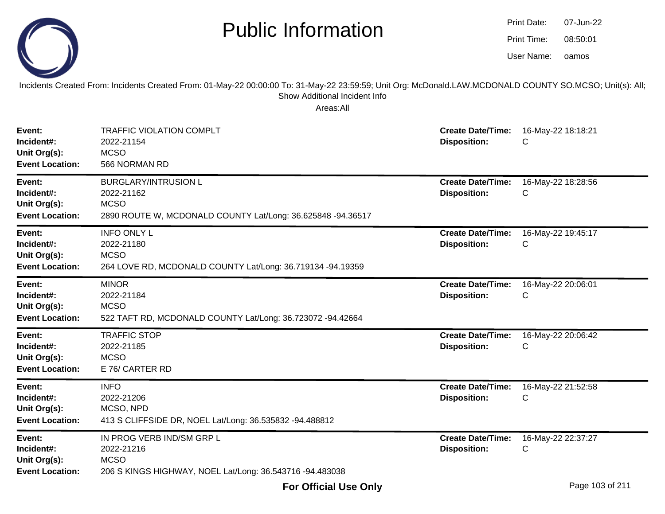

Incidents Created From: Incidents Created From: 01-May-22 00:00:00 To: 31-May-22 23:59:59; Unit Org: McDonald.LAW.MCDONALD COUNTY SO.MCSO; Unit(s): All; Show Additional Incident Info

| Event:<br>Incident#:<br>Unit Org(s):<br><b>Event Location:</b> | <b>TRAFFIC VIOLATION COMPLT</b><br>2022-21154<br><b>MCSO</b><br>566 NORMAN RD                                           | <b>Create Date/Time:</b><br><b>Disposition:</b> | 16-May-22 18:18:21<br>C            |
|----------------------------------------------------------------|-------------------------------------------------------------------------------------------------------------------------|-------------------------------------------------|------------------------------------|
| Event:<br>Incident#:<br>Unit Org(s):<br><b>Event Location:</b> | <b>BURGLARY/INTRUSION L</b><br>2022-21162<br><b>MCSO</b><br>2890 ROUTE W, MCDONALD COUNTY Lat/Long: 36.625848 -94.36517 | <b>Create Date/Time:</b><br><b>Disposition:</b> | 16-May-22 18:28:56<br>C            |
| Event:<br>Incident#:<br>Unit Org(s):<br><b>Event Location:</b> | <b>INFO ONLY L</b><br>2022-21180<br><b>MCSO</b><br>264 LOVE RD, MCDONALD COUNTY Lat/Long: 36.719134 -94.19359           | <b>Create Date/Time:</b><br><b>Disposition:</b> | 16-May-22 19:45:17<br>С            |
| Event:<br>Incident#:<br>Unit Org(s):<br><b>Event Location:</b> | <b>MINOR</b><br>2022-21184<br><b>MCSO</b><br>522 TAFT RD, MCDONALD COUNTY Lat/Long: 36.723072 -94.42664                 | <b>Create Date/Time:</b><br><b>Disposition:</b> | 16-May-22 20:06:01<br>C            |
| Event:<br>Incident#:<br>Unit Org(s):<br><b>Event Location:</b> | <b>TRAFFIC STOP</b><br>2022-21185<br><b>MCSO</b><br>E 76/ CARTER RD                                                     | <b>Create Date/Time:</b><br><b>Disposition:</b> | 16-May-22 20:06:42<br>С            |
| Event:<br>Incident#:<br>Unit Org(s):<br><b>Event Location:</b> | <b>INFO</b><br>2022-21206<br>MCSO, NPD<br>413 S CLIFFSIDE DR, NOEL Lat/Long: 36.535832 -94.488812                       | <b>Create Date/Time:</b><br><b>Disposition:</b> | 16-May-22 21:52:58<br>$\mathsf{C}$ |
| Event:<br>Incident#:<br>Unit Org(s):<br><b>Event Location:</b> | IN PROG VERB IND/SM GRP L<br>2022-21216<br><b>MCSO</b><br>206 S KINGS HIGHWAY, NOEL Lat/Long: 36.543716 -94.483038      | <b>Create Date/Time:</b><br><b>Disposition:</b> | 16-May-22 22:37:27<br>$\mathsf{C}$ |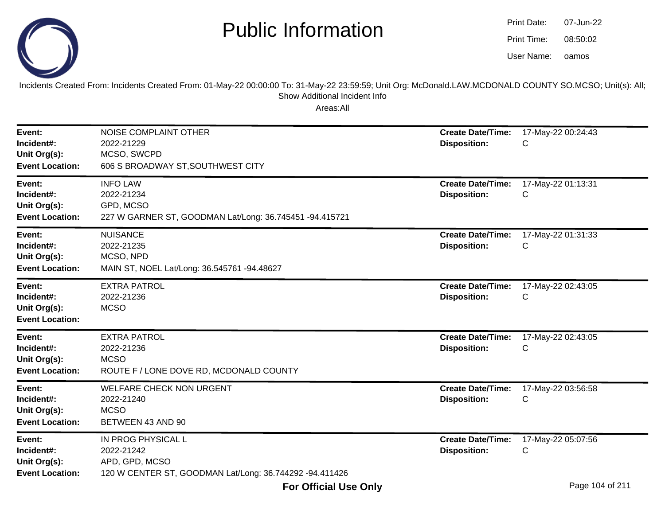

oamos07-Jun-2208:50:02Print Date:Print Time:User Name:

Incidents Created From: Incidents Created From: 01-May-22 00:00:00 To: 31-May-22 23:59:59; Unit Org: McDonald.LAW.MCDONALD COUNTY SO.MCSO; Unit(s): All; Show Additional Incident Info

| Event:<br>Incident#:<br>Unit Org(s):<br><b>Event Location:</b> | NOISE COMPLAINT OTHER<br>2022-21229<br>MCSO, SWCPD<br>606 S BROADWAY ST, SOUTHWEST CITY                       | <b>Create Date/Time:</b><br><b>Disposition:</b> | 17-May-22 00:24:43<br>C |
|----------------------------------------------------------------|---------------------------------------------------------------------------------------------------------------|-------------------------------------------------|-------------------------|
| Event:<br>Incident#:<br>Unit Org(s):<br><b>Event Location:</b> | <b>INFO LAW</b><br>2022-21234<br>GPD, MCSO<br>227 W GARNER ST, GOODMAN Lat/Long: 36.745451 -94.415721         | <b>Create Date/Time:</b><br><b>Disposition:</b> | 17-May-22 01:13:31<br>C |
| Event:<br>Incident#:<br>Unit Org(s):<br><b>Event Location:</b> | <b>NUISANCE</b><br>2022-21235<br>MCSO, NPD<br>MAIN ST, NOEL Lat/Long: 36.545761 -94.48627                     | <b>Create Date/Time:</b><br><b>Disposition:</b> | 17-May-22 01:31:33<br>С |
| Event:<br>Incident#:<br>Unit Org(s):<br><b>Event Location:</b> | <b>EXTRA PATROL</b><br>2022-21236<br><b>MCSO</b>                                                              | <b>Create Date/Time:</b><br><b>Disposition:</b> | 17-May-22 02:43:05<br>C |
| Event:<br>Incident#:<br>Unit Org(s):<br><b>Event Location:</b> | <b>EXTRA PATROL</b><br>2022-21236<br><b>MCSO</b><br>ROUTE F / LONE DOVE RD, MCDONALD COUNTY                   | <b>Create Date/Time:</b><br><b>Disposition:</b> | 17-May-22 02:43:05<br>С |
| Event:<br>Incident#:<br>Unit Org(s):<br><b>Event Location:</b> | <b>WELFARE CHECK NON URGENT</b><br>2022-21240<br><b>MCSO</b><br>BETWEEN 43 AND 90                             | <b>Create Date/Time:</b><br><b>Disposition:</b> | 17-May-22 03:56:58<br>C |
| Event:<br>Incident#:<br>Unit Org(s):<br><b>Event Location:</b> | IN PROG PHYSICAL L<br>2022-21242<br>APD, GPD, MCSO<br>120 W CENTER ST, GOODMAN Lat/Long: 36.744292 -94.411426 | <b>Create Date/Time:</b><br><b>Disposition:</b> | 17-May-22 05:07:56<br>С |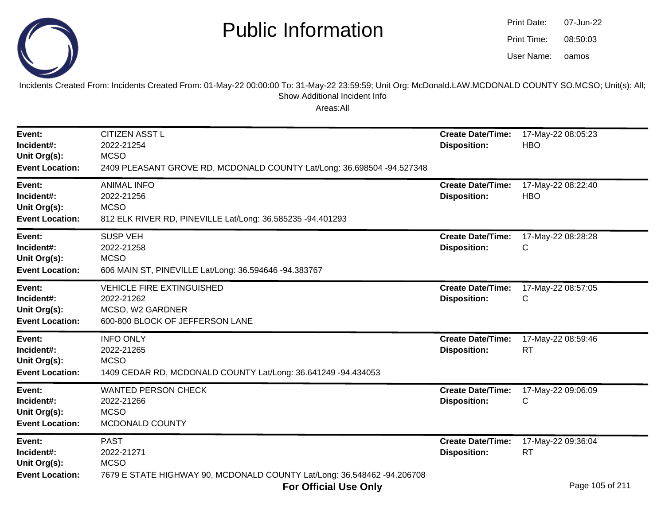

| Print Date: | 07-Jun-22 |
|-------------|-----------|
| Print Time: | 08:50:03  |
| User Name:  | oamos     |

Incidents Created From: Incidents Created From: 01-May-22 00:00:00 To: 31-May-22 23:59:59; Unit Org: McDonald.LAW.MCDONALD COUNTY SO.MCSO; Unit(s): All; Show Additional Incident Info

| Event:<br>Incident#:<br>Unit Org(s):<br><b>Event Location:</b> | <b>CITIZEN ASST L</b><br>2022-21254<br><b>MCSO</b><br>2409 PLEASANT GROVE RD, MCDONALD COUNTY Lat/Long: 36.698504 -94.527348 | <b>Create Date/Time:</b><br><b>Disposition:</b> | 17-May-22 08:05:23<br><b>HBO</b>   |
|----------------------------------------------------------------|------------------------------------------------------------------------------------------------------------------------------|-------------------------------------------------|------------------------------------|
| Event:<br>Incident#:<br>Unit Org(s):<br><b>Event Location:</b> | <b>ANIMAL INFO</b><br>2022-21256<br><b>MCSO</b><br>812 ELK RIVER RD, PINEVILLE Lat/Long: 36.585235 -94.401293                | <b>Create Date/Time:</b><br><b>Disposition:</b> | 17-May-22 08:22:40<br><b>HBO</b>   |
| Event:<br>Incident#:<br>Unit Org(s):<br><b>Event Location:</b> | <b>SUSP VEH</b><br>2022-21258<br><b>MCSO</b><br>606 MAIN ST, PINEVILLE Lat/Long: 36.594646 -94.383767                        | <b>Create Date/Time:</b><br><b>Disposition:</b> | 17-May-22 08:28:28<br>$\mathsf{C}$ |
| Event:<br>Incident#:<br>Unit Org(s):<br><b>Event Location:</b> | <b>VEHICLE FIRE EXTINGUISHED</b><br>2022-21262<br>MCSO, W2 GARDNER<br>600-800 BLOCK OF JEFFERSON LANE                        | <b>Create Date/Time:</b><br><b>Disposition:</b> | 17-May-22 08:57:05<br>$\mathsf{C}$ |
| Event:<br>Incident#:<br>Unit Org(s):<br><b>Event Location:</b> | <b>INFO ONLY</b><br>2022-21265<br><b>MCSO</b><br>1409 CEDAR RD, MCDONALD COUNTY Lat/Long: 36.641249 -94.434053               | <b>Create Date/Time:</b><br><b>Disposition:</b> | 17-May-22 08:59:46<br><b>RT</b>    |
| Event:<br>Incident#:<br>Unit Org(s):<br><b>Event Location:</b> | <b>WANTED PERSON CHECK</b><br>2022-21266<br><b>MCSO</b><br>MCDONALD COUNTY                                                   | <b>Create Date/Time:</b><br><b>Disposition:</b> | 17-May-22 09:06:09<br>C            |
| Event:<br>Incident#:<br>Unit Org(s):<br><b>Event Location:</b> | <b>PAST</b><br>2022-21271<br><b>MCSO</b><br>7679 E STATE HIGHWAY 90, MCDONALD COUNTY Lat/Long: 36.548462 -94.206708          | <b>Create Date/Time:</b><br><b>Disposition:</b> | 17-May-22 09:36:04<br><b>RT</b>    |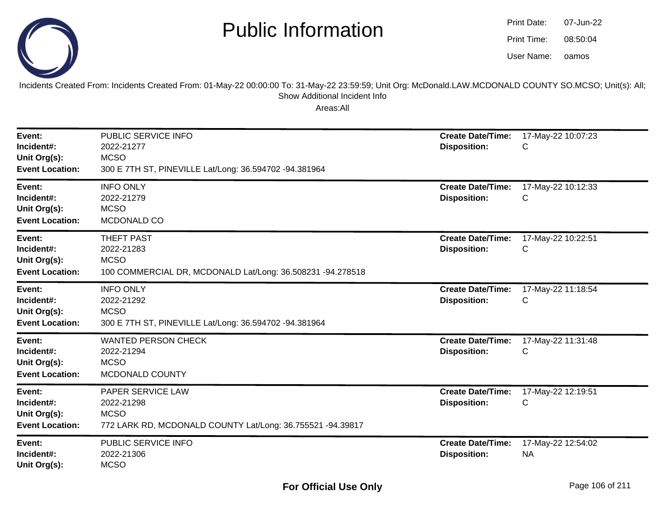

| Print Date: | 07-Jun-22 |
|-------------|-----------|
| Print Time: | 08:50:04  |
| User Name:  | oamos     |

Incidents Created From: Incidents Created From: 01-May-22 00:00:00 To: 31-May-22 23:59:59; Unit Org: McDonald.LAW.MCDONALD COUNTY SO.MCSO; Unit(s): All; Show Additional Incident Info

| Event:<br>Incident#:<br>Unit Org(s):<br><b>Event Location:</b> | PUBLIC SERVICE INFO<br>2022-21277<br><b>MCSO</b><br>300 E 7TH ST, PINEVILLE Lat/Long: 36.594702 -94.381964   | <b>Create Date/Time:</b><br><b>Disposition:</b> | 17-May-22 10:07:23<br>С         |
|----------------------------------------------------------------|--------------------------------------------------------------------------------------------------------------|-------------------------------------------------|---------------------------------|
| Event:<br>Incident#:<br>Unit Org(s):<br><b>Event Location:</b> | <b>INFO ONLY</b><br>2022-21279<br><b>MCSO</b><br>MCDONALD CO                                                 | <b>Create Date/Time:</b><br><b>Disposition:</b> | 17-May-22 10:12:33<br>С         |
| Event:<br>Incident#:<br>Unit Org(s):<br><b>Event Location:</b> | <b>THEFT PAST</b><br>2022-21283<br><b>MCSO</b><br>100 COMMERCIAL DR, MCDONALD Lat/Long: 36.508231 -94.278518 | <b>Create Date/Time:</b><br><b>Disposition:</b> | 17-May-22 10:22:51<br>С         |
| Event:<br>Incident#:<br>Unit Org(s):<br><b>Event Location:</b> | <b>INFO ONLY</b><br>2022-21292<br><b>MCSO</b><br>300 E 7TH ST, PINEVILLE Lat/Long: 36.594702 -94.381964      | <b>Create Date/Time:</b><br><b>Disposition:</b> | 17-May-22 11:18:54<br>С         |
| Event:<br>Incident#:<br>Unit Org(s):<br><b>Event Location:</b> | <b>WANTED PERSON CHECK</b><br>2022-21294<br><b>MCSO</b><br>MCDONALD COUNTY                                   | <b>Create Date/Time:</b><br><b>Disposition:</b> | 17-May-22 11:31:48<br>С         |
| Event:<br>Incident#:<br>Unit Org(s):<br><b>Event Location:</b> | PAPER SERVICE LAW<br>2022-21298<br><b>MCSO</b><br>772 LARK RD, MCDONALD COUNTY Lat/Long: 36.755521 -94.39817 | <b>Create Date/Time:</b><br><b>Disposition:</b> | 17-May-22 12:19:51<br>С         |
| Event:<br>Incident#:<br>Unit Org(s):                           | PUBLIC SERVICE INFO<br>2022-21306<br><b>MCSO</b>                                                             | <b>Create Date/Time:</b><br><b>Disposition:</b> | 17-May-22 12:54:02<br><b>NA</b> |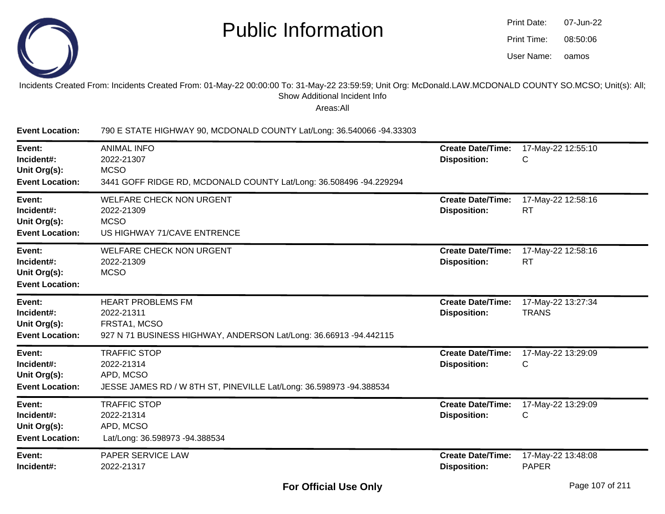

| Print Date: | 07-Jun-22 |
|-------------|-----------|
| Print Time: | 08:50:06  |
| User Name:  | oamos     |

#### Incidents Created From: Incidents Created From: 01-May-22 00:00:00 To: 31-May-22 23:59:59; Unit Org: McDonald.LAW.MCDONALD COUNTY SO.MCSO; Unit(s): All; Show Additional Incident Info

| <b>Event Location:</b>                                         | 790 E STATE HIGHWAY 90, MCDONALD COUNTY Lat/Long: 36.540066 -94.33303                                                       |                                                 |                                    |
|----------------------------------------------------------------|-----------------------------------------------------------------------------------------------------------------------------|-------------------------------------------------|------------------------------------|
| Event:<br>Incident#:<br>Unit Org(s):<br><b>Event Location:</b> | <b>ANIMAL INFO</b><br>2022-21307<br><b>MCSO</b><br>3441 GOFF RIDGE RD, MCDONALD COUNTY Lat/Long: 36.508496 -94.229294       | <b>Create Date/Time:</b><br><b>Disposition:</b> | 17-May-22 12:55:10<br>C            |
| Event:<br>Incident#:<br>Unit Org(s):<br><b>Event Location:</b> | <b>WELFARE CHECK NON URGENT</b><br>2022-21309<br><b>MCSO</b><br>US HIGHWAY 71/CAVE ENTRENCE                                 | <b>Create Date/Time:</b><br><b>Disposition:</b> | 17-May-22 12:58:16<br><b>RT</b>    |
| Event:<br>Incident#:<br>Unit Org(s):<br><b>Event Location:</b> | <b>WELFARE CHECK NON URGENT</b><br>2022-21309<br><b>MCSO</b>                                                                | <b>Create Date/Time:</b><br><b>Disposition:</b> | 17-May-22 12:58:16<br><b>RT</b>    |
| Event:<br>Incident#:<br>Unit Org(s):<br><b>Event Location:</b> | <b>HEART PROBLEMS FM</b><br>2022-21311<br>FRSTA1, MCSO<br>927 N 71 BUSINESS HIGHWAY, ANDERSON Lat/Long: 36.66913 -94.442115 | <b>Create Date/Time:</b><br><b>Disposition:</b> | 17-May-22 13:27:34<br><b>TRANS</b> |
| Event:<br>Incident#:<br>Unit Org(s):<br><b>Event Location:</b> | <b>TRAFFIC STOP</b><br>2022-21314<br>APD, MCSO<br>JESSE JAMES RD / W 8TH ST, PINEVILLE Lat/Long: 36.598973 -94.388534       | <b>Create Date/Time:</b><br><b>Disposition:</b> | 17-May-22 13:29:09<br>C            |
| Event:<br>Incident#:<br>Unit Org(s):<br><b>Event Location:</b> | <b>TRAFFIC STOP</b><br>2022-21314<br>APD, MCSO<br>Lat/Long: 36.598973 -94.388534                                            | <b>Create Date/Time:</b><br><b>Disposition:</b> | 17-May-22 13:29:09<br>С            |
| Event:<br>Incident#:                                           | PAPER SERVICE LAW<br>2022-21317                                                                                             | <b>Create Date/Time:</b><br><b>Disposition:</b> | 17-May-22 13:48:08<br><b>PAPER</b> |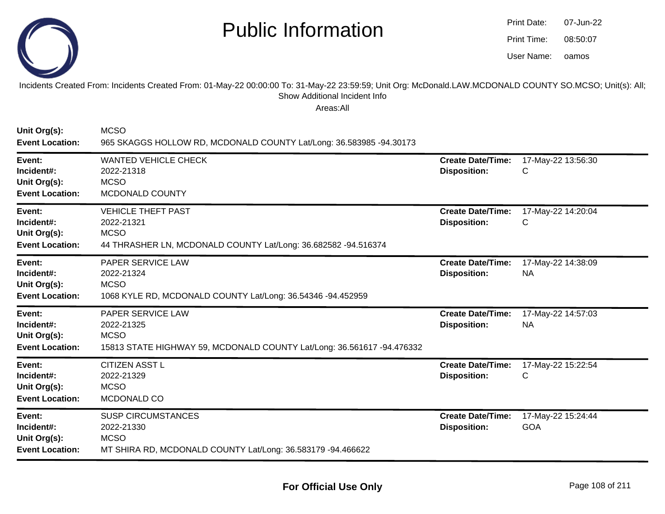

| Print Date: | 07-Jun-22 |
|-------------|-----------|
| Print Time: | 08:50:07  |
| User Name:  | oamos     |

Incidents Created From: Incidents Created From: 01-May-22 00:00:00 To: 31-May-22 23:59:59; Unit Org: McDonald.LAW.MCDONALD COUNTY SO.MCSO; Unit(s): All; Show Additional Incident Info

| Unit Org(s):<br><b>Event Location:</b>                         | <b>MCSO</b><br>965 SKAGGS HOLLOW RD, MCDONALD COUNTY Lat/Long: 36.583985 -94.30173                                       |                                                 |                                  |
|----------------------------------------------------------------|--------------------------------------------------------------------------------------------------------------------------|-------------------------------------------------|----------------------------------|
| Event:<br>Incident#:<br>Unit Org(s):<br><b>Event Location:</b> | <b>WANTED VEHICLE CHECK</b><br>2022-21318<br><b>MCSO</b><br>MCDONALD COUNTY                                              | <b>Create Date/Time:</b><br><b>Disposition:</b> | 17-May-22 13:56:30<br>C          |
| Event:<br>Incident#:<br>Unit Org(s):<br><b>Event Location:</b> | <b>VEHICLE THEFT PAST</b><br>2022-21321<br><b>MCSO</b><br>44 THRASHER LN, MCDONALD COUNTY Lat/Long: 36.682582 -94.516374 | <b>Create Date/Time:</b><br><b>Disposition:</b> | 17-May-22 14:20:04<br>С          |
| Event:<br>Incident#:<br>Unit Org(s):<br><b>Event Location:</b> | PAPER SERVICE LAW<br>2022-21324<br><b>MCSO</b><br>1068 KYLE RD, MCDONALD COUNTY Lat/Long: 36.54346 -94.452959            | <b>Create Date/Time:</b><br><b>Disposition:</b> | 17-May-22 14:38:09<br><b>NA</b>  |
| Event:<br>Incident#:<br>Unit Org(s):<br><b>Event Location:</b> | PAPER SERVICE LAW<br>2022-21325<br><b>MCSO</b><br>15813 STATE HIGHWAY 59, MCDONALD COUNTY Lat/Long: 36.561617 -94.476332 | <b>Create Date/Time:</b><br><b>Disposition:</b> | 17-May-22 14:57:03<br><b>NA</b>  |
| Event:<br>Incident#:<br>Unit Org(s):<br><b>Event Location:</b> | <b>CITIZEN ASST L</b><br>2022-21329<br><b>MCSO</b><br>MCDONALD CO                                                        | <b>Create Date/Time:</b><br><b>Disposition:</b> | 17-May-22 15:22:54<br>C          |
| Event:<br>Incident#:<br>Unit Org(s):<br><b>Event Location:</b> | <b>SUSP CIRCUMSTANCES</b><br>2022-21330<br><b>MCSO</b><br>MT SHIRA RD, MCDONALD COUNTY Lat/Long: 36.583179 -94.466622    | <b>Create Date/Time:</b><br><b>Disposition:</b> | 17-May-22 15:24:44<br><b>GOA</b> |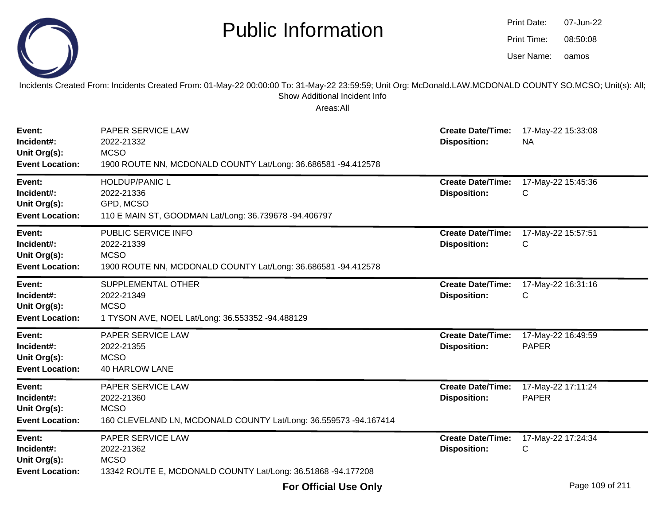|                                                                | <b>Public Information</b>                                                                                                                                                                              |                                                 | Print Date:<br>07-Jun-22<br>Print Time:<br>08:50:08<br>User Name:<br>oamos |  |
|----------------------------------------------------------------|--------------------------------------------------------------------------------------------------------------------------------------------------------------------------------------------------------|-------------------------------------------------|----------------------------------------------------------------------------|--|
|                                                                | Incidents Created From: Incidents Created From: 01-May-22 00:00:00 To: 31-May-22 23:59:59; Unit Org: McDonald.LAW.MCDONALD COUNTY SO.MCSO; Unit(s): All;<br>Show Additional Incident Info<br>Areas:All |                                                 |                                                                            |  |
| Event:<br>Incident#:<br>Unit Org(s):<br><b>Event Location:</b> | PAPER SERVICE LAW<br>2022-21332<br><b>MCSO</b><br>1900 ROUTE NN, MCDONALD COUNTY Lat/Long: 36.686581 -94.412578                                                                                        | <b>Create Date/Time:</b><br><b>Disposition:</b> | 17-May-22 15:33:08<br><b>NA</b>                                            |  |
| Event:<br>Incident#:<br>Unit Org(s):<br><b>Event Location:</b> | <b>HOLDUP/PANIC L</b><br>2022-21336<br>GPD, MCSO<br>110 E MAIN ST, GOODMAN Lat/Long: 36.739678 -94.406797                                                                                              | <b>Create Date/Time:</b><br><b>Disposition:</b> | 17-May-22 15:45:36<br>С                                                    |  |
| Event:<br>Incident#:<br>Unit Org(s):<br><b>Event Location:</b> | PUBLIC SERVICE INFO<br>2022-21339<br><b>MCSO</b><br>1900 ROUTE NN, MCDONALD COUNTY Lat/Long: 36.686581 -94.412578                                                                                      | <b>Create Date/Time:</b><br><b>Disposition:</b> | 17-May-22 15:57:51<br>С                                                    |  |
| Event:<br>Incident#:<br>Unit Org(s):<br><b>Event Location:</b> | SUPPLEMENTAL OTHER<br>2022-21349<br><b>MCSO</b><br>1 TYSON AVE, NOEL Lat/Long: 36.553352 -94.488129                                                                                                    | <b>Create Date/Time:</b><br><b>Disposition:</b> | 17-May-22 16:31:16<br>С                                                    |  |
| Event:<br>Incident#:<br>Unit Org(s):<br><b>Event Location:</b> | PAPER SERVICE LAW<br>2022-21355<br><b>MCSO</b><br><b>40 HARLOW LANE</b>                                                                                                                                | <b>Create Date/Time:</b><br><b>Disposition:</b> | 17-May-22 16:49:59<br><b>PAPER</b>                                         |  |
| Event:<br>Incident#:<br>Unit Org(s):<br><b>Event Location:</b> | PAPER SERVICE LAW<br>2022-21360<br><b>MCSO</b><br>160 CLEVELAND LN, MCDONALD COUNTY Lat/Long: 36.559573 -94.167414                                                                                     | <b>Create Date/Time:</b><br><b>Disposition:</b> | 17-May-22 17:11:24<br>PAPER                                                |  |
| Event:<br>Incident#:<br>Unit Org(s):<br><b>Event Location:</b> | PAPER SERVICE LAW<br>2022-21362<br><b>MCSO</b><br>13342 ROUTE E, MCDONALD COUNTY Lat/Long: 36.51868 -94.177208                                                                                         | <b>Create Date/Time:</b><br><b>Disposition:</b> | 17-May-22 17:24:34<br>С                                                    |  |

-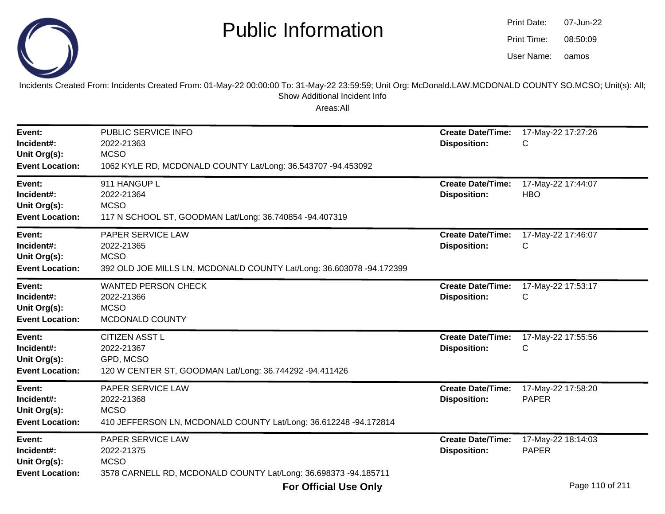

| Print Date: | 07-Jun-22 |
|-------------|-----------|
| Print Time: | 08:50:09  |
| User Name:  | oamos     |

Incidents Created From: Incidents Created From: 01-May-22 00:00:00 To: 31-May-22 23:59:59; Unit Org: McDonald.LAW.MCDONALD COUNTY SO.MCSO; Unit(s): All; Show Additional Incident Info

| Event:<br>Incident#:<br>Unit Org(s):<br><b>Event Location:</b> | PUBLIC SERVICE INFO<br>2022-21363<br><b>MCSO</b><br>1062 KYLE RD, MCDONALD COUNTY Lat/Long: 36.543707 -94.453092              | <b>Create Date/Time:</b><br><b>Disposition:</b> | 17-May-22 17:27:26<br>С                 |
|----------------------------------------------------------------|-------------------------------------------------------------------------------------------------------------------------------|-------------------------------------------------|-----------------------------------------|
| Event:<br>Incident#:<br>Unit Org(s):<br><b>Event Location:</b> | 911 HANGUP L<br>2022-21364<br><b>MCSO</b><br>117 N SCHOOL ST, GOODMAN Lat/Long: 36.740854 -94.407319                          | <b>Create Date/Time:</b><br><b>Disposition:</b> | 17-May-22 17:44:07<br><b>HBO</b>        |
| Event:<br>Incident#:<br>Unit Org(s):<br><b>Event Location:</b> | <b>PAPER SERVICE LAW</b><br>2022-21365<br><b>MCSO</b><br>392 OLD JOE MILLS LN, MCDONALD COUNTY Lat/Long: 36.603078 -94.172399 | <b>Create Date/Time:</b><br><b>Disposition:</b> | 17-May-22 17:46:07<br>С                 |
| Event:<br>Incident#:<br>Unit Org(s):<br><b>Event Location:</b> | <b>WANTED PERSON CHECK</b><br>2022-21366<br><b>MCSO</b><br>MCDONALD COUNTY                                                    | <b>Create Date/Time:</b><br><b>Disposition:</b> | 17-May-22 17:53:17<br>С                 |
| Event:<br>Incident#:<br>Unit Org(s):<br><b>Event Location:</b> | <b>CITIZEN ASST L</b><br>2022-21367<br>GPD, MCSO<br>120 W CENTER ST, GOODMAN Lat/Long: 36.744292 -94.411426                   | <b>Create Date/Time:</b><br><b>Disposition:</b> | 17-May-22 17:55:56<br>С                 |
| Event:<br>Incident#:<br>Unit Org(s):<br><b>Event Location:</b> | PAPER SERVICE LAW<br>2022-21368<br><b>MCSO</b><br>410 JEFFERSON LN, MCDONALD COUNTY Lat/Long: 36.612248 -94.172814            | <b>Create Date/Time:</b><br><b>Disposition:</b> | 17-May-22 17:58:20<br><b>PAPER</b>      |
| Event:<br>Incident#:<br>Unit Org(s):<br><b>Event Location:</b> | PAPER SERVICE LAW<br>2022-21375<br><b>MCSO</b><br>3578 CARNELL RD, MCDONALD COUNTY Lat/Long: 36.698373 -94.185711             | <b>Create Date/Time:</b><br><b>Disposition:</b> | 17-May-22 18:14:03<br><b>PAPER</b><br>. |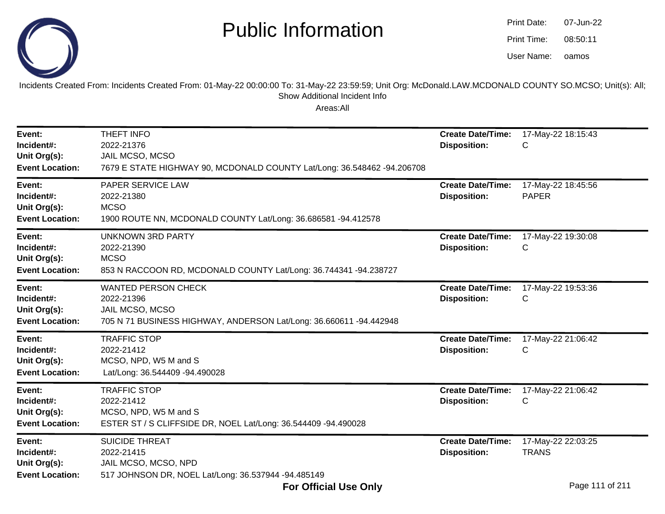

oamos07-Jun-2208:50:11Print Date:Print Time:User Name:

Incidents Created From: Incidents Created From: 01-May-22 00:00:00 To: 31-May-22 23:59:59; Unit Org: McDonald.LAW.MCDONALD COUNTY SO.MCSO; Unit(s): All; Show Additional Incident Info

| Event:<br>Incident#:<br>Unit Org(s):<br><b>Event Location:</b> | THEFT INFO<br>2022-21376<br>JAIL MCSO, MCSO<br>7679 E STATE HIGHWAY 90, MCDONALD COUNTY Lat/Long: 36.548462 -94.206708            | <b>Create Date/Time:</b><br><b>Disposition:</b> | 17-May-22 18:15:43<br>С            |
|----------------------------------------------------------------|-----------------------------------------------------------------------------------------------------------------------------------|-------------------------------------------------|------------------------------------|
| Event:<br>Incident#:<br>Unit Org(s):<br><b>Event Location:</b> | PAPER SERVICE LAW<br>2022-21380<br><b>MCSO</b><br>1900 ROUTE NN, MCDONALD COUNTY Lat/Long: 36.686581 -94.412578                   | <b>Create Date/Time:</b><br><b>Disposition:</b> | 17-May-22 18:45:56<br><b>PAPER</b> |
| Event:<br>Incident#:<br>Unit Org(s):<br><b>Event Location:</b> | <b>UNKNOWN 3RD PARTY</b><br>2022-21390<br><b>MCSO</b><br>853 N RACCOON RD, MCDONALD COUNTY Lat/Long: 36.744341 -94.238727         | <b>Create Date/Time:</b><br><b>Disposition:</b> | 17-May-22 19:30:08<br>С            |
| Event:<br>Incident#:<br>Unit Org(s):<br><b>Event Location:</b> | <b>WANTED PERSON CHECK</b><br>2022-21396<br>JAIL MCSO, MCSO<br>705 N 71 BUSINESS HIGHWAY, ANDERSON Lat/Long: 36.660611 -94.442948 | <b>Create Date/Time:</b><br><b>Disposition:</b> | 17-May-22 19:53:36<br>С            |
| Event:<br>Incident#:<br>Unit Org(s):<br><b>Event Location:</b> | <b>TRAFFIC STOP</b><br>2022-21412<br>MCSO, NPD, W5 M and S<br>Lat/Long: 36.544409 -94.490028                                      | <b>Create Date/Time:</b><br><b>Disposition:</b> | 17-May-22 21:06:42<br>С            |
| Event:<br>Incident#:<br>Unit Org(s):<br><b>Event Location:</b> | <b>TRAFFIC STOP</b><br>2022-21412<br>MCSO, NPD, W5 M and S<br>ESTER ST / S CLIFFSIDE DR, NOEL Lat/Long: 36.544409 -94.490028      | <b>Create Date/Time:</b><br><b>Disposition:</b> | 17-May-22 21:06:42<br>C            |
| Event:<br>Incident#:<br>Unit Org(s):<br><b>Event Location:</b> | <b>SUICIDE THREAT</b><br>2022-21415<br>JAIL MCSO, MCSO, NPD<br>517 JOHNSON DR, NOEL Lat/Long: 36.537944 -94.485149                | <b>Create Date/Time:</b><br><b>Disposition:</b> | 17-May-22 22:03:25<br><b>TRANS</b> |
|                                                                | <b>For Official Use Only</b>                                                                                                      |                                                 | Page 111 of 211                    |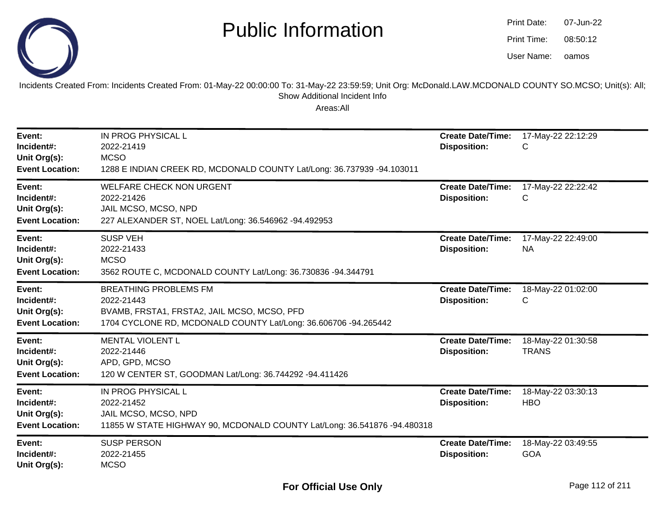

| Print Date: | 07-Jun-22 |
|-------------|-----------|
| Print Time: | 08:50:12  |
| User Name:  | oamos     |

Incidents Created From: Incidents Created From: 01-May-22 00:00:00 To: 31-May-22 23:59:59; Unit Org: McDonald.LAW.MCDONALD COUNTY SO.MCSO; Unit(s): All; Show Additional Incident Info

| Event:<br>Incident#:<br>Unit Org(s):<br><b>Event Location:</b> | IN PROG PHYSICAL L<br>2022-21419<br><b>MCSO</b><br>1288 E INDIAN CREEK RD, MCDONALD COUNTY Lat/Long: 36.737939 -94.103011                                    | <b>Create Date/Time:</b><br><b>Disposition:</b> | 17-May-22 22:12:29<br>C            |
|----------------------------------------------------------------|--------------------------------------------------------------------------------------------------------------------------------------------------------------|-------------------------------------------------|------------------------------------|
| Event:<br>Incident#:<br>Unit Org(s):<br><b>Event Location:</b> | <b>WELFARE CHECK NON URGENT</b><br>2022-21426<br>JAIL MCSO, MCSO, NPD<br>227 ALEXANDER ST, NOEL Lat/Long: 36.546962 -94.492953                               | <b>Create Date/Time:</b><br><b>Disposition:</b> | 17-May-22 22:22:42<br>С            |
| Event:<br>Incident#:<br>Unit Org(s):<br><b>Event Location:</b> | <b>SUSP VEH</b><br>2022-21433<br><b>MCSO</b><br>3562 ROUTE C, MCDONALD COUNTY Lat/Long: 36.730836 -94.344791                                                 | <b>Create Date/Time:</b><br><b>Disposition:</b> | 17-May-22 22:49:00<br><b>NA</b>    |
| Event:<br>Incident#:<br>Unit Org(s):<br><b>Event Location:</b> | <b>BREATHING PROBLEMS FM</b><br>2022-21443<br>BVAMB, FRSTA1, FRSTA2, JAIL MCSO, MCSO, PFD<br>1704 CYCLONE RD, MCDONALD COUNTY Lat/Long: 36.606706 -94.265442 | <b>Create Date/Time:</b><br><b>Disposition:</b> | 18-May-22 01:02:00<br>С            |
| Event:<br>Incident#:<br>Unit Org(s):<br><b>Event Location:</b> | <b>MENTAL VIOLENT L</b><br>2022-21446<br>APD, GPD, MCSO<br>120 W CENTER ST, GOODMAN Lat/Long: 36.744292 -94.411426                                           | <b>Create Date/Time:</b><br><b>Disposition:</b> | 18-May-22 01:30:58<br><b>TRANS</b> |
| Event:<br>Incident#:<br>Unit Org(s):<br><b>Event Location:</b> | IN PROG PHYSICAL L<br>2022-21452<br>JAIL MCSO, MCSO, NPD<br>11855 W STATE HIGHWAY 90, MCDONALD COUNTY Lat/Long: 36.541876 -94.480318                         | <b>Create Date/Time:</b><br><b>Disposition:</b> | 18-May-22 03:30:13<br><b>HBO</b>   |
| Event:<br>Incident#:<br>Unit Org(s):                           | <b>SUSP PERSON</b><br>2022-21455<br><b>MCSO</b>                                                                                                              | <b>Create Date/Time:</b><br><b>Disposition:</b> | 18-May-22 03:49:55<br><b>GOA</b>   |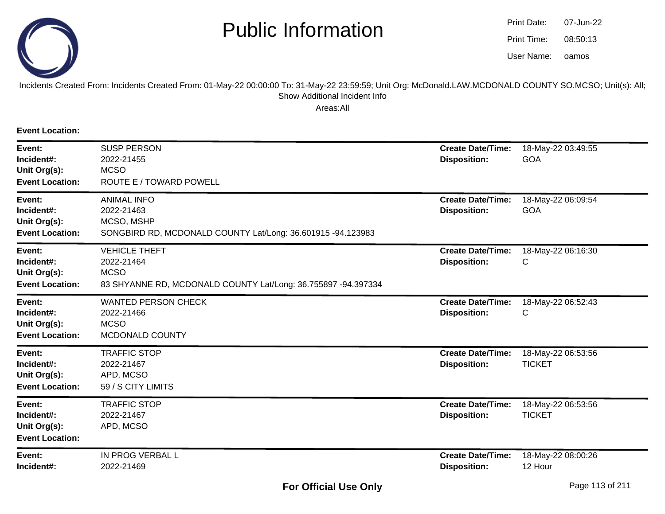

oamos07-Jun-2208:50:13Print Date:Print Time:User Name:

#### Incidents Created From: Incidents Created From: 01-May-22 00:00:00 To: 31-May-22 23:59:59; Unit Org: McDonald.LAW.MCDONALD COUNTY SO.MCSO; Unit(s): All; Show Additional Incident Info

Areas:All

**Event Location:**

| Event:<br>Incident#:<br>Unit Org(s):<br><b>Event Location:</b> | <b>SUSP PERSON</b><br>2022-21455<br><b>MCSO</b><br>ROUTE E / TOWARD POWELL                                         | <b>Create Date/Time:</b><br><b>Disposition:</b> | 18-May-22 03:49:55<br>GOA           |
|----------------------------------------------------------------|--------------------------------------------------------------------------------------------------------------------|-------------------------------------------------|-------------------------------------|
| Event:<br>Incident#:<br>Unit Org(s):<br><b>Event Location:</b> | <b>ANIMAL INFO</b><br>2022-21463<br>MCSO, MSHP<br>SONGBIRD RD, MCDONALD COUNTY Lat/Long: 36.601915 -94.123983      | <b>Create Date/Time:</b><br><b>Disposition:</b> | 18-May-22 06:09:54<br><b>GOA</b>    |
| Event:<br>Incident#:<br>Unit Org(s):<br><b>Event Location:</b> | <b>VEHICLE THEFT</b><br>2022-21464<br><b>MCSO</b><br>83 SHYANNE RD, MCDONALD COUNTY Lat/Long: 36.755897 -94.397334 | <b>Create Date/Time:</b><br><b>Disposition:</b> | 18-May-22 06:16:30<br>С             |
| Event:<br>Incident#:<br>Unit Org(s):<br><b>Event Location:</b> | <b>WANTED PERSON CHECK</b><br>2022-21466<br><b>MCSO</b><br>MCDONALD COUNTY                                         | <b>Create Date/Time:</b><br><b>Disposition:</b> | 18-May-22 06:52:43<br>C             |
| Event:<br>Incident#:<br>Unit Org(s):<br><b>Event Location:</b> | <b>TRAFFIC STOP</b><br>2022-21467<br>APD, MCSO<br>59 / S CITY LIMITS                                               | <b>Create Date/Time:</b><br><b>Disposition:</b> | 18-May-22 06:53:56<br><b>TICKET</b> |
| Event:<br>Incident#:<br>Unit Org(s):<br><b>Event Location:</b> | <b>TRAFFIC STOP</b><br>2022-21467<br>APD, MCSO                                                                     | <b>Create Date/Time:</b><br><b>Disposition:</b> | 18-May-22 06:53:56<br><b>TICKET</b> |
| Event:<br>Incident#:                                           | IN PROG VERBAL L<br>2022-21469                                                                                     | <b>Create Date/Time:</b><br><b>Disposition:</b> | 18-May-22 08:00:26<br>12 Hour       |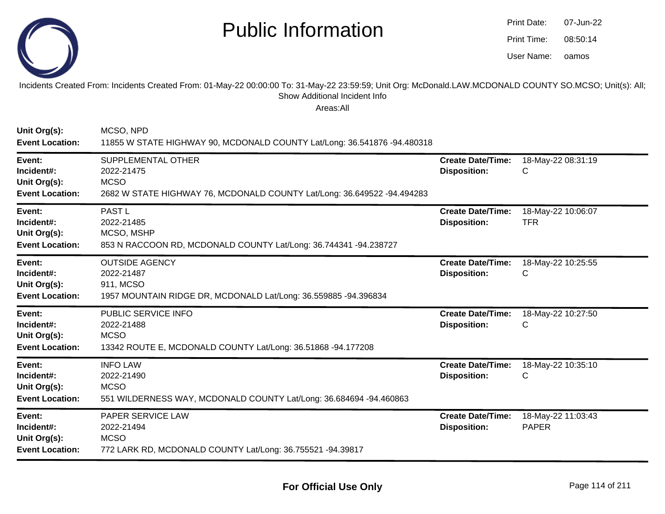

| Print Date: | 07-Jun-22 |
|-------------|-----------|
| Print Time: | 08:50:14  |
| User Name:  | oamos     |

Incidents Created From: Incidents Created From: 01-May-22 00:00:00 To: 31-May-22 23:59:59; Unit Org: McDonald.LAW.MCDONALD COUNTY SO.MCSO; Unit(s): All; Show Additional Incident Info

| Unit Org(s):<br><b>Event Location:</b>                         | MCSO, NPD<br>11855 W STATE HIGHWAY 90, MCDONALD COUNTY Lat/Long: 36.541876 -94.480318                                      |                                                 |                                    |
|----------------------------------------------------------------|----------------------------------------------------------------------------------------------------------------------------|-------------------------------------------------|------------------------------------|
| Event:<br>Incident#:<br>Unit Org(s):<br><b>Event Location:</b> | SUPPLEMENTAL OTHER<br>2022-21475<br><b>MCSO</b><br>2682 W STATE HIGHWAY 76, MCDONALD COUNTY Lat/Long: 36.649522 -94.494283 | <b>Create Date/Time:</b><br><b>Disposition:</b> | 18-May-22 08:31:19<br>С            |
| Event:<br>Incident#:<br>Unit Org(s):<br><b>Event Location:</b> | PAST <sub>L</sub><br>2022-21485<br>MCSO, MSHP<br>853 N RACCOON RD, MCDONALD COUNTY Lat/Long: 36.744341 -94.238727          | <b>Create Date/Time:</b><br><b>Disposition:</b> | 18-May-22 10:06:07<br><b>TFR</b>   |
| Event:<br>Incident#:<br>Unit Org(s):<br><b>Event Location:</b> | <b>OUTSIDE AGENCY</b><br>2022-21487<br>911, MCSO<br>1957 MOUNTAIN RIDGE DR, MCDONALD Lat/Long: 36.559885 -94.396834        | <b>Create Date/Time:</b><br><b>Disposition:</b> | 18-May-22 10:25:55<br>C            |
| Event:<br>Incident#:<br>Unit Org(s):<br><b>Event Location:</b> | PUBLIC SERVICE INFO<br>2022-21488<br><b>MCSO</b><br>13342 ROUTE E, MCDONALD COUNTY Lat/Long: 36.51868 -94.177208           | <b>Create Date/Time:</b><br><b>Disposition:</b> | 18-May-22 10:27:50<br>С            |
| Event:<br>Incident#:<br>Unit Org(s):<br><b>Event Location:</b> | <b>INFO LAW</b><br>2022-21490<br><b>MCSO</b><br>551 WILDERNESS WAY, MCDONALD COUNTY Lat/Long: 36.684694 -94.460863         | <b>Create Date/Time:</b><br><b>Disposition:</b> | 18-May-22 10:35:10<br>С            |
| Event:<br>Incident#:<br>Unit Org(s):<br><b>Event Location:</b> | PAPER SERVICE LAW<br>2022-21494<br><b>MCSO</b><br>772 LARK RD, MCDONALD COUNTY Lat/Long: 36.755521 -94.39817               | <b>Create Date/Time:</b><br><b>Disposition:</b> | 18-May-22 11:03:43<br><b>PAPER</b> |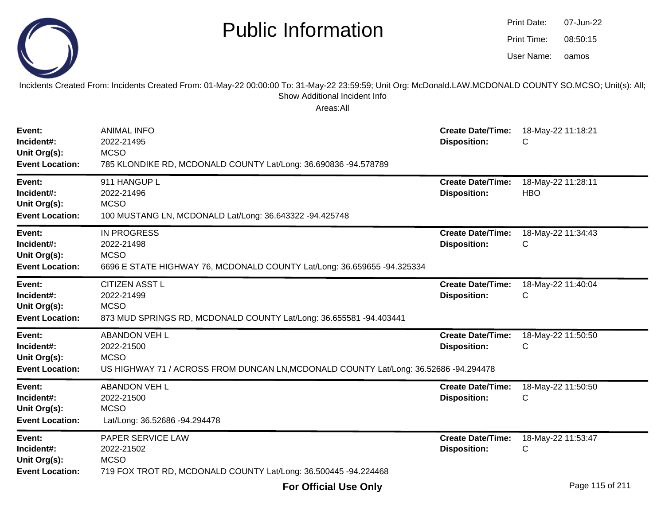|                                                                | <b>Public Information</b><br>Incidents Created From: Incidents Created From: 01-May-22 00:00:00 To: 31-May-22 23:59:59; Unit Org: McDonald.LAW.MCDONALD COUNTY SO.MCSO; Unit(s): All; |                                                 | Print Date:<br>Print Time:<br>User Name: | 07-Jun-22<br>08:50:15<br>oamos |
|----------------------------------------------------------------|---------------------------------------------------------------------------------------------------------------------------------------------------------------------------------------|-------------------------------------------------|------------------------------------------|--------------------------------|
|                                                                | Show Additional Incident Info<br>Areas:All                                                                                                                                            |                                                 |                                          |                                |
| Event:<br>Incident#:<br>Unit Org(s):<br><b>Event Location:</b> | <b>ANIMAL INFO</b><br>2022-21495<br><b>MCSO</b><br>785 KLONDIKE RD, MCDONALD COUNTY Lat/Long: 36.690836 -94.578789                                                                    | <b>Create Date/Time:</b><br><b>Disposition:</b> | C                                        | 18-May-22 11:18:21             |
| Event:<br>Incident#:<br>Unit Org(s):<br><b>Event Location:</b> | 911 HANGUP L<br>2022-21496<br><b>MCSO</b><br>100 MUSTANG LN, MCDONALD Lat/Long: 36.643322 -94.425748                                                                                  | <b>Create Date/Time:</b><br><b>Disposition:</b> | <b>HBO</b>                               | 18-May-22 11:28:11             |
| Event:<br>Incident#:<br>Unit Org(s):<br><b>Event Location:</b> | <b>IN PROGRESS</b><br>2022-21498<br><b>MCSO</b><br>6696 E STATE HIGHWAY 76, MCDONALD COUNTY Lat/Long: 36.659655 -94.325334                                                            | <b>Create Date/Time:</b><br><b>Disposition:</b> | C                                        | 18-May-22 11:34:43             |
| Event:<br>Incident#:<br>Unit Org(s):<br><b>Event Location:</b> | <b>CITIZEN ASST L</b><br>2022-21499<br><b>MCSO</b><br>873 MUD SPRINGS RD, MCDONALD COUNTY Lat/Long: 36.655581 -94.403441                                                              | <b>Create Date/Time:</b><br><b>Disposition:</b> | C                                        | 18-May-22 11:40:04             |
| Event:<br>Incident#:<br>Unit Org(s):<br><b>Event Location:</b> | <b>ABANDON VEH L</b><br>2022-21500<br><b>MCSO</b><br>US HIGHWAY 71 / ACROSS FROM DUNCAN LN, MCDONALD COUNTY Lat/Long: 36.52686 -94.294478                                             | <b>Create Date/Time:</b><br><b>Disposition:</b> | C                                        | 18-May-22 11:50:50             |
| Event:<br>Incident#:<br>Unit Org(s):<br><b>Event Location:</b> | <b>ABANDON VEH L</b><br>2022-21500<br><b>MCSO</b><br>Lat/Long: 36.52686 -94.294478                                                                                                    | <b>Create Date/Time:</b><br><b>Disposition:</b> | C                                        | 18-May-22 11:50:50             |
| Event:<br>Incident#:<br>Unit Org(s):<br><b>Event Location:</b> | PAPER SERVICE LAW<br>2022-21502<br><b>MCSO</b><br>719 FOX TROT RD, MCDONALD COUNTY Lat/Long: 36.500445 -94.224468                                                                     | <b>Create Date/Time:</b><br><b>Disposition:</b> | C                                        | 18-May-22 11:53:47             |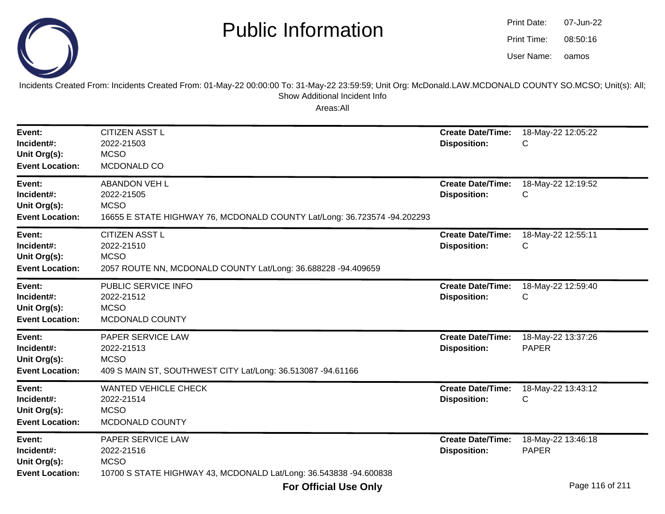



Incidents Created From: Incidents Created From: 01-May-22 00:00:00 To: 31-May-22 23:59:59; Unit Org: McDonald.LAW.MCDONALD COUNTY SO.MCSO; Unit(s): All; Show Additional Incident Info

| Event:<br>Incident#:<br>Unit Org(s):<br><b>Event Location:</b> | <b>CITIZEN ASST L</b><br>2022-21503<br><b>MCSO</b><br>MCDONALD CO                                                             | <b>Create Date/Time:</b><br><b>Disposition:</b> | 18-May-22 12:05:22<br>С            |
|----------------------------------------------------------------|-------------------------------------------------------------------------------------------------------------------------------|-------------------------------------------------|------------------------------------|
| Event:<br>Incident#:<br>Unit Org(s):<br><b>Event Location:</b> | <b>ABANDON VEH L</b><br>2022-21505<br><b>MCSO</b><br>16655 E STATE HIGHWAY 76, MCDONALD COUNTY Lat/Long: 36.723574 -94.202293 | <b>Create Date/Time:</b><br><b>Disposition:</b> | 18-May-22 12:19:52<br>С            |
| Event:<br>Incident#:<br>Unit Org(s):<br><b>Event Location:</b> | <b>CITIZEN ASST L</b><br>2022-21510<br><b>MCSO</b><br>2057 ROUTE NN, MCDONALD COUNTY Lat/Long: 36.688228 -94.409659           | <b>Create Date/Time:</b><br><b>Disposition:</b> | 18-May-22 12:55:11<br>С            |
| Event:<br>Incident#:<br>Unit Org(s):<br><b>Event Location:</b> | PUBLIC SERVICE INFO<br>2022-21512<br><b>MCSO</b><br>MCDONALD COUNTY                                                           | <b>Create Date/Time:</b><br><b>Disposition:</b> | 18-May-22 12:59:40<br>С            |
| Event:<br>Incident#:<br>Unit Org(s):<br><b>Event Location:</b> | PAPER SERVICE LAW<br>2022-21513<br><b>MCSO</b><br>409 S MAIN ST, SOUTHWEST CITY Lat/Long: 36.513087 -94.61166                 | <b>Create Date/Time:</b><br><b>Disposition:</b> | 18-May-22 13:37:26<br><b>PAPER</b> |
| Event:<br>Incident#:<br>Unit Org(s):<br><b>Event Location:</b> | <b>WANTED VEHICLE CHECK</b><br>2022-21514<br><b>MCSO</b><br>MCDONALD COUNTY                                                   | <b>Create Date/Time:</b><br><b>Disposition:</b> | 18-May-22 13:43:12<br>С            |
| Event:<br>Incident#:<br>Unit Org(s):<br><b>Event Location:</b> | PAPER SERVICE LAW<br>2022-21516<br><b>MCSO</b><br>10700 S STATE HIGHWAY 43, MCDONALD Lat/Long: 36.543838 -94.600838           | <b>Create Date/Time:</b><br><b>Disposition:</b> | 18-May-22 13:46:18<br><b>PAPER</b> |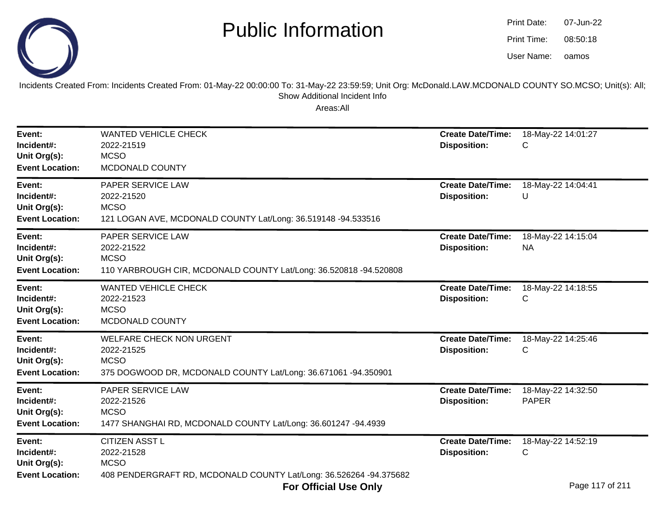

| Print Date: | 07-Jun-22 |
|-------------|-----------|
| Print Time: | 08:50:18  |
| User Name:  | oamos     |

Incidents Created From: Incidents Created From: 01-May-22 00:00:00 To: 31-May-22 23:59:59; Unit Org: McDonald.LAW.MCDONALD COUNTY SO.MCSO; Unit(s): All;Show Additional Incident Info

| Event:<br>Incident#:<br>Unit Org(s):<br><b>Event Location:</b> | <b>WANTED VEHICLE CHECK</b><br>2022-21519<br><b>MCSO</b><br>MCDONALD COUNTY                                                                                      | <b>Create Date/Time:</b><br><b>Disposition:</b> | 18-May-22 14:01:27<br>С                    |
|----------------------------------------------------------------|------------------------------------------------------------------------------------------------------------------------------------------------------------------|-------------------------------------------------|--------------------------------------------|
| Event:<br>Incident#:<br>Unit Org(s):<br><b>Event Location:</b> | <b>PAPER SERVICE LAW</b><br>2022-21520<br><b>MCSO</b><br>121 LOGAN AVE, MCDONALD COUNTY Lat/Long: 36.519148 -94.533516                                           | <b>Create Date/Time:</b><br><b>Disposition:</b> | 18-May-22 14:04:41<br>U                    |
| Event:<br>Incident#:<br>Unit Org(s):<br><b>Event Location:</b> | PAPER SERVICE LAW<br>2022-21522<br><b>MCSO</b><br>110 YARBROUGH CIR, MCDONALD COUNTY Lat/Long: 36.520818 -94.520808                                              | <b>Create Date/Time:</b><br><b>Disposition:</b> | 18-May-22 14:15:04<br><b>NA</b>            |
| Event:<br>Incident#:<br>Unit Org(s):<br><b>Event Location:</b> | <b>WANTED VEHICLE CHECK</b><br>2022-21523<br><b>MCSO</b><br>MCDONALD COUNTY                                                                                      | <b>Create Date/Time:</b><br><b>Disposition:</b> | 18-May-22 14:18:55<br>С                    |
| Event:<br>Incident#:<br>Unit Org(s):<br><b>Event Location:</b> | <b>WELFARE CHECK NON URGENT</b><br>2022-21525<br><b>MCSO</b><br>375 DOGWOOD DR, MCDONALD COUNTY Lat/Long: 36.671061 -94.350901                                   | <b>Create Date/Time:</b><br><b>Disposition:</b> | 18-May-22 14:25:46<br>С                    |
| Event:<br>Incident#:<br>Unit Org(s):<br><b>Event Location:</b> | <b>PAPER SERVICE LAW</b><br>2022-21526<br><b>MCSO</b><br>1477 SHANGHAI RD, MCDONALD COUNTY Lat/Long: 36.601247 -94.4939                                          | <b>Create Date/Time:</b><br><b>Disposition:</b> | 18-May-22 14:32:50<br><b>PAPER</b>         |
| Event:<br>Incident#:<br>Unit Org(s):<br><b>Event Location:</b> | <b>CITIZEN ASST L</b><br>2022-21528<br><b>MCSO</b><br>408 PENDERGRAFT RD, MCDONALD COUNTY Lat/Long: 36.526264 -94.375682<br>$F_{\rm{max}}$ official linear oral. | <b>Create Date/Time:</b><br><b>Disposition:</b> | 18-May-22 14:52:19<br>C<br>Dogo 117 of 011 |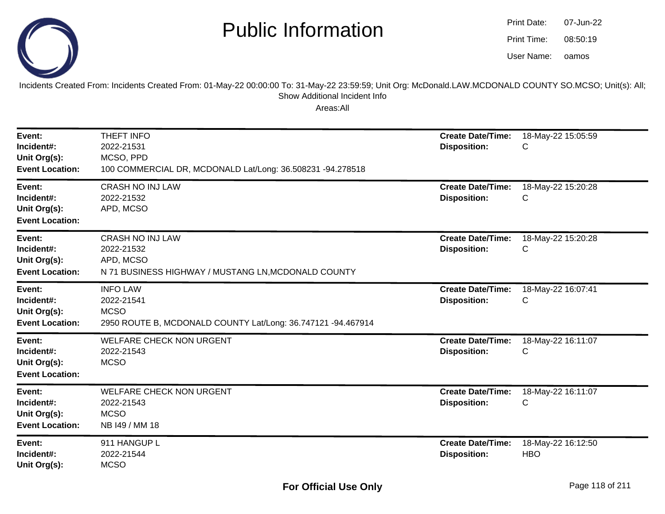

| Print Date: | 07-Jun-22 |
|-------------|-----------|
| Print Time: | 08:50:19  |
| User Name:  | oamos     |

Incidents Created From: Incidents Created From: 01-May-22 00:00:00 To: 31-May-22 23:59:59; Unit Org: McDonald.LAW.MCDONALD COUNTY SO.MCSO; Unit(s): All; Show Additional Incident Info

| Event:<br>Incident#:<br>Unit Org(s):<br><b>Event Location:</b> | THEFT INFO<br>2022-21531<br>MCSO, PPD<br>100 COMMERCIAL DR, MCDONALD Lat/Long: 36.508231 -94.278518          | <b>Create Date/Time:</b><br><b>Disposition:</b> | 18-May-22 15:05:59<br>С          |
|----------------------------------------------------------------|--------------------------------------------------------------------------------------------------------------|-------------------------------------------------|----------------------------------|
| Event:<br>Incident#:<br>Unit Org(s):<br><b>Event Location:</b> | <b>CRASH NO INJ LAW</b><br>2022-21532<br>APD, MCSO                                                           | <b>Create Date/Time:</b><br><b>Disposition:</b> | 18-May-22 15:20:28<br>С          |
| Event:<br>Incident#:<br>Unit Org(s):<br><b>Event Location:</b> | <b>CRASH NO INJ LAW</b><br>2022-21532<br>APD, MCSO<br>N 71 BUSINESS HIGHWAY / MUSTANG LN, MCDONALD COUNTY    | <b>Create Date/Time:</b><br><b>Disposition:</b> | 18-May-22 15:20:28<br>С          |
| Event:<br>Incident#:<br>Unit Org(s):<br><b>Event Location:</b> | <b>INFO LAW</b><br>2022-21541<br><b>MCSO</b><br>2950 ROUTE B, MCDONALD COUNTY Lat/Long: 36.747121 -94.467914 | <b>Create Date/Time:</b><br><b>Disposition:</b> | 18-May-22 16:07:41<br>С          |
| Event:<br>Incident#:<br>Unit Org(s):<br><b>Event Location:</b> | <b>WELFARE CHECK NON URGENT</b><br>2022-21543<br><b>MCSO</b>                                                 | <b>Create Date/Time:</b><br><b>Disposition:</b> | 18-May-22 16:11:07<br>С          |
| Event:<br>Incident#:<br>Unit Org(s):<br><b>Event Location:</b> | <b>WELFARE CHECK NON URGENT</b><br>2022-21543<br><b>MCSO</b><br>NB I49 / MM 18                               | <b>Create Date/Time:</b><br><b>Disposition:</b> | 18-May-22 16:11:07<br>С          |
| Event:<br>Incident#:<br>Unit Org(s):                           | 911 HANGUP L<br>2022-21544<br><b>MCSO</b>                                                                    | <b>Create Date/Time:</b><br><b>Disposition:</b> | 18-May-22 16:12:50<br><b>HBO</b> |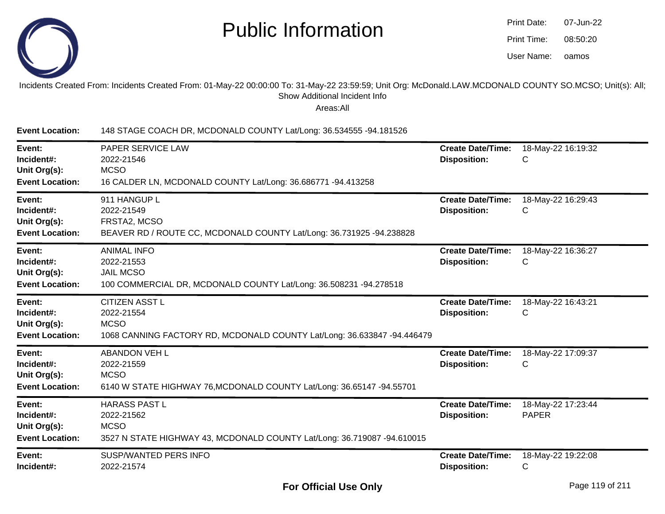

| Print Date: | 07-Jun-22 |
|-------------|-----------|
| Print Time: | 08:50:20  |
| User Name:  | oamos     |

#### Incidents Created From: Incidents Created From: 01-May-22 00:00:00 To: 31-May-22 23:59:59; Unit Org: McDonald.LAW.MCDONALD COUNTY SO.MCSO; Unit(s): All;Show Additional Incident Info

| <b>Event Location:</b>                                         | 148 STAGE COACH DR, MCDONALD COUNTY Lat/Long: 36.534555 -94.181526                                                            |                                                 |                                    |
|----------------------------------------------------------------|-------------------------------------------------------------------------------------------------------------------------------|-------------------------------------------------|------------------------------------|
| Event:<br>Incident#:<br>Unit Org(s):<br><b>Event Location:</b> | PAPER SERVICE LAW<br>2022-21546<br><b>MCSO</b><br>16 CALDER LN, MCDONALD COUNTY Lat/Long: 36.686771 -94.413258                | <b>Create Date/Time:</b><br><b>Disposition:</b> | 18-May-22 16:19:32<br>C            |
| Event:<br>Incident#:<br>Unit Org(s):<br><b>Event Location:</b> | 911 HANGUP L<br>2022-21549<br>FRSTA2, MCSO<br>BEAVER RD / ROUTE CC, MCDONALD COUNTY Lat/Long: 36.731925 -94.238828            | <b>Create Date/Time:</b><br><b>Disposition:</b> | 18-May-22 16:29:43<br>C            |
| Event:<br>Incident#:<br>Unit Org(s):<br><b>Event Location:</b> | <b>ANIMAL INFO</b><br>2022-21553<br><b>JAIL MCSO</b><br>100 COMMERCIAL DR, MCDONALD COUNTY Lat/Long: 36.508231 -94.278518     | <b>Create Date/Time:</b><br><b>Disposition:</b> | 18-May-22 16:36:27<br>C            |
| Event:<br>Incident#:<br>Unit Org(s):<br><b>Event Location:</b> | <b>CITIZEN ASST L</b><br>2022-21554<br><b>MCSO</b><br>1068 CANNING FACTORY RD, MCDONALD COUNTY Lat/Long: 36.633847 -94.446479 | <b>Create Date/Time:</b><br><b>Disposition:</b> | 18-May-22 16:43:21<br>С            |
| Event:<br>Incident#:<br>Unit Org(s):<br><b>Event Location:</b> | <b>ABANDON VEH L</b><br>2022-21559<br><b>MCSO</b><br>6140 W STATE HIGHWAY 76, MCDONALD COUNTY Lat/Long: 36.65147 -94.55701    | <b>Create Date/Time:</b><br><b>Disposition:</b> | 18-May-22 17:09:37<br>C            |
| Event:<br>Incident#:<br>Unit Org(s):<br><b>Event Location:</b> | <b>HARASS PAST L</b><br>2022-21562<br><b>MCSO</b><br>3527 N STATE HIGHWAY 43, MCDONALD COUNTY Lat/Long: 36.719087 -94.610015  | <b>Create Date/Time:</b><br><b>Disposition:</b> | 18-May-22 17:23:44<br><b>PAPER</b> |
| Event:<br>Incident#:                                           | <b>SUSP/WANTED PERS INFO</b><br>2022-21574                                                                                    | <b>Create Date/Time:</b><br><b>Disposition:</b> | 18-May-22 19:22:08<br>C            |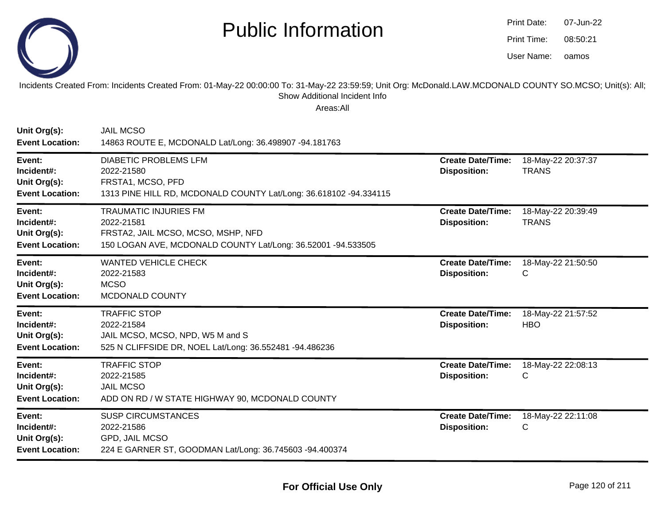

| Print Date: | 07-Jun-22 |
|-------------|-----------|
| Print Time: | 08:50:21  |
| User Name:  | oamos     |

Incidents Created From: Incidents Created From: 01-May-22 00:00:00 To: 31-May-22 23:59:59; Unit Org: McDonald.LAW.MCDONALD COUNTY SO.MCSO; Unit(s): All; Show Additional Incident Info

| Unit Org(s):<br><b>Event Location:</b>                         | <b>JAIL MCSO</b><br>14863 ROUTE E, MCDONALD Lat/Long: 36.498907 -94.181763                                                                       |                                                 |                                    |
|----------------------------------------------------------------|--------------------------------------------------------------------------------------------------------------------------------------------------|-------------------------------------------------|------------------------------------|
| Event:<br>Incident#:<br>Unit Org(s):<br><b>Event Location:</b> | <b>DIABETIC PROBLEMS LFM</b><br>2022-21580<br>FRSTA1, MCSO, PFD<br>1313 PINE HILL RD, MCDONALD COUNTY Lat/Long: 36.618102 -94.334115             | <b>Create Date/Time:</b><br><b>Disposition:</b> | 18-May-22 20:37:37<br><b>TRANS</b> |
| Event:<br>Incident#:<br>Unit Org(s):<br><b>Event Location:</b> | <b>TRAUMATIC INJURIES FM</b><br>2022-21581<br>FRSTA2, JAIL MCSO, MCSO, MSHP, NFD<br>150 LOGAN AVE, MCDONALD COUNTY Lat/Long: 36.52001 -94.533505 | <b>Create Date/Time:</b><br><b>Disposition:</b> | 18-May-22 20:39:49<br><b>TRANS</b> |
| Event:<br>Incident#:<br>Unit Org(s):<br><b>Event Location:</b> | <b>WANTED VEHICLE CHECK</b><br>2022-21583<br><b>MCSO</b><br>MCDONALD COUNTY                                                                      | <b>Create Date/Time:</b><br><b>Disposition:</b> | 18-May-22 21:50:50<br>С            |
| Event:<br>Incident#:<br>Unit Org(s):<br><b>Event Location:</b> | <b>TRAFFIC STOP</b><br>2022-21584<br>JAIL MCSO, MCSO, NPD, W5 M and S<br>525 N CLIFFSIDE DR, NOEL Lat/Long: 36.552481 -94.486236                 | <b>Create Date/Time:</b><br><b>Disposition:</b> | 18-May-22 21:57:52<br><b>HBO</b>   |
| Event:<br>Incident#:<br>Unit Org(s):<br><b>Event Location:</b> | <b>TRAFFIC STOP</b><br>2022-21585<br><b>JAIL MCSO</b><br>ADD ON RD / W STATE HIGHWAY 90, MCDONALD COUNTY                                         | <b>Create Date/Time:</b><br><b>Disposition:</b> | 18-May-22 22:08:13<br>C            |
| Event:<br>Incident#:<br>Unit Org(s):<br><b>Event Location:</b> | <b>SUSP CIRCUMSTANCES</b><br>2022-21586<br>GPD, JAIL MCSO<br>224 E GARNER ST, GOODMAN Lat/Long: 36.745603 -94.400374                             | <b>Create Date/Time:</b><br><b>Disposition:</b> | 18-May-22 22:11:08<br>C            |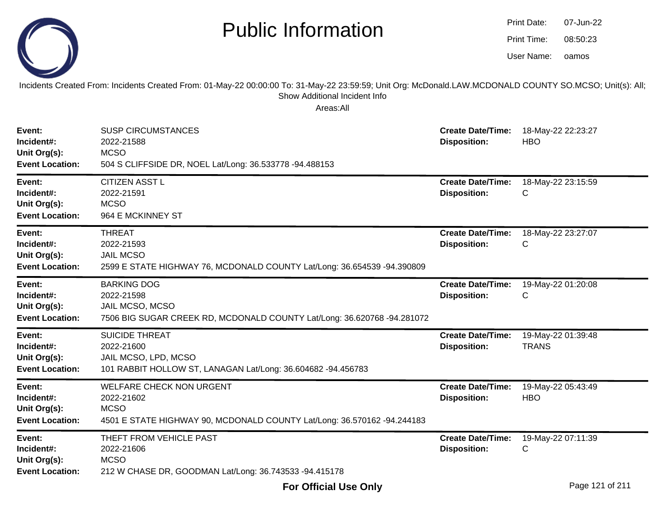|                                                                | <b>Public Information</b><br>Incidents Created From: Incidents Created From: 01-May-22 00:00:00 To: 31-May-22 23:59:59; Unit Org: McDonald.LAW.MCDONALD COUNTY SO.MCSO; Unit(s): All;<br>Show Additional Incident Info<br>Areas:All |                                                 | <b>Print Date:</b><br>Print Time:<br>User Name: | 07-Jun-22<br>08:50:23<br>oamos |
|----------------------------------------------------------------|-------------------------------------------------------------------------------------------------------------------------------------------------------------------------------------------------------------------------------------|-------------------------------------------------|-------------------------------------------------|--------------------------------|
| Event:<br>Incident#:<br>Unit Org(s):<br><b>Event Location:</b> | <b>SUSP CIRCUMSTANCES</b><br>2022-21588<br><b>MCSO</b><br>504 S CLIFFSIDE DR, NOEL Lat/Long: 36.533778 -94.488153                                                                                                                   | <b>Create Date/Time:</b><br><b>Disposition:</b> | <b>HBO</b>                                      | 18-May-22 22:23:27             |
| Event:<br>Incident#:<br>Unit Org(s):<br><b>Event Location:</b> | <b>CITIZEN ASST L</b><br>2022-21591<br><b>MCSO</b><br>964 E MCKINNEY ST                                                                                                                                                             | <b>Create Date/Time:</b><br><b>Disposition:</b> | C                                               | 18-May-22 23:15:59             |
| Event:<br>Incident#:<br>Unit Org(s):<br><b>Event Location:</b> | <b>THREAT</b><br>2022-21593<br><b>JAIL MCSO</b><br>2599 E STATE HIGHWAY 76, MCDONALD COUNTY Lat/Long: 36.654539 -94.390809                                                                                                          | <b>Create Date/Time:</b><br><b>Disposition:</b> | C                                               | 18-May-22 23:27:07             |
| Event:<br>Incident#:<br>Unit Org(s):<br><b>Event Location:</b> | <b>BARKING DOG</b><br>2022-21598<br>JAIL MCSO, MCSO<br>7506 BIG SUGAR CREEK RD, MCDONALD COUNTY Lat/Long: 36.620768 -94.281072                                                                                                      | <b>Create Date/Time:</b><br><b>Disposition:</b> | C                                               | 19-May-22 01:20:08             |
| Event:<br>Incident#:<br>Unit Org(s):<br><b>Event Location:</b> | <b>SUICIDE THREAT</b><br>2022-21600<br>JAIL MCSO, LPD, MCSO<br>101 RABBIT HOLLOW ST, LANAGAN Lat/Long: 36.604682 -94.456783                                                                                                         | <b>Create Date/Time:</b><br><b>Disposition:</b> | <b>TRANS</b>                                    | 19-May-22 01:39:48             |
| Event:<br>Incident#:<br>Unit Org(s):<br><b>Event Location:</b> | <b>WELFARE CHECK NON URGENT</b><br>2022-21602<br><b>MCSO</b><br>4501 E STATE HIGHWAY 90, MCDONALD COUNTY Lat/Long: 36.570162 -94.244183                                                                                             | <b>Create Date/Time:</b><br><b>Disposition:</b> | <b>HBO</b>                                      | 19-May-22 05:43:49             |
| Event:<br>Incident#:<br>Unit Org(s):<br><b>Event Location:</b> | THEFT FROM VEHICLE PAST<br>2022-21606<br><b>MCSO</b><br>212 W CHASE DR, GOODMAN Lat/Long: 36.743533 -94.415178                                                                                                                      | <b>Create Date/Time:</b><br><b>Disposition:</b> | C                                               | 19-May-22 07:11:39             |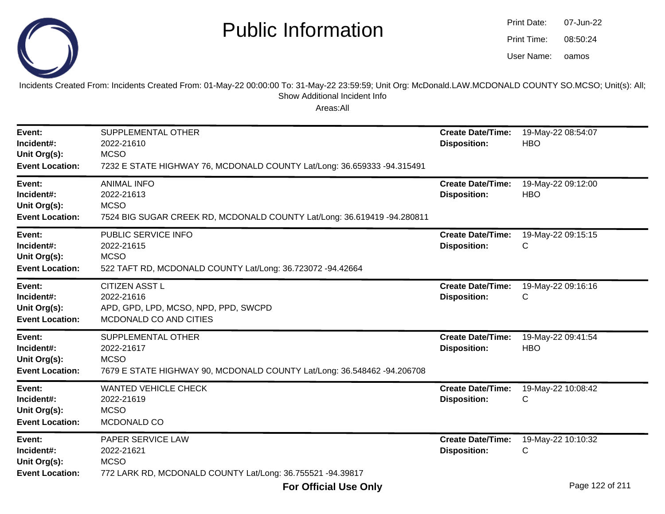

oamos07-Jun-2208:50:24Print Date:Print Time:User Name:

Incidents Created From: Incidents Created From: 01-May-22 00:00:00 To: 31-May-22 23:59:59; Unit Org: McDonald.LAW.MCDONALD COUNTY SO.MCSO; Unit(s): All; Show Additional Incident Info

| Event:<br>Incident#:<br>Unit Org(s):<br><b>Event Location:</b> | SUPPLEMENTAL OTHER<br>2022-21610<br><b>MCSO</b><br>7232 E STATE HIGHWAY 76, MCDONALD COUNTY Lat/Long: 36.659333 -94.315491 | <b>Create Date/Time:</b><br><b>Disposition:</b> | 19-May-22 08:54:07<br><b>HBO</b> |
|----------------------------------------------------------------|----------------------------------------------------------------------------------------------------------------------------|-------------------------------------------------|----------------------------------|
| Event:<br>Incident#:<br>Unit Org(s):<br><b>Event Location:</b> | <b>ANIMAL INFO</b><br>2022-21613<br><b>MCSO</b><br>7524 BIG SUGAR CREEK RD, MCDONALD COUNTY Lat/Long: 36.619419 -94.280811 | <b>Create Date/Time:</b><br><b>Disposition:</b> | 19-May-22 09:12:00<br><b>HBO</b> |
| Event:<br>Incident#:<br>Unit Org(s):<br><b>Event Location:</b> | PUBLIC SERVICE INFO<br>2022-21615<br><b>MCSO</b><br>522 TAFT RD, MCDONALD COUNTY Lat/Long: 36.723072 -94.42664             | <b>Create Date/Time:</b><br><b>Disposition:</b> | 19-May-22 09:15:15<br>С          |
| Event:<br>Incident#:<br>Unit Org(s):<br><b>Event Location:</b> | <b>CITIZEN ASST L</b><br>2022-21616<br>APD, GPD, LPD, MCSO, NPD, PPD, SWCPD<br>MCDONALD CO AND CITIES                      | <b>Create Date/Time:</b><br><b>Disposition:</b> | 19-May-22 09:16:16<br>C          |
| Event:<br>Incident#:<br>Unit Org(s):<br><b>Event Location:</b> | SUPPLEMENTAL OTHER<br>2022-21617<br><b>MCSO</b><br>7679 E STATE HIGHWAY 90, MCDONALD COUNTY Lat/Long: 36.548462 -94.206708 | <b>Create Date/Time:</b><br><b>Disposition:</b> | 19-May-22 09:41:54<br><b>HBO</b> |
| Event:<br>Incident#:<br>Unit Org(s):<br><b>Event Location:</b> | <b>WANTED VEHICLE CHECK</b><br>2022-21619<br><b>MCSO</b><br>MCDONALD CO                                                    | <b>Create Date/Time:</b><br><b>Disposition:</b> | 19-May-22 10:08:42<br>C          |
| Event:<br>Incident#:<br>Unit Org(s):<br><b>Event Location:</b> | PAPER SERVICE LAW<br>2022-21621<br><b>MCSO</b><br>772 LARK RD, MCDONALD COUNTY Lat/Long: 36.755521 -94.39817               | <b>Create Date/Time:</b><br><b>Disposition:</b> | 19-May-22 10:10:32<br>С          |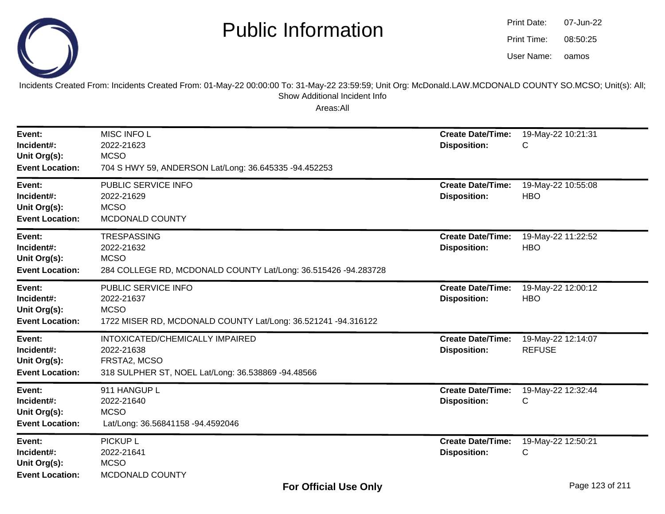



Incidents Created From: Incidents Created From: 01-May-22 00:00:00 To: 31-May-22 23:59:59; Unit Org: McDonald.LAW.MCDONALD COUNTY SO.MCSO; Unit(s): All; Show Additional Incident Info

| Event:<br>Incident#:<br>Unit Org(s):<br><b>Event Location:</b> | MISC INFO L<br>2022-21623<br><b>MCSO</b><br>704 S HWY 59, ANDERSON Lat/Long: 36.645335 -94.452253                   | <b>Create Date/Time:</b><br><b>Disposition:</b> | 19-May-22 10:21:31<br>С             |
|----------------------------------------------------------------|---------------------------------------------------------------------------------------------------------------------|-------------------------------------------------|-------------------------------------|
| Event:<br>Incident#:<br>Unit Org(s):<br><b>Event Location:</b> | PUBLIC SERVICE INFO<br>2022-21629<br><b>MCSO</b><br>MCDONALD COUNTY                                                 | <b>Create Date/Time:</b><br><b>Disposition:</b> | 19-May-22 10:55:08<br><b>HBO</b>    |
| Event:<br>Incident#:<br>Unit Org(s):<br><b>Event Location:</b> | <b>TRESPASSING</b><br>2022-21632<br><b>MCSO</b><br>284 COLLEGE RD, MCDONALD COUNTY Lat/Long: 36.515426 -94.283728   | <b>Create Date/Time:</b><br><b>Disposition:</b> | 19-May-22 11:22:52<br><b>HBO</b>    |
| Event:<br>Incident#:<br>Unit Org(s):<br><b>Event Location:</b> | PUBLIC SERVICE INFO<br>2022-21637<br><b>MCSO</b><br>1722 MISER RD, MCDONALD COUNTY Lat/Long: 36.521241 -94.316122   | <b>Create Date/Time:</b><br><b>Disposition:</b> | 19-May-22 12:00:12<br><b>HBO</b>    |
| Event:<br>Incident#:<br>Unit Org(s):<br><b>Event Location:</b> | INTOXICATED/CHEMICALLY IMPAIRED<br>2022-21638<br>FRSTA2, MCSO<br>318 SULPHER ST, NOEL Lat/Long: 36.538869 -94.48566 | <b>Create Date/Time:</b><br><b>Disposition:</b> | 19-May-22 12:14:07<br><b>REFUSE</b> |
| Event:<br>Incident#:<br>Unit Org(s):<br><b>Event Location:</b> | 911 HANGUP L<br>2022-21640<br><b>MCSO</b><br>Lat/Long: 36.56841158 -94.4592046                                      | <b>Create Date/Time:</b><br><b>Disposition:</b> | 19-May-22 12:32:44<br>C             |
| Event:<br>Incident#:<br>Unit Org(s):<br><b>Event Location:</b> | <b>PICKUP L</b><br>2022-21641<br><b>MCSO</b><br>MCDONALD COUNTY                                                     | <b>Create Date/Time:</b><br><b>Disposition:</b> | 19-May-22 12:50:21<br>С             |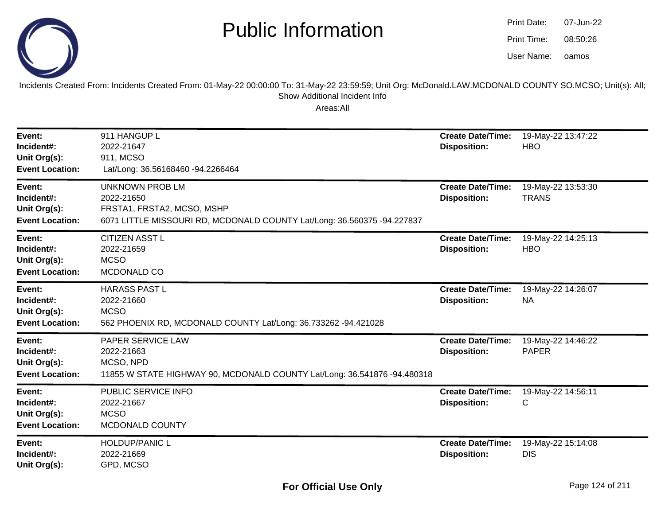

| Print Date: | 07-Jun-22 |
|-------------|-----------|
| Print Time: | 08:50:26  |
| User Name:  | oamos     |

Incidents Created From: Incidents Created From: 01-May-22 00:00:00 To: 31-May-22 23:59:59; Unit Org: McDonald.LAW.MCDONALD COUNTY SO.MCSO; Unit(s): All; Show Additional Incident Info

| Event:<br>Incident#:<br>Unit Org(s):<br><b>Event Location:</b> | 911 HANGUP L<br>2022-21647<br>911, MCSO<br>Lat/Long: 36.56168460 -94.2266464                                                                  | <b>Create Date/Time:</b><br><b>Disposition:</b> | 19-May-22 13:47:22<br><b>HBO</b>   |
|----------------------------------------------------------------|-----------------------------------------------------------------------------------------------------------------------------------------------|-------------------------------------------------|------------------------------------|
| Event:<br>Incident#:<br>Unit Org(s):<br><b>Event Location:</b> | <b>UNKNOWN PROB LM</b><br>2022-21650<br>FRSTA1, FRSTA2, MCSO, MSHP<br>6071 LITTLE MISSOURI RD, MCDONALD COUNTY Lat/Long: 36.560375 -94.227837 | <b>Create Date/Time:</b><br><b>Disposition:</b> | 19-May-22 13:53:30<br><b>TRANS</b> |
| Event:<br>Incident#:<br>Unit Org(s):<br><b>Event Location:</b> | <b>CITIZEN ASST L</b><br>2022-21659<br><b>MCSO</b><br>MCDONALD CO                                                                             | <b>Create Date/Time:</b><br><b>Disposition:</b> | 19-May-22 14:25:13<br><b>HBO</b>   |
| Event:<br>Incident#:<br>Unit Org(s):<br><b>Event Location:</b> | <b>HARASS PAST L</b><br>2022-21660<br><b>MCSO</b><br>562 PHOENIX RD, MCDONALD COUNTY Lat/Long: 36.733262 -94.421028                           | <b>Create Date/Time:</b><br><b>Disposition:</b> | 19-May-22 14:26:07<br><b>NA</b>    |
| Event:<br>Incident#:<br>Unit Org(s):<br><b>Event Location:</b> | <b>PAPER SERVICE LAW</b><br>2022-21663<br>MCSO, NPD<br>11855 W STATE HIGHWAY 90, MCDONALD COUNTY Lat/Long: 36.541876 -94.480318               | <b>Create Date/Time:</b><br><b>Disposition:</b> | 19-May-22 14:46:22<br><b>PAPER</b> |
| Event:<br>Incident#:<br>Unit Org(s):<br><b>Event Location:</b> | PUBLIC SERVICE INFO<br>2022-21667<br><b>MCSO</b><br>MCDONALD COUNTY                                                                           | <b>Create Date/Time:</b><br><b>Disposition:</b> | 19-May-22 14:56:11<br>С            |
| Event:<br>Incident#:<br>Unit Org(s):                           | <b>HOLDUP/PANIC L</b><br>2022-21669<br>GPD, MCSO                                                                                              | <b>Create Date/Time:</b><br><b>Disposition:</b> | 19-May-22 15:14:08<br><b>DIS</b>   |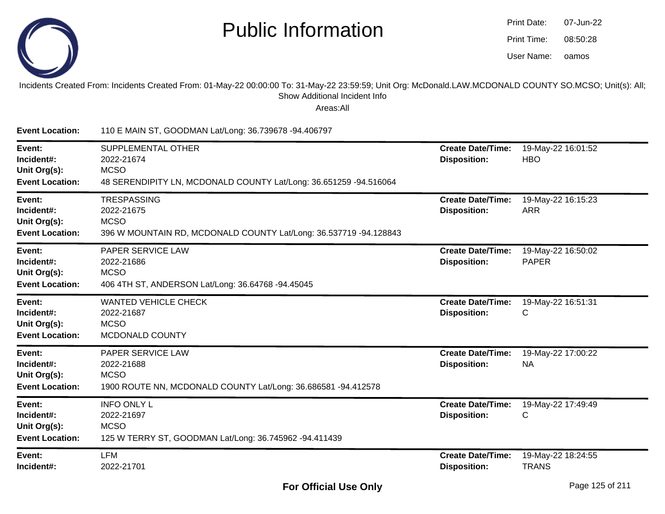

| Print Date: | 07-Jun-22 |
|-------------|-----------|
| Print Time: | 08:50:28  |
| User Name:  | oamos     |

Incidents Created From: Incidents Created From: 01-May-22 00:00:00 To: 31-May-22 23:59:59; Unit Org: McDonald.LAW.MCDONALD COUNTY SO.MCSO; Unit(s): All; Show Additional Incident Info

| <b>Event Location:</b>                                         | 110 E MAIN ST, GOODMAN Lat/Long: 36.739678 -94.406797                                                                       |                                                 |                                    |
|----------------------------------------------------------------|-----------------------------------------------------------------------------------------------------------------------------|-------------------------------------------------|------------------------------------|
| Event:<br>Incident#:<br>Unit Org(s):<br><b>Event Location:</b> | <b>SUPPLEMENTAL OTHER</b><br>2022-21674<br><b>MCSO</b><br>48 SERENDIPITY LN, MCDONALD COUNTY Lat/Long: 36.651259 -94.516064 | <b>Create Date/Time:</b><br><b>Disposition:</b> | 19-May-22 16:01:52<br><b>HBO</b>   |
| Event:<br>Incident#:<br>Unit Org(s):<br><b>Event Location:</b> | <b>TRESPASSING</b><br>2022-21675<br><b>MCSO</b><br>396 W MOUNTAIN RD, MCDONALD COUNTY Lat/Long: 36.537719 -94.128843        | <b>Create Date/Time:</b><br><b>Disposition:</b> | 19-May-22 16:15:23<br><b>ARR</b>   |
| Event:<br>Incident#:<br>Unit Org(s):<br><b>Event Location:</b> | PAPER SERVICE LAW<br>2022-21686<br><b>MCSO</b><br>406 4TH ST, ANDERSON Lat/Long: 36.64768 -94.45045                         | <b>Create Date/Time:</b><br><b>Disposition:</b> | 19-May-22 16:50:02<br><b>PAPER</b> |
| Event:<br>Incident#:<br>Unit Org(s):<br><b>Event Location:</b> | <b>WANTED VEHICLE CHECK</b><br>2022-21687<br><b>MCSO</b><br>MCDONALD COUNTY                                                 | <b>Create Date/Time:</b><br><b>Disposition:</b> | 19-May-22 16:51:31<br>С            |
| Event:<br>Incident#:<br>Unit Org(s):<br><b>Event Location:</b> | <b>PAPER SERVICE LAW</b><br>2022-21688<br><b>MCSO</b><br>1900 ROUTE NN, MCDONALD COUNTY Lat/Long: 36.686581 -94.412578      | <b>Create Date/Time:</b><br><b>Disposition:</b> | 19-May-22 17:00:22<br><b>NA</b>    |
| Event:<br>Incident#:<br>Unit Org(s):<br><b>Event Location:</b> | <b>INFO ONLY L</b><br>2022-21697<br><b>MCSO</b><br>125 W TERRY ST, GOODMAN Lat/Long: 36.745962 -94.411439                   | <b>Create Date/Time:</b><br><b>Disposition:</b> | 19-May-22 17:49:49<br>C            |
| Event:<br>Incident#:                                           | <b>LFM</b><br>2022-21701                                                                                                    | <b>Create Date/Time:</b><br><b>Disposition:</b> | 19-May-22 18:24:55<br><b>TRANS</b> |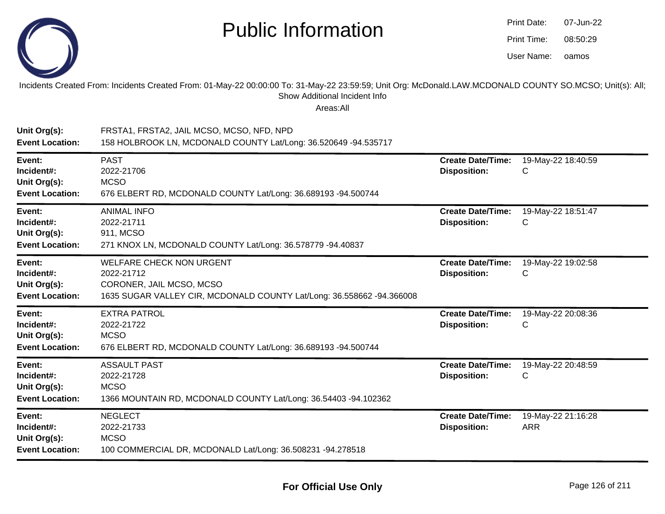

| Print Date: | 07-Jun-22 |
|-------------|-----------|
| Print Time: | 08:50:29  |
| User Name:  | oamos     |

#### Incidents Created From: Incidents Created From: 01-May-22 00:00:00 To: 31-May-22 23:59:59; Unit Org: McDonald.LAW.MCDONALD COUNTY SO.MCSO; Unit(s): All; Show Additional Incident Info

| Unit Org(s):<br><b>Event Location:</b>                         | FRSTA1, FRSTA2, JAIL MCSO, MCSO, NFD, NPD<br>158 HOLBROOK LN, MCDONALD COUNTY Lat/Long: 36.520649 -94.535717                                       |                                                 |                                  |
|----------------------------------------------------------------|----------------------------------------------------------------------------------------------------------------------------------------------------|-------------------------------------------------|----------------------------------|
| Event:<br>Incident#:<br>Unit Org(s):<br><b>Event Location:</b> | <b>PAST</b><br>2022-21706<br><b>MCSO</b><br>676 ELBERT RD, MCDONALD COUNTY Lat/Long: 36.689193 -94.500744                                          | <b>Create Date/Time:</b><br><b>Disposition:</b> | 19-May-22 18:40:59<br>C          |
| Event:<br>Incident#:<br>Unit Org(s):<br><b>Event Location:</b> | <b>ANIMAL INFO</b><br>2022-21711<br>911, MCSO<br>271 KNOX LN, MCDONALD COUNTY Lat/Long: 36.578779 -94.40837                                        | <b>Create Date/Time:</b><br><b>Disposition:</b> | 19-May-22 18:51:47<br>С          |
| Event:<br>Incident#:<br>Unit Org(s):<br><b>Event Location:</b> | <b>WELFARE CHECK NON URGENT</b><br>2022-21712<br>CORONER, JAIL MCSO, MCSO<br>1635 SUGAR VALLEY CIR, MCDONALD COUNTY Lat/Long: 36.558662 -94.366008 | <b>Create Date/Time:</b><br><b>Disposition:</b> | 19-May-22 19:02:58<br>C          |
| Event:<br>Incident#:<br>Unit Org(s):<br><b>Event Location:</b> | <b>EXTRA PATROL</b><br>2022-21722<br><b>MCSO</b><br>676 ELBERT RD, MCDONALD COUNTY Lat/Long: 36.689193 -94.500744                                  | <b>Create Date/Time:</b><br><b>Disposition:</b> | 19-May-22 20:08:36<br>C          |
| Event:<br>Incident#:<br>Unit Org(s):<br><b>Event Location:</b> | <b>ASSAULT PAST</b><br>2022-21728<br><b>MCSO</b><br>1366 MOUNTAIN RD, MCDONALD COUNTY Lat/Long: 36.54403 -94.102362                                | <b>Create Date/Time:</b><br><b>Disposition:</b> | 19-May-22 20:48:59<br>C          |
| Event:<br>Incident#:<br>Unit Org(s):<br><b>Event Location:</b> | <b>NEGLECT</b><br>2022-21733<br><b>MCSO</b><br>100 COMMERCIAL DR, MCDONALD Lat/Long: 36.508231 -94.278518                                          | <b>Create Date/Time:</b><br><b>Disposition:</b> | 19-May-22 21:16:28<br><b>ARR</b> |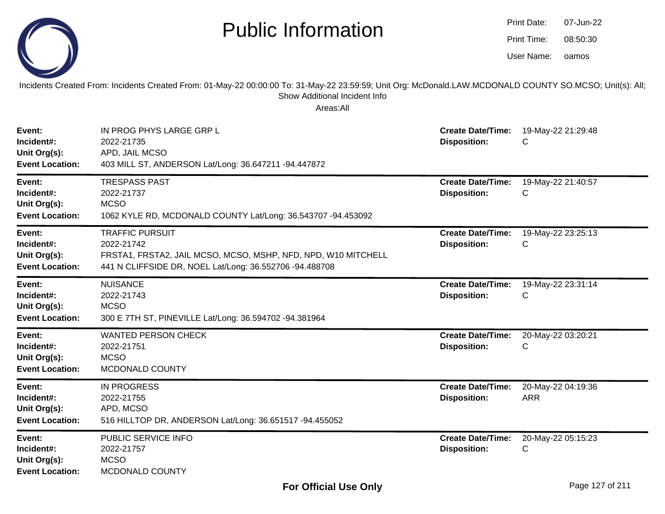|                                                                | <b>Public Information</b>                                                                                                                                                                              |                                                 | Print Date:<br>Print Time:<br>User Name: | 07-Jun-22<br>08:50:30<br>oamos |
|----------------------------------------------------------------|--------------------------------------------------------------------------------------------------------------------------------------------------------------------------------------------------------|-------------------------------------------------|------------------------------------------|--------------------------------|
|                                                                | Incidents Created From: Incidents Created From: 01-May-22 00:00:00 To: 31-May-22 23:59:59; Unit Org: McDonald.LAW.MCDONALD COUNTY SO.MCSO; Unit(s): All;<br>Show Additional Incident Info<br>Areas:All |                                                 |                                          |                                |
| Event:<br>Incident#:<br>Unit Org(s):<br><b>Event Location:</b> | IN PROG PHYS LARGE GRP L<br>2022-21735<br>APD, JAIL MCSO<br>403 MILL ST, ANDERSON Lat/Long: 36.647211 -94.447872                                                                                       | <b>Create Date/Time:</b><br><b>Disposition:</b> | 19-May-22 21:29:48<br>С                  |                                |
| Event:<br>Incident#:<br>Unit Org(s):<br><b>Event Location:</b> | <b>TRESPASS PAST</b><br>2022-21737<br><b>MCSO</b><br>1062 KYLE RD, MCDONALD COUNTY Lat/Long: 36.543707 -94.453092                                                                                      | <b>Create Date/Time:</b><br><b>Disposition:</b> | 19-May-22 21:40:57<br>С                  |                                |
| Event:<br>Incident#:<br>Unit Org(s):<br><b>Event Location:</b> | <b>TRAFFIC PURSUIT</b><br>2022-21742<br>FRSTA1, FRSTA2, JAIL MCSO, MCSO, MSHP, NFD, NPD, W10 MITCHELL<br>441 N CLIFFSIDE DR, NOEL Lat/Long: 36.552706 -94.488708                                       | <b>Create Date/Time:</b><br><b>Disposition:</b> | 19-May-22 23:25:13<br>С                  |                                |
| Event:<br>Incident#:<br>Unit Org(s):<br><b>Event Location:</b> | <b>NUISANCE</b><br>2022-21743<br><b>MCSO</b><br>300 E 7TH ST, PINEVILLE Lat/Long: 36.594702 -94.381964                                                                                                 | <b>Create Date/Time:</b><br><b>Disposition:</b> | 19-May-22 23:31:14<br>С                  |                                |
| Event:<br>Incident#:<br>Unit Org(s):<br><b>Event Location:</b> | <b>WANTED PERSON CHECK</b><br>2022-21751<br><b>MCSO</b><br>MCDONALD COUNTY                                                                                                                             | <b>Create Date/Time:</b><br><b>Disposition:</b> | 20-May-22 03:20:21<br>С                  |                                |
| Event:<br>Incident#:<br>Unit Org(s):<br><b>Event Location:</b> | <b>IN PROGRESS</b><br>2022-21755<br>APD, MCSO<br>516 HILLTOP DR, ANDERSON Lat/Long: 36.651517 -94.455052                                                                                               | <b>Create Date/Time:</b><br><b>Disposition:</b> | 20-May-22 04:19:36<br>ARR                |                                |
| Event:<br>Incident#:<br>Unit Org(s):<br><b>Event Location:</b> | PUBLIC SERVICE INFO<br>2022-21757<br><b>MCSO</b><br>MCDONALD COUNTY                                                                                                                                    | <b>Create Date/Time:</b><br><b>Disposition:</b> | 20-May-22 05:15:23<br>С                  |                                |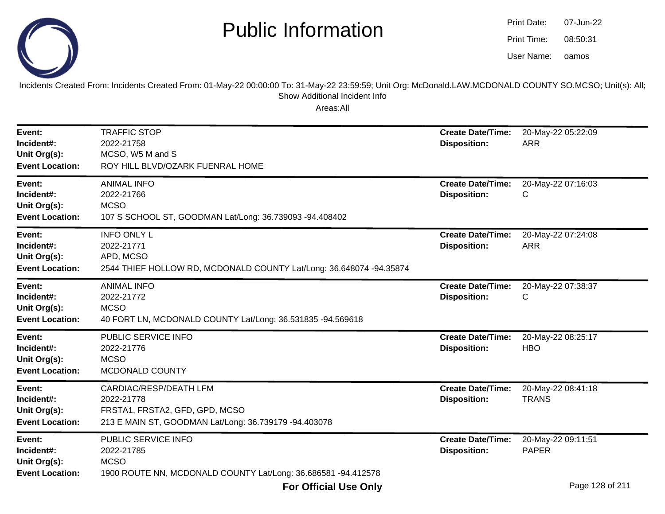

oamos07-Jun-2208:50:31Print Date:Print Time:User Name:

Incidents Created From: Incidents Created From: 01-May-22 00:00:00 To: 31-May-22 23:59:59; Unit Org: McDonald.LAW.MCDONALD COUNTY SO.MCSO; Unit(s): All; Show Additional Incident Info

| Event:<br>Incident#:<br>Unit Org(s):<br><b>Event Location:</b> | <b>TRAFFIC STOP</b><br>2022-21758<br>MCSO, W5 M and S<br>ROY HILL BLVD/OZARK FUENRAL HOME                                       | <b>Create Date/Time:</b><br><b>Disposition:</b> | 20-May-22 05:22:09<br><b>ARR</b>                        |
|----------------------------------------------------------------|---------------------------------------------------------------------------------------------------------------------------------|-------------------------------------------------|---------------------------------------------------------|
| Event:<br>Incident#:<br>Unit Org(s):<br><b>Event Location:</b> | <b>ANIMAL INFO</b><br>2022-21766<br><b>MCSO</b><br>107 S SCHOOL ST, GOODMAN Lat/Long: 36.739093 -94.408402                      | <b>Create Date/Time:</b><br><b>Disposition:</b> | 20-May-22 07:16:03<br>С                                 |
| Event:<br>Incident#:<br>Unit Org(s):<br><b>Event Location:</b> | <b>INFO ONLY L</b><br>2022-21771<br>APD, MCSO<br>2544 THIEF HOLLOW RD, MCDONALD COUNTY Lat/Long: 36.648074 -94.35874            | <b>Create Date/Time:</b><br><b>Disposition:</b> | 20-May-22 07:24:08<br><b>ARR</b>                        |
| Event:<br>Incident#:<br>Unit Org(s):<br><b>Event Location:</b> | <b>ANIMAL INFO</b><br>2022-21772<br><b>MCSO</b><br>40 FORT LN, MCDONALD COUNTY Lat/Long: 36.531835 -94.569618                   | <b>Create Date/Time:</b><br><b>Disposition:</b> | 20-May-22 07:38:37<br>С                                 |
| Event:<br>Incident#:<br>Unit Org(s):<br><b>Event Location:</b> | PUBLIC SERVICE INFO<br>2022-21776<br><b>MCSO</b><br>MCDONALD COUNTY                                                             | <b>Create Date/Time:</b><br><b>Disposition:</b> | 20-May-22 08:25:17<br><b>HBO</b>                        |
| Event:<br>Incident#:<br>Unit Org(s):<br><b>Event Location:</b> | CARDIAC/RESP/DEATH LFM<br>2022-21778<br>FRSTA1, FRSTA2, GFD, GPD, MCSO<br>213 E MAIN ST, GOODMAN Lat/Long: 36.739179 -94.403078 | <b>Create Date/Time:</b><br><b>Disposition:</b> | 20-May-22 08:41:18<br><b>TRANS</b>                      |
| Event:<br>Incident#:<br>Unit Org(s):<br><b>Event Location:</b> | PUBLIC SERVICE INFO<br>2022-21785<br><b>MCSO</b><br>1900 ROUTE NN, MCDONALD COUNTY Lat/Long: 36.686581 -94.412578               | <b>Create Date/Time:</b><br><b>Disposition:</b> | 20-May-22 09:11:51<br><b>PAPER</b><br>$D - - 100 - 101$ |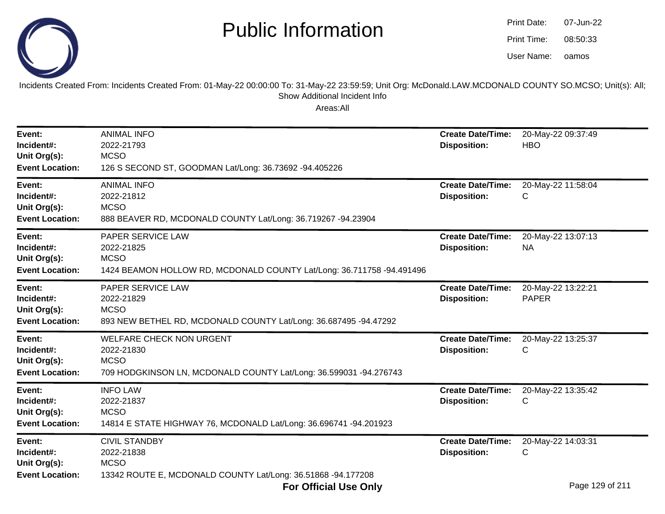

| Print Date: | 07-Jun-22 |
|-------------|-----------|
| Print Time: | 08:50:33  |
| User Name:  | oamos     |

Incidents Created From: Incidents Created From: 01-May-22 00:00:00 To: 31-May-22 23:59:59; Unit Org: McDonald.LAW.MCDONALD COUNTY SO.MCSO; Unit(s): All;Show Additional Incident Info

| Event:<br>Incident#:<br>Unit Org(s):<br><b>Event Location:</b> | <b>ANIMAL INFO</b><br>2022-21793<br><b>MCSO</b><br>126 S SECOND ST, GOODMAN Lat/Long: 36.73692 -94.405226                                              | <b>Create Date/Time:</b><br><b>Disposition:</b> | 20-May-22 09:37:49<br><b>HBO</b>           |
|----------------------------------------------------------------|--------------------------------------------------------------------------------------------------------------------------------------------------------|-------------------------------------------------|--------------------------------------------|
| Event:<br>Incident#:<br>Unit Org(s):<br><b>Event Location:</b> | <b>ANIMAL INFO</b><br>2022-21812<br><b>MCSO</b><br>888 BEAVER RD, MCDONALD COUNTY Lat/Long: 36.719267 -94.23904                                        | <b>Create Date/Time:</b><br><b>Disposition:</b> | 20-May-22 11:58:04<br>С                    |
| Event:<br>Incident#:<br>Unit Org(s):<br><b>Event Location:</b> | PAPER SERVICE LAW<br>2022-21825<br><b>MCSO</b><br>1424 BEAMON HOLLOW RD, MCDONALD COUNTY Lat/Long: 36.711758 -94.491496                                | <b>Create Date/Time:</b><br><b>Disposition:</b> | 20-May-22 13:07:13<br><b>NA</b>            |
| Event:<br>Incident#:<br>Unit Org(s):<br><b>Event Location:</b> | PAPER SERVICE LAW<br>2022-21829<br><b>MCSO</b><br>893 NEW BETHEL RD, MCDONALD COUNTY Lat/Long: 36.687495 -94.47292                                     | <b>Create Date/Time:</b><br><b>Disposition:</b> | 20-May-22 13:22:21<br><b>PAPER</b>         |
| Event:<br>Incident#:<br>Unit Org(s):<br><b>Event Location:</b> | <b>WELFARE CHECK NON URGENT</b><br>2022-21830<br><b>MCSO</b><br>709 HODGKINSON LN, MCDONALD COUNTY Lat/Long: 36.599031 -94.276743                      | <b>Create Date/Time:</b><br><b>Disposition:</b> | 20-May-22 13:25:37<br>C                    |
| Event:<br>Incident#:<br>Unit Org(s):<br><b>Event Location:</b> | <b>INFO LAW</b><br>2022-21837<br><b>MCSO</b><br>14814 E STATE HIGHWAY 76, MCDONALD Lat/Long: 36.696741 -94.201923                                      | <b>Create Date/Time:</b><br><b>Disposition:</b> | 20-May-22 13:35:42<br>С                    |
| Event:<br>Incident#:<br>Unit Org(s):<br><b>Event Location:</b> | <b>CIVIL STANDBY</b><br>2022-21838<br><b>MCSO</b><br>13342 ROUTE E, MCDONALD COUNTY Lat/Long: 36.51868 -94.177208<br>$F_{\rm{max}}$ official Hand only | <b>Create Date/Time:</b><br><b>Disposition:</b> | 20-May-22 14:03:31<br>C<br>Dogo 100 of 011 |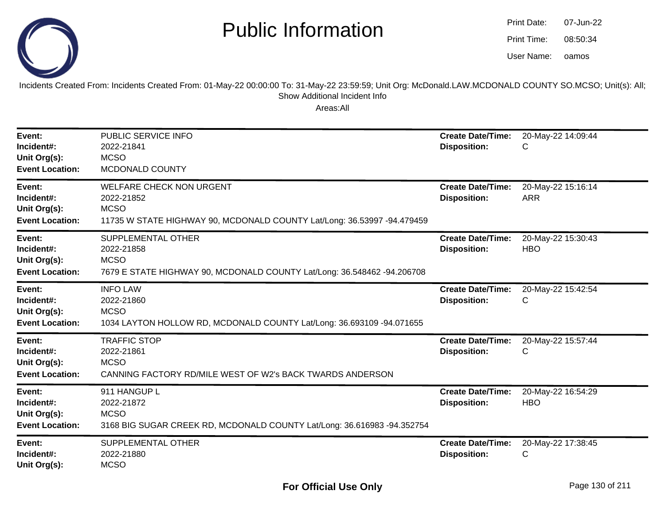

| Print Date: | 07-Jun-22 |
|-------------|-----------|
| Print Time: | 08:50:34  |
| User Name:  | oamos     |

Incidents Created From: Incidents Created From: 01-May-22 00:00:00 To: 31-May-22 23:59:59; Unit Org: McDonald.LAW.MCDONALD COUNTY SO.MCSO; Unit(s): All; Show Additional Incident Info

| Event:<br>Incident#:<br>Unit Org(s):<br><b>Event Location:</b> | PUBLIC SERVICE INFO<br>2022-21841<br><b>MCSO</b><br>MCDONALD COUNTY                                                                     | <b>Create Date/Time:</b><br><b>Disposition:</b> | 20-May-22 14:09:44<br>С          |
|----------------------------------------------------------------|-----------------------------------------------------------------------------------------------------------------------------------------|-------------------------------------------------|----------------------------------|
| Event:<br>Incident#:<br>Unit Org(s):<br><b>Event Location:</b> | <b>WELFARE CHECK NON URGENT</b><br>2022-21852<br><b>MCSO</b><br>11735 W STATE HIGHWAY 90, MCDONALD COUNTY Lat/Long: 36.53997 -94.479459 | <b>Create Date/Time:</b><br><b>Disposition:</b> | 20-May-22 15:16:14<br><b>ARR</b> |
| Event:<br>Incident#:<br>Unit Org(s):<br><b>Event Location:</b> | SUPPLEMENTAL OTHER<br>2022-21858<br><b>MCSO</b><br>7679 E STATE HIGHWAY 90, MCDONALD COUNTY Lat/Long: 36.548462 -94.206708              | <b>Create Date/Time:</b><br><b>Disposition:</b> | 20-May-22 15:30:43<br><b>HBO</b> |
| Event:<br>Incident#:<br>Unit Org(s):<br><b>Event Location:</b> | <b>INFO LAW</b><br>2022-21860<br><b>MCSO</b><br>1034 LAYTON HOLLOW RD, MCDONALD COUNTY Lat/Long: 36.693109 -94.071655                   | <b>Create Date/Time:</b><br><b>Disposition:</b> | 20-May-22 15:42:54<br>С          |
| Event:<br>Incident#:<br>Unit Org(s):<br><b>Event Location:</b> | <b>TRAFFIC STOP</b><br>2022-21861<br><b>MCSO</b><br>CANNING FACTORY RD/MILE WEST OF W2's BACK TWARDS ANDERSON                           | <b>Create Date/Time:</b><br><b>Disposition:</b> | 20-May-22 15:57:44<br>С          |
| Event:<br>Incident#:<br>Unit Org(s):<br><b>Event Location:</b> | 911 HANGUP L<br>2022-21872<br><b>MCSO</b><br>3168 BIG SUGAR CREEK RD, MCDONALD COUNTY Lat/Long: 36.616983 -94.352754                    | <b>Create Date/Time:</b><br><b>Disposition:</b> | 20-May-22 16:54:29<br><b>HBO</b> |
| Event:<br>Incident#:<br>Unit Org(s):                           | SUPPLEMENTAL OTHER<br>2022-21880<br><b>MCSO</b>                                                                                         | <b>Create Date/Time:</b><br><b>Disposition:</b> | 20-May-22 17:38:45<br>C          |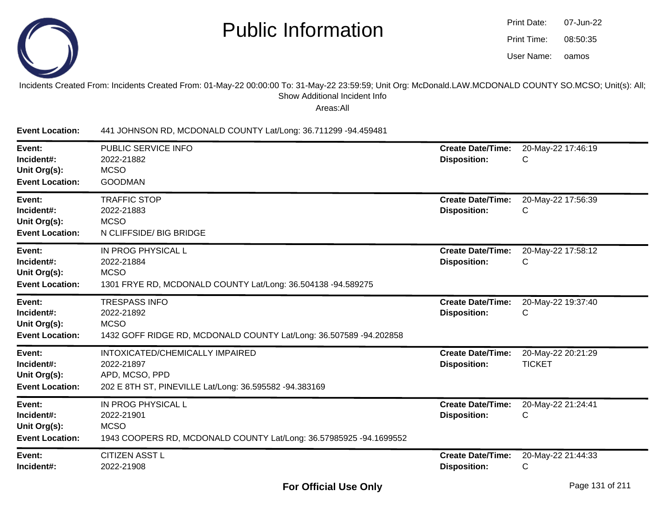

| Print Date: | 07-Jun-22 |
|-------------|-----------|
| Print Time: | 08:50:35  |
| User Name:  | oamos     |

#### Incidents Created From: Incidents Created From: 01-May-22 00:00:00 To: 31-May-22 23:59:59; Unit Org: McDonald.LAW.MCDONALD COUNTY SO.MCSO; Unit(s): All;Show Additional Incident Info

Areas:All

**Event Location:**441 JOHNSON RD, MCDONALD COUNTY Lat/Long: 36.711299 -94.459481

| Event:<br>Incident#:<br>Unit Org(s):<br><b>Event Location:</b> | PUBLIC SERVICE INFO<br>2022-21882<br><b>MCSO</b><br><b>GOODMAN</b>                                                        | <b>Create Date/Time:</b><br><b>Disposition:</b> | 20-May-22 17:46:19<br>С             |
|----------------------------------------------------------------|---------------------------------------------------------------------------------------------------------------------------|-------------------------------------------------|-------------------------------------|
| Event:<br>Incident#:<br>Unit Org(s):<br><b>Event Location:</b> | <b>TRAFFIC STOP</b><br>2022-21883<br><b>MCSO</b><br>N CLIFFSIDE/ BIG BRIDGE                                               | <b>Create Date/Time:</b><br><b>Disposition:</b> | 20-May-22 17:56:39<br>C             |
| Event:<br>Incident#:<br>Unit Org(s):<br><b>Event Location:</b> | IN PROG PHYSICAL L<br>2022-21884<br><b>MCSO</b><br>1301 FRYE RD, MCDONALD COUNTY Lat/Long: 36.504138 -94.589275           | <b>Create Date/Time:</b><br><b>Disposition:</b> | 20-May-22 17:58:12<br>C             |
| Event:<br>Incident#:<br>Unit Org(s):<br><b>Event Location:</b> | <b>TRESPASS INFO</b><br>2022-21892<br><b>MCSO</b><br>1432 GOFF RIDGE RD, MCDONALD COUNTY Lat/Long: 36.507589 -94.202858   | <b>Create Date/Time:</b><br><b>Disposition:</b> | 20-May-22 19:37:40<br>С             |
| Event:<br>Incident#:<br>Unit Org(s):<br><b>Event Location:</b> | INTOXICATED/CHEMICALLY IMPAIRED<br>2022-21897<br>APD, MCSO, PPD<br>202 E 8TH ST, PINEVILLE Lat/Long: 36.595582 -94.383169 | <b>Create Date/Time:</b><br><b>Disposition:</b> | 20-May-22 20:21:29<br><b>TICKET</b> |
| Event:<br>Incident#:<br>Unit Org(s):<br><b>Event Location:</b> | IN PROG PHYSICAL L<br>2022-21901<br><b>MCSO</b><br>1943 COOPERS RD, MCDONALD COUNTY Lat/Long: 36.57985925 -94.1699552     | <b>Create Date/Time:</b><br><b>Disposition:</b> | 20-May-22 21:24:41<br>С             |
| Event:<br>Incident#:                                           | <b>CITIZEN ASST L</b><br>2022-21908                                                                                       | <b>Create Date/Time:</b><br><b>Disposition:</b> | 20-May-22 21:44:33<br>С             |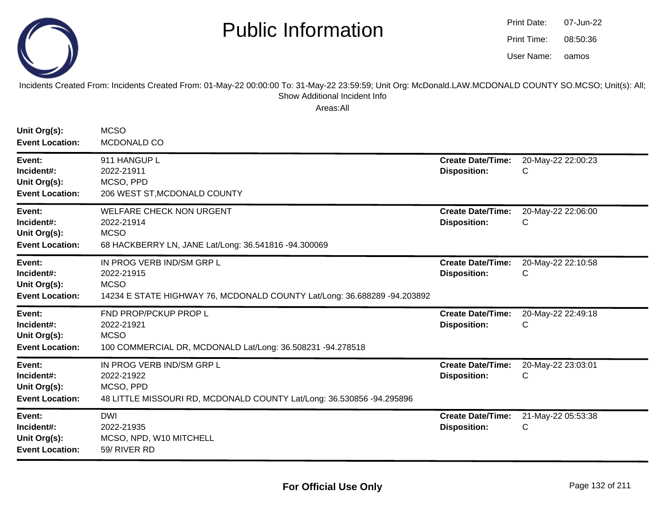

oamos07-Jun-2208:50:36Print Date:Print Time:User Name:

Incidents Created From: Incidents Created From: 01-May-22 00:00:00 To: 31-May-22 23:59:59; Unit Org: McDonald.LAW.MCDONALD COUNTY SO.MCSO; Unit(s): All; Show Additional Incident Info

| Unit Org(s):<br><b>Event Location:</b>                         | <b>MCSO</b><br>MCDONALD CO                                                                                                         |                                                 |                         |
|----------------------------------------------------------------|------------------------------------------------------------------------------------------------------------------------------------|-------------------------------------------------|-------------------------|
| Event:<br>Incident#:<br>Unit Org(s):<br><b>Event Location:</b> | 911 HANGUP L<br>2022-21911<br>MCSO, PPD<br>206 WEST ST, MCDONALD COUNTY                                                            | <b>Create Date/Time:</b><br><b>Disposition:</b> | 20-May-22 22:00:23<br>C |
| Event:<br>Incident#:<br>Unit Org(s):<br><b>Event Location:</b> | <b>WELFARE CHECK NON URGENT</b><br>2022-21914<br><b>MCSO</b><br>68 HACKBERRY LN, JANE Lat/Long: 36.541816 -94.300069               | <b>Create Date/Time:</b><br><b>Disposition:</b> | 20-May-22 22:06:00<br>С |
| Event:<br>Incident#:<br>Unit Org(s):<br><b>Event Location:</b> | IN PROG VERB IND/SM GRP L<br>2022-21915<br><b>MCSO</b><br>14234 E STATE HIGHWAY 76, MCDONALD COUNTY Lat/Long: 36.688289 -94.203892 | <b>Create Date/Time:</b><br><b>Disposition:</b> | 20-May-22 22:10:58<br>C |
| Event:<br>Incident#:<br>Unit Org(s):<br><b>Event Location:</b> | FND PROP/PCKUP PROP L<br>2022-21921<br><b>MCSO</b><br>100 COMMERCIAL DR, MCDONALD Lat/Long: 36.508231 -94.278518                   | <b>Create Date/Time:</b><br><b>Disposition:</b> | 20-May-22 22:49:18<br>C |
| Event:<br>Incident#:<br>Unit Org(s):<br><b>Event Location:</b> | IN PROG VERB IND/SM GRP L<br>2022-21922<br>MCSO, PPD<br>48 LITTLE MISSOURI RD, MCDONALD COUNTY Lat/Long: 36.530856 -94.295896      | <b>Create Date/Time:</b><br><b>Disposition:</b> | 20-May-22 23:03:01<br>C |
| Event:<br>Incident#:<br>Unit Org(s):<br><b>Event Location:</b> | <b>DWI</b><br>2022-21935<br>MCSO, NPD, W10 MITCHELL<br>59/ RIVER RD                                                                | <b>Create Date/Time:</b><br><b>Disposition:</b> | 21-May-22 05:53:38<br>C |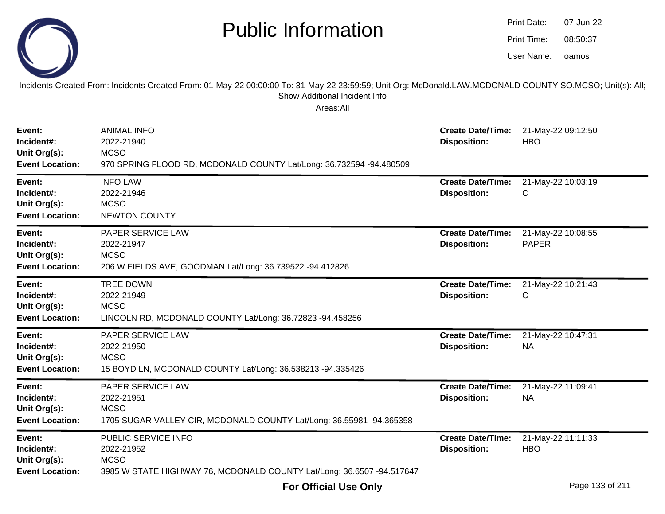|                                                                | <b>Public Information</b>                                                                                                                                                                              |                                                 | <b>Print Date:</b><br>07-Jun-22<br>Print Time:<br>08:50:37<br>User Name:<br>oamos |  |
|----------------------------------------------------------------|--------------------------------------------------------------------------------------------------------------------------------------------------------------------------------------------------------|-------------------------------------------------|-----------------------------------------------------------------------------------|--|
|                                                                | Incidents Created From: Incidents Created From: 01-May-22 00:00:00 To: 31-May-22 23:59:59; Unit Org: McDonald.LAW.MCDONALD COUNTY SO.MCSO; Unit(s): All;<br>Show Additional Incident Info<br>Areas:All |                                                 |                                                                                   |  |
| Event:<br>Incident#:<br>Unit Org(s):<br><b>Event Location:</b> | <b>ANIMAL INFO</b><br>2022-21940<br><b>MCSO</b><br>970 SPRING FLOOD RD, MCDONALD COUNTY Lat/Long: 36.732594 -94.480509                                                                                 | <b>Create Date/Time:</b><br><b>Disposition:</b> | 21-May-22 09:12:50<br><b>HBO</b>                                                  |  |
| Event:<br>Incident#:<br>Unit Org(s):<br><b>Event Location:</b> | <b>INFO LAW</b><br>2022-21946<br><b>MCSO</b><br><b>NEWTON COUNTY</b>                                                                                                                                   | <b>Create Date/Time:</b><br><b>Disposition:</b> | 21-May-22 10:03:19<br>C                                                           |  |
| Event:<br>Incident#:<br>Unit Org(s):<br><b>Event Location:</b> | PAPER SERVICE LAW<br>2022-21947<br><b>MCSO</b><br>206 W FIELDS AVE, GOODMAN Lat/Long: 36.739522 -94.412826                                                                                             | <b>Create Date/Time:</b><br><b>Disposition:</b> | 21-May-22 10:08:55<br><b>PAPER</b>                                                |  |
| Event:<br>Incident#:<br>Unit Org(s):<br><b>Event Location:</b> | <b>TREE DOWN</b><br>2022-21949<br><b>MCSO</b><br>LINCOLN RD, MCDONALD COUNTY Lat/Long: 36.72823 -94.458256                                                                                             | <b>Create Date/Time:</b><br><b>Disposition:</b> | 21-May-22 10:21:43<br>С                                                           |  |
| Event:<br>Incident#:<br>Unit Org(s):<br><b>Event Location:</b> | PAPER SERVICE LAW<br>2022-21950<br><b>MCSO</b><br>15 BOYD LN, MCDONALD COUNTY Lat/Long: 36.538213 -94.335426                                                                                           | <b>Create Date/Time:</b><br><b>Disposition:</b> | 21-May-22 10:47:31<br><b>NA</b>                                                   |  |
| Event:<br>Incident#:<br>Unit Org(s):<br><b>Event Location:</b> | PAPER SERVICE LAW<br>2022-21951<br><b>MCSO</b><br>1705 SUGAR VALLEY CIR, MCDONALD COUNTY Lat/Long: 36.55981 -94.365358                                                                                 | <b>Disposition:</b>                             | Create Date/Time: 21-May-22 11:09:41<br><b>NA</b>                                 |  |
| Event:<br>Incident#:<br>Unit Org(s):<br><b>Event Location:</b> | PUBLIC SERVICE INFO<br>2022-21952<br><b>MCSO</b><br>3985 W STATE HIGHWAY 76, MCDONALD COUNTY Lat/Long: 36.6507 -94.517647                                                                              | <b>Create Date/Time:</b><br><b>Disposition:</b> | 21-May-22 11:11:33<br><b>HBO</b>                                                  |  |

07-Jun-22

Print Date: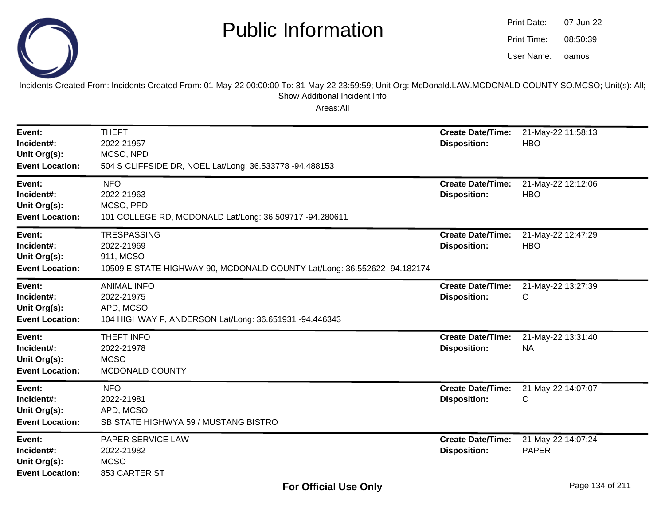

oamos07-Jun-2208:50:39Print Date:Print Time:User Name:

Incidents Created From: Incidents Created From: 01-May-22 00:00:00 To: 31-May-22 23:59:59; Unit Org: McDonald.LAW.MCDONALD COUNTY SO.MCSO; Unit(s): All; Show Additional Incident Info

| Event:<br>Incident#:<br>Unit Org(s):<br><b>Event Location:</b> | <b>THEFT</b><br>2022-21957<br>MCSO, NPD<br>504 S CLIFFSIDE DR, NOEL Lat/Long: 36.533778 -94.488153                        | <b>Create Date/Time:</b><br><b>Disposition:</b> | 21-May-22 11:58:13<br><b>HBO</b>   |
|----------------------------------------------------------------|---------------------------------------------------------------------------------------------------------------------------|-------------------------------------------------|------------------------------------|
| Event:<br>Incident#:<br>Unit Org(s):<br><b>Event Location:</b> | <b>INFO</b><br>2022-21963<br>MCSO, PPD<br>101 COLLEGE RD, MCDONALD Lat/Long: 36.509717 -94.280611                         | <b>Create Date/Time:</b><br><b>Disposition:</b> | 21-May-22 12:12:06<br><b>HBO</b>   |
| Event:<br>Incident#:<br>Unit Org(s):<br><b>Event Location:</b> | <b>TRESPASSING</b><br>2022-21969<br>911, MCSO<br>10509 E STATE HIGHWAY 90, MCDONALD COUNTY Lat/Long: 36.552622 -94.182174 | <b>Create Date/Time:</b><br><b>Disposition:</b> | 21-May-22 12:47:29<br><b>HBO</b>   |
| Event:<br>Incident#:<br>Unit Org(s):<br><b>Event Location:</b> | <b>ANIMAL INFO</b><br>2022-21975<br>APD, MCSO<br>104 HIGHWAY F, ANDERSON Lat/Long: 36.651931 -94.446343                   | <b>Create Date/Time:</b><br><b>Disposition:</b> | 21-May-22 13:27:39<br>C            |
| Event:<br>Incident#:<br>Unit Org(s):<br><b>Event Location:</b> | <b>THEFT INFO</b><br>2022-21978<br><b>MCSO</b><br>MCDONALD COUNTY                                                         | <b>Create Date/Time:</b><br><b>Disposition:</b> | 21-May-22 13:31:40<br><b>NA</b>    |
| Event:<br>Incident#:<br>Unit Org(s):<br><b>Event Location:</b> | <b>INFO</b><br>2022-21981<br>APD, MCSO<br>SB STATE HIGHWYA 59 / MUSTANG BISTRO                                            | <b>Create Date/Time:</b><br><b>Disposition:</b> | 21-May-22 14:07:07<br>C            |
| Event:<br>Incident#:<br>Unit Org(s):<br><b>Event Location:</b> | <b>PAPER SERVICE LAW</b><br>2022-21982<br><b>MCSO</b><br>853 CARTER ST                                                    | <b>Create Date/Time:</b><br><b>Disposition:</b> | 21-May-22 14:07:24<br><b>PAPER</b> |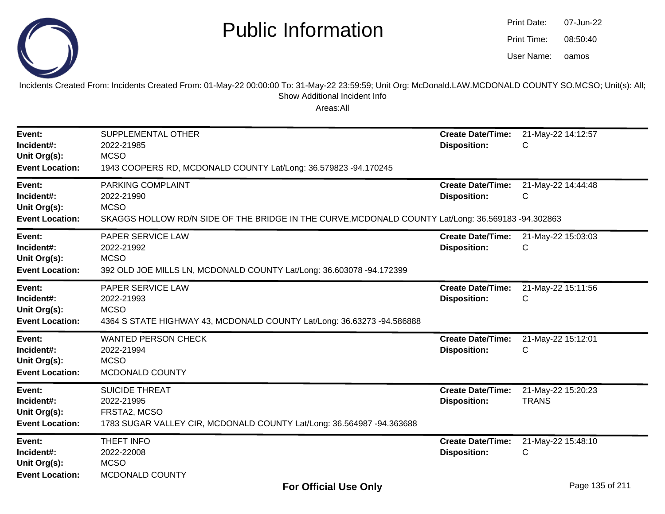

| Print Date: | 07-Jun-22 |
|-------------|-----------|
| Print Time: | 08:50:40  |
| User Name:  | oamos     |

Incidents Created From: Incidents Created From: 01-May-22 00:00:00 To: 31-May-22 23:59:59; Unit Org: McDonald.LAW.MCDONALD COUNTY SO.MCSO; Unit(s): All; Show Additional Incident Info

| Event:<br>Incident#:<br>Unit Org(s):<br><b>Event Location:</b> | SUPPLEMENTAL OTHER<br>2022-21985<br><b>MCSO</b><br>1943 COOPERS RD, MCDONALD COUNTY Lat/Long: 36.579823 -94.170245                                   | <b>Create Date/Time:</b><br><b>Disposition:</b> | 21-May-22 14:12:57<br>С            |
|----------------------------------------------------------------|------------------------------------------------------------------------------------------------------------------------------------------------------|-------------------------------------------------|------------------------------------|
| Event:<br>Incident#:<br>Unit Org(s):<br><b>Event Location:</b> | PARKING COMPLAINT<br>2022-21990<br><b>MCSO</b><br>SKAGGS HOLLOW RD/N SIDE OF THE BRIDGE IN THE CURVE, MCDONALD COUNTY Lat/Long: 36.569183 -94.302863 | <b>Create Date/Time:</b><br><b>Disposition:</b> | 21-May-22 14:44:48<br>С            |
| Event:<br>Incident#:<br>Unit Org(s):<br><b>Event Location:</b> | PAPER SERVICE LAW<br>2022-21992<br><b>MCSO</b><br>392 OLD JOE MILLS LN, MCDONALD COUNTY Lat/Long: 36.603078 -94.172399                               | <b>Create Date/Time:</b><br><b>Disposition:</b> | 21-May-22 15:03:03<br>C            |
| Event:<br>Incident#:<br>Unit Org(s):<br><b>Event Location:</b> | PAPER SERVICE LAW<br>2022-21993<br><b>MCSO</b><br>4364 S STATE HIGHWAY 43, MCDONALD COUNTY Lat/Long: 36.63273 -94.586888                             | <b>Create Date/Time:</b><br><b>Disposition:</b> | 21-May-22 15:11:56<br>С            |
| Event:<br>Incident#:<br>Unit Org(s):<br><b>Event Location:</b> | <b>WANTED PERSON CHECK</b><br>2022-21994<br><b>MCSO</b><br>MCDONALD COUNTY                                                                           | <b>Create Date/Time:</b><br><b>Disposition:</b> | 21-May-22 15:12:01<br>С            |
| Event:<br>Incident#:<br>Unit Org(s):<br><b>Event Location:</b> | <b>SUICIDE THREAT</b><br>2022-21995<br>FRSTA2, MCSO<br>1783 SUGAR VALLEY CIR, MCDONALD COUNTY Lat/Long: 36.564987 -94.363688                         | <b>Create Date/Time:</b><br><b>Disposition:</b> | 21-May-22 15:20:23<br><b>TRANS</b> |
| Event:<br>Incident#:<br>Unit Org(s):<br><b>Event Location:</b> | THEFT INFO<br>2022-22008<br><b>MCSO</b><br>MCDONALD COUNTY                                                                                           | <b>Create Date/Time:</b><br><b>Disposition:</b> | 21-May-22 15:48:10<br>C            |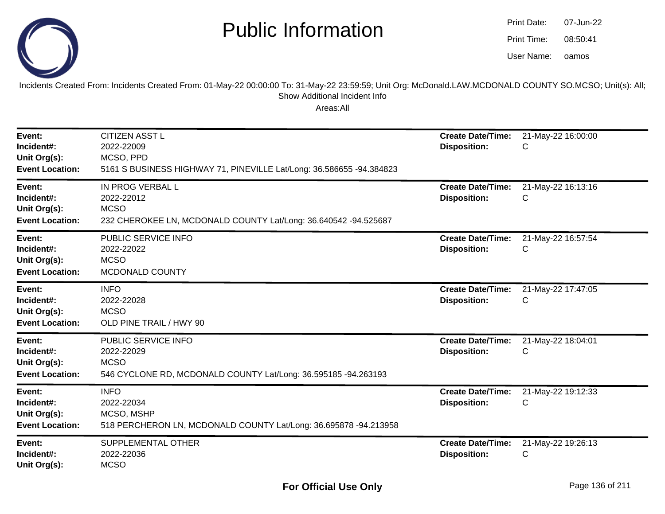

oamos07-Jun-2208:50:41Print Date:Print Time:User Name:

Incidents Created From: Incidents Created From: 01-May-22 00:00:00 To: 31-May-22 23:59:59; Unit Org: McDonald.LAW.MCDONALD COUNTY SO.MCSO; Unit(s): All; Show Additional Incident Info

| Event:<br>Incident#:<br>Unit Org(s):<br><b>Event Location:</b> | <b>CITIZEN ASST L</b><br>2022-22009<br>MCSO, PPD<br>5161 S BUSINESS HIGHWAY 71, PINEVILLE Lat/Long: 36.586655 -94.384823 | <b>Create Date/Time:</b><br><b>Disposition:</b> | 21-May-22 16:00:00<br>C |
|----------------------------------------------------------------|--------------------------------------------------------------------------------------------------------------------------|-------------------------------------------------|-------------------------|
| Event:<br>Incident#:<br>Unit Org(s):<br><b>Event Location:</b> | IN PROG VERBAL L<br>2022-22012<br><b>MCSO</b><br>232 CHEROKEE LN, MCDONALD COUNTY Lat/Long: 36.640542 -94.525687         | <b>Create Date/Time:</b><br><b>Disposition:</b> | 21-May-22 16:13:16<br>С |
| Event:<br>Incident#:<br>Unit Org(s):<br><b>Event Location:</b> | PUBLIC SERVICE INFO<br>2022-22022<br><b>MCSO</b><br>MCDONALD COUNTY                                                      | <b>Create Date/Time:</b><br><b>Disposition:</b> | 21-May-22 16:57:54<br>С |
| Event:<br>Incident#:<br>Unit Org(s):<br><b>Event Location:</b> | <b>INFO</b><br>2022-22028<br><b>MCSO</b><br>OLD PINE TRAIL / HWY 90                                                      | <b>Create Date/Time:</b><br><b>Disposition:</b> | 21-May-22 17:47:05<br>С |
| Event:<br>Incident#:<br>Unit Org(s):<br><b>Event Location:</b> | PUBLIC SERVICE INFO<br>2022-22029<br><b>MCSO</b><br>546 CYCLONE RD, MCDONALD COUNTY Lat/Long: 36.595185 -94.263193       | <b>Create Date/Time:</b><br><b>Disposition:</b> | 21-May-22 18:04:01<br>С |
| Event:<br>Incident#:<br>Unit Org(s):<br><b>Event Location:</b> | <b>INFO</b><br>2022-22034<br>MCSO, MSHP<br>518 PERCHERON LN, MCDONALD COUNTY Lat/Long: 36.695878 -94.213958              | <b>Create Date/Time:</b><br><b>Disposition:</b> | 21-May-22 19:12:33<br>C |
| Event:<br>Incident#:<br>Unit Org(s):                           | SUPPLEMENTAL OTHER<br>2022-22036<br><b>MCSO</b>                                                                          | <b>Create Date/Time:</b><br><b>Disposition:</b> | 21-May-22 19:26:13<br>С |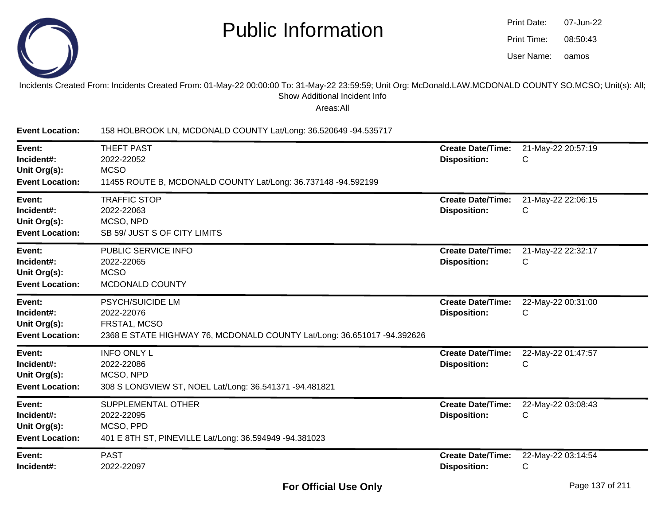

| Print Date: | 07-Jun-22 |
|-------------|-----------|
| Print Time: | 08:50:43  |
| User Name:  | oamos     |

#### Incidents Created From: Incidents Created From: 01-May-22 00:00:00 To: 31-May-22 23:59:59; Unit Org: McDonald.LAW.MCDONALD COUNTY SO.MCSO; Unit(s): All;Show Additional Incident Info

Areas:All

**Event Location:** 158 HOLBROOK LN, MCDONALD COUNTY Lat/Long: 36.520649 -94.535717**Event:** THEFT PAST **Create Date/Time:** 21-May-22 20:57:19 **Incident#:** 2022-22052 **Disposition:** <sup>C</sup>**Unit Org(s):MCSO**  11455 ROUTE B, MCDONALD COUNTY Lat/Long: 36.737148 -94.592199**Event Location:Event:** TRAFFIC STOP **Create Date/Time:** 21-May-22 22:06:15 **Incident#:** 2022-22063 **Disposition:** <sup>C</sup>**Unit Org(s):** MCSO, NPD SB 59/ JUST S OF CITY LIMITS**Event Location:Event:** PUBLIC SERVICE INFO **Create Date/Time:** 21-May-22 22:32:17 **Incident#:** 2022-22065 **Disposition:** <sup>C</sup>**Unit Org(s):** MCSO MCDONALD COUNTY**Event Location:Event:** PSYCH/SUICIDE LM **Create Date/Time:** 22-May-22 00:31:00 **Incident#:** 2022-22076 **Disposition:** <sup>C</sup>**Unit Org(s):** FRSTA1, MCSO 2368 E STATE HIGHWAY 76, MCDONALD COUNTY Lat/Long: 36.651017 -94.392626**Event Location:Event:** INFO ONLY L **Create Date/Time:** 22-May-22 01:47:57 **Incident#:** 2022-22086 **Disposition:** <sup>C</sup>**Unit Org(s):** MCSO, NPD 308 S LONGVIEW ST, NOEL Lat/Long: 36.541371 -94.481821**Event Location:Event:** SUPPLEMENTAL OTHER **Create Date/Time:** 22-May-22 03:08:43 **Incident#:** 2022-22095 **Disposition:** <sup>C</sup>**Unit Org(s):** MCSO, PPD 401 E 8TH ST, PINEVILLE Lat/Long: 36.594949 -94.381023**Event Location:Event:** PAST **Create Date/Time:** 22-May-22 03:14:54 **Incident#:** 2022-22097**Disposition:** <sup>C</sup>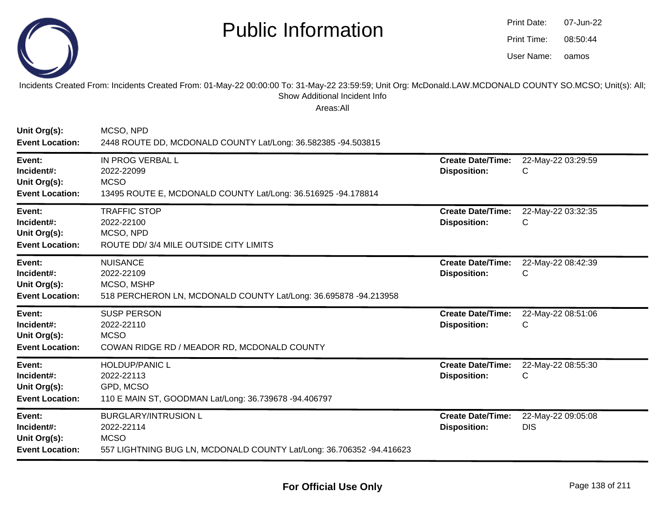

oamos07-Jun-2208:50:44Print Date:Print Time:User Name:

Incidents Created From: Incidents Created From: 01-May-22 00:00:00 To: 31-May-22 23:59:59; Unit Org: McDonald.LAW.MCDONALD COUNTY SO.MCSO; Unit(s): All; Show Additional Incident Info

| Unit Org(s):<br><b>Event Location:</b>                         | MCSO, NPD<br>2448 ROUTE DD, MCDONALD COUNTY Lat/Long: 36.582385 -94.503815                                                       |                                                 |                                  |
|----------------------------------------------------------------|----------------------------------------------------------------------------------------------------------------------------------|-------------------------------------------------|----------------------------------|
| Event:<br>Incident#:<br>Unit Org(s):<br><b>Event Location:</b> | IN PROG VERBAL L<br>2022-22099<br><b>MCSO</b><br>13495 ROUTE E, MCDONALD COUNTY Lat/Long: 36.516925 -94.178814                   | <b>Create Date/Time:</b><br><b>Disposition:</b> | 22-May-22 03:29:59<br>С          |
| Event:<br>Incident#:<br>Unit Org(s):<br><b>Event Location:</b> | <b>TRAFFIC STOP</b><br>2022-22100<br>MCSO, NPD<br>ROUTE DD/ 3/4 MILE OUTSIDE CITY LIMITS                                         | <b>Create Date/Time:</b><br><b>Disposition:</b> | 22-May-22 03:32:35<br>С          |
| Event:<br>Incident#:<br>Unit Org(s):<br><b>Event Location:</b> | <b>NUISANCE</b><br>2022-22109<br>MCSO, MSHP<br>518 PERCHERON LN, MCDONALD COUNTY Lat/Long: 36.695878 -94.213958                  | <b>Create Date/Time:</b><br><b>Disposition:</b> | 22-May-22 08:42:39<br>C          |
| Event:<br>Incident#:<br>Unit Org(s):<br><b>Event Location:</b> | <b>SUSP PERSON</b><br>2022-22110<br><b>MCSO</b><br>COWAN RIDGE RD / MEADOR RD, MCDONALD COUNTY                                   | <b>Create Date/Time:</b><br><b>Disposition:</b> | 22-May-22 08:51:06<br>С          |
| Event:<br>Incident#:<br>Unit Org(s):<br><b>Event Location:</b> | <b>HOLDUP/PANIC L</b><br>2022-22113<br>GPD, MCSO<br>110 E MAIN ST, GOODMAN Lat/Long: 36.739678 -94.406797                        | <b>Create Date/Time:</b><br><b>Disposition:</b> | 22-May-22 08:55:30<br>C          |
| Event:<br>Incident#:<br>Unit Org(s):<br><b>Event Location:</b> | <b>BURGLARY/INTRUSION L</b><br>2022-22114<br><b>MCSO</b><br>557 LIGHTNING BUG LN, MCDONALD COUNTY Lat/Long: 36.706352 -94.416623 | <b>Create Date/Time:</b><br><b>Disposition:</b> | 22-May-22 09:05:08<br><b>DIS</b> |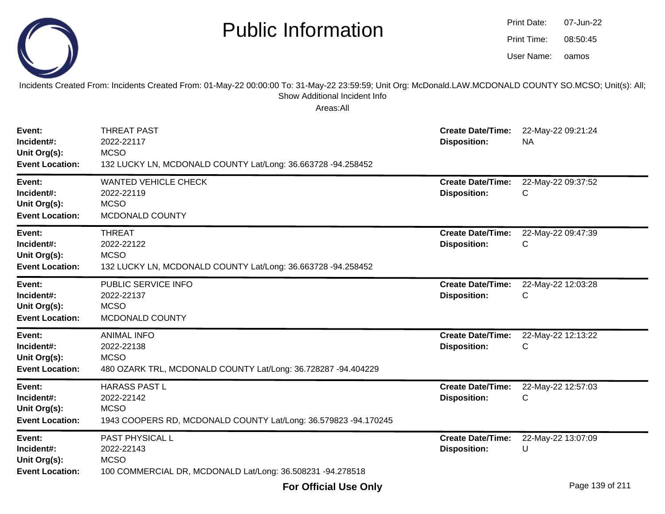|                                                                | <b>Public Information</b><br>Incidents Created From: Incidents Created From: 01-May-22 00:00:00 To: 31-May-22 23:59:59; Unit Org: McDonald.LAW.MCDONALD COUNTY SO.MCSO; Unit(s): All; |                                                 | <b>Print Date:</b><br>Print Time:<br>User Name: | 07-Jun-22<br>08:50:45<br>oamos |
|----------------------------------------------------------------|---------------------------------------------------------------------------------------------------------------------------------------------------------------------------------------|-------------------------------------------------|-------------------------------------------------|--------------------------------|
|                                                                | Show Additional Incident Info<br>Areas:All                                                                                                                                            |                                                 |                                                 |                                |
| Event:<br>Incident#:<br>Unit Org(s):<br><b>Event Location:</b> | <b>THREAT PAST</b><br>2022-22117<br><b>MCSO</b><br>132 LUCKY LN, MCDONALD COUNTY Lat/Long: 36.663728 -94.258452                                                                       | <b>Create Date/Time:</b><br><b>Disposition:</b> | <b>NA</b>                                       | 22-May-22 09:21:24             |
| Event:<br>Incident#:<br>Unit Org(s):<br><b>Event Location:</b> | <b>WANTED VEHICLE CHECK</b><br>2022-22119<br><b>MCSO</b><br>MCDONALD COUNTY                                                                                                           | <b>Create Date/Time:</b><br><b>Disposition:</b> | С                                               | 22-May-22 09:37:52             |
| Event:<br>Incident#:<br>Unit Org(s):<br><b>Event Location:</b> | <b>THREAT</b><br>2022-22122<br><b>MCSO</b><br>132 LUCKY LN, MCDONALD COUNTY Lat/Long: 36.663728 -94.258452                                                                            | <b>Create Date/Time:</b><br><b>Disposition:</b> | С                                               | 22-May-22 09:47:39             |
| Event:<br>Incident#:<br>Unit Org(s):<br><b>Event Location:</b> | PUBLIC SERVICE INFO<br>2022-22137<br><b>MCSO</b><br>MCDONALD COUNTY                                                                                                                   | <b>Create Date/Time:</b><br><b>Disposition:</b> | С                                               | 22-May-22 12:03:28             |
| Event:<br>Incident#:<br>Unit Org(s):<br><b>Event Location:</b> | <b>ANIMAL INFO</b><br>2022-22138<br><b>MCSO</b><br>480 OZARK TRL, MCDONALD COUNTY Lat/Long: 36.728287 -94.404229                                                                      | <b>Create Date/Time:</b><br><b>Disposition:</b> | С                                               | 22-May-22 12:13:22             |
| Event:<br>Incident#:<br>Unit Org(s):<br><b>Event Location:</b> | <b>HARASS PAST L</b><br>2022-22142<br><b>MCSO</b><br>1943 COOPERS RD, MCDONALD COUNTY Lat/Long: 36.579823 -94.170245                                                                  | <b>Create Date/Time:</b><br><b>Disposition:</b> | С                                               | 22-May-22 12:57:03             |
| Event:<br>Incident#:<br>Unit Org(s):<br><b>Event Location:</b> | PAST PHYSICAL L<br>2022-22143<br><b>MCSO</b><br>100 COMMERCIAL DR, MCDONALD Lat/Long: 36.508231 -94.278518                                                                            | <b>Create Date/Time:</b><br><b>Disposition:</b> | U                                               | 22-May-22 13:07:09             |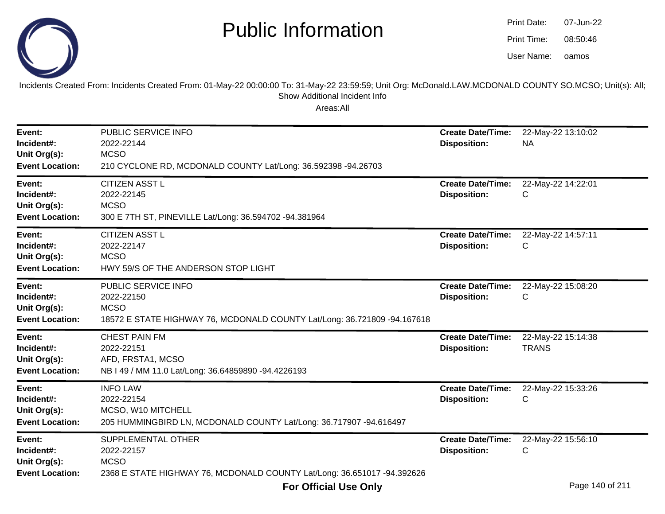

oamos07-Jun-2208:50:46Print Date:Print Time:User Name:

Incidents Created From: Incidents Created From: 01-May-22 00:00:00 To: 31-May-22 23:59:59; Unit Org: McDonald.LAW.MCDONALD COUNTY SO.MCSO; Unit(s): All; Show Additional Incident Info

| Event:<br>Incident#:<br>Unit Org(s):<br><b>Event Location:</b> | PUBLIC SERVICE INFO<br>2022-22144<br><b>MCSO</b><br>210 CYCLONE RD, MCDONALD COUNTY Lat/Long: 36.592398 -94.26703            | <b>Create Date/Time:</b><br><b>Disposition:</b> | 22-May-22 13:10:02<br><b>NA</b>    |
|----------------------------------------------------------------|------------------------------------------------------------------------------------------------------------------------------|-------------------------------------------------|------------------------------------|
| Event:<br>Incident#:<br>Unit Org(s):<br><b>Event Location:</b> | <b>CITIZEN ASST L</b><br>2022-22145<br><b>MCSO</b><br>300 E 7TH ST, PINEVILLE Lat/Long: 36.594702 -94.381964                 | <b>Create Date/Time:</b><br><b>Disposition:</b> | 22-May-22 14:22:01<br>С            |
| Event:<br>Incident#:<br>Unit Org(s):<br><b>Event Location:</b> | <b>CITIZEN ASST L</b><br>2022-22147<br><b>MCSO</b><br>HWY 59/S OF THE ANDERSON STOP LIGHT                                    | <b>Create Date/Time:</b><br><b>Disposition:</b> | 22-May-22 14:57:11<br>С            |
| Event:<br>Incident#:<br>Unit Org(s):<br><b>Event Location:</b> | PUBLIC SERVICE INFO<br>2022-22150<br><b>MCSO</b><br>18572 E STATE HIGHWAY 76, MCDONALD COUNTY Lat/Long: 36.721809 -94.167618 | <b>Create Date/Time:</b><br><b>Disposition:</b> | 22-May-22 15:08:20<br>С            |
| Event:<br>Incident#:<br>Unit Org(s):<br><b>Event Location:</b> | <b>CHEST PAIN FM</b><br>2022-22151<br>AFD, FRSTA1, MCSO<br>NB I 49 / MM 11.0 Lat/Long: 36.64859890 -94.4226193               | <b>Create Date/Time:</b><br><b>Disposition:</b> | 22-May-22 15:14:38<br><b>TRANS</b> |
| Event:<br>Incident#:<br>Unit Org(s):<br><b>Event Location:</b> | <b>INFO LAW</b><br>2022-22154<br>MCSO, W10 MITCHELL<br>205 HUMMINGBIRD LN, MCDONALD COUNTY Lat/Long: 36.717907 -94.616497    | <b>Create Date/Time:</b><br><b>Disposition:</b> | 22-May-22 15:33:26<br>С            |
| Event:<br>Incident#:<br>Unit Org(s):<br><b>Event Location:</b> | SUPPLEMENTAL OTHER<br>2022-22157<br><b>MCSO</b><br>2368 E STATE HIGHWAY 76, MCDONALD COUNTY Lat/Long: 36.651017 -94.392626   | <b>Create Date/Time:</b><br><b>Disposition:</b> | 22-May-22 15:56:10<br>С            |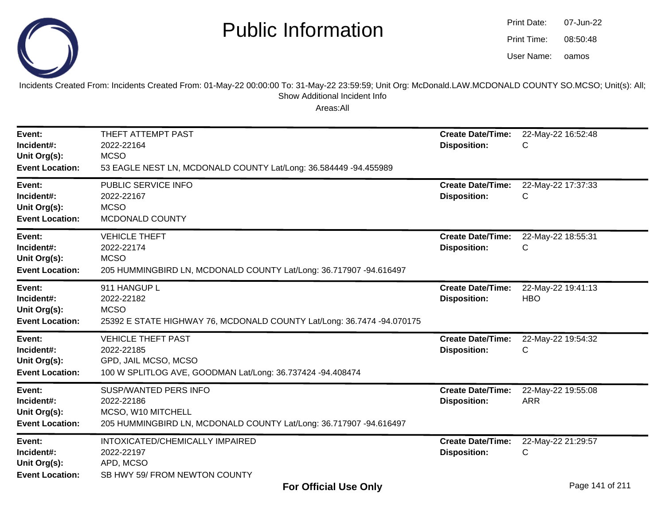

oamos07-Jun-2208:50:48Print Date:Print Time:User Name:

Incidents Created From: Incidents Created From: 01-May-22 00:00:00 To: 31-May-22 23:59:59; Unit Org: McDonald.LAW.MCDONALD COUNTY SO.MCSO; Unit(s): All; Show Additional Incident Info

| Event:<br>Incident#:<br>Unit Org(s):<br><b>Event Location:</b> | THEFT ATTEMPT PAST<br>2022-22164<br><b>MCSO</b><br>53 EAGLE NEST LN, MCDONALD COUNTY Lat/Long: 36.584449 -94.455989                    | <b>Create Date/Time:</b><br><b>Disposition:</b> | 22-May-22 16:52:48<br>С          |
|----------------------------------------------------------------|----------------------------------------------------------------------------------------------------------------------------------------|-------------------------------------------------|----------------------------------|
| Event:<br>Incident#:<br>Unit Org(s):<br><b>Event Location:</b> | PUBLIC SERVICE INFO<br>2022-22167<br><b>MCSO</b><br>MCDONALD COUNTY                                                                    | <b>Create Date/Time:</b><br><b>Disposition:</b> | 22-May-22 17:37:33<br>С          |
| Event:<br>Incident#:<br>Unit Org(s):<br><b>Event Location:</b> | <b>VEHICLE THEFT</b><br>2022-22174<br><b>MCSO</b><br>205 HUMMINGBIRD LN, MCDONALD COUNTY Lat/Long: 36.717907 -94.616497                | <b>Create Date/Time:</b><br><b>Disposition:</b> | 22-May-22 18:55:31<br>С          |
| Event:<br>Incident#:<br>Unit Org(s):<br><b>Event Location:</b> | 911 HANGUP L<br>2022-22182<br><b>MCSO</b><br>25392 E STATE HIGHWAY 76, MCDONALD COUNTY Lat/Long: 36.7474 -94.070175                    | <b>Create Date/Time:</b><br><b>Disposition:</b> | 22-May-22 19:41:13<br><b>HBO</b> |
| Event:<br>Incident#:<br>Unit Org(s):<br><b>Event Location:</b> | <b>VEHICLE THEFT PAST</b><br>2022-22185<br>GPD, JAIL MCSO, MCSO<br>100 W SPLITLOG AVE, GOODMAN Lat/Long: 36.737424 -94.408474          | <b>Create Date/Time:</b><br><b>Disposition:</b> | 22-May-22 19:54:32<br>С          |
| Event:<br>Incident#:<br>Unit Org(s):<br><b>Event Location:</b> | <b>SUSP/WANTED PERS INFO</b><br>2022-22186<br>MCSO, W10 MITCHELL<br>205 HUMMINGBIRD LN, MCDONALD COUNTY Lat/Long: 36.717907 -94.616497 | <b>Create Date/Time:</b><br><b>Disposition:</b> | 22-May-22 19:55:08<br><b>ARR</b> |
| Event:<br>Incident#:<br>Unit Org(s):<br><b>Event Location:</b> | INTOXICATED/CHEMICALLY IMPAIRED<br>2022-22197<br>APD, MCSO<br>SB HWY 59/ FROM NEWTON COUNTY                                            | <b>Create Date/Time:</b><br><b>Disposition:</b> | 22-May-22 21:29:57<br>С          |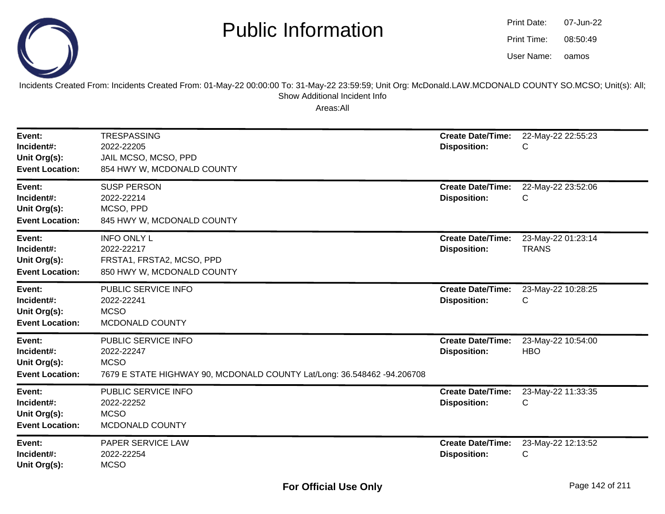

| <b>Print Date:</b> | 07-Jun-22 |
|--------------------|-----------|
| Print Time:        | 08:50:49  |
| User Name:         | oamos     |

Incidents Created From: Incidents Created From: 01-May-22 00:00:00 To: 31-May-22 23:59:59; Unit Org: McDonald.LAW.MCDONALD COUNTY SO.MCSO; Unit(s): All; Show Additional Incident Info

| Event:<br>Incident#:<br>Unit Org(s):<br><b>Event Location:</b> | <b>TRESPASSING</b><br>2022-22205<br>JAIL MCSO, MCSO, PPD<br>854 HWY W, MCDONALD COUNTY                                      | <b>Create Date/Time:</b><br><b>Disposition:</b> | 22-May-22 22:55:23<br>С            |
|----------------------------------------------------------------|-----------------------------------------------------------------------------------------------------------------------------|-------------------------------------------------|------------------------------------|
| Event:<br>Incident#:<br>Unit Org(s):<br><b>Event Location:</b> | <b>SUSP PERSON</b><br>2022-22214<br>MCSO, PPD<br>845 HWY W, MCDONALD COUNTY                                                 | <b>Create Date/Time:</b><br><b>Disposition:</b> | 22-May-22 23:52:06<br>С            |
| Event:<br>Incident#:<br>Unit Org(s):<br><b>Event Location:</b> | <b>INFO ONLY L</b><br>2022-22217<br>FRSTA1, FRSTA2, MCSO, PPD<br>850 HWY W, MCDONALD COUNTY                                 | <b>Create Date/Time:</b><br><b>Disposition:</b> | 23-May-22 01:23:14<br><b>TRANS</b> |
| Event:<br>Incident#:<br>Unit Org(s):<br><b>Event Location:</b> | PUBLIC SERVICE INFO<br>2022-22241<br><b>MCSO</b><br>MCDONALD COUNTY                                                         | <b>Create Date/Time:</b><br><b>Disposition:</b> | 23-May-22 10:28:25<br>C            |
| Event:<br>Incident#:<br>Unit Org(s):<br><b>Event Location:</b> | PUBLIC SERVICE INFO<br>2022-22247<br><b>MCSO</b><br>7679 E STATE HIGHWAY 90, MCDONALD COUNTY Lat/Long: 36.548462 -94.206708 | <b>Create Date/Time:</b><br><b>Disposition:</b> | 23-May-22 10:54:00<br><b>HBO</b>   |
| Event:<br>Incident#:<br>Unit Org(s):<br><b>Event Location:</b> | PUBLIC SERVICE INFO<br>2022-22252<br><b>MCSO</b><br>MCDONALD COUNTY                                                         | <b>Create Date/Time:</b><br><b>Disposition:</b> | 23-May-22 11:33:35<br>C            |
| Event:<br>Incident#:<br>Unit Org(s):                           | PAPER SERVICE LAW<br>2022-22254<br><b>MCSO</b>                                                                              | <b>Create Date/Time:</b><br><b>Disposition:</b> | 23-May-22 12:13:52<br>С            |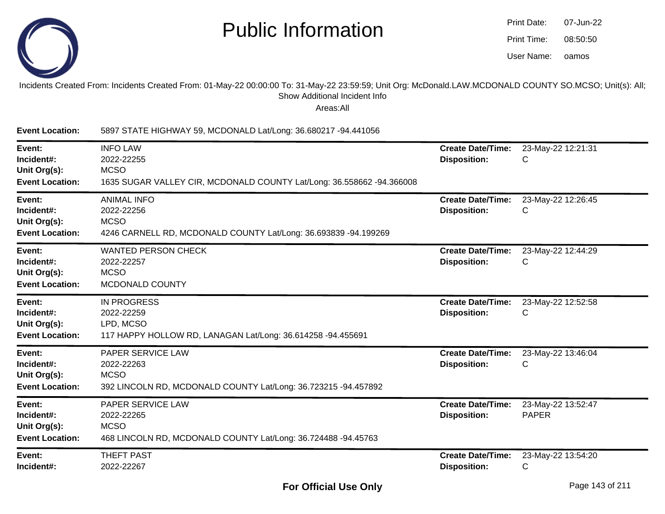

| Print Date: | 07-Jun-22 |
|-------------|-----------|
| Print Time: | 08:50:50  |
| User Name:  | oamos     |

#### Incidents Created From: Incidents Created From: 01-May-22 00:00:00 To: 31-May-22 23:59:59; Unit Org: McDonald.LAW.MCDONALD COUNTY SO.MCSO; Unit(s): All; Show Additional Incident Info

| <b>Event Location:</b>                                         | 5897 STATE HIGHWAY 59, MCDONALD Lat/Long: 36.680217 -94.441056                                                         |                                                 |                                    |
|----------------------------------------------------------------|------------------------------------------------------------------------------------------------------------------------|-------------------------------------------------|------------------------------------|
| Event:<br>Incident#:<br>Unit Org(s):<br><b>Event Location:</b> | <b>INFO LAW</b><br>2022-22255<br><b>MCSO</b><br>1635 SUGAR VALLEY CIR, MCDONALD COUNTY Lat/Long: 36.558662 -94.366008  | <b>Create Date/Time:</b><br><b>Disposition:</b> | 23-May-22 12:21:31<br>С            |
| Event:<br>Incident#:<br>Unit Org(s):<br><b>Event Location:</b> | <b>ANIMAL INFO</b><br>2022-22256<br><b>MCSO</b><br>4246 CARNELL RD, MCDONALD COUNTY Lat/Long: 36.693839 -94.199269     | <b>Create Date/Time:</b><br><b>Disposition:</b> | 23-May-22 12:26:45<br>С            |
| Event:<br>Incident#:<br>Unit Org(s):<br><b>Event Location:</b> | <b>WANTED PERSON CHECK</b><br>2022-22257<br><b>MCSO</b><br>MCDONALD COUNTY                                             | <b>Create Date/Time:</b><br><b>Disposition:</b> | 23-May-22 12:44:29<br>С            |
| Event:<br>Incident#:<br>Unit Org(s):<br><b>Event Location:</b> | <b>IN PROGRESS</b><br>2022-22259<br>LPD, MCSO<br>117 HAPPY HOLLOW RD, LANAGAN Lat/Long: 36.614258 -94.455691           | <b>Create Date/Time:</b><br><b>Disposition:</b> | 23-May-22 12:52:58<br>С            |
| Event:<br>Incident#:<br>Unit Org(s):<br><b>Event Location:</b> | PAPER SERVICE LAW<br>2022-22263<br><b>MCSO</b><br>392 LINCOLN RD, MCDONALD COUNTY Lat/Long: 36.723215 -94.457892       | <b>Create Date/Time:</b><br><b>Disposition:</b> | 23-May-22 13:46:04<br>С            |
| Event:<br>Incident#:<br>Unit Org(s):<br><b>Event Location:</b> | <b>PAPER SERVICE LAW</b><br>2022-22265<br><b>MCSO</b><br>468 LINCOLN RD, MCDONALD COUNTY Lat/Long: 36.724488 -94.45763 | <b>Create Date/Time:</b><br><b>Disposition:</b> | 23-May-22 13:52:47<br><b>PAPER</b> |
| Event:<br>Incident#:                                           | <b>THEFT PAST</b><br>2022-22267                                                                                        | <b>Create Date/Time:</b><br><b>Disposition:</b> | 23-May-22 13:54:20<br>С            |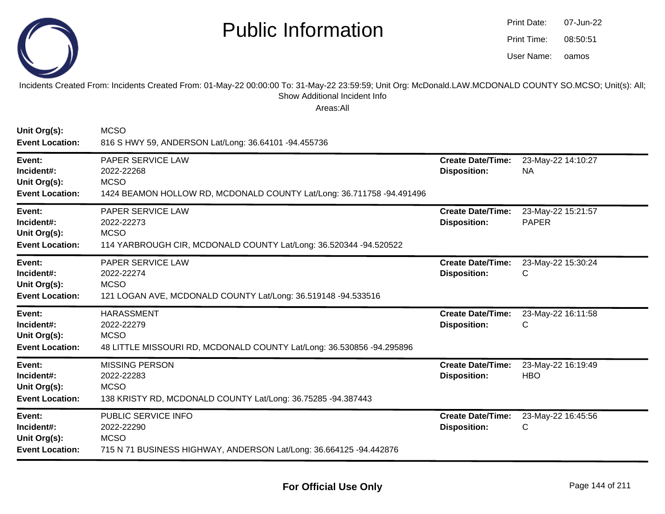

**Unit Org(s):**

**MCSO** 

## Public Information

| <b>Print Date:</b> | 07-Jun-22 |
|--------------------|-----------|
| Print Time:        | 08:50:51  |
| User Name:         | oamos     |

Incidents Created From: Incidents Created From: 01-May-22 00:00:00 To: 31-May-22 23:59:59; Unit Org: McDonald.LAW.MCDONALD COUNTY SO.MCSO; Unit(s): All; Show Additional Incident Info

| <b>Event Location:</b>                                         | 816 S HWY 59, ANDERSON Lat/Long: 36.64101 -94.455736                                                                    |                                                 |                                    |
|----------------------------------------------------------------|-------------------------------------------------------------------------------------------------------------------------|-------------------------------------------------|------------------------------------|
| Event:<br>Incident#:<br>Unit Org(s):<br><b>Event Location:</b> | PAPER SERVICE LAW<br>2022-22268<br><b>MCSO</b><br>1424 BEAMON HOLLOW RD, MCDONALD COUNTY Lat/Long: 36.711758 -94.491496 | <b>Create Date/Time:</b><br><b>Disposition:</b> | 23-May-22 14:10:27<br><b>NA</b>    |
| Event:<br>Incident#:<br>Unit Org(s):<br><b>Event Location:</b> | PAPER SERVICE LAW<br>2022-22273<br><b>MCSO</b><br>114 YARBROUGH CIR, MCDONALD COUNTY Lat/Long: 36.520344 -94.520522     | <b>Create Date/Time:</b><br><b>Disposition:</b> | 23-May-22 15:21:57<br><b>PAPER</b> |
| Event:<br>Incident#:<br>Unit Org(s):<br><b>Event Location:</b> | PAPER SERVICE LAW<br>2022-22274<br><b>MCSO</b><br>121 LOGAN AVE, MCDONALD COUNTY Lat/Long: 36.519148 -94.533516         | <b>Create Date/Time:</b><br><b>Disposition:</b> | 23-May-22 15:30:24<br>C            |
| Event:<br>Incident#:<br>Unit Org(s):<br><b>Event Location:</b> | <b>HARASSMENT</b><br>2022-22279<br><b>MCSO</b><br>48 LITTLE MISSOURI RD, MCDONALD COUNTY Lat/Long: 36.530856 -94.295896 | <b>Create Date/Time:</b><br><b>Disposition:</b> | 23-May-22 16:11:58<br>C            |
| Event:<br>Incident#:<br>Unit Org(s):<br><b>Event Location:</b> | <b>MISSING PERSON</b><br>2022-22283<br><b>MCSO</b><br>138 KRISTY RD, MCDONALD COUNTY Lat/Long: 36.75285 -94.387443      | <b>Create Date/Time:</b><br><b>Disposition:</b> | 23-May-22 16:19:49<br><b>HBO</b>   |
| Event:<br>Incident#:<br>Unit Org(s):<br><b>Event Location:</b> | PUBLIC SERVICE INFO<br>2022-22290<br><b>MCSO</b><br>715 N 71 BUSINESS HIGHWAY, ANDERSON Lat/Long: 36.664125 -94.442876  | <b>Create Date/Time:</b><br><b>Disposition:</b> | 23-May-22 16:45:56<br>C            |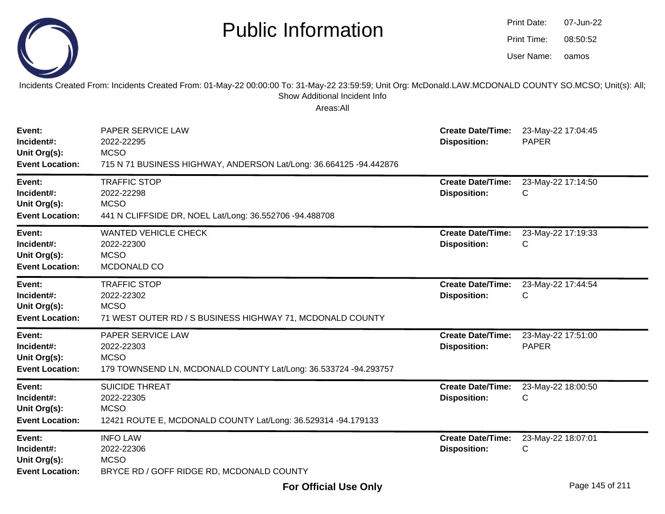|                                                                | <b>Public Information</b><br>Incidents Created From: Incidents Created From: 01-May-22 00:00:00 To: 31-May-22 23:59:59; Unit Org: McDonald.LAW.MCDONALD COUNTY SO.MCSO; Unit(s): All;<br>Show Additional Incident Info |                                                 | Print Date:<br>Print Time:<br>User Name: | 07-Jun-22<br>08:50:52<br>oamos |
|----------------------------------------------------------------|------------------------------------------------------------------------------------------------------------------------------------------------------------------------------------------------------------------------|-------------------------------------------------|------------------------------------------|--------------------------------|
| Event:<br>Incident#:<br>Unit Org(s):<br><b>Event Location:</b> | Areas:All<br>PAPER SERVICE LAW<br>2022-22295<br><b>MCSO</b><br>715 N 71 BUSINESS HIGHWAY, ANDERSON Lat/Long: 36.664125 -94.442876                                                                                      | <b>Create Date/Time:</b><br><b>Disposition:</b> | <b>PAPER</b>                             | 23-May-22 17:04:45             |
| Event:<br>Incident#:<br>Unit Org(s):<br><b>Event Location:</b> | <b>TRAFFIC STOP</b><br>2022-22298<br><b>MCSO</b><br>441 N CLIFFSIDE DR, NOEL Lat/Long: 36.552706 -94.488708                                                                                                            | <b>Create Date/Time:</b><br><b>Disposition:</b> | С                                        | 23-May-22 17:14:50             |
| Event:<br>Incident#:<br>Unit Org(s):<br><b>Event Location:</b> | <b>WANTED VEHICLE CHECK</b><br>2022-22300<br><b>MCSO</b><br>MCDONALD CO                                                                                                                                                | <b>Create Date/Time:</b><br><b>Disposition:</b> | С                                        | 23-May-22 17:19:33             |
| Event:<br>Incident#:<br>Unit Org(s):<br><b>Event Location:</b> | <b>TRAFFIC STOP</b><br>2022-22302<br><b>MCSO</b><br>71 WEST OUTER RD / S BUSINESS HIGHWAY 71, MCDONALD COUNTY                                                                                                          | <b>Create Date/Time:</b><br><b>Disposition:</b> | С                                        | 23-May-22 17:44:54             |
| Event:<br>Incident#:<br>Unit Org(s):<br><b>Event Location:</b> | PAPER SERVICE LAW<br>2022-22303<br><b>MCSO</b><br>179 TOWNSEND LN, MCDONALD COUNTY Lat/Long: 36.533724 -94.293757                                                                                                      | <b>Create Date/Time:</b><br><b>Disposition:</b> | <b>PAPER</b>                             | 23-May-22 17:51:00             |
| Event:<br>Incident#:<br>Unit Org(s):<br><b>Event Location:</b> | <b>SUICIDE THREAT</b><br>2022-22305<br><b>MCSO</b><br>12421 ROUTE E, MCDONALD COUNTY Lat/Long: 36.529314 -94.179133                                                                                                    | <b>Create Date/Time:</b><br><b>Disposition:</b> | С                                        | 23-May-22 18:00:50             |
| Event:<br>Incident#:<br>Unit Org(s):<br><b>Event Location:</b> | <b>INFO LAW</b><br>2022-22306<br><b>MCSO</b><br>BRYCE RD / GOFF RIDGE RD, MCDONALD COUNTY                                                                                                                              | <b>Create Date/Time:</b><br><b>Disposition:</b> | С                                        | 23-May-22 18:07:01             |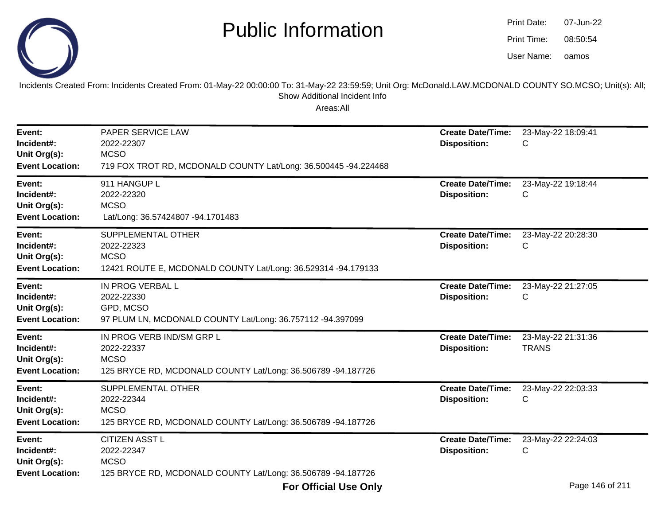

oamos07-Jun-2208:50:54Print Date:Print Time:User Name:

Incidents Created From: Incidents Created From: 01-May-22 00:00:00 To: 31-May-22 23:59:59; Unit Org: McDonald.LAW.MCDONALD COUNTY SO.MCSO; Unit(s): All; Show Additional Incident Info

| Event:<br>Incident#:<br>Unit Org(s):<br><b>Event Location:</b> | PAPER SERVICE LAW<br>2022-22307<br><b>MCSO</b><br>719 FOX TROT RD, MCDONALD COUNTY Lat/Long: 36.500445 -94.224468      | <b>Create Date/Time:</b><br><b>Disposition:</b> | 23-May-22 18:09:41<br>С                    |
|----------------------------------------------------------------|------------------------------------------------------------------------------------------------------------------------|-------------------------------------------------|--------------------------------------------|
| Event:<br>Incident#:<br>Unit Org(s):<br><b>Event Location:</b> | 911 HANGUP L<br>2022-22320<br><b>MCSO</b><br>Lat/Long: 36.57424807 -94.1701483                                         | <b>Create Date/Time:</b><br><b>Disposition:</b> | 23-May-22 19:18:44<br>C                    |
| Event:<br>Incident#:<br>Unit Org(s):<br><b>Event Location:</b> | SUPPLEMENTAL OTHER<br>2022-22323<br><b>MCSO</b><br>12421 ROUTE E, MCDONALD COUNTY Lat/Long: 36.529314 -94.179133       | <b>Create Date/Time:</b><br><b>Disposition:</b> | 23-May-22 20:28:30<br>С                    |
| Event:<br>Incident#:<br>Unit Org(s):<br><b>Event Location:</b> | IN PROG VERBAL L<br>2022-22330<br>GPD, MCSO<br>97 PLUM LN, MCDONALD COUNTY Lat/Long: 36.757112 -94.397099              | <b>Create Date/Time:</b><br><b>Disposition:</b> | 23-May-22 21:27:05<br>С                    |
| Event:<br>Incident#:<br>Unit Org(s):<br><b>Event Location:</b> | IN PROG VERB IND/SM GRP L<br>2022-22337<br><b>MCSO</b><br>125 BRYCE RD, MCDONALD COUNTY Lat/Long: 36.506789 -94.187726 | <b>Create Date/Time:</b><br><b>Disposition:</b> | 23-May-22 21:31:36<br><b>TRANS</b>         |
| Event:<br>Incident#:<br>Unit Org(s):<br><b>Event Location:</b> | SUPPLEMENTAL OTHER<br>2022-22344<br><b>MCSO</b><br>125 BRYCE RD, MCDONALD COUNTY Lat/Long: 36.506789 -94.187726        | <b>Create Date/Time:</b><br><b>Disposition:</b> | 23-May-22 22:03:33<br>С                    |
| Event:<br>Incident#:<br>Unit Org(s):<br><b>Event Location:</b> | <b>CITIZEN ASST L</b><br>2022-22347<br><b>MCSO</b><br>125 BRYCE RD, MCDONALD COUNTY Lat/Long: 36.506789 -94.187726     | <b>Create Date/Time:</b><br><b>Disposition:</b> | 23-May-22 22:24:03<br>C<br>$D = 4AC + 04A$ |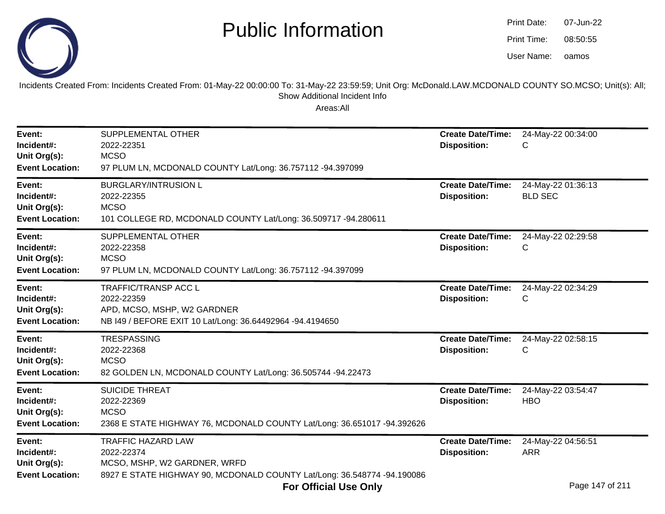

| <b>Print Date:</b> | 07-Jun-22 |
|--------------------|-----------|
| Print Time:        | 08:50:55  |
| User Name:         | oamos     |

Incidents Created From: Incidents Created From: 01-May-22 00:00:00 To: 31-May-22 23:59:59; Unit Org: McDonald.LAW.MCDONALD COUNTY SO.MCSO; Unit(s): All;Show Additional Incident Info

| Event:<br>Incident#:<br>Unit Org(s):<br><b>Event Location:</b> | SUPPLEMENTAL OTHER<br>2022-22351<br><b>MCSO</b><br>97 PLUM LN, MCDONALD COUNTY Lat/Long: 36.757112 -94.397099                                      | <b>Create Date/Time:</b><br><b>Disposition:</b> | 24-May-22 00:34:00<br>С              |
|----------------------------------------------------------------|----------------------------------------------------------------------------------------------------------------------------------------------------|-------------------------------------------------|--------------------------------------|
| Event:<br>Incident#:<br>Unit Org(s):<br><b>Event Location:</b> | <b>BURGLARY/INTRUSION L</b><br>2022-22355<br><b>MCSO</b><br>101 COLLEGE RD, MCDONALD COUNTY Lat/Long: 36.509717 -94.280611                         | <b>Create Date/Time:</b><br><b>Disposition:</b> | 24-May-22 01:36:13<br><b>BLD SEC</b> |
| Event:<br>Incident#:<br>Unit Org(s):<br><b>Event Location:</b> | SUPPLEMENTAL OTHER<br>2022-22358<br><b>MCSO</b><br>97 PLUM LN, MCDONALD COUNTY Lat/Long: 36.757112 -94.397099                                      | <b>Create Date/Time:</b><br><b>Disposition:</b> | 24-May-22 02:29:58<br>С              |
| Event:<br>Incident#:<br>Unit Org(s):<br><b>Event Location:</b> | <b>TRAFFIC/TRANSP ACC L</b><br>2022-22359<br>APD, MCSO, MSHP, W2 GARDNER<br>NB I49 / BEFORE EXIT 10 Lat/Long: 36.64492964 -94.4194650              | <b>Create Date/Time:</b><br><b>Disposition:</b> | 24-May-22 02:34:29<br>С              |
| Event:<br>Incident#:<br>Unit Org(s):<br><b>Event Location:</b> | <b>TRESPASSING</b><br>2022-22368<br><b>MCSO</b><br>82 GOLDEN LN, MCDONALD COUNTY Lat/Long: 36.505744 -94.22473                                     | <b>Create Date/Time:</b><br><b>Disposition:</b> | 24-May-22 02:58:15<br>С              |
| Event:<br>Incident#:<br>Unit Org(s):<br><b>Event Location:</b> | <b>SUICIDE THREAT</b><br>2022-22369<br><b>MCSO</b><br>2368 E STATE HIGHWAY 76, MCDONALD COUNTY Lat/Long: 36.651017 -94.392626                      | <b>Create Date/Time:</b><br><b>Disposition:</b> | 24-May-22 03:54:47<br><b>HBO</b>     |
| Event:<br>Incident#:<br>Unit Org(s):<br><b>Event Location:</b> | <b>TRAFFIC HAZARD LAW</b><br>2022-22374<br>MCSO, MSHP, W2 GARDNER, WRFD<br>8927 E STATE HIGHWAY 90, MCDONALD COUNTY Lat/Long: 36.548774 -94.190086 | <b>Create Date/Time:</b><br><b>Disposition:</b> | 24-May-22 04:56:51<br><b>ARR</b>     |
|                                                                | <b>For Official Use Only</b>                                                                                                                       |                                                 | Page 147 of 211                      |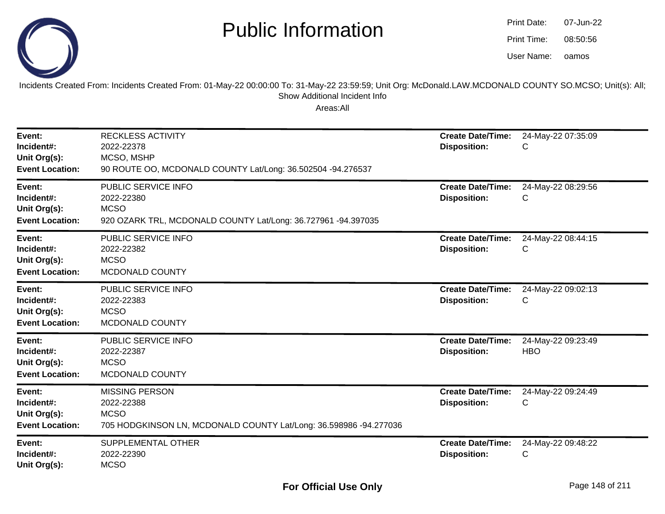

oamos07-Jun-2208:50:56Print Date:Print Time:User Name:

Incidents Created From: Incidents Created From: 01-May-22 00:00:00 To: 31-May-22 23:59:59; Unit Org: McDonald.LAW.MCDONALD COUNTY SO.MCSO; Unit(s): All; Show Additional Incident Info

| Event:<br>Incident#:<br>Unit Org(s):<br><b>Event Location:</b> | <b>RECKLESS ACTIVITY</b><br>2022-22378<br>MCSO, MSHP<br>90 ROUTE OO, MCDONALD COUNTY Lat/Long: 36.502504 -94.276537     | <b>Create Date/Time:</b><br><b>Disposition:</b> | 24-May-22 07:35:09<br>С          |
|----------------------------------------------------------------|-------------------------------------------------------------------------------------------------------------------------|-------------------------------------------------|----------------------------------|
| Event:<br>Incident#:<br>Unit Org(s):<br><b>Event Location:</b> | PUBLIC SERVICE INFO<br>2022-22380<br><b>MCSO</b><br>920 OZARK TRL, MCDONALD COUNTY Lat/Long: 36.727961 -94.397035       | <b>Create Date/Time:</b><br><b>Disposition:</b> | 24-May-22 08:29:56<br>С          |
| Event:<br>Incident#:<br>Unit Org(s):<br><b>Event Location:</b> | PUBLIC SERVICE INFO<br>2022-22382<br><b>MCSO</b><br>MCDONALD COUNTY                                                     | <b>Create Date/Time:</b><br><b>Disposition:</b> | 24-May-22 08:44:15<br>С          |
| Event:<br>Incident#:<br>Unit Org(s):<br><b>Event Location:</b> | PUBLIC SERVICE INFO<br>2022-22383<br><b>MCSO</b><br>MCDONALD COUNTY                                                     | <b>Create Date/Time:</b><br><b>Disposition:</b> | 24-May-22 09:02:13<br>С          |
| Event:<br>Incident#:<br>Unit Org(s):<br><b>Event Location:</b> | PUBLIC SERVICE INFO<br>2022-22387<br><b>MCSO</b><br>MCDONALD COUNTY                                                     | <b>Create Date/Time:</b><br><b>Disposition:</b> | 24-May-22 09:23:49<br><b>HBO</b> |
| Event:<br>Incident#:<br>Unit Org(s):<br><b>Event Location:</b> | <b>MISSING PERSON</b><br>2022-22388<br><b>MCSO</b><br>705 HODGKINSON LN, MCDONALD COUNTY Lat/Long: 36.598986 -94.277036 | <b>Create Date/Time:</b><br><b>Disposition:</b> | 24-May-22 09:24:49<br>С          |
| Event:<br>Incident#:<br>Unit Org(s):                           | SUPPLEMENTAL OTHER<br>2022-22390<br><b>MCSO</b>                                                                         | <b>Create Date/Time:</b><br><b>Disposition:</b> | 24-May-22 09:48:22<br>С          |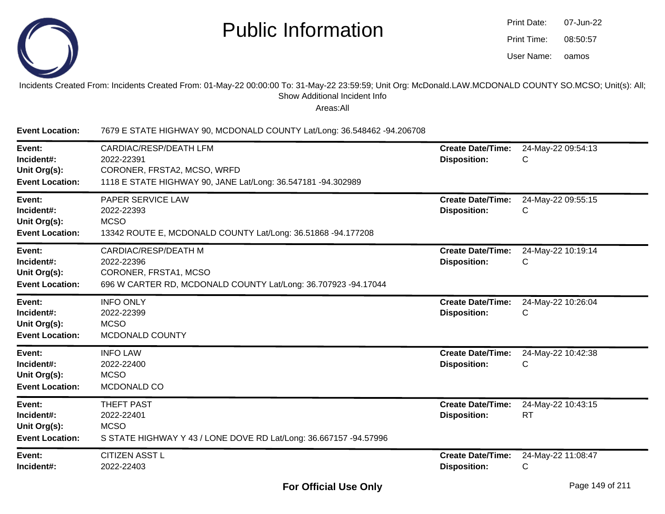

| <b>Print Date:</b> | 07-Jun-22 |
|--------------------|-----------|
| Print Time:        | 08:50:57  |
| User Name:         | oamos     |

#### Incidents Created From: Incidents Created From: 01-May-22 00:00:00 To: 31-May-22 23:59:59; Unit Org: McDonald.LAW.MCDONALD COUNTY SO.MCSO; Unit(s): All; Show Additional Incident Info

| <b>Event Location:</b>                                         | 7679 E STATE HIGHWAY 90, MCDONALD COUNTY Lat/Long: 36.548462 -94.206708                                                              |                                                 |                                 |
|----------------------------------------------------------------|--------------------------------------------------------------------------------------------------------------------------------------|-------------------------------------------------|---------------------------------|
| Event:<br>Incident#:<br>Unit Org(s):<br><b>Event Location:</b> | CARDIAC/RESP/DEATH LFM<br>2022-22391<br>CORONER, FRSTA2, MCSO, WRFD<br>1118 E STATE HIGHWAY 90, JANE Lat/Long: 36.547181 -94.302989  | <b>Create Date/Time:</b><br><b>Disposition:</b> | 24-May-22 09:54:13<br>С         |
| Event:<br>Incident#:<br>Unit Org(s):<br><b>Event Location:</b> | PAPER SERVICE LAW<br>2022-22393<br><b>MCSO</b><br>13342 ROUTE E, MCDONALD COUNTY Lat/Long: 36.51868 -94.177208                       | <b>Create Date/Time:</b><br><b>Disposition:</b> | 24-May-22 09:55:15<br>C         |
| Event:<br>Incident#:<br>Unit Org(s):<br><b>Event Location:</b> | <b>CARDIAC/RESP/DEATH M</b><br>2022-22396<br>CORONER, FRSTA1, MCSO<br>696 W CARTER RD, MCDONALD COUNTY Lat/Long: 36.707923 -94.17044 | <b>Create Date/Time:</b><br><b>Disposition:</b> | 24-May-22 10:19:14<br>C         |
| Event:<br>Incident#:<br>Unit Org(s):<br><b>Event Location:</b> | <b>INFO ONLY</b><br>2022-22399<br><b>MCSO</b><br>MCDONALD COUNTY                                                                     | <b>Create Date/Time:</b><br><b>Disposition:</b> | 24-May-22 10:26:04<br>С         |
| Event:<br>Incident#:<br>Unit Org(s):<br><b>Event Location:</b> | <b>INFO LAW</b><br>2022-22400<br><b>MCSO</b><br>MCDONALD CO                                                                          | <b>Create Date/Time:</b><br><b>Disposition:</b> | 24-May-22 10:42:38<br>С         |
| Event:<br>Incident#:<br>Unit Org(s):<br><b>Event Location:</b> | THEFT PAST<br>2022-22401<br><b>MCSO</b><br>S STATE HIGHWAY Y 43 / LONE DOVE RD Lat/Long: 36.667157 -94.57996                         | <b>Create Date/Time:</b><br><b>Disposition:</b> | 24-May-22 10:43:15<br><b>RT</b> |
| Event:<br>Incident#:                                           | <b>CITIZEN ASST L</b><br>2022-22403                                                                                                  | <b>Create Date/Time:</b><br><b>Disposition:</b> | 24-May-22 11:08:47<br>С         |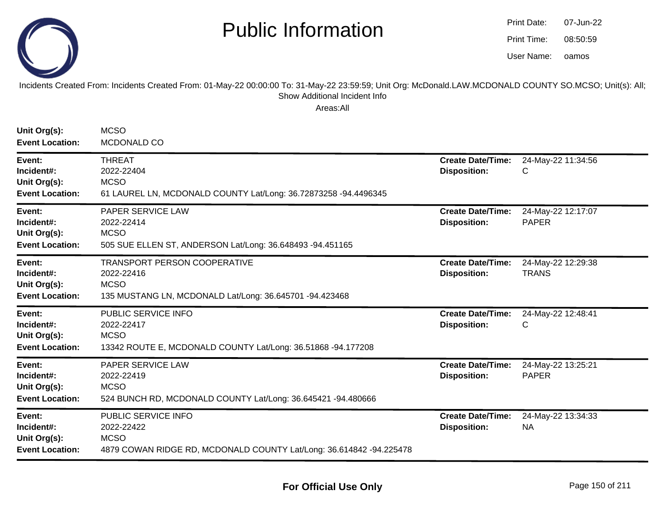

oamos07-Jun-2208:50:59Print Date:Print Time:User Name:

#### Incidents Created From: Incidents Created From: 01-May-22 00:00:00 To: 31-May-22 23:59:59; Unit Org: McDonald.LAW.MCDONALD COUNTY SO.MCSO; Unit(s): All; Show Additional Incident Info

| Unit Org(s):<br><b>Event Location:</b>                         | <b>MCSO</b><br>MCDONALD CO                                                                                                  |                                                 |                                    |
|----------------------------------------------------------------|-----------------------------------------------------------------------------------------------------------------------------|-------------------------------------------------|------------------------------------|
| Event:<br>Incident#:<br>Unit Org(s):<br><b>Event Location:</b> | <b>THREAT</b><br>2022-22404<br><b>MCSO</b><br>61 LAUREL LN, MCDONALD COUNTY Lat/Long: 36.72873258 -94.4496345               | <b>Create Date/Time:</b><br><b>Disposition:</b> | 24-May-22 11:34:56<br>С            |
| Event:<br>Incident#:<br>Unit Org(s):<br><b>Event Location:</b> | PAPER SERVICE LAW<br>2022-22414<br><b>MCSO</b><br>505 SUE ELLEN ST, ANDERSON Lat/Long: 36.648493 -94.451165                 | <b>Create Date/Time:</b><br><b>Disposition:</b> | 24-May-22 12:17:07<br><b>PAPER</b> |
| Event:<br>Incident#:<br>Unit Org(s):<br><b>Event Location:</b> | <b>TRANSPORT PERSON COOPERATIVE</b><br>2022-22416<br><b>MCSO</b><br>135 MUSTANG LN, MCDONALD Lat/Long: 36.645701 -94.423468 | <b>Create Date/Time:</b><br><b>Disposition:</b> | 24-May-22 12:29:38<br><b>TRANS</b> |
| Event:<br>Incident#:<br>Unit Org(s):<br><b>Event Location:</b> | <b>PUBLIC SERVICE INFO</b><br>2022-22417<br><b>MCSO</b><br>13342 ROUTE E, MCDONALD COUNTY Lat/Long: 36.51868 -94.177208     | <b>Create Date/Time:</b><br><b>Disposition:</b> | 24-May-22 12:48:41<br>C            |
| Event:<br>Incident#:<br>Unit Org(s):<br><b>Event Location:</b> | PAPER SERVICE LAW<br>2022-22419<br><b>MCSO</b><br>524 BUNCH RD, MCDONALD COUNTY Lat/Long: 36.645421 -94.480666              | <b>Create Date/Time:</b><br><b>Disposition:</b> | 24-May-22 13:25:21<br><b>PAPER</b> |
| Event:<br>Incident#:<br>Unit Org(s):<br><b>Event Location:</b> | PUBLIC SERVICE INFO<br>2022-22422<br><b>MCSO</b><br>4879 COWAN RIDGE RD, MCDONALD COUNTY Lat/Long: 36.614842 -94.225478     | <b>Create Date/Time:</b><br><b>Disposition:</b> | 24-May-22 13:34:33<br><b>NA</b>    |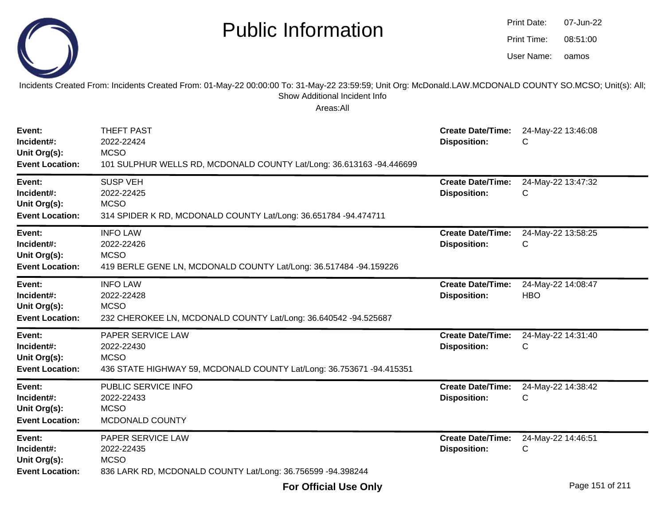|                                                                | <b>Public Information</b>                                                                                                                                                                              |                                                 | <b>Print Date:</b><br>Print Time:<br>User Name: | 07-Jun-22<br>08:51:00<br>oamos |
|----------------------------------------------------------------|--------------------------------------------------------------------------------------------------------------------------------------------------------------------------------------------------------|-------------------------------------------------|-------------------------------------------------|--------------------------------|
|                                                                | Incidents Created From: Incidents Created From: 01-May-22 00:00:00 To: 31-May-22 23:59:59; Unit Org: McDonald.LAW.MCDONALD COUNTY SO.MCSO; Unit(s): All;<br>Show Additional Incident Info<br>Areas:All |                                                 |                                                 |                                |
| Event:<br>Incident#:<br>Unit Org(s):<br><b>Event Location:</b> | THEFT PAST<br>2022-22424<br><b>MCSO</b><br>101 SULPHUR WELLS RD, MCDONALD COUNTY Lat/Long: 36.613163 -94.446699                                                                                        | <b>Create Date/Time:</b><br><b>Disposition:</b> | С                                               | 24-May-22 13:46:08             |
| Event:<br>Incident#:<br>Unit Org(s):<br><b>Event Location:</b> | <b>SUSP VEH</b><br>2022-22425<br><b>MCSO</b><br>314 SPIDER K RD, MCDONALD COUNTY Lat/Long: 36.651784 -94.474711                                                                                        | <b>Create Date/Time:</b><br><b>Disposition:</b> | С                                               | 24-May-22 13:47:32             |
| Event:<br>Incident#:<br>Unit Org(s):<br><b>Event Location:</b> | <b>INFO LAW</b><br>2022-22426<br><b>MCSO</b><br>419 BERLE GENE LN, MCDONALD COUNTY Lat/Long: 36.517484 -94.159226                                                                                      | <b>Create Date/Time:</b><br><b>Disposition:</b> | С                                               | 24-May-22 13:58:25             |
| Event:<br>Incident#:<br>Unit Org(s):<br><b>Event Location:</b> | <b>INFO LAW</b><br>2022-22428<br><b>MCSO</b><br>232 CHEROKEE LN, MCDONALD COUNTY Lat/Long: 36.640542 -94.525687                                                                                        | <b>Create Date/Time:</b><br><b>Disposition:</b> | <b>HBO</b>                                      | 24-May-22 14:08:47             |
| Event:<br>Incident#:<br>Unit Org(s):<br><b>Event Location:</b> | PAPER SERVICE LAW<br>2022-22430<br><b>MCSO</b><br>436 STATE HIGHWAY 59, MCDONALD COUNTY Lat/Long: 36.753671 -94.415351                                                                                 | <b>Create Date/Time:</b><br><b>Disposition:</b> | С                                               | 24-May-22 14:31:40             |
| Event:<br>Incident#:<br>Unit Org(s):<br><b>Event Location:</b> | PUBLIC SERVICE INFO<br>2022-22433<br><b>MCSO</b><br>MCDONALD COUNTY                                                                                                                                    | <b>Create Date/Time:</b><br><b>Disposition:</b> | C                                               | 24-May-22 14:38:42             |
| Event:<br>Incident#:<br>Unit Org(s):<br><b>Event Location:</b> | PAPER SERVICE LAW<br>2022-22435<br><b>MCSO</b><br>836 LARK RD, MCDONALD COUNTY Lat/Long: 36.756599 -94.398244                                                                                          | <b>Create Date/Time:</b><br><b>Disposition:</b> | С                                               | 24-May-22 14:46:51             |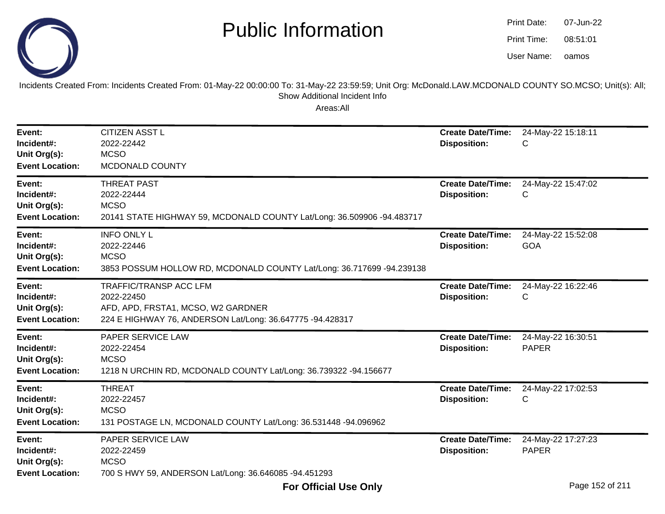

oamos07-Jun-2208:51:01Print Date:Print Time:User Name:



Incidents Created From: Incidents Created From: 01-May-22 00:00:00 To: 31-May-22 23:59:59; Unit Org: McDonald.LAW.MCDONALD COUNTY SO.MCSO; Unit(s): All; Show Additional Incident Info

| Event:<br>Incident#:<br>Unit Org(s):<br><b>Event Location:</b> | <b>CITIZEN ASST L</b><br>2022-22442<br><b>MCSO</b><br>MCDONALD COUNTY                                                                          | <b>Create Date/Time:</b><br><b>Disposition:</b> | 24-May-22 15:18:11<br>C            |
|----------------------------------------------------------------|------------------------------------------------------------------------------------------------------------------------------------------------|-------------------------------------------------|------------------------------------|
| Event:<br>Incident#:<br>Unit Org(s):<br><b>Event Location:</b> | <b>THREAT PAST</b><br>2022-22444<br><b>MCSO</b><br>20141 STATE HIGHWAY 59, MCDONALD COUNTY Lat/Long: 36.509906 -94.483717                      | <b>Create Date/Time:</b><br><b>Disposition:</b> | 24-May-22 15:47:02<br>C            |
| Event:<br>Incident#:<br>Unit Org(s):<br><b>Event Location:</b> | <b>INFO ONLY L</b><br>2022-22446<br><b>MCSO</b><br>3853 POSSUM HOLLOW RD, MCDONALD COUNTY Lat/Long: 36.717699 -94.239138                       | <b>Create Date/Time:</b><br><b>Disposition:</b> | 24-May-22 15:52:08<br><b>GOA</b>   |
| Event:<br>Incident#:<br>Unit Org(s):<br><b>Event Location:</b> | <b>TRAFFIC/TRANSP ACC LFM</b><br>2022-22450<br>AFD, APD, FRSTA1, MCSO, W2 GARDNER<br>224 E HIGHWAY 76, ANDERSON Lat/Long: 36.647775 -94.428317 | <b>Create Date/Time:</b><br><b>Disposition:</b> | 24-May-22 16:22:46<br>C            |
| Event:<br>Incident#:<br>Unit Org(s):<br><b>Event Location:</b> | PAPER SERVICE LAW<br>2022-22454<br><b>MCSO</b><br>1218 N URCHIN RD, MCDONALD COUNTY Lat/Long: 36.739322 -94.156677                             | <b>Create Date/Time:</b><br><b>Disposition:</b> | 24-May-22 16:30:51<br><b>PAPER</b> |
| Event:<br>Incident#:<br>Unit Org(s):<br><b>Event Location:</b> | <b>THREAT</b><br>2022-22457<br><b>MCSO</b><br>131 POSTAGE LN, MCDONALD COUNTY Lat/Long: 36.531448 -94.096962                                   | <b>Create Date/Time:</b><br><b>Disposition:</b> | 24-May-22 17:02:53<br>C            |
| Event:<br>Incident#:<br>Unit Org(s):<br><b>Event Location:</b> | PAPER SERVICE LAW<br>2022-22459<br><b>MCSO</b><br>700 S HWY 59, ANDERSON Lat/Long: 36.646085 -94.451293                                        | <b>Create Date/Time:</b><br><b>Disposition:</b> | 24-May-22 17:27:23<br><b>PAPER</b> |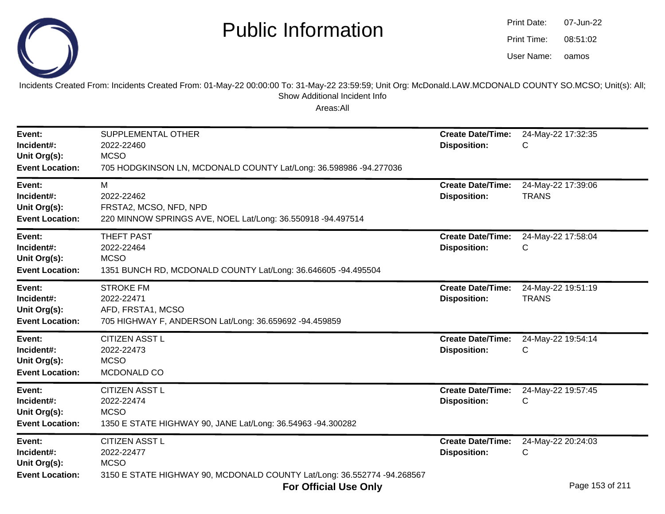

| Print Date: | 07-Jun-22 |
|-------------|-----------|
| Print Time: | 08:51:02  |
| User Name:  | oamos     |

Incidents Created From: Incidents Created From: 01-May-22 00:00:00 To: 31-May-22 23:59:59; Unit Org: McDonald.LAW.MCDONALD COUNTY SO.MCSO; Unit(s): All;Show Additional Incident Info

| Event:<br>Incident#:<br>Unit Org(s):<br><b>Event Location:</b> | SUPPLEMENTAL OTHER<br>2022-22460<br><b>MCSO</b><br>705 HODGKINSON LN, MCDONALD COUNTY Lat/Long: 36.598986 -94.277036                                                                                                 | <b>Create Date/Time:</b><br><b>Disposition:</b> | 24-May-22 17:32:35<br>С                                                 |
|----------------------------------------------------------------|----------------------------------------------------------------------------------------------------------------------------------------------------------------------------------------------------------------------|-------------------------------------------------|-------------------------------------------------------------------------|
| Event:<br>Incident#:<br>Unit Org(s):<br><b>Event Location:</b> | М<br>2022-22462<br>FRSTA2, MCSO, NFD, NPD<br>220 MINNOW SPRINGS AVE, NOEL Lat/Long: 36.550918 -94.497514                                                                                                             | <b>Create Date/Time:</b><br><b>Disposition:</b> | 24-May-22 17:39:06<br><b>TRANS</b>                                      |
| Event:<br>Incident#:<br>Unit Org(s):<br><b>Event Location:</b> | <b>THEFT PAST</b><br>2022-22464<br><b>MCSO</b><br>1351 BUNCH RD, MCDONALD COUNTY Lat/Long: 36.646605 -94.495504                                                                                                      | <b>Create Date/Time:</b><br><b>Disposition:</b> | 24-May-22 17:58:04<br>С                                                 |
| Event:<br>Incident#:<br>Unit Org(s):<br><b>Event Location:</b> | <b>STROKE FM</b><br>2022-22471<br>AFD, FRSTA1, MCSO<br>705 HIGHWAY F, ANDERSON Lat/Long: 36.659692 -94.459859                                                                                                        | <b>Create Date/Time:</b><br><b>Disposition:</b> | 24-May-22 19:51:19<br><b>TRANS</b>                                      |
| Event:<br>Incident#:<br>Unit Org(s):<br><b>Event Location:</b> | <b>CITIZEN ASST L</b><br>2022-22473<br><b>MCSO</b><br>MCDONALD CO                                                                                                                                                    | <b>Create Date/Time:</b><br><b>Disposition:</b> | 24-May-22 19:54:14<br>С                                                 |
| Event:<br>Incident#:<br>Unit Org(s):<br><b>Event Location:</b> | <b>CITIZEN ASST L</b><br>2022-22474<br><b>MCSO</b><br>1350 E STATE HIGHWAY 90, JANE Lat/Long: 36.54963 -94.300282                                                                                                    | <b>Create Date/Time:</b><br><b>Disposition:</b> | 24-May-22 19:57:45<br>С                                                 |
| Event:<br>Incident#:<br>Unit Org(s):<br><b>Event Location:</b> | <b>CITIZEN ASST L</b><br>2022-22477<br><b>MCSO</b><br>3150 E STATE HIGHWAY 90, MCDONALD COUNTY Lat/Long: 36.552774 -94.268567<br>$E = \mathbf{A} \mathbf{B}$ and $\mathbf{A} \mathbf{B}$ and $\mathbf{A} \mathbf{B}$ | <b>Create Date/Time:</b><br><b>Disposition:</b> | 24-May-22 20:24:03<br>С<br>$D$ <sub>000</sub> $A$ $E$ <sup>04</sup> $A$ |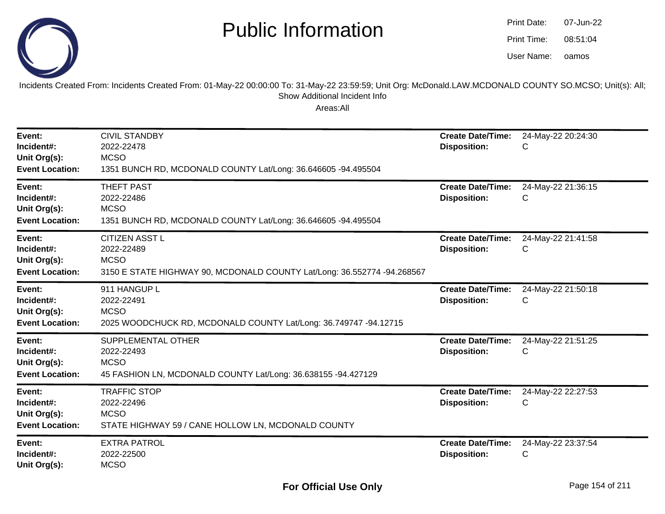

oamos07-Jun-2208:51:04Print Date:Print Time:User Name:

Incidents Created From: Incidents Created From: 01-May-22 00:00:00 To: 31-May-22 23:59:59; Unit Org: McDonald.LAW.MCDONALD COUNTY SO.MCSO; Unit(s): All; Show Additional Incident Info

| Event:<br>Incident#:<br>Unit Org(s):<br><b>Event Location:</b> | <b>CIVIL STANDBY</b><br>2022-22478<br><b>MCSO</b><br>1351 BUNCH RD, MCDONALD COUNTY Lat/Long: 36.646605 -94.495504            | <b>Create Date/Time:</b><br><b>Disposition:</b> | 24-May-22 20:24:30<br>С |
|----------------------------------------------------------------|-------------------------------------------------------------------------------------------------------------------------------|-------------------------------------------------|-------------------------|
| Event:<br>Incident#:<br>Unit Org(s):<br><b>Event Location:</b> | <b>THEFT PAST</b><br>2022-22486<br><b>MCSO</b><br>1351 BUNCH RD, MCDONALD COUNTY Lat/Long: 36.646605 -94.495504               | <b>Create Date/Time:</b><br><b>Disposition:</b> | 24-May-22 21:36:15<br>С |
| Event:<br>Incident#:<br>Unit Org(s):<br><b>Event Location:</b> | <b>CITIZEN ASST L</b><br>2022-22489<br><b>MCSO</b><br>3150 E STATE HIGHWAY 90, MCDONALD COUNTY Lat/Long: 36.552774 -94.268567 | <b>Create Date/Time:</b><br><b>Disposition:</b> | 24-May-22 21:41:58<br>С |
| Event:<br>Incident#:<br>Unit Org(s):<br><b>Event Location:</b> | 911 HANGUP L<br>2022-22491<br><b>MCSO</b><br>2025 WOODCHUCK RD, MCDONALD COUNTY Lat/Long: 36.749747 -94.12715                 | <b>Create Date/Time:</b><br><b>Disposition:</b> | 24-May-22 21:50:18<br>С |
| Event:<br>Incident#:<br>Unit Org(s):<br><b>Event Location:</b> | SUPPLEMENTAL OTHER<br>2022-22493<br><b>MCSO</b><br>45 FASHION LN, MCDONALD COUNTY Lat/Long: 36.638155 -94.427129              | <b>Create Date/Time:</b><br><b>Disposition:</b> | 24-May-22 21:51:25<br>C |
| Event:<br>Incident#:<br>Unit Org(s):<br><b>Event Location:</b> | <b>TRAFFIC STOP</b><br>2022-22496<br><b>MCSO</b><br>STATE HIGHWAY 59 / CANE HOLLOW LN, MCDONALD COUNTY                        | <b>Create Date/Time:</b><br><b>Disposition:</b> | 24-May-22 22:27:53<br>С |
| Event:<br>Incident#:<br>Unit Org(s):                           | <b>EXTRA PATROL</b><br>2022-22500<br><b>MCSO</b>                                                                              | <b>Create Date/Time:</b><br><b>Disposition:</b> | 24-May-22 23:37:54<br>С |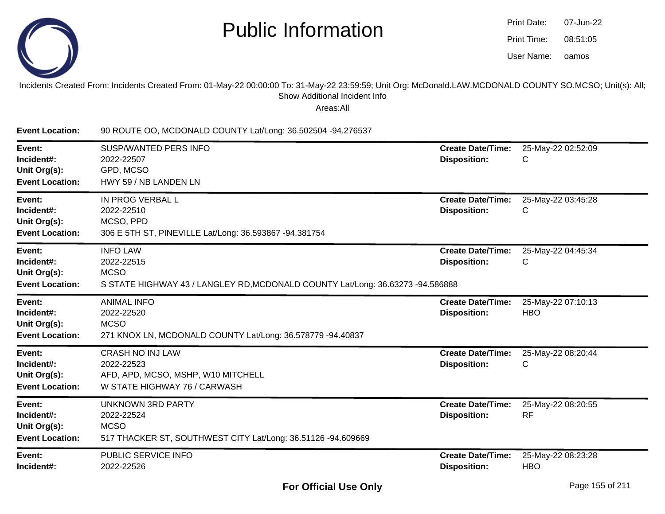

| Print Date: | 07-Jun-22 |
|-------------|-----------|
| Print Time: | 08:51:05  |
| User Name:  | oamos     |

Incidents Created From: Incidents Created From: 01-May-22 00:00:00 To: 31-May-22 23:59:59; Unit Org: McDonald.LAW.MCDONALD COUNTY SO.MCSO; Unit(s): All;Show Additional Incident Info

Areas:All

**Event Location:** 90 ROUTE OO, MCDONALD COUNTY Lat/Long: 36.502504 -94.276537**Event:** SUSP/WANTED PERS INFO **Create Date/Time:** 25-May-22 02:52:09 **Incident#:** 2022-22507 **Disposition:** <sup>C</sup>**Unit Org(s):** GPD, MCSO HWY 59 / NB LANDEN LN**Event Location:Event:** IN PROG VERBAL L **Create Date/Time:** 25-May-22 03:45:28 **Incident#:** 2022-22510 **Disposition:** <sup>C</sup>**Unit Org(s):** MCSO, PPD 306 E 5TH ST, PINEVILLE Lat/Long: 36.593867 -94.381754**Event Location:Event:** INFO LAW **Create Date/Time:** 25-May-22 04:45:34 **Incident#:** 2022-22515 **Disposition:** <sup>C</sup>**Unit Org(s):** MCSO S STATE HIGHWAY 43 / LANGLEY RD,MCDONALD COUNTY Lat/Long: 36.63273 -94.586888**Event Location:Event:** ANIMAL INFO **Create Date/Time:** 25-May-22 07:10:13 **Incident#:** 2022-22520 **Disposition:** HBO**Unit Org(s):** MCSO 271 KNOX LN, MCDONALD COUNTY Lat/Long: 36.578779 -94.40837**Event Location:Event:** CRASH NO INJ LAW **Create Date/Time:** 25-May-22 08:20:44 **Incident#:** 2022-22523 **Disposition:** <sup>C</sup>**Unit Org(s):** AFD, APD, MCSO, MSHP, W10 MITCHELL**Event Location:** W STATE HIGHWAY 76 / CARWASH**Event:** UNKNOWN 3RD PARTY **Create Date/Time:** 25-May-22 08:20:55 **Incident#:** 2022-22524 **Disposition:** RF**Unit Org(s):MCSO**  517 THACKER ST, SOUTHWEST CITY Lat/Long: 36.51126 -94.609669**Event Location:Event:** PUBLIC SERVICE INFO **Create Date/Time:** 25-May-22 08:23:28 **Incident#:** 2022-22526**Disposition:** HBO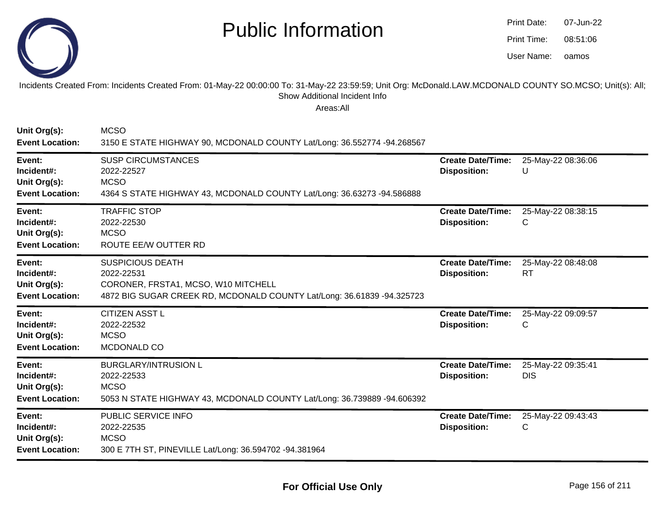

| Print Date: | 07-Jun-22 |
|-------------|-----------|
| Print Time: | 08:51:06  |
| User Name:  | oamos     |

#### Incidents Created From: Incidents Created From: 01-May-22 00:00:00 To: 31-May-22 23:59:59; Unit Org: McDonald.LAW.MCDONALD COUNTY SO.MCSO; Unit(s): All; Show Additional Incident Info

| Unit Org(s):<br><b>Event Location:</b>                         | <b>MCSO</b><br>3150 E STATE HIGHWAY 90, MCDONALD COUNTY Lat/Long: 36.552774 -94.268567                                                                 |                                                 |                                  |
|----------------------------------------------------------------|--------------------------------------------------------------------------------------------------------------------------------------------------------|-------------------------------------------------|----------------------------------|
| Event:<br>Incident#:<br>Unit Org(s):<br><b>Event Location:</b> | <b>SUSP CIRCUMSTANCES</b><br>2022-22527<br><b>MCSO</b><br>4364 S STATE HIGHWAY 43, MCDONALD COUNTY Lat/Long: 36.63273 -94.586888                       | <b>Create Date/Time:</b><br><b>Disposition:</b> | 25-May-22 08:36:06<br>U          |
| Event:<br>Incident#:<br>Unit Org(s):<br><b>Event Location:</b> | <b>TRAFFIC STOP</b><br>2022-22530<br><b>MCSO</b><br>ROUTE EE/W OUTTER RD                                                                               | <b>Create Date/Time:</b><br><b>Disposition:</b> | 25-May-22 08:38:15<br>С          |
| Event:<br>Incident#:<br>Unit Org(s):<br><b>Event Location:</b> | <b>SUSPICIOUS DEATH</b><br>2022-22531<br>CORONER, FRSTA1, MCSO, W10 MITCHELL<br>4872 BIG SUGAR CREEK RD, MCDONALD COUNTY Lat/Long: 36.61839 -94.325723 | <b>Create Date/Time:</b><br><b>Disposition:</b> | 25-May-22 08:48:08<br>RT         |
| Event:<br>Incident#:<br>Unit Org(s):<br><b>Event Location:</b> | <b>CITIZEN ASST L</b><br>2022-22532<br><b>MCSO</b><br>MCDONALD CO                                                                                      | <b>Create Date/Time:</b><br><b>Disposition:</b> | 25-May-22 09:09:57<br>С          |
| Event:<br>Incident#:<br>Unit Org(s):<br><b>Event Location:</b> | <b>BURGLARY/INTRUSION L</b><br>2022-22533<br><b>MCSO</b><br>5053 N STATE HIGHWAY 43, MCDONALD COUNTY Lat/Long: 36.739889 -94.606392                    | <b>Create Date/Time:</b><br><b>Disposition:</b> | 25-May-22 09:35:41<br><b>DIS</b> |
| Event:<br>Incident#:<br>Unit Org(s):<br><b>Event Location:</b> | PUBLIC SERVICE INFO<br>2022-22535<br><b>MCSO</b><br>300 E 7TH ST, PINEVILLE Lat/Long: 36.594702 -94.381964                                             | <b>Create Date/Time:</b><br><b>Disposition:</b> | 25-May-22 09:43:43<br>С          |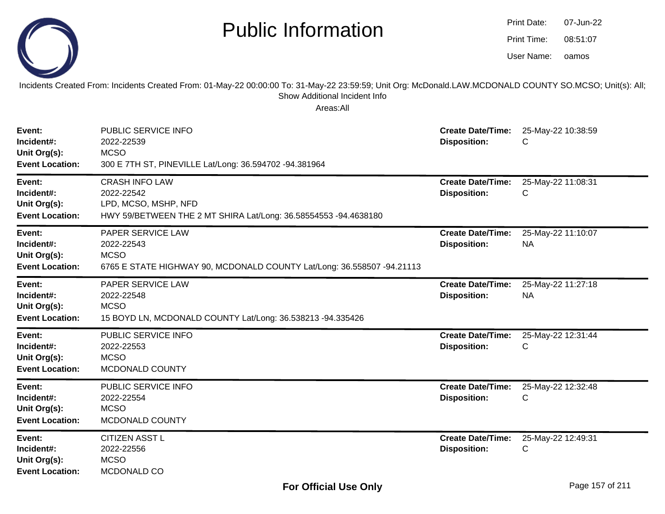|                                                                | <b>Public Information</b>                                                                                                                                                                              |                                                 | Print Date:<br>Print Time:<br>User Name: | 07-Jun-22<br>08:51:07<br>oamos |
|----------------------------------------------------------------|--------------------------------------------------------------------------------------------------------------------------------------------------------------------------------------------------------|-------------------------------------------------|------------------------------------------|--------------------------------|
|                                                                | Incidents Created From: Incidents Created From: 01-May-22 00:00:00 To: 31-May-22 23:59:59; Unit Org: McDonald.LAW.MCDONALD COUNTY SO.MCSO; Unit(s): All;<br>Show Additional Incident Info<br>Areas:All |                                                 |                                          |                                |
| Event:<br>Incident#:<br>Unit Org(s):<br><b>Event Location:</b> | PUBLIC SERVICE INFO<br>2022-22539<br><b>MCSO</b><br>300 E 7TH ST, PINEVILLE Lat/Long: 36.594702 -94.381964                                                                                             | <b>Create Date/Time:</b><br><b>Disposition:</b> | C                                        | 25-May-22 10:38:59             |
| Event:<br>Incident#:<br>Unit Org(s):<br><b>Event Location:</b> | <b>CRASH INFO LAW</b><br>2022-22542<br>LPD, MCSO, MSHP, NFD<br>HWY 59/BETWEEN THE 2 MT SHIRA Lat/Long: 36.58554553 -94.4638180                                                                         | <b>Create Date/Time:</b><br><b>Disposition:</b> | C                                        | 25-May-22 11:08:31             |
| Event:<br>Incident#:<br>Unit Org(s):<br><b>Event Location:</b> | PAPER SERVICE LAW<br>2022-22543<br><b>MCSO</b><br>6765 E STATE HIGHWAY 90, MCDONALD COUNTY Lat/Long: 36.558507 -94.21113                                                                               | <b>Create Date/Time:</b><br><b>Disposition:</b> | <b>NA</b>                                | 25-May-22 11:10:07             |
| Event:<br>Incident#:<br>Unit Org(s):<br><b>Event Location:</b> | PAPER SERVICE LAW<br>2022-22548<br><b>MCSO</b><br>15 BOYD LN, MCDONALD COUNTY Lat/Long: 36.538213 -94.335426                                                                                           | <b>Create Date/Time:</b><br><b>Disposition:</b> | <b>NA</b>                                | 25-May-22 11:27:18             |
| Event:<br>Incident#:<br>Unit Org(s):<br><b>Event Location:</b> | PUBLIC SERVICE INFO<br>2022-22553<br><b>MCSO</b><br>MCDONALD COUNTY                                                                                                                                    | <b>Create Date/Time:</b><br><b>Disposition:</b> | С                                        | 25-May-22 12:31:44             |
| Event:<br>Incident#:<br>Unit Org(s):<br><b>Event Location:</b> | PUBLIC SERVICE INFO<br>2022-22554<br><b>MCSO</b><br>MCDONALD COUNTY                                                                                                                                    | <b>Create Date/Time:</b><br><b>Disposition:</b> | C                                        | 25-May-22 12:32:48             |
| Event:<br>Incident#:<br>Unit Org(s):<br><b>Event Location:</b> | <b>CITIZEN ASST L</b><br>2022-22556<br><b>MCSO</b><br>MCDONALD CO                                                                                                                                      | <b>Create Date/Time:</b><br><b>Disposition:</b> | С                                        | 25-May-22 12:49:31             |

Print Date: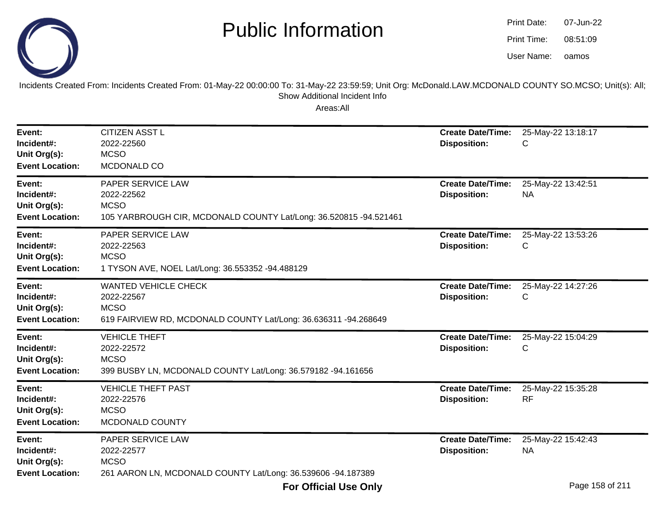

oamos07-Jun-2208:51:09Print Date:Print Time:User Name:

Incidents Created From: Incidents Created From: 01-May-22 00:00:00 To: 31-May-22 23:59:59; Unit Org: McDonald.LAW.MCDONALD COUNTY SO.MCSO; Unit(s): All; Show Additional Incident Info

| Event:<br>Incident#:<br>Unit Org(s):<br><b>Event Location:</b> | <b>CITIZEN ASST L</b><br>2022-22560<br><b>MCSO</b><br>MCDONALD CO                                                           | <b>Create Date/Time:</b><br><b>Disposition:</b> | 25-May-22 13:18:17<br>С         |
|----------------------------------------------------------------|-----------------------------------------------------------------------------------------------------------------------------|-------------------------------------------------|---------------------------------|
| Event:<br>Incident#:<br>Unit Org(s):<br><b>Event Location:</b> | PAPER SERVICE LAW<br>2022-22562<br><b>MCSO</b><br>105 YARBROUGH CIR, MCDONALD COUNTY Lat/Long: 36.520815 -94.521461         | <b>Create Date/Time:</b><br><b>Disposition:</b> | 25-May-22 13:42:51<br><b>NA</b> |
| Event:<br>Incident#:<br>Unit Org(s):<br><b>Event Location:</b> | PAPER SERVICE LAW<br>2022-22563<br><b>MCSO</b><br>1 TYSON AVE, NOEL Lat/Long: 36.553352 -94.488129                          | <b>Create Date/Time:</b><br><b>Disposition:</b> | 25-May-22 13:53:26<br>С         |
| Event:<br>Incident#:<br>Unit Org(s):<br><b>Event Location:</b> | <b>WANTED VEHICLE CHECK</b><br>2022-22567<br><b>MCSO</b><br>619 FAIRVIEW RD, MCDONALD COUNTY Lat/Long: 36.636311 -94.268649 | <b>Create Date/Time:</b><br><b>Disposition:</b> | 25-May-22 14:27:26<br>С         |
| Event:<br>Incident#:<br>Unit Org(s):<br><b>Event Location:</b> | <b>VEHICLE THEFT</b><br>2022-22572<br><b>MCSO</b><br>399 BUSBY LN, MCDONALD COUNTY Lat/Long: 36.579182 -94.161656           | <b>Create Date/Time:</b><br><b>Disposition:</b> | 25-May-22 15:04:29<br>С         |
| Event:<br>Incident#:<br>Unit Org(s):<br><b>Event Location:</b> | <b>VEHICLE THEFT PAST</b><br>2022-22576<br><b>MCSO</b><br>MCDONALD COUNTY                                                   | <b>Create Date/Time:</b><br><b>Disposition:</b> | 25-May-22 15:35:28<br><b>RF</b> |
| Event:<br>Incident#:<br>Unit Org(s):<br><b>Event Location:</b> | PAPER SERVICE LAW<br>2022-22577<br><b>MCSO</b><br>261 AARON LN, MCDONALD COUNTY Lat/Long: 36.539606 -94.187389              | <b>Create Date/Time:</b><br><b>Disposition:</b> | 25-May-22 15:42:43<br><b>NA</b> |
|                                                                | <b>For Official Use Only</b>                                                                                                |                                                 | Page 158 of 211                 |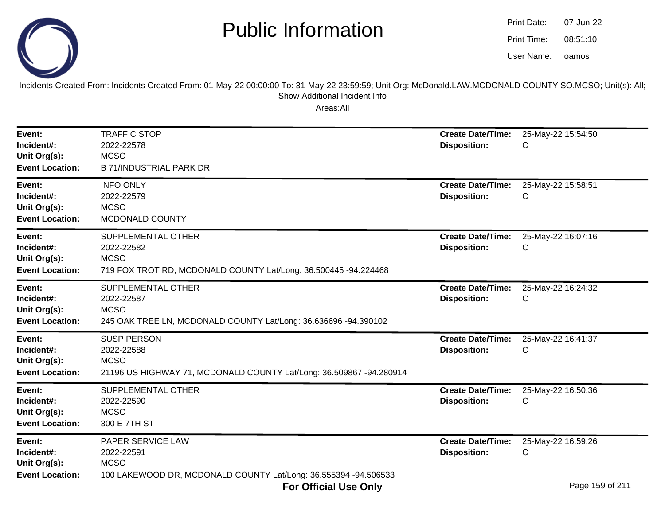oamos07-Jun-2208:51:10Print Date:Print Time:User Name:



Incidents Created From: Incidents Created From: 01-May-22 00:00:00 To: 31-May-22 23:59:59; Unit Org: McDonald.LAW.MCDONALD COUNTY SO.MCSO; Unit(s): All; Show Additional Incident Info

| Event:<br>Incident#:<br>Unit Org(s):<br><b>Event Location:</b> | <b>TRAFFIC STOP</b><br>2022-22578<br><b>MCSO</b><br><b>B 71/INDUSTRIAL PARK DR</b>                                     | <b>Create Date/Time:</b><br><b>Disposition:</b> | 25-May-22 15:54:50<br>С                                 |
|----------------------------------------------------------------|------------------------------------------------------------------------------------------------------------------------|-------------------------------------------------|---------------------------------------------------------|
| Event:<br>Incident#:<br>Unit Org(s):<br><b>Event Location:</b> | <b>INFO ONLY</b><br>2022-22579<br><b>MCSO</b><br>MCDONALD COUNTY                                                       | <b>Create Date/Time:</b><br><b>Disposition:</b> | 25-May-22 15:58:51<br>С                                 |
| Event:<br>Incident#:<br>Unit Org(s):<br><b>Event Location:</b> | SUPPLEMENTAL OTHER<br>2022-22582<br><b>MCSO</b><br>719 FOX TROT RD, MCDONALD COUNTY Lat/Long: 36.500445 -94.224468     | <b>Create Date/Time:</b><br><b>Disposition:</b> | 25-May-22 16:07:16<br>С                                 |
| Event:<br>Incident#:<br>Unit Org(s):<br><b>Event Location:</b> | SUPPLEMENTAL OTHER<br>2022-22587<br><b>MCSO</b><br>245 OAK TREE LN, MCDONALD COUNTY Lat/Long: 36.636696 -94.390102     | <b>Create Date/Time:</b><br><b>Disposition:</b> | 25-May-22 16:24:32<br>C                                 |
| Event:<br>Incident#:<br>Unit Org(s):<br><b>Event Location:</b> | <b>SUSP PERSON</b><br>2022-22588<br><b>MCSO</b><br>21196 US HIGHWAY 71, MCDONALD COUNTY Lat/Long: 36.509867 -94.280914 | <b>Create Date/Time:</b><br><b>Disposition:</b> | 25-May-22 16:41:37<br>С                                 |
| Event:<br>Incident#:<br>Unit Org(s):<br><b>Event Location:</b> | SUPPLEMENTAL OTHER<br>2022-22590<br><b>MCSO</b><br>300 E 7TH ST                                                        | <b>Create Date/Time:</b><br><b>Disposition:</b> | 25-May-22 16:50:36<br>С                                 |
| Event:<br>Incident#:<br>Unit Org(s):<br><b>Event Location:</b> | PAPER SERVICE LAW<br>2022-22591<br><b>MCSO</b><br>100 LAKEWOOD DR, MCDONALD COUNTY Lat/Long: 36.555394 -94.506533      | <b>Create Date/Time:</b><br><b>Disposition:</b> | 25-May-22 16:59:26<br>С<br>$P_{1}$ , $AP_{2}$ , $I_{2}$ |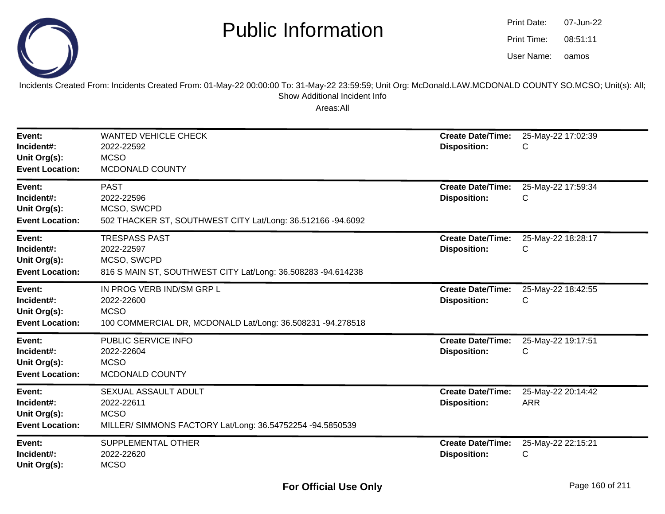

oamos07-Jun-2208:51:11Print Date:Print Time:User Name:

Incidents Created From: Incidents Created From: 01-May-22 00:00:00 To: 31-May-22 23:59:59; Unit Org: McDonald.LAW.MCDONALD COUNTY SO.MCSO; Unit(s): All; Show Additional Incident Info

| Event:<br>Incident#:<br>Unit Org(s):<br><b>Event Location:</b> | <b>WANTED VEHICLE CHECK</b><br>2022-22592<br><b>MCSO</b><br>MCDONALD COUNTY                                          | <b>Create Date/Time:</b><br><b>Disposition:</b> | 25-May-22 17:02:39<br>С          |
|----------------------------------------------------------------|----------------------------------------------------------------------------------------------------------------------|-------------------------------------------------|----------------------------------|
| Event:<br>Incident#:<br>Unit Org(s):<br><b>Event Location:</b> | <b>PAST</b><br>2022-22596<br>MCSO, SWCPD<br>502 THACKER ST, SOUTHWEST CITY Lat/Long: 36.512166 -94.6092              | <b>Create Date/Time:</b><br><b>Disposition:</b> | 25-May-22 17:59:34<br>С          |
| Event:<br>Incident#:<br>Unit Org(s):<br><b>Event Location:</b> | <b>TRESPASS PAST</b><br>2022-22597<br>MCSO, SWCPD<br>816 S MAIN ST, SOUTHWEST CITY Lat/Long: 36.508283 -94.614238    | <b>Create Date/Time:</b><br><b>Disposition:</b> | 25-May-22 18:28:17<br>С          |
| Event:<br>Incident#:<br>Unit Org(s):<br><b>Event Location:</b> | IN PROG VERB IND/SM GRP L<br>2022-22600<br><b>MCSO</b><br>100 COMMERCIAL DR, MCDONALD Lat/Long: 36.508231 -94.278518 | <b>Create Date/Time:</b><br><b>Disposition:</b> | 25-May-22 18:42:55<br>С          |
| Event:<br>Incident#:<br>Unit Org(s):<br><b>Event Location:</b> | PUBLIC SERVICE INFO<br>2022-22604<br><b>MCSO</b><br>MCDONALD COUNTY                                                  | <b>Create Date/Time:</b><br><b>Disposition:</b> | 25-May-22 19:17:51<br>С          |
| Event:<br>Incident#:<br>Unit Org(s):<br><b>Event Location:</b> | SEXUAL ASSAULT ADULT<br>2022-22611<br><b>MCSO</b><br>MILLER/ SIMMONS FACTORY Lat/Long: 36.54752254 -94.5850539       | <b>Create Date/Time:</b><br><b>Disposition:</b> | 25-May-22 20:14:42<br><b>ARR</b> |
| Event:<br>Incident#:<br>Unit Org(s):                           | SUPPLEMENTAL OTHER<br>2022-22620<br><b>MCSO</b>                                                                      | <b>Create Date/Time:</b><br><b>Disposition:</b> | 25-May-22 22:15:21<br>С          |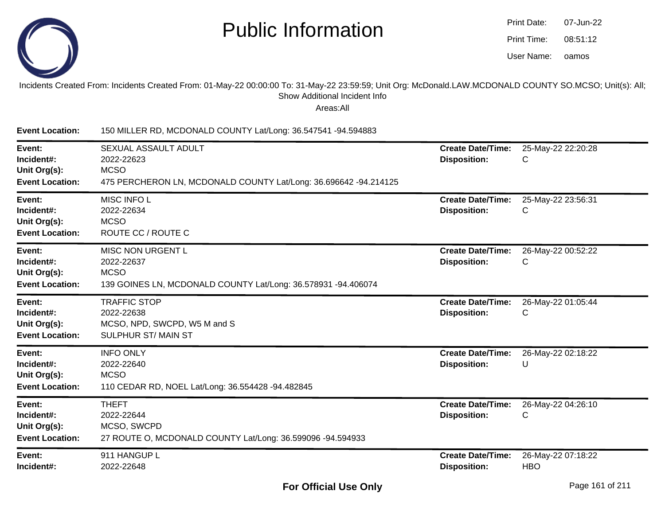

| Print Date: | 07-Jun-22 |
|-------------|-----------|
| Print Time: | 08:51:12  |
| User Name:  | oamos     |

#### Incidents Created From: Incidents Created From: 01-May-22 00:00:00 To: 31-May-22 23:59:59; Unit Org: McDonald.LAW.MCDONALD COUNTY SO.MCSO; Unit(s): All; Show Additional Incident Info

| <b>Event Location:</b>                                         | 150 MILLER RD, MCDONALD COUNTY Lat/Long: 36.547541 -94.594883                                                         |                                                 |                                  |
|----------------------------------------------------------------|-----------------------------------------------------------------------------------------------------------------------|-------------------------------------------------|----------------------------------|
| Event:<br>Incident#:<br>Unit Org(s):<br><b>Event Location:</b> | SEXUAL ASSAULT ADULT<br>2022-22623<br><b>MCSO</b><br>475 PERCHERON LN, MCDONALD COUNTY Lat/Long: 36.696642 -94.214125 | <b>Create Date/Time:</b><br><b>Disposition:</b> | 25-May-22 22:20:28<br>С          |
| Event:<br>Incident#:<br>Unit Org(s):<br><b>Event Location:</b> | MISC INFO L<br>2022-22634<br><b>MCSO</b><br>ROUTE CC / ROUTE C                                                        | <b>Create Date/Time:</b><br><b>Disposition:</b> | 25-May-22 23:56:31<br>С          |
| Event:<br>Incident#:<br>Unit Org(s):<br><b>Event Location:</b> | MISC NON URGENT L<br>2022-22637<br><b>MCSO</b><br>139 GOINES LN, MCDONALD COUNTY Lat/Long: 36.578931 -94.406074       | <b>Create Date/Time:</b><br><b>Disposition:</b> | 26-May-22 00:52:22<br>C          |
| Event:<br>Incident#:<br>Unit Org(s):<br><b>Event Location:</b> | <b>TRAFFIC STOP</b><br>2022-22638<br>MCSO, NPD, SWCPD, W5 M and S<br>SULPHUR ST/MAIN ST                               | <b>Create Date/Time:</b><br><b>Disposition:</b> | 26-May-22 01:05:44<br>С          |
| Event:<br>Incident#:<br>Unit Org(s):<br><b>Event Location:</b> | <b>INFO ONLY</b><br>2022-22640<br><b>MCSO</b><br>110 CEDAR RD, NOEL Lat/Long: 36.554428 -94.482845                    | <b>Create Date/Time:</b><br><b>Disposition:</b> | 26-May-22 02:18:22<br>U          |
| Event:<br>Incident#:<br>Unit Org(s):<br><b>Event Location:</b> | <b>THEFT</b><br>2022-22644<br>MCSO, SWCPD<br>27 ROUTE O, MCDONALD COUNTY Lat/Long: 36.599096 -94.594933               | <b>Create Date/Time:</b><br><b>Disposition:</b> | 26-May-22 04:26:10<br>С          |
| Event:<br>Incident#:                                           | 911 HANGUP L<br>2022-22648                                                                                            | <b>Create Date/Time:</b><br><b>Disposition:</b> | 26-May-22 07:18:22<br><b>HBO</b> |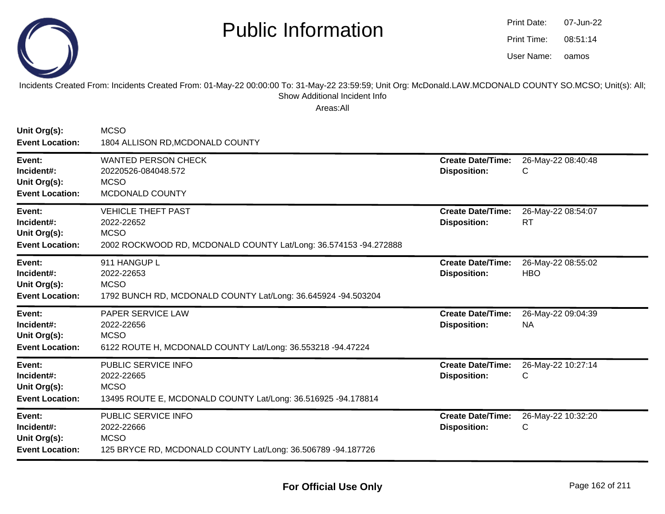

| Print Date: | 07-Jun-22 |
|-------------|-----------|
| Print Time: | 08:51:14  |
| User Name:  | oamos     |

Incidents Created From: Incidents Created From: 01-May-22 00:00:00 To: 31-May-22 23:59:59; Unit Org: McDonald.LAW.MCDONALD COUNTY SO.MCSO; Unit(s): All;Show Additional Incident Info

| Unit Org(s):<br><b>Event Location:</b>                         | <b>MCSO</b><br>1804 ALLISON RD, MCDONALD COUNTY                                                                            |                                                 |                                  |
|----------------------------------------------------------------|----------------------------------------------------------------------------------------------------------------------------|-------------------------------------------------|----------------------------------|
| Event:<br>Incident#:<br>Unit Org(s):<br><b>Event Location:</b> | <b>WANTED PERSON CHECK</b><br>20220526-084048.572<br><b>MCSO</b><br>MCDONALD COUNTY                                        | <b>Create Date/Time:</b><br><b>Disposition:</b> | 26-May-22 08:40:48<br>С          |
| Event:<br>Incident#:<br>Unit Org(s):<br><b>Event Location:</b> | <b>VEHICLE THEFT PAST</b><br>2022-22652<br><b>MCSO</b><br>2002 ROCKWOOD RD, MCDONALD COUNTY Lat/Long: 36.574153 -94.272888 | <b>Create Date/Time:</b><br><b>Disposition:</b> | 26-May-22 08:54:07<br>RT         |
| Event:<br>Incident#:<br>Unit Org(s):<br><b>Event Location:</b> | 911 HANGUP L<br>2022-22653<br><b>MCSO</b><br>1792 BUNCH RD, MCDONALD COUNTY Lat/Long: 36.645924 -94.503204                 | <b>Create Date/Time:</b><br><b>Disposition:</b> | 26-May-22 08:55:02<br><b>HBO</b> |
| Event:<br>Incident#:<br>Unit Org(s):<br><b>Event Location:</b> | PAPER SERVICE LAW<br>2022-22656<br><b>MCSO</b><br>6122 ROUTE H, MCDONALD COUNTY Lat/Long: 36.553218 -94.47224              | <b>Create Date/Time:</b><br><b>Disposition:</b> | 26-May-22 09:04:39<br><b>NA</b>  |
| Event:<br>Incident#:<br>Unit Org(s):<br><b>Event Location:</b> | PUBLIC SERVICE INFO<br>2022-22665<br><b>MCSO</b><br>13495 ROUTE E, MCDONALD COUNTY Lat/Long: 36.516925 -94.178814          | <b>Create Date/Time:</b><br><b>Disposition:</b> | 26-May-22 10:27:14<br>С          |
| Event:<br>Incident#:<br>Unit Org(s):<br><b>Event Location:</b> | PUBLIC SERVICE INFO<br>2022-22666<br><b>MCSO</b><br>125 BRYCE RD, MCDONALD COUNTY Lat/Long: 36.506789 -94.187726           | <b>Create Date/Time:</b><br><b>Disposition:</b> | 26-May-22 10:32:20<br>С          |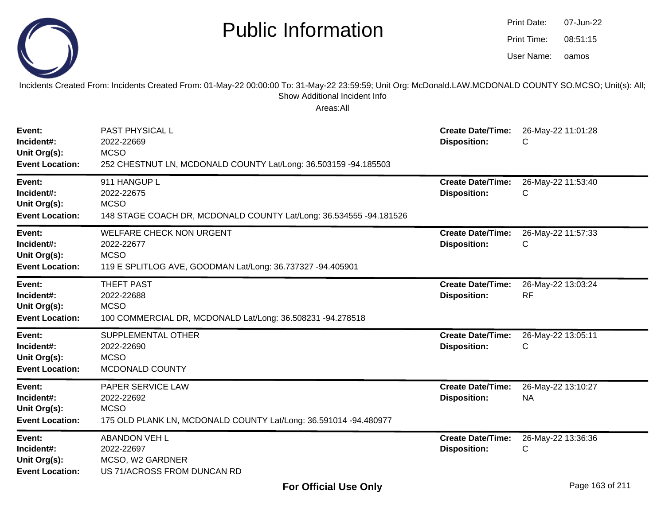|                                                                | <b>Public Information</b><br>Incidents Created From: Incidents Created From: 01-May-22 00:00:00 To: 31-May-22 23:59:59; Unit Org: McDonald.LAW.MCDONALD COUNTY SO.MCSO; Unit(s): All; |                                                 | Print Date:<br>Print Time:<br>User Name: | 07-Jun-22<br>08:51:15<br>oamos |
|----------------------------------------------------------------|---------------------------------------------------------------------------------------------------------------------------------------------------------------------------------------|-------------------------------------------------|------------------------------------------|--------------------------------|
|                                                                | Show Additional Incident Info<br>Areas:All                                                                                                                                            |                                                 |                                          |                                |
| Event:<br>Incident#:<br>Unit Org(s):<br><b>Event Location:</b> | PAST PHYSICAL L<br>2022-22669<br><b>MCSO</b><br>252 CHESTNUT LN, MCDONALD COUNTY Lat/Long: 36.503159 -94.185503                                                                       | <b>Create Date/Time:</b><br><b>Disposition:</b> | C                                        | 26-May-22 11:01:28             |
| Event:<br>Incident#:<br>Unit Org(s):<br><b>Event Location:</b> | 911 HANGUP L<br>2022-22675<br><b>MCSO</b><br>148 STAGE COACH DR, MCDONALD COUNTY Lat/Long: 36.534555 -94.181526                                                                       | <b>Create Date/Time:</b><br><b>Disposition:</b> | C                                        | 26-May-22 11:53:40             |
| Event:<br>Incident#:<br>Unit Org(s):<br><b>Event Location:</b> | <b>WELFARE CHECK NON URGENT</b><br>2022-22677<br><b>MCSO</b><br>119 E SPLITLOG AVE, GOODMAN Lat/Long: 36.737327 -94.405901                                                            | <b>Create Date/Time:</b><br><b>Disposition:</b> | C                                        | 26-May-22 11:57:33             |
| Event:<br>Incident#:<br>Unit Org(s):<br><b>Event Location:</b> | <b>THEFT PAST</b><br>2022-22688<br><b>MCSO</b><br>100 COMMERCIAL DR, MCDONALD Lat/Long: 36.508231 -94.278518                                                                          | <b>Create Date/Time:</b><br><b>Disposition:</b> | <b>RF</b>                                | 26-May-22 13:03:24             |
| Event:<br>Incident#:<br>Unit Org(s):<br><b>Event Location:</b> | SUPPLEMENTAL OTHER<br>2022-22690<br><b>MCSO</b><br>MCDONALD COUNTY                                                                                                                    | <b>Create Date/Time:</b><br><b>Disposition:</b> | С                                        | 26-May-22 13:05:11             |
| Event:<br>Incident#:<br>Unit Org(s):<br><b>Event Location:</b> | PAPER SERVICE LAW<br>2022-22692<br><b>MCSO</b><br>175 OLD PLANK LN, MCDONALD COUNTY Lat/Long: 36.591014 -94.480977                                                                    | <b>Create Date/Time:</b><br><b>Disposition:</b> | <b>NA</b>                                | 26-May-22 13:10:27             |
| Event:<br>Incident#:<br>Unit Org(s):<br><b>Event Location:</b> | <b>ABANDON VEH L</b><br>2022-22697<br>MCSO, W2 GARDNER<br>US 71/ACROSS FROM DUNCAN RD                                                                                                 | <b>Create Date/Time:</b><br><b>Disposition:</b> | C                                        | 26-May-22 13:36:36             |

Print Date: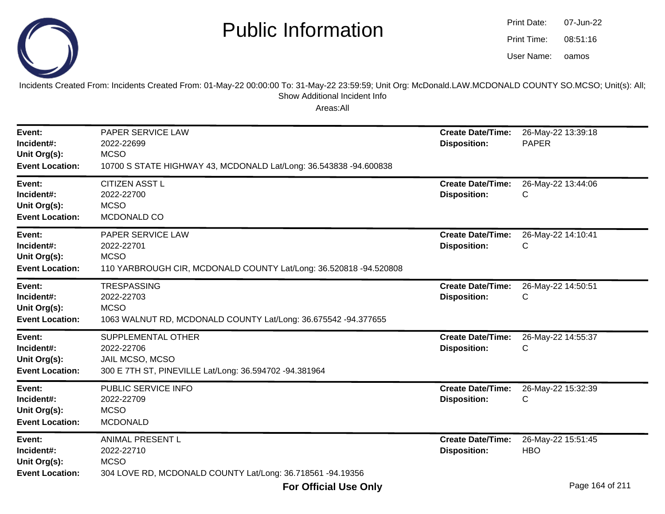

oamos07-Jun-2208:51:16Print Date:Print Time:User Name:

Incidents Created From: Incidents Created From: 01-May-22 00:00:00 To: 31-May-22 23:59:59; Unit Org: McDonald.LAW.MCDONALD COUNTY SO.MCSO; Unit(s): All; Show Additional Incident Info

| Event:<br>Incident#:<br>Unit Org(s):<br><b>Event Location:</b> | PAPER SERVICE LAW<br>2022-22699<br><b>MCSO</b><br>10700 S STATE HIGHWAY 43, MCDONALD Lat/Long: 36.543838 -94.600838 | <b>Create Date/Time:</b><br><b>Disposition:</b> | 26-May-22 13:39:18<br><b>PAPER</b> |
|----------------------------------------------------------------|---------------------------------------------------------------------------------------------------------------------|-------------------------------------------------|------------------------------------|
| Event:<br>Incident#:<br>Unit Org(s):<br><b>Event Location:</b> | <b>CITIZEN ASST L</b><br>2022-22700<br><b>MCSO</b><br>MCDONALD CO                                                   | <b>Create Date/Time:</b><br><b>Disposition:</b> | 26-May-22 13:44:06<br>С            |
| Event:<br>Incident#:<br>Unit Org(s):<br><b>Event Location:</b> | PAPER SERVICE LAW<br>2022-22701<br><b>MCSO</b><br>110 YARBROUGH CIR, MCDONALD COUNTY Lat/Long: 36.520818 -94.520808 | <b>Create Date/Time:</b><br><b>Disposition:</b> | 26-May-22 14:10:41<br>С            |
| Event:<br>Incident#:<br>Unit Org(s):<br><b>Event Location:</b> | <b>TRESPASSING</b><br>2022-22703<br><b>MCSO</b><br>1063 WALNUT RD, MCDONALD COUNTY Lat/Long: 36.675542 -94.377655   | <b>Create Date/Time:</b><br><b>Disposition:</b> | 26-May-22 14:50:51<br>С            |
| Event:<br>Incident#:<br>Unit Org(s):<br><b>Event Location:</b> | SUPPLEMENTAL OTHER<br>2022-22706<br>JAIL MCSO, MCSO<br>300 E 7TH ST, PINEVILLE Lat/Long: 36.594702 -94.381964       | <b>Create Date/Time:</b><br><b>Disposition:</b> | 26-May-22 14:55:37<br>С            |
| Event:<br>Incident#:<br>Unit Org(s):<br><b>Event Location:</b> | PUBLIC SERVICE INFO<br>2022-22709<br><b>MCSO</b><br><b>MCDONALD</b>                                                 | <b>Create Date/Time:</b><br><b>Disposition:</b> | 26-May-22 15:32:39<br>С            |
| Event:<br>Incident#:<br>Unit Org(s):<br><b>Event Location:</b> | ANIMAL PRESENT L<br>2022-22710<br><b>MCSO</b><br>304 LOVE RD, MCDONALD COUNTY Lat/Long: 36.718561 -94.19356         | <b>Create Date/Time:</b><br><b>Disposition:</b> | 26-May-22 15:51:45<br><b>HBO</b>   |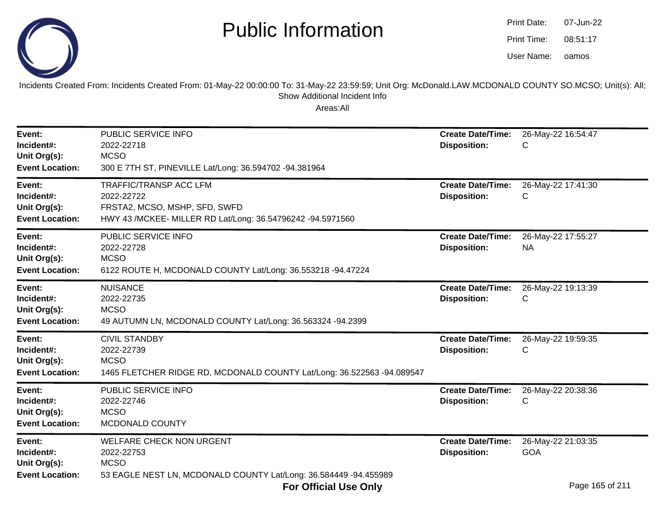

| Print Date: | 07-Jun-22 |
|-------------|-----------|
| Print Time: | 08:51:17  |
| User Name:  | oamos     |

Incidents Created From: Incidents Created From: 01-May-22 00:00:00 To: 31-May-22 23:59:59; Unit Org: McDonald.LAW.MCDONALD COUNTY SO.MCSO; Unit(s): All; Show Additional Incident Info

| Event:<br>Incident#:<br>Unit Org(s):<br><b>Event Location:</b> | PUBLIC SERVICE INFO<br>2022-22718<br><b>MCSO</b><br>300 E 7TH ST, PINEVILLE Lat/Long: 36.594702 -94.381964                                 | <b>Create Date/Time:</b><br><b>Disposition:</b> | 26-May-22 16:54:47<br>С          |
|----------------------------------------------------------------|--------------------------------------------------------------------------------------------------------------------------------------------|-------------------------------------------------|----------------------------------|
| Event:<br>Incident#:<br>Unit Org(s):<br><b>Event Location:</b> | <b>TRAFFIC/TRANSP ACC LFM</b><br>2022-22722<br>FRSTA2, MCSO, MSHP, SFD, SWFD<br>HWY 43 /MCKEE- MILLER RD Lat/Long: 36.54796242 -94.5971560 | <b>Create Date/Time:</b><br><b>Disposition:</b> | 26-May-22 17:41:30<br>С          |
| Event:<br>Incident#:<br>Unit Org(s):<br><b>Event Location:</b> | PUBLIC SERVICE INFO<br>2022-22728<br><b>MCSO</b><br>6122 ROUTE H, MCDONALD COUNTY Lat/Long: 36.553218 -94.47224                            | <b>Create Date/Time:</b><br><b>Disposition:</b> | 26-May-22 17:55:27<br><b>NA</b>  |
| Event:<br>Incident#:<br>Unit Org(s):<br><b>Event Location:</b> | <b>NUISANCE</b><br>2022-22735<br><b>MCSO</b><br>49 AUTUMN LN, MCDONALD COUNTY Lat/Long: 36.563324 -94.2399                                 | <b>Create Date/Time:</b><br><b>Disposition:</b> | 26-May-22 19:13:39<br>С          |
| Event:<br>Incident#:<br>Unit Org(s):<br><b>Event Location:</b> | <b>CIVIL STANDBY</b><br>2022-22739<br><b>MCSO</b><br>1465 FLETCHER RIDGE RD, MCDONALD COUNTY Lat/Long: 36.522563 -94.089547                | <b>Create Date/Time:</b><br><b>Disposition:</b> | 26-May-22 19:59:35<br>С          |
| Event:<br>Incident#:<br>Unit Org(s):<br><b>Event Location:</b> | PUBLIC SERVICE INFO<br>2022-22746<br><b>MCSO</b><br>MCDONALD COUNTY                                                                        | <b>Create Date/Time:</b><br><b>Disposition:</b> | 26-May-22 20:38:36<br>С          |
| Event:<br>Incident#:<br>Unit Org(s):<br><b>Event Location:</b> | <b>WELFARE CHECK NON URGENT</b><br>2022-22753<br><b>MCSO</b><br>53 EAGLE NEST LN, MCDONALD COUNTY Lat/Long: 36.584449 -94.455989           | <b>Create Date/Time:</b><br><b>Disposition:</b> | 26-May-22 21:03:35<br><b>GOA</b> |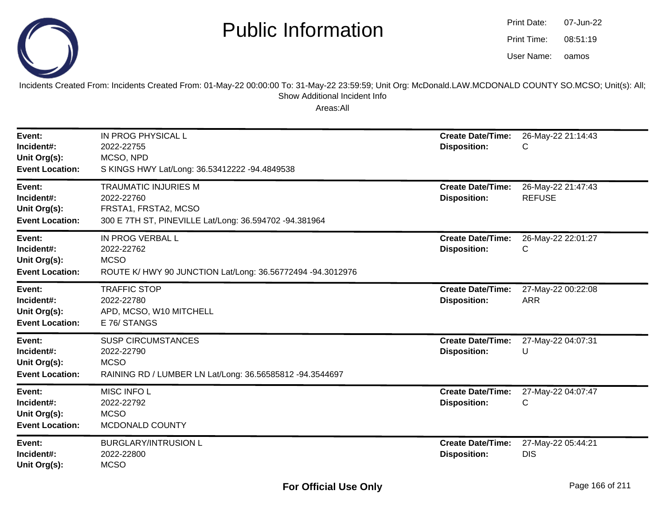

| Print Date: | 07-Jun-22 |
|-------------|-----------|
| Print Time: | 08:51:19  |
| User Name:  | oamos     |

Incidents Created From: Incidents Created From: 01-May-22 00:00:00 To: 31-May-22 23:59:59; Unit Org: McDonald.LAW.MCDONALD COUNTY SO.MCSO; Unit(s): All; Show Additional Incident Info

| Event:<br>Incident#:<br>Unit Org(s):<br><b>Event Location:</b> | IN PROG PHYSICAL L<br>2022-22755<br>MCSO, NPD<br>S KINGS HWY Lat/Long: 36.53412222 -94.4849538                              | <b>Create Date/Time:</b><br><b>Disposition:</b> | 26-May-22 21:14:43<br>С             |
|----------------------------------------------------------------|-----------------------------------------------------------------------------------------------------------------------------|-------------------------------------------------|-------------------------------------|
| Event:<br>Incident#:<br>Unit Org(s):<br><b>Event Location:</b> | <b>TRAUMATIC INJURIES M</b><br>2022-22760<br>FRSTA1, FRSTA2, MCSO<br>300 E 7TH ST, PINEVILLE Lat/Long: 36.594702 -94.381964 | <b>Create Date/Time:</b><br><b>Disposition:</b> | 26-May-22 21:47:43<br><b>REFUSE</b> |
| Event:<br>Incident#:<br>Unit Org(s):<br><b>Event Location:</b> | IN PROG VERBAL L<br>2022-22762<br><b>MCSO</b><br>ROUTE K/ HWY 90 JUNCTION Lat/Long: 36.56772494 -94.3012976                 | <b>Create Date/Time:</b><br><b>Disposition:</b> | 26-May-22 22:01:27<br>С             |
| Event:<br>Incident#:<br>Unit Org(s):<br><b>Event Location:</b> | <b>TRAFFIC STOP</b><br>2022-22780<br>APD, MCSO, W10 MITCHELL<br>E 76/ STANGS                                                | <b>Create Date/Time:</b><br><b>Disposition:</b> | 27-May-22 00:22:08<br><b>ARR</b>    |
| Event:<br>Incident#:<br>Unit Org(s):<br><b>Event Location:</b> | <b>SUSP CIRCUMSTANCES</b><br>2022-22790<br><b>MCSO</b><br>RAINING RD / LUMBER LN Lat/Long: 36.56585812 -94.3544697          | <b>Create Date/Time:</b><br><b>Disposition:</b> | 27-May-22 04:07:31<br>U             |
| Event:<br>Incident#:<br>Unit Org(s):<br><b>Event Location:</b> | <b>MISC INFO L</b><br>2022-22792<br><b>MCSO</b><br>MCDONALD COUNTY                                                          | <b>Create Date/Time:</b><br><b>Disposition:</b> | 27-May-22 04:07:47<br>С             |
| Event:<br>Incident#:<br>Unit Org(s):                           | <b>BURGLARY/INTRUSION L</b><br>2022-22800<br><b>MCSO</b>                                                                    | <b>Create Date/Time:</b><br><b>Disposition:</b> | 27-May-22 05:44:21<br><b>DIS</b>    |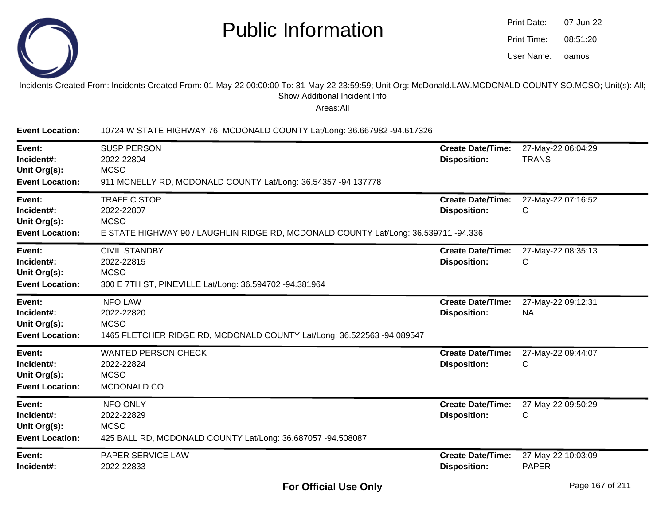

| Print Date: | 07-Jun-22 |
|-------------|-----------|
| Print Time: | 08:51:20  |
| User Name:  | oamos     |

#### Incidents Created From: Incidents Created From: 01-May-22 00:00:00 To: 31-May-22 23:59:59; Unit Org: McDonald.LAW.MCDONALD COUNTY SO.MCSO; Unit(s): All; Show Additional Incident Info

| <b>Event Location:</b>                                         | 10724 W STATE HIGHWAY 76, MCDONALD COUNTY Lat/Long: 36.667982 -94.617326                                                                |                                                 |                                    |
|----------------------------------------------------------------|-----------------------------------------------------------------------------------------------------------------------------------------|-------------------------------------------------|------------------------------------|
| Event:<br>Incident#:<br>Unit Org(s):<br><b>Event Location:</b> | <b>SUSP PERSON</b><br>2022-22804<br><b>MCSO</b><br>911 MCNELLY RD, MCDONALD COUNTY Lat/Long: 36.54357 -94.137778                        | <b>Create Date/Time:</b><br><b>Disposition:</b> | 27-May-22 06:04:29<br><b>TRANS</b> |
| Event:<br>Incident#:<br>Unit Org(s):<br><b>Event Location:</b> | <b>TRAFFIC STOP</b><br>2022-22807<br><b>MCSO</b><br>E STATE HIGHWAY 90 / LAUGHLIN RIDGE RD, MCDONALD COUNTY Lat/Long: 36.539711 -94.336 | <b>Create Date/Time:</b><br><b>Disposition:</b> | 27-May-22 07:16:52<br>С            |
| Event:<br>Incident#:<br>Unit Org(s):<br><b>Event Location:</b> | <b>CIVIL STANDBY</b><br>2022-22815<br><b>MCSO</b><br>300 E 7TH ST, PINEVILLE Lat/Long: 36.594702 -94.381964                             | <b>Create Date/Time:</b><br><b>Disposition:</b> | 27-May-22 08:35:13<br>С            |
| Event:<br>Incident#:<br>Unit Org(s):<br><b>Event Location:</b> | <b>INFO LAW</b><br>2022-22820<br><b>MCSO</b><br>1465 FLETCHER RIDGE RD, MCDONALD COUNTY Lat/Long: 36.522563 -94.089547                  | <b>Create Date/Time:</b><br><b>Disposition:</b> | 27-May-22 09:12:31<br><b>NA</b>    |
| Event:<br>Incident#:<br>Unit Org(s):<br><b>Event Location:</b> | <b>WANTED PERSON CHECK</b><br>2022-22824<br><b>MCSO</b><br>MCDONALD CO                                                                  | <b>Create Date/Time:</b><br><b>Disposition:</b> | 27-May-22 09:44:07<br>С            |
| Event:<br>Incident#:<br>Unit Org(s):<br><b>Event Location:</b> | <b>INFO ONLY</b><br>2022-22829<br><b>MCSO</b><br>425 BALL RD, MCDONALD COUNTY Lat/Long: 36.687057 -94.508087                            | <b>Create Date/Time:</b><br><b>Disposition:</b> | 27-May-22 09:50:29<br>С            |
| Event:<br>Incident#:                                           | PAPER SERVICE LAW<br>2022-22833                                                                                                         | <b>Create Date/Time:</b><br><b>Disposition:</b> | 27-May-22 10:03:09<br><b>PAPER</b> |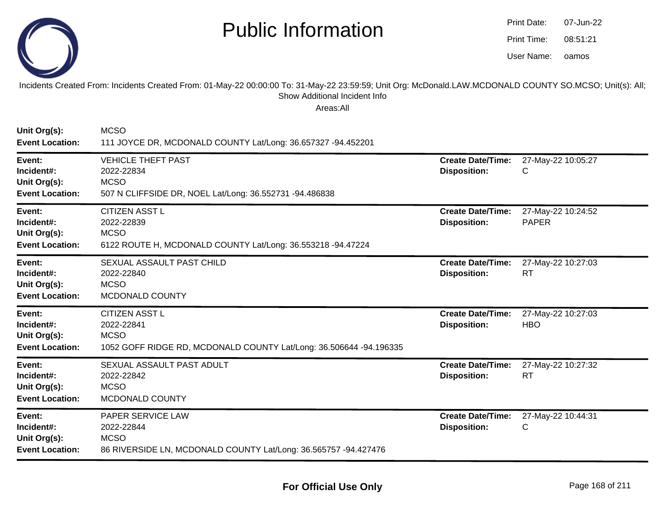

| Print Date: | 07-Jun-22 |
|-------------|-----------|
| Print Time: | 08:51:21  |
| User Name:  | oamos     |

#### Incidents Created From: Incidents Created From: 01-May-22 00:00:00 To: 31-May-22 23:59:59; Unit Org: McDonald.LAW.MCDONALD COUNTY SO.MCSO; Unit(s): All; Show Additional Incident Info

| Unit Org(s):<br><b>Event Location:</b>                         | <b>MCSO</b><br>111 JOYCE DR, MCDONALD COUNTY Lat/Long: 36.657327 -94.452201                                              |                                                 |                                    |
|----------------------------------------------------------------|--------------------------------------------------------------------------------------------------------------------------|-------------------------------------------------|------------------------------------|
| Event:<br>Incident#:<br>Unit Org(s):<br><b>Event Location:</b> | <b>VEHICLE THEFT PAST</b><br>2022-22834<br><b>MCSO</b><br>507 N CLIFFSIDE DR, NOEL Lat/Long: 36.552731 -94.486838        | <b>Create Date/Time:</b><br><b>Disposition:</b> | 27-May-22 10:05:27<br>С            |
| Event:<br>Incident#:<br>Unit Org(s):<br><b>Event Location:</b> | <b>CITIZEN ASST L</b><br>2022-22839<br><b>MCSO</b><br>6122 ROUTE H, MCDONALD COUNTY Lat/Long: 36.553218 -94.47224        | <b>Create Date/Time:</b><br><b>Disposition:</b> | 27-May-22 10:24:52<br><b>PAPER</b> |
| Event:<br>Incident#:<br>Unit Org(s):<br><b>Event Location:</b> | SEXUAL ASSAULT PAST CHILD<br>2022-22840<br><b>MCSO</b><br>MCDONALD COUNTY                                                | <b>Create Date/Time:</b><br><b>Disposition:</b> | 27-May-22 10:27:03<br><b>RT</b>    |
| Event:<br>Incident#:<br>Unit Org(s):<br><b>Event Location:</b> | <b>CITIZEN ASST L</b><br>2022-22841<br><b>MCSO</b><br>1052 GOFF RIDGE RD, MCDONALD COUNTY Lat/Long: 36.506644 -94.196335 | <b>Create Date/Time:</b><br><b>Disposition:</b> | 27-May-22 10:27:03<br><b>HBO</b>   |
| Event:<br>Incident#:<br>Unit Org(s):<br><b>Event Location:</b> | SEXUAL ASSAULT PAST ADULT<br>2022-22842<br><b>MCSO</b><br>MCDONALD COUNTY                                                | <b>Create Date/Time:</b><br><b>Disposition:</b> | 27-May-22 10:27:32<br><b>RT</b>    |
| Event:<br>Incident#:<br>Unit Org(s):<br><b>Event Location:</b> | PAPER SERVICE LAW<br>2022-22844<br><b>MCSO</b><br>86 RIVERSIDE LN, MCDONALD COUNTY Lat/Long: 36.565757 -94.427476        | <b>Create Date/Time:</b><br><b>Disposition:</b> | 27-May-22 10:44:31<br>С            |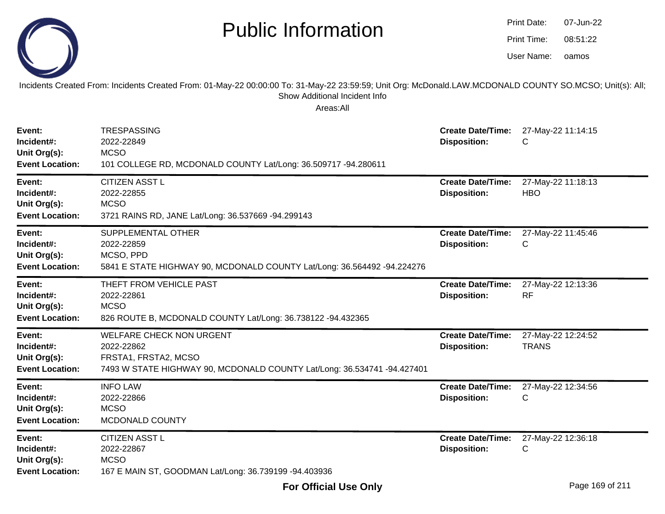|                                                                | <b>Public Information</b><br>Incidents Created From: Incidents Created From: 01-May-22 00:00:00 To: 31-May-22 23:59:59; Unit Org: McDonald.LAW.MCDONALD COUNTY SO.MCSO; Unit(s): All; |                                                 | <b>Print Date:</b><br>Print Time:<br>User Name: | 07-Jun-22<br>08:51:22<br>oamos |
|----------------------------------------------------------------|---------------------------------------------------------------------------------------------------------------------------------------------------------------------------------------|-------------------------------------------------|-------------------------------------------------|--------------------------------|
|                                                                | Show Additional Incident Info<br>Areas:All                                                                                                                                            |                                                 |                                                 |                                |
| Event:<br>Incident#:<br>Unit Org(s):<br><b>Event Location:</b> | <b>TRESPASSING</b><br>2022-22849<br><b>MCSO</b><br>101 COLLEGE RD, MCDONALD COUNTY Lat/Long: 36.509717 -94.280611                                                                     | <b>Create Date/Time:</b><br><b>Disposition:</b> | C                                               | 27-May-22 11:14:15             |
| Event:<br>Incident#:<br>Unit Org(s):<br><b>Event Location:</b> | <b>CITIZEN ASST L</b><br>2022-22855<br><b>MCSO</b><br>3721 RAINS RD, JANE Lat/Long: 36.537669 -94.299143                                                                              | <b>Create Date/Time:</b><br><b>Disposition:</b> | <b>HBO</b>                                      | 27-May-22 11:18:13             |
| Event:<br>Incident#:<br>Unit Org(s):<br><b>Event Location:</b> | SUPPLEMENTAL OTHER<br>2022-22859<br>MCSO, PPD<br>5841 E STATE HIGHWAY 90, MCDONALD COUNTY Lat/Long: 36.564492 -94.224276                                                              | <b>Create Date/Time:</b><br><b>Disposition:</b> | C                                               | 27-May-22 11:45:46             |
| Event:<br>Incident#:<br>Unit Org(s):<br><b>Event Location:</b> | THEFT FROM VEHICLE PAST<br>2022-22861<br><b>MCSO</b><br>826 ROUTE B, MCDONALD COUNTY Lat/Long: 36.738122 -94.432365                                                                   | <b>Create Date/Time:</b><br><b>Disposition:</b> | <b>RF</b>                                       | 27-May-22 12:13:36             |
| Event:<br>Incident#:<br>Unit Org(s):<br><b>Event Location:</b> | <b>WELFARE CHECK NON URGENT</b><br>2022-22862<br>FRSTA1, FRSTA2, MCSO<br>7493 W STATE HIGHWAY 90, MCDONALD COUNTY Lat/Long: 36.534741 -94.427401                                      | <b>Create Date/Time:</b><br><b>Disposition:</b> | <b>TRANS</b>                                    | 27-May-22 12:24:52             |
| Event:<br>Incident#:<br>Unit Org(s):<br><b>Event Location:</b> | <b>INFO LAW</b><br>2022-22866<br><b>MCSO</b><br>MCDONALD COUNTY                                                                                                                       | <b>Create Date/Time:</b><br><b>Disposition:</b> | C                                               | 27-May-22 12:34:56             |
| Event:<br>Incident#:<br>Unit Org(s):<br><b>Event Location:</b> | <b>CITIZEN ASST L</b><br>2022-22867<br><b>MCSO</b><br>167 E MAIN ST, GOODMAN Lat/Long: 36.739199 -94.403936                                                                           | <b>Create Date/Time:</b><br><b>Disposition:</b> | С                                               | 27-May-22 12:36:18             |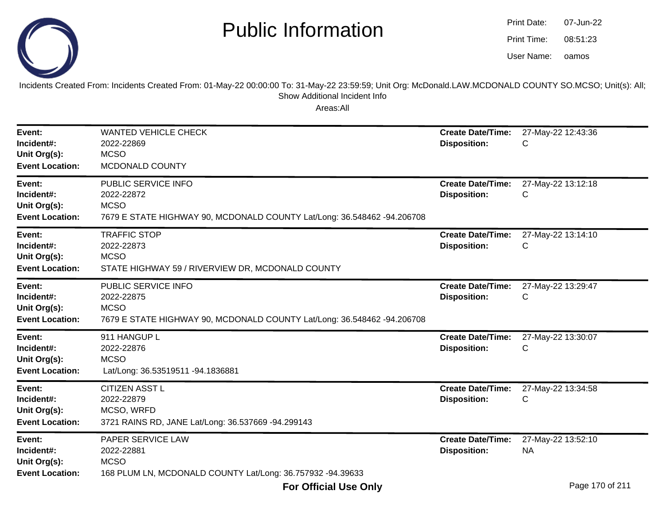

oamos07-Jun-2208:51:23Print Date:Print Time:User Name:

Incidents Created From: Incidents Created From: 01-May-22 00:00:00 To: 31-May-22 23:59:59; Unit Org: McDonald.LAW.MCDONALD COUNTY SO.MCSO; Unit(s): All; Show Additional Incident Info

| Event:<br>Incident#:<br>Unit Org(s):<br><b>Event Location:</b> | <b>WANTED VEHICLE CHECK</b><br>2022-22869<br><b>MCSO</b><br>MCDONALD COUNTY                                                 | <b>Create Date/Time:</b><br><b>Disposition:</b> | 27-May-22 12:43:36<br>С         |
|----------------------------------------------------------------|-----------------------------------------------------------------------------------------------------------------------------|-------------------------------------------------|---------------------------------|
| Event:<br>Incident#:<br>Unit Org(s):<br><b>Event Location:</b> | PUBLIC SERVICE INFO<br>2022-22872<br><b>MCSO</b><br>7679 E STATE HIGHWAY 90, MCDONALD COUNTY Lat/Long: 36.548462 -94.206708 | <b>Create Date/Time:</b><br><b>Disposition:</b> | 27-May-22 13:12:18<br>С         |
| Event:<br>Incident#:<br>Unit Org(s):<br><b>Event Location:</b> | <b>TRAFFIC STOP</b><br>2022-22873<br><b>MCSO</b><br>STATE HIGHWAY 59 / RIVERVIEW DR, MCDONALD COUNTY                        | <b>Create Date/Time:</b><br><b>Disposition:</b> | 27-May-22 13:14:10<br>С         |
| Event:<br>Incident#:<br>Unit Org(s):<br><b>Event Location:</b> | PUBLIC SERVICE INFO<br>2022-22875<br><b>MCSO</b><br>7679 E STATE HIGHWAY 90, MCDONALD COUNTY Lat/Long: 36.548462 -94.206708 | <b>Create Date/Time:</b><br><b>Disposition:</b> | 27-May-22 13:29:47<br>С         |
| Event:<br>Incident#:<br>Unit Org(s):<br><b>Event Location:</b> | 911 HANGUP L<br>2022-22876<br><b>MCSO</b><br>Lat/Long: 36.53519511 -94.1836881                                              | <b>Create Date/Time:</b><br><b>Disposition:</b> | 27-May-22 13:30:07<br>С         |
| Event:<br>Incident#:<br>Unit Org(s):<br><b>Event Location:</b> | <b>CITIZEN ASST L</b><br>2022-22879<br>MCSO, WRFD<br>3721 RAINS RD, JANE Lat/Long: 36.537669 -94.299143                     | <b>Create Date/Time:</b><br><b>Disposition:</b> | 27-May-22 13:34:58<br>С         |
| Event:<br>Incident#:<br>Unit Org(s):<br><b>Event Location:</b> | PAPER SERVICE LAW<br>2022-22881<br><b>MCSO</b><br>168 PLUM LN, MCDONALD COUNTY Lat/Long: 36.757932 -94.39633                | <b>Create Date/Time:</b><br><b>Disposition:</b> | 27-May-22 13:52:10<br><b>NA</b> |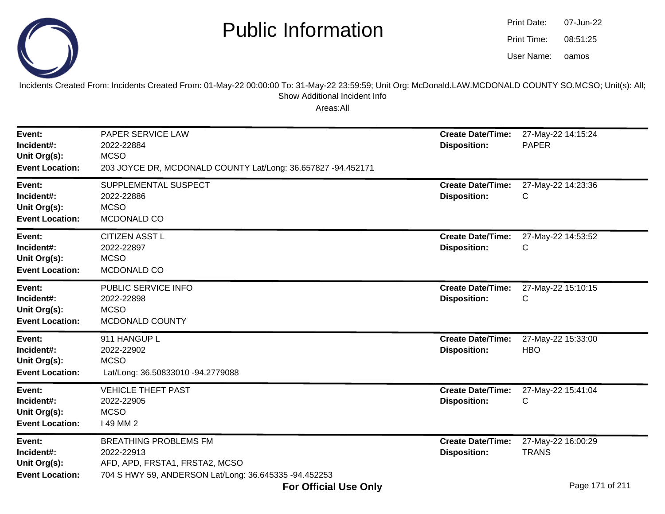

oamos07-Jun-2208:51:25Print Date:Print Time:User Name:

Incidents Created From: Incidents Created From: 01-May-22 00:00:00 To: 31-May-22 23:59:59; Unit Org: McDonald.LAW.MCDONALD COUNTY SO.MCSO; Unit(s): All; Show Additional Incident Info

| Event:<br>Incident#:<br>Unit Org(s):<br><b>Event Location:</b> | PAPER SERVICE LAW<br>2022-22884<br><b>MCSO</b><br>203 JOYCE DR, MCDONALD COUNTY Lat/Long: 36.657827 -94.452171                        | <b>Create Date/Time:</b><br><b>Disposition:</b> | 27-May-22 14:15:24<br><b>PAPER</b> |
|----------------------------------------------------------------|---------------------------------------------------------------------------------------------------------------------------------------|-------------------------------------------------|------------------------------------|
| Event:<br>Incident#:<br>Unit Org(s):<br><b>Event Location:</b> | SUPPLEMENTAL SUSPECT<br>2022-22886<br><b>MCSO</b><br>MCDONALD CO                                                                      | <b>Create Date/Time:</b><br><b>Disposition:</b> | 27-May-22 14:23:36<br>С            |
| Event:<br>Incident#:<br>Unit Org(s):<br><b>Event Location:</b> | <b>CITIZEN ASST L</b><br>2022-22897<br><b>MCSO</b><br>MCDONALD CO                                                                     | <b>Create Date/Time:</b><br><b>Disposition:</b> | 27-May-22 14:53:52<br>С            |
| Event:<br>Incident#:<br>Unit Org(s):<br><b>Event Location:</b> | PUBLIC SERVICE INFO<br>2022-22898<br><b>MCSO</b><br>MCDONALD COUNTY                                                                   | <b>Create Date/Time:</b><br><b>Disposition:</b> | 27-May-22 15:10:15<br>С            |
| Event:<br>Incident#:<br>Unit Org(s):<br><b>Event Location:</b> | 911 HANGUP L<br>2022-22902<br><b>MCSO</b><br>Lat/Long: 36.50833010 -94.2779088                                                        | <b>Create Date/Time:</b><br><b>Disposition:</b> | 27-May-22 15:33:00<br><b>HBO</b>   |
| Event:<br>Incident#:<br>Unit Org(s):<br><b>Event Location:</b> | <b>VEHICLE THEFT PAST</b><br>2022-22905<br><b>MCSO</b><br>149 MM 2                                                                    | <b>Create Date/Time:</b><br><b>Disposition:</b> | 27-May-22 15:41:04<br>С            |
| Event:<br>Incident#:<br>Unit Org(s):<br><b>Event Location:</b> | <b>BREATHING PROBLEMS FM</b><br>2022-22913<br>AFD, APD, FRSTA1, FRSTA2, MCSO<br>704 S HWY 59, ANDERSON Lat/Long: 36.645335 -94.452253 | <b>Create Date/Time:</b><br><b>Disposition:</b> | 27-May-22 16:00:29<br><b>TRANS</b> |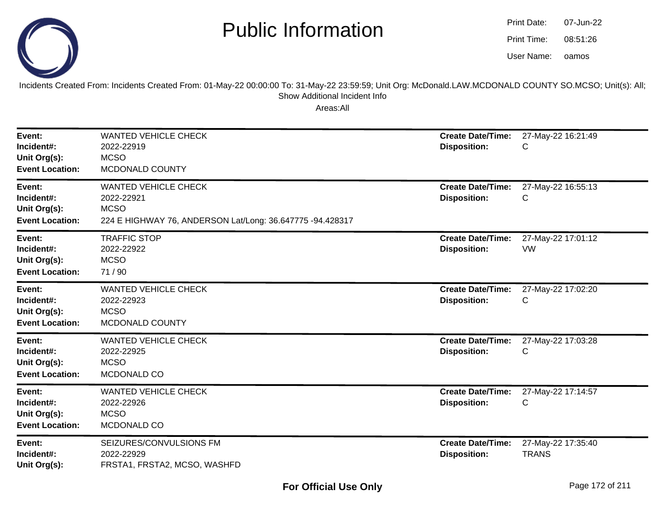

| Print Date: | 07-Jun-22 |
|-------------|-----------|
| Print Time: | 08:51:26  |
| User Name:  | oamos     |

Incidents Created From: Incidents Created From: 01-May-22 00:00:00 To: 31-May-22 23:59:59; Unit Org: McDonald.LAW.MCDONALD COUNTY SO.MCSO; Unit(s): All; Show Additional Incident Info

| Event:<br>Incident#:<br>Unit Org(s):<br><b>Event Location:</b> | <b>WANTED VEHICLE CHECK</b><br>2022-22919<br><b>MCSO</b><br>MCDONALD COUNTY                                           | <b>Create Date/Time:</b><br><b>Disposition:</b> | 27-May-22 16:21:49<br>С            |
|----------------------------------------------------------------|-----------------------------------------------------------------------------------------------------------------------|-------------------------------------------------|------------------------------------|
| Event:<br>Incident#:<br>Unit Org(s):<br><b>Event Location:</b> | <b>WANTED VEHICLE CHECK</b><br>2022-22921<br><b>MCSO</b><br>224 E HIGHWAY 76, ANDERSON Lat/Long: 36.647775 -94.428317 | <b>Create Date/Time:</b><br><b>Disposition:</b> | 27-May-22 16:55:13<br>С            |
| Event:<br>Incident#:<br>Unit Org(s):<br><b>Event Location:</b> | <b>TRAFFIC STOP</b><br>2022-22922<br><b>MCSO</b><br>71/90                                                             | <b>Create Date/Time:</b><br><b>Disposition:</b> | 27-May-22 17:01:12<br><b>VW</b>    |
| Event:<br>Incident#:<br>Unit Org(s):<br><b>Event Location:</b> | <b>WANTED VEHICLE CHECK</b><br>2022-22923<br><b>MCSO</b><br>MCDONALD COUNTY                                           | <b>Create Date/Time:</b><br><b>Disposition:</b> | 27-May-22 17:02:20<br>С            |
| Event:<br>Incident#:<br>Unit Org(s):<br><b>Event Location:</b> | <b>WANTED VEHICLE CHECK</b><br>2022-22925<br><b>MCSO</b><br>MCDONALD CO                                               | <b>Create Date/Time:</b><br><b>Disposition:</b> | 27-May-22 17:03:28<br>С            |
| Event:<br>Incident#:<br>Unit Org(s):<br><b>Event Location:</b> | <b>WANTED VEHICLE CHECK</b><br>2022-22926<br><b>MCSO</b><br>MCDONALD CO                                               | <b>Create Date/Time:</b><br><b>Disposition:</b> | 27-May-22 17:14:57<br>С            |
| Event:<br>Incident#:<br>Unit Org(s):                           | SEIZURES/CONVULSIONS FM<br>2022-22929<br>FRSTA1, FRSTA2, MCSO, WASHFD                                                 | <b>Create Date/Time:</b><br><b>Disposition:</b> | 27-May-22 17:35:40<br><b>TRANS</b> |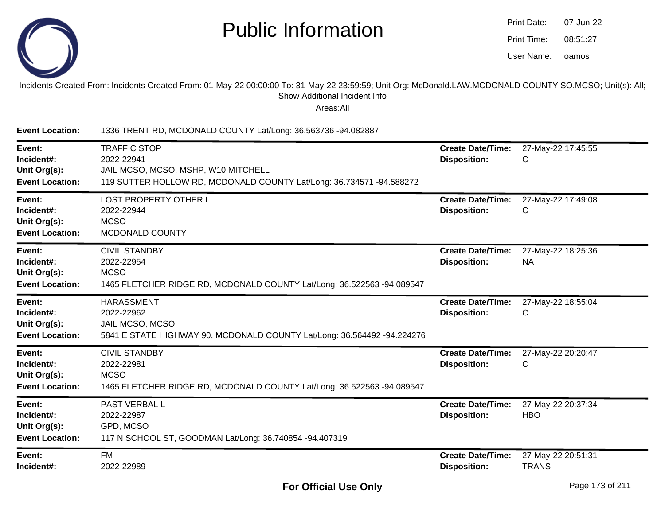

| Print Date: | 07-Jun-22 |
|-------------|-----------|
| Print Time: | 08:51:27  |
| User Name:  | oamos     |

#### Incidents Created From: Incidents Created From: 01-May-22 00:00:00 To: 31-May-22 23:59:59; Unit Org: McDonald.LAW.MCDONALD COUNTY SO.MCSO; Unit(s): All; Show Additional Incident Info

| <b>Event Location:</b>                                         | 1336 TRENT RD, MCDONALD COUNTY Lat/Long: 36.563736 -94.082887                                                                                    |                                                 |                                    |
|----------------------------------------------------------------|--------------------------------------------------------------------------------------------------------------------------------------------------|-------------------------------------------------|------------------------------------|
| Event:<br>Incident#:<br>Unit Org(s):<br><b>Event Location:</b> | <b>TRAFFIC STOP</b><br>2022-22941<br>JAIL MCSO, MCSO, MSHP, W10 MITCHELL<br>119 SUTTER HOLLOW RD, MCDONALD COUNTY Lat/Long: 36.734571 -94.588272 | <b>Create Date/Time:</b><br><b>Disposition:</b> | 27-May-22 17:45:55<br>С            |
| Event:<br>Incident#:<br>Unit Org(s):<br><b>Event Location:</b> | <b>LOST PROPERTY OTHER L</b><br>2022-22944<br><b>MCSO</b><br>MCDONALD COUNTY                                                                     | <b>Create Date/Time:</b><br><b>Disposition:</b> | 27-May-22 17:49:08<br>С            |
| Event:<br>Incident#:<br>Unit Org(s):<br><b>Event Location:</b> | <b>CIVIL STANDBY</b><br>2022-22954<br><b>MCSO</b><br>1465 FLETCHER RIDGE RD, MCDONALD COUNTY Lat/Long: 36.522563 -94.089547                      | <b>Create Date/Time:</b><br><b>Disposition:</b> | 27-May-22 18:25:36<br><b>NA</b>    |
| Event:<br>Incident#:<br>Unit Org(s):<br><b>Event Location:</b> | <b>HARASSMENT</b><br>2022-22962<br>JAIL MCSO, MCSO<br>5841 E STATE HIGHWAY 90, MCDONALD COUNTY Lat/Long: 36.564492 -94.224276                    | <b>Create Date/Time:</b><br><b>Disposition:</b> | 27-May-22 18:55:04<br>С            |
| Event:<br>Incident#:<br>Unit Org(s):<br><b>Event Location:</b> | <b>CIVIL STANDBY</b><br>2022-22981<br><b>MCSO</b><br>1465 FLETCHER RIDGE RD, MCDONALD COUNTY Lat/Long: 36.522563 -94.089547                      | <b>Create Date/Time:</b><br><b>Disposition:</b> | 27-May-22 20:20:47<br>С            |
| Event:<br>Incident#:<br>Unit Org(s):<br><b>Event Location:</b> | PAST VERBAL L<br>2022-22987<br>GPD, MCSO<br>117 N SCHOOL ST, GOODMAN Lat/Long: 36.740854 -94.407319                                              | <b>Create Date/Time:</b><br><b>Disposition:</b> | 27-May-22 20:37:34<br><b>HBO</b>   |
| Event:<br>Incident#:                                           | <b>FM</b><br>2022-22989                                                                                                                          | <b>Create Date/Time:</b><br><b>Disposition:</b> | 27-May-22 20:51:31<br><b>TRANS</b> |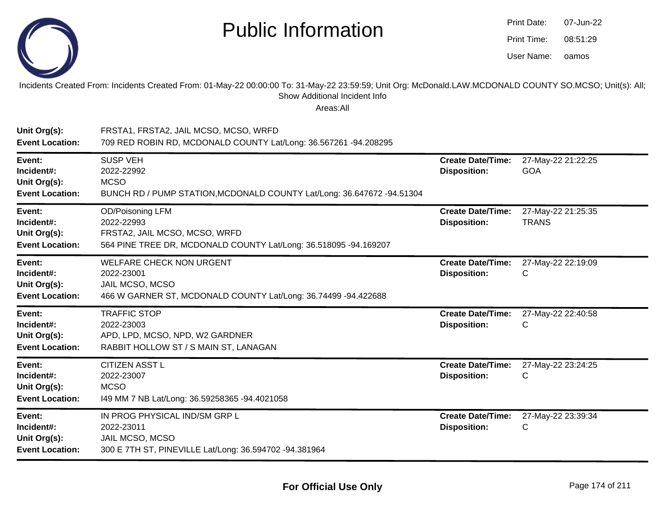

| Print Date: | 07-Jun-22 |
|-------------|-----------|
| Print Time: | 08:51:29  |
| User Name:  | oamos     |

#### Incidents Created From: Incidents Created From: 01-May-22 00:00:00 To: 31-May-22 23:59:59; Unit Org: McDonald.LAW.MCDONALD COUNTY SO.MCSO; Unit(s): All;Show Additional Incident Info

| Unit Org(s):<br><b>Event Location:</b>                         | FRSTA1, FRSTA2, JAIL MCSO, MCSO, WRFD<br>709 RED ROBIN RD, MCDONALD COUNTY Lat/Long: 36.567261 -94.208295                                  |                                                 |                                    |
|----------------------------------------------------------------|--------------------------------------------------------------------------------------------------------------------------------------------|-------------------------------------------------|------------------------------------|
| Event:<br>Incident#:<br>Unit Org(s):<br><b>Event Location:</b> | <b>SUSP VEH</b><br>2022-22992<br><b>MCSO</b><br>BUNCH RD / PUMP STATION, MCDONALD COUNTY Lat/Long: 36.647672 -94.51304                     | <b>Create Date/Time:</b><br><b>Disposition:</b> | 27-May-22 21:22:25<br><b>GOA</b>   |
| Event:<br>Incident#:<br>Unit Org(s):<br><b>Event Location:</b> | <b>OD/Poisoning LFM</b><br>2022-22993<br>FRSTA2, JAIL MCSO, MCSO, WRFD<br>564 PINE TREE DR, MCDONALD COUNTY Lat/Long: 36.518095 -94.169207 | <b>Create Date/Time:</b><br><b>Disposition:</b> | 27-May-22 21:25:35<br><b>TRANS</b> |
| Event:<br>Incident#:<br>Unit Org(s):<br><b>Event Location:</b> | <b>WELFARE CHECK NON URGENT</b><br>2022-23001<br>JAIL MCSO, MCSO<br>466 W GARNER ST, MCDONALD COUNTY Lat/Long: 36.74499 -94.422688         | <b>Create Date/Time:</b><br><b>Disposition:</b> | 27-May-22 22:19:09<br>C            |
| Event:<br>Incident#:<br>Unit Org(s):<br><b>Event Location:</b> | <b>TRAFFIC STOP</b><br>2022-23003<br>APD, LPD, MCSO, NPD, W2 GARDNER<br>RABBIT HOLLOW ST / S MAIN ST, LANAGAN                              | <b>Create Date/Time:</b><br><b>Disposition:</b> | 27-May-22 22:40:58<br>C            |
| Event:<br>Incident#:<br>Unit Org(s):<br><b>Event Location:</b> | <b>CITIZEN ASST L</b><br>2022-23007<br><b>MCSO</b><br>149 MM 7 NB Lat/Long: 36.59258365 -94.4021058                                        | <b>Create Date/Time:</b><br><b>Disposition:</b> | 27-May-22 23:24:25<br>C            |
| Event:<br>Incident#:<br>Unit Org(s):<br><b>Event Location:</b> | IN PROG PHYSICAL IND/SM GRP L<br>2022-23011<br>JAIL MCSO, MCSO<br>300 E 7TH ST, PINEVILLE Lat/Long: 36.594702 -94.381964                   | <b>Create Date/Time:</b><br><b>Disposition:</b> | 27-May-22 23:39:34<br>C            |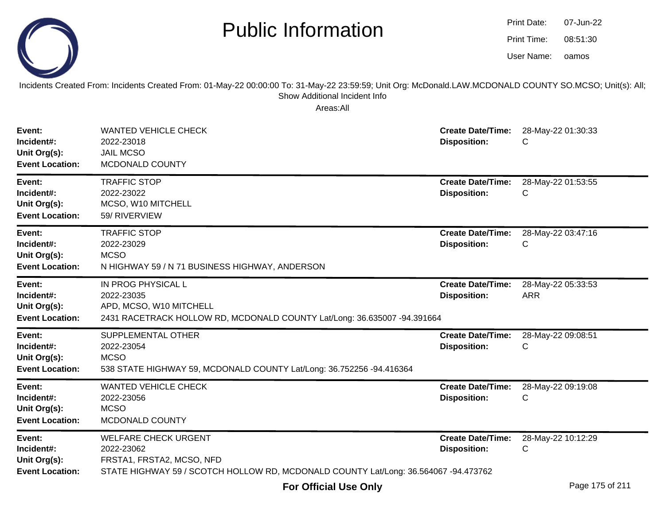

| Print Date: | 07-Jun-22 |
|-------------|-----------|
| Print Time: | 08:51:30  |
| User Name:  | oamos     |

Incidents Created From: Incidents Created From: 01-May-22 00:00:00 To: 31-May-22 23:59:59; Unit Org: McDonald.LAW.MCDONALD COUNTY SO.MCSO; Unit(s): All; Show Additional Incident Info

| Event:<br>Incident#:<br>Unit Org(s):<br><b>Event Location:</b> | <b>WANTED VEHICLE CHECK</b><br>2022-23018<br><b>JAIL MCSO</b><br>MCDONALD COUNTY                                                                              | <b>Create Date/Time:</b><br><b>Disposition:</b> | 28-May-22 01:30:33<br>C          |
|----------------------------------------------------------------|---------------------------------------------------------------------------------------------------------------------------------------------------------------|-------------------------------------------------|----------------------------------|
| Event:<br>Incident#:<br>Unit Org(s):<br><b>Event Location:</b> | <b>TRAFFIC STOP</b><br>2022-23022<br>MCSO, W10 MITCHELL<br>59/ RIVERVIEW                                                                                      | <b>Create Date/Time:</b><br><b>Disposition:</b> | 28-May-22 01:53:55<br>C          |
| Event:<br>Incident#:<br>Unit Org(s):<br><b>Event Location:</b> | <b>TRAFFIC STOP</b><br>2022-23029<br><b>MCSO</b><br>N HIGHWAY 59 / N 71 BUSINESS HIGHWAY, ANDERSON                                                            | <b>Create Date/Time:</b><br><b>Disposition:</b> | 28-May-22 03:47:16<br>C          |
| Event:<br>Incident#:<br>Unit Org(s):<br><b>Event Location:</b> | IN PROG PHYSICAL L<br>2022-23035<br>APD, MCSO, W10 MITCHELL<br>2431 RACETRACK HOLLOW RD, MCDONALD COUNTY Lat/Long: 36.635007 -94.391664                       | <b>Create Date/Time:</b><br><b>Disposition:</b> | 28-May-22 05:33:53<br><b>ARR</b> |
| Event:<br>Incident#:<br>Unit Org(s):<br><b>Event Location:</b> | SUPPLEMENTAL OTHER<br>2022-23054<br><b>MCSO</b><br>538 STATE HIGHWAY 59, MCDONALD COUNTY Lat/Long: 36.752256 -94.416364                                       | <b>Create Date/Time:</b><br><b>Disposition:</b> | 28-May-22 09:08:51<br>С          |
| Event:<br>Incident#:<br>Unit Org(s):<br><b>Event Location:</b> | <b>WANTED VEHICLE CHECK</b><br>2022-23056<br><b>MCSO</b><br>MCDONALD COUNTY                                                                                   | <b>Create Date/Time:</b><br><b>Disposition:</b> | 28-May-22 09:19:08<br>С          |
| Event:<br>Incident#:<br>Unit Org(s):<br><b>Event Location:</b> | <b>WELFARE CHECK URGENT</b><br>2022-23062<br>FRSTA1, FRSTA2, MCSO, NFD<br>STATE HIGHWAY 59 / SCOTCH HOLLOW RD, MCDONALD COUNTY Lat/Long: 36.564067 -94.473762 | <b>Create Date/Time:</b><br><b>Disposition:</b> | 28-May-22 10:12:29<br>C          |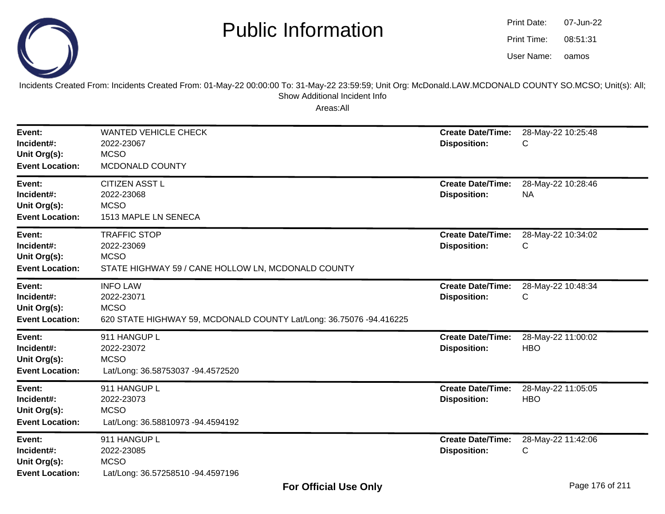

oamos07-Jun-2208:51:31Print Date:Print Time:User Name:

Incidents Created From: Incidents Created From: 01-May-22 00:00:00 To: 31-May-22 23:59:59; Unit Org: McDonald.LAW.MCDONALD COUNTY SO.MCSO; Unit(s): All; Show Additional Incident Info

| Event:<br>Incident#:<br>Unit Org(s):<br><b>Event Location:</b> | <b>WANTED VEHICLE CHECK</b><br>2022-23067<br><b>MCSO</b><br>MCDONALD COUNTY                                         | <b>Create Date/Time:</b><br><b>Disposition:</b> | 28-May-22 10:25:48<br>С          |
|----------------------------------------------------------------|---------------------------------------------------------------------------------------------------------------------|-------------------------------------------------|----------------------------------|
| Event:<br>Incident#:<br>Unit Org(s):<br><b>Event Location:</b> | <b>CITIZEN ASST L</b><br>2022-23068<br><b>MCSO</b><br>1513 MAPLE LN SENECA                                          | <b>Create Date/Time:</b><br><b>Disposition:</b> | 28-May-22 10:28:46<br><b>NA</b>  |
| Event:<br>Incident#:<br>Unit Org(s):<br><b>Event Location:</b> | <b>TRAFFIC STOP</b><br>2022-23069<br><b>MCSO</b><br>STATE HIGHWAY 59 / CANE HOLLOW LN, MCDONALD COUNTY              | <b>Create Date/Time:</b><br><b>Disposition:</b> | 28-May-22 10:34:02<br>С          |
| Event:<br>Incident#:<br>Unit Org(s):<br><b>Event Location:</b> | <b>INFO LAW</b><br>2022-23071<br><b>MCSO</b><br>620 STATE HIGHWAY 59, MCDONALD COUNTY Lat/Long: 36.75076 -94.416225 | <b>Create Date/Time:</b><br><b>Disposition:</b> | 28-May-22 10:48:34<br>С          |
| Event:<br>Incident#:<br>Unit Org(s):<br><b>Event Location:</b> | 911 HANGUP L<br>2022-23072<br><b>MCSO</b><br>Lat/Long: 36.58753037 -94.4572520                                      | <b>Create Date/Time:</b><br><b>Disposition:</b> | 28-May-22 11:00:02<br><b>HBO</b> |
| Event:<br>Incident#:<br>Unit Org(s):<br><b>Event Location:</b> | 911 HANGUP L<br>2022-23073<br><b>MCSO</b><br>Lat/Long: 36.58810973 -94.4594192                                      | <b>Create Date/Time:</b><br><b>Disposition:</b> | 28-May-22 11:05:05<br><b>HBO</b> |
| Event:<br>Incident#:<br>Unit Org(s):<br><b>Event Location:</b> | 911 HANGUP L<br>2022-23085<br><b>MCSO</b><br>Lat/Long: 36.57258510 -94.4597196                                      | <b>Create Date/Time:</b><br><b>Disposition:</b> | 28-May-22 11:42:06<br>С          |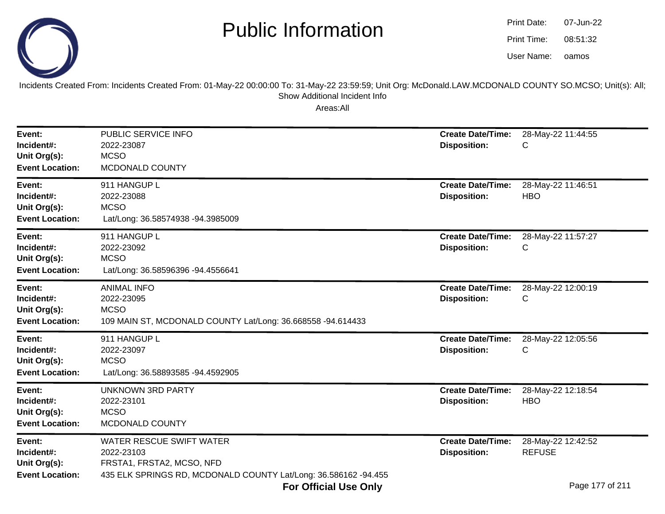

| Print Date: | 07-Jun-22 |
|-------------|-----------|
| Print Time: | 08:51:32  |
| User Name:  | oamos     |

Incidents Created From: Incidents Created From: 01-May-22 00:00:00 To: 31-May-22 23:59:59; Unit Org: McDonald.LAW.MCDONALD COUNTY SO.MCSO; Unit(s): All;Show Additional Incident Info

| Event:<br>Incident#:<br>Unit Org(s):<br><b>Event Location:</b> | PUBLIC SERVICE INFO<br>2022-23087<br><b>MCSO</b><br>MCDONALD COUNTY                                                                           | <b>Create Date/Time:</b><br><b>Disposition:</b> | 28-May-22 11:44:55<br>С             |
|----------------------------------------------------------------|-----------------------------------------------------------------------------------------------------------------------------------------------|-------------------------------------------------|-------------------------------------|
| Event:<br>Incident#:<br>Unit Org(s):<br><b>Event Location:</b> | 911 HANGUP L<br>2022-23088<br><b>MCSO</b><br>Lat/Long: 36.58574938 -94.3985009                                                                | <b>Create Date/Time:</b><br><b>Disposition:</b> | 28-May-22 11:46:51<br><b>HBO</b>    |
| Event:<br>Incident#:<br>Unit Org(s):<br><b>Event Location:</b> | 911 HANGUP L<br>2022-23092<br><b>MCSO</b><br>Lat/Long: 36.58596396 -94.4556641                                                                | <b>Create Date/Time:</b><br><b>Disposition:</b> | 28-May-22 11:57:27<br>С             |
| Event:<br>Incident#:<br>Unit Org(s):<br><b>Event Location:</b> | <b>ANIMAL INFO</b><br>2022-23095<br><b>MCSO</b><br>109 MAIN ST, MCDONALD COUNTY Lat/Long: 36.668558 -94.614433                                | <b>Create Date/Time:</b><br><b>Disposition:</b> | 28-May-22 12:00:19<br>С             |
| Event:<br>Incident#:<br>Unit Org(s):<br><b>Event Location:</b> | 911 HANGUP L<br>2022-23097<br><b>MCSO</b><br>Lat/Long: 36.58893585 -94.4592905                                                                | <b>Create Date/Time:</b><br><b>Disposition:</b> | 28-May-22 12:05:56<br>С             |
| Event:<br>Incident#:<br>Unit Org(s):<br><b>Event Location:</b> | <b>UNKNOWN 3RD PARTY</b><br>2022-23101<br><b>MCSO</b><br>MCDONALD COUNTY                                                                      | <b>Create Date/Time:</b><br><b>Disposition:</b> | 28-May-22 12:18:54<br><b>HBO</b>    |
| Event:<br>Incident#:<br>Unit Org(s):<br><b>Event Location:</b> | <b>WATER RESCUE SWIFT WATER</b><br>2022-23103<br>FRSTA1, FRSTA2, MCSO, NFD<br>435 ELK SPRINGS RD, MCDONALD COUNTY Lat/Long: 36.586162 -94.455 | <b>Create Date/Time:</b><br><b>Disposition:</b> | 28-May-22 12:42:52<br><b>REFUSE</b> |
|                                                                | <b>For Official Use Only</b>                                                                                                                  |                                                 | Page 177 of 211                     |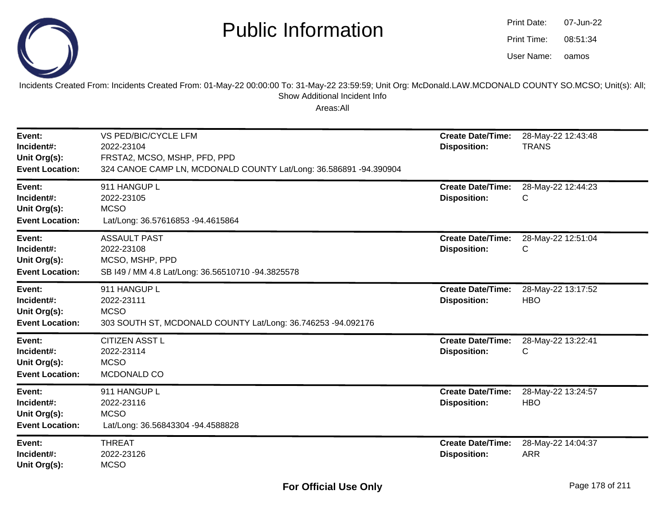

| Print Date: | 07-Jun-22 |
|-------------|-----------|
| Print Time: | 08:51:34  |
| User Name:  | oamos     |

Incidents Created From: Incidents Created From: 01-May-22 00:00:00 To: 31-May-22 23:59:59; Unit Org: McDonald.LAW.MCDONALD COUNTY SO.MCSO; Unit(s): All; Show Additional Incident Info

| Event:<br>Incident#:<br>Unit Org(s):<br><b>Event Location:</b> | VS PED/BIC/CYCLE LFM<br>2022-23104<br>FRSTA2, MCSO, MSHP, PFD, PPD<br>324 CANOE CAMP LN, MCDONALD COUNTY Lat/Long: 36.586891 -94.390904 | <b>Create Date/Time:</b><br><b>Disposition:</b> | 28-May-22 12:43:48<br><b>TRANS</b> |
|----------------------------------------------------------------|-----------------------------------------------------------------------------------------------------------------------------------------|-------------------------------------------------|------------------------------------|
| Event:<br>Incident#:<br>Unit Org(s):<br><b>Event Location:</b> | 911 HANGUP L<br>2022-23105<br><b>MCSO</b><br>Lat/Long: 36.57616853 -94.4615864                                                          | <b>Create Date/Time:</b><br><b>Disposition:</b> | 28-May-22 12:44:23<br>С            |
| Event:<br>Incident#:<br>Unit Org(s):<br><b>Event Location:</b> | <b>ASSAULT PAST</b><br>2022-23108<br>MCSO, MSHP, PPD<br>SB I49 / MM 4.8 Lat/Long: 36.56510710 -94.3825578                               | <b>Create Date/Time:</b><br><b>Disposition:</b> | 28-May-22 12:51:04<br>С            |
| Event:<br>Incident#:<br>Unit Org(s):<br><b>Event Location:</b> | 911 HANGUP L<br>2022-23111<br><b>MCSO</b><br>303 SOUTH ST, MCDONALD COUNTY Lat/Long: 36.746253 -94.092176                               | <b>Create Date/Time:</b><br><b>Disposition:</b> | 28-May-22 13:17:52<br><b>HBO</b>   |
| Event:<br>Incident#:<br>Unit Org(s):<br><b>Event Location:</b> | <b>CITIZEN ASST L</b><br>2022-23114<br><b>MCSO</b><br>MCDONALD CO                                                                       | <b>Create Date/Time:</b><br><b>Disposition:</b> | 28-May-22 13:22:41<br>С            |
| Event:<br>Incident#:<br>Unit Org(s):<br><b>Event Location:</b> | 911 HANGUP L<br>2022-23116<br><b>MCSO</b><br>Lat/Long: 36.56843304 -94.4588828                                                          | <b>Create Date/Time:</b><br><b>Disposition:</b> | 28-May-22 13:24:57<br><b>HBO</b>   |
| Event:<br>Incident#:<br>Unit Org(s):                           | <b>THREAT</b><br>2022-23126<br><b>MCSO</b>                                                                                              | <b>Create Date/Time:</b><br><b>Disposition:</b> | 28-May-22 14:04:37<br><b>ARR</b>   |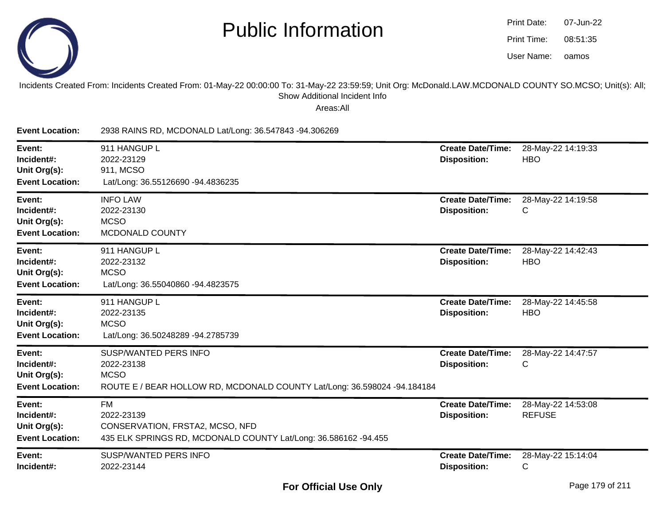

| Print Date: | 07-Jun-22 |
|-------------|-----------|
| Print Time: | 08:51:35  |
| User Name:  | oamos     |

Incidents Created From: Incidents Created From: 01-May-22 00:00:00 To: 31-May-22 23:59:59; Unit Org: McDonald.LAW.MCDONALD COUNTY SO.MCSO; Unit(s): All; Show Additional Incident Info

| <b>Event Location:</b>                                         | 2938 RAINS RD, MCDONALD Lat/Long: 36.547843 -94.306269                                                                                |                                                 |                                     |
|----------------------------------------------------------------|---------------------------------------------------------------------------------------------------------------------------------------|-------------------------------------------------|-------------------------------------|
| Event:<br>Incident#:<br>Unit Org(s):<br><b>Event Location:</b> | 911 HANGUP L<br>2022-23129<br>911, MCSO<br>Lat/Long: 36.55126690 -94.4836235                                                          | <b>Create Date/Time:</b><br><b>Disposition:</b> | 28-May-22 14:19:33<br><b>HBO</b>    |
| Event:<br>Incident#:<br>Unit Org(s):<br><b>Event Location:</b> | <b>INFO LAW</b><br>2022-23130<br><b>MCSO</b><br>MCDONALD COUNTY                                                                       | <b>Create Date/Time:</b><br><b>Disposition:</b> | 28-May-22 14:19:58<br>С             |
| Event:<br>Incident#:<br>Unit Org(s):<br><b>Event Location:</b> | 911 HANGUP L<br>2022-23132<br><b>MCSO</b><br>Lat/Long: 36.55040860 -94.4823575                                                        | <b>Create Date/Time:</b><br><b>Disposition:</b> | 28-May-22 14:42:43<br><b>HBO</b>    |
| Event:<br>Incident#:<br>Unit Org(s):<br><b>Event Location:</b> | 911 HANGUP L<br>2022-23135<br><b>MCSO</b><br>Lat/Long: 36.50248289 -94.2785739                                                        | <b>Create Date/Time:</b><br><b>Disposition:</b> | 28-May-22 14:45:58<br><b>HBO</b>    |
| Event:<br>Incident#:<br>Unit Org(s):<br><b>Event Location:</b> | <b>SUSP/WANTED PERS INFO</b><br>2022-23138<br><b>MCSO</b><br>ROUTE E / BEAR HOLLOW RD, MCDONALD COUNTY Lat/Long: 36.598024 -94.184184 | <b>Create Date/Time:</b><br><b>Disposition:</b> | 28-May-22 14:47:57<br>С             |
| Event:<br>Incident#:<br>Unit Org(s):<br><b>Event Location:</b> | <b>FM</b><br>2022-23139<br>CONSERVATION, FRSTA2, MCSO, NFD<br>435 ELK SPRINGS RD, MCDONALD COUNTY Lat/Long: 36.586162 -94.455         | <b>Create Date/Time:</b><br><b>Disposition:</b> | 28-May-22 14:53:08<br><b>REFUSE</b> |
| Event:<br>Incident#:                                           | SUSP/WANTED PERS INFO<br>2022-23144                                                                                                   | <b>Create Date/Time:</b><br><b>Disposition:</b> | 28-May-22 15:14:04<br>C             |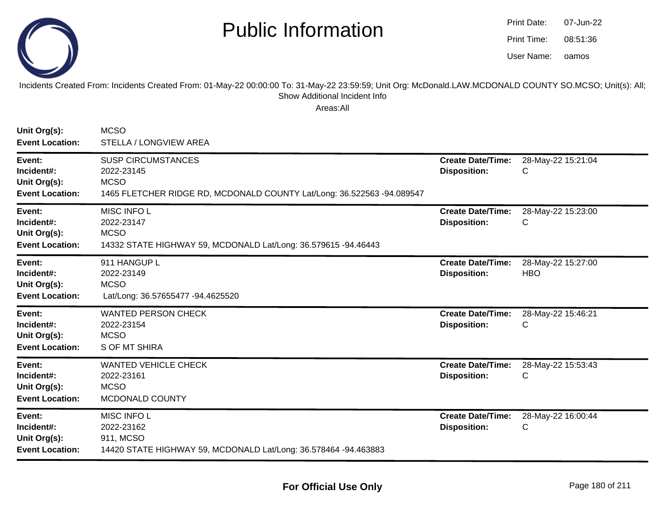

| <b>Print Date:</b> | 07-Jun-22 |
|--------------------|-----------|
| Print Time:        | 08:51:36  |
| User Name:         | oamos     |

Incidents Created From: Incidents Created From: 01-May-22 00:00:00 To: 31-May-22 23:59:59; Unit Org: McDonald.LAW.MCDONALD COUNTY SO.MCSO; Unit(s): All; Show Additional Incident Info

| Unit Org(s):<br><b>Event Location:</b>                         | <b>MCSO</b><br>STELLA / LONGVIEW AREA                                                                                            |                                                 |                                  |
|----------------------------------------------------------------|----------------------------------------------------------------------------------------------------------------------------------|-------------------------------------------------|----------------------------------|
| Event:<br>Incident#:<br>Unit Org(s):<br><b>Event Location:</b> | <b>SUSP CIRCUMSTANCES</b><br>2022-23145<br><b>MCSO</b><br>1465 FLETCHER RIDGE RD, MCDONALD COUNTY Lat/Long: 36.522563 -94.089547 | <b>Create Date/Time:</b><br><b>Disposition:</b> | 28-May-22 15:21:04<br>C          |
| Event:<br>Incident#:<br>Unit Org(s):<br><b>Event Location:</b> | MISC INFO L<br>2022-23147<br><b>MCSO</b><br>14332 STATE HIGHWAY 59, MCDONALD Lat/Long: 36.579615 -94.46443                       | <b>Create Date/Time:</b><br><b>Disposition:</b> | 28-May-22 15:23:00<br>С          |
| Event:<br>Incident#:<br>Unit Org(s):<br><b>Event Location:</b> | 911 HANGUP L<br>2022-23149<br><b>MCSO</b><br>Lat/Long: 36.57655477 -94.4625520                                                   | <b>Create Date/Time:</b><br><b>Disposition:</b> | 28-May-22 15:27:00<br><b>HBO</b> |
| Event:<br>Incident#:<br>Unit Org(s):<br><b>Event Location:</b> | <b>WANTED PERSON CHECK</b><br>2022-23154<br><b>MCSO</b><br>S OF MT SHIRA                                                         | <b>Create Date/Time:</b><br><b>Disposition:</b> | 28-May-22 15:46:21<br>C          |
| Event:<br>Incident#:<br>Unit Org(s):<br><b>Event Location:</b> | <b>WANTED VEHICLE CHECK</b><br>2022-23161<br><b>MCSO</b><br>MCDONALD COUNTY                                                      | <b>Create Date/Time:</b><br><b>Disposition:</b> | 28-May-22 15:53:43<br>C          |
| Event:<br>Incident#:<br>Unit Org(s):<br><b>Event Location:</b> | MISC INFO L<br>2022-23162<br>911, MCSO<br>14420 STATE HIGHWAY 59, MCDONALD Lat/Long: 36.578464 -94.463883                        | <b>Create Date/Time:</b><br><b>Disposition:</b> | 28-May-22 16:00:44<br>C          |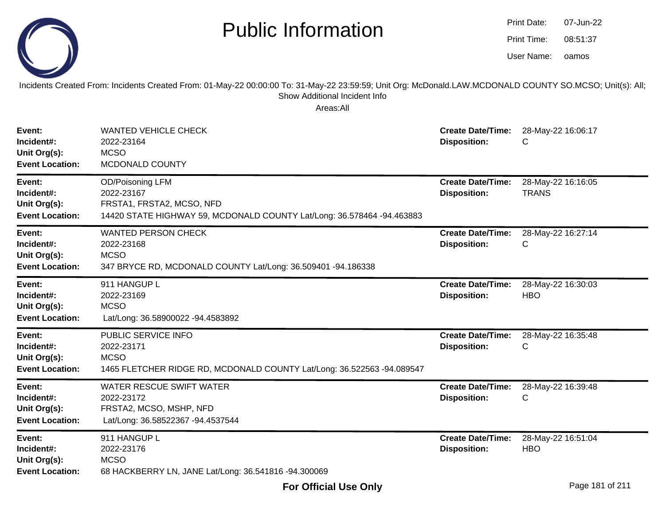

| <b>Print Date:</b> | 07-Jun-22 |
|--------------------|-----------|
| Print Time:        | 08:51:37  |
| User Name:         | oamos     |

Incidents Created From: Incidents Created From: 01-May-22 00:00:00 To: 31-May-22 23:59:59; Unit Org: McDonald.LAW.MCDONALD COUNTY SO.MCSO; Unit(s): All; Show Additional Incident Info

| Event:<br>Incident#:<br>Unit Org(s):<br><b>Event Location:</b> | <b>WANTED VEHICLE CHECK</b><br>2022-23164<br><b>MCSO</b><br>MCDONALD COUNTY                                                           | <b>Create Date/Time:</b><br><b>Disposition:</b> | 28-May-22 16:06:17<br>С            |
|----------------------------------------------------------------|---------------------------------------------------------------------------------------------------------------------------------------|-------------------------------------------------|------------------------------------|
| Event:<br>Incident#:<br>Unit Org(s):<br><b>Event Location:</b> | OD/Poisoning LFM<br>2022-23167<br>FRSTA1, FRSTA2, MCSO, NFD<br>14420 STATE HIGHWAY 59, MCDONALD COUNTY Lat/Long: 36.578464 -94.463883 | <b>Create Date/Time:</b><br><b>Disposition:</b> | 28-May-22 16:16:05<br><b>TRANS</b> |
| Event:<br>Incident#:<br>Unit Org(s):<br><b>Event Location:</b> | <b>WANTED PERSON CHECK</b><br>2022-23168<br><b>MCSO</b><br>347 BRYCE RD, MCDONALD COUNTY Lat/Long: 36.509401 -94.186338               | <b>Create Date/Time:</b><br><b>Disposition:</b> | 28-May-22 16:27:14<br>С            |
| Event:<br>Incident#:<br>Unit Org(s):<br><b>Event Location:</b> | 911 HANGUP L<br>2022-23169<br><b>MCSO</b><br>Lat/Long: 36.58900022 -94.4583892                                                        | <b>Create Date/Time:</b><br><b>Disposition:</b> | 28-May-22 16:30:03<br><b>HBO</b>   |
| Event:<br>Incident#:<br>Unit Org(s):<br><b>Event Location:</b> | PUBLIC SERVICE INFO<br>2022-23171<br><b>MCSO</b><br>1465 FLETCHER RIDGE RD, MCDONALD COUNTY Lat/Long: 36.522563 -94.089547            | <b>Create Date/Time:</b><br><b>Disposition:</b> | 28-May-22 16:35:48<br>С            |
| Event:<br>Incident#:<br>Unit Org(s):<br><b>Event Location:</b> | WATER RESCUE SWIFT WATER<br>2022-23172<br>FRSTA2, MCSO, MSHP, NFD<br>Lat/Long: 36.58522367 -94.4537544                                | <b>Create Date/Time:</b><br><b>Disposition:</b> | 28-May-22 16:39:48<br>C            |
| Event:<br>Incident#:<br>Unit Org(s):<br><b>Event Location:</b> | 911 HANGUP L<br>2022-23176<br><b>MCSO</b><br>68 HACKBERRY LN, JANE Lat/Long: 36.541816 -94.300069                                     | <b>Create Date/Time:</b><br><b>Disposition:</b> | 28-May-22 16:51:04<br><b>HBO</b>   |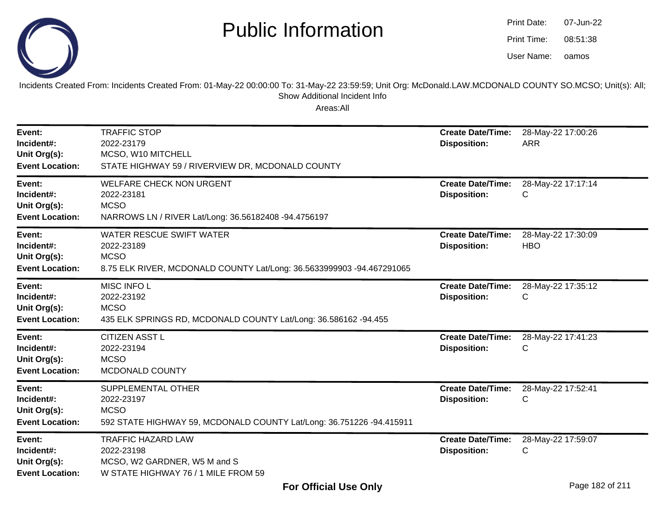

oamos07-Jun-2208:51:38Print Date:Print Time:User Name:

Incidents Created From: Incidents Created From: 01-May-22 00:00:00 To: 31-May-22 23:59:59; Unit Org: McDonald.LAW.MCDONALD COUNTY SO.MCSO; Unit(s): All; Show Additional Incident Info

| Event:<br>Incident#:<br>Unit Org(s):<br><b>Event Location:</b> | <b>TRAFFIC STOP</b><br>2022-23179<br>MCSO, W10 MITCHELL<br>STATE HIGHWAY 59 / RIVERVIEW DR, MCDONALD COUNTY                           | <b>Create Date/Time:</b><br><b>Disposition:</b> | 28-May-22 17:00:26<br><b>ARR</b> |
|----------------------------------------------------------------|---------------------------------------------------------------------------------------------------------------------------------------|-------------------------------------------------|----------------------------------|
| Event:<br>Incident#:<br>Unit Org(s):<br><b>Event Location:</b> | <b>WELFARE CHECK NON URGENT</b><br>2022-23181<br><b>MCSO</b><br>NARROWS LN / RIVER Lat/Long: 36.56182408 -94.4756197                  | <b>Create Date/Time:</b><br><b>Disposition:</b> | 28-May-22 17:17:14<br>C          |
| Event:<br>Incident#:<br>Unit Org(s):<br><b>Event Location:</b> | <b>WATER RESCUE SWIFT WATER</b><br>2022-23189<br><b>MCSO</b><br>8.75 ELK RIVER, MCDONALD COUNTY Lat/Long: 36.5633999903 -94.467291065 | <b>Create Date/Time:</b><br><b>Disposition:</b> | 28-May-22 17:30:09<br><b>HBO</b> |
| Event:<br>Incident#:<br>Unit Org(s):<br><b>Event Location:</b> | <b>MISC INFO L</b><br>2022-23192<br><b>MCSO</b><br>435 ELK SPRINGS RD, MCDONALD COUNTY Lat/Long: 36.586162 -94.455                    | <b>Create Date/Time:</b><br><b>Disposition:</b> | 28-May-22 17:35:12<br>C          |
| Event:<br>Incident#:<br>Unit Org(s):<br><b>Event Location:</b> | <b>CITIZEN ASST L</b><br>2022-23194<br><b>MCSO</b><br>MCDONALD COUNTY                                                                 | <b>Create Date/Time:</b><br><b>Disposition:</b> | 28-May-22 17:41:23<br>С          |
| Event:<br>Incident#:<br>Unit Org(s):<br><b>Event Location:</b> | SUPPLEMENTAL OTHER<br>2022-23197<br><b>MCSO</b><br>592 STATE HIGHWAY 59, MCDONALD COUNTY Lat/Long: 36.751226 -94.415911               | <b>Create Date/Time:</b><br><b>Disposition:</b> | 28-May-22 17:52:41<br>С          |
| Event:<br>Incident#:<br>Unit Org(s):<br><b>Event Location:</b> | <b>TRAFFIC HAZARD LAW</b><br>2022-23198<br>MCSO, W2 GARDNER, W5 M and S<br>W STATE HIGHWAY 76 / 1 MILE FROM 59                        | <b>Create Date/Time:</b><br><b>Disposition:</b> | 28-May-22 17:59:07<br>С          |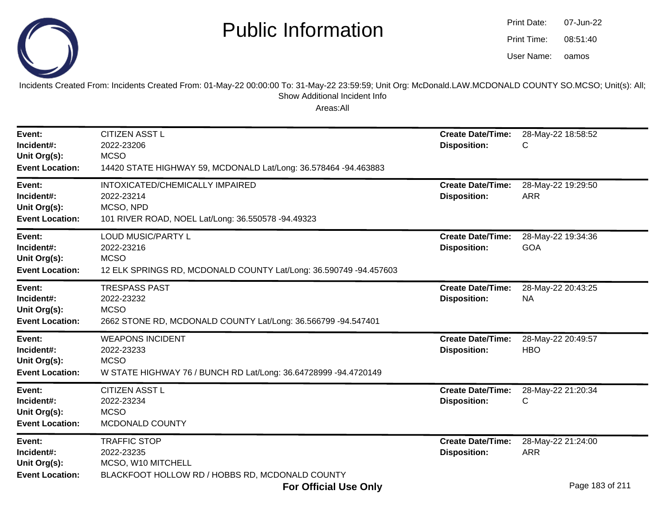

| Print Date: | 07-Jun-22 |
|-------------|-----------|
| Print Time: | 08:51:40  |
| User Name:  | oamos     |

Incidents Created From: Incidents Created From: 01-May-22 00:00:00 To: 31-May-22 23:59:59; Unit Org: McDonald.LAW.MCDONALD COUNTY SO.MCSO; Unit(s): All;Show Additional Incident Info

| Event:<br>Incident#:<br>Unit Org(s):<br><b>Event Location:</b> | <b>CITIZEN ASST L</b><br>2022-23206<br><b>MCSO</b><br>14420 STATE HIGHWAY 59, MCDONALD Lat/Long: 36.578464 -94.463883                | <b>Create Date/Time:</b><br><b>Disposition:</b> | 28-May-22 18:58:52<br>С                             |
|----------------------------------------------------------------|--------------------------------------------------------------------------------------------------------------------------------------|-------------------------------------------------|-----------------------------------------------------|
| Event:<br>Incident#:<br>Unit Org(s):<br><b>Event Location:</b> | INTOXICATED/CHEMICALLY IMPAIRED<br>2022-23214<br>MCSO, NPD<br>101 RIVER ROAD, NOEL Lat/Long: 36.550578 -94.49323                     | <b>Create Date/Time:</b><br><b>Disposition:</b> | 28-May-22 19:29:50<br><b>ARR</b>                    |
| Event:<br>Incident#:<br>Unit Org(s):<br><b>Event Location:</b> | <b>LOUD MUSIC/PARTY L</b><br>2022-23216<br><b>MCSO</b><br>12 ELK SPRINGS RD, MCDONALD COUNTY Lat/Long: 36.590749 -94.457603          | <b>Create Date/Time:</b><br><b>Disposition:</b> | 28-May-22 19:34:36<br><b>GOA</b>                    |
| Event:<br>Incident#:<br>Unit Org(s):<br><b>Event Location:</b> | <b>TRESPASS PAST</b><br>2022-23232<br><b>MCSO</b><br>2662 STONE RD, MCDONALD COUNTY Lat/Long: 36.566799 -94.547401                   | <b>Create Date/Time:</b><br><b>Disposition:</b> | 28-May-22 20:43:25<br><b>NA</b>                     |
| Event:<br>Incident#:<br>Unit Org(s):<br><b>Event Location:</b> | <b>WEAPONS INCIDENT</b><br>2022-23233<br><b>MCSO</b><br>W STATE HIGHWAY 76 / BUNCH RD Lat/Long: 36.64728999 -94.4720149              | <b>Create Date/Time:</b><br><b>Disposition:</b> | 28-May-22 20:49:57<br><b>HBO</b>                    |
| Event:<br>Incident#:<br>Unit Org(s):<br><b>Event Location:</b> | <b>CITIZEN ASST L</b><br>2022-23234<br><b>MCSO</b><br>MCDONALD COUNTY                                                                | <b>Create Date/Time:</b><br><b>Disposition:</b> | 28-May-22 21:20:34<br>С                             |
| Event:<br>Incident#:<br>Unit Org(s):<br><b>Event Location:</b> | <b>TRAFFIC STOP</b><br>2022-23235<br>MCSO, W10 MITCHELL<br>BLACKFOOT HOLLOW RD / HOBBS RD, MCDONALD COUNTY<br>E. . All. I H. . A. I. | <b>Create Date/Time:</b><br><b>Disposition:</b> | 28-May-22 21:24:00<br><b>ARR</b><br>Dogo 102 of 211 |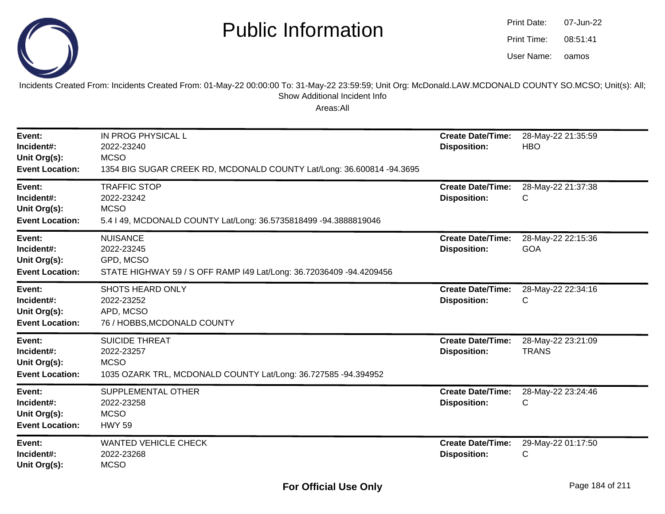

| Print Date: | 07-Jun-22 |
|-------------|-----------|
| Print Time: | 08:51:41  |
| User Name:  | oamos     |

Incidents Created From: Incidents Created From: 01-May-22 00:00:00 To: 31-May-22 23:59:59; Unit Org: McDonald.LAW.MCDONALD COUNTY SO.MCSO; Unit(s): All; Show Additional Incident Info

| Event:<br>Incident#:<br>Unit Org(s):<br><b>Event Location:</b> | IN PROG PHYSICAL L<br>2022-23240<br><b>MCSO</b><br>1354 BIG SUGAR CREEK RD, MCDONALD COUNTY Lat/Long: 36.600814 -94.3695 | <b>Create Date/Time:</b><br><b>Disposition:</b> | 28-May-22 21:35:59<br><b>HBO</b>   |
|----------------------------------------------------------------|--------------------------------------------------------------------------------------------------------------------------|-------------------------------------------------|------------------------------------|
| Event:<br>Incident#:<br>Unit Org(s):<br><b>Event Location:</b> | <b>TRAFFIC STOP</b><br>2022-23242<br><b>MCSO</b><br>5.4   49, MCDONALD COUNTY Lat/Long: 36.5735818499 -94.3888819046     | <b>Create Date/Time:</b><br><b>Disposition:</b> | 28-May-22 21:37:38<br>С            |
| Event:<br>Incident#:<br>Unit Org(s):<br><b>Event Location:</b> | <b>NUISANCE</b><br>2022-23245<br>GPD, MCSO<br>STATE HIGHWAY 59 / S OFF RAMP I49 Lat/Long: 36.72036409 -94.4209456        | <b>Create Date/Time:</b><br><b>Disposition:</b> | 28-May-22 22:15:36<br>GOA          |
| Event:<br>Incident#:<br>Unit Org(s):<br><b>Event Location:</b> | <b>SHOTS HEARD ONLY</b><br>2022-23252<br>APD, MCSO<br>76 / HOBBS, MCDONALD COUNTY                                        | <b>Create Date/Time:</b><br><b>Disposition:</b> | 28-May-22 22:34:16<br>С            |
| Event:<br>Incident#:<br>Unit Org(s):<br><b>Event Location:</b> | <b>SUICIDE THREAT</b><br>2022-23257<br><b>MCSO</b><br>1035 OZARK TRL, MCDONALD COUNTY Lat/Long: 36.727585 -94.394952     | <b>Create Date/Time:</b><br><b>Disposition:</b> | 28-May-22 23:21:09<br><b>TRANS</b> |
| Event:<br>Incident#:<br>Unit Org(s):<br><b>Event Location:</b> | SUPPLEMENTAL OTHER<br>2022-23258<br><b>MCSO</b><br><b>HWY 59</b>                                                         | <b>Create Date/Time:</b><br><b>Disposition:</b> | 28-May-22 23:24:46<br>C            |
| Event:<br>Incident#:<br>Unit Org(s):                           | <b>WANTED VEHICLE CHECK</b><br>2022-23268<br><b>MCSO</b>                                                                 | <b>Create Date/Time:</b><br><b>Disposition:</b> | 29-May-22 01:17:50<br>С            |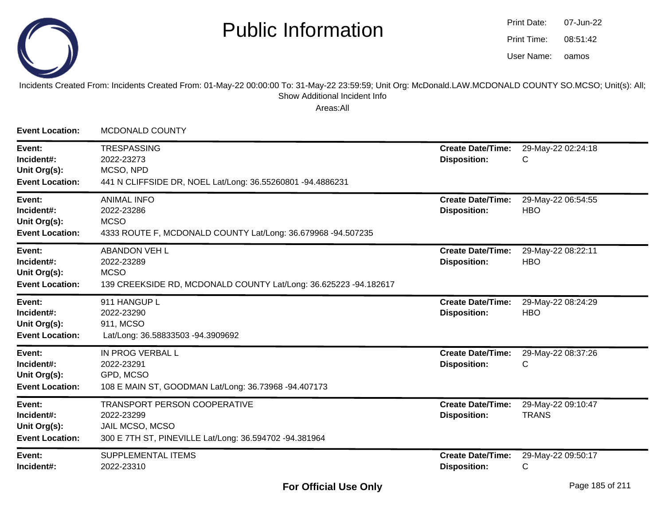

oamos07-Jun-2208:51:42Print Date:Print Time:User Name:

#### Incidents Created From: Incidents Created From: 01-May-22 00:00:00 To: 31-May-22 23:59:59; Unit Org: McDonald.LAW.MCDONALD COUNTY SO.MCSO; Unit(s): All; Show Additional Incident Info

| <b>Event Location:</b>                                         | <b>MCDONALD COUNTY</b>                                                                                                  |                                                 |                                    |
|----------------------------------------------------------------|-------------------------------------------------------------------------------------------------------------------------|-------------------------------------------------|------------------------------------|
| Event:<br>Incident#:<br>Unit Org(s):<br><b>Event Location:</b> | <b>TRESPASSING</b><br>2022-23273<br>MCSO, NPD<br>441 N CLIFFSIDE DR, NOEL Lat/Long: 36.55260801 -94.4886231             | <b>Create Date/Time:</b><br><b>Disposition:</b> | 29-May-22 02:24:18<br>С            |
| Event:<br>Incident#:<br>Unit Org(s):<br><b>Event Location:</b> | <b>ANIMAL INFO</b><br>2022-23286<br><b>MCSO</b><br>4333 ROUTE F, MCDONALD COUNTY Lat/Long: 36.679968 -94.507235         | <b>Create Date/Time:</b><br><b>Disposition:</b> | 29-May-22 06:54:55<br><b>HBO</b>   |
| Event:<br>Incident#:<br>Unit Org(s):<br><b>Event Location:</b> | <b>ABANDON VEH L</b><br>2022-23289<br><b>MCSO</b><br>139 CREEKSIDE RD, MCDONALD COUNTY Lat/Long: 36.625223 -94.182617   | <b>Create Date/Time:</b><br><b>Disposition:</b> | 29-May-22 08:22:11<br><b>HBO</b>   |
| Event:<br>Incident#:<br>Unit Org(s):<br><b>Event Location:</b> | 911 HANGUP L<br>2022-23290<br>911, MCSO<br>Lat/Long: 36.58833503 -94.3909692                                            | <b>Create Date/Time:</b><br><b>Disposition:</b> | 29-May-22 08:24:29<br><b>HBO</b>   |
| Event:<br>Incident#:<br>Unit Org(s):<br><b>Event Location:</b> | IN PROG VERBAL L<br>2022-23291<br>GPD, MCSO<br>108 E MAIN ST, GOODMAN Lat/Long: 36.73968 -94.407173                     | <b>Create Date/Time:</b><br><b>Disposition:</b> | 29-May-22 08:37:26<br>С            |
| Event:<br>Incident#:<br>Unit Org(s):<br><b>Event Location:</b> | TRANSPORT PERSON COOPERATIVE<br>2022-23299<br>JAIL MCSO, MCSO<br>300 E 7TH ST, PINEVILLE Lat/Long: 36.594702 -94.381964 | <b>Create Date/Time:</b><br><b>Disposition:</b> | 29-May-22 09:10:47<br><b>TRANS</b> |
| Event:<br>Incident#:                                           | SUPPLEMENTAL ITEMS<br>2022-23310                                                                                        | <b>Create Date/Time:</b><br><b>Disposition:</b> | 29-May-22 09:50:17<br>С            |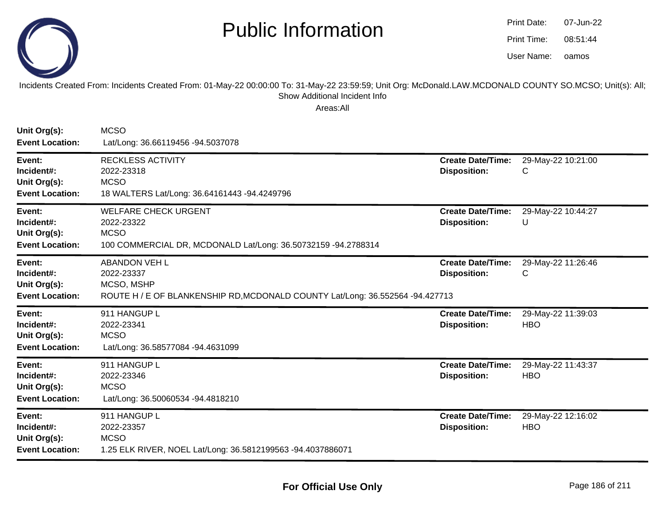

oamos07-Jun-2208:51:44Print Date:Print Time:User Name:

Incidents Created From: Incidents Created From: 01-May-22 00:00:00 To: 31-May-22 23:59:59; Unit Org: McDonald.LAW.MCDONALD COUNTY SO.MCSO; Unit(s): All;Show Additional Incident Info

| Unit Org(s):<br><b>Event Location:</b>                         | <b>MCSO</b><br>Lat/Long: 36.66119456 -94.5037078                                                                                  |                                                 |                                  |
|----------------------------------------------------------------|-----------------------------------------------------------------------------------------------------------------------------------|-------------------------------------------------|----------------------------------|
| Event:<br>Incident#:<br>Unit Org(s):<br><b>Event Location:</b> | <b>RECKLESS ACTIVITY</b><br>2022-23318<br><b>MCSO</b><br>18 WALTERS Lat/Long: 36.64161443 -94.4249796                             | <b>Create Date/Time:</b><br><b>Disposition:</b> | 29-May-22 10:21:00<br>C          |
| Event:<br>Incident#:<br>Unit Org(s):<br><b>Event Location:</b> | <b>WELFARE CHECK URGENT</b><br>2022-23322<br><b>MCSO</b><br>100 COMMERCIAL DR, MCDONALD Lat/Long: 36.50732159 -94.2788314         | <b>Create Date/Time:</b><br><b>Disposition:</b> | 29-May-22 10:44:27<br>U          |
| Event:<br>Incident#:<br>Unit Org(s):<br><b>Event Location:</b> | <b>ABANDON VEH L</b><br>2022-23337<br>MCSO, MSHP<br>ROUTE H / E OF BLANKENSHIP RD, MCDONALD COUNTY Lat/Long: 36.552564 -94.427713 | <b>Create Date/Time:</b><br><b>Disposition:</b> | 29-May-22 11:26:46<br>C          |
| Event:<br>Incident#:<br>Unit Org(s):<br><b>Event Location:</b> | 911 HANGUP L<br>2022-23341<br><b>MCSO</b><br>Lat/Long: 36.58577084 -94.4631099                                                    | <b>Create Date/Time:</b><br><b>Disposition:</b> | 29-May-22 11:39:03<br><b>HBO</b> |
| Event:<br>Incident#:<br>Unit Org(s):<br><b>Event Location:</b> | 911 HANGUP L<br>2022-23346<br><b>MCSO</b><br>Lat/Long: 36.50060534 -94.4818210                                                    | <b>Create Date/Time:</b><br><b>Disposition:</b> | 29-May-22 11:43:37<br><b>HBO</b> |
| Event:<br>Incident#:<br>Unit Org(s):<br><b>Event Location:</b> | 911 HANGUP L<br>2022-23357<br><b>MCSO</b><br>1.25 ELK RIVER, NOEL Lat/Long: 36.5812199563 -94.4037886071                          | <b>Create Date/Time:</b><br><b>Disposition:</b> | 29-May-22 12:16:02<br><b>HBO</b> |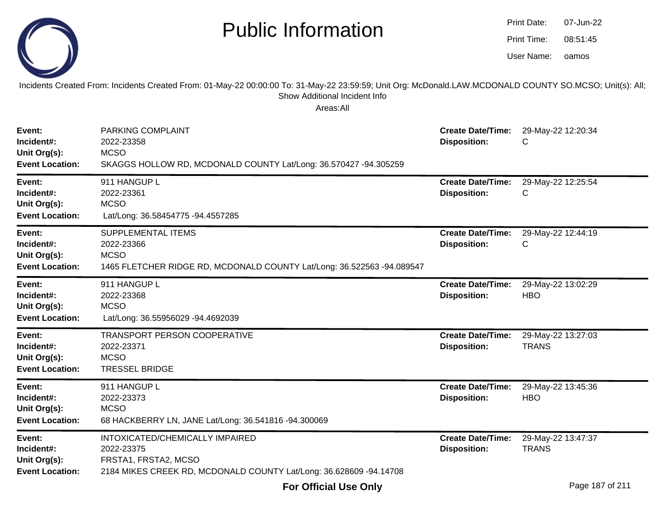|                                                                | <b>Public Information</b>                                                                                                                                                                              |                                                 | Print Date:<br>Print Time:<br>User Name: | 07-Jun-22<br>08:51:45<br>oamos |
|----------------------------------------------------------------|--------------------------------------------------------------------------------------------------------------------------------------------------------------------------------------------------------|-------------------------------------------------|------------------------------------------|--------------------------------|
|                                                                | Incidents Created From: Incidents Created From: 01-May-22 00:00:00 To: 31-May-22 23:59:59; Unit Org: McDonald.LAW.MCDONALD COUNTY SO.MCSO; Unit(s): All;<br>Show Additional Incident Info<br>Areas:All |                                                 |                                          |                                |
| Event:<br>Incident#:<br>Unit Org(s):<br><b>Event Location:</b> | PARKING COMPLAINT<br>2022-23358<br><b>MCSO</b><br>SKAGGS HOLLOW RD, MCDONALD COUNTY Lat/Long: 36.570427 -94.305259                                                                                     | <b>Create Date/Time:</b><br><b>Disposition:</b> | C                                        | 29-May-22 12:20:34             |
| Event:<br>Incident#:<br>Unit Org(s):<br><b>Event Location:</b> | 911 HANGUP L<br>2022-23361<br><b>MCSO</b><br>Lat/Long: 36.58454775 -94.4557285                                                                                                                         | <b>Create Date/Time:</b><br><b>Disposition:</b> | C                                        | 29-May-22 12:25:54             |
| Event:<br>Incident#:<br>Unit Org(s):<br><b>Event Location:</b> | SUPPLEMENTAL ITEMS<br>2022-23366<br><b>MCSO</b><br>1465 FLETCHER RIDGE RD, MCDONALD COUNTY Lat/Long: 36.522563 -94.089547                                                                              | <b>Create Date/Time:</b><br><b>Disposition:</b> | C                                        | 29-May-22 12:44:19             |
| Event:<br>Incident#:<br>Unit Org(s):<br><b>Event Location:</b> | 911 HANGUP L<br>2022-23368<br><b>MCSO</b><br>Lat/Long: 36.55956029 -94.4692039                                                                                                                         | <b>Create Date/Time:</b><br><b>Disposition:</b> | <b>HBO</b>                               | 29-May-22 13:02:29             |
| Event:<br>Incident#:<br>Unit Org(s):<br><b>Event Location:</b> | TRANSPORT PERSON COOPERATIVE<br>2022-23371<br><b>MCSO</b><br><b>TRESSEL BRIDGE</b>                                                                                                                     | <b>Create Date/Time:</b><br><b>Disposition:</b> | <b>TRANS</b>                             | 29-May-22 13:27:03             |
| Event:<br>Incident#:<br>Unit Org(s):<br><b>Event Location:</b> | 911 HANGUP L<br>2022-23373<br><b>MCSO</b><br>68 HACKBERRY LN, JANE Lat/Long: 36.541816 -94.300069                                                                                                      | <b>Create Date/Time:</b><br><b>Disposition:</b> | <b>HBO</b>                               | 29-May-22 13:45:36             |
| Event:<br>Incident#:<br>Unit Org(s):<br><b>Event Location:</b> | INTOXICATED/CHEMICALLY IMPAIRED<br>2022-23375<br>FRSTA1, FRSTA2, MCSO<br>2184 MIKES CREEK RD, MCDONALD COUNTY Lat/Long: 36.628609 -94.14708                                                            | <b>Create Date/Time:</b><br><b>Disposition:</b> | <b>TRANS</b>                             | 29-May-22 13:47:37             |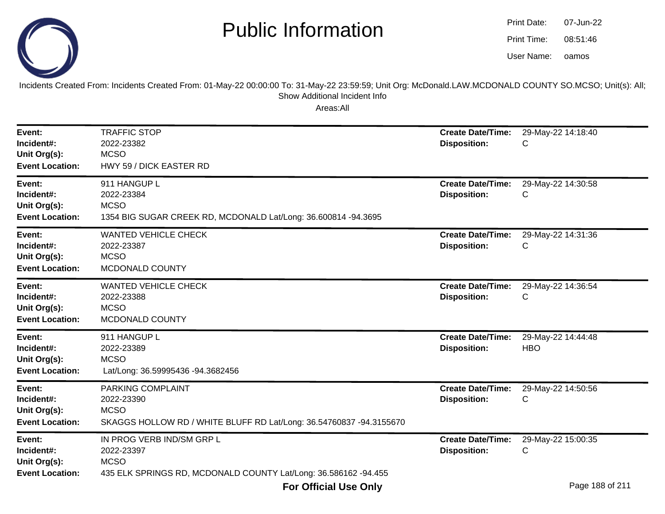

oamos07-Jun-2208:51:46Print Date:Print Time:User Name:

Incidents Created From: Incidents Created From: 01-May-22 00:00:00 To: 31-May-22 23:59:59; Unit Org: McDonald.LAW.MCDONALD COUNTY SO.MCSO; Unit(s): All; Show Additional Incident Info

| Event:<br>Incident#:<br>Unit Org(s):<br><b>Event Location:</b> | <b>TRAFFIC STOP</b><br>2022-23382<br><b>MCSO</b><br>HWY 59 / DICK EASTER RD                                               | <b>Create Date/Time:</b><br><b>Disposition:</b> | 29-May-22 14:18:40<br>С          |
|----------------------------------------------------------------|---------------------------------------------------------------------------------------------------------------------------|-------------------------------------------------|----------------------------------|
| Event:<br>Incident#:<br>Unit Org(s):<br><b>Event Location:</b> | 911 HANGUP L<br>2022-23384<br><b>MCSO</b><br>1354 BIG SUGAR CREEK RD, MCDONALD Lat/Long: 36.600814 -94.3695               | <b>Create Date/Time:</b><br><b>Disposition:</b> | 29-May-22 14:30:58<br>С          |
| Event:<br>Incident#:<br>Unit Org(s):<br><b>Event Location:</b> | <b>WANTED VEHICLE CHECK</b><br>2022-23387<br><b>MCSO</b><br>MCDONALD COUNTY                                               | <b>Create Date/Time:</b><br><b>Disposition:</b> | 29-May-22 14:31:36<br>С          |
| Event:<br>Incident#:<br>Unit Org(s):<br><b>Event Location:</b> | <b>WANTED VEHICLE CHECK</b><br>2022-23388<br><b>MCSO</b><br>MCDONALD COUNTY                                               | <b>Create Date/Time:</b><br><b>Disposition:</b> | 29-May-22 14:36:54<br>С          |
| Event:<br>Incident#:<br>Unit Org(s):<br><b>Event Location:</b> | 911 HANGUP L<br>2022-23389<br><b>MCSO</b><br>Lat/Long: 36.59995436 -94.3682456                                            | <b>Create Date/Time:</b><br><b>Disposition:</b> | 29-May-22 14:44:48<br><b>HBO</b> |
| Event:<br>Incident#:<br>Unit Org(s):<br><b>Event Location:</b> | PARKING COMPLAINT<br>2022-23390<br><b>MCSO</b><br>SKAGGS HOLLOW RD / WHITE BLUFF RD Lat/Long: 36.54760837 -94.3155670     | <b>Create Date/Time:</b><br><b>Disposition:</b> | 29-May-22 14:50:56<br>С          |
| Event:<br>Incident#:<br>Unit Org(s):<br><b>Event Location:</b> | IN PROG VERB IND/SM GRP L<br>2022-23397<br><b>MCSO</b><br>435 ELK SPRINGS RD, MCDONALD COUNTY Lat/Long: 36.586162 -94.455 | <b>Create Date/Time:</b><br><b>Disposition:</b> | 29-May-22 15:00:35<br>C          |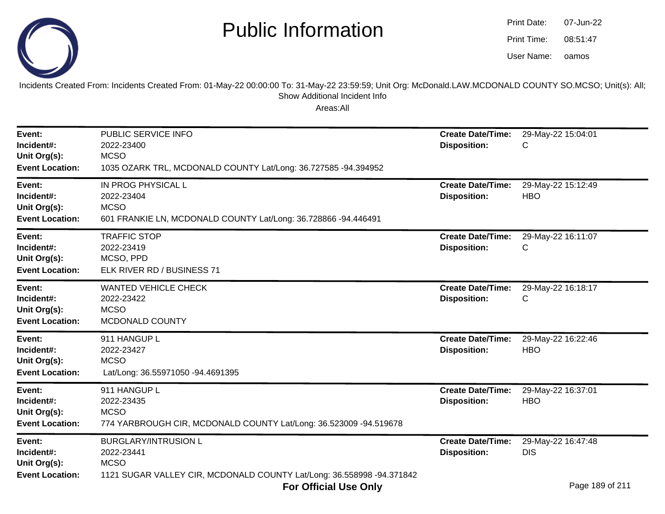

| Print Date: | 07-Jun-22 |
|-------------|-----------|
| Print Time: | 08:51:47  |
| User Name:  | oamos     |

Incidents Created From: Incidents Created From: 01-May-22 00:00:00 To: 31-May-22 23:59:59; Unit Org: McDonald.LAW.MCDONALD COUNTY SO.MCSO; Unit(s): All; Show Additional Incident Info

| Event:<br>Incident#:<br>Unit Org(s):<br><b>Event Location:</b> | PUBLIC SERVICE INFO<br>2022-23400<br><b>MCSO</b><br>1035 OZARK TRL, MCDONALD COUNTY Lat/Long: 36.727585 -94.394952                | <b>Create Date/Time:</b><br><b>Disposition:</b> | 29-May-22 15:04:01<br>С                                   |
|----------------------------------------------------------------|-----------------------------------------------------------------------------------------------------------------------------------|-------------------------------------------------|-----------------------------------------------------------|
| Event:<br>Incident#:<br>Unit Org(s):<br><b>Event Location:</b> | IN PROG PHYSICAL L<br>2022-23404<br><b>MCSO</b><br>601 FRANKIE LN, MCDONALD COUNTY Lat/Long: 36.728866 -94.446491                 | <b>Create Date/Time:</b><br><b>Disposition:</b> | 29-May-22 15:12:49<br><b>HBO</b>                          |
| Event:<br>Incident#:<br>Unit Org(s):<br><b>Event Location:</b> | <b>TRAFFIC STOP</b><br>2022-23419<br>MCSO, PPD<br>ELK RIVER RD / BUSINESS 71                                                      | <b>Create Date/Time:</b><br><b>Disposition:</b> | 29-May-22 16:11:07<br>С                                   |
| Event:<br>Incident#:<br>Unit Org(s):<br><b>Event Location:</b> | <b>WANTED VEHICLE CHECK</b><br>2022-23422<br><b>MCSO</b><br>MCDONALD COUNTY                                                       | <b>Create Date/Time:</b><br><b>Disposition:</b> | 29-May-22 16:18:17<br>С                                   |
| Event:<br>Incident#:<br>Unit Org(s):<br><b>Event Location:</b> | 911 HANGUP L<br>2022-23427<br><b>MCSO</b><br>Lat/Long: 36.55971050 -94.4691395                                                    | <b>Create Date/Time:</b><br><b>Disposition:</b> | 29-May-22 16:22:46<br><b>HBO</b>                          |
| Event:<br>Incident#:<br>Unit Org(s):<br><b>Event Location:</b> | 911 HANGUP L<br>2022-23435<br><b>MCSO</b><br>774 YARBROUGH CIR, MCDONALD COUNTY Lat/Long: 36.523009 -94.519678                    | <b>Create Date/Time:</b><br><b>Disposition:</b> | 29-May-22 16:37:01<br><b>HBO</b>                          |
| Event:<br>Incident#:<br>Unit Org(s):<br><b>Event Location:</b> | <b>BURGLARY/INTRUSION L</b><br>2022-23441<br><b>MCSO</b><br>1121 SUGAR VALLEY CIR, MCDONALD COUNTY Lat/Long: 36.558998 -94.371842 | <b>Create Date/Time:</b><br><b>Disposition:</b> | 29-May-22 16:47:48<br><b>DIS</b><br>$D = 400 \times 1044$ |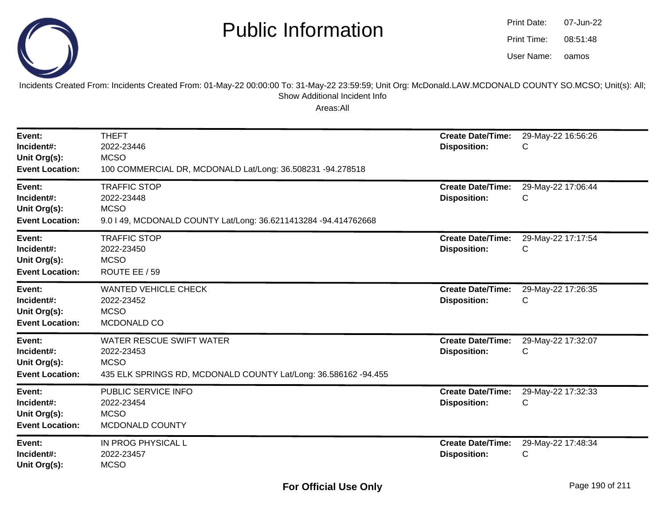

oamos07-Jun-2208:51:48Print Date:Print Time:User Name:

Incidents Created From: Incidents Created From: 01-May-22 00:00:00 To: 31-May-22 23:59:59; Unit Org: McDonald.LAW.MCDONALD COUNTY SO.MCSO; Unit(s): All; Show Additional Incident Info

| Event:<br>Incident#:<br>Unit Org(s):<br><b>Event Location:</b> | <b>THEFT</b><br>2022-23446<br><b>MCSO</b><br>100 COMMERCIAL DR, MCDONALD Lat/Long: 36.508231 -94.278518                  | <b>Create Date/Time:</b><br><b>Disposition:</b> | 29-May-22 16:56:26<br>С |
|----------------------------------------------------------------|--------------------------------------------------------------------------------------------------------------------------|-------------------------------------------------|-------------------------|
| Event:<br>Incident#:<br>Unit Org(s):<br><b>Event Location:</b> | <b>TRAFFIC STOP</b><br>2022-23448<br><b>MCSO</b><br>9.0   49, MCDONALD COUNTY Lat/Long: 36.6211413284 -94.414762668      | <b>Create Date/Time:</b><br><b>Disposition:</b> | 29-May-22 17:06:44<br>С |
| Event:<br>Incident#:<br>Unit Org(s):<br><b>Event Location:</b> | <b>TRAFFIC STOP</b><br>2022-23450<br><b>MCSO</b><br>ROUTE EE / 59                                                        | <b>Create Date/Time:</b><br><b>Disposition:</b> | 29-May-22 17:17:54<br>С |
| Event:<br>Incident#:<br>Unit Org(s):<br><b>Event Location:</b> | <b>WANTED VEHICLE CHECK</b><br>2022-23452<br><b>MCSO</b><br>MCDONALD CO                                                  | <b>Create Date/Time:</b><br><b>Disposition:</b> | 29-May-22 17:26:35<br>С |
| Event:<br>Incident#:<br>Unit Org(s):<br><b>Event Location:</b> | WATER RESCUE SWIFT WATER<br>2022-23453<br><b>MCSO</b><br>435 ELK SPRINGS RD, MCDONALD COUNTY Lat/Long: 36.586162 -94.455 | <b>Create Date/Time:</b><br><b>Disposition:</b> | 29-May-22 17:32:07<br>С |
| Event:<br>Incident#:<br>Unit Org(s):<br><b>Event Location:</b> | PUBLIC SERVICE INFO<br>2022-23454<br><b>MCSO</b><br>MCDONALD COUNTY                                                      | <b>Create Date/Time:</b><br><b>Disposition:</b> | 29-May-22 17:32:33<br>C |
| Event:<br>Incident#:<br>Unit Org(s):                           | IN PROG PHYSICAL L<br>2022-23457<br><b>MCSO</b>                                                                          | <b>Create Date/Time:</b><br><b>Disposition:</b> | 29-May-22 17:48:34<br>С |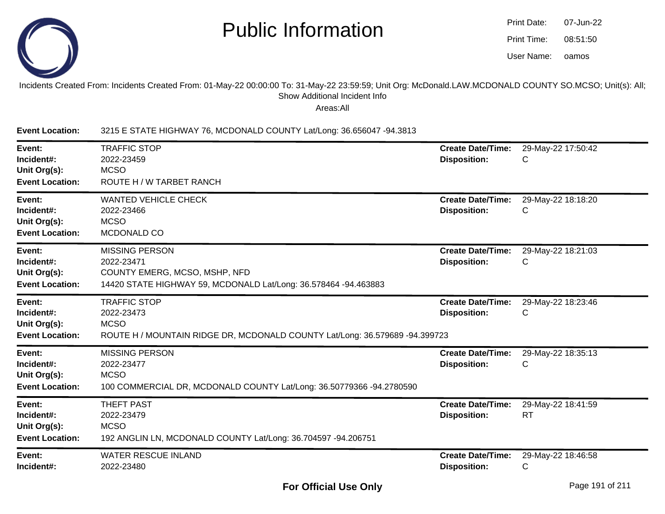

| Print Date: | 07-Jun-22 |
|-------------|-----------|
| Print Time: | 08:51:50  |
| User Name:  | oamos     |

#### Incidents Created From: Incidents Created From: 01-May-22 00:00:00 To: 31-May-22 23:59:59; Unit Org: McDonald.LAW.MCDONALD COUNTY SO.MCSO; Unit(s): All;Show Additional Incident Info

Areas:All

**Event Location:**3215 E STATE HIGHWAY 76, MCDONALD COUNTY Lat/Long: 36.656047 -94.3813

| Event:<br>Incident#:<br>Unit Org(s):<br><b>Event Location:</b> | <b>TRAFFIC STOP</b><br>2022-23459<br><b>MCSO</b><br>ROUTE H / W TARBET RANCH                                                            | <b>Create Date/Time:</b><br><b>Disposition:</b> | 29-May-22 17:50:42<br>C         |
|----------------------------------------------------------------|-----------------------------------------------------------------------------------------------------------------------------------------|-------------------------------------------------|---------------------------------|
| Event:<br>Incident#:<br>Unit Org(s):<br><b>Event Location:</b> | <b>WANTED VEHICLE CHECK</b><br>2022-23466<br><b>MCSO</b><br>MCDONALD CO                                                                 | <b>Create Date/Time:</b><br><b>Disposition:</b> | 29-May-22 18:18:20<br>С         |
| Event:<br>Incident#:<br>Unit Org(s):<br><b>Event Location:</b> | <b>MISSING PERSON</b><br>2022-23471<br>COUNTY EMERG, MCSO, MSHP, NFD<br>14420 STATE HIGHWAY 59, MCDONALD Lat/Long: 36.578464 -94.463883 | <b>Create Date/Time:</b><br><b>Disposition:</b> | 29-May-22 18:21:03<br>С         |
| Event:<br>Incident#:<br>Unit Org(s):<br><b>Event Location:</b> | <b>TRAFFIC STOP</b><br>2022-23473<br><b>MCSO</b><br>ROUTE H / MOUNTAIN RIDGE DR, MCDONALD COUNTY Lat/Long: 36.579689 -94.399723         | <b>Create Date/Time:</b><br><b>Disposition:</b> | 29-May-22 18:23:46<br>С         |
| Event:<br>Incident#:<br>Unit Org(s):<br><b>Event Location:</b> | <b>MISSING PERSON</b><br>2022-23477<br><b>MCSO</b><br>100 COMMERCIAL DR, MCDONALD COUNTY Lat/Long: 36.50779366 -94.2780590              | <b>Create Date/Time:</b><br><b>Disposition:</b> | 29-May-22 18:35:13<br>С         |
| Event:<br>Incident#:<br>Unit Org(s):<br><b>Event Location:</b> | <b>THEFT PAST</b><br>2022-23479<br><b>MCSO</b><br>192 ANGLIN LN, MCDONALD COUNTY Lat/Long: 36.704597 -94.206751                         | <b>Create Date/Time:</b><br><b>Disposition:</b> | 29-May-22 18:41:59<br><b>RT</b> |
| Event:<br>Incident#:                                           | <b>WATER RESCUE INLAND</b><br>2022-23480                                                                                                | <b>Create Date/Time:</b><br><b>Disposition:</b> | 29-May-22 18:46:58<br>C         |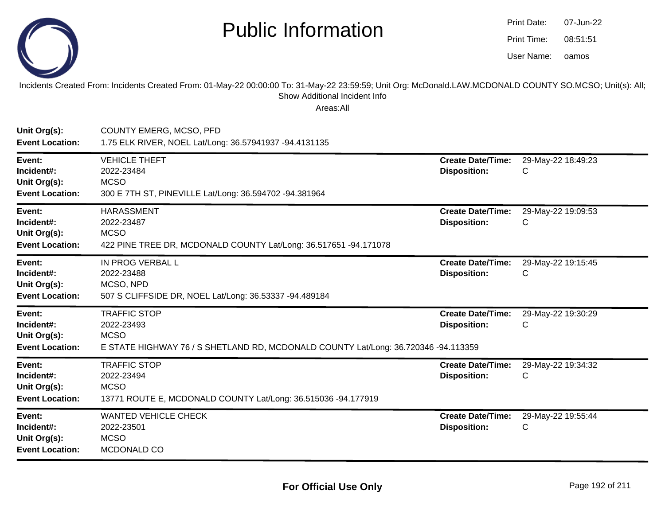

| Print Date: | 07-Jun-22 |
|-------------|-----------|
| Print Time: | 08:51:51  |
| User Name:  | oamos     |

Incidents Created From: Incidents Created From: 01-May-22 00:00:00 To: 31-May-22 23:59:59; Unit Org: McDonald.LAW.MCDONALD COUNTY SO.MCSO; Unit(s): All; Show Additional Incident Info

| Unit Org(s):<br><b>Event Location:</b>                         | <b>COUNTY EMERG, MCSO, PFD</b><br>1.75 ELK RIVER, NOEL Lat/Long: 36.57941937 -94.4131135                                               |                                                 |                         |
|----------------------------------------------------------------|----------------------------------------------------------------------------------------------------------------------------------------|-------------------------------------------------|-------------------------|
| Event:<br>Incident#:<br>Unit Org(s):<br><b>Event Location:</b> | <b>VEHICLE THEFT</b><br>2022-23484<br><b>MCSO</b><br>300 E 7TH ST, PINEVILLE Lat/Long: 36.594702 -94.381964                            | <b>Create Date/Time:</b><br><b>Disposition:</b> | 29-May-22 18:49:23<br>C |
| Event:<br>Incident#:<br>Unit Org(s):<br><b>Event Location:</b> | <b>HARASSMENT</b><br>2022-23487<br><b>MCSO</b><br>422 PINE TREE DR, MCDONALD COUNTY Lat/Long: 36.517651 -94.171078                     | <b>Create Date/Time:</b><br><b>Disposition:</b> | 29-May-22 19:09:53<br>С |
| Event:<br>Incident#:<br>Unit Org(s):<br><b>Event Location:</b> | IN PROG VERBAL L<br>2022-23488<br>MCSO, NPD<br>507 S CLIFFSIDE DR, NOEL Lat/Long: 36.53337 -94.489184                                  | <b>Create Date/Time:</b><br><b>Disposition:</b> | 29-May-22 19:15:45<br>C |
| Event:<br>Incident#:<br>Unit Org(s):<br><b>Event Location:</b> | <b>TRAFFIC STOP</b><br>2022-23493<br><b>MCSO</b><br>E STATE HIGHWAY 76 / S SHETLAND RD, MCDONALD COUNTY Lat/Long: 36.720346 -94.113359 | <b>Create Date/Time:</b><br><b>Disposition:</b> | 29-May-22 19:30:29<br>C |
| Event:<br>Incident#:<br>Unit Org(s):<br><b>Event Location:</b> | <b>TRAFFIC STOP</b><br>2022-23494<br><b>MCSO</b><br>13771 ROUTE E, MCDONALD COUNTY Lat/Long: 36.515036 -94.177919                      | <b>Create Date/Time:</b><br><b>Disposition:</b> | 29-May-22 19:34:32<br>C |
| Event:<br>Incident#:<br>Unit Org(s):<br><b>Event Location:</b> | <b>WANTED VEHICLE CHECK</b><br>2022-23501<br><b>MCSO</b><br>MCDONALD CO                                                                | <b>Create Date/Time:</b><br><b>Disposition:</b> | 29-May-22 19:55:44<br>С |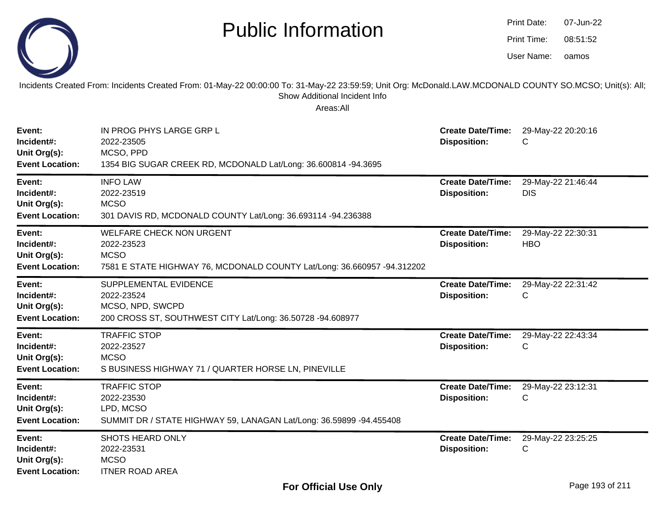|                                                                | <b>Public Information</b>                                                                                                                                                                              |                                                 | Print Date:<br>Print Time:<br>User Name: | 07-Jun-22<br>08:51:52<br>oamos |
|----------------------------------------------------------------|--------------------------------------------------------------------------------------------------------------------------------------------------------------------------------------------------------|-------------------------------------------------|------------------------------------------|--------------------------------|
|                                                                | Incidents Created From: Incidents Created From: 01-May-22 00:00:00 To: 31-May-22 23:59:59; Unit Org: McDonald.LAW.MCDONALD COUNTY SO.MCSO; Unit(s): All;<br>Show Additional Incident Info<br>Areas:All |                                                 |                                          |                                |
| Event:<br>Incident#:<br>Unit Org(s):<br><b>Event Location:</b> | IN PROG PHYS LARGE GRP L<br>2022-23505<br>MCSO, PPD<br>1354 BIG SUGAR CREEK RD, MCDONALD Lat/Long: 36.600814 -94.3695                                                                                  | <b>Create Date/Time:</b><br><b>Disposition:</b> | С                                        | 29-May-22 20:20:16             |
| Event:<br>Incident#:<br>Unit Org(s):<br><b>Event Location:</b> | <b>INFO LAW</b><br>2022-23519<br><b>MCSO</b><br>301 DAVIS RD, MCDONALD COUNTY Lat/Long: 36.693114 -94.236388                                                                                           | <b>Create Date/Time:</b><br><b>Disposition:</b> | <b>DIS</b>                               | 29-May-22 21:46:44             |
| Event:<br>Incident#:<br>Unit Org(s):<br><b>Event Location:</b> | <b>WELFARE CHECK NON URGENT</b><br>2022-23523<br><b>MCSO</b><br>7581 E STATE HIGHWAY 76, MCDONALD COUNTY Lat/Long: 36.660957 -94.312202                                                                | <b>Create Date/Time:</b><br><b>Disposition:</b> | <b>HBO</b>                               | 29-May-22 22:30:31             |
| Event:<br>Incident#:<br>Unit Org(s):<br><b>Event Location:</b> | SUPPLEMENTAL EVIDENCE<br>2022-23524<br>MCSO, NPD, SWCPD<br>200 CROSS ST, SOUTHWEST CITY Lat/Long: 36.50728 -94.608977                                                                                  | <b>Create Date/Time:</b><br><b>Disposition:</b> | C                                        | 29-May-22 22:31:42             |
| Event:<br>Incident#:<br>Unit Org(s):<br><b>Event Location:</b> | <b>TRAFFIC STOP</b><br>2022-23527<br><b>MCSO</b><br>S BUSINESS HIGHWAY 71 / QUARTER HORSE LN, PINEVILLE                                                                                                | <b>Create Date/Time:</b><br><b>Disposition:</b> | С                                        | 29-May-22 22:43:34             |
| Event:<br>Incident#:<br>Unit Org(s):<br><b>Event Location:</b> | <b>TRAFFIC STOP</b><br>2022-23530<br>LPD, MCSO<br>SUMMIT DR / STATE HIGHWAY 59, LANAGAN Lat/Long: 36.59899 -94.455408                                                                                  | <b>Create Date/Time:</b><br><b>Disposition:</b> | $\mathsf{C}$                             | 29-May-22 23:12:31             |
| Event:<br>Incident#:<br>Unit Org(s):<br><b>Event Location:</b> | SHOTS HEARD ONLY<br>2022-23531<br><b>MCSO</b><br><b>ITNER ROAD AREA</b>                                                                                                                                | <b>Create Date/Time:</b><br><b>Disposition:</b> | C                                        | 29-May-22 23:25:25             |

-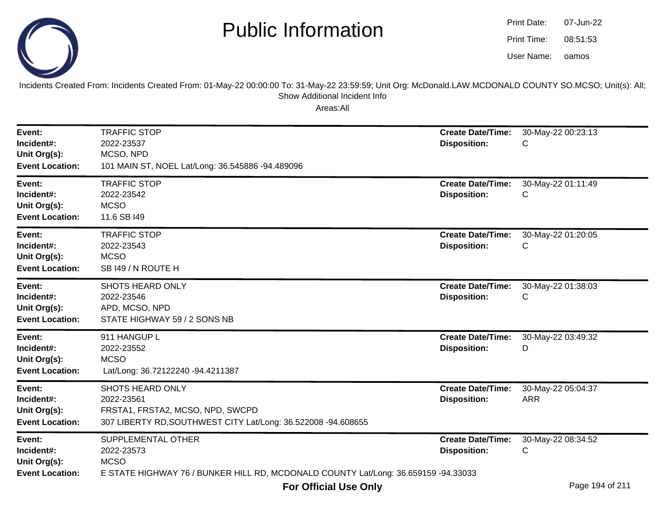

oamos07-Jun-2208:51:53Print Date:Print Time:User Name:



Incidents Created From: Incidents Created From: 01-May-22 00:00:00 To: 31-May-22 23:59:59; Unit Org: McDonald.LAW.MCDONALD COUNTY SO.MCSO; Unit(s): All; Show Additional Incident Info

| Event:<br>Incident#:<br>Unit Org(s):<br><b>Event Location:</b> | <b>TRAFFIC STOP</b><br>2022-23537<br>MCSO, NPD<br>101 MAIN ST, NOEL Lat/Long: 36.545886 -94.489096                                    | <b>Create Date/Time:</b><br><b>Disposition:</b> | 30-May-22 00:23:13<br>С          |
|----------------------------------------------------------------|---------------------------------------------------------------------------------------------------------------------------------------|-------------------------------------------------|----------------------------------|
| Event:<br>Incident#:<br>Unit Org(s):<br><b>Event Location:</b> | <b>TRAFFIC STOP</b><br>2022-23542<br><b>MCSO</b><br>11.6 SB I49                                                                       | <b>Create Date/Time:</b><br><b>Disposition:</b> | 30-May-22 01:11:49<br>С          |
| Event:<br>Incident#:<br>Unit Org(s):<br><b>Event Location:</b> | <b>TRAFFIC STOP</b><br>2022-23543<br><b>MCSO</b><br>SB 149 / N ROUTE H                                                                | <b>Create Date/Time:</b><br><b>Disposition:</b> | 30-May-22 01:20:05<br>С          |
| Event:<br>Incident#:<br>Unit Org(s):<br><b>Event Location:</b> | <b>SHOTS HEARD ONLY</b><br>2022-23546<br>APD, MCSO, NPD<br>STATE HIGHWAY 59 / 2 SONS NB                                               | <b>Create Date/Time:</b><br><b>Disposition:</b> | 30-May-22 01:38:03<br>С          |
| Event:<br>Incident#:<br>Unit Org(s):<br><b>Event Location:</b> | 911 HANGUP L<br>2022-23552<br><b>MCSO</b><br>Lat/Long: 36.72122240 -94.4211387                                                        | <b>Create Date/Time:</b><br><b>Disposition:</b> | 30-May-22 03:49:32<br>D          |
| Event:<br>Incident#:<br>Unit Org(s):<br><b>Event Location:</b> | SHOTS HEARD ONLY<br>2022-23561<br>FRSTA1, FRSTA2, MCSO, NPD, SWCPD<br>307 LIBERTY RD, SOUTHWEST CITY Lat/Long: 36.522008 -94.608655   | <b>Create Date/Time:</b><br><b>Disposition:</b> | 30-May-22 05:04:37<br><b>ARR</b> |
| Event:<br>Incident#:<br>Unit Org(s):<br><b>Event Location:</b> | SUPPLEMENTAL OTHER<br>2022-23573<br><b>MCSO</b><br>E STATE HIGHWAY 76 / BUNKER HILL RD, MCDONALD COUNTY Lat/Long: 36.659159 -94.33033 | <b>Create Date/Time:</b><br><b>Disposition:</b> | 30-May-22 08:34:52<br>С          |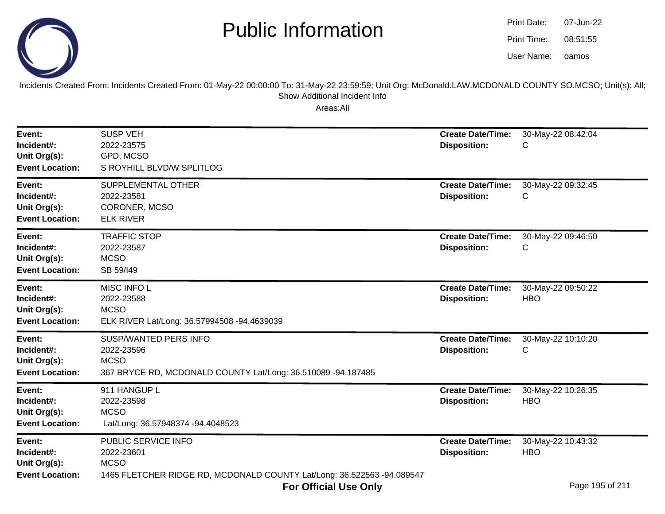

| Print Date: | 07-Jun-22 |
|-------------|-----------|
| Print Time: | 08:51:55  |
| User Name:  | oamos     |

Incidents Created From: Incidents Created From: 01-May-22 00:00:00 To: 31-May-22 23:59:59; Unit Org: McDonald.LAW.MCDONALD COUNTY SO.MCSO; Unit(s): All; Show Additional Incident Info

| Event:<br>Incident#:<br>Unit Org(s):<br><b>Event Location:</b> | <b>SUSP VEH</b><br>2022-23575<br>GPD, MCSO<br>S ROYHILL BLVD/W SPLITLOG                                                    | <b>Create Date/Time:</b><br><b>Disposition:</b> | 30-May-22 08:42:04<br>С          |
|----------------------------------------------------------------|----------------------------------------------------------------------------------------------------------------------------|-------------------------------------------------|----------------------------------|
| Event:<br>Incident#:<br>Unit Org(s):<br><b>Event Location:</b> | SUPPLEMENTAL OTHER<br>2022-23581<br>CORONER, MCSO<br><b>ELK RIVER</b>                                                      | <b>Create Date/Time:</b><br><b>Disposition:</b> | 30-May-22 09:32:45<br>С          |
| Event:<br>Incident#:<br>Unit Org(s):<br><b>Event Location:</b> | <b>TRAFFIC STOP</b><br>2022-23587<br><b>MCSO</b><br>SB 59/149                                                              | <b>Create Date/Time:</b><br><b>Disposition:</b> | 30-May-22 09:46:50<br>С          |
| Event:<br>Incident#:<br>Unit Org(s):<br><b>Event Location:</b> | MISC INFO L<br>2022-23588<br><b>MCSO</b><br>ELK RIVER Lat/Long: 36.57994508 -94.4639039                                    | <b>Create Date/Time:</b><br><b>Disposition:</b> | 30-May-22 09:50:22<br><b>HBO</b> |
| Event:<br>Incident#:<br>Unit Org(s):<br><b>Event Location:</b> | SUSP/WANTED PERS INFO<br>2022-23596<br><b>MCSO</b><br>367 BRYCE RD, MCDONALD COUNTY Lat/Long: 36.510089 -94.187485         | <b>Create Date/Time:</b><br><b>Disposition:</b> | 30-May-22 10:10:20<br>С          |
| Event:<br>Incident#:<br>Unit Org(s):<br><b>Event Location:</b> | 911 HANGUP L<br>2022-23598<br><b>MCSO</b><br>Lat/Long: 36.57948374 -94.4048523                                             | <b>Create Date/Time:</b><br><b>Disposition:</b> | 30-May-22 10:26:35<br><b>HBO</b> |
| Event:<br>Incident#:<br>Unit Org(s):<br><b>Event Location:</b> | PUBLIC SERVICE INFO<br>2022-23601<br><b>MCSO</b><br>1465 FLETCHER RIDGE RD, MCDONALD COUNTY Lat/Long: 36.522563 -94.089547 | <b>Create Date/Time:</b><br><b>Disposition:</b> | 30-May-22 10:43:32<br><b>HBO</b> |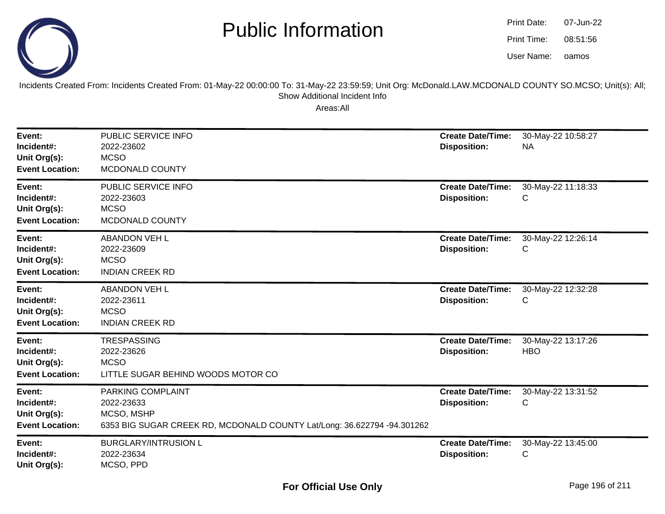

| Print Date: | 07-Jun-22 |
|-------------|-----------|
| Print Time: | 08:51:56  |
| User Name:  | oamos     |

Incidents Created From: Incidents Created From: 01-May-22 00:00:00 To: 31-May-22 23:59:59; Unit Org: McDonald.LAW.MCDONALD COUNTY SO.MCSO; Unit(s): All; Show Additional Incident Info

| Event:<br>Incident#:<br>Unit Org(s):<br><b>Event Location:</b> | PUBLIC SERVICE INFO<br>2022-23602<br><b>MCSO</b><br>MCDONALD COUNTY                                                      | <b>Create Date/Time:</b><br><b>Disposition:</b> | 30-May-22 10:58:27<br><b>NA</b>  |
|----------------------------------------------------------------|--------------------------------------------------------------------------------------------------------------------------|-------------------------------------------------|----------------------------------|
| Event:<br>Incident#:<br>Unit Org(s):<br><b>Event Location:</b> | PUBLIC SERVICE INFO<br>2022-23603<br><b>MCSO</b><br>MCDONALD COUNTY                                                      | <b>Create Date/Time:</b><br><b>Disposition:</b> | 30-May-22 11:18:33<br>С          |
| Event:<br>Incident#:<br>Unit Org(s):<br><b>Event Location:</b> | <b>ABANDON VEH L</b><br>2022-23609<br><b>MCSO</b><br><b>INDIAN CREEK RD</b>                                              | <b>Create Date/Time:</b><br><b>Disposition:</b> | 30-May-22 12:26:14<br>С          |
| Event:<br>Incident#:<br>Unit Org(s):<br><b>Event Location:</b> | <b>ABANDON VEH L</b><br>2022-23611<br><b>MCSO</b><br><b>INDIAN CREEK RD</b>                                              | <b>Create Date/Time:</b><br><b>Disposition:</b> | 30-May-22 12:32:28<br>С          |
| Event:<br>Incident#:<br>Unit Org(s):<br><b>Event Location:</b> | <b>TRESPASSING</b><br>2022-23626<br><b>MCSO</b><br>LITTLE SUGAR BEHIND WOODS MOTOR CO                                    | <b>Create Date/Time:</b><br><b>Disposition:</b> | 30-May-22 13:17:26<br><b>HBO</b> |
| Event:<br>Incident#:<br>Unit Org(s):<br><b>Event Location:</b> | PARKING COMPLAINT<br>2022-23633<br>MCSO, MSHP<br>6353 BIG SUGAR CREEK RD, MCDONALD COUNTY Lat/Long: 36.622794 -94.301262 | <b>Create Date/Time:</b><br><b>Disposition:</b> | 30-May-22 13:31:52<br>С          |
| Event:<br>Incident#:<br>Unit Org(s):                           | <b>BURGLARY/INTRUSION L</b><br>2022-23634<br>MCSO, PPD                                                                   | <b>Create Date/Time:</b><br><b>Disposition:</b> | 30-May-22 13:45:00<br>С          |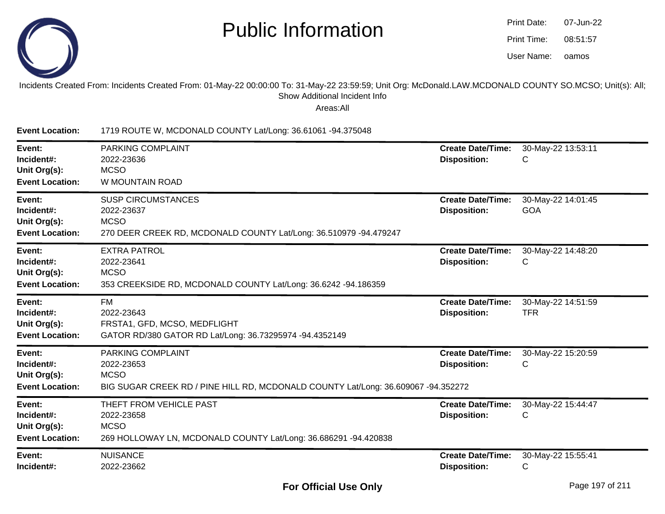

| Print Date: | 07-Jun-22 |
|-------------|-----------|
| Print Time: | 08:51:57  |
| User Name:  | oamos     |

#### Incidents Created From: Incidents Created From: 01-May-22 00:00:00 To: 31-May-22 23:59:59; Unit Org: McDonald.LAW.MCDONALD COUNTY SO.MCSO; Unit(s): All; Show Additional Incident Info

| <b>Event Location:</b>                                         | 1719 ROUTE W, MCDONALD COUNTY Lat/Long: 36.61061 -94.375048                                                                                |                                                 |                                  |
|----------------------------------------------------------------|--------------------------------------------------------------------------------------------------------------------------------------------|-------------------------------------------------|----------------------------------|
| Event:<br>Incident#:<br>Unit Org(s):<br><b>Event Location:</b> | PARKING COMPLAINT<br>2022-23636<br><b>MCSO</b><br>W MOUNTAIN ROAD                                                                          | <b>Create Date/Time:</b><br><b>Disposition:</b> | 30-May-22 13:53:11<br>С          |
| Event:<br>Incident#:<br>Unit Org(s):<br><b>Event Location:</b> | <b>SUSP CIRCUMSTANCES</b><br>2022-23637<br><b>MCSO</b><br>270 DEER CREEK RD, MCDONALD COUNTY Lat/Long: 36.510979 -94.479247                | <b>Create Date/Time:</b><br><b>Disposition:</b> | 30-May-22 14:01:45<br><b>GOA</b> |
| Event:<br>Incident#:<br>Unit Org(s):<br><b>Event Location:</b> | <b>EXTRA PATROL</b><br>2022-23641<br><b>MCSO</b><br>353 CREEKSIDE RD, MCDONALD COUNTY Lat/Long: 36.6242 -94.186359                         | <b>Create Date/Time:</b><br><b>Disposition:</b> | 30-May-22 14:48:20<br>С          |
| Event:<br>Incident#:<br>Unit Org(s):<br><b>Event Location:</b> | FM<br>2022-23643<br>FRSTA1, GFD, MCSO, MEDFLIGHT<br>GATOR RD/380 GATOR RD Lat/Long: 36.73295974 -94.4352149                                | <b>Create Date/Time:</b><br><b>Disposition:</b> | 30-May-22 14:51:59<br><b>TFR</b> |
| Event:<br>Incident#:<br>Unit Org(s):<br><b>Event Location:</b> | <b>PARKING COMPLAINT</b><br>2022-23653<br><b>MCSO</b><br>BIG SUGAR CREEK RD / PINE HILL RD, MCDONALD COUNTY Lat/Long: 36.609067 -94.352272 | <b>Create Date/Time:</b><br><b>Disposition:</b> | 30-May-22 15:20:59<br>С          |
| Event:<br>Incident#:<br>Unit Org(s):<br><b>Event Location:</b> | THEFT FROM VEHICLE PAST<br>2022-23658<br><b>MCSO</b><br>269 HOLLOWAY LN, MCDONALD COUNTY Lat/Long: 36.686291 -94.420838                    | <b>Create Date/Time:</b><br><b>Disposition:</b> | 30-May-22 15:44:47<br>С          |
| Event:<br>Incident#:                                           | <b>NUISANCE</b><br>2022-23662                                                                                                              | <b>Create Date/Time:</b><br><b>Disposition:</b> | 30-May-22 15:55:41<br>С          |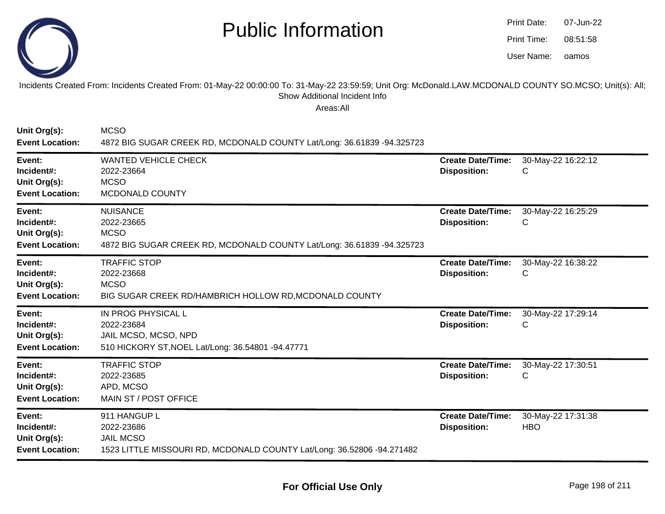

oamos07-Jun-2208:51:58Print Date:Print Time:User Name:

Incidents Created From: Incidents Created From: 01-May-22 00:00:00 To: 31-May-22 23:59:59; Unit Org: McDonald.LAW.MCDONALD COUNTY SO.MCSO; Unit(s): All; Show Additional Incident Info

| Unit Org(s):<br><b>Event Location:</b>                         | <b>MCSO</b><br>4872 BIG SUGAR CREEK RD, MCDONALD COUNTY Lat/Long: 36.61839 -94.325723                                    |                                                 |                                  |
|----------------------------------------------------------------|--------------------------------------------------------------------------------------------------------------------------|-------------------------------------------------|----------------------------------|
| Event:<br>Incident#:<br>Unit Org(s):<br><b>Event Location:</b> | <b>WANTED VEHICLE CHECK</b><br>2022-23664<br><b>MCSO</b><br>MCDONALD COUNTY                                              | <b>Create Date/Time:</b><br><b>Disposition:</b> | 30-May-22 16:22:12<br>С          |
| Event:<br>Incident#:<br>Unit Org(s):<br><b>Event Location:</b> | <b>NUISANCE</b><br>2022-23665<br><b>MCSO</b><br>4872 BIG SUGAR CREEK RD, MCDONALD COUNTY Lat/Long: 36.61839 -94.325723   | <b>Create Date/Time:</b><br><b>Disposition:</b> | 30-May-22 16:25:29<br>С          |
| Event:<br>Incident#:<br>Unit Org(s):<br><b>Event Location:</b> | <b>TRAFFIC STOP</b><br>2022-23668<br><b>MCSO</b><br>BIG SUGAR CREEK RD/HAMBRICH HOLLOW RD, MCDONALD COUNTY               | <b>Create Date/Time:</b><br><b>Disposition:</b> | 30-May-22 16:38:22<br>С          |
| Event:<br>Incident#:<br>Unit Org(s):<br><b>Event Location:</b> | IN PROG PHYSICAL L<br>2022-23684<br>JAIL MCSO, MCSO, NPD<br>510 HICKORY ST, NOEL Lat/Long: 36.54801 -94.47771            | <b>Create Date/Time:</b><br><b>Disposition:</b> | 30-May-22 17:29:14<br>С          |
| Event:<br>Incident#:<br>Unit Org(s):<br><b>Event Location:</b> | <b>TRAFFIC STOP</b><br>2022-23685<br>APD, MCSO<br>MAIN ST / POST OFFICE                                                  | <b>Create Date/Time:</b><br><b>Disposition:</b> | 30-May-22 17:30:51<br>С          |
| Event:<br>Incident#:<br>Unit Org(s):<br><b>Event Location:</b> | 911 HANGUP L<br>2022-23686<br><b>JAIL MCSO</b><br>1523 LITTLE MISSOURI RD, MCDONALD COUNTY Lat/Long: 36.52806 -94.271482 | <b>Create Date/Time:</b><br><b>Disposition:</b> | 30-May-22 17:31:38<br><b>HBO</b> |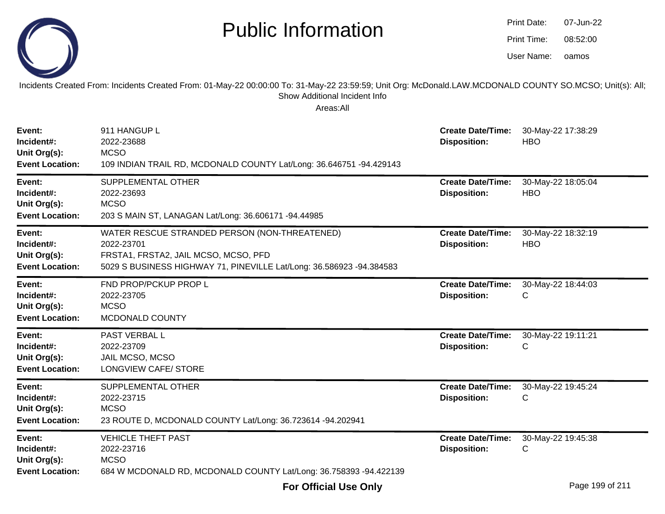|                                                                | <b>Public Information</b>                                                                                                                                                                              |                                                 | Print Date:<br>Print Time:<br>User Name: | 07-Jun-22<br>08:52:00<br>oamos |  |
|----------------------------------------------------------------|--------------------------------------------------------------------------------------------------------------------------------------------------------------------------------------------------------|-------------------------------------------------|------------------------------------------|--------------------------------|--|
|                                                                | Incidents Created From: Incidents Created From: 01-May-22 00:00:00 To: 31-May-22 23:59:59; Unit Org: McDonald.LAW.MCDONALD COUNTY SO.MCSO; Unit(s): All;<br>Show Additional Incident Info<br>Areas:All |                                                 |                                          |                                |  |
| Event:<br>Incident#:<br>Unit Org(s):<br><b>Event Location:</b> | 911 HANGUP L<br>2022-23688<br><b>MCSO</b><br>109 INDIAN TRAIL RD, MCDONALD COUNTY Lat/Long: 36.646751 -94.429143                                                                                       | <b>Create Date/Time:</b><br><b>Disposition:</b> | <b>HBO</b>                               | 30-May-22 17:38:29             |  |
| Event:<br>Incident#:<br>Unit Org(s):<br><b>Event Location:</b> | SUPPLEMENTAL OTHER<br>2022-23693<br><b>MCSO</b><br>203 S MAIN ST, LANAGAN Lat/Long: 36.606171 -94.44985                                                                                                | <b>Create Date/Time:</b><br><b>Disposition:</b> | <b>HBO</b>                               | 30-May-22 18:05:04             |  |
| Event:<br>Incident#:<br>Unit Org(s):<br><b>Event Location:</b> | WATER RESCUE STRANDED PERSON (NON-THREATENED)<br>2022-23701<br>FRSTA1, FRSTA2, JAIL MCSO, MCSO, PFD<br>5029 S BUSINESS HIGHWAY 71, PINEVILLE Lat/Long: 36.586923 -94.384583                            | <b>Create Date/Time:</b><br><b>Disposition:</b> | <b>HBO</b>                               | 30-May-22 18:32:19             |  |
| Event:<br>Incident#:<br>Unit Org(s):<br><b>Event Location:</b> | FND PROP/PCKUP PROP L<br>2022-23705<br><b>MCSO</b><br>MCDONALD COUNTY                                                                                                                                  | <b>Create Date/Time:</b><br><b>Disposition:</b> | C.                                       | 30-May-22 18:44:03             |  |
| Event:<br>Incident#:<br>Unit Org(s):<br><b>Event Location:</b> | PAST VERBAL L<br>2022-23709<br>JAIL MCSO, MCSO<br>LONGVIEW CAFE/ STORE                                                                                                                                 | <b>Create Date/Time:</b><br><b>Disposition:</b> | С                                        | 30-May-22 19:11:21             |  |
| Event:<br>Incident#:<br>Unit Org(s):<br><b>Event Location:</b> | SUPPLEMENTAL OTHER<br>2022-23715<br><b>MCSO</b><br>23 ROUTE D, MCDONALD COUNTY Lat/Long: 36.723614 -94.202941                                                                                          | <b>Create Date/Time:</b><br><b>Disposition:</b> | $\mathsf{C}$                             | 30-May-22 19:45:24             |  |
| Event:<br>Incident#:<br>Unit Org(s):<br><b>Event Location:</b> | <b>VEHICLE THEFT PAST</b><br>2022-23716<br><b>MCSO</b><br>684 W MCDONALD RD, MCDONALD COUNTY Lat/Long: 36.758393 -94.422139                                                                            | <b>Create Date/Time:</b><br><b>Disposition:</b> | С                                        | 30-May-22 19:45:38             |  |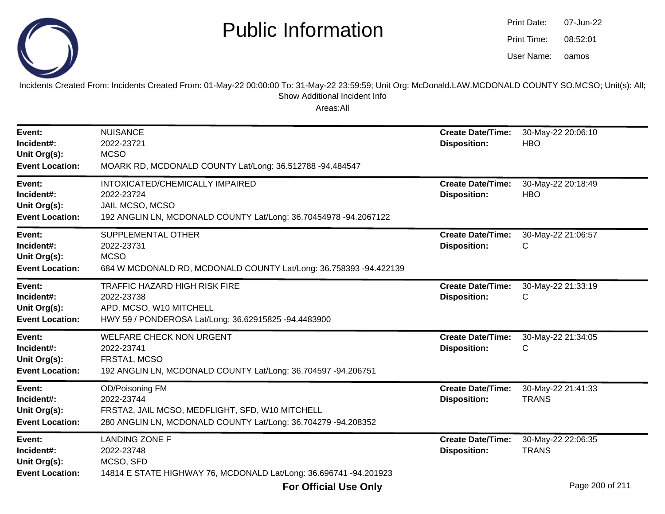

| Print Date: | 07-Jun-22 |
|-------------|-----------|
| Print Time: | 08:52:01  |
| User Name:  | oamos     |

Incidents Created From: Incidents Created From: 01-May-22 00:00:00 To: 31-May-22 23:59:59; Unit Org: McDonald.LAW.MCDONALD COUNTY SO.MCSO; Unit(s): All; Show Additional Incident Info

| Event:<br>Incident#:<br>Unit Org(s):<br><b>Event Location:</b> | <b>NUISANCE</b><br>2022-23721<br><b>MCSO</b><br>MOARK RD, MCDONALD COUNTY Lat/Long: 36.512788 -94.484547                                          | <b>Create Date/Time:</b><br><b>Disposition:</b> | 30-May-22 20:06:10<br><b>HBO</b>   |
|----------------------------------------------------------------|---------------------------------------------------------------------------------------------------------------------------------------------------|-------------------------------------------------|------------------------------------|
| Event:<br>Incident#:<br>Unit Org(s):<br><b>Event Location:</b> | INTOXICATED/CHEMICALLY IMPAIRED<br>2022-23724<br>JAIL MCSO, MCSO<br>192 ANGLIN LN, MCDONALD COUNTY Lat/Long: 36.70454978 -94.2067122              | <b>Create Date/Time:</b><br><b>Disposition:</b> | 30-May-22 20:18:49<br><b>HBO</b>   |
| Event:<br>Incident#:<br>Unit Org(s):<br><b>Event Location:</b> | SUPPLEMENTAL OTHER<br>2022-23731<br><b>MCSO</b><br>684 W MCDONALD RD, MCDONALD COUNTY Lat/Long: 36.758393 -94.422139                              | <b>Create Date/Time:</b><br><b>Disposition:</b> | 30-May-22 21:06:57<br>С            |
| Event:<br>Incident#:<br>Unit Org(s):<br><b>Event Location:</b> | <b>TRAFFIC HAZARD HIGH RISK FIRE</b><br>2022-23738<br>APD, MCSO, W10 MITCHELL<br>HWY 59 / PONDEROSA Lat/Long: 36.62915825 -94.4483900             | <b>Create Date/Time:</b><br><b>Disposition:</b> | 30-May-22 21:33:19<br>C            |
| Event:<br>Incident#:<br>Unit Org(s):<br><b>Event Location:</b> | <b>WELFARE CHECK NON URGENT</b><br>2022-23741<br>FRSTA1, MCSO<br>192 ANGLIN LN, MCDONALD COUNTY Lat/Long: 36.704597 -94.206751                    | <b>Create Date/Time:</b><br><b>Disposition:</b> | 30-May-22 21:34:05<br>C            |
| Event:<br>Incident#:<br>Unit Org(s):<br><b>Event Location:</b> | OD/Poisoning FM<br>2022-23744<br>FRSTA2, JAIL MCSO, MEDFLIGHT, SFD, W10 MITCHELL<br>280 ANGLIN LN, MCDONALD COUNTY Lat/Long: 36.704279 -94.208352 | <b>Create Date/Time:</b><br><b>Disposition:</b> | 30-May-22 21:41:33<br><b>TRANS</b> |
| Event:<br>Incident#:<br>Unit Org(s):<br><b>Event Location:</b> | <b>LANDING ZONE F</b><br>2022-23748<br>MCSO, SFD<br>14814 E STATE HIGHWAY 76, MCDONALD Lat/Long: 36.696741 -94.201923                             | <b>Create Date/Time:</b><br><b>Disposition:</b> | 30-May-22 22:06:35<br><b>TRANS</b> |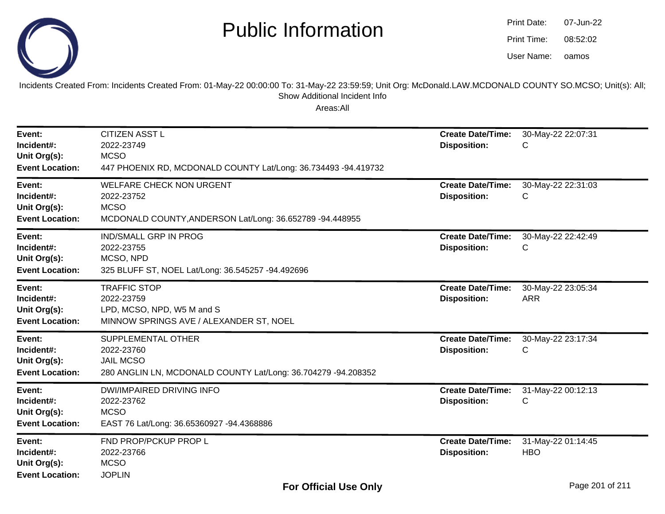

oamos07-Jun-2208:52:02Print Date:Print Time:User Name:

Incidents Created From: Incidents Created From: 01-May-22 00:00:00 To: 31-May-22 23:59:59; Unit Org: McDonald.LAW.MCDONALD COUNTY SO.MCSO; Unit(s): All; Show Additional Incident Info

| Event:<br>Incident#:<br>Unit Org(s):<br><b>Event Location:</b> | <b>CITIZEN ASST L</b><br>2022-23749<br><b>MCSO</b><br>447 PHOENIX RD, MCDONALD COUNTY Lat/Long: 36.734493 -94.419732     | <b>Create Date/Time:</b><br><b>Disposition:</b> | 30-May-22 22:07:31<br>С          |
|----------------------------------------------------------------|--------------------------------------------------------------------------------------------------------------------------|-------------------------------------------------|----------------------------------|
| Event:<br>Incident#:<br>Unit Org(s):<br><b>Event Location:</b> | <b>WELFARE CHECK NON URGENT</b><br>2022-23752<br><b>MCSO</b><br>MCDONALD COUNTY, ANDERSON Lat/Long: 36.652789 -94.448955 | <b>Create Date/Time:</b><br><b>Disposition:</b> | 30-May-22 22:31:03<br>С          |
| Event:<br>Incident#:<br>Unit Org(s):<br><b>Event Location:</b> | <b>IND/SMALL GRP IN PROG</b><br>2022-23755<br>MCSO, NPD<br>325 BLUFF ST, NOEL Lat/Long: 36.545257 -94.492696             | <b>Create Date/Time:</b><br><b>Disposition:</b> | 30-May-22 22:42:49<br>С          |
| Event:<br>Incident#:<br>Unit Org(s):<br><b>Event Location:</b> | <b>TRAFFIC STOP</b><br>2022-23759<br>LPD, MCSO, NPD, W5 M and S<br>MINNOW SPRINGS AVE / ALEXANDER ST, NOEL               | <b>Create Date/Time:</b><br><b>Disposition:</b> | 30-May-22 23:05:34<br><b>ARR</b> |
| Event:<br>Incident#:<br>Unit Org(s):<br><b>Event Location:</b> | SUPPLEMENTAL OTHER<br>2022-23760<br><b>JAIL MCSO</b><br>280 ANGLIN LN, MCDONALD COUNTY Lat/Long: 36.704279 -94.208352    | <b>Create Date/Time:</b><br><b>Disposition:</b> | 30-May-22 23:17:34<br>С          |
| Event:<br>Incident#:<br>Unit Org(s):<br><b>Event Location:</b> | <b>DWI/IMPAIRED DRIVING INFO</b><br>2022-23762<br><b>MCSO</b><br>EAST 76 Lat/Long: 36.65360927 -94.4368886               | <b>Create Date/Time:</b><br><b>Disposition:</b> | 31-May-22 00:12:13<br>C          |
| Event:<br>Incident#:<br>Unit Org(s):<br><b>Event Location:</b> | FND PROP/PCKUP PROP L<br>2022-23766<br><b>MCSO</b><br><b>JOPLIN</b>                                                      | <b>Create Date/Time:</b><br><b>Disposition:</b> | 31-May-22 01:14:45<br><b>HBO</b> |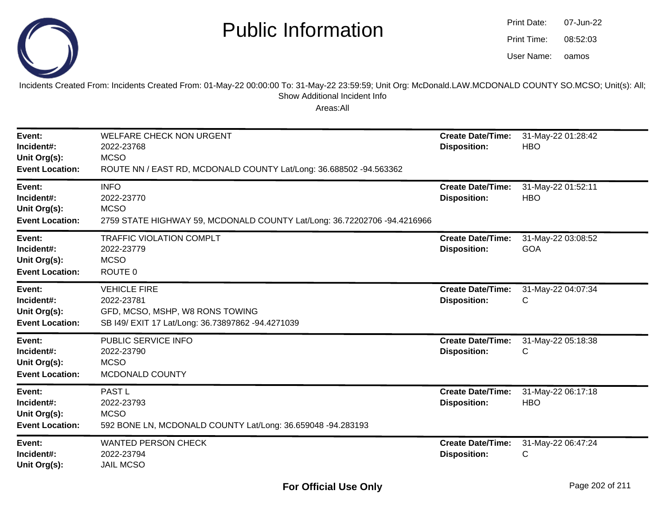

| Print Date: | 07-Jun-22 |
|-------------|-----------|
| Print Time: | 08:52:03  |
| User Name:  | oamos     |

Incidents Created From: Incidents Created From: 01-May-22 00:00:00 To: 31-May-22 23:59:59; Unit Org: McDonald.LAW.MCDONALD COUNTY SO.MCSO; Unit(s): All; Show Additional Incident Info

| Event:<br>Incident#:<br>Unit Org(s):<br><b>Event Location:</b> | <b>WELFARE CHECK NON URGENT</b><br>2022-23768<br><b>MCSO</b><br>ROUTE NN / EAST RD, MCDONALD COUNTY Lat/Long: 36.688502 -94.563362 | <b>Create Date/Time:</b><br><b>Disposition:</b> | 31-May-22 01:28:42<br><b>HBO</b> |
|----------------------------------------------------------------|------------------------------------------------------------------------------------------------------------------------------------|-------------------------------------------------|----------------------------------|
| Event:<br>Incident#:<br>Unit Org(s):<br><b>Event Location:</b> | <b>INFO</b><br>2022-23770<br><b>MCSO</b><br>2759 STATE HIGHWAY 59, MCDONALD COUNTY Lat/Long: 36.72202706 -94.4216966               | <b>Create Date/Time:</b><br><b>Disposition:</b> | 31-May-22 01:52:11<br><b>HBO</b> |
| Event:<br>Incident#:<br>Unit Org(s):<br><b>Event Location:</b> | <b>TRAFFIC VIOLATION COMPLT</b><br>2022-23779<br><b>MCSO</b><br>ROUTE 0                                                            | <b>Create Date/Time:</b><br><b>Disposition:</b> | 31-May-22 03:08:52<br>GOA        |
| Event:<br>Incident#:<br>Unit Org(s):<br><b>Event Location:</b> | <b>VEHICLE FIRE</b><br>2022-23781<br>GFD, MCSO, MSHP, W8 RONS TOWING<br>SB I49/ EXIT 17 Lat/Long: 36.73897862 -94.4271039          | <b>Create Date/Time:</b><br><b>Disposition:</b> | 31-May-22 04:07:34<br>C          |
| Event:<br>Incident#:<br>Unit Org(s):<br><b>Event Location:</b> | PUBLIC SERVICE INFO<br>2022-23790<br><b>MCSO</b><br>MCDONALD COUNTY                                                                | <b>Create Date/Time:</b><br><b>Disposition:</b> | 31-May-22 05:18:38<br>С          |
| Event:<br>Incident#:<br>Unit Org(s):<br><b>Event Location:</b> | PAST <sub>L</sub><br>2022-23793<br><b>MCSO</b><br>592 BONE LN, MCDONALD COUNTY Lat/Long: 36.659048 -94.283193                      | <b>Create Date/Time:</b><br><b>Disposition:</b> | 31-May-22 06:17:18<br><b>HBO</b> |
| Event:<br>Incident#:<br>Unit Org(s):                           | <b>WANTED PERSON CHECK</b><br>2022-23794<br><b>JAIL MCSO</b>                                                                       | <b>Create Date/Time:</b><br><b>Disposition:</b> | 31-May-22 06:47:24<br>С          |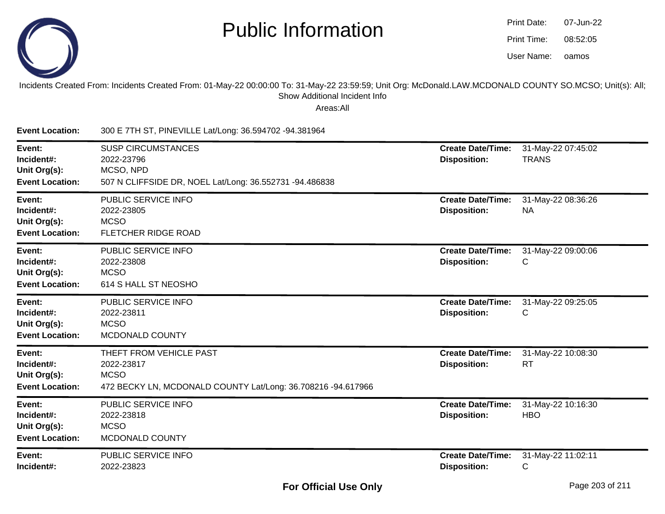

| Print Date: | 07-Jun-22 |
|-------------|-----------|
| Print Time: | 08:52:05  |
| User Name:  | oamos     |

Incidents Created From: Incidents Created From: 01-May-22 00:00:00 To: 31-May-22 23:59:59; Unit Org: McDonald.LAW.MCDONALD COUNTY SO.MCSO; Unit(s): All; Show Additional Incident Info

| <b>Event Location:</b>                                         | 300 E 7TH ST, PINEVILLE Lat/Long: 36.594702 -94.381964                                                               |                                                 |                                    |
|----------------------------------------------------------------|----------------------------------------------------------------------------------------------------------------------|-------------------------------------------------|------------------------------------|
| Event:<br>Incident#:<br>Unit Org(s):<br><b>Event Location:</b> | <b>SUSP CIRCUMSTANCES</b><br>2022-23796<br>MCSO, NPD<br>507 N CLIFFSIDE DR, NOEL Lat/Long: 36.552731 -94.486838      | <b>Create Date/Time:</b><br><b>Disposition:</b> | 31-May-22 07:45:02<br><b>TRANS</b> |
| Event:<br>Incident#:<br>Unit Org(s):<br><b>Event Location:</b> | PUBLIC SERVICE INFO<br>2022-23805<br><b>MCSO</b><br><b>FLETCHER RIDGE ROAD</b>                                       | <b>Create Date/Time:</b><br><b>Disposition:</b> | 31-May-22 08:36:26<br><b>NA</b>    |
| Event:<br>Incident#:<br>Unit Org(s):<br><b>Event Location:</b> | PUBLIC SERVICE INFO<br>2022-23808<br><b>MCSO</b><br>614 S HALL ST NEOSHO                                             | <b>Create Date/Time:</b><br><b>Disposition:</b> | 31-May-22 09:00:06<br>С            |
| Event:<br>Incident#:<br>Unit Org(s):<br><b>Event Location:</b> | PUBLIC SERVICE INFO<br>2022-23811<br><b>MCSO</b><br>MCDONALD COUNTY                                                  | <b>Create Date/Time:</b><br><b>Disposition:</b> | 31-May-22 09:25:05<br>С            |
| Event:<br>Incident#:<br>Unit Org(s):<br><b>Event Location:</b> | THEFT FROM VEHICLE PAST<br>2022-23817<br><b>MCSO</b><br>472 BECKY LN, MCDONALD COUNTY Lat/Long: 36.708216 -94.617966 | <b>Create Date/Time:</b><br><b>Disposition:</b> | 31-May-22 10:08:30<br><b>RT</b>    |
| Event:<br>Incident#:<br>Unit Org(s):<br><b>Event Location:</b> | PUBLIC SERVICE INFO<br>2022-23818<br><b>MCSO</b><br>MCDONALD COUNTY                                                  | <b>Create Date/Time:</b><br><b>Disposition:</b> | 31-May-22 10:16:30<br><b>HBO</b>   |
| Event:<br>Incident#:                                           | PUBLIC SERVICE INFO<br>2022-23823                                                                                    | <b>Create Date/Time:</b><br><b>Disposition:</b> | 31-May-22 11:02:11<br>C            |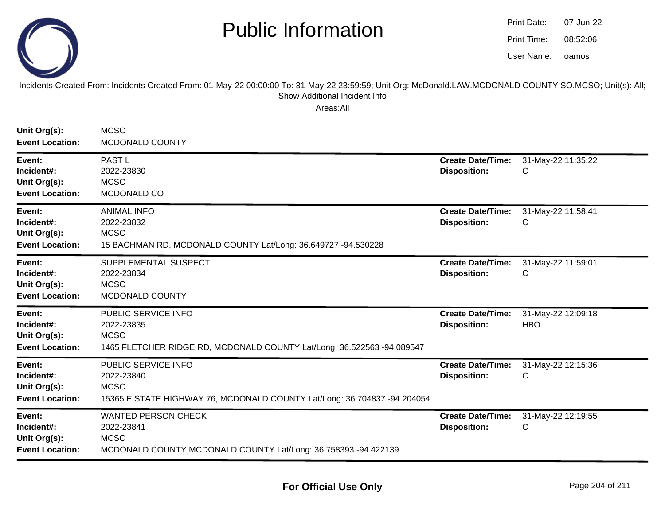

| Print Date: | 07-Jun-22 |
|-------------|-----------|
| Print Time: | 08:52:06  |
| User Name:  | oamos     |

#### Incidents Created From: Incidents Created From: 01-May-22 00:00:00 To: 31-May-22 23:59:59; Unit Org: McDonald.LAW.MCDONALD COUNTY SO.MCSO; Unit(s): All; Show Additional Incident Info

| Unit Org(s):<br><b>Event Location:</b>                         | <b>MCSO</b><br>MCDONALD COUNTY                                                                                               |                                                 |                                  |
|----------------------------------------------------------------|------------------------------------------------------------------------------------------------------------------------------|-------------------------------------------------|----------------------------------|
| Event:<br>Incident#:<br>Unit Org(s):<br><b>Event Location:</b> | <b>PAST L</b><br>2022-23830<br><b>MCSO</b><br>MCDONALD CO                                                                    | <b>Create Date/Time:</b><br><b>Disposition:</b> | 31-May-22 11:35:22<br>С          |
| Event:<br>Incident#:<br>Unit Org(s):<br><b>Event Location:</b> | <b>ANIMAL INFO</b><br>2022-23832<br><b>MCSO</b><br>15 BACHMAN RD, MCDONALD COUNTY Lat/Long: 36.649727 -94.530228             | <b>Create Date/Time:</b><br><b>Disposition:</b> | 31-May-22 11:58:41<br>С          |
| Event:<br>Incident#:<br>Unit Org(s):<br><b>Event Location:</b> | SUPPLEMENTAL SUSPECT<br>2022-23834<br><b>MCSO</b><br>MCDONALD COUNTY                                                         | <b>Create Date/Time:</b><br><b>Disposition:</b> | 31-May-22 11:59:01<br>C          |
| Event:<br>Incident#:<br>Unit Org(s):<br><b>Event Location:</b> | PUBLIC SERVICE INFO<br>2022-23835<br><b>MCSO</b><br>1465 FLETCHER RIDGE RD, MCDONALD COUNTY Lat/Long: 36.522563 -94.089547   | <b>Create Date/Time:</b><br><b>Disposition:</b> | 31-May-22 12:09:18<br><b>HBO</b> |
| Event:<br>Incident#:<br>Unit Org(s):<br><b>Event Location:</b> | PUBLIC SERVICE INFO<br>2022-23840<br><b>MCSO</b><br>15365 E STATE HIGHWAY 76, MCDONALD COUNTY Lat/Long: 36.704837 -94.204054 | <b>Create Date/Time:</b><br><b>Disposition:</b> | 31-May-22 12:15:36<br>С          |
| Event:<br>Incident#:<br>Unit Org(s):<br><b>Event Location:</b> | <b>WANTED PERSON CHECK</b><br>2022-23841<br><b>MCSO</b><br>MCDONALD COUNTY, MCDONALD COUNTY Lat/Long: 36.758393 -94.422139   | <b>Create Date/Time:</b><br><b>Disposition:</b> | 31-May-22 12:19:55<br>С          |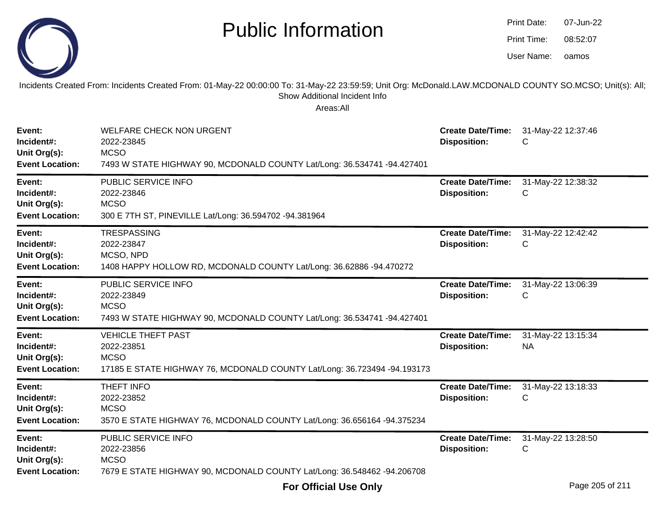|                                                                | <b>Public Information</b>                                                                                                                                                                              |                                                 | Print Date:<br>Print Time:<br>User Name: | 07-Jun-22<br>08:52:07<br>oamos |
|----------------------------------------------------------------|--------------------------------------------------------------------------------------------------------------------------------------------------------------------------------------------------------|-------------------------------------------------|------------------------------------------|--------------------------------|
|                                                                | Incidents Created From: Incidents Created From: 01-May-22 00:00:00 To: 31-May-22 23:59:59; Unit Org: McDonald.LAW.MCDONALD COUNTY SO.MCSO; Unit(s): All;<br>Show Additional Incident Info<br>Areas:All |                                                 |                                          |                                |
| Event:<br>Incident#:<br>Unit Org(s):<br><b>Event Location:</b> | <b>WELFARE CHECK NON URGENT</b><br>2022-23845<br><b>MCSO</b><br>7493 W STATE HIGHWAY 90, MCDONALD COUNTY Lat/Long: 36.534741 -94.427401                                                                | <b>Create Date/Time:</b><br><b>Disposition:</b> | 31-May-22 12:37:46<br>С                  |                                |
| Event:<br>Incident#:<br>Unit Org(s):<br><b>Event Location:</b> | PUBLIC SERVICE INFO<br>2022-23846<br><b>MCSO</b><br>300 E 7TH ST, PINEVILLE Lat/Long: 36.594702 -94.381964                                                                                             | <b>Create Date/Time:</b><br><b>Disposition:</b> | 31-May-22 12:38:32<br>С                  |                                |
| Event:<br>Incident#:<br>Unit Org(s):<br><b>Event Location:</b> | <b>TRESPASSING</b><br>2022-23847<br>MCSO, NPD<br>1408 HAPPY HOLLOW RD, MCDONALD COUNTY Lat/Long: 36.62886 -94.470272                                                                                   | <b>Create Date/Time:</b><br><b>Disposition:</b> | 31-May-22 12:42:42<br>C                  |                                |
| Event:<br>Incident#:<br>Unit Org(s):<br><b>Event Location:</b> | PUBLIC SERVICE INFO<br>2022-23849<br><b>MCSO</b><br>7493 W STATE HIGHWAY 90, MCDONALD COUNTY Lat/Long: 36.534741 -94.427401                                                                            | <b>Create Date/Time:</b><br><b>Disposition:</b> | 31-May-22 13:06:39<br>C                  |                                |
| Event:<br>Incident#:<br>Unit Org(s):<br><b>Event Location:</b> | <b>VEHICLE THEFT PAST</b><br>2022-23851<br><b>MCSO</b><br>17185 E STATE HIGHWAY 76, MCDONALD COUNTY Lat/Long: 36.723494 -94.193173                                                                     | <b>Create Date/Time:</b><br><b>Disposition:</b> | 31-May-22 13:15:34<br><b>NA</b>          |                                |
| Event:<br>Incident#:<br>Unit Org(s):<br><b>Event Location:</b> | <b>THEFT INFO</b><br>2022-23852<br><b>MCSO</b><br>3570 E STATE HIGHWAY 76, MCDONALD COUNTY Lat/Long: 36.656164 -94.375234                                                                              | <b>Create Date/Time:</b><br><b>Disposition:</b> | 31-May-22 13:18:33                       |                                |
| Event:<br>Incident#:<br>Unit Org(s):<br><b>Event Location:</b> | PUBLIC SERVICE INFO<br>2022-23856<br><b>MCSO</b><br>7679 E STATE HIGHWAY 90, MCDONALD COUNTY Lat/Long: 36.548462 -94.206708                                                                            | <b>Create Date/Time:</b><br><b>Disposition:</b> | 31-May-22 13:28:50<br>С                  |                                |

 $\sim$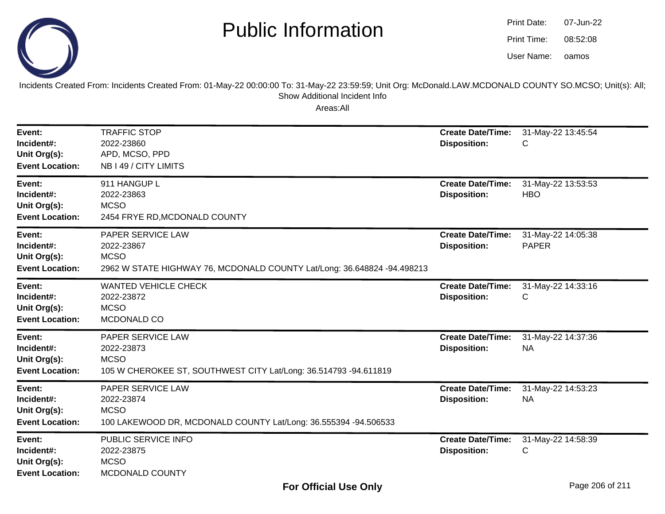

oamos07-Jun-2208:52:08Print Date:Print Time:User Name:

Incidents Created From: Incidents Created From: 01-May-22 00:00:00 To: 31-May-22 23:59:59; Unit Org: McDonald.LAW.MCDONALD COUNTY SO.MCSO; Unit(s): All; Show Additional Incident Info

| Event:<br>Incident#:<br>Unit Org(s):<br><b>Event Location:</b> | <b>TRAFFIC STOP</b><br>2022-23860<br>APD, MCSO, PPD<br>NB I 49 / CITY LIMITS                                              | <b>Create Date/Time:</b><br><b>Disposition:</b> | 31-May-22 13:45:54<br>C            |
|----------------------------------------------------------------|---------------------------------------------------------------------------------------------------------------------------|-------------------------------------------------|------------------------------------|
| Event:<br>Incident#:<br>Unit Org(s):<br><b>Event Location:</b> | 911 HANGUP L<br>2022-23863<br><b>MCSO</b><br>2454 FRYE RD, MCDONALD COUNTY                                                | <b>Create Date/Time:</b><br><b>Disposition:</b> | 31-May-22 13:53:53<br><b>HBO</b>   |
| Event:<br>Incident#:<br>Unit Org(s):<br><b>Event Location:</b> | PAPER SERVICE LAW<br>2022-23867<br><b>MCSO</b><br>2962 W STATE HIGHWAY 76, MCDONALD COUNTY Lat/Long: 36.648824 -94.498213 | <b>Create Date/Time:</b><br><b>Disposition:</b> | 31-May-22 14:05:38<br><b>PAPER</b> |
| Event:<br>Incident#:<br>Unit Org(s):<br><b>Event Location:</b> | <b>WANTED VEHICLE CHECK</b><br>2022-23872<br><b>MCSO</b><br>MCDONALD CO                                                   | <b>Create Date/Time:</b><br><b>Disposition:</b> | 31-May-22 14:33:16<br>C            |
| Event:<br>Incident#:<br>Unit Org(s):<br><b>Event Location:</b> | PAPER SERVICE LAW<br>2022-23873<br><b>MCSO</b><br>105 W CHEROKEE ST, SOUTHWEST CITY Lat/Long: 36.514793 -94.611819        | <b>Create Date/Time:</b><br><b>Disposition:</b> | 31-May-22 14:37:36<br><b>NA</b>    |
| Event:<br>Incident#:<br>Unit Org(s):<br><b>Event Location:</b> | PAPER SERVICE LAW<br>2022-23874<br><b>MCSO</b><br>100 LAKEWOOD DR, MCDONALD COUNTY Lat/Long: 36.555394 -94.506533         | <b>Create Date/Time:</b><br><b>Disposition:</b> | 31-May-22 14:53:23<br><b>NA</b>    |
| Event:<br>Incident#:<br>Unit Org(s):<br><b>Event Location:</b> | PUBLIC SERVICE INFO<br>2022-23875<br><b>MCSO</b><br>MCDONALD COUNTY                                                       | <b>Create Date/Time:</b><br><b>Disposition:</b> | 31-May-22 14:58:39<br>С            |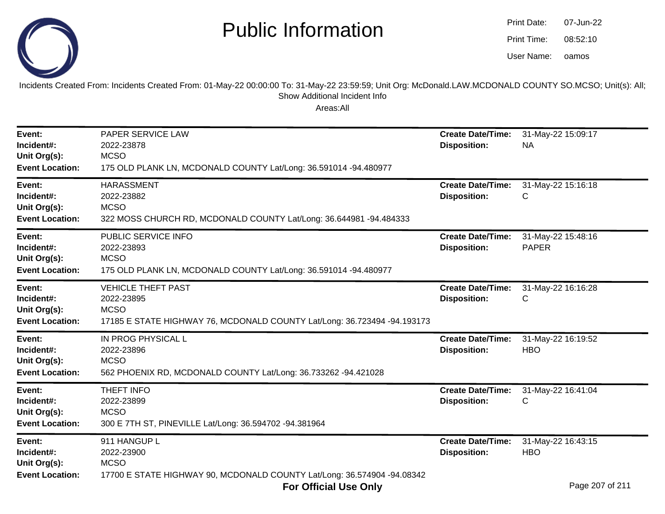

oamos07-Jun-2208:52:10Print Date:Print Time:User Name:

Incidents Created From: Incidents Created From: 01-May-22 00:00:00 To: 31-May-22 23:59:59; Unit Org: McDonald.LAW.MCDONALD COUNTY SO.MCSO; Unit(s): All; Show Additional Incident Info

| Event:<br>Incident#:<br>Unit Org(s):<br><b>Event Location:</b> | PAPER SERVICE LAW<br>2022-23878<br><b>MCSO</b><br>175 OLD PLANK LN, MCDONALD COUNTY Lat/Long: 36.591014 -94.480977                 | <b>Create Date/Time:</b><br><b>Disposition:</b> | 31-May-22 15:09:17<br><b>NA</b>                      |
|----------------------------------------------------------------|------------------------------------------------------------------------------------------------------------------------------------|-------------------------------------------------|------------------------------------------------------|
| Event:<br>Incident#:<br>Unit Org(s):<br><b>Event Location:</b> | <b>HARASSMENT</b><br>2022-23882<br><b>MCSO</b><br>322 MOSS CHURCH RD, MCDONALD COUNTY Lat/Long: 36.644981 -94.484333               | <b>Create Date/Time:</b><br><b>Disposition:</b> | 31-May-22 15:16:18<br>С                              |
| Event:<br>Incident#:<br>Unit Org(s):<br><b>Event Location:</b> | PUBLIC SERVICE INFO<br>2022-23893<br><b>MCSO</b><br>175 OLD PLANK LN, MCDONALD COUNTY Lat/Long: 36.591014 -94.480977               | <b>Create Date/Time:</b><br><b>Disposition:</b> | 31-May-22 15:48:16<br><b>PAPER</b>                   |
| Event:<br>Incident#:<br>Unit Org(s):<br><b>Event Location:</b> | <b>VEHICLE THEFT PAST</b><br>2022-23895<br><b>MCSO</b><br>17185 E STATE HIGHWAY 76, MCDONALD COUNTY Lat/Long: 36.723494 -94.193173 | <b>Create Date/Time:</b><br><b>Disposition:</b> | 31-May-22 16:16:28<br>С                              |
| Event:<br>Incident#:<br>Unit Org(s):<br><b>Event Location:</b> | IN PROG PHYSICAL L<br>2022-23896<br><b>MCSO</b><br>562 PHOENIX RD, MCDONALD COUNTY Lat/Long: 36.733262 -94.421028                  | <b>Create Date/Time:</b><br><b>Disposition:</b> | 31-May-22 16:19:52<br><b>HBO</b>                     |
| Event:<br>Incident#:<br>Unit Org(s):<br><b>Event Location:</b> | THEFT INFO<br>2022-23899<br><b>MCSO</b><br>300 E 7TH ST, PINEVILLE Lat/Long: 36.594702 -94.381964                                  | <b>Create Date/Time:</b><br><b>Disposition:</b> | 31-May-22 16:41:04<br>С                              |
| Event:<br>Incident#:<br>Unit Org(s):<br><b>Event Location:</b> | 911 HANGUP L<br>2022-23900<br><b>MCSO</b><br>17700 E STATE HIGHWAY 90, MCDONALD COUNTY Lat/Long: 36.574904 -94.08342               | <b>Create Date/Time:</b><br><b>Disposition:</b> | 31-May-22 16:43:15<br><b>HBO</b><br>$D = 2200724044$ |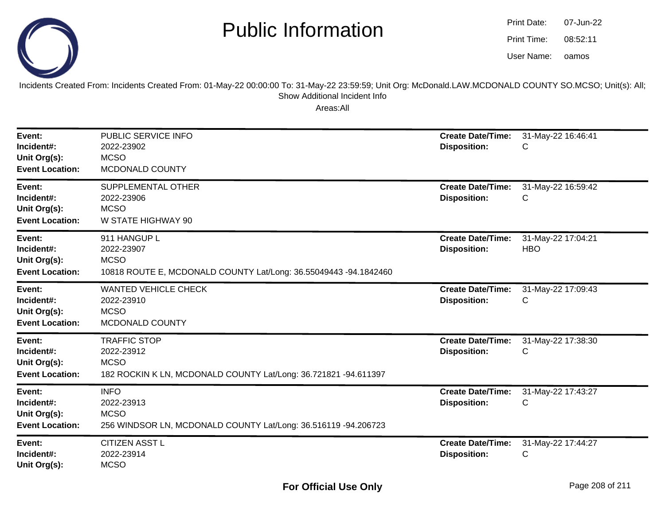

| Print Date: | 07-Jun-22 |
|-------------|-----------|
| Print Time: | 08:52:11  |
| User Name:  | oamos     |

Incidents Created From: Incidents Created From: 01-May-22 00:00:00 To: 31-May-22 23:59:59; Unit Org: McDonald.LAW.MCDONALD COUNTY SO.MCSO; Unit(s): All; Show Additional Incident Info

| Event:<br>Incident#:<br>Unit Org(s):<br><b>Event Location:</b> | PUBLIC SERVICE INFO<br>2022-23902<br><b>MCSO</b><br>MCDONALD COUNTY                                                 | <b>Create Date/Time:</b><br><b>Disposition:</b> | 31-May-22 16:46:41<br>C          |
|----------------------------------------------------------------|---------------------------------------------------------------------------------------------------------------------|-------------------------------------------------|----------------------------------|
| Event:<br>Incident#:<br>Unit Org(s):<br><b>Event Location:</b> | SUPPLEMENTAL OTHER<br>2022-23906<br><b>MCSO</b><br>W STATE HIGHWAY 90                                               | <b>Create Date/Time:</b><br><b>Disposition:</b> | 31-May-22 16:59:42<br>C          |
| Event:<br>Incident#:<br>Unit Org(s):<br><b>Event Location:</b> | 911 HANGUP L<br>2022-23907<br><b>MCSO</b><br>10818 ROUTE E, MCDONALD COUNTY Lat/Long: 36.55049443 -94.1842460       | <b>Create Date/Time:</b><br><b>Disposition:</b> | 31-May-22 17:04:21<br><b>HBO</b> |
| Event:<br>Incident#:<br>Unit Org(s):<br><b>Event Location:</b> | <b>WANTED VEHICLE CHECK</b><br>2022-23910<br><b>MCSO</b><br>MCDONALD COUNTY                                         | <b>Create Date/Time:</b><br><b>Disposition:</b> | 31-May-22 17:09:43<br>С          |
| Event:<br>Incident#:<br>Unit Org(s):<br><b>Event Location:</b> | <b>TRAFFIC STOP</b><br>2022-23912<br><b>MCSO</b><br>182 ROCKIN K LN, MCDONALD COUNTY Lat/Long: 36.721821 -94.611397 | <b>Create Date/Time:</b><br><b>Disposition:</b> | 31-May-22 17:38:30<br>C          |
| Event:<br>Incident#:<br>Unit Org(s):<br><b>Event Location:</b> | <b>INFO</b><br>2022-23913<br><b>MCSO</b><br>256 WINDSOR LN, MCDONALD COUNTY Lat/Long: 36.516119 -94.206723          | <b>Create Date/Time:</b><br><b>Disposition:</b> | 31-May-22 17:43:27<br>C          |
| Event:<br>Incident#:<br>Unit Org(s):                           | <b>CITIZEN ASST L</b><br>2022-23914<br><b>MCSO</b>                                                                  | <b>Create Date/Time:</b><br><b>Disposition:</b> | 31-May-22 17:44:27<br>С          |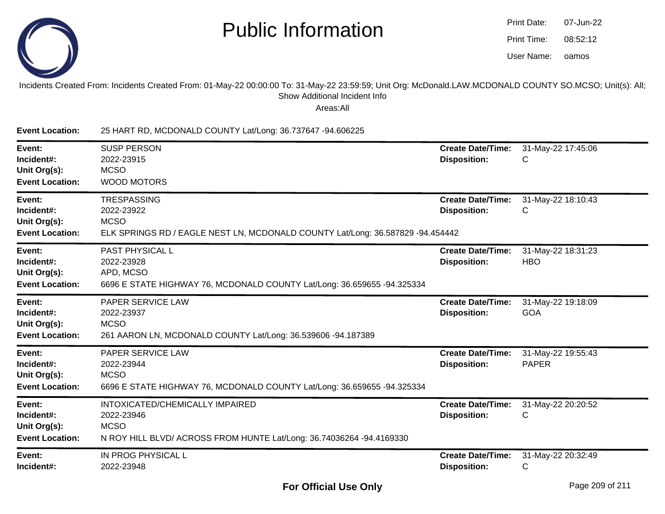

| Print Date: | 07-Jun-22 |
|-------------|-----------|
| Print Time: | 08:52:12  |
| User Name:  | oamos     |

#### Incidents Created From: Incidents Created From: 01-May-22 00:00:00 To: 31-May-22 23:59:59; Unit Org: McDonald.LAW.MCDONALD COUNTY SO.MCSO; Unit(s): All;Show Additional Incident Info

Areas:All

**Event Location:** 25 HART RD, MCDONALD COUNTY Lat/Long: 36.737647 -94.606225**Event:** SUSP PERSON **Create Date/Time:** 31-May-22 17:45:06 **Incident#:** 2022-23915 **Disposition:** <sup>C</sup>**Unit Org(s):MCSO**  WOOD MOTORS**Event Location:Event:TRESPASSING Create Date/Time:** 31-May-22 18:10:43 **Incident#:** 2022-23922 **Disposition:** <sup>C</sup>**Unit Org(s):** MCSO ELK SPRINGS RD / EAGLE NEST LN, MCDONALD COUNTY Lat/Long: 36.587829 -94.454442**Event Location:Event:** PAST PHYSICAL L **Create Date/Time:** 31-May-22 18:31:23 **Incident#:** 2022-23928 **Disposition:** HBO**Unit Org(s):** APD, MCSO 6696 E STATE HIGHWAY 76, MCDONALD COUNTY Lat/Long: 36.659655 -94.325334**Event Location:Event:** PAPER SERVICE LAW **Create Date/Time:** 31-May-22 19:18:09 **Incident#:** 2022-23937 **Disposition:** GOA**Unit Org(s):** MCSO 261 AARON LN, MCDONALD COUNTY Lat/Long: 36.539606 -94.187389**Event Location:Event:** PAPER SERVICE LAW **Create Date/Time:** 31-May-22 19:55:43 **Incident#:** 2022-23944 **Disposition:** PAPER**Unit Org(s):MCSO**  6696 E STATE HIGHWAY 76, MCDONALD COUNTY Lat/Long: 36.659655 -94.325334**Event Location:Event:** INTOXICATED/CHEMICALLY IMPAIRED **Create Date/Time:** 31-May-22 20:20:52 **Incident#:** 2022-23946 **Disposition:** <sup>C</sup>**Unit Org(s):MCSO**  N ROY HILL BLVD/ ACROSS FROM HUNTE Lat/Long: 36.74036264 -94.4169330**Event Location:Event:** IN PROG PHYSICAL L **Create Date/Time:** 31-May-22 20:32:49 **Incident#:** 2022-23948**Disposition:** <sup>C</sup>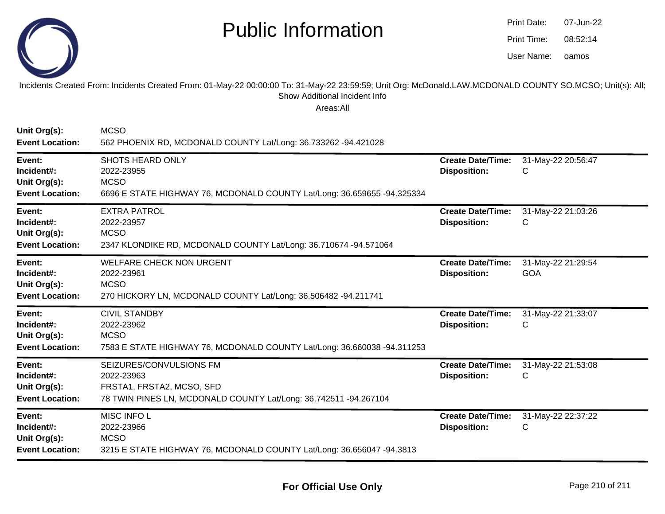

| Print Date: | 07-Jun-22 |
|-------------|-----------|
| Print Time: | 08.52.14  |
| User Name:  | oamos     |

#### Incidents Created From: Incidents Created From: 01-May-22 00:00:00 To: 31-May-22 23:59:59; Unit Org: McDonald.LAW.MCDONALD COUNTY SO.MCSO; Unit(s): All; Show Additional Incident Info

| Unit Org(s):<br><b>Event Location:</b>                         | <b>MCSO</b><br>562 PHOENIX RD, MCDONALD COUNTY Lat/Long: 36.733262 -94.421028                                                          |                                                 |                                  |
|----------------------------------------------------------------|----------------------------------------------------------------------------------------------------------------------------------------|-------------------------------------------------|----------------------------------|
| Event:<br>Incident#:<br>Unit Org(s):<br><b>Event Location:</b> | <b>SHOTS HEARD ONLY</b><br>2022-23955<br><b>MCSO</b><br>6696 E STATE HIGHWAY 76, MCDONALD COUNTY Lat/Long: 36.659655 -94.325334        | <b>Create Date/Time:</b><br><b>Disposition:</b> | 31-May-22 20:56:47<br>С          |
| Event:<br>Incident#:<br>Unit Org(s):<br><b>Event Location:</b> | <b>EXTRA PATROL</b><br>2022-23957<br><b>MCSO</b><br>2347 KLONDIKE RD, MCDONALD COUNTY Lat/Long: 36.710674 -94.571064                   | <b>Create Date/Time:</b><br><b>Disposition:</b> | 31-May-22 21:03:26<br>С          |
| Event:<br>Incident#:<br>Unit Org(s):<br><b>Event Location:</b> | <b>WELFARE CHECK NON URGENT</b><br>2022-23961<br><b>MCSO</b><br>270 HICKORY LN, MCDONALD COUNTY Lat/Long: 36.506482 -94.211741         | <b>Create Date/Time:</b><br><b>Disposition:</b> | 31-May-22 21:29:54<br><b>GOA</b> |
| Event:<br>Incident#:<br>Unit Org(s):<br><b>Event Location:</b> | <b>CIVIL STANDBY</b><br>2022-23962<br><b>MCSO</b><br>7583 E STATE HIGHWAY 76, MCDONALD COUNTY Lat/Long: 36.660038 -94.311253           | <b>Create Date/Time:</b><br><b>Disposition:</b> | 31-May-22 21:33:07<br>С          |
| Event:<br>Incident#:<br>Unit Org(s):<br><b>Event Location:</b> | SEIZURES/CONVULSIONS FM<br>2022-23963<br>FRSTA1, FRSTA2, MCSO, SFD<br>78 TWIN PINES LN, MCDONALD COUNTY Lat/Long: 36.742511 -94.267104 | <b>Create Date/Time:</b><br><b>Disposition:</b> | 31-May-22 21:53:08<br>С          |
| Event:<br>Incident#:<br>Unit Org(s):<br><b>Event Location:</b> | MISC INFO L<br>2022-23966<br><b>MCSO</b><br>3215 E STATE HIGHWAY 76, MCDONALD COUNTY Lat/Long: 36.656047 -94.3813                      | <b>Create Date/Time:</b><br><b>Disposition:</b> | 31-May-22 22:37:22<br>С          |